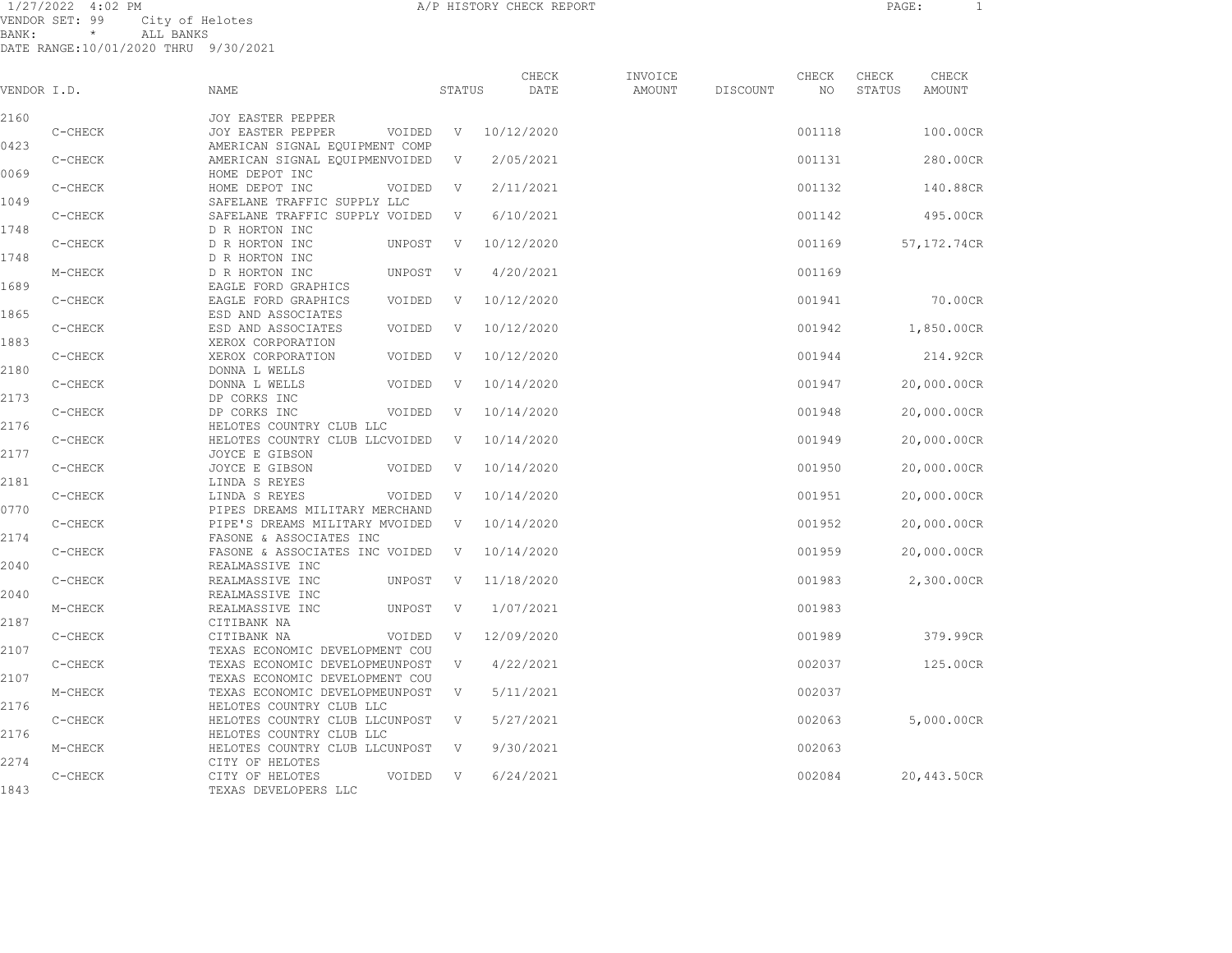1/27/2022 4:02 PM A/P HISTORY CHECK REPORT PAGE: 1 VENDOR SET: 99 City of Helotes BANK: \* ALL BANKS

| VENDOR I.D. |         | <b>NAME</b>                                                      |        | STATUS | CHECK<br>DATE | INVOICE<br><b>AMOUNT</b> | DISCOUNT | CHECK<br>NO | CHECK<br>STATUS | CHECK<br><b>AMOUNT</b> |
|-------------|---------|------------------------------------------------------------------|--------|--------|---------------|--------------------------|----------|-------------|-----------------|------------------------|
| 2160        |         | <b>JOY EASTER PEPPER</b>                                         |        |        |               |                          |          |             |                 |                        |
|             | C-CHECK | JOY EASTER PEPPER                                                | VOIDED | V      | 10/12/2020    |                          |          | 001118      |                 | 100.00CR               |
| 0423        | C-CHECK | AMERICAN SIGNAL EQUIPMENT COMP<br>AMERICAN SIGNAL EQUIPMENVOIDED |        | V      | 2/05/2021     |                          |          | 001131      |                 | 280.00CR               |
| 0069        |         | HOME DEPOT INC                                                   |        |        |               |                          |          |             |                 |                        |
|             | C-CHECK | HOME DEPOT INC                                                   | VOIDED | V      | 2/11/2021     |                          |          | 001132      |                 | 140.88CR               |
| 1049        |         | SAFELANE TRAFFIC SUPPLY LLC                                      |        |        |               |                          |          |             |                 |                        |
|             | C-CHECK | SAFELANE TRAFFIC SUPPLY VOIDED                                   |        | V      | 6/10/2021     |                          |          | 001142      |                 | 495.00CR               |
| 1748        |         | D R HORTON INC                                                   |        |        |               |                          |          |             |                 |                        |
| 1748        | C-CHECK | D R HORTON INC<br>D R HORTON INC                                 | UNPOST | V      | 10/12/2020    |                          |          | 001169      |                 | 57,172.74CR            |
|             | M-CHECK | D R HORTON INC                                                   | UNPOST | V      | 4/20/2021     |                          |          | 001169      |                 |                        |
| 1689        |         | EAGLE FORD GRAPHICS                                              |        |        |               |                          |          |             |                 |                        |
|             | C-CHECK | EAGLE FORD GRAPHICS                                              | VOIDED | V      | 10/12/2020    |                          |          | 001941      |                 | 70.00CR                |
| 1865        |         | ESD AND ASSOCIATES                                               |        |        |               |                          |          |             |                 |                        |
|             | C-CHECK | ESD AND ASSOCIATES                                               | VOIDED | V      | 10/12/2020    |                          |          | 001942      |                 | 1,850.00CR             |
| 1883        |         | XEROX CORPORATION                                                |        |        |               |                          |          |             |                 |                        |
|             | C-CHECK | XEROX CORPORATION                                                | VOIDED | V      | 10/12/2020    |                          |          | 001944      |                 | 214.92CR               |
| 2180        |         | DONNA L WELLS                                                    |        |        |               |                          |          |             |                 |                        |
|             | C-CHECK | DONNA L WELLS                                                    | VOIDED | V      | 10/14/2020    |                          |          | 001947      |                 | 20,000.00CR            |
| 2173        |         | DP CORKS INC                                                     |        |        |               |                          |          |             |                 |                        |
|             | C-CHECK | DP CORKS INC                                                     | VOIDED | V      | 10/14/2020    |                          |          | 001948      |                 | 20,000.00CR            |
| 2176        | C-CHECK | HELOTES COUNTRY CLUB LLC<br>HELOTES COUNTRY CLUB LLCVOIDED       |        | V      | 10/14/2020    |                          |          | 001949      |                 | 20,000.00CR            |
| 2177        |         | JOYCE E GIBSON                                                   |        |        |               |                          |          |             |                 |                        |
|             | C-CHECK | JOYCE E GIBSON                                                   | VOIDED | V      | 10/14/2020    |                          |          | 001950      |                 | 20,000.00CR            |
| 2181        |         | LINDA S REYES                                                    |        |        |               |                          |          |             |                 |                        |
|             | C-CHECK | LINDA S REYES                                                    | VOIDED | V      | 10/14/2020    |                          |          | 001951      |                 | 20,000.00CR            |
| 0770        |         | PIPES DREAMS MILITARY MERCHAND                                   |        |        |               |                          |          |             |                 |                        |
|             | C-CHECK | PIPE'S DREAMS MILITARY MVOIDED                                   |        | V      | 10/14/2020    |                          |          | 001952      |                 | 20,000.00CR            |
| 2174        |         | FASONE & ASSOCIATES INC                                          |        |        |               |                          |          |             |                 |                        |
|             | C-CHECK | FASONE & ASSOCIATES INC VOIDED                                   |        | V      | 10/14/2020    |                          |          | 001959      |                 | 20,000.00CR            |
| 2040        |         | REALMASSIVE INC                                                  |        |        |               |                          |          |             |                 |                        |
|             | C-CHECK | REALMASSIVE INC                                                  | UNPOST | V      | 11/18/2020    |                          |          | 001983      |                 | 2,300.00CR             |
| 2040        | M-CHECK | REALMASSIVE INC<br>REALMASSIVE INC                               | UNPOST | V      | 1/07/2021     |                          |          | 001983      |                 |                        |
| 2187        |         | CITIBANK NA                                                      |        |        |               |                          |          |             |                 |                        |
|             | C-CHECK | CITIBANK NA                                                      | VOIDED | V      | 12/09/2020    |                          |          | 001989      |                 | 379.99CR               |
| 2107        |         | TEXAS ECONOMIC DEVELOPMENT COU                                   |        |        |               |                          |          |             |                 |                        |
|             | C-CHECK | TEXAS ECONOMIC DEVELOPMEUNPOST                                   |        | V      | 4/22/2021     |                          |          | 002037      |                 | 125.00CR               |
| 2107        |         | TEXAS ECONOMIC DEVELOPMENT COU                                   |        |        |               |                          |          |             |                 |                        |
|             | M-CHECK | TEXAS ECONOMIC DEVELOPMEUNPOST                                   |        | V      | 5/11/2021     |                          |          | 002037      |                 |                        |
| 2176        |         | HELOTES COUNTRY CLUB LLC                                         |        |        |               |                          |          |             |                 |                        |
|             | C-CHECK | HELOTES COUNTRY CLUB LLCUNPOST                                   |        | V      | 5/27/2021     |                          |          | 002063      |                 | 5,000.00CR             |
| 2176        |         | HELOTES COUNTRY CLUB LLC                                         |        |        |               |                          |          |             |                 |                        |
| 2274        | M-CHECK | HELOTES COUNTRY CLUB LLCUNPOST<br>CITY OF HELOTES                |        | V      | 9/30/2021     |                          |          | 002063      |                 |                        |
|             | C-CHECK | CITY OF HELOTES                                                  | VOIDED | V      | 6/24/2021     |                          |          | 002084      |                 | 20,443.50CR            |
| 1843        |         | TEXAS DEVELOPERS LLC                                             |        |        |               |                          |          |             |                 |                        |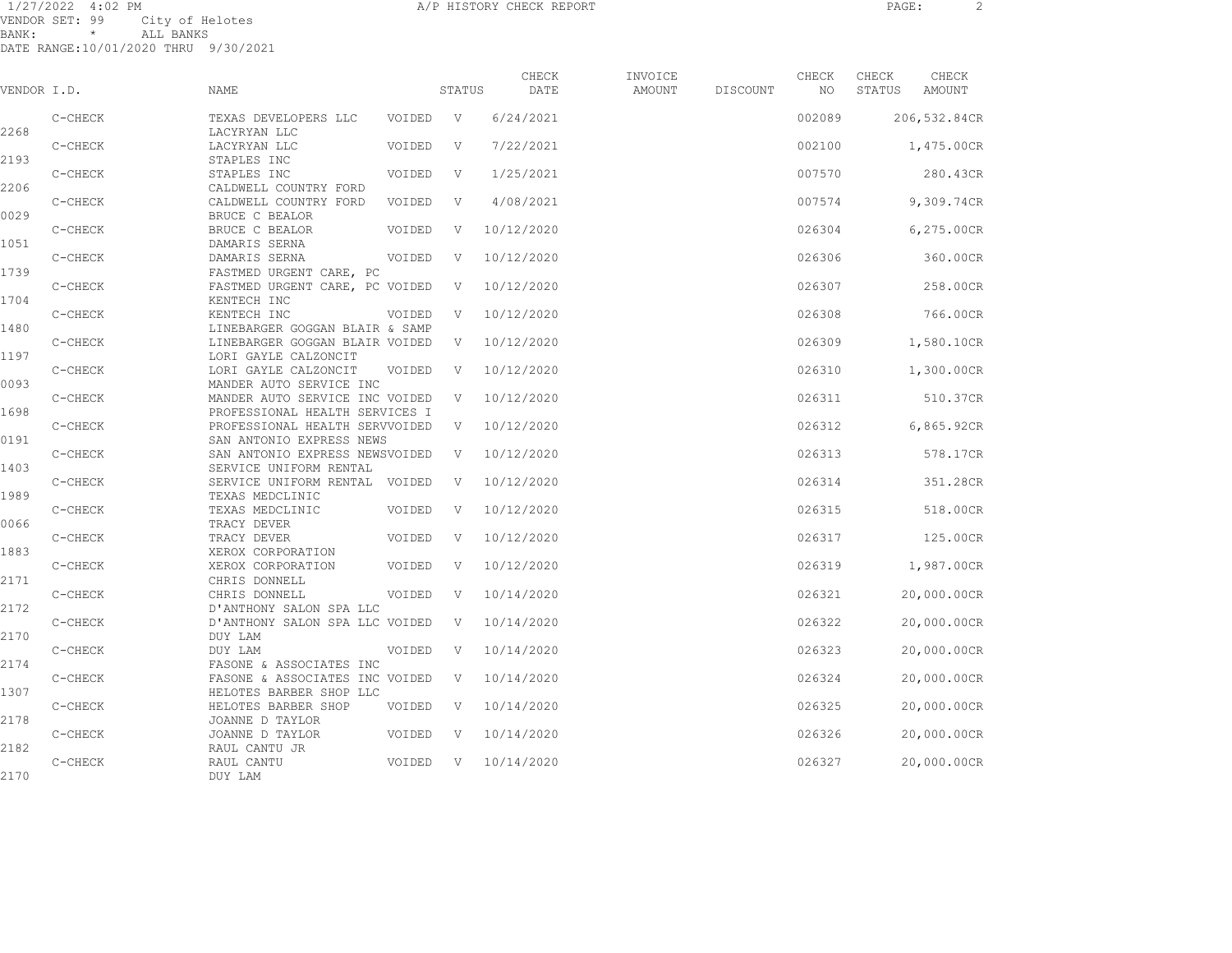| VENDOR I.D. |           | NAME                                                             |        | STATUS | CHECK<br>DATE | INVOICE<br>AMOUNT | DISCOUNT | CHECK<br>NO | CHECK<br>STATUS | CHECK<br>AMOUNT |
|-------------|-----------|------------------------------------------------------------------|--------|--------|---------------|-------------------|----------|-------------|-----------------|-----------------|
| 2268        | C-CHECK   | TEXAS DEVELOPERS LLC<br>LACYRYAN LLC                             | VOIDED | V      | 6/24/2021     |                   |          | 002089      |                 | 206,532.84CR    |
| 2193        | C-CHECK   | LACYRYAN LLC<br>STAPLES INC                                      | VOIDED | V      | 7/22/2021     |                   |          | 002100      |                 | 1,475.00CR      |
| 2206        | C-CHECK   | STAPLES INC<br>CALDWELL COUNTRY FORD                             | VOIDED | V      | 1/25/2021     |                   |          | 007570      |                 | 280.43CR        |
| 0029        | C-CHECK   | CALDWELL COUNTRY FORD<br>BRUCE C BEALOR                          | VOIDED | V      | 4/08/2021     |                   |          | 007574      |                 | 9,309.74CR      |
| 1051        | C-CHECK   | BRUCE C BEALOR<br>DAMARIS SERNA                                  | VOIDED | - V    | 10/12/2020    |                   |          | 026304      |                 | 6,275.00CR      |
| 1739        | C-CHECK   | DAMARIS SERNA<br>FASTMED URGENT CARE, PC                         | VOIDED | V      | 10/12/2020    |                   |          | 026306      |                 | 360.00CR        |
| 1704        | C-CHECK   | FASTMED URGENT CARE, PC VOIDED<br>KENTECH INC                    |        | - V    | 10/12/2020    |                   |          | 026307      |                 | 258.00CR        |
| 1480        | $C-CHECK$ | KENTECH INC<br>LINEBARGER GOGGAN BLAIR & SAMP                    | VOIDED | V      | 10/12/2020    |                   |          | 026308      |                 | 766.00CR        |
| 1197        | C-CHECK   | LINEBARGER GOGGAN BLAIR VOIDED<br>LORI GAYLE CALZONCIT           |        | V      | 10/12/2020    |                   |          | 026309      |                 | 1,580.10CR      |
| 0093        | $C-CHECK$ | LORI GAYLE CALZONCIT<br>MANDER AUTO SERVICE INC                  | VOIDED | V      | 10/12/2020    |                   |          | 026310      |                 | 1,300.00CR      |
| 1698        | C-CHECK   | MANDER AUTO SERVICE INC VOIDED<br>PROFESSIONAL HEALTH SERVICES I |        | V      | 10/12/2020    |                   |          | 026311      |                 | 510.37CR        |
| 0191        | C-CHECK   | PROFESSIONAL HEALTH SERVVOIDED<br>SAN ANTONIO EXPRESS NEWS       |        | V      | 10/12/2020    |                   |          | 026312      |                 | 6,865.92CR      |
| 1403        | C-CHECK   | SAN ANTONIO EXPRESS NEWSVOIDED<br>SERVICE UNIFORM RENTAL         |        | V      | 10/12/2020    |                   |          | 026313      |                 | 578.17CR        |
| 1989        | C-CHECK   | SERVICE UNIFORM RENTAL VOIDED<br>TEXAS MEDCLINIC                 |        | - V    | 10/12/2020    |                   |          | 026314      |                 | 351.28CR        |
| 0066        | C-CHECK   | TEXAS MEDCLINIC<br>TRACY DEVER                                   | VOIDED | V      | 10/12/2020    |                   |          | 026315      |                 | 518.00CR        |
| 1883        | C-CHECK   | TRACY DEVER<br>XEROX CORPORATION                                 | VOIDED | - V    | 10/12/2020    |                   |          | 026317      |                 | 125.00CR        |
| 2171        | C-CHECK   | XEROX CORPORATION<br>CHRIS DONNELL                               | VOIDED | V      | 10/12/2020    |                   |          | 026319      |                 | 1,987.00CR      |
| 2172        | C-CHECK   | CHRIS DONNELL<br>D'ANTHONY SALON SPA LLC                         | VOIDED | V      | 10/14/2020    |                   |          | 026321      |                 | 20,000.00CR     |
| 2170        | C-CHECK   | D'ANTHONY SALON SPA LLC VOIDED<br>DUY LAM                        |        | - V    | 10/14/2020    |                   |          | 026322      |                 | 20,000.00CR     |
| 2174        | C-CHECK   | DUY LAM<br>FASONE & ASSOCIATES INC                               | VOIDED | V      | 10/14/2020    |                   |          | 026323      |                 | 20,000.00CR     |
| 1307        | C-CHECK   | FASONE & ASSOCIATES INC VOIDED<br>HELOTES BARBER SHOP LLC        |        | - V    | 10/14/2020    |                   |          | 026324      |                 | 20,000.00CR     |
| 2178        | C-CHECK   | HELOTES BARBER SHOP<br>JOANNE D TAYLOR                           | VOIDED | - V    | 10/14/2020    |                   |          | 026325      |                 | 20,000.00CR     |
| 2182        | C-CHECK   | JOANNE D TAYLOR<br>RAUL CANTU JR                                 | VOIDED | - V    | 10/14/2020    |                   |          | 026326      |                 | 20,000.00CR     |
| 2170        | C-CHECK   | RAUL CANTU<br>DUY LAM                                            | VOIDED | V      | 10/14/2020    |                   |          | 026327      |                 | 20,000.00CR     |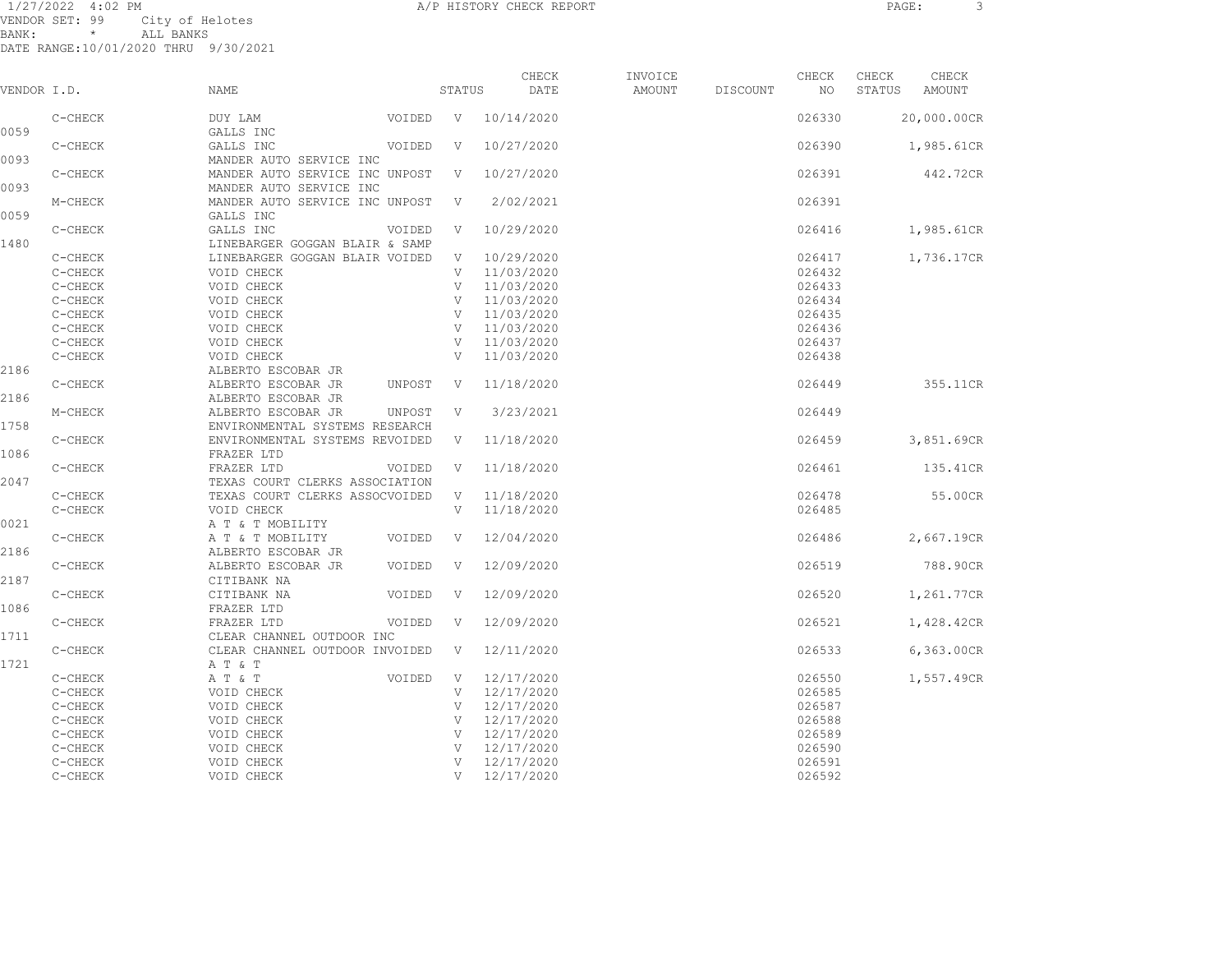1/27/2022 4:02 PM A/P HISTORY CHECK REPORT PAGE: 3 VENDOR SET: 99 City of Helotes BANK: \* ALL BANKS

| VENDOR I.D. |           | <b>NAME</b>                                        | STATUS       | CHECK<br>DATE | INVOICE<br>AMOUNT | DISCOUNT | CHECK<br>NO | CHECK<br>STATUS | CHECK<br>AMOUNT |
|-------------|-----------|----------------------------------------------------|--------------|---------------|-------------------|----------|-------------|-----------------|-----------------|
|             | C-CHECK   | DUY LAM<br>VOIDED                                  | V            | 10/14/2020    |                   |          | 026330      |                 | 20,000.00CR     |
| 0059        |           | GALLS INC                                          |              |               |                   |          |             |                 |                 |
|             | C-CHECK   | GALLS INC<br>VOIDED                                | V            | 10/27/2020    |                   |          | 026390      |                 | 1,985.61CR      |
| 0093        |           | MANDER AUTO SERVICE INC                            |              |               |                   |          |             |                 |                 |
|             | $C-CHECK$ | MANDER AUTO SERVICE INC UNPOST                     | V            | 10/27/2020    |                   |          | 026391      |                 | 442.72CR        |
| 0093        |           | MANDER AUTO SERVICE INC                            |              |               |                   |          |             |                 |                 |
|             | M-CHECK   | MANDER AUTO SERVICE INC UNPOST                     | V            | 2/02/2021     |                   |          | 026391      |                 |                 |
| 0059        |           | GALLS INC                                          |              |               |                   |          |             |                 |                 |
|             | C-CHECK   | GALLS INC<br>VOIDED                                | V            | 10/29/2020    |                   |          | 026416      |                 | 1,985.61CR      |
| 1480        |           | LINEBARGER GOGGAN BLAIR & SAMP                     |              |               |                   |          |             |                 |                 |
|             | $C-CHECK$ | LINEBARGER GOGGAN BLAIR VOIDED                     | V            | 10/29/2020    |                   |          | 026417      |                 | 1,736.17CR      |
|             | C-CHECK   | VOID CHECK                                         | V            | 11/03/2020    |                   |          | 026432      |                 |                 |
|             | C-CHECK   | VOID CHECK                                         | V            | 11/03/2020    |                   |          | 026433      |                 |                 |
|             | C-CHECK   | VOID CHECK                                         | V            | 11/03/2020    |                   |          | 026434      |                 |                 |
|             | C-CHECK   | VOID CHECK                                         | $\mathbf{V}$ | 11/03/2020    |                   |          | 026435      |                 |                 |
|             | C-CHECK   | VOID CHECK                                         | V            | 11/03/2020    |                   |          | 026436      |                 |                 |
|             | C-CHECK   | VOID CHECK                                         | V            | 11/03/2020    |                   |          | 026437      |                 |                 |
|             | C-CHECK   | VOID CHECK                                         | V            | 11/03/2020    |                   |          | 026438      |                 |                 |
| 2186        |           | ALBERTO ESCOBAR JR                                 |              |               |                   |          |             |                 |                 |
| 2186        | C-CHECK   | ALBERTO ESCOBAR JR<br>UNPOST<br>ALBERTO ESCOBAR JR | V            | 11/18/2020    |                   |          | 026449      |                 | 355.11CR        |
|             | M-CHECK   | ALBERTO ESCOBAR JR<br>UNPOST                       | V            | 3/23/2021     |                   |          | 026449      |                 |                 |
| 1758        |           | ENVIRONMENTAL SYSTEMS RESEARCH                     |              |               |                   |          |             |                 |                 |
|             | C-CHECK   | ENVIRONMENTAL SYSTEMS REVOIDED                     | V            | 11/18/2020    |                   |          | 026459      |                 | 3,851.69CR      |
| 1086        |           | FRAZER LTD                                         |              |               |                   |          |             |                 |                 |
|             | C-CHECK   | FRAZER LTD<br>VOIDED                               | V            | 11/18/2020    |                   |          | 026461      |                 | 135.41CR        |
| 2047        |           | TEXAS COURT CLERKS ASSOCIATION                     |              |               |                   |          |             |                 |                 |
|             | C-CHECK   | TEXAS COURT CLERKS ASSOCVOIDED                     | V            | 11/18/2020    |                   |          | 026478      |                 | 55.00CR         |
|             | $C-CHECK$ | VOID CHECK                                         | V            | 11/18/2020    |                   |          | 026485      |                 |                 |
| 0021        |           | A T & T MOBILITY                                   |              |               |                   |          |             |                 |                 |
|             | C-CHECK   | A T & T MOBILITY<br>VOIDED                         | V            | 12/04/2020    |                   |          | 026486      |                 | 2,667.19CR      |
| 2186        |           | ALBERTO ESCOBAR JR                                 |              |               |                   |          |             |                 |                 |
|             | C-CHECK   | ALBERTO ESCOBAR JR<br>VOIDED                       | V            | 12/09/2020    |                   |          | 026519      |                 | 788.90CR        |
| 2187        |           | CITIBANK NA                                        |              |               |                   |          |             |                 |                 |
|             | C-CHECK   | CITIBANK NA<br>VOIDED                              | V            | 12/09/2020    |                   |          | 026520      |                 | 1,261.77CR      |
| 1086        |           | FRAZER LTD                                         |              |               |                   |          |             |                 |                 |
|             | C-CHECK   | FRAZER LTD<br>VOIDED                               | V            | 12/09/2020    |                   |          | 026521      |                 | 1,428.42CR      |
| 1711        |           | CLEAR CHANNEL OUTDOOR INC                          |              |               |                   |          |             |                 |                 |
|             | C-CHECK   | CLEAR CHANNEL OUTDOOR INVOIDED                     | V            | 12/11/2020    |                   |          | 026533      |                 | 6,363.00CR      |
| 1721        |           | A T & T                                            |              |               |                   |          |             |                 |                 |
|             | C-CHECK   | A T & T<br>VOIDED                                  | V            | 12/17/2020    |                   |          | 026550      |                 | 1,557.49CR      |
|             | C-CHECK   | VOID CHECK                                         | V            | 12/17/2020    |                   |          | 026585      |                 |                 |
|             | C-CHECK   | VOID CHECK                                         | V            | 12/17/2020    |                   |          | 026587      |                 |                 |
|             | C-CHECK   | VOID CHECK                                         | V            | 12/17/2020    |                   |          | 026588      |                 |                 |
|             | C-CHECK   | VOID CHECK                                         | V            | 12/17/2020    |                   |          | 026589      |                 |                 |
|             | C-CHECK   | VOID CHECK                                         | V            | 12/17/2020    |                   |          | 026590      |                 |                 |
|             | C-CHECK   | VOID CHECK                                         | $\mathbf{V}$ | 12/17/2020    |                   |          | 026591      |                 |                 |
|             | C-CHECK   | VOID CHECK                                         | V            | 12/17/2020    |                   |          | 026592      |                 |                 |
|             |           |                                                    |              |               |                   |          |             |                 |                 |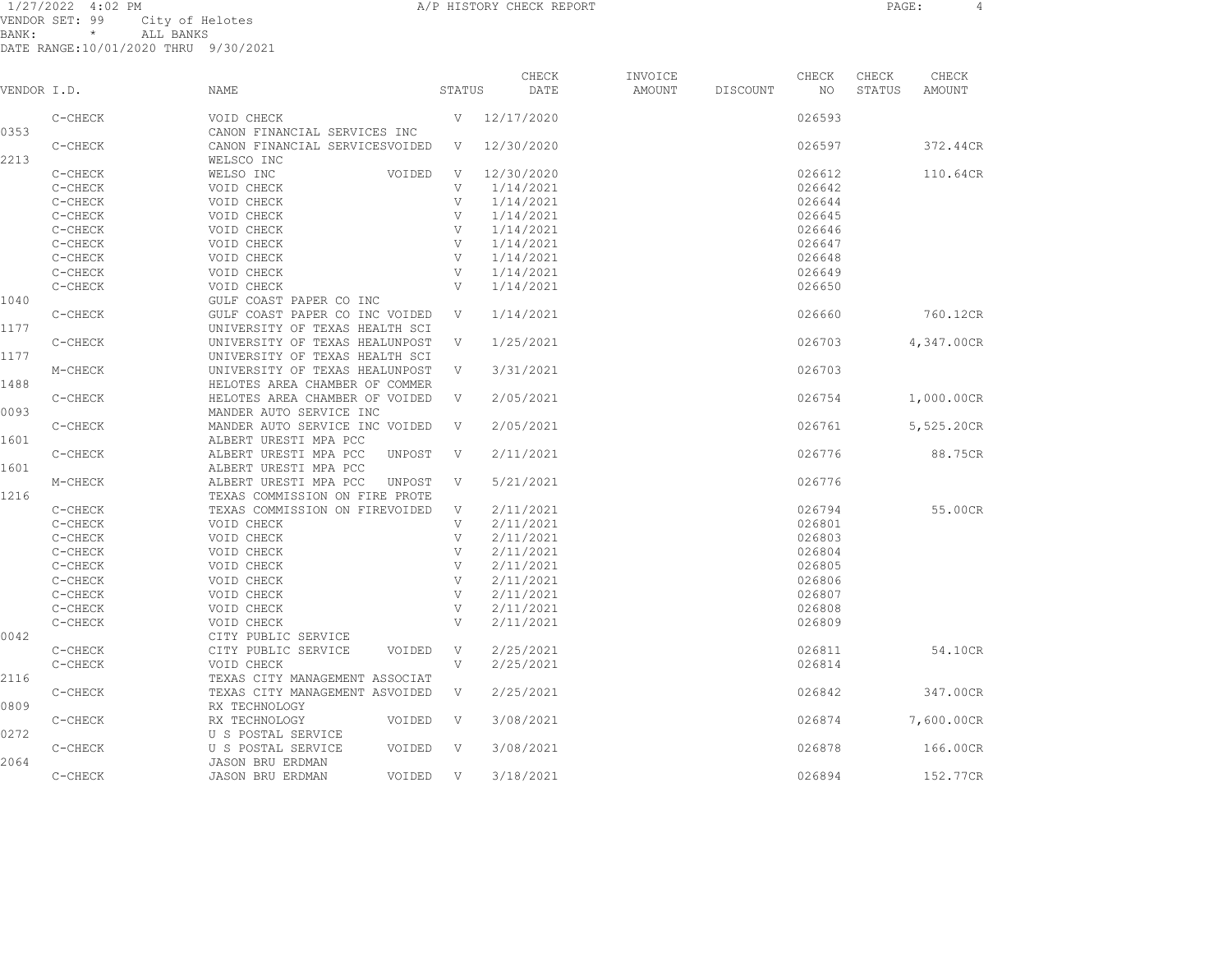1/27/2022 4:02 PM A/P HISTORY CHECK REPORT PAGE: 4 VENDOR SET: 99 City of Helotes BANK: \* ALL BANKS

| VENDOR I.D. |         | <b>NAME</b>                                  | STATUS       | CHECK<br>DATE | INVOICE<br>AMOUNT | DISCOUNT | CHECK<br>NO | CHECK<br>STATUS | CHECK<br><b>AMOUNT</b> |
|-------------|---------|----------------------------------------------|--------------|---------------|-------------------|----------|-------------|-----------------|------------------------|
|             | C-CHECK | VOID CHECK                                   | $\mathbf{V}$ | 12/17/2020    |                   |          | 026593      |                 |                        |
| 0353        |         | CANON FINANCIAL SERVICES INC                 |              |               |                   |          |             |                 |                        |
| 2213        | C-CHECK | CANON FINANCIAL SERVICESVOIDED<br>WELSCO INC | V            | 12/30/2020    |                   |          | 026597      |                 | 372.44CR               |
|             | C-CHECK | WELSO INC<br>VOIDED                          | V            | 12/30/2020    |                   |          | 026612      |                 | 110.64CR               |
|             | C-CHECK | VOID CHECK                                   | V            | 1/14/2021     |                   |          | 026642      |                 |                        |
|             | C-CHECK | VOID CHECK                                   | $\mathbf{V}$ | 1/14/2021     |                   |          | 026644      |                 |                        |
|             | C-CHECK | VOID CHECK                                   | V            | 1/14/2021     |                   |          | 026645      |                 |                        |
|             | C-CHECK | VOID CHECK                                   | V            | 1/14/2021     |                   |          | 026646      |                 |                        |
|             | C-CHECK | VOID CHECK                                   | V            | 1/14/2021     |                   |          | 026647      |                 |                        |
|             | C-CHECK | VOID CHECK                                   | V            | 1/14/2021     |                   |          | 026648      |                 |                        |
|             | C-CHECK | VOID CHECK                                   | V            | 1/14/2021     |                   |          | 026649      |                 |                        |
|             | C-CHECK | VOID CHECK                                   | V            | 1/14/2021     |                   |          | 026650      |                 |                        |
| 1040        |         | GULF COAST PAPER CO INC                      |              |               |                   |          |             |                 |                        |
|             | C-CHECK | GULF COAST PAPER CO INC VOIDED               | V            | 1/14/2021     |                   |          | 026660      |                 | 760.12CR               |
| 1177        |         | UNIVERSITY OF TEXAS HEALTH SCI               |              |               |                   |          |             |                 |                        |
|             | C-CHECK | UNIVERSITY OF TEXAS HEALUNPOST               | V            | 1/25/2021     |                   |          | 026703      |                 | 4,347.00CR             |
| 1177        |         | UNIVERSITY OF TEXAS HEALTH SCI               |              |               |                   |          |             |                 |                        |
|             | M-CHECK | UNIVERSITY OF TEXAS HEALUNPOST               | V            | 3/31/2021     |                   |          | 026703      |                 |                        |
| 1488        |         | HELOTES AREA CHAMBER OF COMMER               |              |               |                   |          |             |                 |                        |
|             | C-CHECK | HELOTES AREA CHAMBER OF VOIDED               | V            | 2/05/2021     |                   |          | 026754      |                 | 1,000.00CR             |
| 0093        |         | MANDER AUTO SERVICE INC                      |              |               |                   |          |             |                 |                        |
|             | C-CHECK | MANDER AUTO SERVICE INC VOIDED               | V            | 2/05/2021     |                   |          | 026761      |                 | 5,525.20CR             |
| 1601        |         | ALBERT URESTI MPA PCC                        |              |               |                   |          |             |                 |                        |
|             | C-CHECK | ALBERT URESTI MPA PCC<br>UNPOST              | V            | 2/11/2021     |                   |          | 026776      |                 | 88.75CR                |
| 1601        |         | ALBERT URESTI MPA PCC                        |              |               |                   |          |             |                 |                        |
|             | M-CHECK | ALBERT URESTI MPA PCC<br>UNPOST              | V            | 5/21/2021     |                   |          | 026776      |                 |                        |
| 1216        |         | TEXAS COMMISSION ON FIRE PROTE               |              |               |                   |          |             |                 |                        |
|             | C-CHECK | TEXAS COMMISSION ON FIREVOIDED               | V            | 2/11/2021     |                   |          | 026794      |                 | 55.00CR                |
|             | C-CHECK | VOID CHECK                                   | V            | 2/11/2021     |                   |          | 026801      |                 |                        |
|             | C-CHECK | VOID CHECK                                   | V            | 2/11/2021     |                   |          | 026803      |                 |                        |
|             | C-CHECK | VOID CHECK                                   | V            | 2/11/2021     |                   |          | 026804      |                 |                        |
|             | C-CHECK | VOID CHECK                                   | V            | 2/11/2021     |                   |          | 026805      |                 |                        |
|             | C-CHECK | VOID CHECK                                   | V            | 2/11/2021     |                   |          | 026806      |                 |                        |
|             | C-CHECK | VOID CHECK                                   | V            | 2/11/2021     |                   |          | 026807      |                 |                        |
|             | C-CHECK | VOID CHECK                                   | V            | 2/11/2021     |                   |          | 026808      |                 |                        |
|             | C-CHECK | VOID CHECK                                   | V            | 2/11/2021     |                   |          | 026809      |                 |                        |
| 0042        |         | CITY PUBLIC SERVICE                          |              |               |                   |          |             |                 |                        |
|             | C-CHECK | CITY PUBLIC SERVICE<br>VOIDED                | V            | 2/25/2021     |                   |          | 026811      |                 | 54.10CR                |
|             | C-CHECK | VOID CHECK                                   | V            | 2/25/2021     |                   |          | 026814      |                 |                        |
| 2116        |         | TEXAS CITY MANAGEMENT ASSOCIAT               |              |               |                   |          |             |                 |                        |
|             | C-CHECK | TEXAS CITY MANAGEMENT ASVOIDED               | V            | 2/25/2021     |                   |          | 026842      |                 | 347.00CR               |
| 0809        |         | RX TECHNOLOGY                                |              |               |                   |          |             |                 |                        |
|             | C-CHECK | RX TECHNOLOGY<br>VOIDED                      | V            | 3/08/2021     |                   |          | 026874      |                 | 7,600.00CR             |
| 0272        |         | U S POSTAL SERVICE                           |              |               |                   |          |             |                 |                        |
|             | C-CHECK | U S POSTAL SERVICE<br>VOIDED                 | V            | 3/08/2021     |                   |          | 026878      |                 | 166.00CR               |
| 2064        |         | <b>JASON BRU ERDMAN</b>                      |              |               |                   |          |             |                 |                        |
|             | C-CHECK | <b>JASON BRU ERDMAN</b><br>VOIDED            | V            | 3/18/2021     |                   |          | 026894      |                 | 152.77CR               |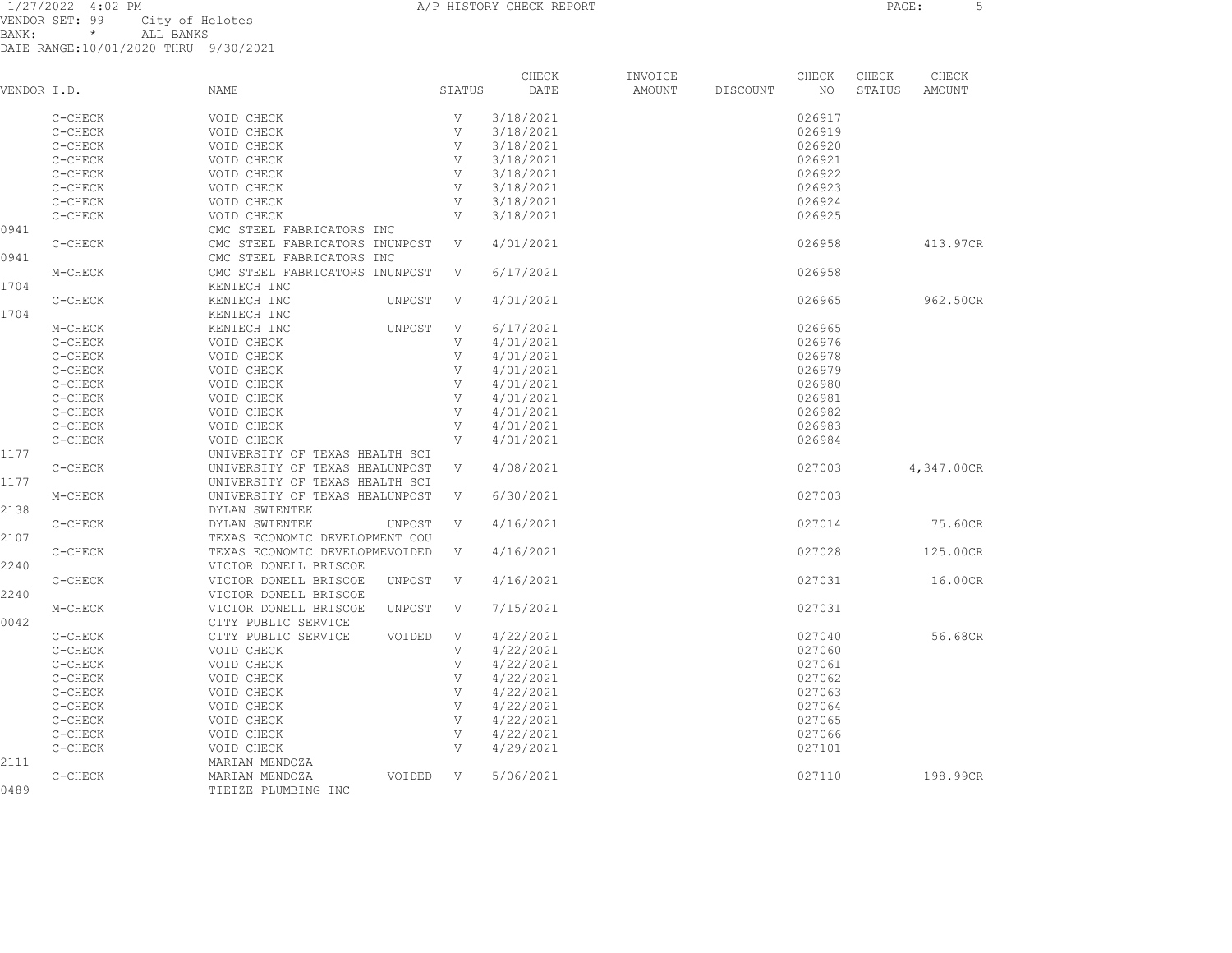1/27/2022 4:02 PM **A/P HISTORY CHECK REPORT PAGE:** 5 VENDOR SET: 99 City of Helotes<br>RANK: \* ALL RANKS  $BANK:$  \*

|             |         |                                |        | CHECK     | INVOICE |          | CHECK  | CHECK  | CHECK      |
|-------------|---------|--------------------------------|--------|-----------|---------|----------|--------|--------|------------|
| VENDOR I.D. |         | NAME                           | STATUS | DATE      | AMOUNT  | DISCOUNT | NO.    | STATUS | AMOUNT     |
|             | C-CHECK | VOID CHECK                     | V      | 3/18/2021 |         |          | 026917 |        |            |
|             | C-CHECK | VOID CHECK                     | V      | 3/18/2021 |         |          | 026919 |        |            |
|             | C-CHECK | VOID CHECK                     | V      | 3/18/2021 |         |          | 026920 |        |            |
|             | C-CHECK | VOID CHECK                     | V      | 3/18/2021 |         |          | 026921 |        |            |
|             | C-CHECK | VOID CHECK                     | V      | 3/18/2021 |         |          | 026922 |        |            |
|             | C-CHECK | VOID CHECK                     | V      | 3/18/2021 |         |          | 026923 |        |            |
|             | C-CHECK | VOID CHECK                     | V      | 3/18/2021 |         |          | 026924 |        |            |
|             | C-CHECK | VOID CHECK                     | V      | 3/18/2021 |         |          | 026925 |        |            |
| 0941        |         | CMC STEEL FABRICATORS INC      |        |           |         |          |        |        |            |
|             | C-CHECK | CMC STEEL FABRICATORS INUNPOST | V      | 4/01/2021 |         |          | 026958 |        | 413.97CR   |
| 0941        |         | CMC STEEL FABRICATORS INC      |        |           |         |          |        |        |            |
|             | M-CHECK | CMC STEEL FABRICATORS INUNPOST | V      | 6/17/2021 |         |          | 026958 |        |            |
| 1704        |         | KENTECH INC                    |        |           |         |          |        |        |            |
|             | C-CHECK | KENTECH INC<br>UNPOST          | V      | 4/01/2021 |         |          | 026965 |        | 962.50CR   |
| 1704        |         | KENTECH INC                    |        |           |         |          |        |        |            |
|             | M-CHECK | KENTECH INC<br>UNPOST          | V      | 6/17/2021 |         |          | 026965 |        |            |
|             | C-CHECK | VOID CHECK                     | V      | 4/01/2021 |         |          | 026976 |        |            |
|             | C-CHECK | VOID CHECK                     | V      | 4/01/2021 |         |          | 026978 |        |            |
|             | C-CHECK | VOID CHECK                     | V      | 4/01/2021 |         |          | 026979 |        |            |
|             | C-CHECK | VOID CHECK                     | V      | 4/01/2021 |         |          | 026980 |        |            |
|             | C-CHECK | VOID CHECK                     | V      | 4/01/2021 |         |          | 026981 |        |            |
|             | C-CHECK | VOID CHECK                     | V      | 4/01/2021 |         |          | 026982 |        |            |
|             | C-CHECK | VOID CHECK                     | V      | 4/01/2021 |         |          | 026983 |        |            |
|             | C-CHECK | VOID CHECK                     | V      | 4/01/2021 |         |          | 026984 |        |            |
| 1177        |         | UNIVERSITY OF TEXAS HEALTH SCI |        |           |         |          |        |        |            |
|             | C-CHECK | UNIVERSITY OF TEXAS HEALUNPOST | V      | 4/08/2021 |         |          | 027003 |        | 4,347.00CR |
| 1177        |         | UNIVERSITY OF TEXAS HEALTH SCI |        |           |         |          |        |        |            |
|             | M-CHECK | UNIVERSITY OF TEXAS HEALUNPOST | V      | 6/30/2021 |         |          | 027003 |        |            |
| 2138        |         | DYLAN SWIENTEK                 |        |           |         |          |        |        |            |
|             | C-CHECK | DYLAN SWIENTEK<br>UNPOST       | V      | 4/16/2021 |         |          | 027014 |        | 75.60CR    |
| 2107        |         | TEXAS ECONOMIC DEVELOPMENT COU |        |           |         |          |        |        |            |

C-CHECK TEXAS ECONOMIC DEVELOPMEVOIDED V 4/16/2021 027028 027028 125.00CR 2240 VICTOR DONELL BRISCOE C-CHECK VICTOR DONELL BRISCOE UNPOST V 4/16/2021 027031 16.00CR 2240 VICTOR DONELL BRISCOE M-CHECK VICTOR DONELL BRISCOE UNPOST V 7/15/2021 027031 0042 CITY PUBLIC SERVICE C-CHECK CITY PUBLIC SERVICE VOIDED V 4/22/2021 027040 027040 56.68CR C-CHECK VOID CHECK V 4/22/2021 027060 C-CHECK VOID CHECK V 4/22/2021 027061 C-CHECK VOID CHECK V 4/22/2021 027062 C-CHECK VOID CHECK V 4/22/2021 027063 C-CHECK VOID CHECK V 4/22/2021 027064 C-CHECK VOID CHECK V 4/22/2021 027065 C-CHECK VOID CHECK V 4/22/2021 027066 C-CHECK VOID CHECK V 4/29/2021 027101 2111 MARIAN MENDOZA C-CHECK MARIAN MENDOZA VOIDED V 5/06/2021 027110 198.99CR

0489 TIETZE PLUMBING INC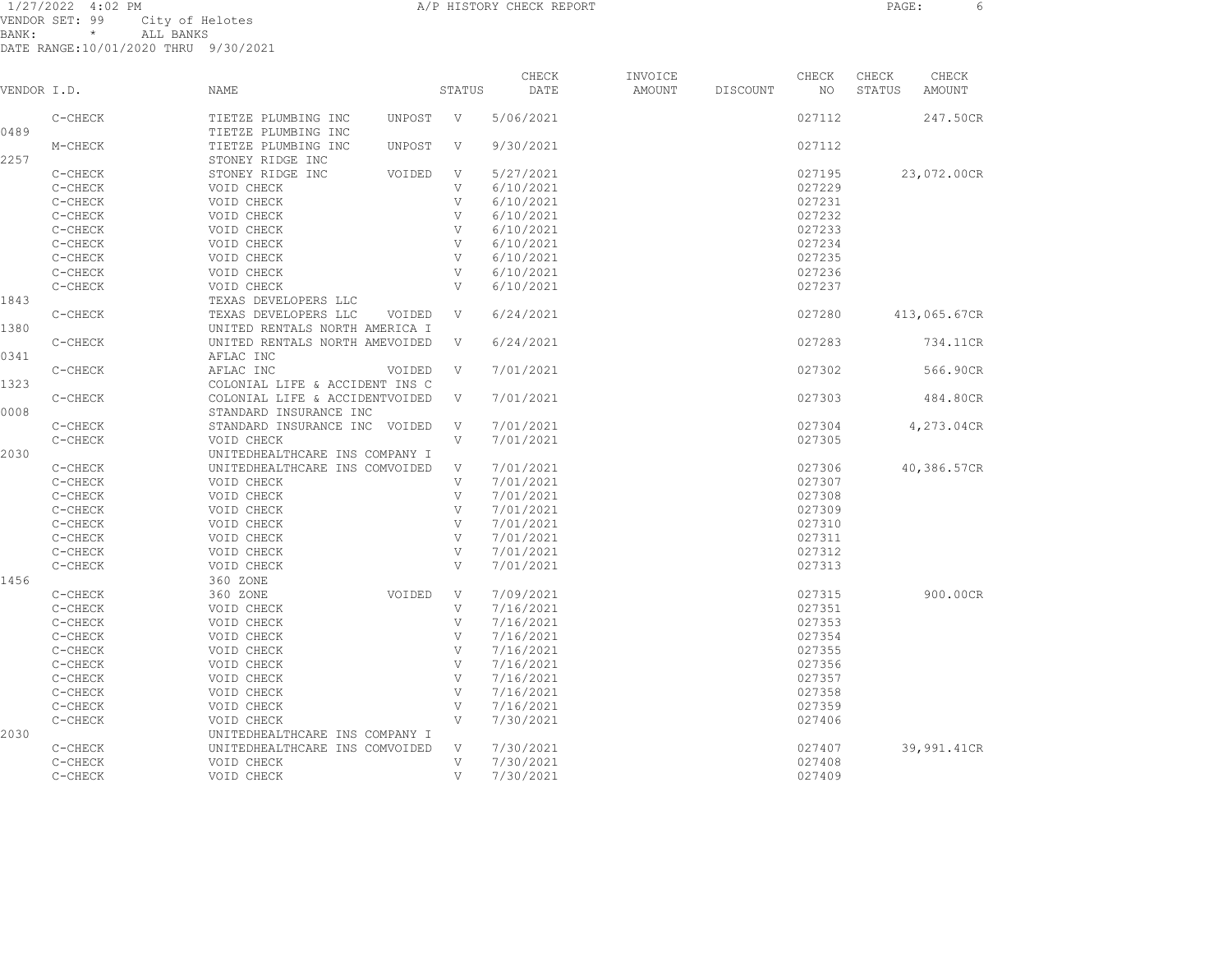| VENDOR I.D. |         | NAME                                       |        | STATUS | CHECK<br>DATE | INVOICE<br>AMOUNT | DISCOUNT | CHECK<br>NO. | CHECK<br>STATUS | CHECK<br>AMOUNT |
|-------------|---------|--------------------------------------------|--------|--------|---------------|-------------------|----------|--------------|-----------------|-----------------|
| 0489        | C-CHECK | TIETZE PLUMBING INC<br>TIETZE PLUMBING INC | UNPOST | V      | 5/06/2021     |                   |          | 027112       |                 | 247.50CR        |
| 2257        | M-CHECK | TIETZE PLUMBING INC<br>STONEY RIDGE INC    | UNPOST | V      | 9/30/2021     |                   |          | 027112       |                 |                 |

| 0489 |         | TIETZE PLUMBING INC            |              |           |        |              |
|------|---------|--------------------------------|--------------|-----------|--------|--------------|
|      | M-CHECK | TIETZE PLUMBING INC<br>UNPOST  | $\mathbf{V}$ | 9/30/2021 | 027112 |              |
| 2257 |         | STONEY RIDGE INC               |              |           |        |              |
|      | C-CHECK | STONEY RIDGE INC<br>VOIDED     | V            | 5/27/2021 | 027195 | 23,072.00CR  |
|      | C-CHECK | VOID CHECK                     | V            | 6/10/2021 | 027229 |              |
|      | C-CHECK | VOID CHECK                     | V            | 6/10/2021 | 027231 |              |
|      | C-CHECK | VOID CHECK                     | V            | 6/10/2021 | 027232 |              |
|      | C-CHECK | VOID CHECK                     | V            | 6/10/2021 | 027233 |              |
|      | C-CHECK | VOID CHECK                     | V            | 6/10/2021 | 027234 |              |
|      | C-CHECK | VOID CHECK                     | V            | 6/10/2021 | 027235 |              |
|      | C-CHECK | VOID CHECK                     | V            | 6/10/2021 | 027236 |              |
|      | C-CHECK | VOID CHECK                     | V            | 6/10/2021 | 027237 |              |
| 1843 |         | TEXAS DEVELOPERS LLC           |              |           |        |              |
|      | C-CHECK | TEXAS DEVELOPERS LLC<br>VOIDED | V            | 6/24/2021 | 027280 | 413,065.67CR |
| 1380 |         | UNITED RENTALS NORTH AMERICA I |              |           |        |              |
|      | C-CHECK | UNITED RENTALS NORTH AMEVOIDED | V            | 6/24/2021 | 027283 | 734.11CR     |
| 0341 |         | AFLAC INC                      |              |           |        |              |
|      | C-CHECK | AFLAC INC<br>VOIDED            | V            | 7/01/2021 | 027302 | 566.90CR     |
| 1323 |         | COLONIAL LIFE & ACCIDENT INS C |              |           |        |              |
|      | C-CHECK | COLONIAL LIFE & ACCIDENTVOIDED | V            | 7/01/2021 | 027303 | 484.80CR     |
| 0008 |         | STANDARD INSURANCE INC         |              |           |        |              |
|      | C-CHECK | STANDARD INSURANCE INC VOIDED  | V            | 7/01/2021 | 027304 | 4,273.04CR   |
|      | C-CHECK | VOID CHECK                     | V            | 7/01/2021 | 027305 |              |
| 2030 |         | UNITEDHEALTHCARE INS COMPANY I |              |           |        |              |
|      | C-CHECK | UNITEDHEALTHCARE INS COMVOIDED | V            | 7/01/2021 | 027306 | 40,386.57CR  |
|      | C-CHECK | VOID CHECK                     | V            | 7/01/2021 | 027307 |              |
|      | C-CHECK | VOID CHECK                     | V            | 7/01/2021 | 027308 |              |
|      | C-CHECK | VOID CHECK                     | $\mathbf{V}$ | 7/01/2021 | 027309 |              |
|      | C-CHECK | VOID CHECK                     | V            | 7/01/2021 | 027310 |              |
|      | C-CHECK | VOID CHECK                     | $\mathbf{V}$ | 7/01/2021 | 027311 |              |
|      | C-CHECK | VOID CHECK                     | V            | 7/01/2021 | 027312 |              |
|      | C-CHECK | VOID CHECK                     | V            | 7/01/2021 | 027313 |              |
| 1456 |         | 360 ZONE                       |              |           |        |              |
|      | C-CHECK | 360 ZONE<br>VOIDED             | V            | 7/09/2021 | 027315 | 900.00CR     |
|      | C-CHECK | VOID CHECK                     | V            | 7/16/2021 | 027351 |              |
|      | C-CHECK | VOID CHECK                     | V            | 7/16/2021 | 027353 |              |
|      | C-CHECK | VOID CHECK                     | V            | 7/16/2021 | 027354 |              |
|      | C-CHECK | VOID CHECK                     | V            | 7/16/2021 | 027355 |              |
|      | C-CHECK | VOID CHECK                     | V            | 7/16/2021 | 027356 |              |
|      | C-CHECK | VOID CHECK                     | $\mathbf{V}$ | 7/16/2021 | 027357 |              |
|      | C-CHECK | VOID CHECK                     | V            | 7/16/2021 | 027358 |              |
|      | C-CHECK | VOID CHECK                     | V            | 7/16/2021 | 027359 |              |
|      | C-CHECK | VOID CHECK                     | V            | 7/30/2021 | 027406 |              |
| 2030 |         | UNITEDHEALTHCARE INS COMPANY I |              |           |        |              |
|      | C-CHECK | UNITEDHEALTHCARE INS COMVOIDED | V            | 7/30/2021 | 027407 | 39,991.41CR  |
|      | C-CHECK | VOID CHECK                     | V            | 7/30/2021 | 027408 |              |
|      | C-CHECK | VOID CHECK                     | V            | 7/30/2021 | 027409 |              |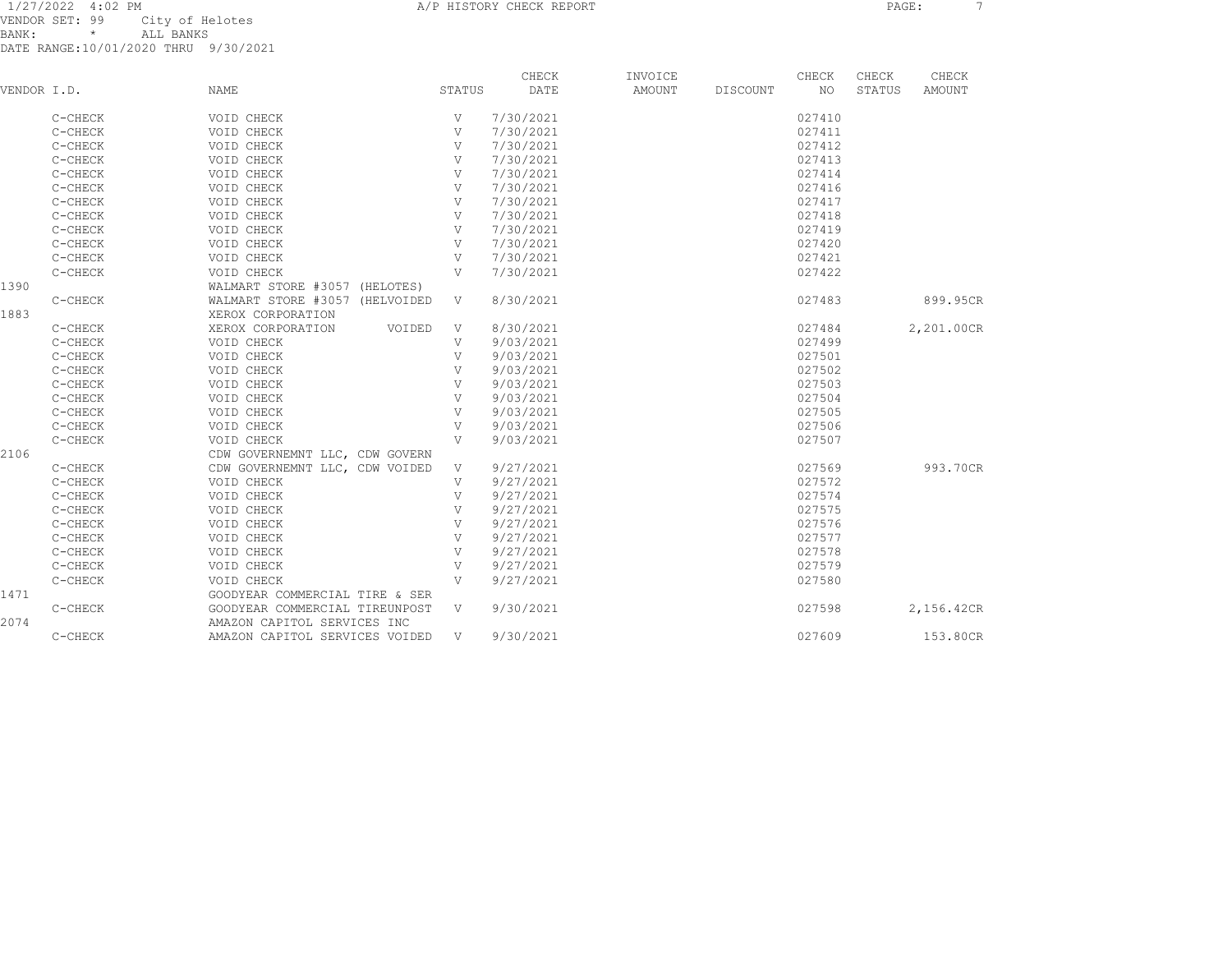1/27/2022 4:02 PM A/P HISTORY CHECK REPORT PAGE: 7 VENDOR SET: 99 City of Helotes BANK: \* ALL BANKS

| VENDOR SET: 99 |         |           | City of Helotes                      |
|----------------|---------|-----------|--------------------------------------|
| BANK :         | $\star$ | ALL BANKS |                                      |
|                |         |           | DATE RANGE:10/01/2020 THRU 9/30/2021 |

| VENDOR I.D. |         | NAME                           | STATUS       | CHECK<br>DATE | INVOICE<br>AMOUNT | DISCOUNT | CHECK<br>NO. | CHECK<br>STATUS | CHECK<br><b>AMOUNT</b> |
|-------------|---------|--------------------------------|--------------|---------------|-------------------|----------|--------------|-----------------|------------------------|
|             | C-CHECK | VOID CHECK                     | V            | 7/30/2021     |                   |          | 027410       |                 |                        |
|             | C-CHECK | VOID CHECK                     | V            | 7/30/2021     |                   |          | 027411       |                 |                        |
|             | C-CHECK | VOID CHECK                     | V            | 7/30/2021     |                   |          | 027412       |                 |                        |
|             | C-CHECK | VOID CHECK                     | V            | 7/30/2021     |                   |          | 027413       |                 |                        |
|             | C-CHECK | VOID CHECK                     | V            | 7/30/2021     |                   |          | 027414       |                 |                        |
|             | C-CHECK | VOID CHECK                     | V            | 7/30/2021     |                   |          | 027416       |                 |                        |
|             | C-CHECK | VOID CHECK                     | V            | 7/30/2021     |                   |          | 027417       |                 |                        |
|             | C-CHECK | VOID CHECK                     | V            | 7/30/2021     |                   |          | 027418       |                 |                        |
|             | C-CHECK | VOID CHECK                     | V            | 7/30/2021     |                   |          | 027419       |                 |                        |
|             | C-CHECK | VOID CHECK                     | V            | 7/30/2021     |                   |          | 027420       |                 |                        |
|             | C-CHECK | VOID CHECK                     | V            | 7/30/2021     |                   |          | 027421       |                 |                        |
|             | C-CHECK | VOID CHECK                     | V            | 7/30/2021     |                   |          | 027422       |                 |                        |
| 1390        |         | WALMART STORE #3057 (HELOTES)  |              |               |                   |          |              |                 |                        |
|             | C-CHECK | WALMART STORE #3057 (HELVOIDED | V            | 8/30/2021     |                   |          | 027483       |                 | 899.95CR               |
| 1883        |         | XEROX CORPORATION              |              |               |                   |          |              |                 |                        |
|             | C-CHECK | XEROX CORPORATION<br>VOIDED    | V            | 8/30/2021     |                   |          | 027484       |                 | 2,201.00CR             |
|             | C-CHECK | VOID CHECK                     | V            | 9/03/2021     |                   |          | 027499       |                 |                        |
|             | C-CHECK | VOID CHECK                     | V            | 9/03/2021     |                   |          | 027501       |                 |                        |
|             | C-CHECK | VOID CHECK                     | V            | 9/03/2021     |                   |          | 027502       |                 |                        |
|             | C-CHECK | VOID CHECK                     | V            | 9/03/2021     |                   |          | 027503       |                 |                        |
|             | C-CHECK | VOID CHECK                     | V            | 9/03/2021     |                   |          | 027504       |                 |                        |
|             | C-CHECK | VOID CHECK                     | V            | 9/03/2021     |                   |          | 027505       |                 |                        |
|             | C-CHECK | VOID CHECK                     | V            | 9/03/2021     |                   |          | 027506       |                 |                        |
|             | C-CHECK | VOID CHECK                     | $\mathbf{V}$ | 9/03/2021     |                   |          | 027507       |                 |                        |
| 2106        |         | CDW GOVERNEMNT LLC, CDW GOVERN |              |               |                   |          |              |                 |                        |
|             | C-CHECK | CDW GOVERNEMNT LLC, CDW VOIDED | $\mathbf{V}$ | 9/27/2021     |                   |          | 027569       |                 | 993.70CR               |
|             | C-CHECK | VOID CHECK                     | V            | 9/27/2021     |                   |          | 027572       |                 |                        |
|             | C-CHECK | VOID CHECK                     | V            | 9/27/2021     |                   |          | 027574       |                 |                        |
|             | C-CHECK | VOID CHECK                     | V            | 9/27/2021     |                   |          | 027575       |                 |                        |
|             | C-CHECK | VOID CHECK                     | V            | 9/27/2021     |                   |          | 027576       |                 |                        |
|             | C-CHECK | VOID CHECK                     | V            | 9/27/2021     |                   |          | 027577       |                 |                        |
|             | C-CHECK | VOID CHECK                     | V            | 9/27/2021     |                   |          | 027578       |                 |                        |
|             | C-CHECK | VOID CHECK                     | V            | 9/27/2021     |                   |          | 027579       |                 |                        |
|             | C-CHECK | VOID CHECK                     | V            | 9/27/2021     |                   |          | 027580       |                 |                        |
| 1471        |         | GOODYEAR COMMERCIAL TIRE & SER |              |               |                   |          |              |                 |                        |
|             | C-CHECK | GOODYEAR COMMERCIAL TIREUNPOST | V            | 9/30/2021     |                   |          | 027598       |                 | 2,156.42CR             |
| 2074        |         | AMAZON CAPITOL SERVICES INC    |              |               |                   |          |              |                 |                        |
|             | C-CHECK | AMAZON CAPITOL SERVICES VOIDED | V            | 9/30/2021     |                   |          | 027609       |                 | 153.80CR               |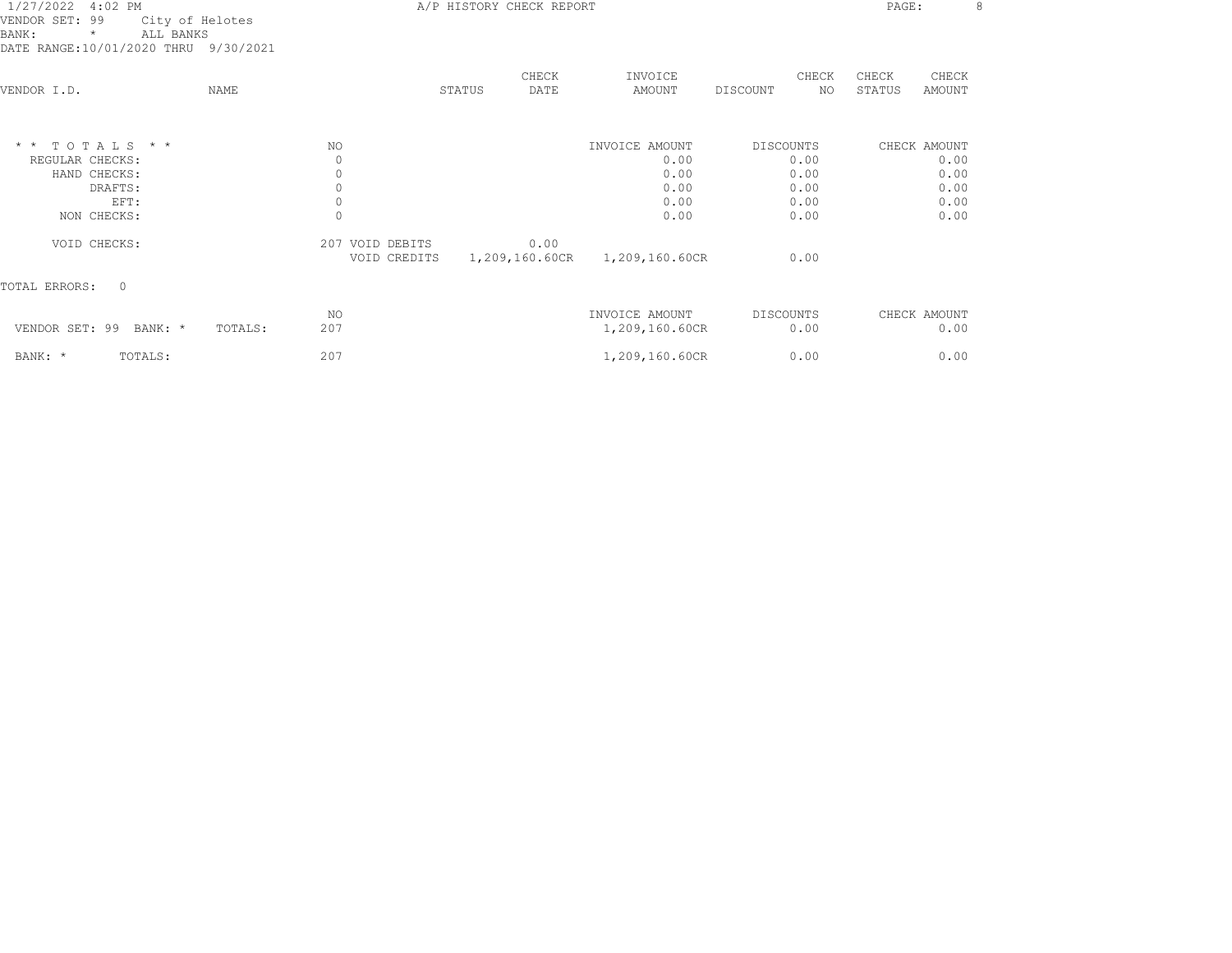| 1/27/2022 4:02 PM<br>VENDOR SET: 99<br>City of Helotes<br>BANK:<br>ALL BANKS<br>$\star$<br>DATE RANGE:10/01/2020 THRU 9/30/2021 |                | A/P HISTORY CHECK REPORT        |        |               |                               |           |              |                 |                      | 8 |
|---------------------------------------------------------------------------------------------------------------------------------|----------------|---------------------------------|--------|---------------|-------------------------------|-----------|--------------|-----------------|----------------------|---|
| VENDOR I.D.                                                                                                                     | NAME           |                                 | STATUS | CHECK<br>DATE | INVOICE<br>AMOUNT             | DISCOUNT  | CHECK<br>NO. | CHECK<br>STATUS | CHECK<br>AMOUNT      |   |
| $*$ * TOTALS * *<br>REGULAR CHECKS:                                                                                             | NO.            | $\circ$                         |        |               | INVOICE AMOUNT<br>0.00        | DISCOUNTS | 0.00         |                 | CHECK AMOUNT<br>0.00 |   |
| HAND CHECKS:                                                                                                                    |                | 0                               |        |               | 0.00                          |           | 0.00         |                 | 0.00                 |   |
| DRAFTS:                                                                                                                         |                | 0                               |        |               | 0.00                          |           | 0.00         |                 | 0.00                 |   |
| EFT:                                                                                                                            |                | 0                               |        |               | 0.00                          |           | 0.00         |                 | 0.00                 |   |
| NON CHECKS:                                                                                                                     |                | $\Omega$                        |        |               | 0.00                          |           | 0.00         |                 | 0.00                 |   |
| VOID CHECKS:                                                                                                                    |                | 207 VOID DEBITS<br>VOID CREDITS |        | 0.00          | 1,209,160.60CR 1,209,160.60CR |           | 0.00         |                 |                      |   |
| TOTAL ERRORS:<br>$\circ$                                                                                                        |                |                                 |        |               |                               |           |              |                 |                      |   |
|                                                                                                                                 | ΝO             |                                 |        |               | INVOICE AMOUNT                | DISCOUNTS |              |                 | CHECK AMOUNT         |   |
| VENDOR SET: 99 BANK: *                                                                                                          | 207<br>TOTALS: |                                 |        |               | 1,209,160.60CR                |           | 0.00         |                 | 0.00                 |   |
| BANK: *<br>TOTALS:                                                                                                              | 207            |                                 |        |               | 1,209,160.60CR                |           | 0.00         |                 | 0.00                 |   |
|                                                                                                                                 |                |                                 |        |               |                               |           |              |                 |                      |   |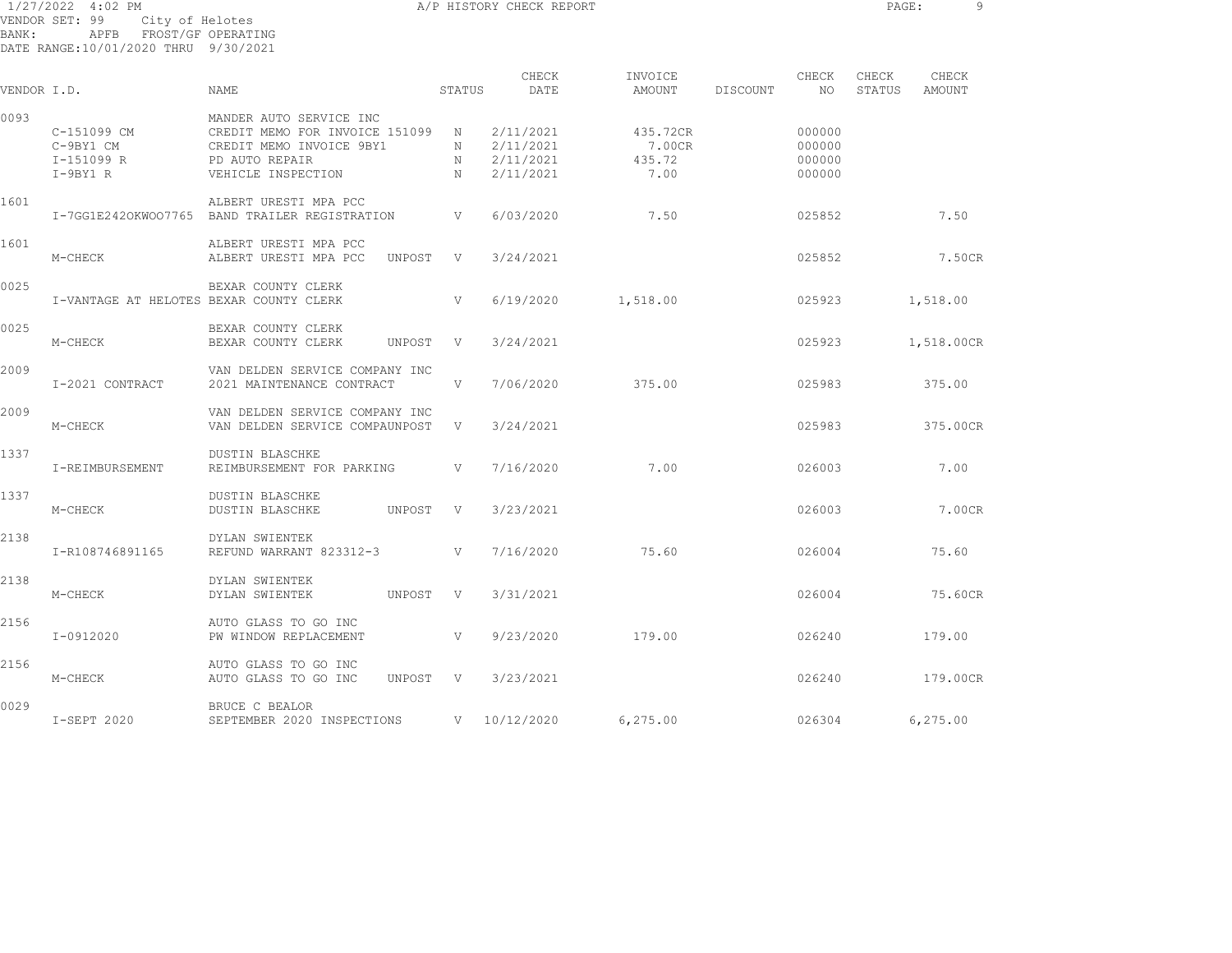1/27/2022 4:02 PM A/P HISTORY CHECK REPORT PAGE: 9 VENDOR SET: 99 City of Helotes BANK: APFB FROST/GF OPERATING DATE RANGE:10/01/2020 THRU 9/30/2021

| VENDOR I.D. |                                                      | <b>NAME</b>                                                                                                                   | STATUS                     | CHECK<br>DATE                                    | INVOICE<br>AMOUNT                    | CHECK<br>DISCOUNT<br>NO.             | CHECK<br>CHECK<br>STATUS<br>AMOUNT |
|-------------|------------------------------------------------------|-------------------------------------------------------------------------------------------------------------------------------|----------------------------|--------------------------------------------------|--------------------------------------|--------------------------------------|------------------------------------|
| 0093        | C-151099 CM<br>C-9BY1 CM<br>I-151099 R<br>$I-9BY1 R$ | MANDER AUTO SERVICE INC<br>CREDIT MEMO FOR INVOICE 151099<br>CREDIT MEMO INVOICE 9BY1<br>PD AUTO REPAIR<br>VEHICLE INSPECTION | $\mathbb N$<br>N<br>N<br>N | 2/11/2021<br>2/11/2021<br>2/11/2021<br>2/11/2021 | 435.72CR<br>7.00CR<br>435.72<br>7.00 | 000000<br>000000<br>000000<br>000000 |                                    |
| 1601        | I-7GG1E2420KW007765                                  | ALBERT URESTI MPA PCC<br>BAND TRAILER REGISTRATION                                                                            | V                          | 6/03/2020                                        | 7.50                                 | 025852                               | 7.50                               |
| 1601        | M-CHECK                                              | ALBERT URESTI MPA PCC<br>ALBERT URESTI MPA PCC<br>UNPOST                                                                      | V                          | 3/24/2021                                        |                                      | 025852                               | 7.50CR                             |
| 0025        | I-VANTAGE AT HELOTES BEXAR COUNTY CLERK              | BEXAR COUNTY CLERK                                                                                                            | V                          | 6/19/2020                                        | 1,518.00                             | 025923                               | 1,518.00                           |
| 0025        | M-CHECK                                              | BEXAR COUNTY CLERK<br>BEXAR COUNTY CLERK<br>UNPOST                                                                            | V                          | 3/24/2021                                        |                                      | 025923                               | 1,518.00CR                         |
| 2009        | I-2021 CONTRACT                                      | VAN DELDEN SERVICE COMPANY INC<br>2021 MAINTENANCE CONTRACT                                                                   | V                          | 7/06/2020                                        | 375.00                               | 025983                               | 375.00                             |
| 2009        | M-CHECK                                              | VAN DELDEN SERVICE COMPANY INC<br>VAN DELDEN SERVICE COMPAUNPOST                                                              | V                          | 3/24/2021                                        |                                      | 025983                               | 375.00CR                           |
| 1337        | I-REIMBURSEMENT                                      | <b>DUSTIN BLASCHKE</b><br>REIMBURSEMENT FOR PARKING                                                                           | V                          | 7/16/2020                                        | 7.00                                 | 026003                               | 7.00                               |
| 1337        | M-CHECK                                              | <b>DUSTIN BLASCHKE</b><br><b>DUSTIN BLASCHKE</b><br>UNPOST                                                                    | $\mathbf{V}$               | 3/23/2021                                        |                                      | 026003                               | 7.00CR                             |
| 2138        | I-R108746891165                                      | DYLAN SWIENTEK<br>REFUND WARRANT 823312-3                                                                                     | V                          | 7/16/2020                                        | 75.60                                | 026004                               | 75.60                              |
| 2138        | M-CHECK                                              | DYLAN SWIENTEK<br>DYLAN SWIENTEK<br>UNPOST                                                                                    | V                          | 3/31/2021                                        |                                      | 026004                               | 75.60CR                            |
| 2156        | I-0912020                                            | AUTO GLASS TO GO INC<br>PW WINDOW REPLACEMENT                                                                                 | V                          | 9/23/2020                                        | 179.00                               | 026240                               | 179.00                             |
| 2156        | M-CHECK                                              | AUTO GLASS TO GO INC<br>AUTO GLASS TO GO INC<br>UNPOST                                                                        | V                          | 3/23/2021                                        |                                      | 026240                               | 179.00CR                           |
| 0029        | I-SEPT 2020                                          | BRUCE C BEALOR<br>SEPTEMBER 2020 INSPECTIONS                                                                                  | V                          | 10/12/2020                                       | 6,275.00                             | 026304                               | 6,275.00                           |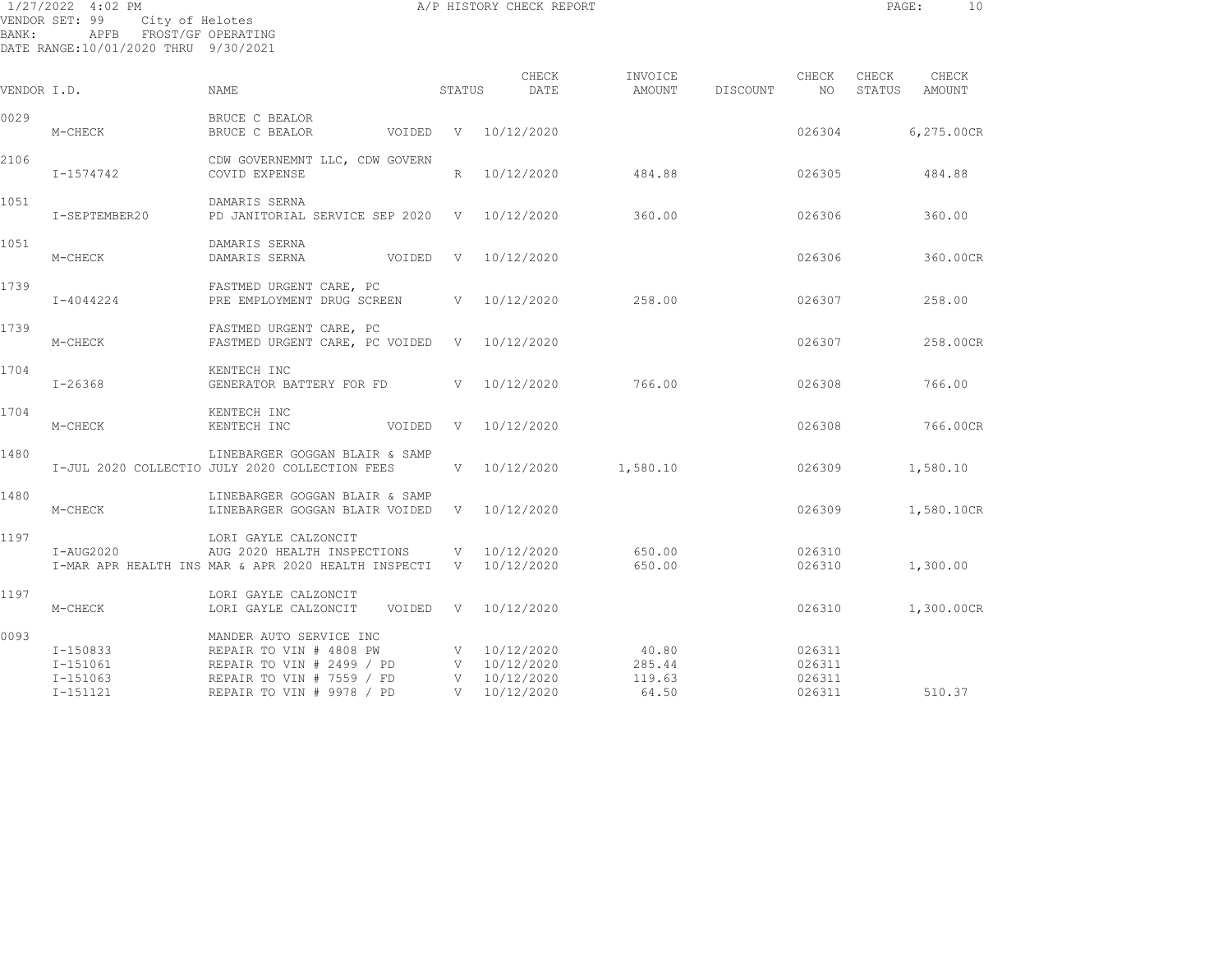| BANK:       | 1/27/2022 4:02 PM<br>VENDOR SET: 99 City of Helotes<br>APFB FROST/GF OPERATING<br>DATE RANGE:10/01/2020 THRU 9/30/2021 |                                                                                                                         |        | A/P HISTORY CHECK REPORT                         |                           |          |                            | PAGE:           | 10              |
|-------------|------------------------------------------------------------------------------------------------------------------------|-------------------------------------------------------------------------------------------------------------------------|--------|--------------------------------------------------|---------------------------|----------|----------------------------|-----------------|-----------------|
| VENDOR I.D. |                                                                                                                        | NAME                                                                                                                    | STATUS | CHECK<br>DATE                                    | INVOICE<br>AMOUNT         | DISCOUNT | CHECK<br>NO                | CHECK<br>STATUS | CHECK<br>AMOUNT |
| 0029        | M-CHECK                                                                                                                | BRUCE C BEALOR<br>BRUCE C BEALOR                                                                                        |        | VOIDED V 10/12/2020                              |                           |          | 026304                     |                 | 6,275.00CR      |
| 2106        | I-1574742                                                                                                              | CDW GOVERNEMNT LLC, CDW GOVERN<br>COVID EXPENSE                                                                         |        | R 10/12/2020                                     | 484.88                    |          | 026305                     |                 | 484.88          |
| 1051        | I-SEPTEMBER20                                                                                                          | DAMARIS SERNA<br>PD JANITORIAL SERVICE SEP 2020 V 10/12/2020                                                            |        |                                                  | 360.00                    |          | 026306                     |                 | 360.00          |
| 1051        | M-CHECK                                                                                                                | DAMARIS SERNA<br>DAMARIS SERNA                                                                                          |        | VOIDED V 10/12/2020                              |                           |          | 026306                     |                 | 360.00CR        |
| 1739        | $I - 4044224$                                                                                                          | FASTMED URGENT CARE, PC<br>PRE EMPLOYMENT DRUG SCREEN V 10/12/2020                                                      |        |                                                  | 258.00                    |          | 026307                     |                 | 258.00          |
| 1739        | M-CHECK                                                                                                                | FASTMED URGENT CARE, PC<br>FASTMED URGENT CARE, PC VOIDED V 10/12/2020                                                  |        |                                                  |                           |          | 026307                     |                 | 258.00CR        |
| 1704        | $I - 26368$                                                                                                            | KENTECH INC<br>GENERATOR BATTERY FOR FD V 10/12/2020                                                                    |        |                                                  | 766.00                    |          | 026308                     |                 | 766.00          |
| 1704        | M-CHECK                                                                                                                | KENTECH INC<br>KENTECH INC<br>VOIDED                                                                                    |        | V 10/12/2020                                     |                           |          | 026308                     |                 | 766.00CR        |
| 1480        |                                                                                                                        | LINEBARGER GOGGAN BLAIR & SAMP<br>I-JUL 2020 COLLECTIO JULY 2020 COLLECTION FEES                                        |        | $V = 10/12/2020$                                 | 1,580.10                  |          | 026309                     |                 | 1,580.10        |
| 1480        | M-CHECK                                                                                                                | LINEBARGER GOGGAN BLAIR & SAMP<br>LINEBARGER GOGGAN BLAIR VOIDED                                                        |        | V 10/12/2020                                     |                           |          | 026309                     |                 | 1,580.10CR      |
| 1197        | $I- AUG2020$                                                                                                           | LORI GAYLE CALZONCIT<br>AUG 2020 HEALTH INSPECTIONS<br>I-MAR APR HEALTH INS MAR & APR 2020 HEALTH INSPECTI V 10/12/2020 |        | V 10/12/2020                                     | 650.00<br>650.00          |          | 026310<br>026310           |                 | 1,300.00        |
| 1197        | M-CHECK                                                                                                                | LORI GAYLE CALZONCIT<br>LORI GAYLE CALZONCIT                                                                            |        | VOIDED V 10/12/2020                              |                           |          | 026310                     |                 | 1,300.00CR      |
| 0093        | $I-150833$<br>$I - 151061$<br>I-151063                                                                                 | MANDER AUTO SERVICE INC<br>REPAIR TO VIN # 4808 PW<br>REPAIR TO VIN # 2499 / PD<br>REPAIR TO VIN # 7559 / FD            |        | V 10/12/2020<br>V 10/12/2020<br>$V = 10/12/2020$ | 40.80<br>285.44<br>119.63 |          | 026311<br>026311<br>026311 |                 |                 |

I-151121 REPAIR TO VIN # 9978 / PD V 10/12/2020 64.50 026311 510.37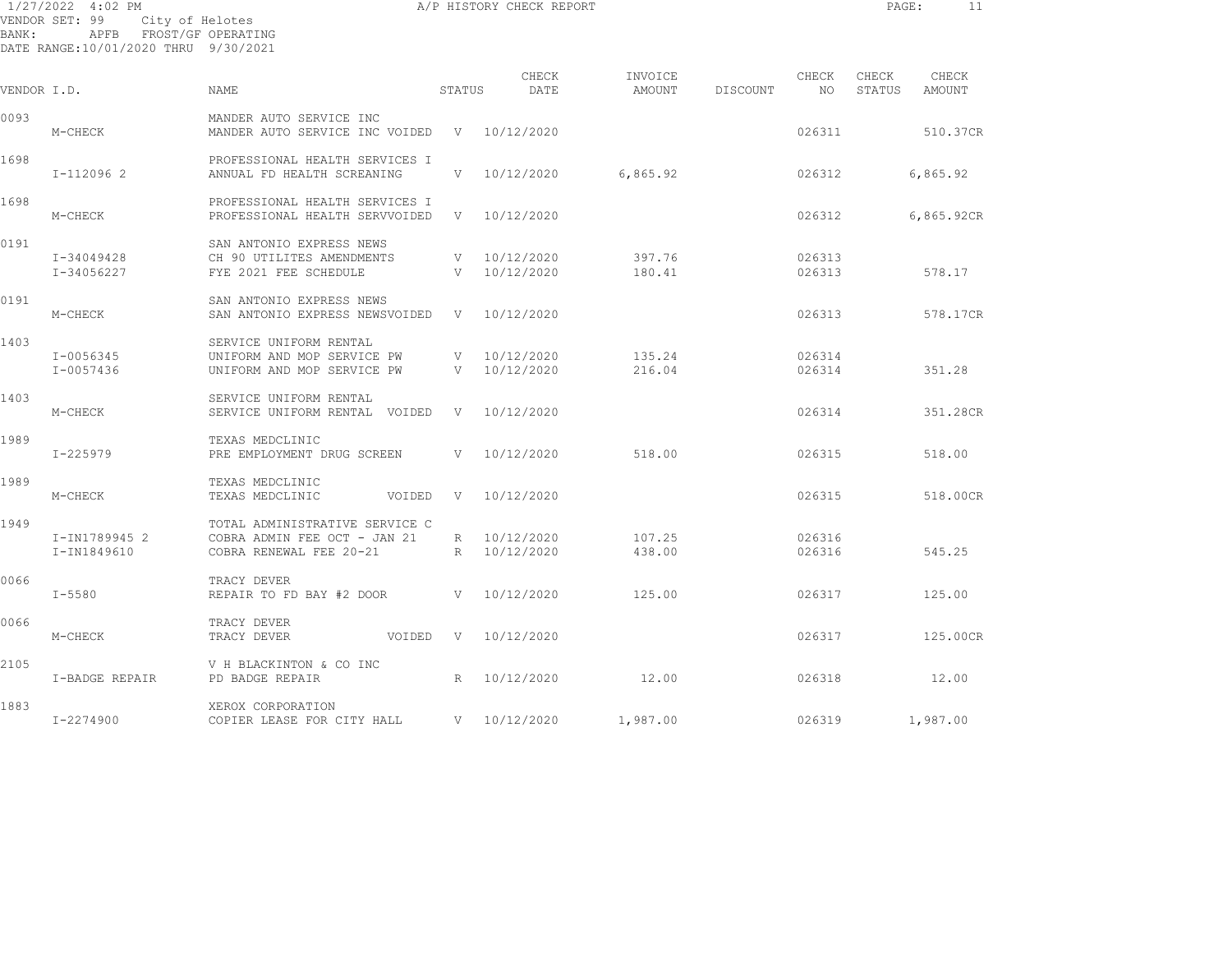1/27/2022 4:02 PM A/P HISTORY CHECK REPORT PAGE: 11 VENDOR SET: 99 City of Helotes BANK: APFB FROST/GF OPERATING DATE RANGE:10/01/2020 THRU 9/30/2021

| VENDOR I.D. |                              | <b>NAME</b>                                                                               | STATUS | CHECK<br>DATE                | INVOICE<br>AMOUNT | DISCOUNT | CHECK<br>NO.     | CHECK<br>STATUS | CHECK<br><b>AMOUNT</b> |
|-------------|------------------------------|-------------------------------------------------------------------------------------------|--------|------------------------------|-------------------|----------|------------------|-----------------|------------------------|
| 0093        | M-CHECK                      | MANDER AUTO SERVICE INC<br>MANDER AUTO SERVICE INC VOIDED                                 |        | V 10/12/2020                 |                   |          | 026311           |                 | 510.37CR               |
| 1698        | I-112096 2                   | PROFESSIONAL HEALTH SERVICES I<br>ANNUAL FD HEALTH SCREANING                              | V      | 10/12/2020                   | 6,865.92          |          | 026312           |                 | 6,865.92               |
| 1698        | M-CHECK                      | PROFESSIONAL HEALTH SERVICES I<br>PROFESSIONAL HEALTH SERVVOIDED                          |        | V 10/12/2020                 |                   |          | 026312           |                 | 6,865.92CR             |
| 0191        | I-34049428<br>I-34056227     | SAN ANTONIO EXPRESS NEWS<br>CH 90 UTILITES AMENDMENTS<br>FYE 2021 FEE SCHEDULE            |        | V 10/12/2020<br>V 10/12/2020 | 397.76<br>180.41  |          | 026313<br>026313 |                 | 578.17                 |
| 0191        | M-CHECK                      | SAN ANTONIO EXPRESS NEWS<br>SAN ANTONIO EXPRESS NEWSVOIDED                                |        | V 10/12/2020                 |                   |          | 026313           |                 | 578.17CR               |
| 1403        | I-0056345<br>I-0057436       | SERVICE UNIFORM RENTAL<br>UNIFORM AND MOP SERVICE PW<br>UNIFORM AND MOP SERVICE PW        | V<br>V | 10/12/2020<br>10/12/2020     | 135.24<br>216.04  |          | 026314<br>026314 |                 | 351.28                 |
| 1403        | M-CHECK                      | SERVICE UNIFORM RENTAL<br>SERVICE UNIFORM RENTAL VOIDED                                   |        | V 10/12/2020                 |                   |          | 026314           |                 | 351.28CR               |
| 1989        | $I - 225979$                 | TEXAS MEDCLINIC<br>PRE EMPLOYMENT DRUG SCREEN                                             | V      | 10/12/2020                   | 518.00            |          | 026315           |                 | 518.00                 |
| 1989        | M-CHECK                      | TEXAS MEDCLINIC<br>TEXAS MEDCLINIC<br>VOIDED                                              | V      | 10/12/2020                   |                   |          | 026315           |                 | 518.00CR               |
| 1949        | I-IN1789945 2<br>I-IN1849610 | TOTAL ADMINISTRATIVE SERVICE C<br>COBRA ADMIN FEE OCT - JAN 21<br>COBRA RENEWAL FEE 20-21 |        | R 10/12/2020<br>R 10/12/2020 | 107.25<br>438.00  |          | 026316<br>026316 |                 | 545.25                 |
| 0066        | $I - 5580$                   | TRACY DEVER<br>REPAIR TO FD BAY #2 DOOR                                                   |        | V 10/12/2020                 | 125.00            |          | 026317           |                 | 125.00                 |
| 0066        | M-CHECK                      | TRACY DEVER<br>TRACY DEVER<br>VOIDED                                                      | V      | 10/12/2020                   |                   |          | 026317           |                 | 125.00CR               |
| 2105        | I-BADGE REPAIR               | V H BLACKINTON & CO INC<br>PD BADGE REPAIR                                                | R      | 10/12/2020                   | 12.00             |          | 026318           |                 | 12.00                  |
| 1883        | I-2274900                    | XEROX CORPORATION<br>COPIER LEASE FOR CITY HALL                                           |        | V 10/12/2020                 | 1,987.00          |          | 026319           |                 | 1,987.00               |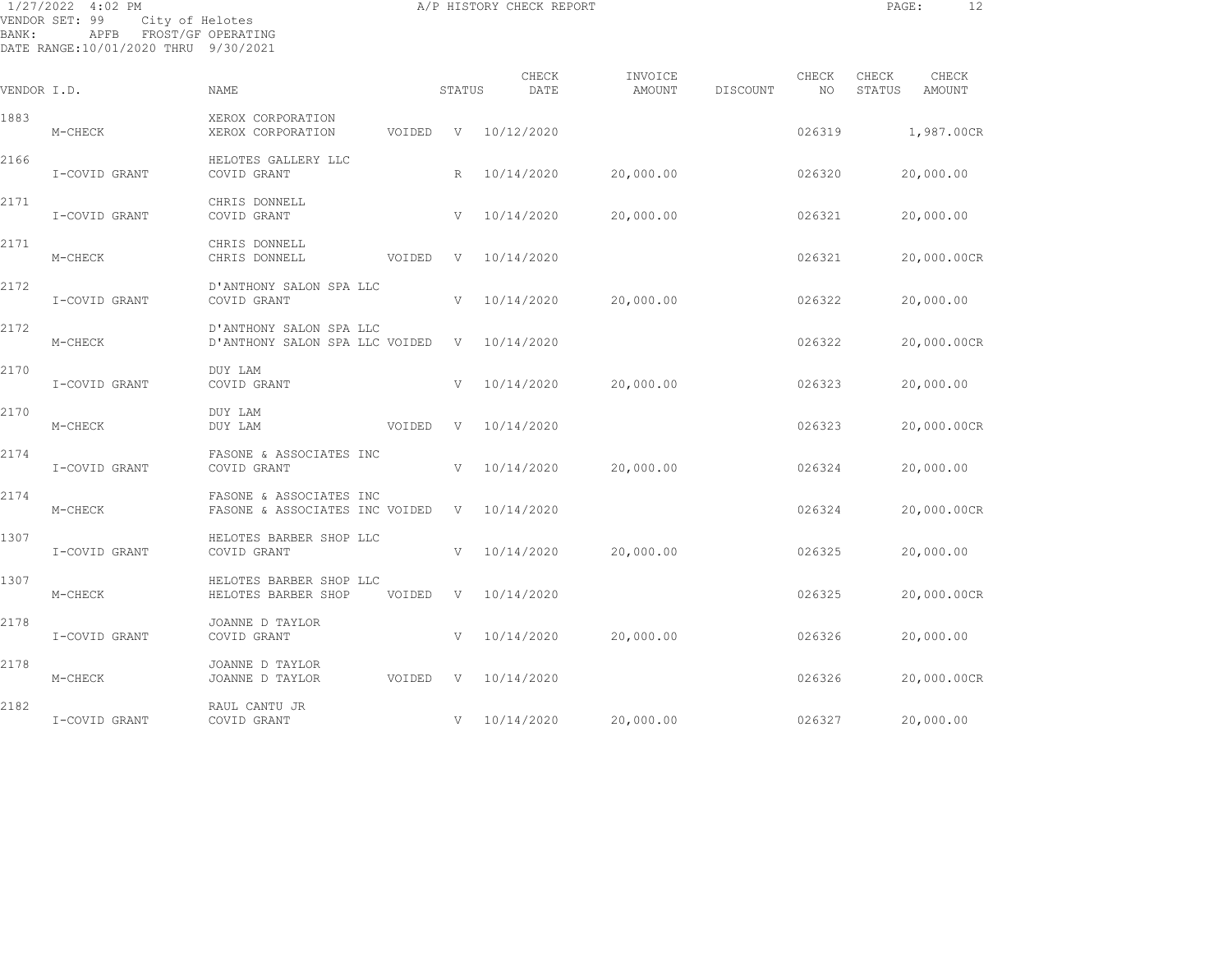| BANK:       | 1/27/2022 4:02 PM<br>VENDOR SET: 99<br>City of Helotes<br>APFB FROST/GF OPERATING<br>DATE RANGE:10/01/2020 THRU 9/30/2021 |                                                           |        |        | A/P HISTORY CHECK REPORT |                   |          |             | PAGE:           |                 | 12 |
|-------------|---------------------------------------------------------------------------------------------------------------------------|-----------------------------------------------------------|--------|--------|--------------------------|-------------------|----------|-------------|-----------------|-----------------|----|
| VENDOR I.D. |                                                                                                                           | NAME                                                      |        | STATUS | CHECK<br>DATE            | INVOICE<br>AMOUNT | DISCOUNT | CHECK<br>NO | CHECK<br>STATUS | CHECK<br>AMOUNT |    |
| 1883        | M-CHECK                                                                                                                   | XEROX CORPORATION<br>XEROX CORPORATION                    | VOIDED | V      | 10/12/2020               |                   |          | 026319      |                 | 1,987.00CR      |    |
| 2166        | I-COVID GRANT                                                                                                             | HELOTES GALLERY LLC<br>COVID GRANT                        |        | R      | 10/14/2020               | 20,000.00         |          | 026320      |                 | 20,000.00       |    |
| 2171        | I-COVID GRANT                                                                                                             | CHRIS DONNELL<br>COVID GRANT                              |        | V      | 10/14/2020               | 20,000.00         |          | 026321      |                 | 20,000.00       |    |
| 2171        | M-CHECK                                                                                                                   | CHRIS DONNELL<br>CHRIS DONNELL                            | VOIDED | V      | 10/14/2020               |                   |          | 026321      |                 | 20,000.00CR     |    |
| 2172        | I-COVID GRANT                                                                                                             | D'ANTHONY SALON SPA LLC<br>COVID GRANT                    |        | V      | 10/14/2020               | 20,000.00         |          | 026322      |                 | 20,000.00       |    |
| 2172        | M-CHECK                                                                                                                   | D'ANTHONY SALON SPA LLC<br>D'ANTHONY SALON SPA LLC VOIDED |        |        | V 10/14/2020             |                   |          | 026322      |                 | 20,000.00CR     |    |
| 2170        | I-COVID GRANT                                                                                                             | DUY LAM<br>COVID GRANT                                    |        | V      | 10/14/2020               | 20,000.00         |          | 026323      |                 | 20,000.00       |    |
| 2170        | M-CHECK                                                                                                                   | DUY LAM<br>DUY LAM                                        | VOIDED | V      | 10/14/2020               |                   |          | 026323      |                 | 20,000.00CR     |    |
| 2174        | I-COVID GRANT                                                                                                             | FASONE & ASSOCIATES INC<br>COVID GRANT                    |        | V      | 10/14/2020               | 20,000.00         |          | 026324      |                 | 20,000.00       |    |
| 2174        | M-CHECK                                                                                                                   | FASONE & ASSOCIATES INC<br>FASONE & ASSOCIATES INC VOIDED |        |        | V 10/14/2020             |                   |          | 026324      |                 | 20,000.00CR     |    |
| 1307        | I-COVID GRANT                                                                                                             | HELOTES BARBER SHOP LLC<br>COVID GRANT                    |        | V      | 10/14/2020               | 20,000.00         |          | 026325      |                 | 20,000.00       |    |
| 1307        | M-CHECK                                                                                                                   | HELOTES BARBER SHOP LLC<br>HELOTES BARBER SHOP            | VOIDED | V      | 10/14/2020               |                   |          | 026325      |                 | 20,000.00CR     |    |
| 2178        | I-COVID GRANT                                                                                                             | JOANNE D TAYLOR<br>COVID GRANT                            |        | V      | 10/14/2020               | 20,000.00         |          | 026326      |                 | 20,000.00       |    |
| 2178        | M-CHECK                                                                                                                   | JOANNE D TAYLOR<br>JOANNE D TAYLOR                        | VOIDED | V      | 10/14/2020               |                   |          | 026326      |                 | 20,000.00CR     |    |
|             |                                                                                                                           |                                                           |        |        |                          |                   |          |             |                 |                 |    |

I-COVID GRANT COVID GRANT COVID CRANT V 10/14/2020 20,000.00 026327 20,000.00

2182 RAUL CANTU JR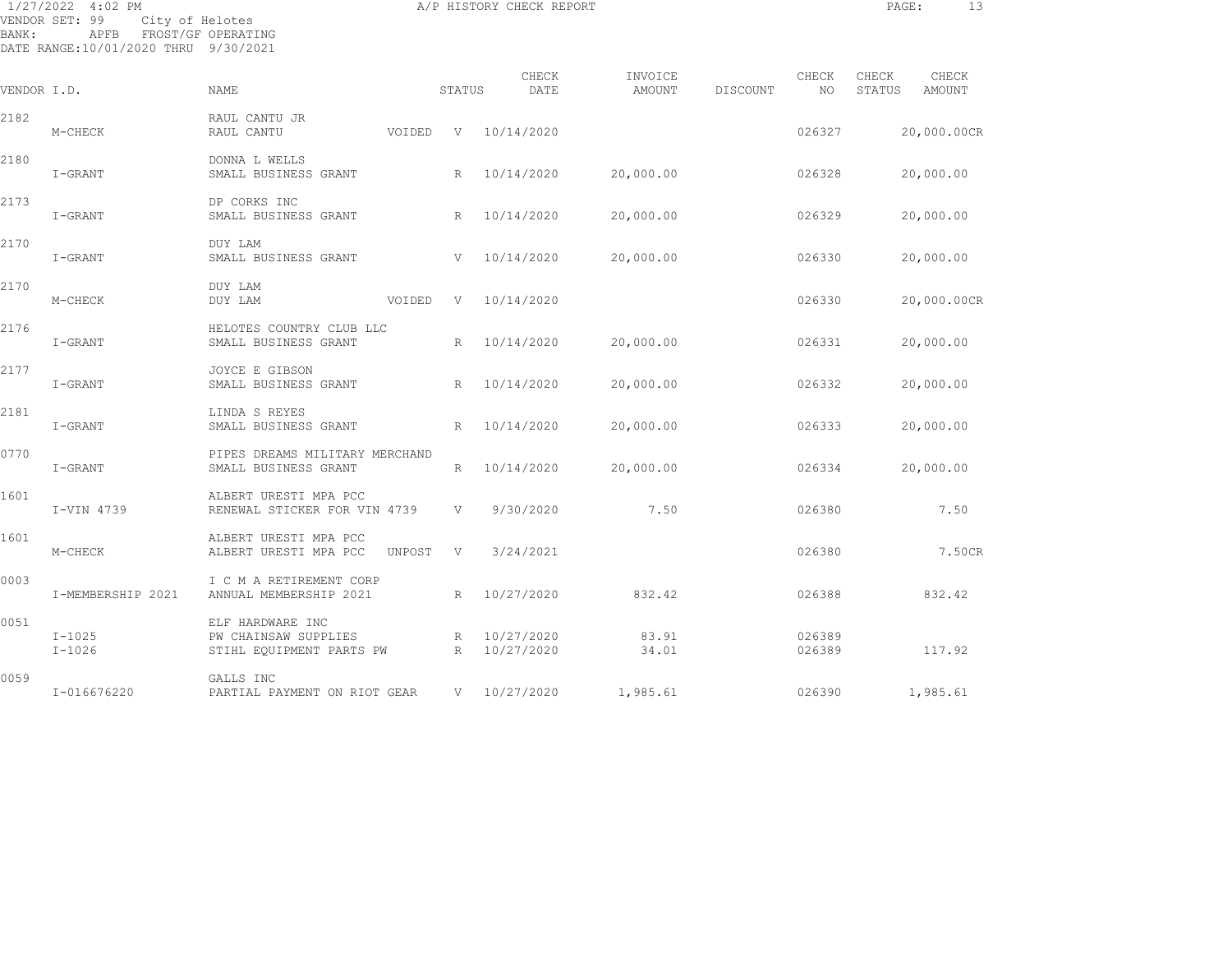1/27/2022 4:02 PM **A/P HISTORY CHECK REPORT PAGE:** 13 VENDOR SET: 99 City of Helotes BANK: APFB FROST/GF OPERATING DATE RANGE:10/01/2020 THRU 9/30/2021

CHECK INVOICE CHECK CHECK CHECK VENDOR I.D. NAME STATUS DATE AMOUNT DISCOUNT NO STATUS AMOUNT 2182 RAUL CANTU JR M-CHECK RAUL CANTU VOIDED V 10/14/2020 026327 20,000.00CR 2180 DONNA L WELLS I-GRANT SMALL BUSINESS GRANT R 10/14/2020 20,000.00 026328 20,000.00 2173 DP CORKS INC I-GRANT SMALL BUSINESS GRANT R 10/14/2020 20,000.00 026329 20,000.00 2170 DUY LAM I-GRANT SMALL BUSINESS GRANT V 10/14/2020 20,000.00 026330 20,000.00 2170 DUY LAM M-CHECK DUY LAM VOIDED V 10/14/2020 026330 20,000.00CR 2176 HELOTES COUNTRY CLUB LLC I-GRANT SMALL BUSINESS GRANT R 10/14/2020 20,000.00 026331 20,000.00 2177 JOYCE E GIBSON I-GRANT SMALL BUSINESS GRANT R 10/14/2020 20,000.00 026332 20,000.00 2181 LINDA S REYES I-GRANT SMALL BUSINESS GRANT R 10/14/2020 20,000.00 026333 20,000.00 0770 PIPES DREAMS MILITARY MERCHAND I-GRANT SMALL BUSINESS GRANT R 10/14/2020 20,000.00 026334 20,000.00 1601 ALBERT URESTI MPA PCC I-VIN 4739 RENEWAL STICKER FOR VIN 4739 V 9/30/2020 7.50 026380 7.50 1601 ALBERT URESTI MPA PCC M-CHECK ALBERT URESTI MPA PCC UNPOST V 3/24/2021 026380 026380 7.50CR 0003 I C M A RETIREMENT CORP I-MEMBERSHIP 2021 ANNUAL MEMBERSHIP 2021 R 10/27/2020 832.42 026388 832.42 0051 ELF HARDWARE INC I-1025 PW CHAINSAW SUPPLIES R 10/27/2020 83.91 026389 I-1026 STIHL EQUIPMENT PARTS PW R 10/27/2020 34.01 026389 117.92 0059 GALLS INC I-016676220 PARTIAL PAYMENT ON RIOT GEAR V 10/27/2020 1,985.61 026390 1,985.61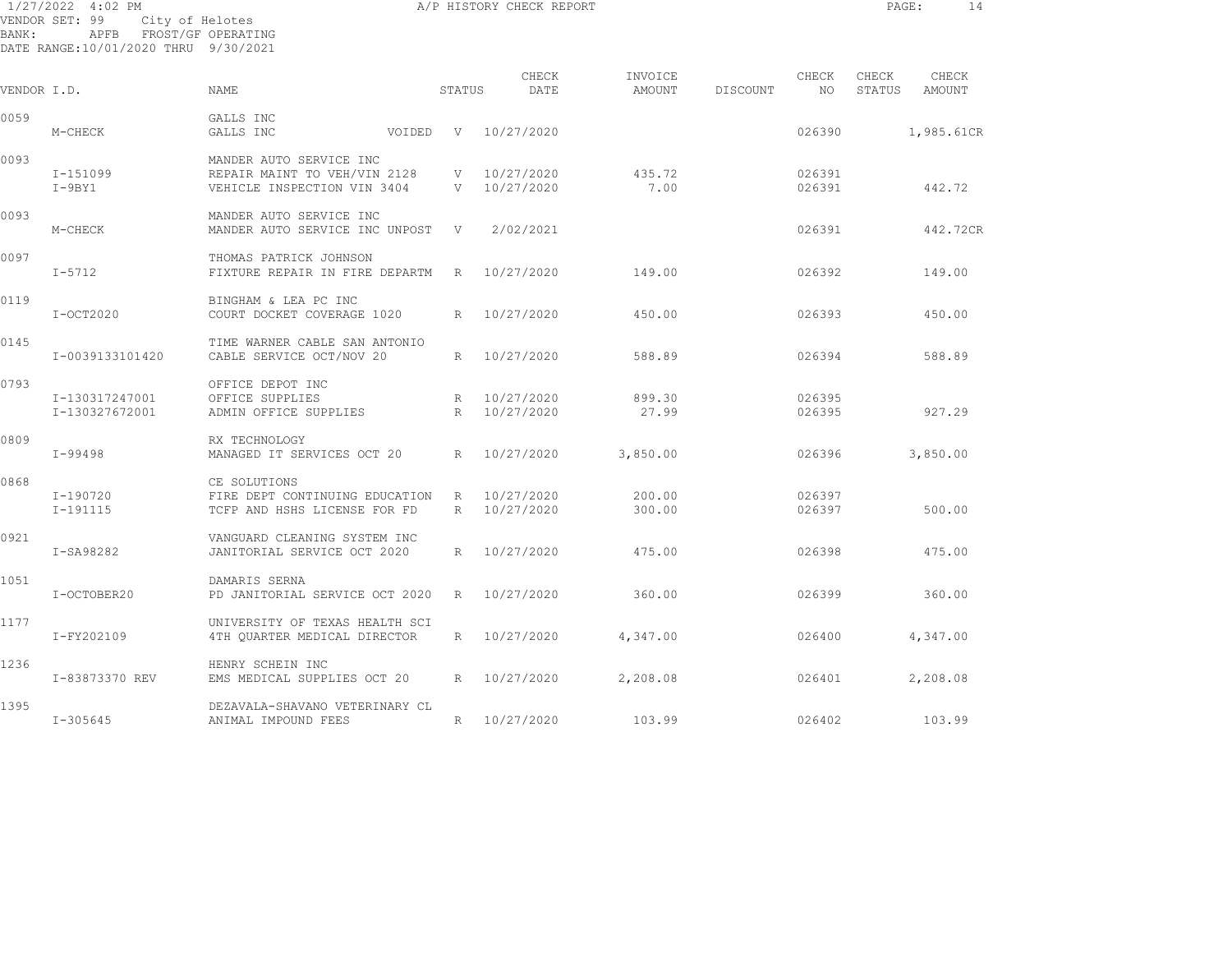1/27/2022 4:02 PM A/P HISTORY CHECK REPORT PAGE: 14 VENDOR SET: 99 City of Helotes BANK: APFB FROST/GF OPERATING DATE RANGE:10/01/2020 THRU 9/30/2021

| VENDOR I.D. |                 | <b>NAME</b>                    | STATUS       | CHECK<br>DATE | INVOICE<br>AMOUNT | DISCOUNT | CHECK<br>NO. | CHECK<br>STATUS | CHECK<br>AMOUNT |
|-------------|-----------------|--------------------------------|--------------|---------------|-------------------|----------|--------------|-----------------|-----------------|
| 0059        |                 | GALLS INC                      |              |               |                   |          |              |                 |                 |
|             | M-CHECK         | GALLS INC<br>VOIDED            | V            | 10/27/2020    |                   |          | 026390       |                 | 1,985.61CR      |
| 0093        |                 | MANDER AUTO SERVICE INC        |              |               |                   |          |              |                 |                 |
|             | I-151099        | REPAIR MAINT TO VEH/VIN 2128   |              | V 10/27/2020  | 435.72            |          | 026391       |                 |                 |
|             | $I-9BY1$        | VEHICLE INSPECTION VIN 3404    |              | V 10/27/2020  | 7.00              |          | 026391       |                 | 442.72          |
| 0093        |                 | MANDER AUTO SERVICE INC        |              |               |                   |          |              |                 |                 |
|             | M-CHECK         | MANDER AUTO SERVICE INC UNPOST | $\mathbf{V}$ | 2/02/2021     |                   |          | 026391       |                 | 442.72CR        |
| 0097        |                 | THOMAS PATRICK JOHNSON         |              |               |                   |          |              |                 |                 |
|             | $I-5712$        | FIXTURE REPAIR IN FIRE DEPARTM | R            | 10/27/2020    | 149.00            |          | 026392       |                 | 149.00          |
| 0119        |                 | BINGHAM & LEA PC INC           |              |               |                   |          |              |                 |                 |
|             | $I-OCT2020$     | COURT DOCKET COVERAGE 1020     | R            | 10/27/2020    | 450.00            |          | 026393       |                 | 450.00          |
| 0145        |                 | TIME WARNER CABLE SAN ANTONIO  |              |               |                   |          |              |                 |                 |
|             | I-0039133101420 | CABLE SERVICE OCT/NOV 20       | R            | 10/27/2020    | 588.89            |          | 026394       |                 | 588.89          |
| 0793        |                 | OFFICE DEPOT INC               |              |               |                   |          |              |                 |                 |
|             | I-130317247001  | OFFICE SUPPLIES                | R            | 10/27/2020    | 899.30            |          | 026395       |                 |                 |
|             | I-130327672001  | ADMIN OFFICE SUPPLIES          | R            | 10/27/2020    | 27.99             |          | 026395       |                 | 927.29          |
| 0809        |                 | RX TECHNOLOGY                  |              |               |                   |          |              |                 |                 |
|             | I-99498         | MANAGED IT SERVICES OCT 20     | R            | 10/27/2020    | 3,850.00          |          | 026396       |                 | 3,850.00        |
| 0868        |                 | CE SOLUTIONS                   |              |               |                   |          |              |                 |                 |
|             | I-190720        | FIRE DEPT CONTINUING EDUCATION | R            | 10/27/2020    | 200.00            |          | 026397       |                 |                 |
|             | $I-191115$      | TCFP AND HSHS LICENSE FOR FD   | R            | 10/27/2020    | 300.00            |          | 026397       |                 | 500.00          |
| 0921        |                 | VANGUARD CLEANING SYSTEM INC   |              |               |                   |          |              |                 |                 |
|             | I-SA98282       | JANITORIAL SERVICE OCT 2020    | R            | 10/27/2020    | 475.00            |          | 026398       |                 | 475.00          |
| 1051        |                 | DAMARIS SERNA                  |              |               |                   |          |              |                 |                 |
|             | I-OCTOBER20     | PD JANITORIAL SERVICE OCT 2020 | R            | 10/27/2020    | 360.00            |          | 026399       |                 | 360.00          |
| 1177        |                 | UNIVERSITY OF TEXAS HEALTH SCI |              |               |                   |          |              |                 |                 |
|             | I-FY202109      | 4TH OUARTER MEDICAL DIRECTOR   | R            | 10/27/2020    | 4,347.00          |          | 026400       |                 | 4,347.00        |
| 1236        |                 | HENRY SCHEIN INC               |              |               |                   |          |              |                 |                 |
|             | I-83873370 REV  | EMS MEDICAL SUPPLIES OCT 20    | R            | 10/27/2020    | 2,208.08          |          | 026401       |                 | 2,208.08        |
| 1395        |                 | DEZAVALA-SHAVANO VETERINARY CL |              |               |                   |          |              |                 |                 |
|             | $I - 305645$    | ANIMAL IMPOUND FEES            | R            | 10/27/2020    | 103.99            |          | 026402       |                 | 103.99          |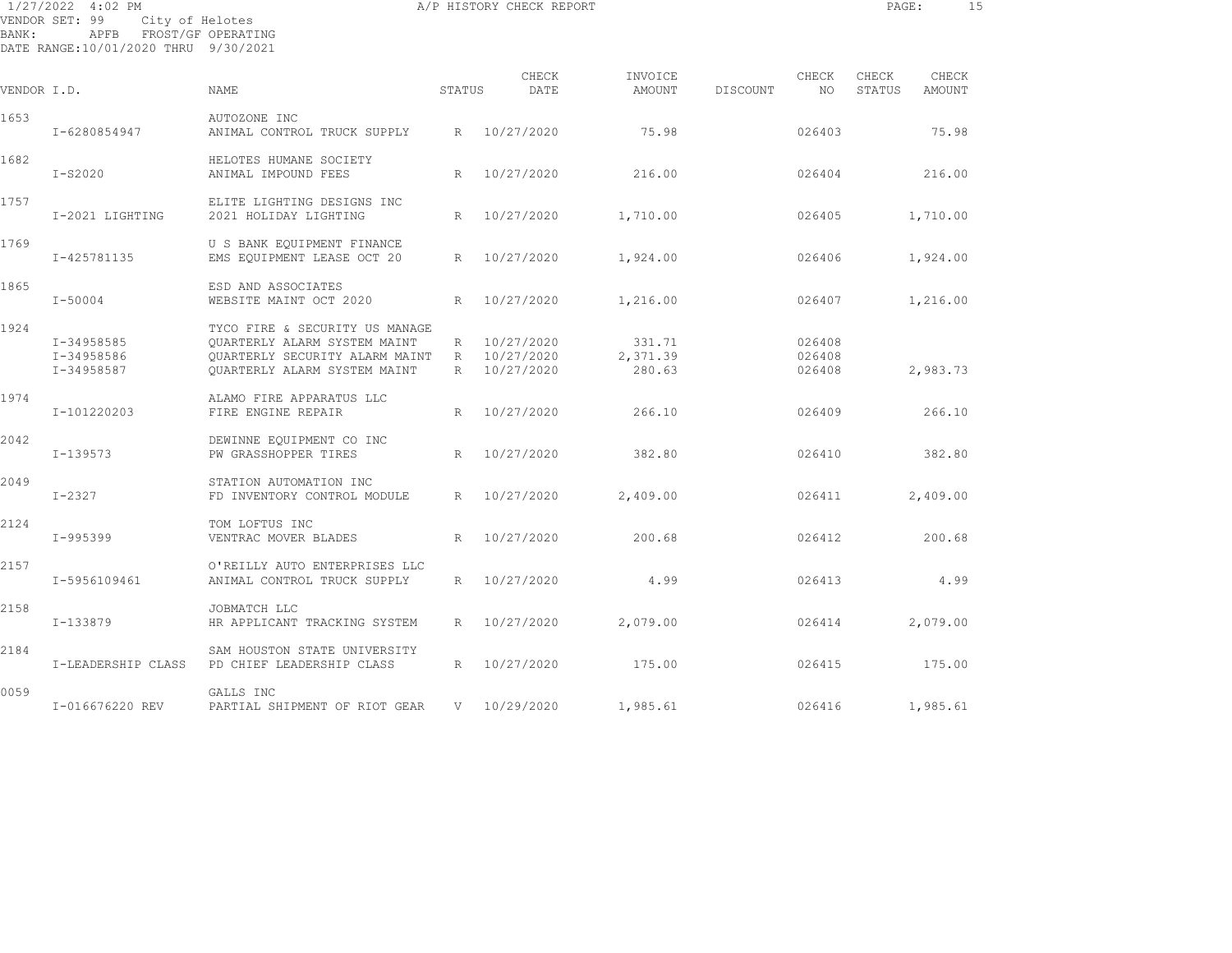|             | 1/27/2022 4:02 PM<br>VENDOR SET: 99<br>City of Helotes |                                                                                                                                  |                 | A/P HISTORY CHECK REPORT                   |                              |          |                            | PAGE:           |                 | 15 |
|-------------|--------------------------------------------------------|----------------------------------------------------------------------------------------------------------------------------------|-----------------|--------------------------------------------|------------------------------|----------|----------------------------|-----------------|-----------------|----|
| BANK:       | APFB<br>DATE RANGE:10/01/2020 THRU 9/30/2021           | FROST/GF OPERATING                                                                                                               |                 |                                            |                              |          |                            |                 |                 |    |
| VENDOR I.D. |                                                        | NAME                                                                                                                             | STATUS          | CHECK<br>DATE                              | INVOICE<br>AMOUNT            | DISCOUNT | CHECK<br>NO                | CHECK<br>STATUS | CHECK<br>AMOUNT |    |
| 1653        | I-6280854947                                           | AUTOZONE INC<br>ANIMAL CONTROL TRUCK SUPPLY                                                                                      |                 | R 10/27/2020                               | 75.98                        |          | 026403                     |                 | 75.98           |    |
| 1682        | $I-S2020$                                              | HELOTES HUMANE SOCIETY<br>ANIMAL IMPOUND FEES                                                                                    | $R_{\parallel}$ | 10/27/2020                                 | 216.00                       |          | 026404                     |                 | 216.00          |    |
| 1757        | I-2021 LIGHTING                                        | ELITE LIGHTING DESIGNS INC<br>2021 HOLIDAY LIGHTING                                                                              | $R_{\perp}$     | 10/27/2020                                 | 1,710.00                     |          | 026405                     |                 | 1,710.00        |    |
| 1769        | I-425781135                                            | U S BANK EOUIPMENT FINANCE<br>EMS EQUIPMENT LEASE OCT 20                                                                         |                 | R 10/27/2020                               | 1,924.00                     |          | 026406                     |                 | 1,924.00        |    |
| 1865        | $I - 50004$                                            | ESD AND ASSOCIATES<br>WEBSITE MAINT OCT 2020                                                                                     | $R_{\parallel}$ | 10/27/2020                                 | 1,216.00                     |          | 026407                     |                 | 1,216.00        |    |
| 1924        | I-34958585<br>I-34958586<br>I-34958587                 | TYCO FIRE & SECURITY US MANAGE<br>OUARTERLY ALARM SYSTEM MAINT<br>OUARTERLY SECURITY ALARM MAINT<br>OUARTERLY ALARM SYSTEM MAINT | R               | R 10/27/2020<br>R 10/27/2020<br>10/27/2020 | 331.71<br>2,371.39<br>280.63 |          | 026408<br>026408<br>026408 |                 | 2,983.73        |    |
| 1974        | I-101220203                                            | ALAMO FIRE APPARATUS LLC<br>FIRE ENGINE REPAIR                                                                                   | R               | 10/27/2020                                 | 266.10                       |          | 026409                     |                 | 266.10          |    |
| 2042        | $I - 139573$                                           | DEWINNE EQUIPMENT CO INC<br>PW GRASSHOPPER TIRES                                                                                 | R               | 10/27/2020                                 | 382.80                       |          | 026410                     |                 | 382.80          |    |
| 2049        | $I-2327$                                               | STATION AUTOMATION INC<br>FD INVENTORY CONTROL MODULE                                                                            |                 | R 10/27/2020                               | 2,409.00                     |          | 026411                     |                 | 2,409.00        |    |
| 2124        | I-995399                                               | TOM LOFTUS INC<br>VENTRAC MOVER BLADES                                                                                           | R               | 10/27/2020                                 | 200.68                       |          | 026412                     |                 | 200.68          |    |
| 2157        | I-5956109461                                           | O'REILLY AUTO ENTERPRISES LLC<br>ANIMAL CONTROL TRUCK SUPPLY                                                                     | R               | 10/27/2020                                 | 4.99                         |          | 026413                     |                 | 4.99            |    |
| 2158        | I-133879                                               | JOBMATCH LLC<br>HR APPLICANT TRACKING SYSTEM                                                                                     |                 | R 10/27/2020                               | 2,079.00                     |          | 026414                     |                 | 2,079.00        |    |

I-LEADERSHIP CLASS PD CHIEF LEADERSHIP CLASS R 10/27/2020 175.00 026415 175.00

I-016676220 REV PARTIAL SHIPMENT OF RIOT GEAR V 10/29/2020 1,985.61 026416 1,985.61

2184 SAM HOUSTON STATE UNIVERSITY

0059 GALLS INC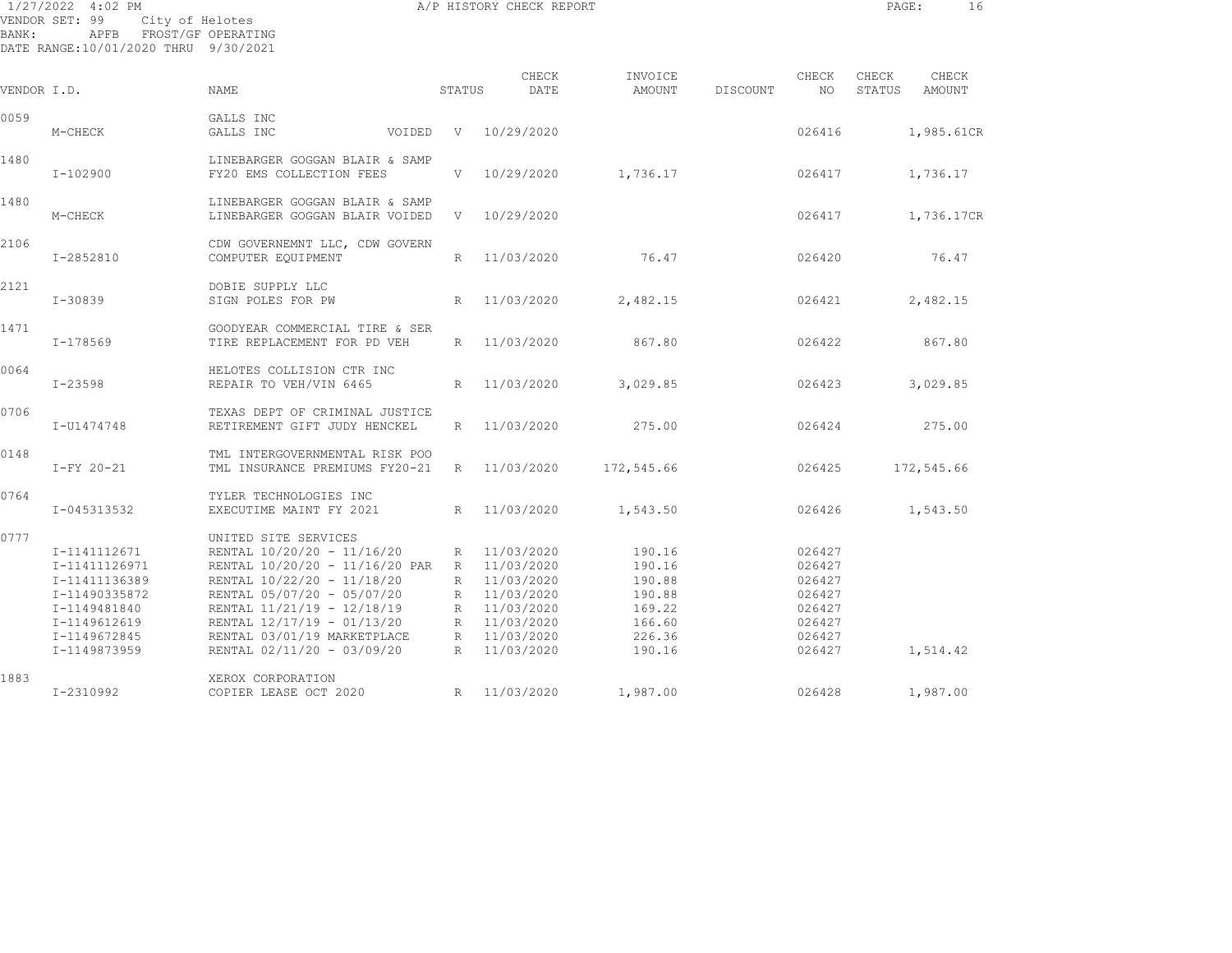1/27/2022 4:02 PM A/P HISTORY CHECK REPORT PAGE: 16 VENDOR SET: 99 City of Helotes BANK: APFB FROST/GF OPERATING DATE RANGE:10/01/2020 THRU 9/30/2021

| VENDOR I.D. |                                                                                                                                 | <b>NAME</b>                                                                                                                                                                                                                                                               |        | STATUS                                             | CHECK<br>DATE                                                                                                | INVOICE<br>AMOUNT                                                            | DISCOUNT | CHECK<br>NO                                                                  | CHECK<br>STATUS | CHECK<br>AMOUNT |
|-------------|---------------------------------------------------------------------------------------------------------------------------------|---------------------------------------------------------------------------------------------------------------------------------------------------------------------------------------------------------------------------------------------------------------------------|--------|----------------------------------------------------|--------------------------------------------------------------------------------------------------------------|------------------------------------------------------------------------------|----------|------------------------------------------------------------------------------|-----------------|-----------------|
| 0059        |                                                                                                                                 | GALLS INC                                                                                                                                                                                                                                                                 |        |                                                    |                                                                                                              |                                                                              |          |                                                                              |                 |                 |
|             | M-CHECK                                                                                                                         | GALLS INC                                                                                                                                                                                                                                                                 | VOIDED | V                                                  | 10/29/2020                                                                                                   |                                                                              |          | 026416                                                                       |                 | 1,985.61CR      |
| 1480        | I-102900                                                                                                                        | LINEBARGER GOGGAN BLAIR & SAMP<br>FY20 EMS COLLECTION FEES                                                                                                                                                                                                                |        | V                                                  | 10/29/2020                                                                                                   | 1,736.17                                                                     |          | 026417                                                                       |                 | 1,736.17        |
| 1480        | M-CHECK                                                                                                                         | LINEBARGER GOGGAN BLAIR & SAMP<br>LINEBARGER GOGGAN BLAIR VOIDED                                                                                                                                                                                                          |        | V –                                                | 10/29/2020                                                                                                   |                                                                              |          | 026417                                                                       |                 | 1,736.17CR      |
| 2106        | I-2852810                                                                                                                       | CDW GOVERNEMNT LLC, CDW GOVERN<br>COMPUTER EQUIPMENT                                                                                                                                                                                                                      |        | R                                                  | 11/03/2020                                                                                                   | 76.47                                                                        |          | 026420                                                                       |                 | 76.47           |
| 2121        | I-30839                                                                                                                         | DOBIE SUPPLY LLC<br>SIGN POLES FOR PW                                                                                                                                                                                                                                     |        | R                                                  | 11/03/2020                                                                                                   | 2,482.15                                                                     |          | 026421                                                                       |                 | 2,482.15        |
| 1471        | I-178569                                                                                                                        | GOODYEAR COMMERCIAL TIRE & SER<br>TIRE REPLACEMENT FOR PD VEH                                                                                                                                                                                                             |        | $R_{\parallel}$                                    | 11/03/2020                                                                                                   | 867.80                                                                       |          | 026422                                                                       |                 | 867.80          |
| 0064        | $I - 23598$                                                                                                                     | HELOTES COLLISION CTR INC<br>REPAIR TO VEH/VIN 6465                                                                                                                                                                                                                       |        | R                                                  | 11/03/2020                                                                                                   | 3,029.85                                                                     |          | 026423                                                                       |                 | 3,029.85        |
| 0706        | I-U1474748                                                                                                                      | TEXAS DEPT OF CRIMINAL JUSTICE<br>RETIREMENT GIFT JUDY HENCKEL                                                                                                                                                                                                            |        | R                                                  | 11/03/2020                                                                                                   | 275.00                                                                       |          | 026424                                                                       |                 | 275.00          |
| 0148        | I-FY 20-21                                                                                                                      | TML INTERGOVERNMENTAL RISK POO<br>TML INSURANCE PREMIUMS FY20-21                                                                                                                                                                                                          |        | R                                                  | 11/03/2020                                                                                                   | 172,545.66                                                                   |          | 026425                                                                       |                 | 172,545.66      |
| 0764        | I-045313532                                                                                                                     | TYLER TECHNOLOGIES INC<br>EXECUTIME MAINT FY 2021                                                                                                                                                                                                                         |        | R                                                  | 11/03/2020                                                                                                   | 1,543.50                                                                     |          | 026426                                                                       |                 | 1,543.50        |
| 0777        | I-1141112671<br>I-11411126971<br>I-11411136389<br>I-11490335872<br>I-1149481840<br>I-1149612619<br>I-1149672845<br>I-1149873959 | UNITED SITE SERVICES<br>RENTAL 10/20/20 - 11/16/20<br>RENTAL 10/20/20 - 11/16/20 PAR<br>RENTAL 10/22/20 - 11/18/20<br>RENTAL 05/07/20 - 05/07/20<br>RENTAL 11/21/19 - 12/18/19<br>RENTAL 12/17/19 - 01/13/20<br>RENTAL 03/01/19 MARKETPLACE<br>RENTAL 02/11/20 - 03/09/20 |        | R<br>R<br>R<br>R<br>R<br>R<br>R<br>$R_{\parallel}$ | 11/03/2020<br>11/03/2020<br>11/03/2020<br>11/03/2020<br>11/03/2020<br>11/03/2020<br>11/03/2020<br>11/03/2020 | 190.16<br>190.16<br>190.88<br>190.88<br>169.22<br>166.60<br>226.36<br>190.16 |          | 026427<br>026427<br>026427<br>026427<br>026427<br>026427<br>026427<br>026427 |                 | 1,514.42        |
| 1883        | I-2310992                                                                                                                       | XEROX CORPORATION<br>COPIER LEASE OCT 2020                                                                                                                                                                                                                                |        | R                                                  | 11/03/2020                                                                                                   | 1,987.00                                                                     |          | 026428                                                                       |                 | 1,987.00        |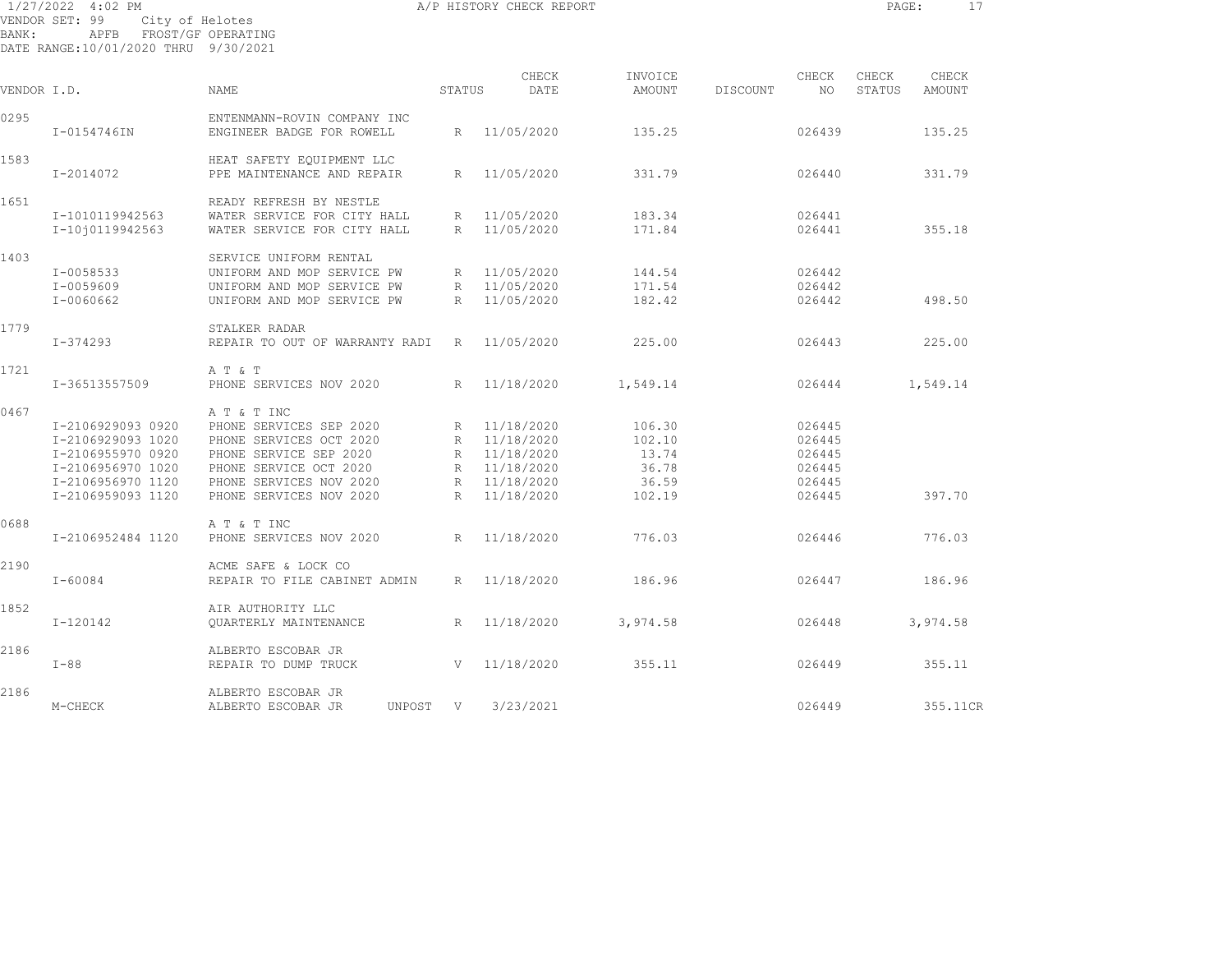1/27/2022 4:02 PM A/P HISTORY CHECK REPORT PAGE: 17 VENDOR SET: 99 City of Helotes BANK: APFB FROST/GF OPERATING

| VENDOR I.D. |                                                                                                                            | <b>NAME</b>                                                                                                                                                                 | STATUS                     | CHECK<br>DATE                                                                    | INVOICE<br>AMOUNT                                     | DISCOUNT | CHECK<br>NO                                              | CHECK<br>STATUS | CHECK<br>AMOUNT |  |
|-------------|----------------------------------------------------------------------------------------------------------------------------|-----------------------------------------------------------------------------------------------------------------------------------------------------------------------------|----------------------------|----------------------------------------------------------------------------------|-------------------------------------------------------|----------|----------------------------------------------------------|-----------------|-----------------|--|
| 0295        | I-0154746IN                                                                                                                | ENTENMANN-ROVIN COMPANY INC<br>ENGINEER BADGE FOR ROWELL                                                                                                                    | R                          | 11/05/2020                                                                       | 135.25                                                |          | 026439                                                   |                 | 135.25          |  |
| 1583        | I-2014072                                                                                                                  | HEAT SAFETY EOUIPMENT LLC<br>PPE MAINTENANCE AND REPAIR                                                                                                                     | R                          | 11/05/2020                                                                       | 331.79                                                |          | 026440                                                   |                 | 331.79          |  |
| 1651        | I-1010119942563<br>I-1010119942563                                                                                         | READY REFRESH BY NESTLE<br>WATER SERVICE FOR CITY HALL<br>WATER SERVICE FOR CITY HALL                                                                                       | R<br>R                     | 11/05/2020<br>11/05/2020                                                         | 183.34<br>171.84                                      |          | 026441<br>026441                                         |                 | 355.18          |  |
| 1403        | I-0058533<br>I-0059609<br>I-0060662                                                                                        | SERVICE UNIFORM RENTAL<br>UNIFORM AND MOP SERVICE PW<br>UNIFORM AND MOP SERVICE PW<br>UNIFORM AND MOP SERVICE PW                                                            | R<br>R<br>R                | 11/05/2020<br>11/05/2020<br>11/05/2020                                           | 144.54<br>171.54<br>182.42                            |          | 026442<br>026442<br>026442                               |                 | 498.50          |  |
| 1779        | $I - 374293$                                                                                                               | STALKER RADAR<br>REPAIR TO OUT OF WARRANTY RADI                                                                                                                             | R                          | 11/05/2020                                                                       | 225.00                                                |          | 026443                                                   |                 | 225.00          |  |
| 1721        | I-36513557509                                                                                                              | A T & T<br>PHONE SERVICES NOV 2020                                                                                                                                          | R                          | 11/18/2020                                                                       | 1,549.14                                              |          | 026444                                                   |                 | 1,549.14        |  |
| 0467        | I-2106929093 0920<br>I-2106929093 1020<br>I-2106955970 0920<br>I-2106956970 1020<br>I-2106956970 1120<br>I-2106959093 1120 | A T & T INC<br>PHONE SERVICES SEP 2020<br>PHONE SERVICES OCT 2020<br>PHONE SERVICE SEP 2020<br>PHONE SERVICE OCT 2020<br>PHONE SERVICES NOV 2020<br>PHONE SERVICES NOV 2020 | R<br>R<br>R<br>R<br>R<br>R | 11/18/2020<br>11/18/2020<br>11/18/2020<br>11/18/2020<br>11/18/2020<br>11/18/2020 | 106.30<br>102.10<br>13.74<br>36.78<br>36.59<br>102.19 |          | 026445<br>026445<br>026445<br>026445<br>026445<br>026445 |                 | 397.70          |  |
| 0688        | I-2106952484 1120                                                                                                          | A T & T INC<br>PHONE SERVICES NOV 2020                                                                                                                                      | R                          | 11/18/2020                                                                       | 776.03                                                |          | 026446                                                   |                 | 776.03          |  |
| 2190        | $I - 60084$                                                                                                                | ACME SAFE & LOCK CO<br>REPAIR TO FILE CABINET ADMIN                                                                                                                         | R                          | 11/18/2020                                                                       | 186.96                                                |          | 026447                                                   |                 | 186.96          |  |
| 1852        | I-120142                                                                                                                   | AIR AUTHORITY LLC<br>OUARTERLY MAINTENANCE                                                                                                                                  | R                          | 11/18/2020                                                                       | 3,974.58                                              |          | 026448                                                   |                 | 3,974.58        |  |
| 2186        | $I-88$                                                                                                                     | ALBERTO ESCOBAR JR<br>REPAIR TO DUMP TRUCK                                                                                                                                  | V                          | 11/18/2020                                                                       | 355.11                                                |          | 026449                                                   |                 | 355.11          |  |
| 2186        | M-CHECK                                                                                                                    | ALBERTO ESCOBAR JR<br>ALBERTO ESCOBAR JR<br>UNPOST                                                                                                                          | $\mathbf{V}$               | 3/23/2021                                                                        |                                                       |          | 026449                                                   |                 | 355.11CR        |  |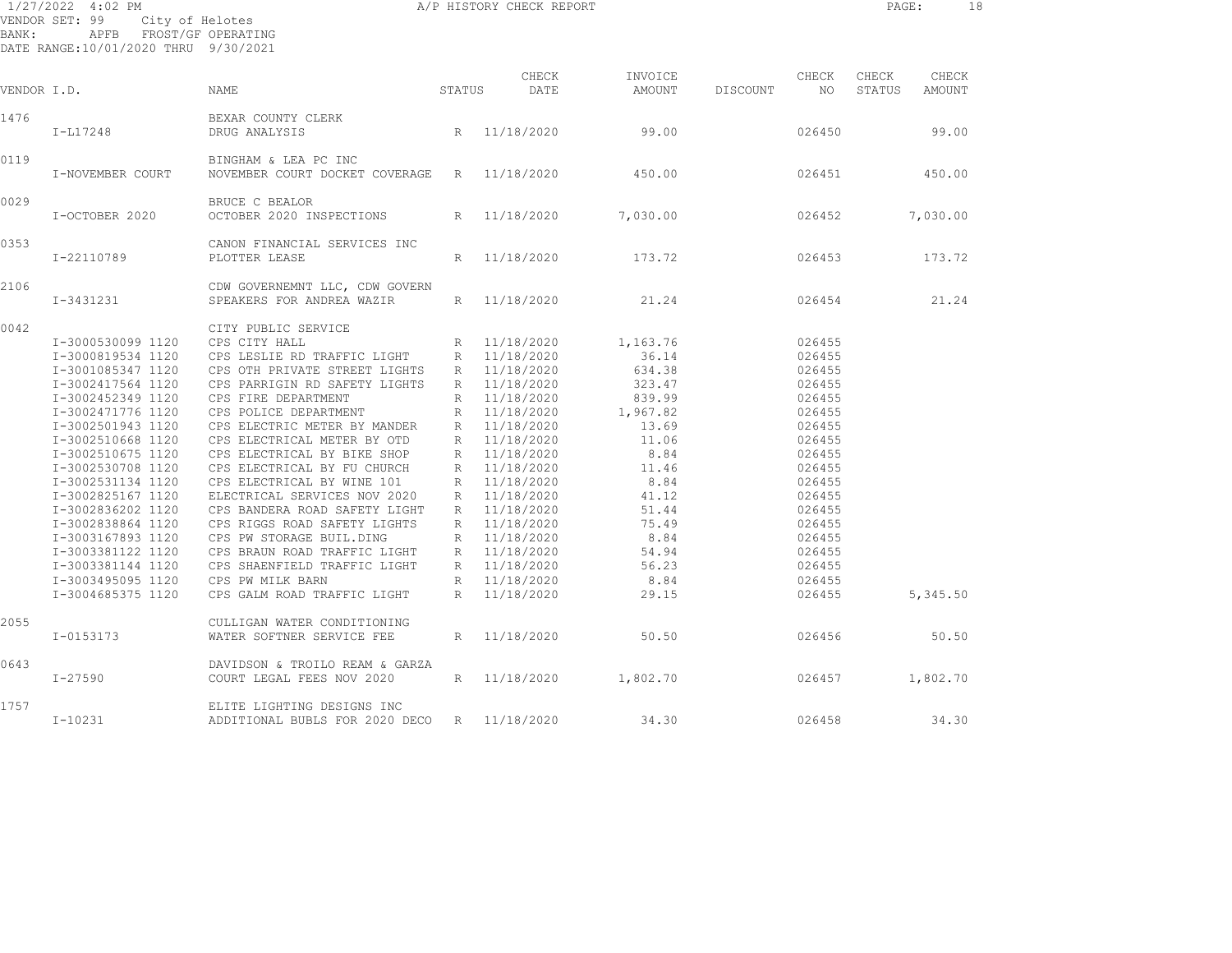| BANK:       | 1/27/2022 4:02 PM<br>VENDOR SET: 99<br>City of Helotes<br>APFB FROST/GF OPERATING<br>DATE RANGE:10/01/2020 THRU 9/30/2021                                                                                                                                                                                                                                                                                   |                                                                                                                                                                                                                                                                                                                                                                                                                                                                                                                                                                                                  |                                                                                  | A/P HISTORY CHECK REPORT                                                                                                                                                                                                                                                             |                                                                                                                                                                              |          |                                                                                                                                                                                            | PAGE:           | 18              |  |
|-------------|-------------------------------------------------------------------------------------------------------------------------------------------------------------------------------------------------------------------------------------------------------------------------------------------------------------------------------------------------------------------------------------------------------------|--------------------------------------------------------------------------------------------------------------------------------------------------------------------------------------------------------------------------------------------------------------------------------------------------------------------------------------------------------------------------------------------------------------------------------------------------------------------------------------------------------------------------------------------------------------------------------------------------|----------------------------------------------------------------------------------|--------------------------------------------------------------------------------------------------------------------------------------------------------------------------------------------------------------------------------------------------------------------------------------|------------------------------------------------------------------------------------------------------------------------------------------------------------------------------|----------|--------------------------------------------------------------------------------------------------------------------------------------------------------------------------------------------|-----------------|-----------------|--|
| VENDOR I.D. |                                                                                                                                                                                                                                                                                                                                                                                                             | NAME                                                                                                                                                                                                                                                                                                                                                                                                                                                                                                                                                                                             | STATUS                                                                           | CHECK<br>DATE                                                                                                                                                                                                                                                                        | INVOICE<br>AMOUNT                                                                                                                                                            | DISCOUNT | CHECK<br>NO.                                                                                                                                                                               | CHECK<br>STATUS | CHECK<br>AMOUNT |  |
| 1476        | $I-L17248$                                                                                                                                                                                                                                                                                                                                                                                                  | BEXAR COUNTY CLERK<br>DRUG ANALYSIS                                                                                                                                                                                                                                                                                                                                                                                                                                                                                                                                                              | R                                                                                | 11/18/2020                                                                                                                                                                                                                                                                           | 99.00                                                                                                                                                                        |          | 026450                                                                                                                                                                                     |                 | 99.00           |  |
| 0119        | I-NOVEMBER COURT                                                                                                                                                                                                                                                                                                                                                                                            | BINGHAM & LEA PC INC<br>NOVEMBER COURT DOCKET COVERAGE                                                                                                                                                                                                                                                                                                                                                                                                                                                                                                                                           | R                                                                                | 11/18/2020                                                                                                                                                                                                                                                                           | 450.00                                                                                                                                                                       |          | 026451                                                                                                                                                                                     |                 | 450.00          |  |
| 0029        | I-OCTOBER 2020                                                                                                                                                                                                                                                                                                                                                                                              | BRUCE C BEALOR<br>OCTOBER 2020 INSPECTIONS                                                                                                                                                                                                                                                                                                                                                                                                                                                                                                                                                       | R                                                                                | 11/18/2020                                                                                                                                                                                                                                                                           | 7,030.00                                                                                                                                                                     |          | 026452                                                                                                                                                                                     |                 | 7,030.00        |  |
| 0353        | I-22110789                                                                                                                                                                                                                                                                                                                                                                                                  | CANON FINANCIAL SERVICES INC<br>PLOTTER LEASE                                                                                                                                                                                                                                                                                                                                                                                                                                                                                                                                                    | R                                                                                | 11/18/2020                                                                                                                                                                                                                                                                           | 173.72                                                                                                                                                                       |          | 026453                                                                                                                                                                                     |                 | 173.72          |  |
| 2106        | I-3431231                                                                                                                                                                                                                                                                                                                                                                                                   | CDW GOVERNEMNT LLC, CDW GOVERN<br>SPEAKERS FOR ANDREA WAZIR                                                                                                                                                                                                                                                                                                                                                                                                                                                                                                                                      | R                                                                                | 11/18/2020                                                                                                                                                                                                                                                                           | 21.24                                                                                                                                                                        |          | 026454                                                                                                                                                                                     |                 | 21.24           |  |
| 0042        | I-3000530099 1120<br>I-3000819534 1120<br>I-3001085347 1120<br>I-3002417564 1120<br>I-3002452349 1120<br>I-3002471776 1120<br>I-3002501943 1120<br>I-3002510668 1120<br>I-3002510675 1120<br>I-3002530708 1120<br>I-3002531134 1120<br>I-3002825167 1120<br>I-3002836202 1120<br>I-3002838864 1120<br>I-3003167893 1120<br>I-3003381122 1120<br>I-3003381144 1120<br>I-3003495095 1120<br>I-3004685375 1120 | CITY PUBLIC SERVICE<br>CPS CITY HALL<br>CPS LESLIE RD TRAFFIC LIGHT<br>CPS OTH PRIVATE STREET LIGHTS<br>CPS PARRIGIN RD SAFETY LIGHTS<br>CPS FIRE DEPARTMENT<br>CPS POLICE DEPARTMENT<br>CPS ELECTRIC METER BY MANDER<br>CPS ELECTRICAL METER BY OTD<br>CPS ELECTRICAL BY BIKE SHOP<br>CPS ELECTRICAL BY FU CHURCH<br>CPS ELECTRICAL BY WINE 101<br>ELECTRICAL SERVICES NOV 2020<br>CPS BANDERA ROAD SAFETY LIGHT<br>CPS RIGGS ROAD SAFETY LIGHTS<br>CPS PW STORAGE BUIL.DING<br>CPS BRAUN ROAD TRAFFIC LIGHT<br>CPS SHAENFIELD TRAFFIC LIGHT<br>CPS PW MILK BARN<br>CPS GALM ROAD TRAFFIC LIGHT | R<br>R<br>$R_{\perp}$<br>R<br>R<br>R<br>R<br>R<br>R<br>R<br>$R_{\parallel}$<br>R | 11/18/2020<br>R 11/18/2020<br>R 11/18/2020<br>R 11/18/2020<br>11/18/2020<br>11/18/2020<br>11/18/2020<br>11/18/2020<br>11/18/2020<br>11/18/2020<br>11/18/2020<br>11/18/2020<br>R 11/18/2020<br>11/18/2020<br>R 11/18/2020<br>11/18/2020<br>R 11/18/2020<br>R 11/18/2020<br>11/18/2020 | 1,163.76<br>36.14<br>634.38<br>323.47<br>839.99<br>1,967.82<br>13.69<br>11.06<br>8.84<br>11.46<br>8.84<br>41.12<br>51.44<br>75.49<br>8.84<br>54.94<br>56.23<br>8.84<br>29.15 |          | 026455<br>026455<br>026455<br>026455<br>026455<br>026455<br>026455<br>026455<br>026455<br>026455<br>026455<br>026455<br>026455<br>026455<br>026455<br>026455<br>026455<br>026455<br>026455 |                 | 5,345.50        |  |
| 2055        | I-0153173                                                                                                                                                                                                                                                                                                                                                                                                   | CULLIGAN WATER CONDITIONING<br>WATER SOFTNER SERVICE FEE                                                                                                                                                                                                                                                                                                                                                                                                                                                                                                                                         | $R_{\parallel}$                                                                  | 11/18/2020                                                                                                                                                                                                                                                                           | 50.50                                                                                                                                                                        |          | 026456                                                                                                                                                                                     |                 | 50.50           |  |
| 0643        | I-27590                                                                                                                                                                                                                                                                                                                                                                                                     | DAVIDSON & TROILO REAM & GARZA<br>COURT LEGAL FEES NOV 2020                                                                                                                                                                                                                                                                                                                                                                                                                                                                                                                                      | $R_{\parallel}$                                                                  | 11/18/2020                                                                                                                                                                                                                                                                           | 1,802.70                                                                                                                                                                     |          | 026457                                                                                                                                                                                     |                 | 1,802.70        |  |
| 1757        | $I-10231$                                                                                                                                                                                                                                                                                                                                                                                                   | ELITE LIGHTING DESIGNS INC<br>ADDITIONAL BUBLS FOR 2020 DECO                                                                                                                                                                                                                                                                                                                                                                                                                                                                                                                                     | R                                                                                | 11/18/2020                                                                                                                                                                                                                                                                           | 34.30                                                                                                                                                                        |          | 026458                                                                                                                                                                                     |                 | 34.30           |  |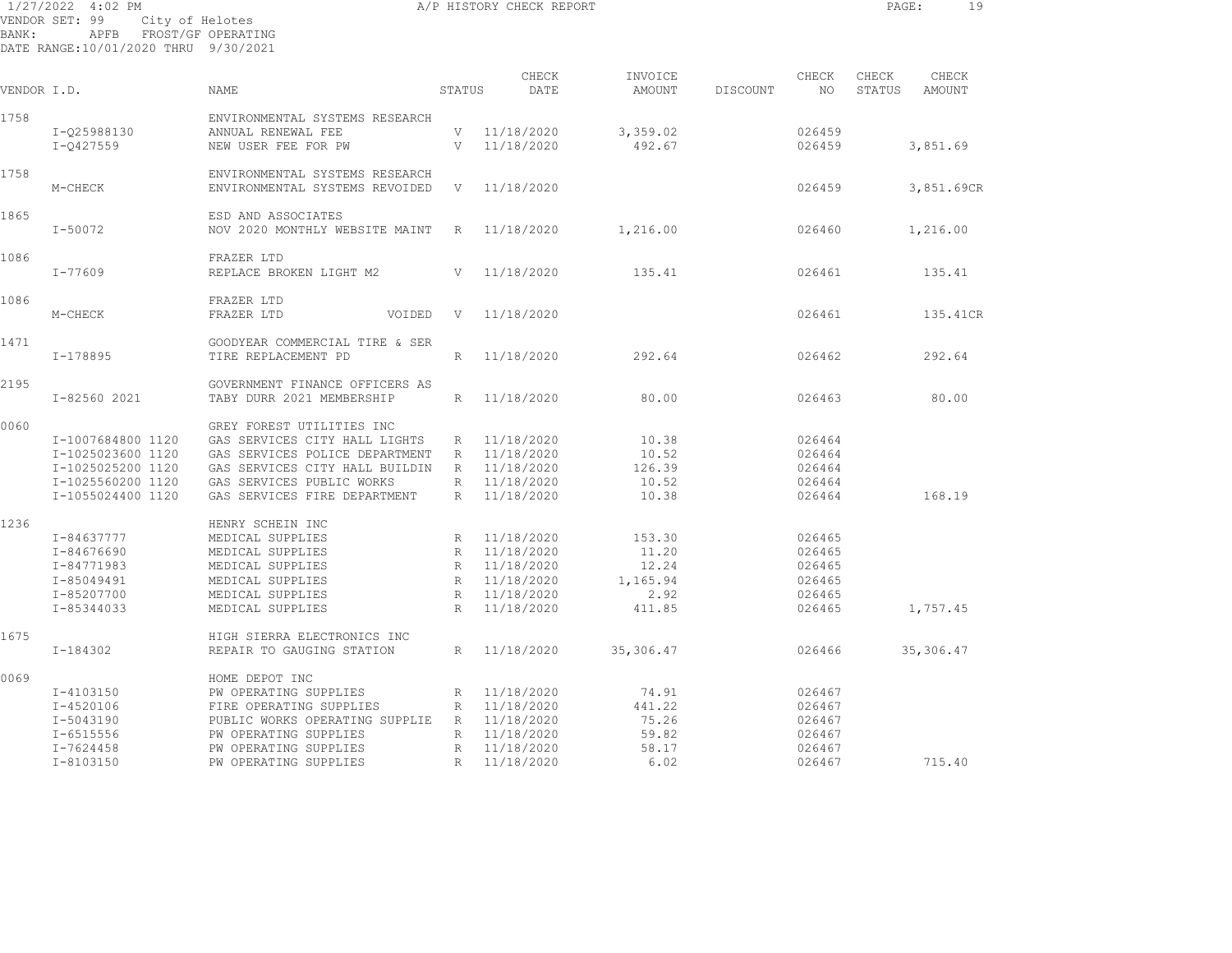1/27/2022 4:02 PM A/P HISTORY CHECK REPORT PAGE: 19 VENDOR SET: 99 City of Helotes BANK: APFB FROST/GF OPERATING

| VENDOR I.D. |                                                                                            | <b>NAME</b>                                                                                                                                                                     | STATUS                                                          | CHECK<br>DATE                                                                    | INVOICE<br>AMOUNT                                  | DISCOUNT | CHECK<br>NO                                              | CHECK<br>STATUS | CHECK<br>AMOUNT |
|-------------|--------------------------------------------------------------------------------------------|---------------------------------------------------------------------------------------------------------------------------------------------------------------------------------|-----------------------------------------------------------------|----------------------------------------------------------------------------------|----------------------------------------------------|----------|----------------------------------------------------------|-----------------|-----------------|
| 1758        | I-Q25988130<br>I-0427559                                                                   | ENVIRONMENTAL SYSTEMS RESEARCH<br>ANNUAL RENEWAL FEE<br>NEW USER FEE FOR PW                                                                                                     | V<br>V                                                          | 11/18/2020<br>11/18/2020                                                         | 3,359.02<br>492.67                                 |          | 026459<br>026459                                         |                 | 3,851.69        |
| 1758        | M-CHECK                                                                                    | ENVIRONMENTAL SYSTEMS RESEARCH<br>ENVIRONMENTAL SYSTEMS REVOIDED                                                                                                                | V                                                               | 11/18/2020                                                                       |                                                    |          | 026459                                                   |                 | 3,851.69CR      |
| 1865        | $I - 50072$                                                                                | ESD AND ASSOCIATES<br>NOV 2020 MONTHLY WEBSITE MAINT                                                                                                                            | R                                                               | 11/18/2020                                                                       | 1,216.00                                           |          | 026460                                                   |                 | 1,216.00        |
| 1086        | $I - 77609$                                                                                | FRAZER LTD<br>REPLACE BROKEN LIGHT M2                                                                                                                                           | V                                                               | 11/18/2020                                                                       | 135.41                                             |          | 026461                                                   |                 | 135.41          |
| 1086        |                                                                                            | FRAZER LTD                                                                                                                                                                      |                                                                 |                                                                                  |                                                    |          |                                                          |                 |                 |
| 1471        | M-CHECK                                                                                    | FRAZER LTD<br>VOIDED<br>GOODYEAR COMMERCIAL TIRE & SER                                                                                                                          | V                                                               | 11/18/2020                                                                       |                                                    |          | 026461                                                   |                 | 135.41CR        |
|             | $I-178895$                                                                                 | TIRE REPLACEMENT PD                                                                                                                                                             | R                                                               | 11/18/2020                                                                       | 292.64                                             |          | 026462                                                   |                 | 292.64          |
| 2195        | I-82560 2021                                                                               | GOVERNMENT FINANCE OFFICERS AS<br>TABY DURR 2021 MEMBERSHIP                                                                                                                     | R                                                               | 11/18/2020                                                                       | 80.00                                              |          | 026463                                                   |                 | 80.00           |
| 0060        | I-1007684800 1120<br>I-1025023600 1120<br>I-1025025200 1120                                | GREY FOREST UTILITIES INC<br>GAS SERVICES CITY HALL LIGHTS<br>GAS SERVICES POLICE DEPARTMENT<br>GAS SERVICES CITY HALL BUILDIN                                                  | R<br>R<br>R                                                     | 11/18/2020<br>11/18/2020<br>11/18/2020                                           | 10.38<br>10.52<br>126.39                           |          | 026464<br>026464<br>026464                               |                 |                 |
|             | I-1025560200 1120<br>I-1055024400 1120                                                     | GAS SERVICES PUBLIC WORKS<br>GAS SERVICES FIRE DEPARTMENT                                                                                                                       | R<br>$\mathbb{R}$                                               | 11/18/2020<br>11/18/2020                                                         | 10.52<br>10.38                                     |          | 026464<br>026464                                         |                 | 168.19          |
| 1236        | I-84637777<br>I-84676690<br>I-84771983<br>I-85049491<br>I-85207700                         | HENRY SCHEIN INC<br>MEDICAL SUPPLIES<br>MEDICAL SUPPLIES<br>MEDICAL SUPPLIES<br>MEDICAL SUPPLIES<br>MEDICAL SUPPLIES                                                            | $\mathbb{R}$<br>$\mathbb R$<br>R<br>$\mathbb R$<br>$\mathbb{R}$ | 11/18/2020<br>11/18/2020<br>11/18/2020<br>11/18/2020<br>11/18/2020               | 153.30<br>11.20<br>12.24<br>1,165.94<br>2.92       |          | 026465<br>026465<br>026465<br>026465<br>026465           |                 |                 |
| 1675        | I-85344033                                                                                 | MEDICAL SUPPLIES<br>HIGH SIERRA ELECTRONICS INC                                                                                                                                 | $\mathbb{R}$                                                    | 11/18/2020                                                                       | 411.85                                             |          | 026465                                                   |                 | 1,757.45        |
|             | I-184302                                                                                   | REPAIR TO GAUGING STATION                                                                                                                                                       | R                                                               | 11/18/2020                                                                       | 35,306.47                                          |          | 026466                                                   |                 | 35,306.47       |
| 0069        | I-4103150<br>$I - 4520106$<br>I-5043190<br>$I - 6515556$<br>$I - 7624458$<br>$I - 8103150$ | HOME DEPOT INC<br>PW OPERATING SUPPLIES<br>FIRE OPERATING SUPPLIES<br>PUBLIC WORKS OPERATING SUPPLIE<br>PW OPERATING SUPPLIES<br>PW OPERATING SUPPLIES<br>PW OPERATING SUPPLIES | R<br>R<br>R<br>$\mathbb{R}$<br>$\mathbb{R}$<br>$\mathbb{R}$     | 11/18/2020<br>11/18/2020<br>11/18/2020<br>11/18/2020<br>11/18/2020<br>11/18/2020 | 74.91<br>441.22<br>75.26<br>59.82<br>58.17<br>6.02 |          | 026467<br>026467<br>026467<br>026467<br>026467<br>026467 |                 | 715.40          |
|             |                                                                                            |                                                                                                                                                                                 |                                                                 |                                                                                  |                                                    |          |                                                          |                 |                 |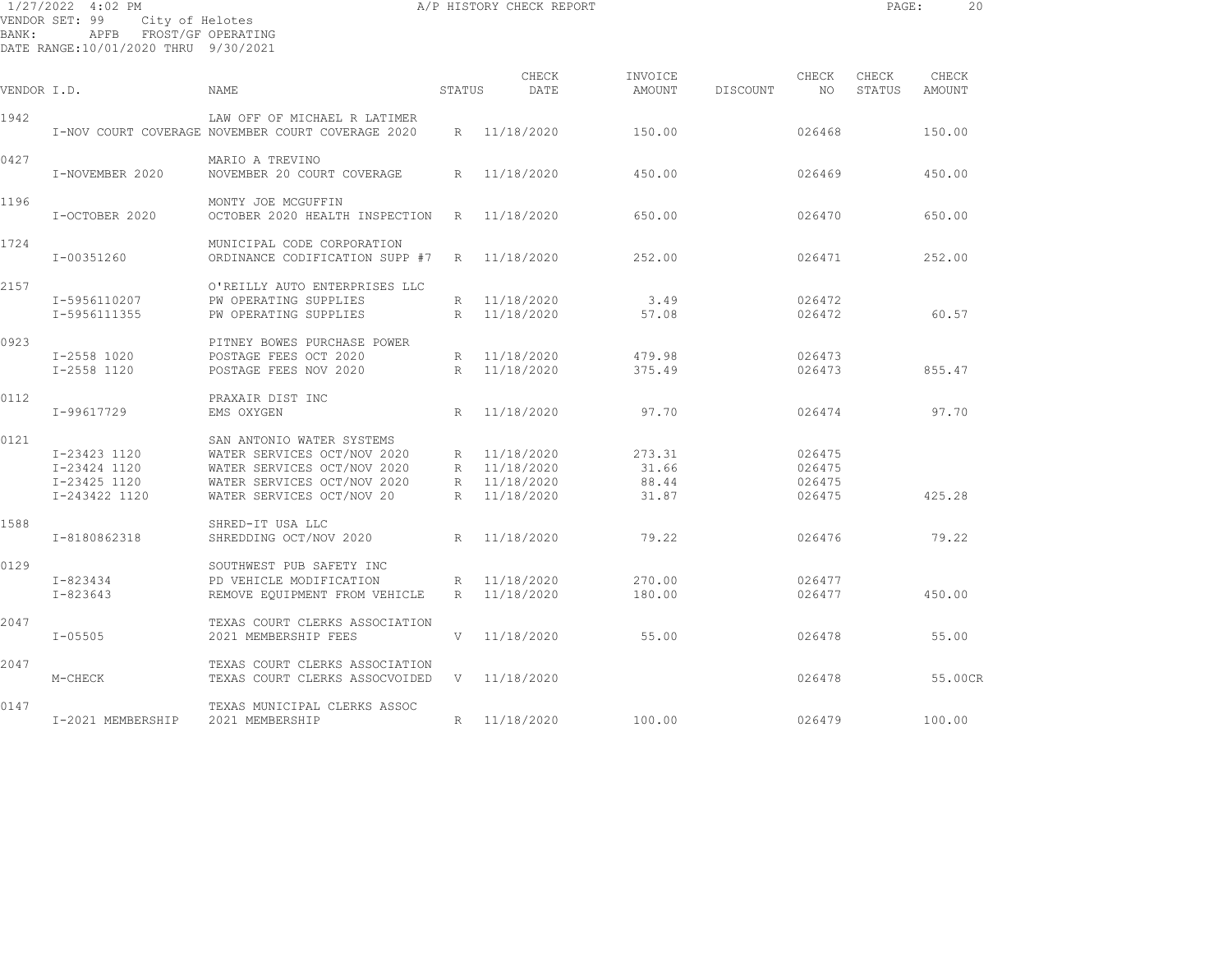| BANK:       | 1/27/2022 4:02 PM<br>VENDOR SET: 99<br>City of Helotes<br>APFB FROST/GF OPERATING<br>DATE RANGE:10/01/2020 THRU 9/30/2021 |                                                                                                                                                     |        | A/P HISTORY CHECK REPORT                                     |                                   |          |                                      | PAGE:           | 20              |  |
|-------------|---------------------------------------------------------------------------------------------------------------------------|-----------------------------------------------------------------------------------------------------------------------------------------------------|--------|--------------------------------------------------------------|-----------------------------------|----------|--------------------------------------|-----------------|-----------------|--|
| VENDOR I.D. |                                                                                                                           | NAME                                                                                                                                                | STATUS | CHECK<br>DATE                                                | INVOICE<br>AMOUNT                 | DISCOUNT | CHECK<br>NO.                         | CHECK<br>STATUS | CHECK<br>AMOUNT |  |
| 1942        |                                                                                                                           | LAW OFF OF MICHAEL R LATIMER<br>I-NOV COURT COVERAGE NOVEMBER COURT COVERAGE 2020                                                                   |        | R 11/18/2020                                                 | 150.00                            |          | 026468                               |                 | 150.00          |  |
| 0427        | I-NOVEMBER 2020                                                                                                           | MARIO A TREVINO<br>NOVEMBER 20 COURT COVERAGE                                                                                                       |        | R 11/18/2020                                                 | 450.00                            |          | 026469                               |                 | 450.00          |  |
| 1196        | I-OCTOBER 2020                                                                                                            | MONTY JOE MCGUFFIN<br>OCTOBER 2020 HEALTH INSPECTION                                                                                                | R      | 11/18/2020                                                   | 650.00                            |          | 026470                               |                 | 650.00          |  |
| 1724        | I-00351260                                                                                                                | MUNICIPAL CODE CORPORATION<br>ORDINANCE CODIFICATION SUPP #7                                                                                        | R      | 11/18/2020                                                   | 252.00                            |          | 026471                               |                 | 252.00          |  |
| 2157        | I-5956110207<br>I-5956111355                                                                                              | O'REILLY AUTO ENTERPRISES LLC<br>PW OPERATING SUPPLIES<br>PW OPERATING SUPPLIES                                                                     |        | R 11/18/2020<br>R 11/18/2020                                 | 3.49<br>57.08                     |          | 026472<br>026472                     |                 | 60.57           |  |
| 0923        | I-2558 1020<br>I-2558 1120                                                                                                | PITNEY BOWES PURCHASE POWER<br>POSTAGE FEES OCT 2020<br>POSTAGE FEES NOV 2020                                                                       |        | R 11/18/2020<br>R 11/18/2020                                 | 479.98<br>375.49                  |          | 026473<br>026473                     |                 | 855.47          |  |
| 0112        | I-99617729                                                                                                                | PRAXAIR DIST INC<br>EMS OXYGEN                                                                                                                      | R      | 11/18/2020                                                   | 97.70                             |          | 026474                               |                 | 97.70           |  |
| 0121        | I-23423 1120<br>I-23424 1120<br>I-23425 1120<br>I-243422 1120                                                             | SAN ANTONIO WATER SYSTEMS<br>WATER SERVICES OCT/NOV 2020<br>WATER SERVICES OCT/NOV 2020<br>WATER SERVICES OCT/NOV 2020<br>WATER SERVICES OCT/NOV 20 |        | R 11/18/2020<br>R 11/18/2020<br>R 11/18/2020<br>R 11/18/2020 | 273.31<br>31.66<br>88.44<br>31.87 |          | 026475<br>026475<br>026475<br>026475 |                 | 425.28          |  |
| 1588        | I-8180862318                                                                                                              | SHRED-IT USA LLC<br>SHREDDING OCT/NOV 2020                                                                                                          | R      | 11/18/2020                                                   | 79.22                             |          | 026476                               |                 | 79.22           |  |
| 0129        | $I - 823434$<br>$I - 823643$                                                                                              | SOUTHWEST PUB SAFETY INC<br>PD VEHICLE MODIFICATION<br>REMOVE EQUIPMENT FROM VEHICLE                                                                |        | R 11/18/2020<br>R 11/18/2020                                 | 270.00<br>180.00                  |          | 026477<br>026477                     |                 | 450.00          |  |
| 2047        | $I - 05505$                                                                                                               | TEXAS COURT CLERKS ASSOCIATION<br>2021 MEMBERSHIP FEES                                                                                              | V      | 11/18/2020                                                   | 55.00                             |          | 026478                               |                 | 55.00           |  |
| 2047        | M-CHECK                                                                                                                   | TEXAS COURT CLERKS ASSOCIATION<br>TEXAS COURT CLERKS ASSOCVOIDED                                                                                    |        | V 11/18/2020                                                 |                                   |          | 026478                               |                 | 55.00CR         |  |

0147 TEXAS MUNICIPAL CLERKS ASSOC I-2021 MEMBERSHIP 2021 MEMBERSHIP R 11/18/2020 100.00 026479 100.00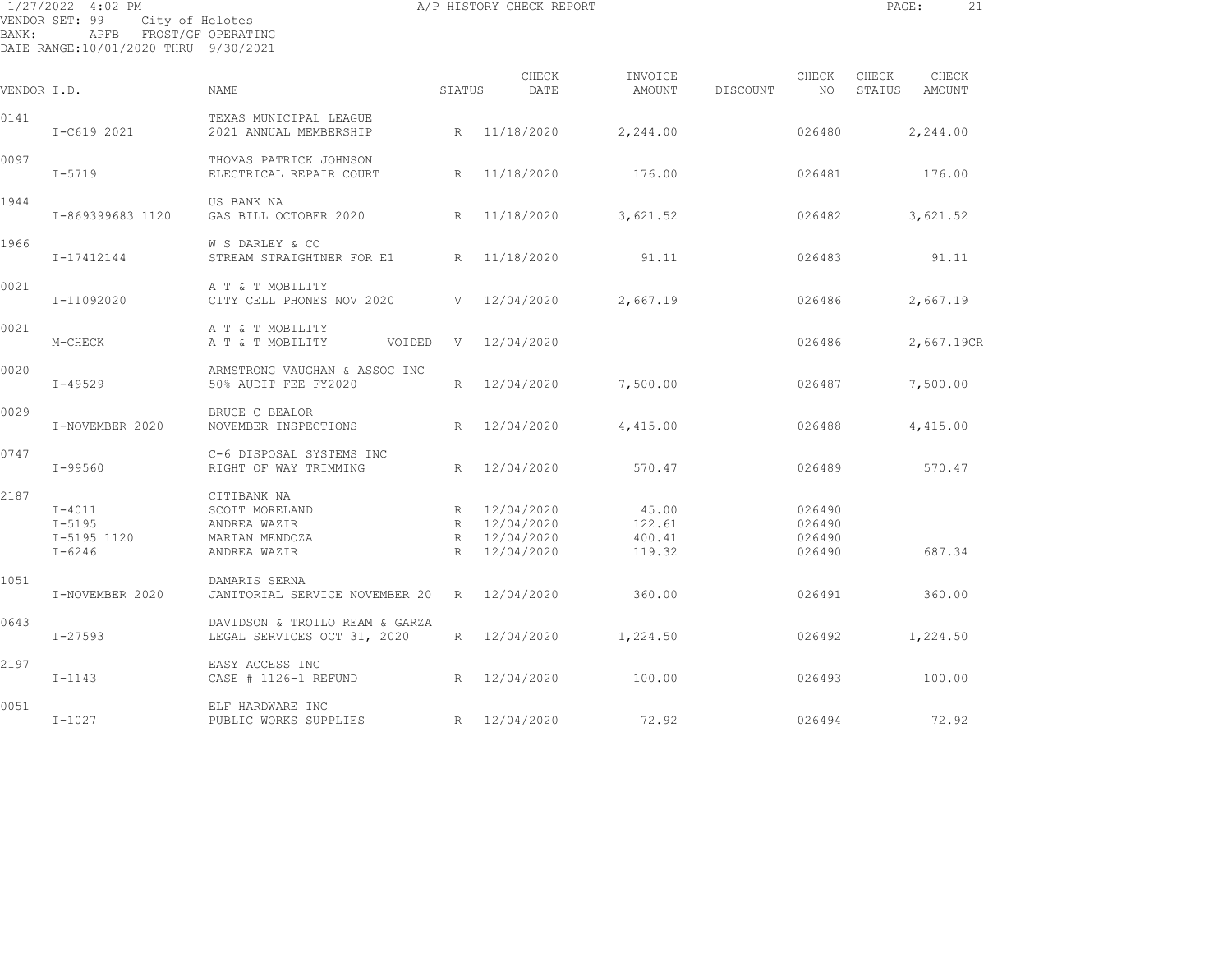| BANK:       | 1/27/2022 4:02 PM<br>VENDOR SET: 99<br>City of Helotes<br>APFB FROST/GF OPERATING<br>DATE RANGE:10/01/2020 THRU 9/30/2021 |                                                                                 |                 | A/P HISTORY CHECK REPORT                                     |                                     |          |                                      | PAGE:                  | 21         |  |
|-------------|---------------------------------------------------------------------------------------------------------------------------|---------------------------------------------------------------------------------|-----------------|--------------------------------------------------------------|-------------------------------------|----------|--------------------------------------|------------------------|------------|--|
| VENDOR I.D. |                                                                                                                           | NAME                                                                            | STATUS          | CHECK<br>DATE                                                | INVOICE<br>AMOUNT                   | DISCOUNT | CHECK<br>NO                          | CHECK<br>STATUS AMOUNT | CHECK      |  |
| 0141        | I-C619 2021                                                                                                               | TEXAS MUNICIPAL LEAGUE<br>2021 ANNUAL MEMBERSHIP                                | R               | 11/18/2020                                                   | 2,244.00                            |          | 026480                               |                        | 2,244.00   |  |
| 0097        | $I - 5719$                                                                                                                | THOMAS PATRICK JOHNSON<br>ELECTRICAL REPAIR COURT                               | R               | 11/18/2020                                                   | 176.00                              |          | 026481                               |                        | 176.00     |  |
| 1944        | I-869399683 1120                                                                                                          | US BANK NA<br>GAS BILL OCTOBER 2020                                             | R               | 11/18/2020                                                   | 3,621.52                            |          | 026482                               |                        | 3,621.52   |  |
| 1966        | I-17412144                                                                                                                | W S DARLEY & CO<br>STREAM STRAIGHTNER FOR E1                                    |                 | R 11/18/2020                                                 | 91.11                               |          | 026483                               |                        | 91.11      |  |
| 0021        | I-11092020                                                                                                                | A T & T MOBILITY<br>CITY CELL PHONES NOV 2020                                   |                 | V 12/04/2020                                                 | 2,667.19                            |          | 026486                               |                        | 2,667.19   |  |
| 0021        | M-CHECK                                                                                                                   | A T & T MOBILITY<br>A T & T MOBILITY<br>VOIDED                                  | V               | 12/04/2020                                                   |                                     |          | 026486                               |                        | 2,667.19CR |  |
| 0020        | $I - 49529$                                                                                                               | ARMSTRONG VAUGHAN & ASSOC INC<br>50% AUDIT FEE FY2020                           |                 | R 12/04/2020                                                 | 7,500.00                            |          | 026487                               |                        | 7,500.00   |  |
| 0029        | I-NOVEMBER 2020                                                                                                           | BRUCE C BEALOR<br>NOVEMBER INSPECTIONS                                          | R               | 12/04/2020                                                   | 4,415.00                            |          | 026488                               |                        | 4,415.00   |  |
| 0747        | I-99560                                                                                                                   | C-6 DISPOSAL SYSTEMS INC<br>RIGHT OF WAY TRIMMING                               | R               | 12/04/2020                                                   | 570.47                              |          | 026489                               |                        | 570.47     |  |
| 2187        | $I - 4011$<br>$I - 5195$<br>I-5195 1120<br>$I - 6246$                                                                     | CITIBANK NA<br>SCOTT MORELAND<br>ANDREA WAZIR<br>MARIAN MENDOZA<br>ANDREA WAZIR |                 | R 12/04/2020<br>R 12/04/2020<br>R 12/04/2020<br>R 12/04/2020 | 45.00<br>122.61<br>400.41<br>119.32 |          | 026490<br>026490<br>026490<br>026490 |                        | 687.34     |  |
| 1051        | I-NOVEMBER 2020                                                                                                           | DAMARIS SERNA<br>JANITORIAL SERVICE NOVEMBER 20                                 | R               | 12/04/2020                                                   | 360.00                              |          | 026491                               |                        | 360.00     |  |
| 0643        | $I - 27593$                                                                                                               | DAVIDSON & TROILO REAM & GARZA<br>LEGAL SERVICES OCT 31, 2020                   |                 | R 12/04/2020                                                 | 1,224.50                            |          | 026492                               |                        | 1,224.50   |  |
| 2197        | $I-1143$                                                                                                                  | EASY ACCESS INC<br>CASE # 1126-1 REFUND                                         |                 | R 12/04/2020                                                 | 100.00                              |          | 026493                               |                        | 100.00     |  |
| 0051        | $I-1027$                                                                                                                  | ELF HARDWARE INC<br>PUBLIC WORKS SUPPLIES                                       | $R_{\parallel}$ | 12/04/2020                                                   | 72.92                               |          | 026494                               |                        | 72.92      |  |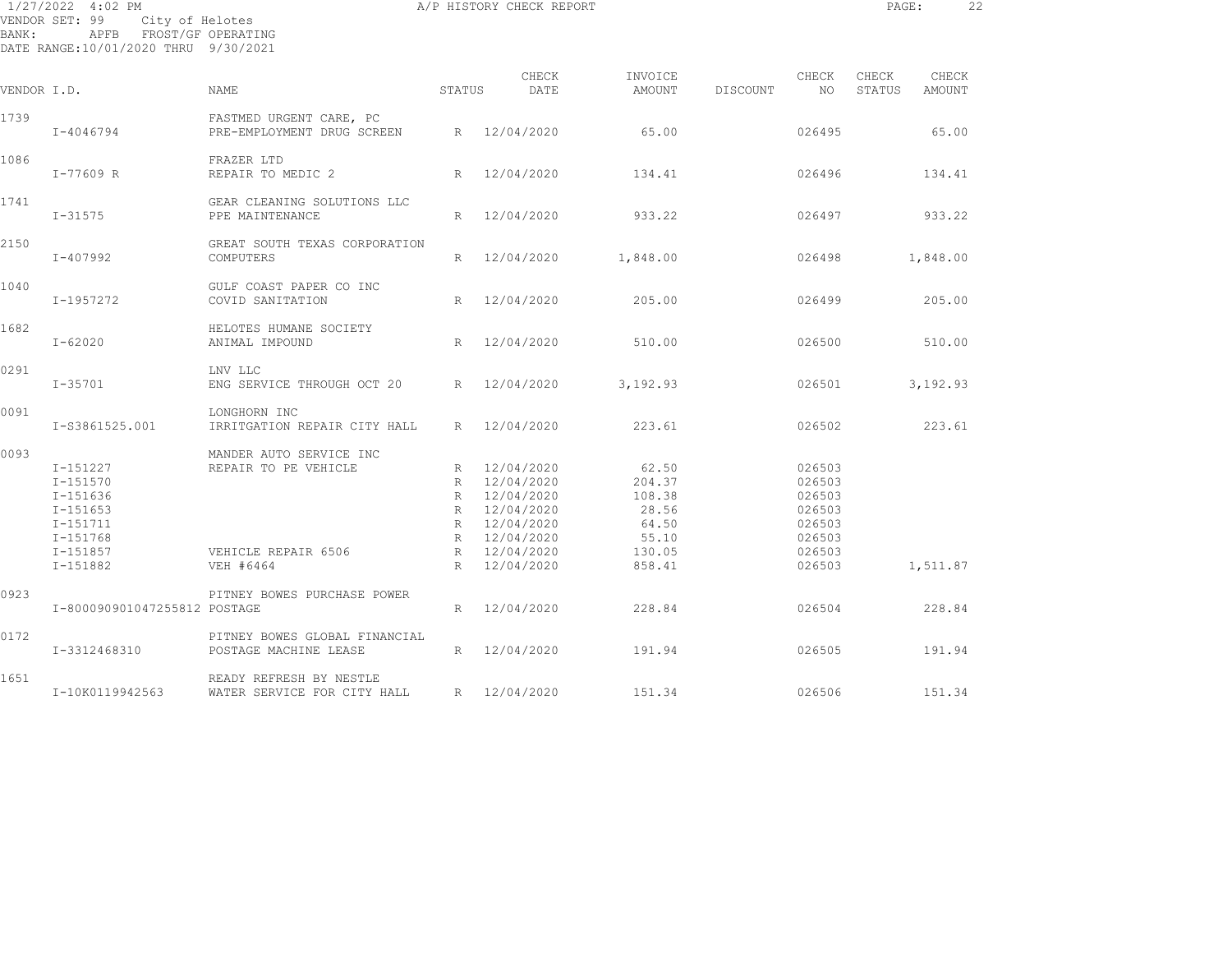| 1/27/2022 4:02 PM<br>VENDOR SET: 99<br>City of Helotes<br>BANK:<br>APFB FROST/GF OPERATING<br>DATE RANGE:10/01/2020 THRU 9/30/2021 |                                                                                                      |                                                                                     |        | A/P HISTORY CHECK REPORT                                                                                                 |                                                                          |          |                                                                              |                 |                 |  |
|------------------------------------------------------------------------------------------------------------------------------------|------------------------------------------------------------------------------------------------------|-------------------------------------------------------------------------------------|--------|--------------------------------------------------------------------------------------------------------------------------|--------------------------------------------------------------------------|----------|------------------------------------------------------------------------------|-----------------|-----------------|--|
| VENDOR I.D.                                                                                                                        |                                                                                                      | <b>NAME</b>                                                                         | STATUS | CHECK<br>DATE                                                                                                            | INVOICE<br>AMOUNT                                                        | DISCOUNT | CHECK<br>NO.                                                                 | CHECK<br>STATUS | CHECK<br>AMOUNT |  |
| 1739                                                                                                                               | I-4046794                                                                                            | FASTMED URGENT CARE, PC<br>PRE-EMPLOYMENT DRUG SCREEN                               |        | R 12/04/2020                                                                                                             | 65.00                                                                    |          | 026495                                                                       |                 | 65.00           |  |
| 1086                                                                                                                               | I-77609 R                                                                                            | FRAZER LTD<br>REPAIR TO MEDIC 2                                                     |        | R 12/04/2020                                                                                                             | 134.41                                                                   |          | 026496                                                                       |                 | 134.41          |  |
| 1741                                                                                                                               | $I - 31575$                                                                                          | GEAR CLEANING SOLUTIONS LLC<br>PPE MAINTENANCE                                      |        | R 12/04/2020                                                                                                             | 933.22                                                                   |          | 026497                                                                       |                 | 933.22          |  |
| 2150                                                                                                                               | $I - 407992$                                                                                         | GREAT SOUTH TEXAS CORPORATION<br>COMPUTERS                                          | R      | 12/04/2020                                                                                                               | 1,848.00                                                                 |          | 026498                                                                       |                 | 1,848.00        |  |
| 1040                                                                                                                               | I-1957272                                                                                            | GULF COAST PAPER CO INC<br>COVID SANITATION                                         | R      | 12/04/2020                                                                                                               | 205.00                                                                   |          | 026499                                                                       |                 | 205.00          |  |
| 1682                                                                                                                               | $I - 62020$                                                                                          | HELOTES HUMANE SOCIETY<br>ANIMAL IMPOUND                                            |        | R 12/04/2020                                                                                                             | 510.00                                                                   |          | 026500                                                                       |                 | 510.00          |  |
| 0291                                                                                                                               | $I - 35701$                                                                                          | LNV LLC<br>ENG SERVICE THROUGH OCT 20                                               |        | R 12/04/2020                                                                                                             | 3,192.93                                                                 |          | 026501                                                                       |                 | 3,192.93        |  |
| 0091                                                                                                                               | I-S3861525.001                                                                                       | LONGHORN INC<br>IRRITGATION REPAIR CITY HALL                                        |        | R 12/04/2020                                                                                                             | 223.61                                                                   |          | 026502                                                                       |                 | 223.61          |  |
| 0093                                                                                                                               | I-151227<br>I-151570<br>I-151636<br>$I - 151653$<br>I-151711<br>I-151768<br>I-151857<br>$I - 151882$ | MANDER AUTO SERVICE INC<br>REPAIR TO PE VEHICLE<br>VEHICLE REPAIR 6506<br>VEH #6464 | R<br>R | R 12/04/2020<br>R 12/04/2020<br>R 12/04/2020<br>R 12/04/2020<br>R 12/04/2020<br>R 12/04/2020<br>12/04/2020<br>12/04/2020 | 62.50<br>204.37<br>108.38<br>28.56<br>64.50<br>55.10<br>130.05<br>858.41 |          | 026503<br>026503<br>026503<br>026503<br>026503<br>026503<br>026503<br>026503 |                 | 1,511.87        |  |
| 0923                                                                                                                               | I-800090901047255812 POSTAGE                                                                         | PITNEY BOWES PURCHASE POWER                                                         | R      | 12/04/2020                                                                                                               | 228.84                                                                   |          | 026504                                                                       |                 | 228.84          |  |
| 0172                                                                                                                               | I-3312468310                                                                                         | PITNEY BOWES GLOBAL FINANCIAL<br>POSTAGE MACHINE LEASE                              |        | R 12/04/2020                                                                                                             | 191.94                                                                   |          | 026505                                                                       |                 | 191.94          |  |
| 1651                                                                                                                               | I-10K0119942563                                                                                      | READY REFRESH BY NESTLE<br>WATER SERVICE FOR CITY HALL R 12/04/2020                 |        |                                                                                                                          | 151.34                                                                   |          | 026506                                                                       |                 | 151.34          |  |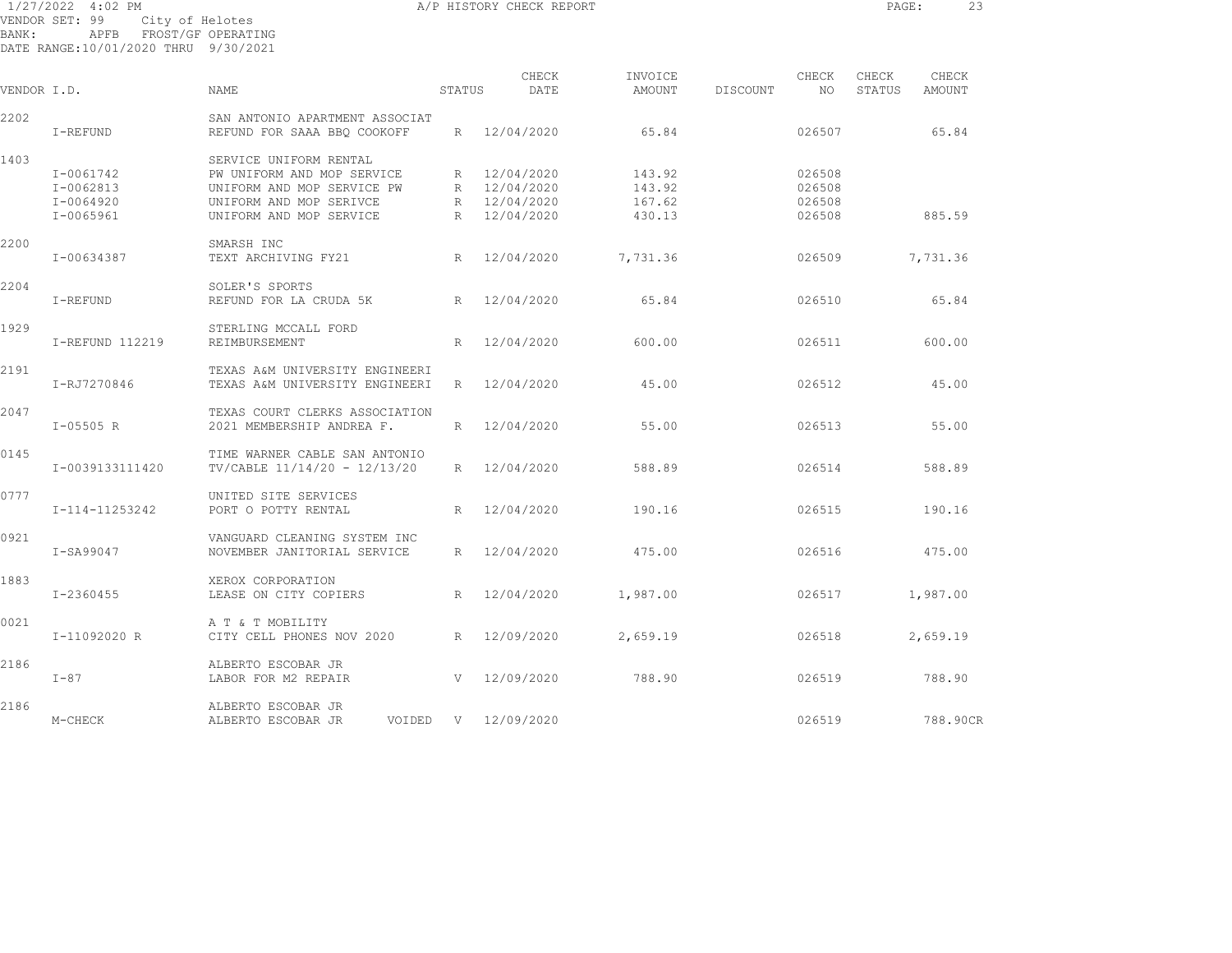1/27/2022 4:02 PM A/P HISTORY CHECK REPORT PAGE: 23 VENDOR SET: 99 City of Helotes BANK: APFB FROST/GF OPERATING DATE RANGE:10/01/2020 THRU 9/30/2021 CHECK INVOICE CHECK CHECK CHECK

| VENDOR I.D. |                                         | NAME                                                                                                          | STATUS | DATE                                         | AMOUNT                     | DISCOUNT<br>NO             | STATUS<br>AMOUNT |
|-------------|-----------------------------------------|---------------------------------------------------------------------------------------------------------------|--------|----------------------------------------------|----------------------------|----------------------------|------------------|
| 2202        | I-REFUND                                | SAN ANTONIO APARTMENT ASSOCIAT<br>REFUND FOR SAAA BBQ COOKOFF                                                 |        | R 12/04/2020                                 | 65.84                      | 026507                     | 65.84            |
| 1403        | I-0061742<br>I-0062813<br>$I - 0064920$ | SERVICE UNIFORM RENTAL<br>PW UNIFORM AND MOP SERVICE<br>UNIFORM AND MOP SERVICE PW<br>UNIFORM AND MOP SERIVCE |        | R 12/04/2020<br>R 12/04/2020<br>R 12/04/2020 | 143.92<br>143.92<br>167.62 | 026508<br>026508<br>026508 |                  |
|             | I-0065961                               | UNIFORM AND MOP SERVICE                                                                                       |        | R 12/04/2020                                 | 430.13                     | 026508                     | 885.59           |
| 2200        | I-00634387                              | SMARSH INC<br>TEXT ARCHIVING FY21                                                                             |        | R 12/04/2020                                 | 7,731.36                   | 026509                     | 7,731.36         |
| 2204        | I-REFUND                                | SOLER'S SPORTS<br>REFUND FOR LA CRUDA 5K                                                                      |        | R 12/04/2020                                 | 65.84                      | 026510                     | 65.84            |
| 1929        | I-REFUND 112219                         | STERLING MCCALL FORD<br>REIMBURSEMENT                                                                         | R      | 12/04/2020                                   | 600.00                     | 026511                     | 600.00           |
| 2191        | I-RJ7270846                             | TEXAS A&M UNIVERSITY ENGINEERI<br>TEXAS A&M UNIVERSITY ENGINEERI                                              |        | R 12/04/2020                                 | 45.00                      | 026512                     | 45.00            |
| 2047        | $I - 05505 R$                           | TEXAS COURT CLERKS ASSOCIATION<br>2021 MEMBERSHIP ANDREA F.                                                   |        | R 12/04/2020                                 | 55.00                      | 026513                     | 55.00            |
| 0145        | I-0039133111420                         | TIME WARNER CABLE SAN ANTONIO<br>TV/CABLE 11/14/20 - 12/13/20                                                 |        | R 12/04/2020                                 | 588.89                     | 026514                     | 588.89           |
| 0777        | I-114-11253242                          | UNITED SITE SERVICES<br>PORT O POTTY RENTAL                                                                   |        | R 12/04/2020                                 | 190.16                     | 026515                     | 190.16           |
| 0921        | I-SA99047                               | VANGUARD CLEANING SYSTEM INC<br>NOVEMBER JANITORIAL SERVICE                                                   |        | R 12/04/2020                                 | 475.00                     | 026516                     | 475.00           |
| 1883        | I-2360455                               | XEROX CORPORATION<br>LEASE ON CITY COPIERS                                                                    |        | R 12/04/2020                                 | 1,987.00                   | 026517                     | 1,987.00         |
| 0021        | I-11092020 R                            | A T & T MOBILITY<br>CITY CELL PHONES NOV 2020 R 12/09/2020                                                    |        |                                              | 2,659.19                   | 026518                     | 2,659.19         |
| 2186        | $I-87$                                  | ALBERTO ESCOBAR JR<br>LABOR FOR M2 REPAIR                                                                     |        | V 12/09/2020                                 | 788.90                     | 026519                     | 788.90           |
| 2186        | M-CHECK                                 | ALBERTO ESCOBAR JR<br>ALBERTO ESCOBAR JR                                                                      |        | VOIDED V 12/09/2020                          |                            | 026519                     | 788.90CR         |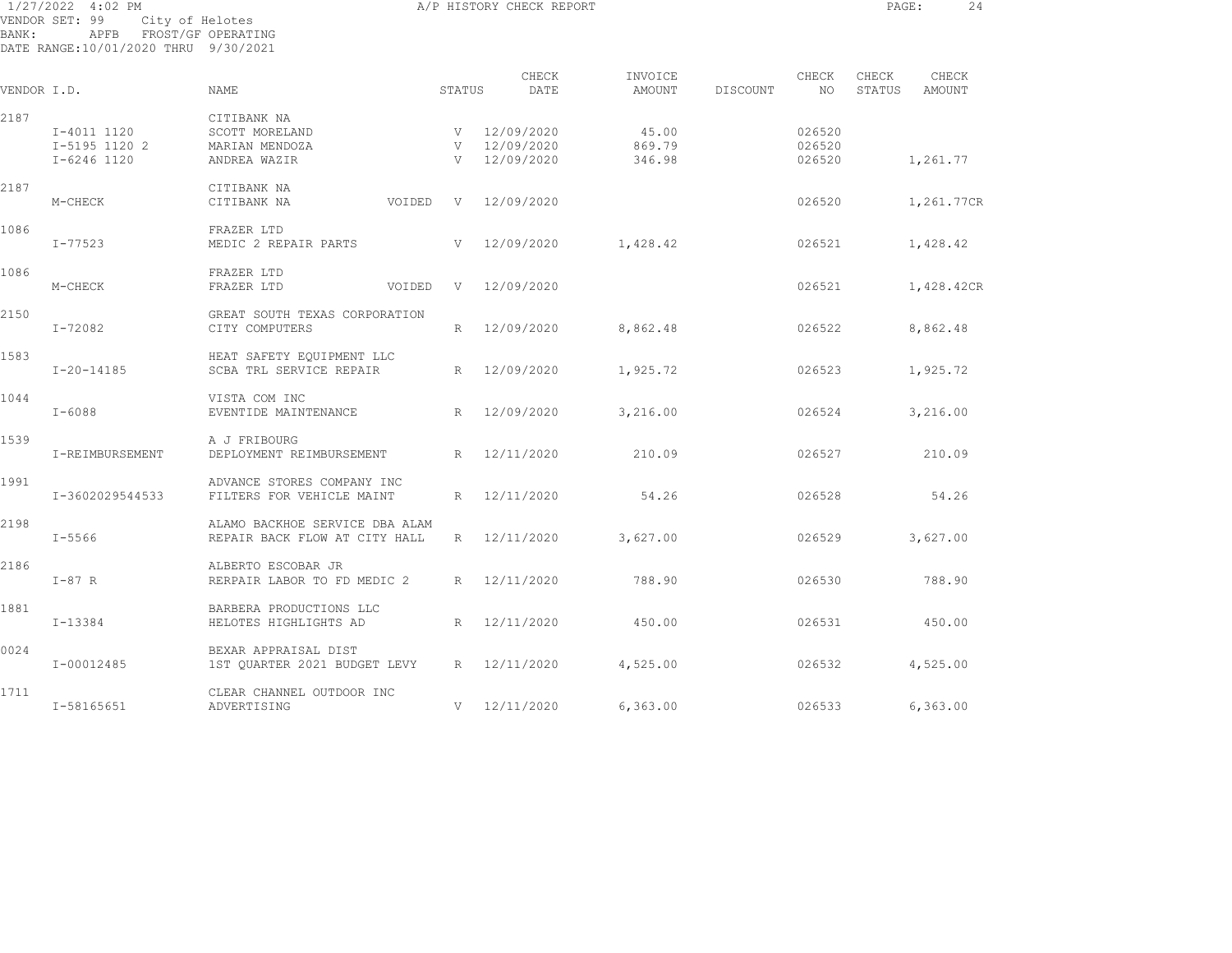| BANK:       | 1/27/2022 4:02 PM<br>VENDOR SET: 99<br>City of Helotes<br>APFB FROST/GF OPERATING<br>DATE RANGE:10/01/2020 THRU 9/30/2021 |                                                                 |             | A/P HISTORY CHECK REPORT                     |                           |                            | PAGE:           | 24              |
|-------------|---------------------------------------------------------------------------------------------------------------------------|-----------------------------------------------------------------|-------------|----------------------------------------------|---------------------------|----------------------------|-----------------|-----------------|
| VENDOR I.D. |                                                                                                                           | <b>NAME</b>                                                     | STATUS      | CHECK<br>DATE                                | INVOICE<br>AMOUNT         | CHECK<br>DISCOUNT<br>NO.   | CHECK<br>STATUS | CHECK<br>AMOUNT |
| 2187        | I-4011 1120<br>I-5195 1120 2<br>I-6246 1120                                                                               | CITIBANK NA<br>SCOTT MORELAND<br>MARIAN MENDOZA<br>ANDREA WAZIR |             | V 12/09/2020<br>V 12/09/2020<br>V 12/09/2020 | 45.00<br>869.79<br>346.98 | 026520<br>026520<br>026520 |                 | 1,261.77        |
| 2187        | M-CHECK                                                                                                                   | CITIBANK NA<br>CITIBANK NA                                      | VOIDED      | V 12/09/2020                                 |                           | 026520                     |                 | 1,261.77CR      |
| 1086        | I-77523                                                                                                                   | FRAZER LTD<br>MEDIC 2 REPAIR PARTS                              |             | V 12/09/2020                                 | 1,428.42                  | 026521                     |                 | 1,428.42        |
| 1086        | M-CHECK                                                                                                                   | FRAZER LTD<br>FRAZER LTD                                        | VOIDED<br>V | 12/09/2020                                   |                           | 026521                     |                 | 1,428.42CR      |
| 2150        | I-72082                                                                                                                   | GREAT SOUTH TEXAS CORPORATION<br>CITY COMPUTERS                 | R           | 12/09/2020                                   | 8,862.48                  | 026522                     |                 | 8,862.48        |
| 1583        | $I - 20 - 14185$                                                                                                          | HEAT SAFETY EQUIPMENT LLC<br>SCBA TRL SERVICE REPAIR            |             | R 12/09/2020                                 | 1,925.72                  | 026523                     |                 | 1,925.72        |
| 1044        | $I - 6088$                                                                                                                | VISTA COM INC<br>EVENTIDE MAINTENANCE                           |             | R 12/09/2020                                 | 3,216.00                  | 026524                     |                 | 3,216.00        |
| 1539        | I-REIMBURSEMENT                                                                                                           | A J FRIBOURG<br>DEPLOYMENT REIMBURSEMENT                        |             | R 12/11/2020                                 | 210.09                    | 026527                     |                 | 210.09          |
| 1991        | I-3602029544533                                                                                                           | ADVANCE STORES COMPANY INC<br>FILTERS FOR VEHICLE MAINT         | R           | 12/11/2020                                   | 54.26                     | 026528                     |                 | 54.26           |
| 2198        | $I - 5566$                                                                                                                | ALAMO BACKHOE SERVICE DBA ALAM<br>REPAIR BACK FLOW AT CITY HALL | $R_{\perp}$ | 12/11/2020                                   | 3,627.00                  | 026529                     |                 | 3,627.00        |
| 2186        | $I-87$ R                                                                                                                  | ALBERTO ESCOBAR JR<br>RERPAIR LABOR TO FD MEDIC 2               |             | R 12/11/2020                                 | 788.90                    | 026530                     |                 | 788.90          |
| 1881        | $I-13384$                                                                                                                 | BARBERA PRODUCTIONS LLC<br>HELOTES HIGHLIGHTS AD                |             | R 12/11/2020                                 | 450.00                    | 026531                     |                 | 450.00          |
| 0024        | I-00012485                                                                                                                | BEXAR APPRAISAL DIST<br>1ST OUARTER 2021 BUDGET LEVY            |             | R 12/11/2020                                 | 4,525.00                  | 026532                     |                 | 4,525.00        |
|             |                                                                                                                           |                                                                 |             |                                              |                           |                            |                 |                 |

1711 CLEAR CHANNEL OUTDOOR INC I-58165651 ADVERTISING V 12/11/2020 6,363.00 026533 6,363.00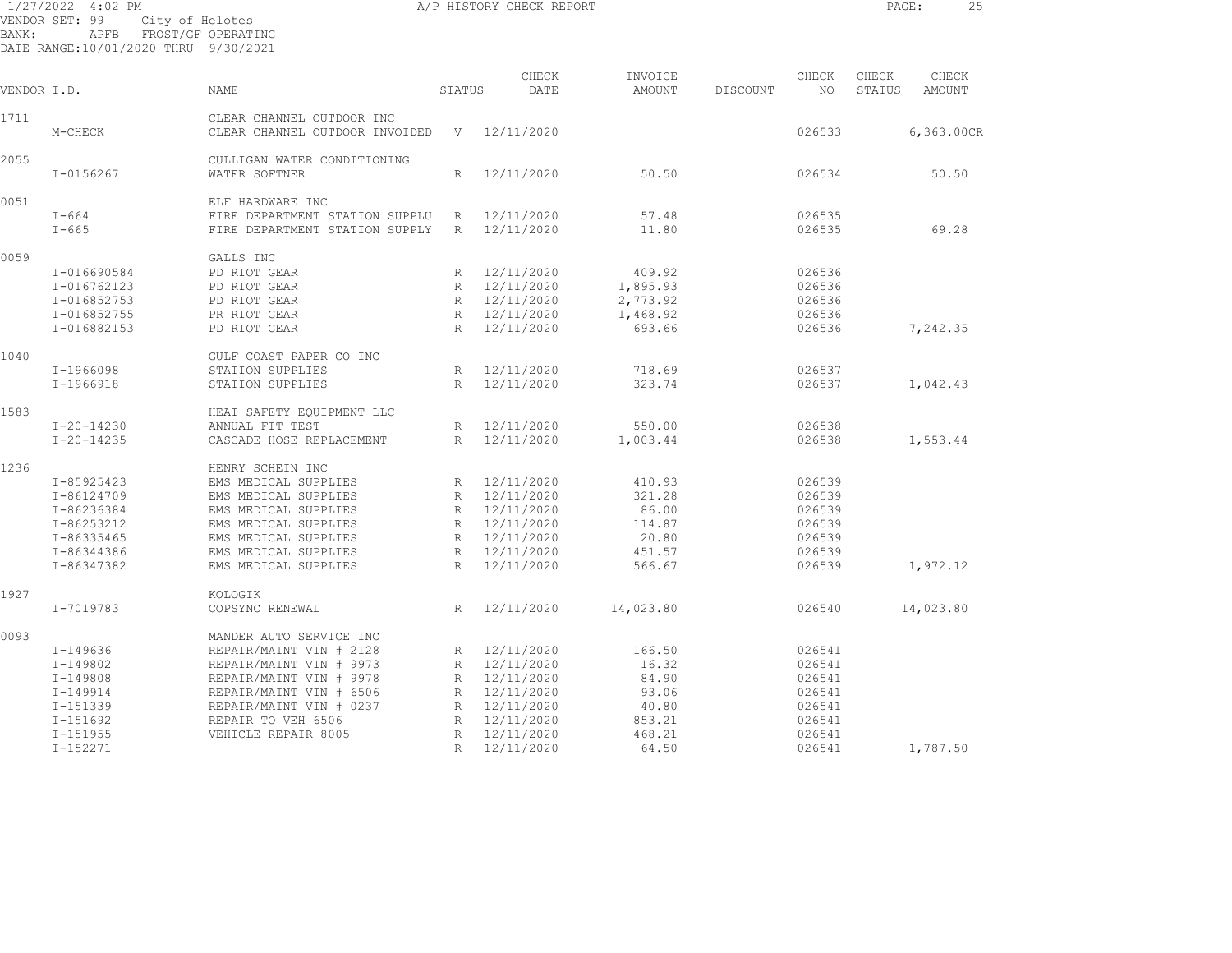| BANK:       | $1/27/2022$ 4:02 PM<br>VENDOR SET: 99<br>APFB<br>DATE RANGE:10/01/2020 THRU 9/30/2021 | City of Helotes<br>FROST/GF OPERATING                       |                 | A/P HISTORY CHECK REPORT |                   |          |             | PAGE:           | 25              |
|-------------|---------------------------------------------------------------------------------------|-------------------------------------------------------------|-----------------|--------------------------|-------------------|----------|-------------|-----------------|-----------------|
| VENDOR I.D. |                                                                                       | NAME                                                        | STATUS          | CHECK<br>DATE            | INVOICE<br>AMOUNT | DISCOUNT | CHECK<br>NO | CHECK<br>STATUS | CHECK<br>AMOUNT |
|             |                                                                                       |                                                             |                 |                          |                   |          |             |                 |                 |
| 1711        | M-CHECK                                                                               | CLEAR CHANNEL OUTDOOR INC<br>CLEAR CHANNEL OUTDOOR INVOIDED | V               | 12/11/2020               |                   |          | 026533      |                 | 6,363.00CR      |
| 2055        | I-0156267                                                                             | CULLIGAN WATER CONDITIONING<br>WATER SOFTNER                | R               | 12/11/2020               | 50.50             |          | 026534      |                 | 50.50           |
| 0051        |                                                                                       | ELF HARDWARE INC                                            |                 |                          |                   |          |             |                 |                 |
|             | $I-664$                                                                               | FIRE DEPARTMENT STATION SUPPLU                              | R               | 12/11/2020               | 57.48             |          | 026535      |                 |                 |
|             | $I-665$                                                                               | FIRE DEPARTMENT STATION SUPPLY                              | R               | 12/11/2020               | 11.80             |          | 026535      |                 | 69.28           |
| 0059        |                                                                                       | GALLS INC                                                   |                 |                          |                   |          |             |                 |                 |
|             | I-016690584                                                                           | PD RIOT GEAR                                                | R               | 12/11/2020               | 409.92            |          | 026536      |                 |                 |
|             | I-016762123                                                                           | PD RIOT GEAR                                                |                 | R 12/11/2020             | 1,895.93          |          | 026536      |                 |                 |
|             | I-016852753                                                                           | PD RIOT GEAR                                                |                 | R 12/11/2020             | 2,773.92          |          | 026536      |                 |                 |
|             | I-016852755                                                                           | PR RIOT GEAR                                                |                 | R 12/11/2020             | 1,468.92          |          | 026536      |                 |                 |
|             | I-016882153                                                                           | PD RIOT GEAR                                                | R               | 12/11/2020               | 693.66            |          | 026536      |                 | 7,242.35        |
| 1040        |                                                                                       | GULF COAST PAPER CO INC                                     |                 |                          |                   |          |             |                 |                 |
|             | I-1966098                                                                             | STATION SUPPLIES                                            | R               | 12/11/2020               | 718.69            |          | 026537      |                 |                 |
|             | I-1966918                                                                             | STATION SUPPLIES                                            | R               | 12/11/2020               | 323.74            |          | 026537      |                 | 1,042.43        |
| 1583        |                                                                                       | HEAT SAFETY EQUIPMENT LLC                                   |                 |                          |                   |          |             |                 |                 |
|             | $I - 20 - 14230$                                                                      | ANNUAL FIT TEST                                             | R               | 12/11/2020               | 550.00            |          | 026538      |                 |                 |
|             | $I - 20 - 14235$                                                                      | CASCADE HOSE REPLACEMENT                                    | R               | 12/11/2020               | 1,003.44          |          | 026538      |                 | 1,553.44        |
| 1236        |                                                                                       | HENRY SCHEIN INC                                            |                 |                          |                   |          |             |                 |                 |
|             | I-85925423                                                                            | EMS MEDICAL SUPPLIES                                        | R               | 12/11/2020               | 410.93            |          | 026539      |                 |                 |
|             | I-86124709                                                                            | EMS MEDICAL SUPPLIES                                        | R               | 12/11/2020               | 321.28            |          | 026539      |                 |                 |
|             | I-86236384                                                                            | EMS MEDICAL SUPPLIES                                        |                 | R 12/11/2020             | 86.00             |          | 026539      |                 |                 |
|             | I-86253212                                                                            | EMS MEDICAL SUPPLIES                                        | R               | 12/11/2020               | 114.87            |          | 026539      |                 |                 |
|             | I-86335465                                                                            | EMS MEDICAL SUPPLIES                                        | $R_{\parallel}$ | 12/11/2020               | 20.80             |          | 026539      |                 |                 |
|             | I-86344386                                                                            | EMS MEDICAL SUPPLIES                                        | R               | 12/11/2020               | 451.57            |          | 026539      |                 |                 |
|             | I-86347382                                                                            | EMS MEDICAL SUPPLIES                                        | R               | 12/11/2020               | 566.67            |          | 026539      |                 | 1,972.12        |
| 1927        |                                                                                       | KOLOGIK                                                     |                 |                          |                   |          |             |                 |                 |
|             | $I - 7019783$                                                                         | COPSYNC RENEWAL                                             | R               | 12/11/2020               | 14,023.80         |          | 026540      |                 | 14,023.80       |
| 0093        |                                                                                       | MANDER AUTO SERVICE INC                                     |                 |                          |                   |          |             |                 |                 |
|             | I-149636                                                                              | REPAIR/MAINT VIN # 2128                                     |                 | R 12/11/2020             | 166.50            |          | 026541      |                 |                 |
|             | $I - 149802$                                                                          | REPAIR/MAINT VIN # 9973                                     |                 | R 12/11/2020             | 16.32             |          | 026541      |                 |                 |
|             | $I-149808$                                                                            | REPAIR/MAINT VIN # 9978                                     |                 | R 12/11/2020             | 84.90             |          | 026541      |                 |                 |
|             | $I - 149914$                                                                          | REPAIR/MAINT VIN # 6506                                     | R               | 12/11/2020               | 93.06             |          | 026541      |                 |                 |
|             |                                                                                       |                                                             |                 |                          |                   |          |             |                 |                 |

 I-149914 REPAIR/MAINT VIN # 6506 R 12/11/2020 93.06 026541 I-151339 REPAIR/MAINT VIN # 0237 R 12/11/2020 40.80 026541 I-151692 REPAIR TO VEH 6506 R 12/11/2020 853.21 026541 I-151955 VEHICLE REPAIR 8005 R 12/11/2020 468.21 026541

I-152271 R 12/11/2020 64.50 026541 1,787.50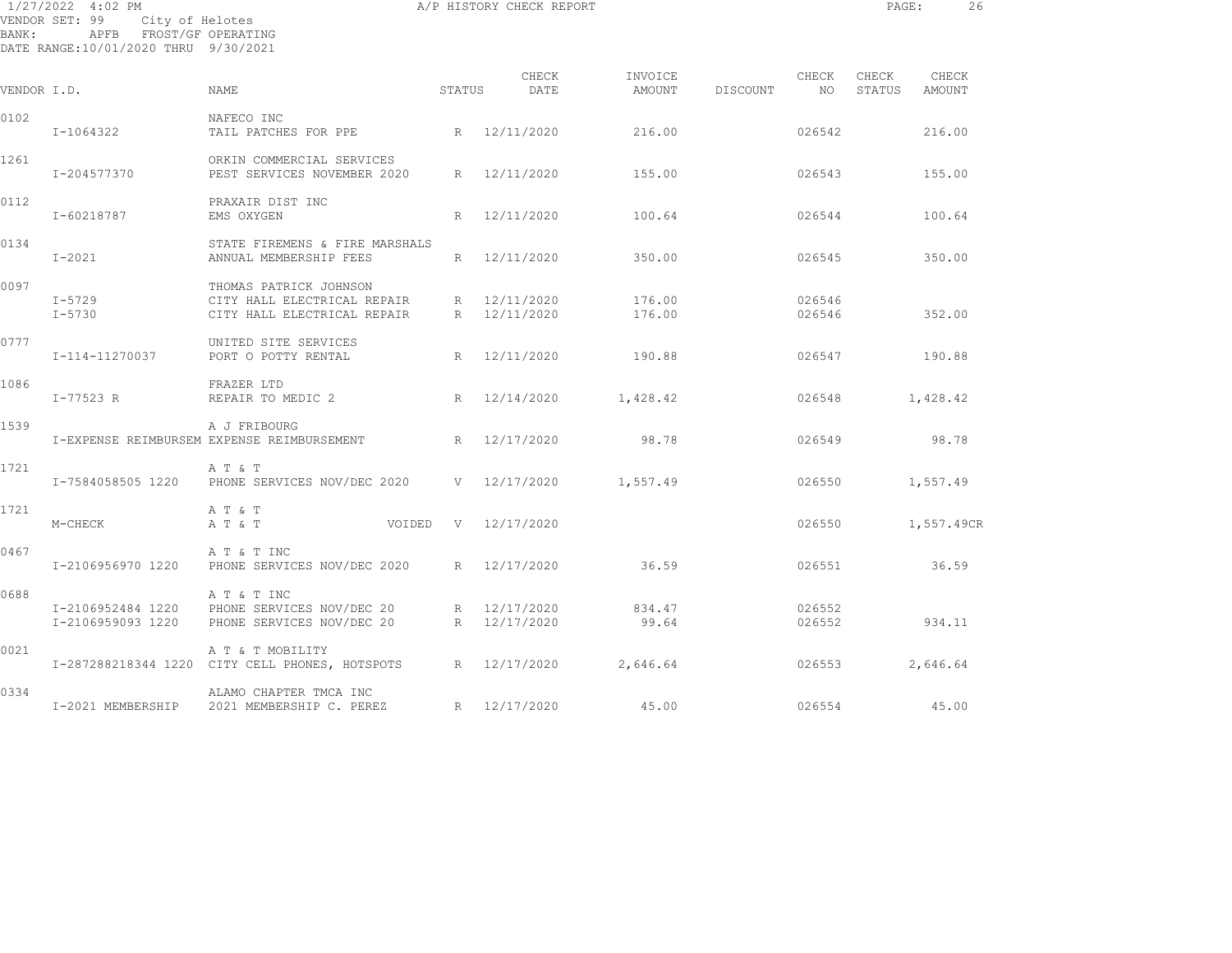| BANK:       | 1/27/2022 4:02 PM<br>VENDOR SET: 99<br>City of Helotes<br>APFB FROST/GF OPERATING<br>DATE RANGE:10/01/2020 THRU 9/30/2021 |                                                                                      |             |   | A/P HISTORY CHECK REPORT     |                   |          |                  | PAGE:           |                 | 26 |
|-------------|---------------------------------------------------------------------------------------------------------------------------|--------------------------------------------------------------------------------------|-------------|---|------------------------------|-------------------|----------|------------------|-----------------|-----------------|----|
| VENDOR I.D. |                                                                                                                           | NAME                                                                                 | STATUS      |   | CHECK<br>DATE                | INVOICE<br>AMOUNT | DISCOUNT | CHECK<br>NO      | CHECK<br>STATUS | CHECK<br>AMOUNT |    |
| 0102        | I-1064322                                                                                                                 | NAFECO INC<br>TAIL PATCHES FOR PPE                                                   |             |   | R 12/11/2020                 | 216.00            |          | 026542           |                 | 216.00          |    |
| 1261        | I-204577370                                                                                                               | ORKIN COMMERCIAL SERVICES<br>PEST SERVICES NOVEMBER 2020                             |             |   | R 12/11/2020                 | 155.00            |          | 026543           |                 | 155.00          |    |
| 0112        | I-60218787                                                                                                                | PRAXAIR DIST INC<br>EMS OXYGEN                                                       |             | R | 12/11/2020                   | 100.64            |          | 026544           |                 | 100.64          |    |
| 0134        | $I-2021$                                                                                                                  | STATE FIREMENS & FIRE MARSHALS<br>ANNUAL MEMBERSHIP FEES                             |             |   | R 12/11/2020                 | 350.00            |          | 026545           |                 | 350.00          |    |
| 0097        | $I-5729$<br>$I - 5730$                                                                                                    | THOMAS PATRICK JOHNSON<br>CITY HALL ELECTRICAL REPAIR<br>CITY HALL ELECTRICAL REPAIR |             |   | R 12/11/2020<br>R 12/11/2020 | 176.00<br>176.00  |          | 026546<br>026546 |                 | 352.00          |    |
| 0777        | I-114-11270037                                                                                                            | UNITED SITE SERVICES<br>PORT O POTTY RENTAL                                          |             | R | 12/11/2020                   | 190.88            |          | 026547           |                 | 190.88          |    |
| 1086        | $I - 77523 R$                                                                                                             | FRAZER LTD<br>REPAIR TO MEDIC 2                                                      |             | R | 12/14/2020                   | 1,428.42          |          | 026548           |                 | 1,428.42        |    |
| 1539        |                                                                                                                           | A J FRIBOURG<br>I-EXPENSE REIMBURSEM EXPENSE REIMBURSEMENT                           |             |   | R 12/17/2020                 | 98.78             |          | 026549           |                 | 98.78           |    |
| 1721        | I-7584058505 1220                                                                                                         | A T & T<br>PHONE SERVICES NOV/DEC 2020 V 12/17/2020                                  |             |   |                              | 1,557.49          |          | 026550           |                 | 1,557.49        |    |
| 1721        | M-CHECK                                                                                                                   | A T & T<br>A T & T                                                                   | VOIDED<br>V |   | 12/17/2020                   |                   |          | 026550           |                 | 1,557.49CR      |    |
| 0467        | I-2106956970 1220                                                                                                         | A T & T INC<br>PHONE SERVICES NOV/DEC 2020                                           |             |   | R 12/17/2020                 | 36.59             |          | 026551           |                 | 36.59           |    |
| 0688        | I-2106952484 1220<br>I-2106959093 1220                                                                                    | A T & T INC<br>PHONE SERVICES NOV/DEC 20<br>PHONE SERVICES NOV/DEC 20                |             |   | R 12/17/2020<br>R 12/17/2020 | 834.47<br>99.64   |          | 026552<br>026552 |                 | 934.11          |    |
| 0021        |                                                                                                                           | A T & T MOBILITY<br>I-287288218344 1220 CITY CELL PHONES, HOTSPOTS                   |             |   | R 12/17/2020                 | 2,646.64          |          | 026553           |                 | 2,646.64        |    |
| 0334        |                                                                                                                           | ALAMO CHAPTER TMCA INC<br>I-2021 MEMBERSHIP 2021 MEMBERSHIP C. PEREZ                 |             |   | R 12/17/2020                 | 45.00             |          | 026554           |                 | 45.00           |    |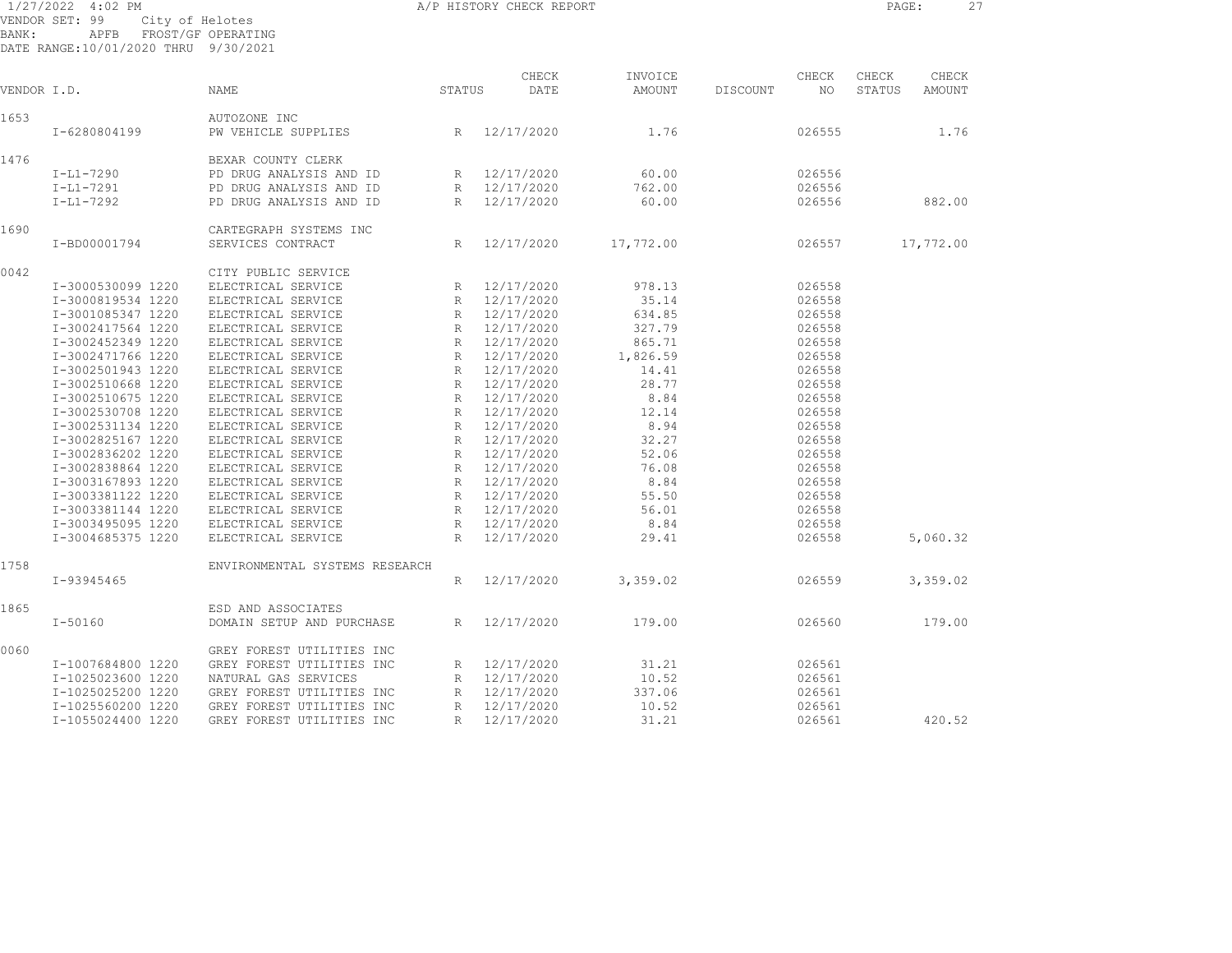| BANK:       | 1/27/2022 4:02 PM<br>VENDOR SET: 99<br>APFB FROST/GF OPERATING<br>DATE RANGE:10/01/2020 THRU 9/30/2021 | A/P HISTORY CHECK REPORT<br>City of Helotes |                 |               |                   |                   |    | PAGE:           | 27                     |  |
|-------------|--------------------------------------------------------------------------------------------------------|---------------------------------------------|-----------------|---------------|-------------------|-------------------|----|-----------------|------------------------|--|
| VENDOR I.D. |                                                                                                        | <b>NAME</b>                                 | STATUS          | CHECK<br>DATE | INVOICE<br>AMOUNT | CHECK<br>DISCOUNT | NO | CHECK<br>STATUS | CHECK<br><b>AMOUNT</b> |  |
|             |                                                                                                        |                                             |                 |               |                   |                   |    |                 |                        |  |
| 1653        |                                                                                                        | AUTOZONE INC                                |                 |               |                   |                   |    |                 |                        |  |
|             | I-6280804199                                                                                           | PW VEHICLE SUPPLIES                         |                 | R 12/17/2020  | 1.76              | 026555            |    |                 | 1.76                   |  |
| 1476        |                                                                                                        | BEXAR COUNTY CLERK                          |                 |               |                   |                   |    |                 |                        |  |
|             | $I-L1-7290$                                                                                            | PD DRUG ANALYSIS AND ID                     |                 | R 12/17/2020  | 60.00             | 026556            |    |                 |                        |  |
|             | $I-L1-7291$                                                                                            | PD DRUG ANALYSIS AND ID                     |                 | R 12/17/2020  | 762.00            | 026556            |    |                 |                        |  |
|             | $I-L1-7292$                                                                                            | PD DRUG ANALYSIS AND ID                     |                 | R 12/17/2020  | 60.00             | 026556            |    |                 | 882.00                 |  |
| 1690        |                                                                                                        | CARTEGRAPH SYSTEMS INC                      |                 |               |                   |                   |    |                 |                        |  |
|             | I-BD00001794                                                                                           | SERVICES CONTRACT                           | $R_{\parallel}$ | 12/17/2020    | 17,772.00         | 026557            |    |                 | 17,772.00              |  |
| 0042        |                                                                                                        | CITY PUBLIC SERVICE                         |                 |               |                   |                   |    |                 |                        |  |
|             | I-3000530099 1220                                                                                      | ELECTRICAL SERVICE                          |                 | R 12/17/2020  | 978.13            | 026558            |    |                 |                        |  |
|             | I-3000819534 1220                                                                                      | ELECTRICAL SERVICE                          |                 | R 12/17/2020  | 35.14             | 026558            |    |                 |                        |  |
|             | I-3001085347 1220                                                                                      | ELECTRICAL SERVICE                          |                 | R 12/17/2020  | 634.85            | 026558            |    |                 |                        |  |
|             | I-3002417564 1220                                                                                      | ELECTRICAL SERVICE                          |                 | R 12/17/2020  | 327.79            | 026558            |    |                 |                        |  |
|             | I-3002452349 1220                                                                                      | ELECTRICAL SERVICE                          |                 | R 12/17/2020  | 865.71            | 026558            |    |                 |                        |  |
|             | I-3002471766 1220                                                                                      | ELECTRICAL SERVICE                          |                 | R 12/17/2020  | 1,826.59          | 026558            |    |                 |                        |  |
|             | I-3002501943 1220                                                                                      | ELECTRICAL SERVICE                          |                 | R 12/17/2020  | 14.41             | 026558            |    |                 |                        |  |
|             | I-3002510668 1220                                                                                      | ELECTRICAL SERVICE                          |                 | R 12/17/2020  | 28.77             | 026558            |    |                 |                        |  |
|             | I-3002510675 1220                                                                                      | ELECTRICAL SERVICE                          | R               | 12/17/2020    | 8.84              | 026558            |    |                 |                        |  |
|             | I-3002530708 1220                                                                                      | ELECTRICAL SERVICE                          |                 | R 12/17/2020  | 12.14             | 026558            |    |                 |                        |  |
|             | I-3002531134 1220                                                                                      | ELECTRICAL SERVICE                          | R               | 12/17/2020    | 8.94              | 026558            |    |                 |                        |  |
|             | I-3002825167 1220                                                                                      | ELECTRICAL SERVICE                          |                 | R 12/17/2020  | 32.27             | 026558            |    |                 |                        |  |
|             | I-3002836202 1220                                                                                      | ELECTRICAL SERVICE                          |                 | R 12/17/2020  | 52.06             | 026558            |    |                 |                        |  |
|             | I-3002838864 1220                                                                                      | ELECTRICAL SERVICE                          |                 | R 12/17/2020  | 76.08             | 026558            |    |                 |                        |  |
|             | I-3003167893 1220                                                                                      | ELECTRICAL SERVICE                          |                 | R 12/17/2020  | 8.84              | 026558            |    |                 |                        |  |
|             | I-3003381122 1220                                                                                      | ELECTRICAL SERVICE                          |                 | R 12/17/2020  | 55.50             | 026558            |    |                 |                        |  |
|             | I-3003381144 1220                                                                                      | ELECTRICAL SERVICE                          |                 | R 12/17/2020  | 56.01             | 026558            |    |                 |                        |  |
|             | I-3003495095 1220                                                                                      | ELECTRICAL SERVICE                          |                 | R 12/17/2020  | 8.84              | 026558            |    |                 |                        |  |
|             | I-3004685375 1220                                                                                      | ELECTRICAL SERVICE                          | R               | 12/17/2020    | 29.41             | 026558            |    |                 | 5,060.32               |  |
| 1758        |                                                                                                        | ENVIRONMENTAL SYSTEMS RESEARCH              |                 |               |                   |                   |    |                 |                        |  |
|             | I-93945465                                                                                             |                                             | R               | 12/17/2020    | 3,359.02          | 026559            |    |                 | 3,359.02               |  |
| 1865        |                                                                                                        | ESD AND ASSOCIATES                          |                 |               |                   |                   |    |                 |                        |  |
|             | $I - 50160$                                                                                            | DOMAIN SETUP AND PURCHASE                   |                 | R 12/17/2020  | 179.00            | 026560            |    |                 | 179.00                 |  |
| 0060        |                                                                                                        | GREY FOREST UTILITIES INC                   |                 |               |                   |                   |    |                 |                        |  |
|             | I-1007684800 1220                                                                                      | GREY FOREST UTILITIES INC                   |                 | R 12/17/2020  | 31.21             | 026561            |    |                 |                        |  |
|             | I-1025023600 1220                                                                                      | NATURAL GAS SERVICES                        | R               | 12/17/2020    | 10.52             | 026561            |    |                 |                        |  |
|             | I-1025025200 1220                                                                                      | GREY FOREST UTILITIES INC                   |                 | R 12/17/2020  | 337.06            | 026561            |    |                 |                        |  |

I-1025560200 1220 GREY FOREST UTILITIES INC R 12/17/2020 10.52 026561

I-1055024400 1220 GREY FOREST UTILITIES INC R 12/17/2020 31.21 026561 420.52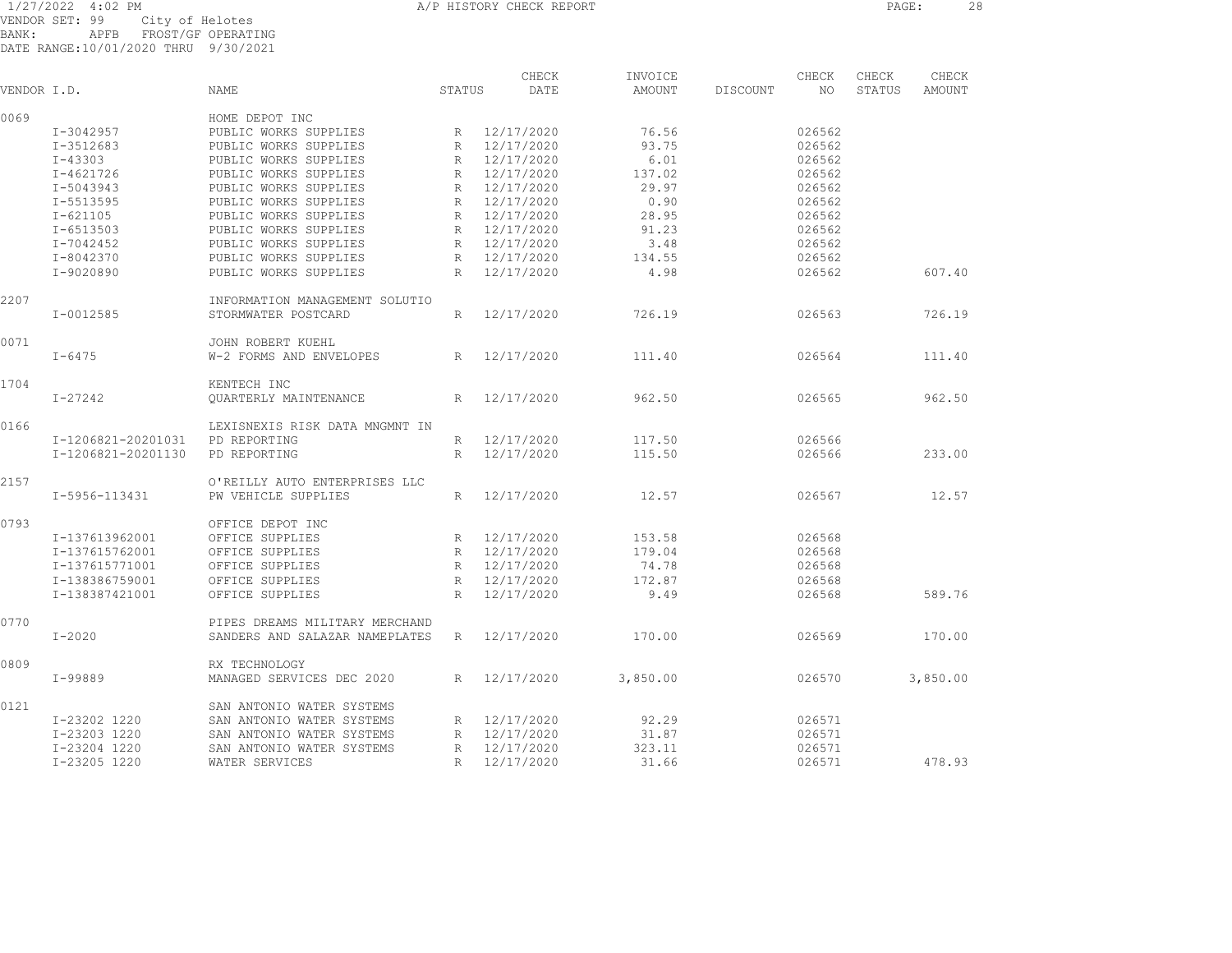1/27/2022 4:02 PM A/P HISTORY CHECK REPORT PAGE: 28 VENDOR SET: 99 City of Helotes BANK: APFB FROST/GF OPERATING DATE RANGE:10/01/2020 THRU 9/30/2021

|             |                    |                                |                 | CHECK      | INVOICE  |          | CHECK  | CHECK  | CHECK    |
|-------------|--------------------|--------------------------------|-----------------|------------|----------|----------|--------|--------|----------|
| VENDOR I.D. |                    | NAME                           | STATUS          | DATE       | AMOUNT   | DISCOUNT | NO     | STATUS | AMOUNT   |
| 0069        |                    | HOME DEPOT INC                 |                 |            |          |          |        |        |          |
|             | I-3042957          | PUBLIC WORKS SUPPLIES          | R               | 12/17/2020 | 76.56    |          | 026562 |        |          |
|             | I-3512683          | PUBLIC WORKS SUPPLIES          | R               | 12/17/2020 | 93.75    |          | 026562 |        |          |
|             | $I - 43303$        | PUBLIC WORKS SUPPLIES          | R               | 12/17/2020 | 6.01     |          | 026562 |        |          |
|             | $I - 4621726$      | PUBLIC WORKS SUPPLIES          | R               | 12/17/2020 | 137.02   |          | 026562 |        |          |
|             | I-5043943          | PUBLIC WORKS SUPPLIES          | R               | 12/17/2020 | 29.97    |          | 026562 |        |          |
|             | I-5513595          | PUBLIC WORKS SUPPLIES          | R               | 12/17/2020 | 0.90     |          | 026562 |        |          |
|             | $I - 621105$       | PUBLIC WORKS SUPPLIES          | R               | 12/17/2020 | 28.95    |          | 026562 |        |          |
|             | I-6513503          | PUBLIC WORKS SUPPLIES          | R               | 12/17/2020 | 91.23    |          | 026562 |        |          |
|             | I-7042452          | PUBLIC WORKS SUPPLIES          | R               | 12/17/2020 | 3.48     |          | 026562 |        |          |
|             | I-8042370          | PUBLIC WORKS SUPPLIES          | R               | 12/17/2020 | 134.55   |          | 026562 |        |          |
|             | I-9020890          | PUBLIC WORKS SUPPLIES          | R               | 12/17/2020 | 4.98     |          | 026562 |        | 607.40   |
| 2207        |                    | INFORMATION MANAGEMENT SOLUTIO |                 |            |          |          |        |        |          |
|             | I-0012585          | STORMWATER POSTCARD            | R               | 12/17/2020 | 726.19   |          | 026563 |        | 726.19   |
| 0071        |                    | JOHN ROBERT KUEHL              |                 |            |          |          |        |        |          |
|             | $I - 6475$         | W-2 FORMS AND ENVELOPES        | R               | 12/17/2020 | 111.40   |          | 026564 |        | 111.40   |
| 1704        |                    | KENTECH INC                    |                 |            |          |          |        |        |          |
|             | $I - 27242$        | OUARTERLY MAINTENANCE          | R               | 12/17/2020 | 962.50   |          | 026565 |        | 962.50   |
| 0166        |                    | LEXISNEXIS RISK DATA MNGMNT IN |                 |            |          |          |        |        |          |
|             | I-1206821-20201031 | PD REPORTING                   | R               | 12/17/2020 | 117.50   |          | 026566 |        |          |
|             | I-1206821-20201130 | PD REPORTING                   | R               | 12/17/2020 | 115.50   |          | 026566 |        | 233.00   |
| 2157        |                    | O'REILLY AUTO ENTERPRISES LLC  |                 |            |          |          |        |        |          |
|             | I-5956-113431      | PW VEHICLE SUPPLIES            | R               | 12/17/2020 | 12.57    |          | 026567 |        | 12.57    |
| 0793        |                    | OFFICE DEPOT INC               |                 |            |          |          |        |        |          |
|             | I-137613962001     | OFFICE SUPPLIES                | R               | 12/17/2020 | 153.58   |          | 026568 |        |          |
|             | I-137615762001     | OFFICE SUPPLIES                | R               | 12/17/2020 | 179.04   |          | 026568 |        |          |
|             | I-137615771001     | OFFICE SUPPLIES                | R               | 12/17/2020 | 74.78    |          | 026568 |        |          |
|             | I-138386759001     | OFFICE SUPPLIES                | $R_{\parallel}$ | 12/17/2020 | 172.87   |          | 026568 |        |          |
|             | I-138387421001     | OFFICE SUPPLIES                | R               | 12/17/2020 | 9.49     |          | 026568 |        | 589.76   |
| 0770        |                    | PIPES DREAMS MILITARY MERCHAND |                 |            |          |          |        |        |          |
|             | $I - 2020$         | SANDERS AND SALAZAR NAMEPLATES | R               | 12/17/2020 | 170.00   |          | 026569 |        | 170.00   |
| 0809        |                    | RX TECHNOLOGY                  |                 |            |          |          |        |        |          |
|             | $I-99889$          | MANAGED SERVICES DEC 2020      | R               | 12/17/2020 | 3,850.00 |          | 026570 |        | 3,850.00 |
| 0121        |                    | SAN ANTONIO WATER SYSTEMS      |                 |            |          |          |        |        |          |
|             | I-23202 1220       | SAN ANTONIO WATER SYSTEMS      | R               | 12/17/2020 | 92.29    |          | 026571 |        |          |
|             | I-23203 1220       | SAN ANTONIO WATER SYSTEMS      | R               | 12/17/2020 | 31.87    |          | 026571 |        |          |
|             | I-23204 1220       | SAN ANTONIO WATER SYSTEMS      | R               | 12/17/2020 | 323.11   |          | 026571 |        |          |
|             | I-23205 1220       | WATER SERVICES                 | $\mathbb{R}$    | 12/17/2020 | 31.66    |          | 026571 |        | 478.93   |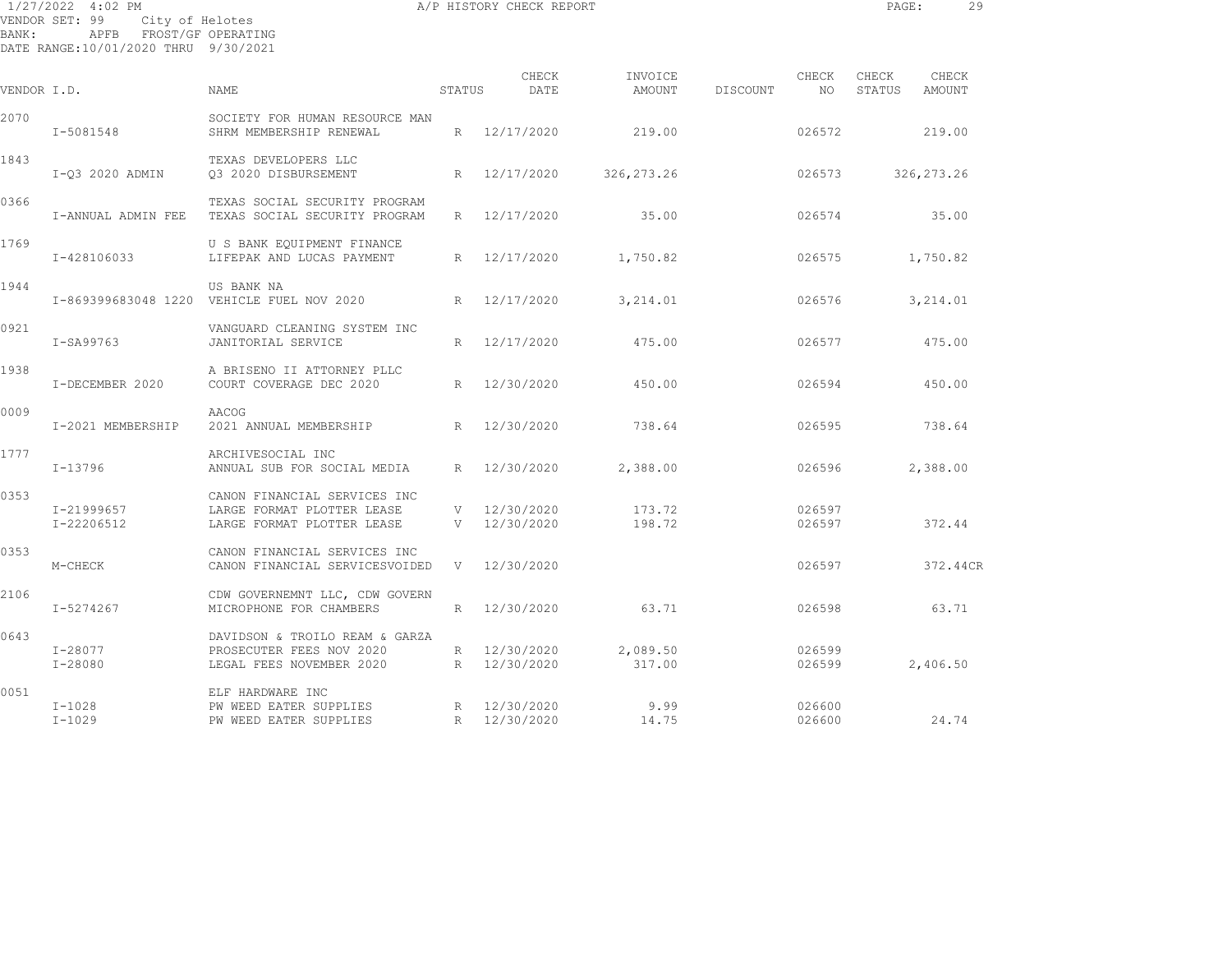| $1/27/2022$ 4:02 PM |                                        |                    | A/P HISTORY CHECK REPORT |               |                   |          |             | PAGE:           |                 | 29 |
|---------------------|----------------------------------------|--------------------|--------------------------|---------------|-------------------|----------|-------------|-----------------|-----------------|----|
| BANK:               | VENDOR SET: 99 City of Helotes<br>APFB | FROST/GF OPERATING |                          |               |                   |          |             |                 |                 |    |
|                     | DATE RANGE: 10/01/2020 THRU 9/30/2021  |                    |                          |               |                   |          |             |                 |                 |    |
| VENDOR I.D.         |                                        | NAME               | STATUS                   | CHECK<br>DATE | INVOICE<br>AMOUNT | DISCOUNT | CHECK<br>ΝC | CHECK<br>STATUS | CHECK<br>AMOUNT |    |

| VENDOR I.D. |                          | NAME                                                                                     | STATUS | DATE                         | AMOUNT             | DISCOUNT | NO               | STATUS | AMOUNT     |
|-------------|--------------------------|------------------------------------------------------------------------------------------|--------|------------------------------|--------------------|----------|------------------|--------|------------|
| 2070        | I-5081548                | SOCIETY FOR HUMAN RESOURCE MAN<br>SHRM MEMBERSHIP RENEWAL                                |        | R 12/17/2020                 | 219.00             |          | 026572           |        | 219.00     |
| 1843        | I-03 2020 ADMIN          | TEXAS DEVELOPERS LLC<br>03 2020 DISBURSEMENT                                             |        | R 12/17/2020                 | 326, 273. 26       |          | 026573           |        | 326,273.26 |
| 0366        | I-ANNUAL ADMIN FEE       | TEXAS SOCIAL SECURITY PROGRAM<br>TEXAS SOCIAL SECURITY PROGRAM                           |        | R 12/17/2020                 | 35.00              |          | 026574           |        | 35.00      |
| 1769        | I-428106033              | U S BANK EQUIPMENT FINANCE<br>LIFEPAK AND LUCAS PAYMENT                                  |        | R 12/17/2020                 | 1,750.82           |          | 026575           |        | 1,750.82   |
| 1944        |                          | US BANK NA<br>I-869399683048 1220 VEHICLE FUEL NOV 2020 R 12/17/2020                     |        |                              | 3,214.01           |          | 026576           |        | 3,214.01   |
| 0921        | I-SA99763                | VANGUARD CLEANING SYSTEM INC<br>JANITORIAL SERVICE                                       |        | R 12/17/2020                 | 475.00             |          | 026577           |        | 475.00     |
| 1938        | I-DECEMBER 2020          | A BRISENO II ATTORNEY PLLC<br>COURT COVERAGE DEC 2020                                    |        | R 12/30/2020                 | 450.00             |          | 026594           |        | 450.00     |
| 0009        | I-2021 MEMBERSHIP        | AACOG<br>2021 ANNUAL MEMBERSHIP R 12/30/2020                                             |        |                              | 738.64             |          | 026595           |        | 738.64     |
| 1777        | I-13796                  | ARCHIVESOCIAL INC<br>ANNUAL SUB FOR SOCIAL MEDIA                                         |        | R 12/30/2020                 | 2,388.00           |          | 026596           |        | 2,388.00   |
| 0353        | I-21999657<br>I-22206512 | CANON FINANCIAL SERVICES INC<br>LARGE FORMAT PLOTTER LEASE<br>LARGE FORMAT PLOTTER LEASE |        | V 12/30/2020<br>V 12/30/2020 | 173.72<br>198.72   |          | 026597<br>026597 |        | 372.44     |
| 0353        | M-CHECK                  | CANON FINANCIAL SERVICES INC<br>CANON FINANCIAL SERVICESVOIDED                           |        | V 12/30/2020                 |                    |          | 026597           |        | 372.44CR   |
| 2106        | I-5274267                | CDW GOVERNEMNT LLC, CDW GOVERN<br>MICROPHONE FOR CHAMBERS                                |        | R 12/30/2020                 | 63.71              |          | 026598           |        | 63.71      |
| 0643        | I-28077<br>I-28080       | DAVIDSON & TROILO REAM & GARZA<br>PROSECUTER FEES NOV 2020<br>LEGAL FEES NOVEMBER 2020   |        | R 12/30/2020<br>R 12/30/2020 | 2,089.50<br>317.00 |          | 026599<br>026599 |        | 2,406.50   |
| 0051        | I-1028<br>I-1029         | ELF HARDWARE INC<br>PW WEED EATER SUPPLIES<br>PW WEED EATER SUPPLIES<br>R 12/30/2020     |        |                              | 9.99<br>14.75      |          | 026600<br>026600 |        | 24.74      |
|             |                          |                                                                                          |        |                              |                    |          |                  |        |            |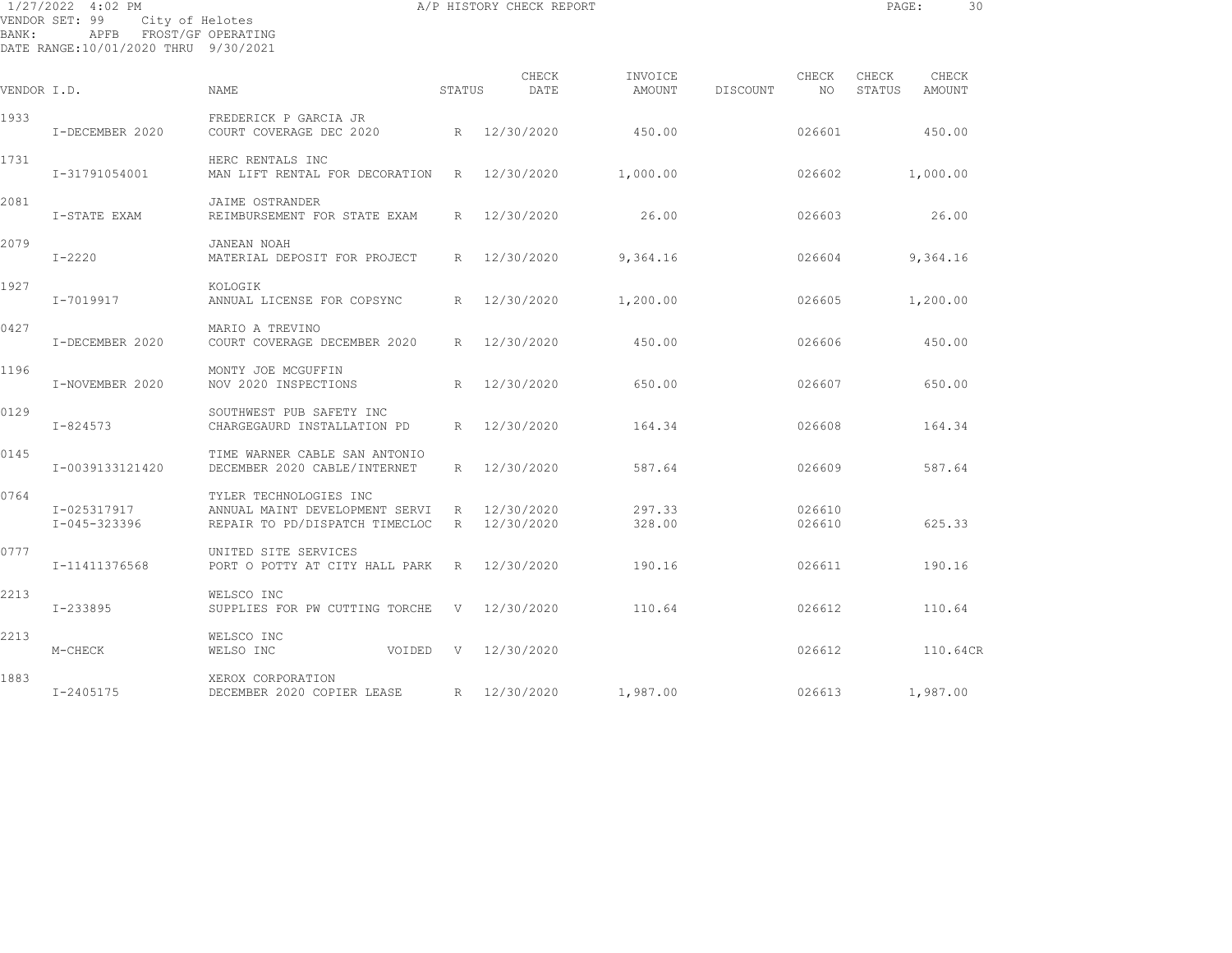| BANK:       | 1/27/2022 4:02 PM<br>VENDOR SET: 99<br>City of Helotes<br>APFB FROST/GF OPERATING<br>DATE RANGE:10/01/2020 THRU 9/30/2021 |                                                                                            |              | A/P HISTORY CHECK REPORT |                   |          |                  | PAGE:           | 30              |  |
|-------------|---------------------------------------------------------------------------------------------------------------------------|--------------------------------------------------------------------------------------------|--------------|--------------------------|-------------------|----------|------------------|-----------------|-----------------|--|
| VENDOR I.D. |                                                                                                                           | <b>NAME</b>                                                                                | STATUS       | CHECK<br>DATE            | INVOICE<br>AMOUNT | DISCOUNT | CHECK<br>NO.     | CHECK<br>STATUS | CHECK<br>AMOUNT |  |
| 1933        | I-DECEMBER 2020                                                                                                           | FREDERICK P GARCIA JR<br>COURT COVERAGE DEC 2020                                           | R            | 12/30/2020               | 450.00            |          | 026601           |                 | 450.00          |  |
| 1731        | I-31791054001                                                                                                             | HERC RENTALS INC<br>MAN LIFT RENTAL FOR DECORATION                                         | R            | 12/30/2020               | 1,000.00          |          | 026602           |                 | 1,000.00        |  |
| 2081        | I-STATE EXAM                                                                                                              | JAIME OSTRANDER<br>REIMBURSEMENT FOR STATE EXAM                                            | R            | 12/30/2020               | 26.00             |          | 026603           |                 | 26.00           |  |
| 2079        | $I - 2220$                                                                                                                | JANEAN NOAH<br>MATERIAL DEPOSIT FOR PROJECT                                                | R            | 12/30/2020               | 9,364.16          |          | 026604           |                 | 9,364.16        |  |
| 1927        | I-7019917                                                                                                                 | KOLOGIK<br>ANNUAL LICENSE FOR COPSYNC                                                      | R            | 12/30/2020               | 1,200.00          |          | 026605           |                 | 1,200.00        |  |
| 0427        | I-DECEMBER 2020                                                                                                           | MARIO A TREVINO<br>COURT COVERAGE DECEMBER 2020                                            | R            | 12/30/2020               | 450.00            |          | 026606           |                 | 450.00          |  |
| 1196        | I-NOVEMBER 2020                                                                                                           | MONTY JOE MCGUFFIN<br>NOV 2020 INSPECTIONS                                                 | R            | 12/30/2020               | 650.00            |          | 026607           |                 | 650.00          |  |
| 0129        | I-824573                                                                                                                  | SOUTHWEST PUB SAFETY INC<br>CHARGEGAURD INSTALLATION PD                                    | R            | 12/30/2020               | 164.34            |          | 026608           |                 | 164.34          |  |
| 0145        | I-0039133121420                                                                                                           | TIME WARNER CABLE SAN ANTONIO<br>DECEMBER 2020 CABLE/INTERNET                              | R            | 12/30/2020               | 587.64            |          | 026609           |                 | 587.64          |  |
| 0764        | I-025317917<br>I-045-323396                                                                                               | TYLER TECHNOLOGIES INC<br>ANNUAL MAINT DEVELOPMENT SERVI<br>REPAIR TO PD/DISPATCH TIMECLOC | R<br>R       | 12/30/2020<br>12/30/2020 | 297.33<br>328.00  |          | 026610<br>026610 |                 | 625.33          |  |
| 0777        | I-11411376568                                                                                                             | UNITED SITE SERVICES<br>PORT O POTTY AT CITY HALL PARK                                     | R            | 12/30/2020               | 190.16            |          | 026611           |                 | 190.16          |  |
| 2213        | $I - 233895$                                                                                                              | WELSCO INC<br>SUPPLIES FOR PW CUTTING TORCHE                                               | $\mathbf{V}$ | 12/30/2020               | 110.64            |          | 026612           |                 | 110.64          |  |
| 2213        | M-CHECK                                                                                                                   | WELSCO INC<br>WELSO INC<br>VOIDED                                                          | V            | 12/30/2020               |                   |          | 026612           |                 | 110.64CR        |  |
| 1883        |                                                                                                                           | XEROX CORPORATION                                                                          |              |                          |                   |          |                  |                 |                 |  |

I-2405175 DECEMBER 2020 COPIER LEASE R 12/30/2020 1,987.00 026613 1,987.00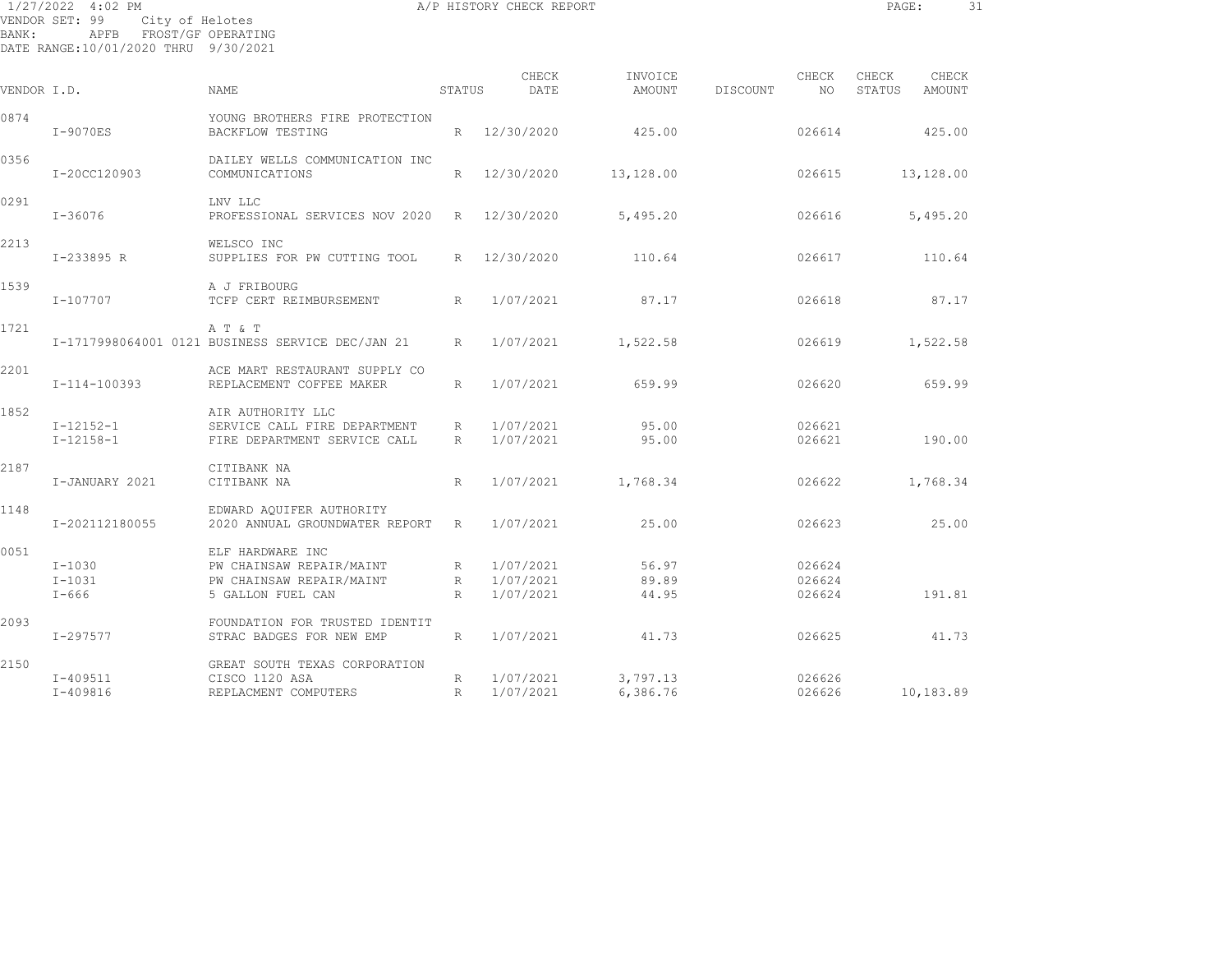| BANK:       | 1/27/2022 4:02 PM<br>VENDOR SET: 99<br>City of Helotes<br>FROST/GF OPERATING<br>APFB |                                                                                   |        | A/P HISTORY CHECK REPORT |                   |          |                  | PAGE:           |                 | 31 |
|-------------|--------------------------------------------------------------------------------------|-----------------------------------------------------------------------------------|--------|--------------------------|-------------------|----------|------------------|-----------------|-----------------|----|
|             | DATE RANGE:10/01/2020 THRU 9/30/2021                                                 |                                                                                   |        |                          |                   |          |                  |                 |                 |    |
| VENDOR I.D. |                                                                                      | <b>NAME</b>                                                                       | STATUS | CHECK<br>DATE            | INVOICE<br>AMOUNT | DISCOUNT | CHECK<br>NO.     | CHECK<br>STATUS | CHECK<br>AMOUNT |    |
| 0874        | $I-9070ES$                                                                           | YOUNG BROTHERS FIRE PROTECTION<br><b>BACKFLOW TESTING</b>                         |        | R 12/30/2020             | 425.00            |          | 026614           |                 | 425.00          |    |
| 0356        | I-20CC120903                                                                         | DAILEY WELLS COMMUNICATION INC<br>COMMUNICATIONS                                  |        | R 12/30/2020             | 13,128.00         |          | 026615           |                 | 13,128.00       |    |
| 0291        | $I - 36076$                                                                          | LNV LLC<br>PROFESSIONAL SERVICES NOV 2020                                         |        | R 12/30/2020             | 5,495.20          |          | 026616           |                 | 5,495.20        |    |
| 2213        | I-233895 R                                                                           | WELSCO INC<br>SUPPLIES FOR PW CUTTING TOOL                                        |        | R 12/30/2020             | 110.64            |          | 026617           |                 | 110.64          |    |
| 1539        | $I - 107707$                                                                         | A J FRIBOURG<br>TCFP CERT REIMBURSEMENT                                           | R      | 1/07/2021                | 87.17             |          | 026618           |                 | 87.17           |    |
| 1721        |                                                                                      | A T & T<br>I-1717998064001 0121 BUSINESS SERVICE DEC/JAN 21                       | R      | 1/07/2021                | 1,522.58          |          | 026619           |                 | 1,522.58        |    |
| 2201        | I-114-100393                                                                         | ACE MART RESTAURANT SUPPLY CO<br>REPLACEMENT COFFEE MAKER                         | R      | 1/07/2021                | 659.99            |          | 026620           |                 | 659.99          |    |
| 1852        | $I-12152-1$<br>$I-12158-1$                                                           | AIR AUTHORITY LLC<br>SERVICE CALL FIRE DEPARTMENT<br>FIRE DEPARTMENT SERVICE CALL | R<br>R | 1/07/2021<br>1/07/2021   | 95.00<br>95.00    |          | 026621<br>026621 |                 | 190.00          |    |
| 2187        | I-JANUARY 2021                                                                       | CITIBANK NA<br>CITIBANK NA                                                        | R      | 1/07/2021                | 1,768.34          |          | 026622           |                 | 1,768.34        |    |
| 1148        | I-202112180055                                                                       | EDWARD AQUIFER AUTHORITY<br>2020 ANNUAL GROUNDWATER REPORT                        | R      | 1/07/2021                | 25.00             |          | 026623           |                 | 25.00           |    |

 I-1030 PW CHAINSAW REPAIR/MAINT R 1/07/2021 56.97 026624 I-1031 PW CHAINSAW REPAIR/MAINT R 1/07/2021 89.89 026624

I-409511 CISCO 1120 ASA R 1/07/2021 3,797.13 026626

I-666 5 GALLON FUEL CAN R 1/07/2021 44.95 026624 191.81

I-297577 STRAC BADGES FOR NEW EMP R 1/07/2021 41.73 026625 41.73

I-409816 REPLACMENT COMPUTERS R 1/07/2021 6,386.76 026626 10,183.89

0051 ELF HARDWARE INC

2093 FOUNDATION FOR TRUSTED IDENTIT

2150 GREAT SOUTH TEXAS CORPORATION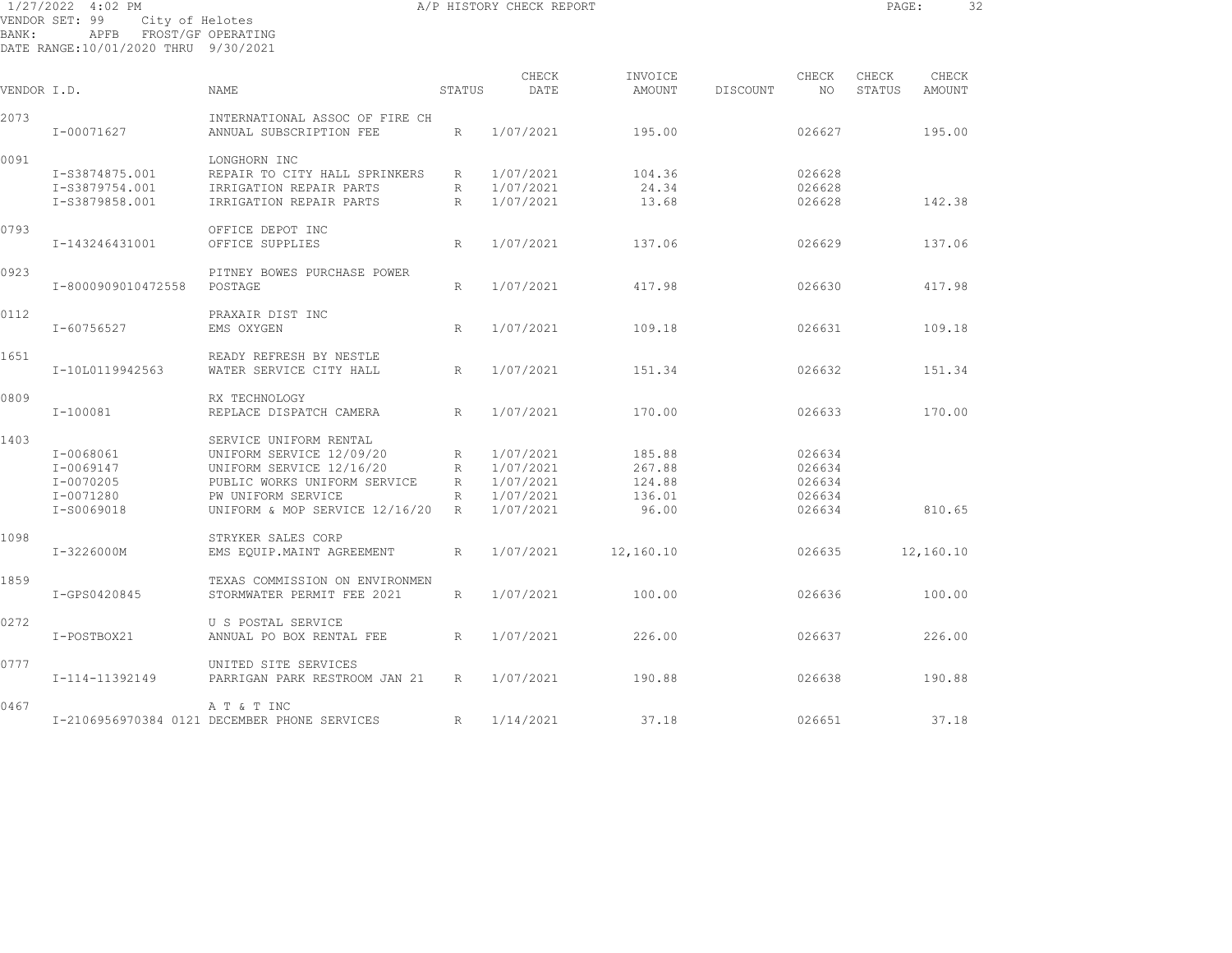| BANK:       | 1/27/2022 4:02 PM<br>VENDOR SET: 99<br>APFB FROST/GF OPERATING<br>DATE RANGE:10/01/2020 THRU 9/30/2021 | City of Helotes                                           |        | A/P HISTORY CHECK REPORT |                   |          |             | PAGE:           |                 | 32 |
|-------------|--------------------------------------------------------------------------------------------------------|-----------------------------------------------------------|--------|--------------------------|-------------------|----------|-------------|-----------------|-----------------|----|
| VENDOR I.D. |                                                                                                        | <b>NAME</b>                                               | STATUS | CHECK<br>DATE            | INVOICE<br>AMOUNT | DISCOUNT | CHECK<br>NO | CHECK<br>STATUS | CHECK<br>AMOUNT |    |
|             |                                                                                                        |                                                           |        |                          |                   |          |             |                 |                 |    |
| 2073        | I-00071627                                                                                             | INTERNATIONAL ASSOC OF FIRE CH<br>ANNUAL SUBSCRIPTION FEE | R      | 1/07/2021                | 195.00            |          | 026627      |                 | 195.00          |    |
| 0091        |                                                                                                        | LONGHORN INC                                              |        |                          |                   |          |             |                 |                 |    |
|             | I-S3874875.001                                                                                         | REPAIR TO CITY HALL SPRINKERS                             | R      | 1/07/2021                | 104.36            |          | 026628      |                 |                 |    |
|             | I-S3879754.001                                                                                         | IRRIGATION REPAIR PARTS                                   | R      | 1/07/2021                | 24.34             |          | 026628      |                 |                 |    |
|             | I-S3879858.001                                                                                         | IRRIGATION REPAIR PARTS                                   | R      | 1/07/2021                | 13.68             |          | 026628      |                 | 142.38          |    |
| 0793        |                                                                                                        | OFFICE DEPOT INC                                          |        |                          |                   |          |             |                 |                 |    |
|             | I-143246431001                                                                                         | OFFICE SUPPLIES                                           | R      | 1/07/2021                | 137.06            |          | 026629      |                 | 137.06          |    |
| 0923        |                                                                                                        | PITNEY BOWES PURCHASE POWER                               |        |                          |                   |          |             |                 |                 |    |
|             | I-8000909010472558                                                                                     | POSTAGE                                                   | R      | 1/07/2021                | 417.98            |          | 026630      |                 | 417.98          |    |
| 0112        |                                                                                                        | PRAXAIR DIST INC                                          |        |                          |                   |          |             |                 |                 |    |
|             | I-60756527                                                                                             | EMS OXYGEN                                                | R      | 1/07/2021                | 109.18            |          | 026631      |                 | 109.18          |    |
| 1651        |                                                                                                        | READY REFRESH BY NESTLE                                   |        |                          |                   |          |             |                 |                 |    |
|             | I-10L0119942563                                                                                        | WATER SERVICE CITY HALL                                   | R      | 1/07/2021                | 151.34            |          | 026632      |                 | 151.34          |    |
| 0809        |                                                                                                        | RX TECHNOLOGY                                             |        |                          |                   |          |             |                 |                 |    |
|             | I-100081                                                                                               | REPLACE DISPATCH CAMERA                                   | R      | 1/07/2021                | 170.00            |          | 026633      |                 | 170.00          |    |
| 1403        |                                                                                                        | SERVICE UNIFORM RENTAL                                    |        |                          |                   |          |             |                 |                 |    |
|             | $I - 0068061$                                                                                          | UNIFORM SERVICE 12/09/20                                  | R      | 1/07/2021                | 185.88            |          | 026634      |                 |                 |    |
|             | $I - 0069147$                                                                                          | UNIFORM SERVICE 12/16/20                                  | R      | 1/07/2021                | 267.88            |          | 026634      |                 |                 |    |
|             | $I - 0070205$                                                                                          | PUBLIC WORKS UNIFORM SERVICE                              | R      | 1/07/2021                | 124.88            |          | 026634      |                 |                 |    |
|             | I-0071280                                                                                              | PW UNIFORM SERVICE                                        | R      | 1/07/2021                | 136.01            |          | 026634      |                 |                 |    |
|             | I-S0069018                                                                                             | UNIFORM & MOP SERVICE 12/16/20                            | R      | 1/07/2021                | 96.00             |          | 026634      |                 | 810.65          |    |
| 1098        |                                                                                                        | STRYKER SALES CORP                                        |        |                          |                   |          |             |                 |                 |    |
|             | I-3226000M                                                                                             | EMS EOUIP.MAINT AGREEMENT                                 | R      | 1/07/2021                | 12,160.10         |          | 026635      |                 | 12,160.10       |    |
| 1859        |                                                                                                        | TEXAS COMMISSION ON ENVIRONMEN                            |        |                          |                   |          |             |                 |                 |    |
|             | I-GPS0420845                                                                                           | STORMWATER PERMIT FEE 2021                                | R      | 1/07/2021                | 100.00            |          | 026636      |                 | 100.00          |    |
| 0272        |                                                                                                        | U S POSTAL SERVICE                                        |        |                          |                   |          |             |                 |                 |    |
|             | I-POSTBOX21                                                                                            | ANNUAL PO BOX RENTAL FEE                                  | R      | 1/07/2021                | 226.00            |          | 026637      |                 | 226.00          |    |
| 0777        |                                                                                                        | UNITED SITE SERVICES                                      |        |                          |                   |          |             |                 |                 |    |
|             | I-114-11392149                                                                                         | PARRIGAN PARK RESTROOM JAN 21                             | R      | 1/07/2021                | 190.88            |          | 026638      |                 | 190.88          |    |

I-2106956970384 0121 DECEMBER PHONE SERVICES R 1/14/2021 37.18 026651 37.18

0467 A T & T INC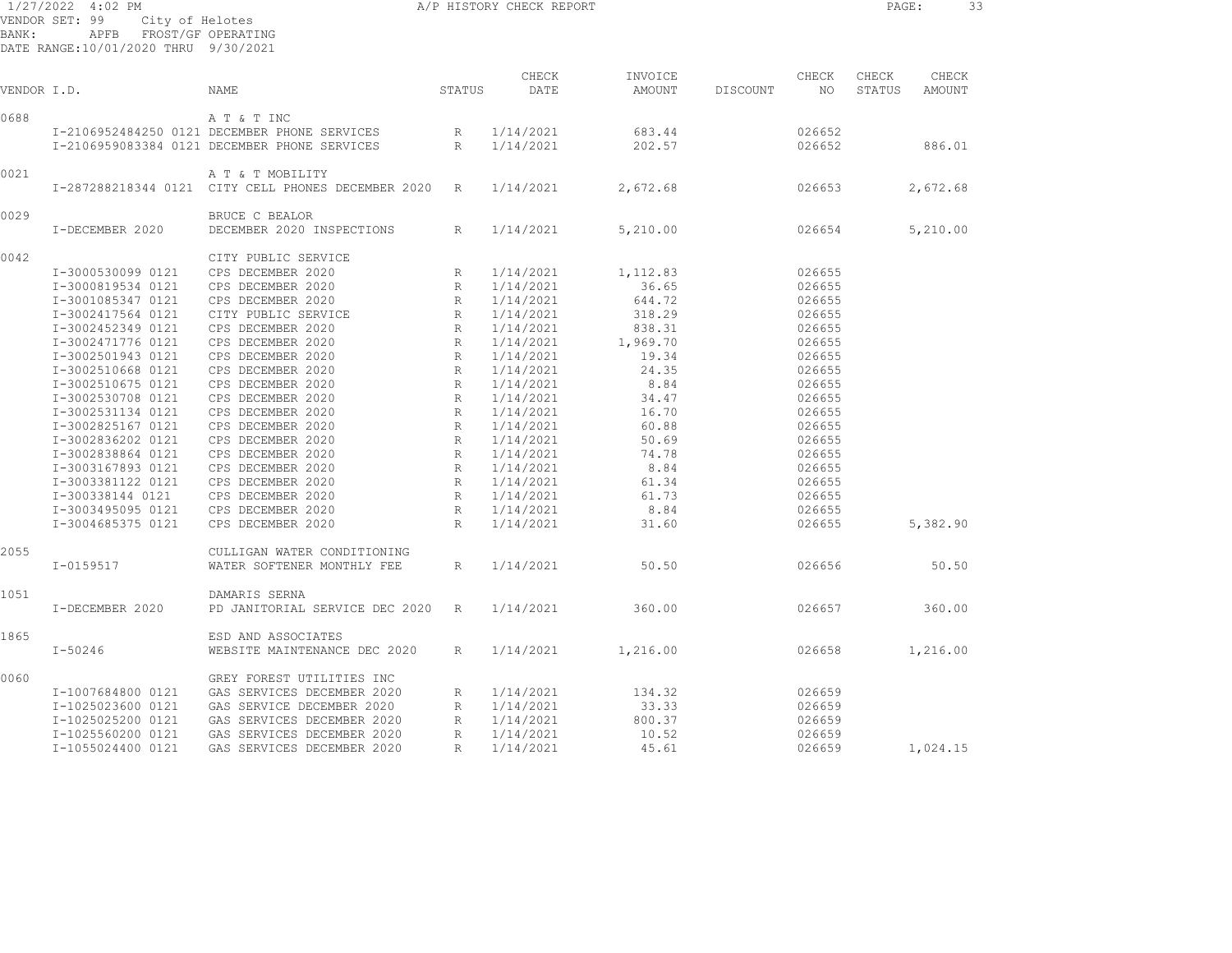| CHECK<br>INVOICE<br>CHECK<br>CHECK<br>STATUS<br>DATE<br>AMOUNT<br>NO<br>VENDOR I.D.<br>NAME<br>DISCOUNT<br>STATUS<br>A T & T INC<br>I-2106952484250 0121 DECEMBER PHONE SERVICES<br>1/14/2021<br>683.44<br>026652<br>R<br>I-2106959083384 0121 DECEMBER PHONE SERVICES<br>R<br>1/14/2021<br>202.57<br>026652<br>A T & T MOBILITY<br>I-287288218344 0121 CITY CELL PHONES DECEMBER 2020 R<br>1/14/2021<br>2,672.68<br>026653<br>BRUCE C BEALOR<br>I-DECEMBER 2020<br>DECEMBER 2020 INSPECTIONS<br>1/14/2021<br>5,210.00<br>026654<br>R<br>CITY PUBLIC SERVICE<br>CPS DECEMBER 2020<br>I-3000530099 0121<br>R<br>1/14/2021<br>1,112.83<br>026655<br>CPS DECEMBER 2020<br>I-3000819534 0121<br>1/14/2021<br>36.65<br>026655<br>R<br>CPS DECEMBER 2020<br>I-3001085347 0121<br>R<br>1/14/2021<br>644.72<br>026655<br>I-3002417564 0121<br>CITY PUBLIC SERVICE<br>318.29<br>R 1/14/2021<br>026655<br>I-3002452349 0121<br>CPS DECEMBER 2020<br>R 1/14/2021<br>838.31<br>026655<br>I-3002471776 0121<br>CPS DECEMBER 2020<br>1,969.70<br>R<br>1/14/2021<br>026655<br>I-3002501943 0121<br>CPS DECEMBER 2020<br>R 1/14/2021<br>19.34<br>026655<br>CPS DECEMBER 2020<br>24.35<br>I-3002510668 0121<br>R 1/14/2021<br>026655<br>CPS DECEMBER 2020<br>8.84<br>I-3002510675 0121<br>R 1/14/2021<br>026655<br>CPS DECEMBER 2020<br>I-3002530708 0121<br>R 1/14/2021<br>34.47<br>026655<br>I-3002531134 0121<br>CPS DECEMBER 2020<br>R<br>1/14/2021<br>16.70<br>026655<br>I-3002825167 0121<br>CPS DECEMBER 2020<br>R 1/14/2021<br>60.88<br>026655<br>CPS DECEMBER 2020<br>50.69<br>I-3002836202 0121<br>R 1/14/2021<br>026655<br>I-3002838864 0121<br>CPS DECEMBER 2020<br>74.78<br>R 1/14/2021<br>026655<br>CPS DECEMBER 2020<br>8.84<br>I-3003167893 0121<br>R<br>1/14/2021<br>026655<br>CPS DECEMBER 2020<br>I-3003381122 0121<br>R 1/14/2021<br>61.34<br>026655<br>CPS DECEMBER 2020<br>61.73<br>I-300338144 0121<br>R 1/14/2021<br>026655<br>I-3003495095 0121<br>CPS DECEMBER 2020<br>R 1/14/2021<br>8.84<br>026655<br>I-3004685375 0121<br>CPS DECEMBER 2020<br>31.60<br>$R_{\perp}$<br>1/14/2021<br>026655<br>CULLIGAN WATER CONDITIONING<br>I-0159517<br>WATER SOFTENER MONTHLY FEE<br>1/14/2021<br>50.50<br>026656<br>R<br>DAMARIS SERNA<br>PD JANITORIAL SERVICE DEC 2020<br>1/14/2021<br>360.00<br>026657<br>I-DECEMBER 2020<br>R | 33              |
|-----------------------------------------------------------------------------------------------------------------------------------------------------------------------------------------------------------------------------------------------------------------------------------------------------------------------------------------------------------------------------------------------------------------------------------------------------------------------------------------------------------------------------------------------------------------------------------------------------------------------------------------------------------------------------------------------------------------------------------------------------------------------------------------------------------------------------------------------------------------------------------------------------------------------------------------------------------------------------------------------------------------------------------------------------------------------------------------------------------------------------------------------------------------------------------------------------------------------------------------------------------------------------------------------------------------------------------------------------------------------------------------------------------------------------------------------------------------------------------------------------------------------------------------------------------------------------------------------------------------------------------------------------------------------------------------------------------------------------------------------------------------------------------------------------------------------------------------------------------------------------------------------------------------------------------------------------------------------------------------------------------------------------------------------------------------------------------------------------------------------------------------------------------------------------------------------------------------------------------------------------------------------------------------------------------------------------------|-----------------|
| 0688<br>0021<br>0029<br>0042<br>2055<br>1051                                                                                                                                                                                                                                                                                                                                                                                                                                                                                                                                                                                                                                                                                                                                                                                                                                                                                                                                                                                                                                                                                                                                                                                                                                                                                                                                                                                                                                                                                                                                                                                                                                                                                                                                                                                                                                                                                                                                                                                                                                                                                                                                                                                                                                                                                      | CHECK<br>AMOUNT |
|                                                                                                                                                                                                                                                                                                                                                                                                                                                                                                                                                                                                                                                                                                                                                                                                                                                                                                                                                                                                                                                                                                                                                                                                                                                                                                                                                                                                                                                                                                                                                                                                                                                                                                                                                                                                                                                                                                                                                                                                                                                                                                                                                                                                                                                                                                                                   |                 |
|                                                                                                                                                                                                                                                                                                                                                                                                                                                                                                                                                                                                                                                                                                                                                                                                                                                                                                                                                                                                                                                                                                                                                                                                                                                                                                                                                                                                                                                                                                                                                                                                                                                                                                                                                                                                                                                                                                                                                                                                                                                                                                                                                                                                                                                                                                                                   | 886.01          |
|                                                                                                                                                                                                                                                                                                                                                                                                                                                                                                                                                                                                                                                                                                                                                                                                                                                                                                                                                                                                                                                                                                                                                                                                                                                                                                                                                                                                                                                                                                                                                                                                                                                                                                                                                                                                                                                                                                                                                                                                                                                                                                                                                                                                                                                                                                                                   |                 |
|                                                                                                                                                                                                                                                                                                                                                                                                                                                                                                                                                                                                                                                                                                                                                                                                                                                                                                                                                                                                                                                                                                                                                                                                                                                                                                                                                                                                                                                                                                                                                                                                                                                                                                                                                                                                                                                                                                                                                                                                                                                                                                                                                                                                                                                                                                                                   | 2,672.68        |
|                                                                                                                                                                                                                                                                                                                                                                                                                                                                                                                                                                                                                                                                                                                                                                                                                                                                                                                                                                                                                                                                                                                                                                                                                                                                                                                                                                                                                                                                                                                                                                                                                                                                                                                                                                                                                                                                                                                                                                                                                                                                                                                                                                                                                                                                                                                                   |                 |
|                                                                                                                                                                                                                                                                                                                                                                                                                                                                                                                                                                                                                                                                                                                                                                                                                                                                                                                                                                                                                                                                                                                                                                                                                                                                                                                                                                                                                                                                                                                                                                                                                                                                                                                                                                                                                                                                                                                                                                                                                                                                                                                                                                                                                                                                                                                                   | 5,210.00        |
|                                                                                                                                                                                                                                                                                                                                                                                                                                                                                                                                                                                                                                                                                                                                                                                                                                                                                                                                                                                                                                                                                                                                                                                                                                                                                                                                                                                                                                                                                                                                                                                                                                                                                                                                                                                                                                                                                                                                                                                                                                                                                                                                                                                                                                                                                                                                   |                 |
|                                                                                                                                                                                                                                                                                                                                                                                                                                                                                                                                                                                                                                                                                                                                                                                                                                                                                                                                                                                                                                                                                                                                                                                                                                                                                                                                                                                                                                                                                                                                                                                                                                                                                                                                                                                                                                                                                                                                                                                                                                                                                                                                                                                                                                                                                                                                   |                 |
|                                                                                                                                                                                                                                                                                                                                                                                                                                                                                                                                                                                                                                                                                                                                                                                                                                                                                                                                                                                                                                                                                                                                                                                                                                                                                                                                                                                                                                                                                                                                                                                                                                                                                                                                                                                                                                                                                                                                                                                                                                                                                                                                                                                                                                                                                                                                   |                 |
|                                                                                                                                                                                                                                                                                                                                                                                                                                                                                                                                                                                                                                                                                                                                                                                                                                                                                                                                                                                                                                                                                                                                                                                                                                                                                                                                                                                                                                                                                                                                                                                                                                                                                                                                                                                                                                                                                                                                                                                                                                                                                                                                                                                                                                                                                                                                   |                 |
|                                                                                                                                                                                                                                                                                                                                                                                                                                                                                                                                                                                                                                                                                                                                                                                                                                                                                                                                                                                                                                                                                                                                                                                                                                                                                                                                                                                                                                                                                                                                                                                                                                                                                                                                                                                                                                                                                                                                                                                                                                                                                                                                                                                                                                                                                                                                   |                 |
|                                                                                                                                                                                                                                                                                                                                                                                                                                                                                                                                                                                                                                                                                                                                                                                                                                                                                                                                                                                                                                                                                                                                                                                                                                                                                                                                                                                                                                                                                                                                                                                                                                                                                                                                                                                                                                                                                                                                                                                                                                                                                                                                                                                                                                                                                                                                   |                 |
|                                                                                                                                                                                                                                                                                                                                                                                                                                                                                                                                                                                                                                                                                                                                                                                                                                                                                                                                                                                                                                                                                                                                                                                                                                                                                                                                                                                                                                                                                                                                                                                                                                                                                                                                                                                                                                                                                                                                                                                                                                                                                                                                                                                                                                                                                                                                   |                 |
|                                                                                                                                                                                                                                                                                                                                                                                                                                                                                                                                                                                                                                                                                                                                                                                                                                                                                                                                                                                                                                                                                                                                                                                                                                                                                                                                                                                                                                                                                                                                                                                                                                                                                                                                                                                                                                                                                                                                                                                                                                                                                                                                                                                                                                                                                                                                   |                 |
|                                                                                                                                                                                                                                                                                                                                                                                                                                                                                                                                                                                                                                                                                                                                                                                                                                                                                                                                                                                                                                                                                                                                                                                                                                                                                                                                                                                                                                                                                                                                                                                                                                                                                                                                                                                                                                                                                                                                                                                                                                                                                                                                                                                                                                                                                                                                   |                 |
|                                                                                                                                                                                                                                                                                                                                                                                                                                                                                                                                                                                                                                                                                                                                                                                                                                                                                                                                                                                                                                                                                                                                                                                                                                                                                                                                                                                                                                                                                                                                                                                                                                                                                                                                                                                                                                                                                                                                                                                                                                                                                                                                                                                                                                                                                                                                   |                 |
|                                                                                                                                                                                                                                                                                                                                                                                                                                                                                                                                                                                                                                                                                                                                                                                                                                                                                                                                                                                                                                                                                                                                                                                                                                                                                                                                                                                                                                                                                                                                                                                                                                                                                                                                                                                                                                                                                                                                                                                                                                                                                                                                                                                                                                                                                                                                   |                 |
|                                                                                                                                                                                                                                                                                                                                                                                                                                                                                                                                                                                                                                                                                                                                                                                                                                                                                                                                                                                                                                                                                                                                                                                                                                                                                                                                                                                                                                                                                                                                                                                                                                                                                                                                                                                                                                                                                                                                                                                                                                                                                                                                                                                                                                                                                                                                   |                 |
|                                                                                                                                                                                                                                                                                                                                                                                                                                                                                                                                                                                                                                                                                                                                                                                                                                                                                                                                                                                                                                                                                                                                                                                                                                                                                                                                                                                                                                                                                                                                                                                                                                                                                                                                                                                                                                                                                                                                                                                                                                                                                                                                                                                                                                                                                                                                   |                 |
|                                                                                                                                                                                                                                                                                                                                                                                                                                                                                                                                                                                                                                                                                                                                                                                                                                                                                                                                                                                                                                                                                                                                                                                                                                                                                                                                                                                                                                                                                                                                                                                                                                                                                                                                                                                                                                                                                                                                                                                                                                                                                                                                                                                                                                                                                                                                   |                 |
|                                                                                                                                                                                                                                                                                                                                                                                                                                                                                                                                                                                                                                                                                                                                                                                                                                                                                                                                                                                                                                                                                                                                                                                                                                                                                                                                                                                                                                                                                                                                                                                                                                                                                                                                                                                                                                                                                                                                                                                                                                                                                                                                                                                                                                                                                                                                   |                 |
|                                                                                                                                                                                                                                                                                                                                                                                                                                                                                                                                                                                                                                                                                                                                                                                                                                                                                                                                                                                                                                                                                                                                                                                                                                                                                                                                                                                                                                                                                                                                                                                                                                                                                                                                                                                                                                                                                                                                                                                                                                                                                                                                                                                                                                                                                                                                   |                 |
|                                                                                                                                                                                                                                                                                                                                                                                                                                                                                                                                                                                                                                                                                                                                                                                                                                                                                                                                                                                                                                                                                                                                                                                                                                                                                                                                                                                                                                                                                                                                                                                                                                                                                                                                                                                                                                                                                                                                                                                                                                                                                                                                                                                                                                                                                                                                   |                 |
|                                                                                                                                                                                                                                                                                                                                                                                                                                                                                                                                                                                                                                                                                                                                                                                                                                                                                                                                                                                                                                                                                                                                                                                                                                                                                                                                                                                                                                                                                                                                                                                                                                                                                                                                                                                                                                                                                                                                                                                                                                                                                                                                                                                                                                                                                                                                   |                 |
|                                                                                                                                                                                                                                                                                                                                                                                                                                                                                                                                                                                                                                                                                                                                                                                                                                                                                                                                                                                                                                                                                                                                                                                                                                                                                                                                                                                                                                                                                                                                                                                                                                                                                                                                                                                                                                                                                                                                                                                                                                                                                                                                                                                                                                                                                                                                   |                 |
|                                                                                                                                                                                                                                                                                                                                                                                                                                                                                                                                                                                                                                                                                                                                                                                                                                                                                                                                                                                                                                                                                                                                                                                                                                                                                                                                                                                                                                                                                                                                                                                                                                                                                                                                                                                                                                                                                                                                                                                                                                                                                                                                                                                                                                                                                                                                   | 5,382.90        |
|                                                                                                                                                                                                                                                                                                                                                                                                                                                                                                                                                                                                                                                                                                                                                                                                                                                                                                                                                                                                                                                                                                                                                                                                                                                                                                                                                                                                                                                                                                                                                                                                                                                                                                                                                                                                                                                                                                                                                                                                                                                                                                                                                                                                                                                                                                                                   |                 |
|                                                                                                                                                                                                                                                                                                                                                                                                                                                                                                                                                                                                                                                                                                                                                                                                                                                                                                                                                                                                                                                                                                                                                                                                                                                                                                                                                                                                                                                                                                                                                                                                                                                                                                                                                                                                                                                                                                                                                                                                                                                                                                                                                                                                                                                                                                                                   | 50.50           |
|                                                                                                                                                                                                                                                                                                                                                                                                                                                                                                                                                                                                                                                                                                                                                                                                                                                                                                                                                                                                                                                                                                                                                                                                                                                                                                                                                                                                                                                                                                                                                                                                                                                                                                                                                                                                                                                                                                                                                                                                                                                                                                                                                                                                                                                                                                                                   |                 |
|                                                                                                                                                                                                                                                                                                                                                                                                                                                                                                                                                                                                                                                                                                                                                                                                                                                                                                                                                                                                                                                                                                                                                                                                                                                                                                                                                                                                                                                                                                                                                                                                                                                                                                                                                                                                                                                                                                                                                                                                                                                                                                                                                                                                                                                                                                                                   | 360.00          |
| 1865<br>ESD AND ASSOCIATES                                                                                                                                                                                                                                                                                                                                                                                                                                                                                                                                                                                                                                                                                                                                                                                                                                                                                                                                                                                                                                                                                                                                                                                                                                                                                                                                                                                                                                                                                                                                                                                                                                                                                                                                                                                                                                                                                                                                                                                                                                                                                                                                                                                                                                                                                                        |                 |
| $I - 50246$<br>WEBSITE MAINTENANCE DEC 2020<br>1/14/2021<br>1,216.00<br>026658<br>R                                                                                                                                                                                                                                                                                                                                                                                                                                                                                                                                                                                                                                                                                                                                                                                                                                                                                                                                                                                                                                                                                                                                                                                                                                                                                                                                                                                                                                                                                                                                                                                                                                                                                                                                                                                                                                                                                                                                                                                                                                                                                                                                                                                                                                               | 1,216.00        |
| 0060<br>GREY FOREST UTILITIES INC                                                                                                                                                                                                                                                                                                                                                                                                                                                                                                                                                                                                                                                                                                                                                                                                                                                                                                                                                                                                                                                                                                                                                                                                                                                                                                                                                                                                                                                                                                                                                                                                                                                                                                                                                                                                                                                                                                                                                                                                                                                                                                                                                                                                                                                                                                 |                 |
| I-1007684800 0121<br>1/14/2021<br>GAS SERVICES DECEMBER 2020<br>134.32<br>026659<br>R                                                                                                                                                                                                                                                                                                                                                                                                                                                                                                                                                                                                                                                                                                                                                                                                                                                                                                                                                                                                                                                                                                                                                                                                                                                                                                                                                                                                                                                                                                                                                                                                                                                                                                                                                                                                                                                                                                                                                                                                                                                                                                                                                                                                                                             |                 |
| I-1025023600 0121<br>GAS SERVICE DECEMBER 2020<br>R 1/14/2021<br>33.33<br>026659                                                                                                                                                                                                                                                                                                                                                                                                                                                                                                                                                                                                                                                                                                                                                                                                                                                                                                                                                                                                                                                                                                                                                                                                                                                                                                                                                                                                                                                                                                                                                                                                                                                                                                                                                                                                                                                                                                                                                                                                                                                                                                                                                                                                                                                  |                 |
| I-1025025200 0121<br>800.37<br>GAS SERVICES DECEMBER 2020<br>R 1/14/2021<br>026659                                                                                                                                                                                                                                                                                                                                                                                                                                                                                                                                                                                                                                                                                                                                                                                                                                                                                                                                                                                                                                                                                                                                                                                                                                                                                                                                                                                                                                                                                                                                                                                                                                                                                                                                                                                                                                                                                                                                                                                                                                                                                                                                                                                                                                                |                 |
| I-1025560200 0121<br>GAS SERVICES DECEMBER 2020<br>1/14/2021<br>10.52<br>026659<br>$R_{\parallel}$                                                                                                                                                                                                                                                                                                                                                                                                                                                                                                                                                                                                                                                                                                                                                                                                                                                                                                                                                                                                                                                                                                                                                                                                                                                                                                                                                                                                                                                                                                                                                                                                                                                                                                                                                                                                                                                                                                                                                                                                                                                                                                                                                                                                                                |                 |
| I-1055024400 0121<br>GAS SERVICES DECEMBER 2020<br>R<br>1/14/2021<br>45.61<br>026659                                                                                                                                                                                                                                                                                                                                                                                                                                                                                                                                                                                                                                                                                                                                                                                                                                                                                                                                                                                                                                                                                                                                                                                                                                                                                                                                                                                                                                                                                                                                                                                                                                                                                                                                                                                                                                                                                                                                                                                                                                                                                                                                                                                                                                              | 1,024.15        |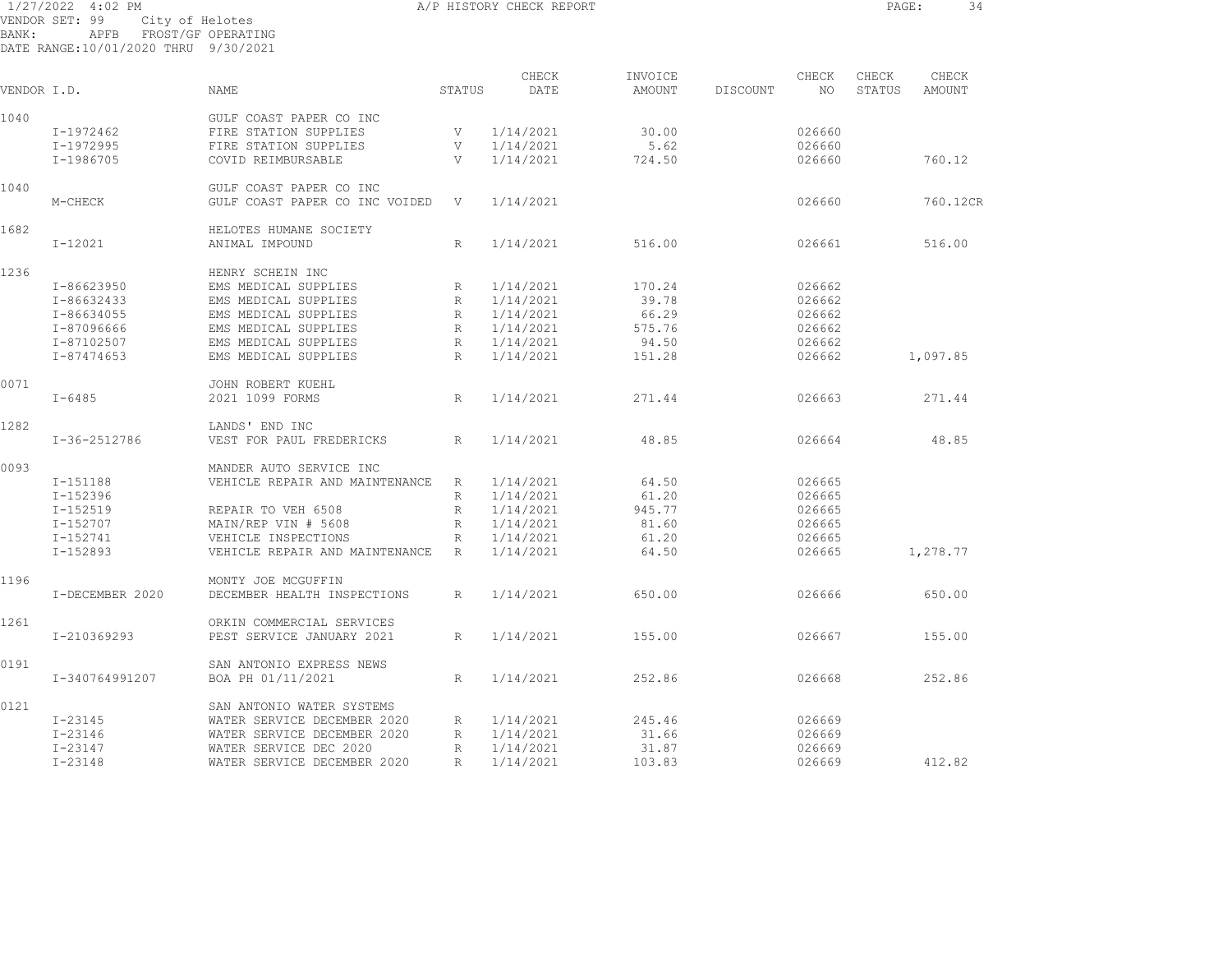|             | 1/27/2022<br>4:02 PM                 |                                               |             | A/P HISTORY CHECK REPORT |         |          |        | PAGE:  | 34       |
|-------------|--------------------------------------|-----------------------------------------------|-------------|--------------------------|---------|----------|--------|--------|----------|
| BANK:       | VENDOR SET: 99<br>APFB               | City of Helotes<br>FROST/GF OPERATING         |             |                          |         |          |        |        |          |
|             | DATE RANGE:10/01/2020 THRU 9/30/2021 |                                               |             |                          |         |          |        |        |          |
|             |                                      |                                               |             |                          |         |          |        |        |          |
|             |                                      |                                               |             | CHECK                    | INVOICE |          | CHECK  | CHECK  | CHECK    |
| VENDOR I.D. |                                      | <b>NAME</b>                                   | STATUS      | DATE                     | AMOUNT  | DISCOUNT | NO.    | STATUS | AMOUNT   |
| 1040        |                                      | GULF COAST PAPER CO INC                       |             |                          |         |          |        |        |          |
|             | I-1972462                            | FIRE STATION SUPPLIES                         | V           | 1/14/2021                | 30.00   |          | 026660 |        |          |
|             | I-1972995                            | FIRE STATION SUPPLIES                         | V           | 1/14/2021                | 5.62    |          | 026660 |        |          |
|             | I-1986705                            | COVID REIMBURSABLE                            | V           | 1/14/2021                | 724.50  |          | 026660 |        | 760.12   |
| 1040        |                                      | GULF COAST PAPER CO INC                       |             |                          |         |          |        |        |          |
|             | M-CHECK                              | GULF COAST PAPER CO INC VOIDED                | V           | 1/14/2021                |         |          | 026660 |        | 760.12CR |
|             |                                      |                                               |             |                          |         |          |        |        |          |
| 1682        |                                      | HELOTES HUMANE SOCIETY                        |             |                          |         |          |        |        |          |
|             | I-12021                              | ANIMAL IMPOUND                                | R           | 1/14/2021                | 516.00  |          | 026661 |        | 516.00   |
| 1236        |                                      | HENRY SCHEIN INC                              |             |                          |         |          |        |        |          |
|             | I-86623950                           | EMS MEDICAL SUPPLIES                          | R           | 1/14/2021                | 170.24  |          | 026662 |        |          |
|             | I-86632433                           | EMS MEDICAL SUPPLIES                          | R           | 1/14/2021                | 39.78   |          | 026662 |        |          |
|             | I-86634055                           | EMS MEDICAL SUPPLIES                          | $R_{\rm}$   | 1/14/2021                | 66.29   |          | 026662 |        |          |
|             | I-87096666                           | EMS MEDICAL SUPPLIES                          | R           | 1/14/2021                | 575.76  |          | 026662 |        |          |
|             | I-87102507                           | EMS MEDICAL SUPPLIES                          | $\mathbb R$ | 1/14/2021                | 94.50   |          | 026662 |        |          |
|             | I-87474653                           | EMS MEDICAL SUPPLIES                          | R           | 1/14/2021                | 151.28  |          | 026662 |        | 1,097.85 |
|             |                                      |                                               |             |                          |         |          |        |        |          |
| 0071        |                                      | JOHN ROBERT KUEHL                             |             |                          |         |          |        |        |          |
|             | $I - 6485$                           | 2021 1099 FORMS                               | R           | 1/14/2021                | 271.44  |          | 026663 |        | 271.44   |
| 1282        |                                      | LANDS' END INC                                |             |                          |         |          |        |        |          |
|             | I-36-2512786                         | VEST FOR PAUL FREDERICKS                      | R           | 1/14/2021                | 48.85   |          | 026664 |        | 48.85    |
| 0093        |                                      | MANDER AUTO SERVICE INC                       |             |                          |         |          |        |        |          |
|             | I-151188                             | VEHICLE REPAIR AND MAINTENANCE                | R           | 1/14/2021                | 64.50   |          | 026665 |        |          |
|             | $I - 152396$                         |                                               | R           | 1/14/2021                | 61.20   |          | 026665 |        |          |
|             | $I - 152519$                         | REPAIR TO VEH 6508                            | $R_{\rm}$   | 1/14/2021                | 945.77  |          | 026665 |        |          |
|             | I-152707                             | MAIN/REP VIN # 5608                           | R           | 1/14/2021                | 81.60   |          | 026665 |        |          |
|             | I-152741                             | VEHICLE INSPECTIONS                           | R           | 1/14/2021                | 61.20   |          | 026665 |        |          |
|             | $I - 152893$                         | VEHICLE REPAIR AND MAINTENANCE                | R           | 1/14/2021                | 64.50   |          | 026665 |        | 1,278.77 |
|             |                                      |                                               |             |                          |         |          |        |        |          |
| 1196        |                                      | MONTY JOE MCGUFFIN                            |             |                          |         |          |        |        |          |
|             | I-DECEMBER 2020                      | DECEMBER HEALTH INSPECTIONS                   | R           | 1/14/2021                | 650.00  |          | 026666 |        | 650.00   |
| 1261        |                                      | ORKIN COMMERCIAL SERVICES                     |             |                          |         |          |        |        |          |
|             | I-210369293                          | PEST SERVICE JANUARY 2021                     | R           | 1/14/2021                | 155.00  |          | 026667 |        | 155.00   |
| 0191        |                                      |                                               |             |                          |         |          |        |        |          |
|             | I-340764991207                       | SAN ANTONIO EXPRESS NEWS<br>BOA PH 01/11/2021 | R           | 1/14/2021                | 252.86  |          | 026668 |        | 252.86   |
|             |                                      |                                               |             |                          |         |          |        |        |          |
| 0121        |                                      | SAN ANTONIO WATER SYSTEMS                     |             |                          |         |          |        |        |          |
|             | $I - 23145$                          | WATER SERVICE DECEMBER 2020                   | R           | 1/14/2021                | 245.46  |          | 026669 |        |          |

 I-23146 WATER SERVICE DECEMBER 2020 R 1/14/2021 31.66 026669 I-23147 WATER SERVICE DEC 2020 R 1/14/2021 31.87 026669

I-23148 WATER SERVICE DECEMBER 2020 R 1/14/2021 103.83 026669 412.82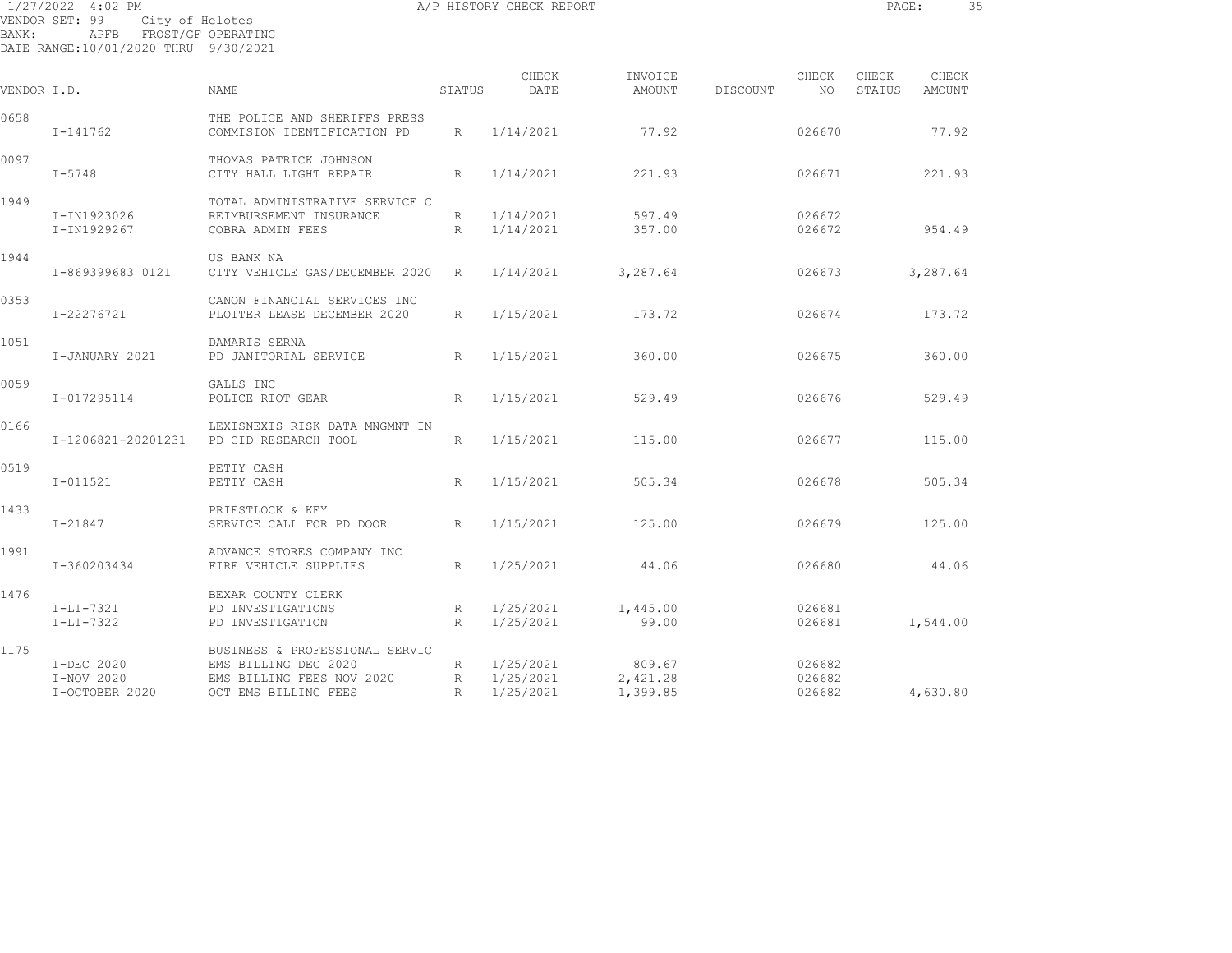| $1/27/2022$ 4:02 PM |                                      | A/P HISTORY CHECK REPORT                   |                 |           |          |          |        | PAGE:  |          | 35 |
|---------------------|--------------------------------------|--------------------------------------------|-----------------|-----------|----------|----------|--------|--------|----------|----|
|                     | VENDOR SET: 99                       | City of Helotes                            |                 |           |          |          |        |        |          |    |
| BANK:               | APFB                                 | FROST/GF OPERATING                         |                 |           |          |          |        |        |          |    |
|                     | DATE RANGE:10/01/2020 THRU 9/30/2021 |                                            |                 |           |          |          |        |        |          |    |
|                     |                                      |                                            |                 | CHECK     | INVOICE  |          | CHECK  | CHECK  | CHECK    |    |
| VENDOR I.D.         |                                      | NAME                                       | STATUS          | DATE      | AMOUNT   | DISCOUNT | NO     | STATUS | AMOUNT   |    |
| 0658                |                                      | THE POLICE AND SHERIFFS PRESS              |                 |           |          |          |        |        |          |    |
|                     | I-141762                             | COMMISION IDENTIFICATION PD                | R               | 1/14/2021 | 77.92    |          | 026670 |        | 77.92    |    |
| 0097                |                                      | THOMAS PATRICK JOHNSON                     |                 |           |          |          |        |        |          |    |
|                     | I-5748                               | CITY HALL LIGHT REPAIR                     | R               | 1/14/2021 | 221.93   |          | 026671 |        | 221.93   |    |
| 1949                |                                      | TOTAL ADMINISTRATIVE SERVICE C             |                 |           |          |          |        |        |          |    |
|                     | I-IN1923026                          | REIMBURSEMENT INSURANCE                    | $R_{\parallel}$ | 1/14/2021 | 597.49   |          | 026672 |        |          |    |
|                     | I-IN1929267                          | COBRA ADMIN FEES                           | R               | 1/14/2021 | 357.00   |          | 026672 |        | 954.49   |    |
| 1944                |                                      | US BANK NA                                 |                 |           |          |          |        |        |          |    |
|                     | I-869399683 0121                     | CITY VEHICLE GAS/DECEMBER 2020 R 1/14/2021 |                 |           | 3,287.64 |          | 026673 |        | 3,287.64 |    |
| 0353                |                                      | CANON FINANCIAL SERVICES INC               |                 |           |          |          |        |        |          |    |
|                     | I-22276721                           | PLOTTER LEASE DECEMBER 2020                | R               | 1/15/2021 | 173.72   |          | 026674 |        | 173.72   |    |
| 1051                |                                      | DAMARIS SERNA                              |                 |           |          |          |        |        |          |    |
|                     | I-JANUARY 2021                       | PD JANITORIAL SERVICE<br>$\mathbb{R}$      |                 | 1/15/2021 | 360.00   |          | 026675 |        | 360.00   |    |
| 0059                |                                      | GALLS INC                                  |                 |           |          |          |        |        |          |    |
|                     | I-017295114                          | POLICE RIOT GEAR                           | R               | 1/15/2021 | 529.49   |          | 026676 |        | 529.49   |    |

I-1206821-20201231 PD CID RESEARCH TOOL R 1/15/2021 115.00 026677 115.00

I-011521 PETTY CASH R 1/15/2021 505.34 026678 505.34

I-21847 SERVICE CALL FOR PD DOOR R 1/15/2021 125.00 026679 125.00

I-360203434 FIRE VEHICLE SUPPLIES R 1/25/2021 44.06 026680 44.06

I-L1-7322 PD INVESTIGATION R 1/25/2021 99.00 026681 1,544.00

I-OCTOBER 2020 OCT EMS BILLING FEES R 1/25/2021 1,399.85 026682 4,630.80

I-L1-7321 PD INVESTIGATIONS R 1/25/2021 1,445.00 026681

 I-DEC 2020 EMS BILLING DEC 2020 R 1/25/2021 809.67 026682 I-NOV 2020 EMS BILLING FEES NOV 2020 R 1/25/2021 2,421.28 026682

0166 LEXISNEXIS RISK DATA MNGMNT IN

1991 ADVANCE STORES COMPANY INC

1175 BUSINESS & PROFESSIONAL SERVIC

0519 PETTY CASH

1433 PRIESTLOCK & KEY

1476 BEXAR COUNTY CLERK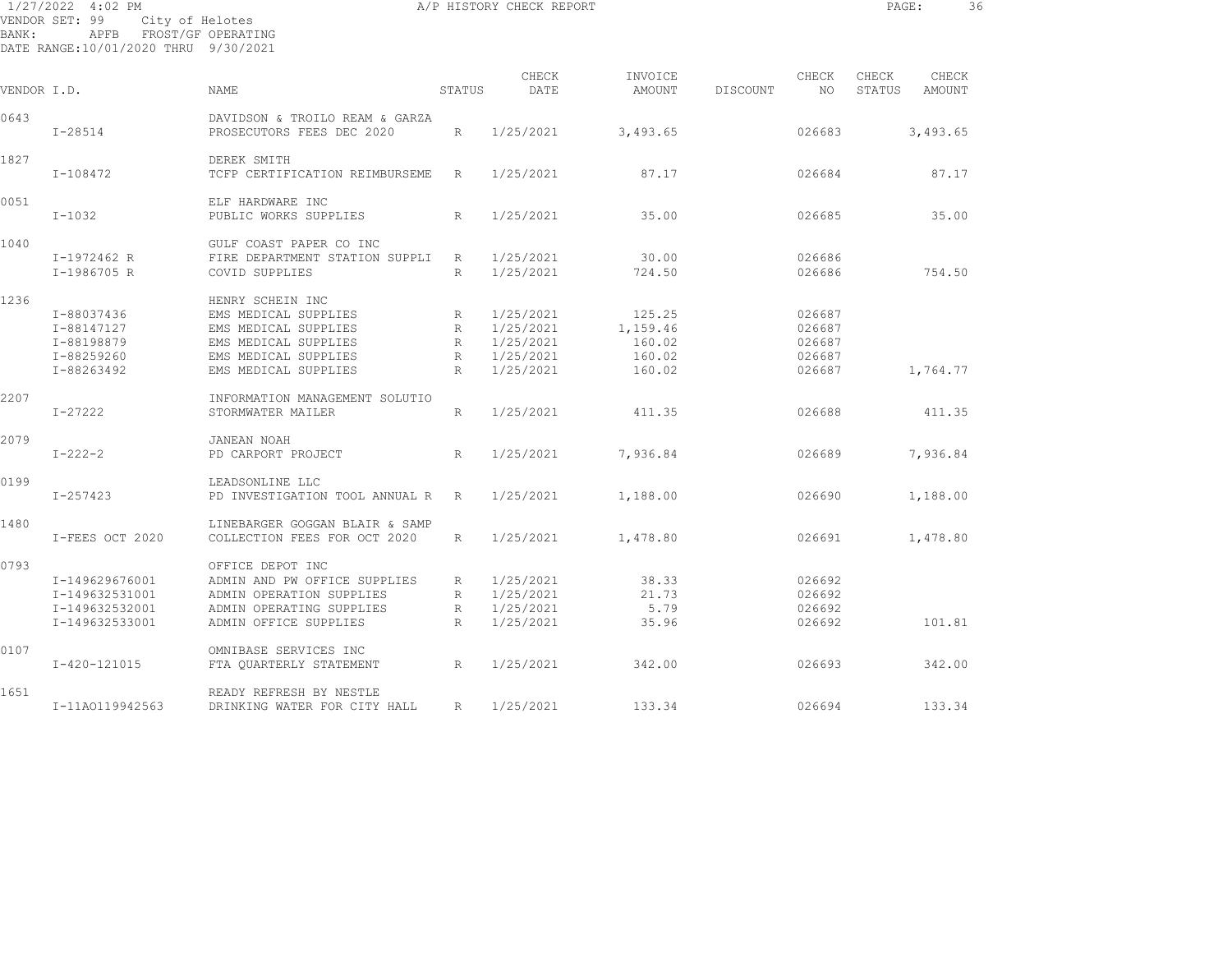1/27/2022 4:02 PM **A/P HISTORY CHECK REPORT PAGE:** 36 VENDOR SET: 99 City of Helotes BANK: APFB FROST/GF OPERATING DATE RANGE:10/01/2020 THRU 9/30/2021

CHECK INVOICE CHECK CHECK CHECK VENDOR I.D. NAME STATUS DATE AMOUNT DISCOUNT NO STATUS AMOUNT 0643 DAVIDSON & TROILO REAM & GARZA I-28514 PROSECUTORS FEES DEC 2020 R 1/25/2021 3,493.65 026683 3,493.65 1827 DEREK SMITH I-108472 TCFP CERTIFICATION REIMBURSEME R 1/25/2021 87.17 026684 87.17 0051 ELF HARDWARE INC I-1032 PUBLIC WORKS SUPPLIES R 1/25/2021 35.00 026685 35.00 1040 GULF COAST PAPER CO INC I-1972462 R FIRE DEPARTMENT STATION SUPPLI R 1/25/2021 30.00 026686 I-1986705 R COVID SUPPLIES R 1/25/2021 724.50 026686 754.50 1236 HENRY SCHEIN INC I-88037436 EMS MEDICAL SUPPLIES R 1/25/2021 125.25 026687 I-88147127 EMS MEDICAL SUPPLIES R 1/25/2021 1,159.46 026687 I-88198879 EMS MEDICAL SUPPLIES R 1/25/2021 160.02 026687 I-88259260 EMS MEDICAL SUPPLIES R 1/25/2021 160.02 026687 I-88263492 EMS MEDICAL SUPPLIES R 1/25/2021 160.02 026687 1,764.77 2207 INFORMATION MANAGEMENT SOLUTIO I-27222 STORMWATER MAILER R 1/25/2021 411.35 026688 411.35 2079 JANEAN NOAH I-222-2 PD CARPORT PROJECT R 1/25/2021 7,936.84 026689 7,936.84 0199 LEADSONLINE LLC I-257423 PD INVESTIGATION TOOL ANNUAL R R 1/25/2021 1,188.00 026690 1,188.00 1480 LINEBARGER GOGGAN BLAIR & SAMP I-FEES OCT 2020 COLLECTION FEES FOR OCT 2020 R 1/25/2021 1,478.80 026691 1,478.80 0793 OFFICE DEPOT INC I-149629676001 ADMIN AND PW OFFICE SUPPLIES R 1/25/2021 38.33 026692 I-149632531001 ADMIN OPERATION SUPPLIES R 1/25/2021 21.73 026692 I-149632532001 ADMIN OPERATING SUPPLIES R 1/25/2021 5.79 026692 I-149632533001 ADMIN OFFICE SUPPLIES R 1/25/2021 35.96 026692 101.81 0107 OMNIBASE SERVICES INC I-420-121015 FTA QUARTERLY STATEMENT R 1/25/2021 342.00 026693 342.00 1651 READY REFRESH BY NESTLEI-11AO119942563 DRINKING WATER FOR CITY HALL R 1/25/2021 133.34 026694 133.34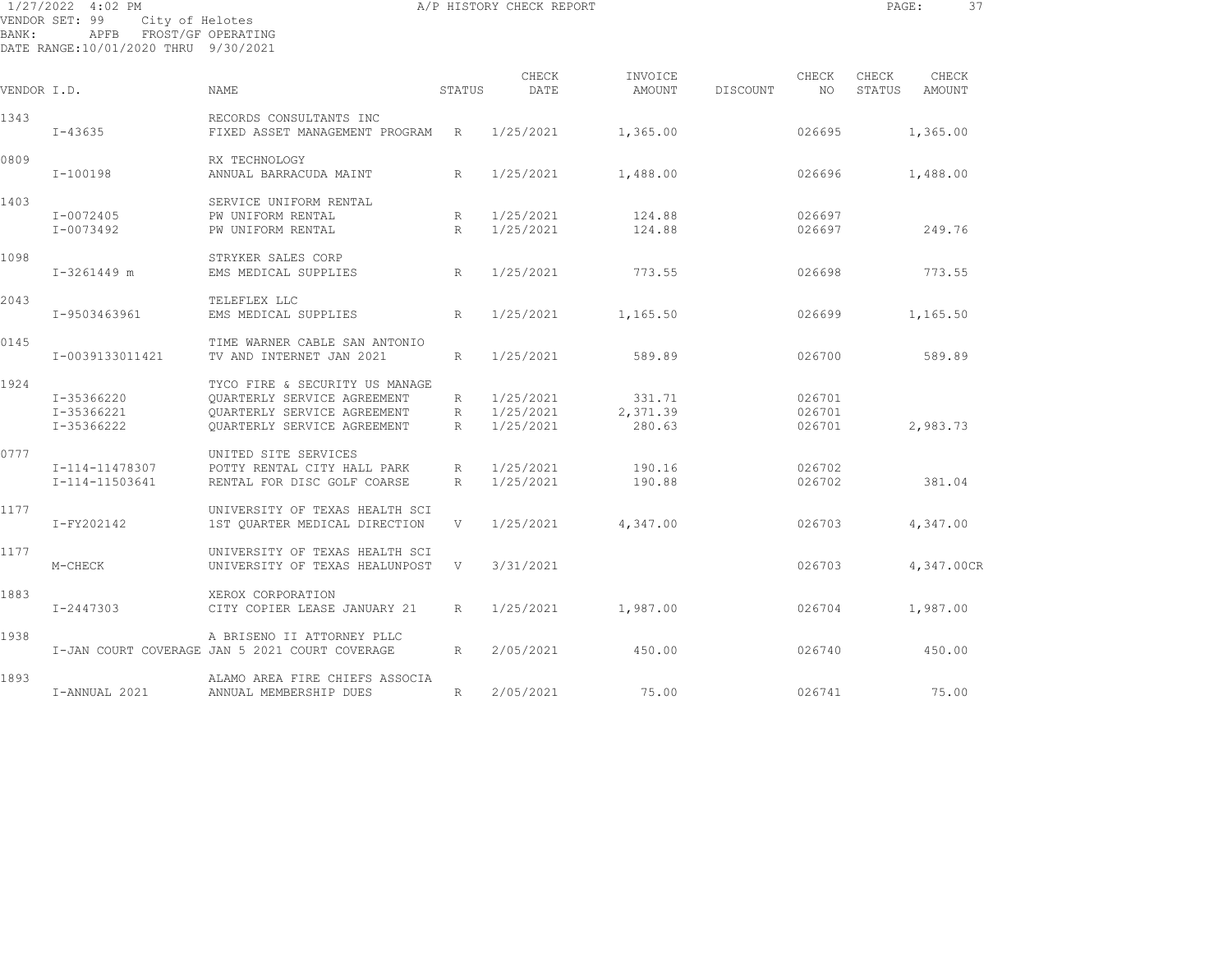1/27/2022 4:02 PM A/P HISTORY CHECK REPORT PAGE: 37 VENDOR SET: 99 City of Helotes BANK: APFB FROST/GF OPERATING

DATE RANGE:10/01/2020 THRU 9/30/2021

| VENDOR I.D. |                                        | NAME.                                                                                                                       | STATUS               | CHECK<br>DATE                       | INVOICE<br>AMOUNT            | DISCOUNT | CHECK<br>NO                | CHECK<br>STATUS | CHECK<br>AMOUNT |
|-------------|----------------------------------------|-----------------------------------------------------------------------------------------------------------------------------|----------------------|-------------------------------------|------------------------------|----------|----------------------------|-----------------|-----------------|
| 1343        | $I - 43635$                            | RECORDS CONSULTANTS INC<br>FIXED ASSET MANAGEMENT PROGRAM                                                                   | R                    | 1/25/2021                           | 1,365.00                     |          | 026695                     |                 | 1,365.00        |
| 0809        | $I-100198$                             | RX TECHNOLOGY<br>ANNUAL BARRACUDA MAINT                                                                                     | R                    | 1/25/2021                           | 1,488.00                     |          | 026696                     |                 | 1,488.00        |
| 1403        | I-0072405                              | SERVICE UNIFORM RENTAL<br>PW UNIFORM RENTAL                                                                                 | R                    | 1/25/2021                           | 124.88                       |          | 026697                     |                 |                 |
| 1098        | I-0073492                              | PW UNIFORM RENTAL<br>STRYKER SALES CORP                                                                                     | R                    | 1/25/2021                           | 124.88                       |          | 026697                     |                 | 249.76          |
|             | $I-3261449$ m                          | EMS MEDICAL SUPPLIES                                                                                                        | R                    | 1/25/2021                           | 773.55                       |          | 026698                     |                 | 773.55          |
| 2043        | I-9503463961                           | TELEFLEX LLC<br>EMS MEDICAL SUPPLIES                                                                                        | R                    | 1/25/2021                           | 1,165.50                     |          | 026699                     |                 | 1,165.50        |
| 0145        | I-0039133011421                        | TIME WARNER CABLE SAN ANTONIO<br>TV AND INTERNET JAN 2021                                                                   | R                    | 1/25/2021                           | 589.89                       |          | 026700                     |                 | 589.89          |
| 1924        | I-35366220<br>I-35366221<br>I-35366222 | TYCO FIRE & SECURITY US MANAGE<br>OUARTERLY SERVICE AGREEMENT<br>OUARTERLY SERVICE AGREEMENT<br>OUARTERLY SERVICE AGREEMENT | R<br>R<br>R          | 1/25/2021<br>1/25/2021<br>1/25/2021 | 331.71<br>2,371.39<br>280.63 |          | 026701<br>026701<br>026701 |                 | 2,983.73        |
| 0777        | I-114-11478307<br>I-114-11503641       | UNITED SITE SERVICES<br>POTTY RENTAL CITY HALL PARK<br>RENTAL FOR DISC GOLF COARSE                                          | $R_{\parallel}$<br>R | 1/25/2021<br>1/25/2021              | 190.16<br>190.88             |          | 026702<br>026702           |                 | 381.04          |
| 1177        | I-FY202142                             | UNIVERSITY OF TEXAS HEALTH SCI<br>1ST QUARTER MEDICAL DIRECTION                                                             | V                    | 1/25/2021                           | 4,347.00                     |          | 026703                     |                 | 4,347.00        |
| 1177        | M-CHECK                                | UNIVERSITY OF TEXAS HEALTH SCI<br>UNIVERSITY OF TEXAS HEALUNPOST                                                            | V                    | 3/31/2021                           |                              |          | 026703                     |                 | 4,347.00CR      |
| 1883        | I-2447303                              | XEROX CORPORATION<br>CITY COPIER LEASE JANUARY 21                                                                           | $R_{\parallel}$      | 1/25/2021                           | 1,987.00                     |          | 026704                     |                 | 1,987.00        |
| 1938        |                                        | A BRISENO II ATTORNEY PLLC<br>I-JAN COURT COVERAGE JAN 5 2021 COURT COVERAGE                                                | R                    | 2/05/2021                           | 450.00                       |          | 026740                     |                 | 450.00          |
| 1893        | I-ANNUAL 2021                          | ALAMO AREA FIRE CHIEFS ASSOCIA<br>ANNUAL MEMBERSHIP DUES                                                                    | R                    | 2/05/2021                           | 75.00                        |          | 026741                     |                 | 75.00           |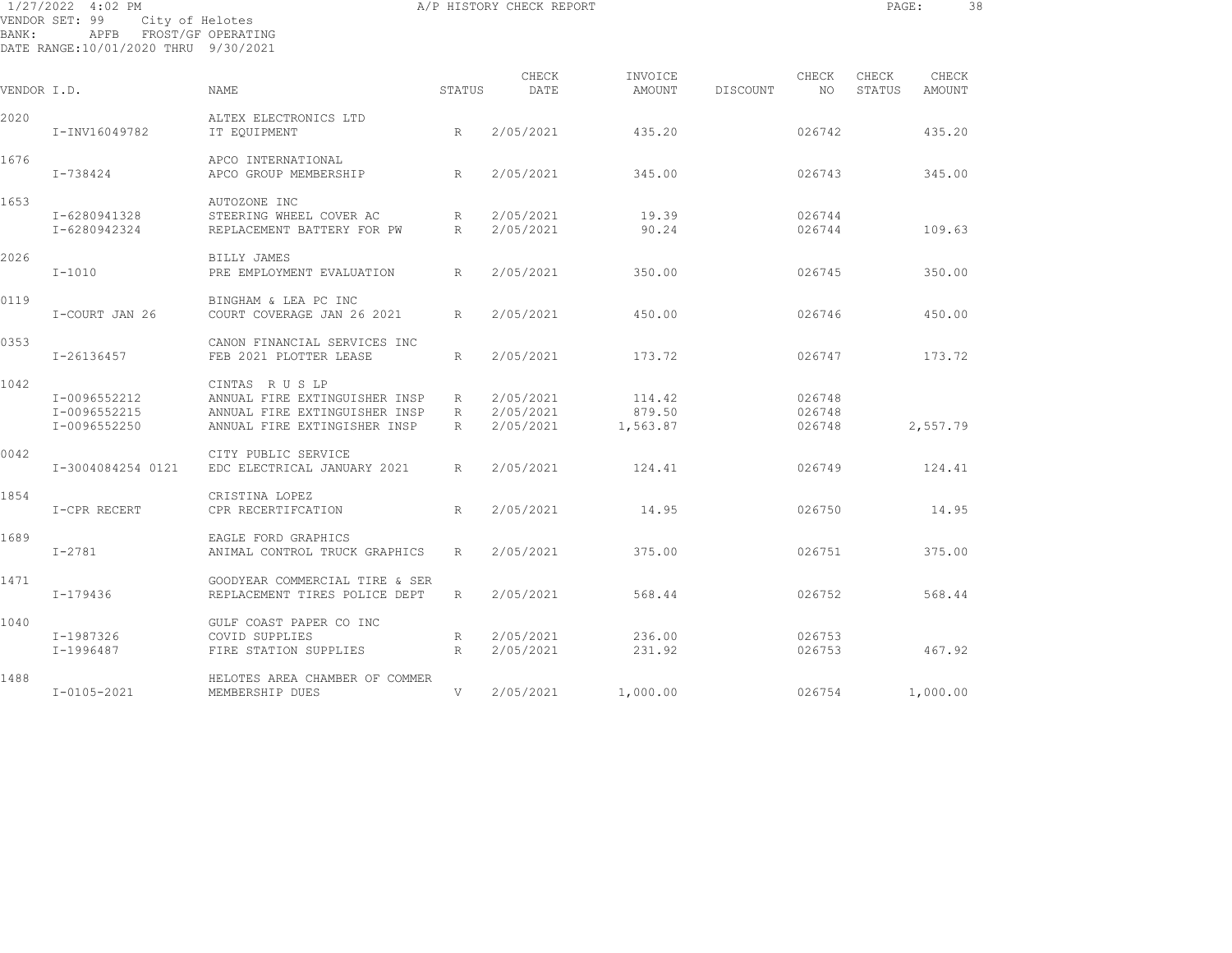| BANK:       | 1/27/2022 4:02 PM<br>VENDOR SET: 99<br>City of Helotes<br>APFB FROST/GF OPERATING<br>DATE RANGE: 10/01/2020 THRU 9/30/2021 |                                                                    |                 | A/P HISTORY CHECK REPORT |                   |          |                  | PAGE:           |                 | 38 |
|-------------|----------------------------------------------------------------------------------------------------------------------------|--------------------------------------------------------------------|-----------------|--------------------------|-------------------|----------|------------------|-----------------|-----------------|----|
| VENDOR I.D. |                                                                                                                            | NAME                                                               | STATUS          | CHECK<br>DATE            | INVOICE<br>AMOUNT | DISCOUNT | CHECK<br>NO.     | CHECK<br>STATUS | CHECK<br>AMOUNT |    |
| 2020        |                                                                                                                            | ALTEX ELECTRONICS LTD                                              |                 |                          |                   |          |                  |                 |                 |    |
|             | I-INV16049782                                                                                                              | IT EQUIPMENT                                                       | R               | 2/05/2021                | 435.20            |          | 026742           |                 | 435.20          |    |
| 1676        | I-738424                                                                                                                   | APCO INTERNATIONAL<br>APCO GROUP MEMBERSHIP                        | $\mathbb{R}$    | 2/05/2021                | 345.00            |          | 026743           |                 | 345.00          |    |
| 1653        |                                                                                                                            | AUTOZONE INC                                                       |                 |                          |                   |          |                  |                 |                 |    |
|             | I-6280941328<br>I-6280942324                                                                                               | STEERING WHEEL COVER AC<br>REPLACEMENT BATTERY FOR PW              | R<br>R          | 2/05/2021<br>2/05/2021   | 19.39<br>90.24    |          | 026744<br>026744 |                 | 109.63          |    |
| 2026        |                                                                                                                            | BILLY JAMES                                                        |                 |                          |                   |          |                  |                 |                 |    |
|             | $I-1010$                                                                                                                   | PRE EMPLOYMENT EVALUATION                                          | $R_{\parallel}$ | 2/05/2021                | 350.00            |          | 026745           |                 | 350.00          |    |
| 0119        | I-COURT JAN 26                                                                                                             | BINGHAM & LEA PC INC<br>COURT COVERAGE JAN 26 2021                 | $R_{\odot}$     | 2/05/2021                | 450.00            |          | 026746           |                 | 450.00          |    |
| 0353        | I-26136457                                                                                                                 | CANON FINANCIAL SERVICES INC<br>FEB 2021 PLOTTER LEASE             | $R_{\odot}$     | 2/05/2021                | 173.72            |          | 026747           |                 | 173.72          |    |
| 1042        |                                                                                                                            | CINTAS RUSLP                                                       |                 |                          |                   |          |                  |                 |                 |    |
|             | I-0096552212                                                                                                               | ANNUAL FIRE EXTINGUISHER INSP                                      | R               | 2/05/2021                | 114.42            |          | 026748           |                 |                 |    |
|             | I-0096552215                                                                                                               | ANNUAL FIRE EXTINGUISHER INSP                                      | R               | 2/05/2021                | 879.50            |          | 026748           |                 |                 |    |
|             | I-0096552250                                                                                                               | ANNUAL FIRE EXTINGISHER INSP                                       | R               | 2/05/2021                | 1,563.87          |          | 026748           |                 | 2,557.79        |    |
| 0042        | I-3004084254 0121                                                                                                          | CITY PUBLIC SERVICE<br>EDC ELECTRICAL JANUARY 2021                 | $R_{\parallel}$ | 2/05/2021                | 124.41            |          | 026749           |                 | 124.41          |    |
| 1854        | I-CPR RECERT                                                                                                               | CRISTINA LOPEZ<br>CPR RECERTIFCATION                               | R               | 2/05/2021                | 14.95             |          | 026750           |                 | 14.95           |    |
| 1689        | $I - 2781$                                                                                                                 | EAGLE FORD GRAPHICS<br>ANIMAL CONTROL TRUCK GRAPHICS               | $R_{\parallel}$ | 2/05/2021                | 375.00            |          | 026751           |                 | 375.00          |    |
| 1471        | I-179436                                                                                                                   | GOODYEAR COMMERCIAL TIRE & SER<br>REPLACEMENT TIRES POLICE DEPT    | R               | 2/05/2021                | 568.44            |          | 026752           |                 | 568.44          |    |
| 1040        | I-1987326<br>I-1996487                                                                                                     | GULF COAST PAPER CO INC<br>COVID SUPPLIES<br>FIRE STATION SUPPLIES | R<br>R          | 2/05/2021<br>2/05/2021   | 236.00<br>231.92  |          | 026753<br>026753 |                 | 467.92          |    |
|             |                                                                                                                            |                                                                    |                 |                          |                   |          |                  |                 |                 |    |

1488 HELOTES AREA CHAMBER OF COMMER I-0105-2021 MEMBERSHIP DUES V 2/05/2021 1,000.00 026754 1,000.00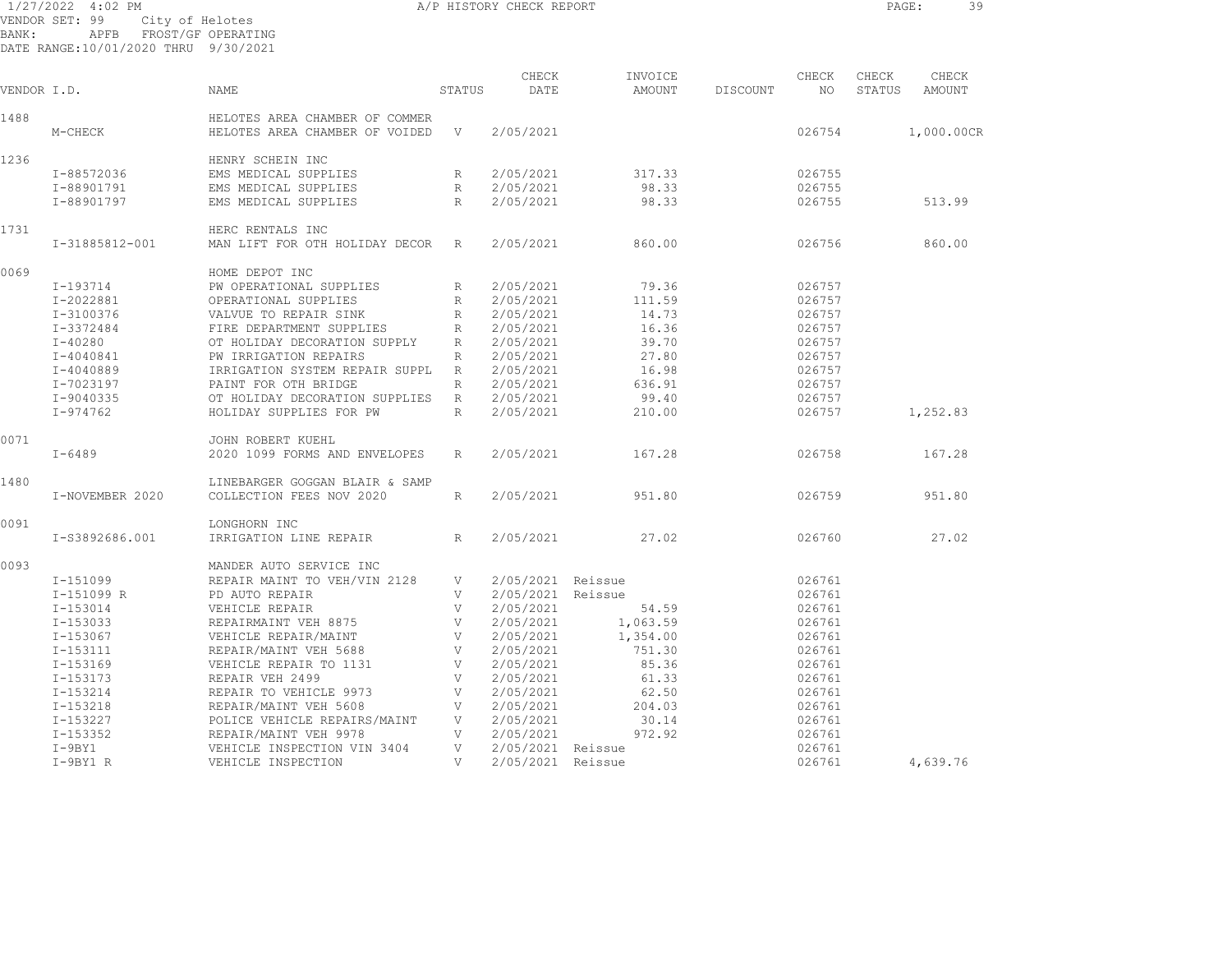|             | 1/27/2022 4:02 PM                    |                                |        | A/P HISTORY CHECK REPORT |               |                        |        | 39<br>PAGE:   |
|-------------|--------------------------------------|--------------------------------|--------|--------------------------|---------------|------------------------|--------|---------------|
|             | VENDOR SET: 99                       | City of Helotes                |        |                          |               |                        |        |               |
| BANK:       | APFB                                 | FROST/GF OPERATING             |        |                          |               |                        |        |               |
|             | DATE RANGE:10/01/2020 THRU 9/30/2021 |                                |        |                          |               |                        |        |               |
|             |                                      |                                |        | CHECK                    | INVOICE       | CHECK                  | CHECK  | CHECK         |
| VENDOR I.D. |                                      | <b>NAME</b>                    | STATUS | DATE                     | <b>AMOUNT</b> | NO.<br><b>DISCOUNT</b> | STATUS | <b>AMOUNT</b> |
| 1488        |                                      | HELOTES AREA CHAMBER OF COMMER |        |                          |               |                        |        |               |
|             | M-CHECK                              | HELOTES AREA CHAMBER OF VOIDED | V      | 2/05/2021                |               | 026754                 |        | 1,000.00CR    |
| 1236        |                                      | HENRY SCHEIN INC               |        |                          |               |                        |        |               |
|             | I-88572036                           | EMS MEDICAL SUPPLIES           | R      | 2/05/2021                | 317.33        | 026755                 |        |               |
|             | I-88901791                           | EMS MEDICAL SUPPLIES           | R      | 2/05/2021                | 98.33         | 026755                 |        |               |
|             | I-88901797                           | EMS MEDICAL SUPPLIES           | R      | 2/05/2021                | 98.33         | 026755                 |        | 513.99        |
| 1731        |                                      | HERC RENTALS INC               |        |                          |               |                        |        |               |
|             | I-31885812-001                       | MAN LIFT FOR OTH HOLIDAY DECOR | R      | 2/05/2021                | 860.00        | 026756                 |        | 860.00        |
| 0069        |                                      | HOME DEPOT INC                 |        |                          |               |                        |        |               |
|             | $I - 193714$                         | PW OPERATIONAL SUPPLIES        | R      | 2/05/2021                | 79.36         | 026757                 |        |               |
|             | I-2022881                            | OPERATIONAL SUPPLIES           | R      | 2/05/2021                | 111.59        | 026757                 |        |               |
|             | $I-3100376$                          | VALVUE TO REPAIR SINK          | R      | 2/05/2021                | 14.73         | 026757                 |        |               |
|             | I-3372484                            | FIRE DEPARTMENT SUPPLIES       | R      | 2/05/2021                | 16.36         | 026757                 |        |               |
|             | $I - 40280$                          | OT HOLIDAY DECORATION SUPPLY   | R      | 2/05/2021                | 39.70         | 026757                 |        |               |
|             | $I - 4040841$                        | PW IRRIGATION REPAIRS          | R      | 2/05/2021                | 27.80         | 026757                 |        |               |
|             | $I - 4040889$                        | IRRIGATION SYSTEM REPAIR SUPPL | R      | 2/05/2021                | 16.98         | 026757                 |        |               |
|             | I-7023197                            | PAINT FOR OTH BRIDGE           | R      | 2/05/2021                | 636.91        | 026757                 |        |               |
|             | I-9040335                            | OT HOLIDAY DECORATION SUPPLIES | R      | 2/05/2021                | 99.40         | 026757                 |        |               |
|             | I-974762                             | HOLIDAY SUPPLIES FOR PW        | R      | 2/05/2021                | 210.00        | 026757                 |        | 1,252.83      |
| 0071        |                                      | JOHN ROBERT KUEHL              |        |                          |               |                        |        |               |
|             | $I - 6489$                           | 2020 1099 FORMS AND ENVELOPES  | R      | 2/05/2021                | 167.28        | 026758                 |        | 167.28        |
| 1480        |                                      | LINEBARGER GOGGAN BLAIR & SAMP |        |                          |               |                        |        |               |
|             | I-NOVEMBER 2020                      | COLLECTION FEES NOV 2020       | R      | 2/05/2021                | 951.80        | 026759                 |        | 951.80        |
| 0001        |                                      | TOMOHODM TMO                   |        |                          |               |                        |        |               |

| 0091 |                | LONGHORN INC                 |   |           |          |        |          |
|------|----------------|------------------------------|---|-----------|----------|--------|----------|
|      | I-S3892686.001 | IRRIGATION LINE REPAIR       | R | 2/05/2021 | 27.02    | 026760 | 27.02    |
| 0093 |                | MANDER AUTO SERVICE INC      |   |           |          |        |          |
|      | I-151099       | REPAIR MAINT TO VEH/VIN 2128 | V | 2/05/2021 | Reissue  | 026761 |          |
|      | I-151099 R     | PD AUTO REPAIR               |   | 2/05/2021 | Reissue  | 026761 |          |
|      | I-153014       | VEHICLE REPAIR               | V | 2/05/2021 | 54.59    | 026761 |          |
|      | I-153033       | REPAIRMAINT VEH 8875         | V | 2/05/2021 | 1,063.59 | 026761 |          |
|      | I-153067       | VEHICLE REPAIR/MAINT         | V | 2/05/2021 | 1,354.00 | 026761 |          |
|      | I-153111       | REPAIR/MAINT VEH 5688        | V | 2/05/2021 | 751.30   | 026761 |          |
|      | I-153169       | VEHICLE REPAIR TO 1131       | V | 2/05/2021 | 85.36    | 026761 |          |
|      | I-153173       | REPAIR VEH 2499              | V | 2/05/2021 | 61.33    | 026761 |          |
|      | I-153214       | REPAIR TO VEHICLE 9973       | V | 2/05/2021 | 62.50    | 026761 |          |
|      | I-153218       | REPAIR/MAINT VEH 5608        | V | 2/05/2021 | 204.03   | 026761 |          |
|      | I-153227       | POLICE VEHICLE REPAIRS/MAINT | V | 2/05/2021 | 30.14    | 026761 |          |
|      | I-153352       | REPAIR/MAINT VEH 9978        | V | 2/05/2021 | 972.92   | 026761 |          |
|      | $I-9BY1$       | VEHICLE INSPECTION VIN 3404  | V | 2/05/2021 | Reissue  | 026761 |          |
|      | $I-9BY1 R$     | VEHICLE INSPECTION           | V | 2/05/2021 | Reissue  | 026761 | 4,639.76 |
|      |                |                              |   |           |          |        |          |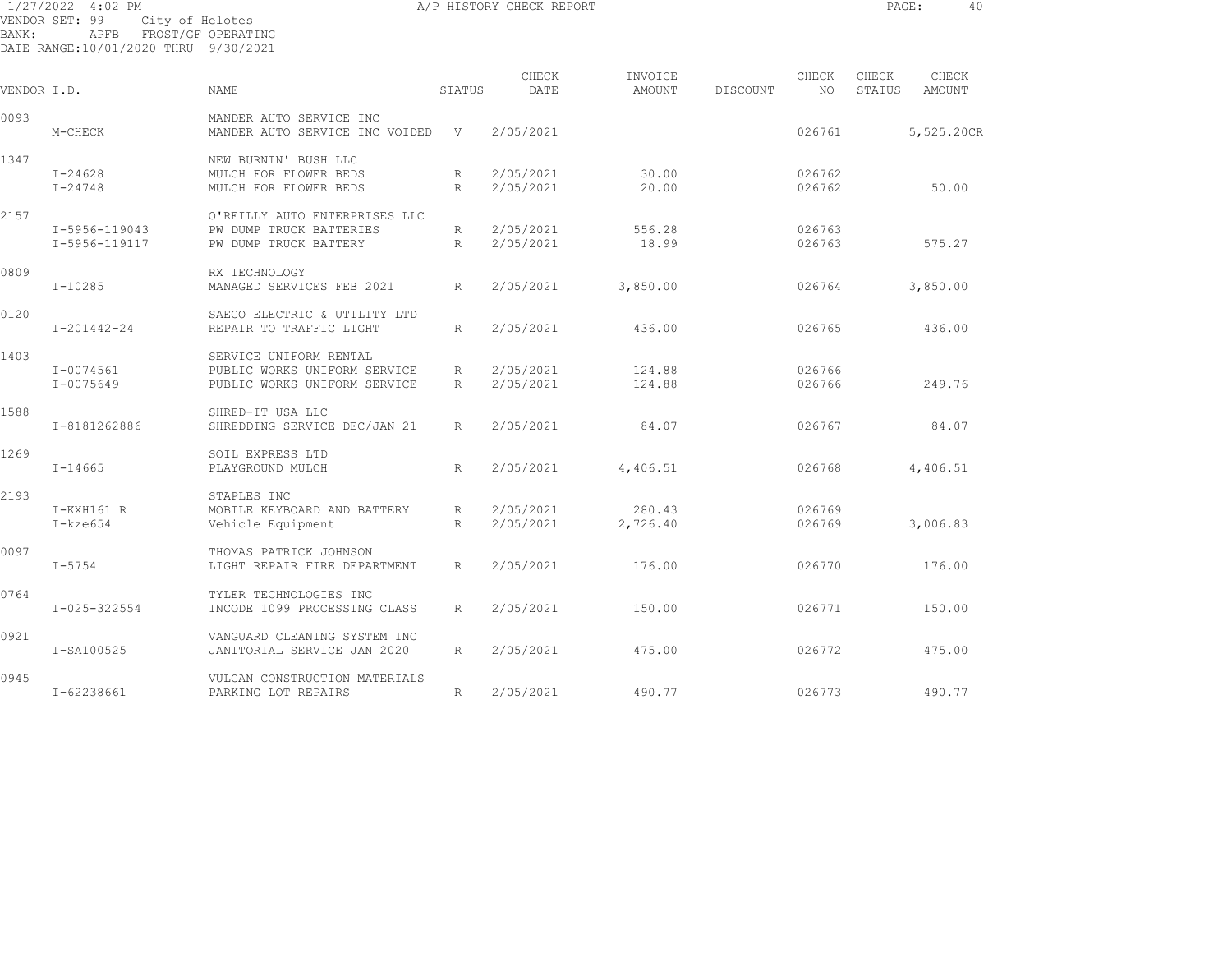| 1/27/2022   | $4:02$ PM                            |                                  |             | A/P HISTORY CHECK REPORT |          |          |        | PAGE:  | 40         |
|-------------|--------------------------------------|----------------------------------|-------------|--------------------------|----------|----------|--------|--------|------------|
|             | VENDOR SET: 99<br>City of Helotes    |                                  |             |                          |          |          |        |        |            |
| BANK:       | APFB                                 | FROST/GF OPERATING               |             |                          |          |          |        |        |            |
|             | DATE RANGE:10/01/2020 THRU 9/30/2021 |                                  |             |                          |          |          |        |        |            |
|             |                                      |                                  |             | CHECK                    | INVOICE  |          | CHECK  | CHECK  | CHECK      |
| VENDOR I.D. |                                      | NAME                             | STATUS      | DATE                     | AMOUNT   | DISCOUNT | NO.    | STATUS | AMOUNT     |
| 0093        |                                      | MANDER AUTO SERVICE INC          |             |                          |          |          |        |        |            |
|             | M-CHECK                              | MANDER AUTO SERVICE INC VOIDED   | V           | 2/05/2021                |          |          | 026761 |        | 5,525.20CR |
| 1347        |                                      | NEW BURNIN' BUSH LLC             |             |                          |          |          |        |        |            |
|             | $I - 24628$                          | MULCH FOR FLOWER BEDS            | R           | 2/05/2021                | 30.00    |          | 026762 |        |            |
|             | $I - 24748$                          | MULCH FOR FLOWER BEDS            | $R_{\odot}$ | 2/05/2021                | 20.00    |          | 026762 |        | 50.00      |
| 2157        |                                      | O'REILLY AUTO ENTERPRISES LLC    |             |                          |          |          |        |        |            |
|             | I-5956-119043                        | PW DUMP<br>TRUCK BATTERIES       | R           | 2/05/2021                | 556.28   |          | 026763 |        |            |
|             | I-5956-119117                        | PW DUMP TRUCK BATTERY            | R           | 2/05/2021                | 18.99    |          | 026763 |        | 575.27     |
| 0809        |                                      | RX TECHNOLOGY                    |             |                          |          |          |        |        |            |
|             | I-10285                              | MANAGED SERVICES FEB 2021        | R           | 2/05/2021                | 3,850.00 |          | 026764 |        | 3,850.00   |
| 0120        |                                      | SAECO ELECTRIC & UTILITY LTD     |             |                          |          |          |        |        |            |
|             | I-201442-24                          | REPAIR TO TRAFFIC LIGHT          | R           | 2/05/2021                | 436.00   |          | 026765 |        | 436.00     |
| 1403        |                                      | UNIFORM RENTAL<br><b>SERVICE</b> |             |                          |          |          |        |        |            |
|             | I-0074561                            | PUBLIC WORKS UNIFORM SERVICE     | R           | 2/05/2021                | 124.88   |          | 026766 |        |            |

1588 SHRED-IT USA LLC

1269 SOIL EXPRESS LTD

0097 THOMAS PATRICK JOHNSON

0764 TYLER TECHNOLOGIES INC

0921 VANGUARD CLEANING SYSTEM INC

0945 VULCAN CONSTRUCTION MATERIALS

2193 STAPLES INC

I-0075649 PUBLIC WORKS UNIFORM SERVICE R 2/05/2021 124.88 026766 249.76

I-8181262886 SHREDDING SERVICE DEC/JAN 21 R 2/05/2021 84.07 026767 84.07

I-14665 PLAYGROUND MULCH R 2/05/2021 4,406.51 026768 4,406.51

I-kze654 Vehicle Equipment R 2/05/2021 2,726.40 026769 3,006.83

I-5754 LIGHT REPAIR FIRE DEPARTMENT R 2/05/2021 176.00 026770 176.00

I-025-322554 INCODE 1099 PROCESSING CLASS R 2/05/2021 150.00 026771 150.00

I-SA100525 JANITORIAL SERVICE JAN 2020 R 2/05/2021 475.00 026772 475.00

I-62238661 PARKING LOT REPAIRS R 2/05/2021 490.77 026773 490.77

I-KXH161 R MOBILE KEYBOARD AND BATTERY R 2/05/2021 280.43 026769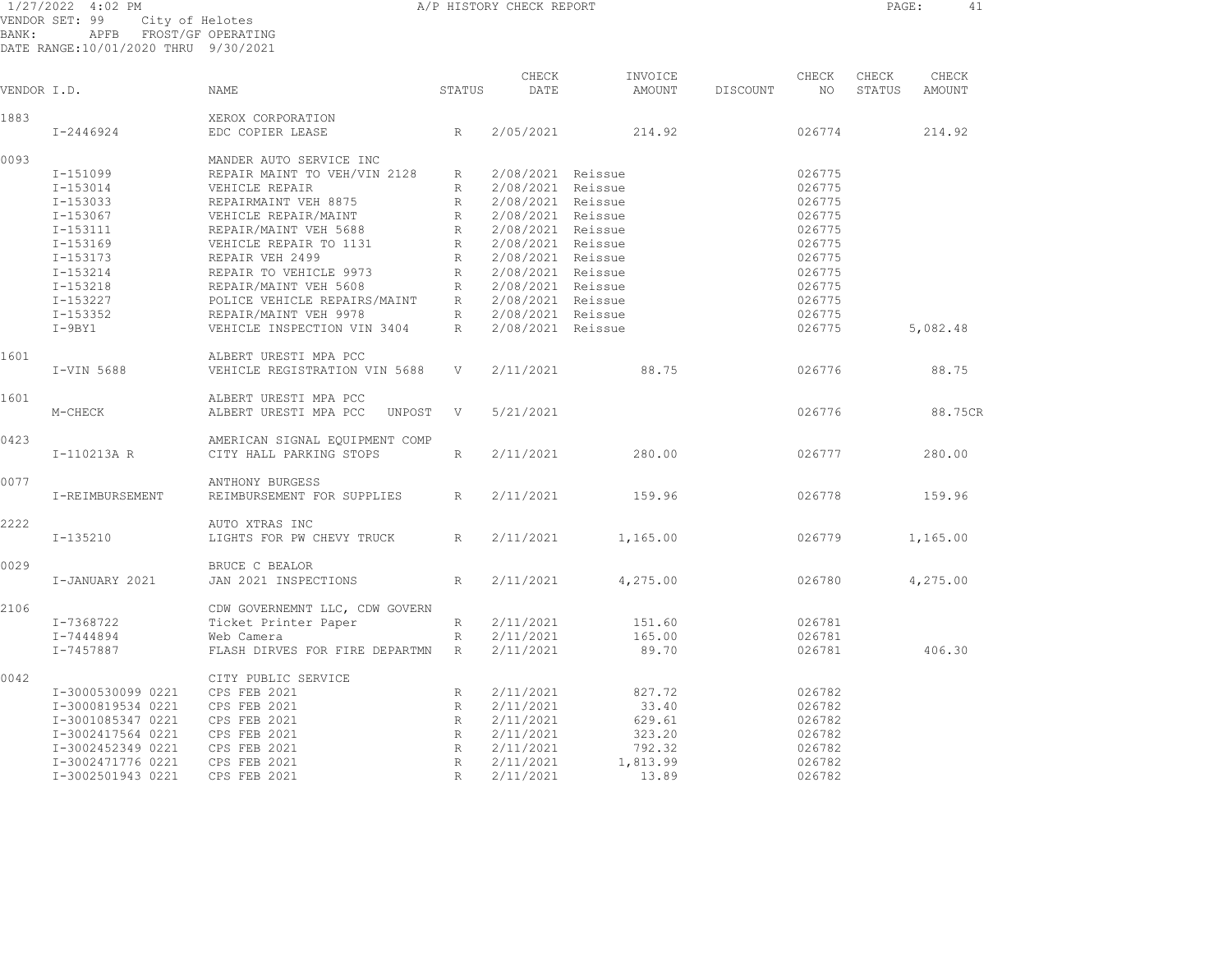1/27/2022 4:02 PM A/P HISTORY CHECK REPORT PAGE: 41 VENDOR SET: 99 City of Helotes

BANK: APFB FROST/GF OPERATING DATE RANGE:10/01/2020 THRU 9/30/2021

| VENDOR I.D. |                   | NAME                                                                                         | STATUS          | CHECK<br>DATE       | INVOICE<br>AMOUNT | DISCOUNT | CHECK<br>NO | CHECK<br>STATUS | CHECK<br>AMOUNT |
|-------------|-------------------|----------------------------------------------------------------------------------------------|-----------------|---------------------|-------------------|----------|-------------|-----------------|-----------------|
| 1883        |                   | XEROX CORPORATION                                                                            |                 |                     |                   |          |             |                 |                 |
|             | I-2446924         | EDC COPIER LEASE                                                                             | R               | 2/05/2021           | 214.92            |          | 026774      |                 | 214.92          |
| 0093        |                   | MANDER AUTO SERVICE INC                                                                      |                 |                     |                   |          |             |                 |                 |
|             | I-151099          | REPAIR MAINT TO VEH/VIN 2128                                                                 | R               | 2/08/2021 Reissue   |                   |          | 026775      |                 |                 |
|             | $I - 153014$      | VEHICLE REPAIR                                                                               | R               | 2/08/2021 Reissue   |                   |          | 026775      |                 |                 |
|             | I-153033          | REPAIRMAINT VEH 8875                                                                         |                 | R 2/08/2021 Reissue |                   |          | 026775      |                 |                 |
|             | I-153067          | VEHICLE REPAIR/MAINT                                                                         | R               | 2/08/2021 Reissue   |                   |          | 026775      |                 |                 |
|             | I-153111          | REPAIR/MAINT VEH 5688                                                                        |                 | R 2/08/2021 Reissue |                   |          | 026775      |                 |                 |
|             | I-153169          | VEHICLE REPAIR TO 1131                                                                       |                 | R 2/08/2021 Reissue |                   |          | 026775      |                 |                 |
|             | I-153173          | REPAIR VEH 2499                                                                              |                 | R 2/08/2021 Reissue |                   |          | 026775      |                 |                 |
|             | I-153214          | REPAIR TO VEHICLE 9973                                                                       |                 | R 2/08/2021 Reissue |                   |          | 026775      |                 |                 |
|             | I-153218          | REPAIR/MAINT VEH 5608                                                                        |                 | R 2/08/2021 Reissue |                   |          | 026775      |                 |                 |
|             | I-153227          | POLICE VEHICLE REPAIRS/MAINT R 2/08/2021 Reissue                                             |                 |                     |                   |          | 026775      |                 |                 |
|             | I-153352          | REPAIR/MAINT VEH 9978 R 2/08/2021 Reissue<br>VEHICLE INSPECTION VIN 3404 R 2/08/2021 Reissue |                 |                     |                   |          | 026775      |                 |                 |
|             | $I-9BY1$          |                                                                                              |                 |                     |                   |          | 026775      |                 | 5,082.48        |
| 1601        |                   | ALBERT URESTI MPA PCC                                                                        |                 |                     |                   |          |             |                 |                 |
|             | I-VIN 5688        | VEHICLE REGISTRATION VIN 5688                                                                | V               | 2/11/2021           | 88.75             |          | 026776      |                 | 88.75           |
| 1601        |                   | ALBERT URESTI MPA PCC                                                                        |                 |                     |                   |          |             |                 |                 |
|             | M-CHECK           | ALBERT URESTI MPA PCC<br>UNPOST                                                              | V               | 5/21/2021           |                   |          | 026776      |                 | 88.75CR         |
| 0423        |                   | AMERICAN SIGNAL EQUIPMENT COMP                                                               |                 |                     |                   |          |             |                 |                 |
|             | I-110213A R       | CITY HALL PARKING STOPS                                                                      | R               | 2/11/2021           | 280.00            |          | 026777      |                 | 280.00          |
| 0077        |                   | <b>ANTHONY BURGESS</b>                                                                       |                 |                     |                   |          |             |                 |                 |
|             | I-REIMBURSEMENT   | REIMBURSEMENT FOR SUPPLIES                                                                   | $R_{\perp}$     | 2/11/2021           | 159.96            |          | 026778      |                 | 159.96          |
| 2222        |                   | AUTO XTRAS INC                                                                               |                 |                     |                   |          |             |                 |                 |
|             | I-135210          | LIGHTS FOR PW CHEVY TRUCK                                                                    | $R_{\parallel}$ | 2/11/2021           | 1,165.00          |          | 026779      |                 | 1,165.00        |
| 0029        |                   | BRUCE C BEALOR                                                                               |                 |                     |                   |          |             |                 |                 |
|             | I-JANUARY 2021    | JAN 2021 INSPECTIONS                                                                         | R               | 2/11/2021           | 4,275.00          |          | 026780      |                 | 4,275.00        |
| 2106        |                   | CDW GOVERNEMNT LLC, CDW GOVERN                                                               |                 |                     |                   |          |             |                 |                 |
|             | I-7368722         | Ticket Printer Paper                                                                         | $R_{\rm max}$   | 2/11/2021           | 151.60            |          | 026781      |                 |                 |
|             | I-7444894         | Web Camera                                                                                   | R               | 2/11/2021           | 165.00            |          | 026781      |                 |                 |
|             | I-7457887         | FLASH DIRVES FOR FIRE DEPARTMN R                                                             |                 | 2/11/2021           | 89.70             |          | 026781      |                 | 406.30          |
| 0042        |                   | CITY PUBLIC SERVICE                                                                          |                 |                     |                   |          |             |                 |                 |
|             | I-3000530099 0221 | CPS FEB 2021                                                                                 | R               | 2/11/2021           | 827.72            |          | 026782      |                 |                 |
|             | I-3000819534 0221 | CPS FEB 2021                                                                                 | R               | 2/11/2021           | 33.40             |          | 026782      |                 |                 |
|             | I-3001085347 0221 | CPS FEB 2021                                                                                 | R               | 2/11/2021           | 629.61            |          | 026782      |                 |                 |
|             | I-3002417564 0221 | CPS FEB 2021                                                                                 |                 | R 2/11/2021         | 323.20            |          | 026782      |                 |                 |
|             | I-3002452349 0221 | CPS FEB 2021                                                                                 |                 | R 2/11/2021         | 792.32            |          | 026782      |                 |                 |
|             | I-3002471776 0221 | CPS FEB 2021                                                                                 | R               | 2/11/2021           | 1,813.99          |          | 026782      |                 |                 |
|             | I-3002501943 0221 | CPS FEB 2021                                                                                 | R               | 2/11/2021           | 13.89             |          | 026782      |                 |                 |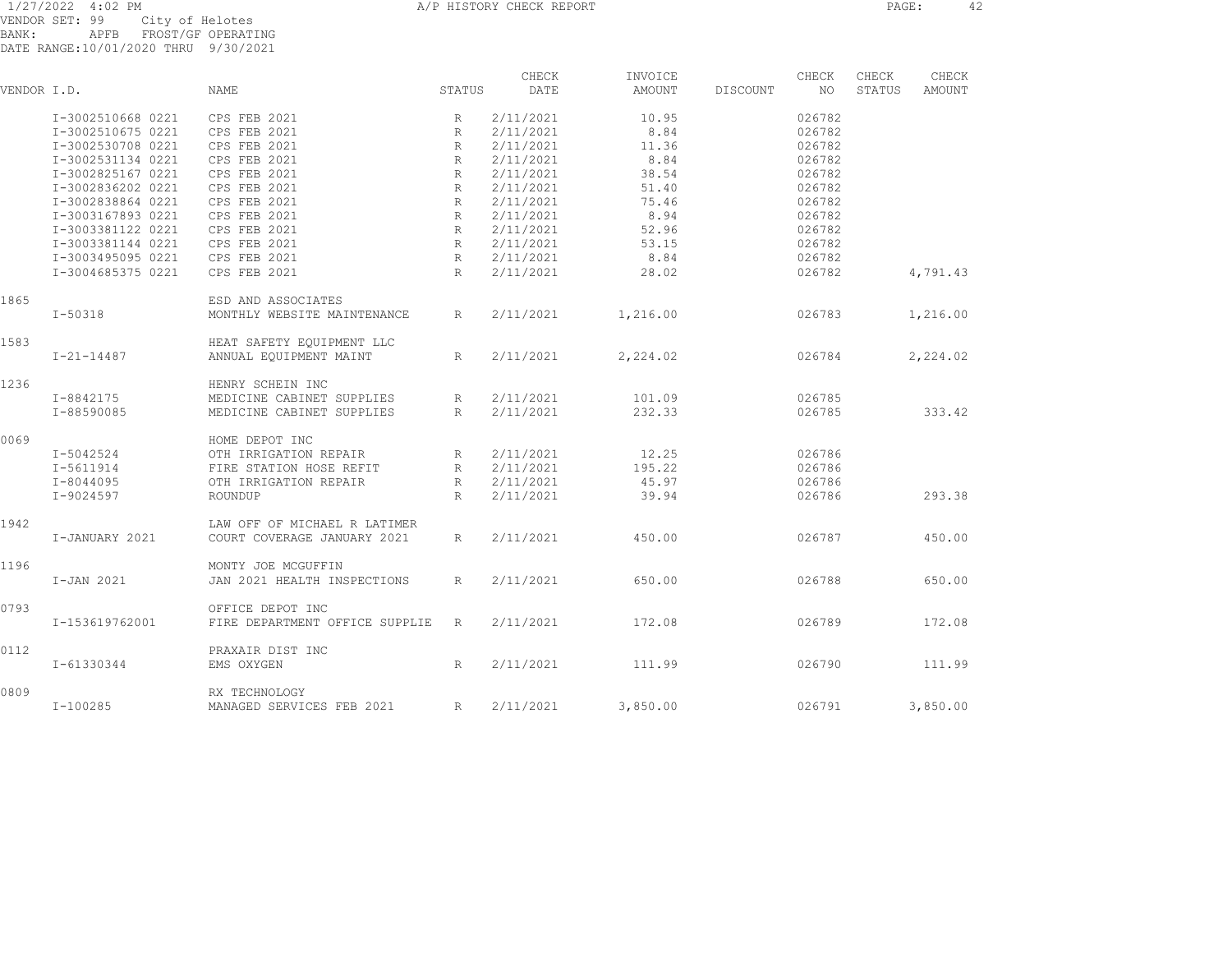| VENDOR I.D. |                   | NAME                           | STATUS          | CHECK<br>DATE | INVOICE<br>AMOUNT | DISCOUNT | CHECK<br>NO. | CHECK<br>STATUS | CHECK<br>AMOUNT |  |
|-------------|-------------------|--------------------------------|-----------------|---------------|-------------------|----------|--------------|-----------------|-----------------|--|
|             | I-3002510668 0221 | CPS FEB 2021                   | R               | 2/11/2021     | 10.95             |          | 026782       |                 |                 |  |
|             | I-3002510675 0221 | CPS FEB 2021                   | $R_{\rm}$       | 2/11/2021     | 8.84              |          | 026782       |                 |                 |  |
|             | I-3002530708 0221 | CPS FEB 2021                   | R               | 2/11/2021     | 11.36             |          | 026782       |                 |                 |  |
|             | I-3002531134 0221 | CPS FEB 2021                   | R               | 2/11/2021     | 8.84              |          | 026782       |                 |                 |  |
|             | I-3002825167 0221 | CPS FEB 2021                   | R               | 2/11/2021     | 38.54             |          | 026782       |                 |                 |  |
|             | I-3002836202 0221 | CPS FEB 2021                   | R               | 2/11/2021     | 51.40             |          | 026782       |                 |                 |  |
|             | I-3002838864 0221 | CPS FEB 2021                   | $R_{\rm}$       | 2/11/2021     | 75.46             |          | 026782       |                 |                 |  |
|             | I-3003167893 0221 | CPS FEB 2021                   | R               | 2/11/2021     | 8.94              |          | 026782       |                 |                 |  |
|             | I-3003381122 0221 | CPS FEB 2021                   | $R_{\rm}$       | 2/11/2021     | 52.96             |          | 026782       |                 |                 |  |
|             | I-3003381144 0221 | CPS FEB 2021                   | $R_{\rm}$       | 2/11/2021     | 53.15             |          | 026782       |                 |                 |  |
|             | I-3003495095 0221 | CPS FEB 2021                   | $R_{\rm}$       | 2/11/2021     | 8.84              |          | 026782       |                 |                 |  |
|             | I-3004685375 0221 | CPS FEB 2021                   | R               | 2/11/2021     | 28.02             |          | 026782       |                 | 4,791.43        |  |
| 1865        |                   | ESD AND ASSOCIATES             |                 |               |                   |          |              |                 |                 |  |
|             | $I-50318$         | MONTHLY WEBSITE MAINTENANCE    | R               | 2/11/2021     | 1,216.00          |          | 026783       |                 | 1,216.00        |  |
| 1583        |                   | HEAT SAFETY EOUIPMENT LLC      |                 |               |                   |          |              |                 |                 |  |
|             | $I - 21 - 14487$  | ANNUAL EQUIPMENT MAINT         | R               | 2/11/2021     | 2,224.02          |          | 026784       |                 | 2,224.02        |  |
| 1236        |                   | HENRY SCHEIN INC               |                 |               |                   |          |              |                 |                 |  |
|             | I-8842175         | MEDICINE CABINET SUPPLIES      | R               | 2/11/2021     | 101.09            |          | 026785       |                 |                 |  |
|             | I-88590085        | MEDICINE CABINET SUPPLIES      | R               | 2/11/2021     | 232.33            |          | 026785       |                 | 333.42          |  |
| 0069        |                   | HOME DEPOT INC                 |                 |               |                   |          |              |                 |                 |  |
|             | I-5042524         | OTH IRRIGATION REPAIR          | R               | 2/11/2021     | 12.25             |          | 026786       |                 |                 |  |
|             | I-5611914         | FIRE STATION HOSE REFIT        | $R_{\parallel}$ | 2/11/2021     | 195.22            |          | 026786       |                 |                 |  |
|             | I-8044095         | OTH IRRIGATION REPAIR          | R               | 2/11/2021     | 45.97             |          | 026786       |                 |                 |  |
|             | I-9024597         | ROUNDUP                        | R               | 2/11/2021     | 39.94             |          | 026786       |                 | 293.38          |  |
| 1942        |                   | LAW OFF OF MICHAEL R LATIMER   |                 |               |                   |          |              |                 |                 |  |
|             | I-JANUARY 2021    | COURT COVERAGE JANUARY 2021    | R               | 2/11/2021     | 450.00            |          | 026787       |                 | 450.00          |  |
| 1196        |                   | MONTY JOE MCGUFFIN             |                 |               |                   |          |              |                 |                 |  |
|             | I-JAN 2021        | JAN 2021 HEALTH INSPECTIONS    | R               | 2/11/2021     | 650.00            |          | 026788       |                 | 650.00          |  |
| 0793        |                   | OFFICE DEPOT INC               |                 |               |                   |          |              |                 |                 |  |
|             | I-153619762001    | FIRE DEPARTMENT OFFICE SUPPLIE | R               | 2/11/2021     | 172.08            |          | 026789       |                 | 172.08          |  |
| 0112        |                   | PRAXAIR DIST INC               |                 |               |                   |          |              |                 |                 |  |
|             | I-61330344        | EMS OXYGEN                     | R               | 2/11/2021     | 111.99            |          | 026790       |                 | 111.99          |  |
| 0809        |                   | RX TECHNOLOGY                  |                 |               |                   |          |              |                 |                 |  |
|             | $I - 100285$      | MANAGED SERVICES FEB 2021      | R               | 2/11/2021     | 3,850.00          |          | 026791       |                 | 3,850.00        |  |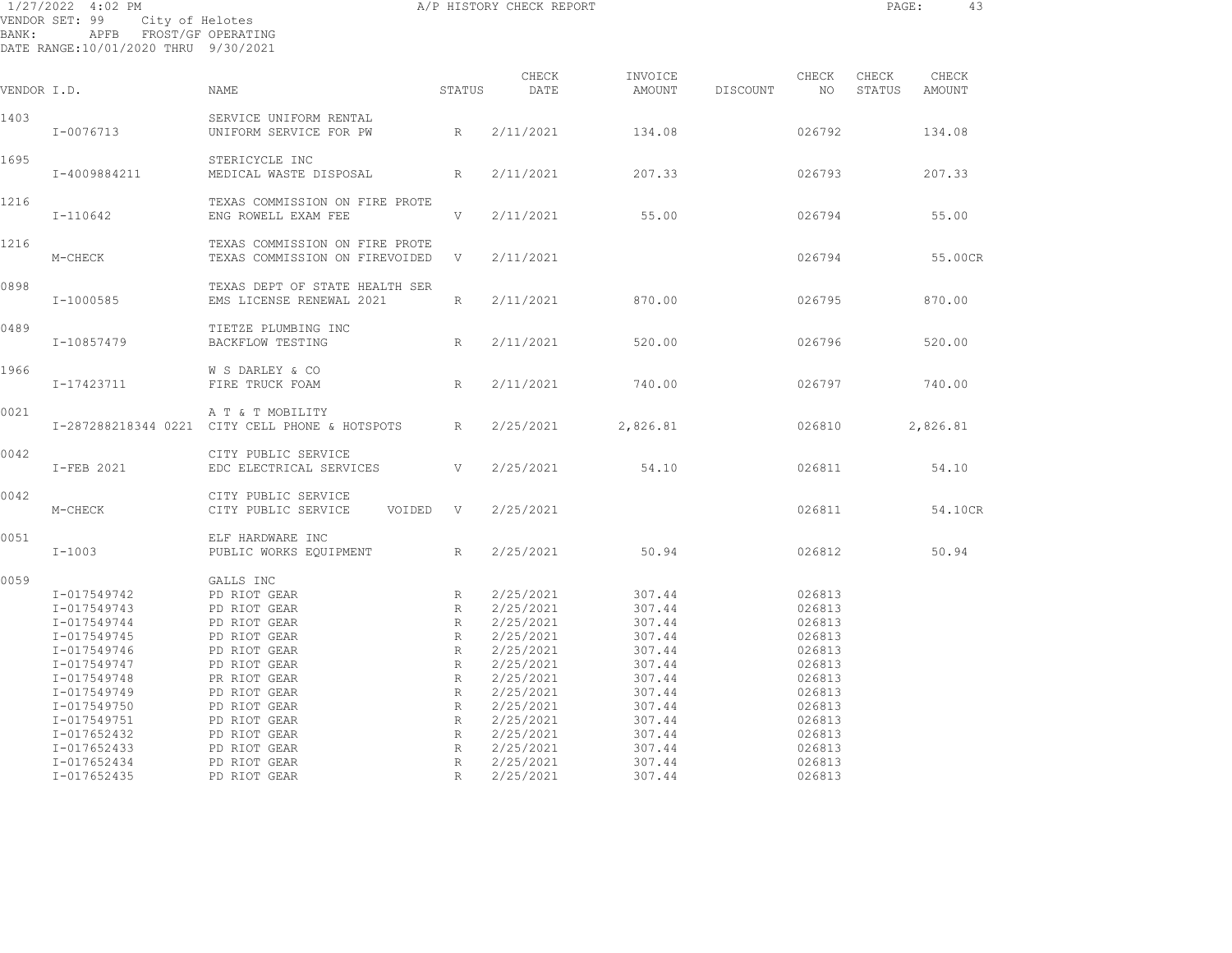| BANK:       | 1/27/2022 4:02 PM<br>VENDOR SET: 99<br>APFB FROST/GF OPERATING<br>DATE RANGE:10/01/2020 THRU 9/30/2021                                             | <br>City of Helotes<br>FROST '--                                                                                                                                          |                                                | A/P HISTORY CHECK REPORT                                                                                                       |                                                                                                  |          |                                                                                                  | PAGE:           | 43              |
|-------------|----------------------------------------------------------------------------------------------------------------------------------------------------|---------------------------------------------------------------------------------------------------------------------------------------------------------------------------|------------------------------------------------|--------------------------------------------------------------------------------------------------------------------------------|--------------------------------------------------------------------------------------------------|----------|--------------------------------------------------------------------------------------------------|-----------------|-----------------|
| VENDOR I.D. |                                                                                                                                                    | NAME                                                                                                                                                                      | STATUS                                         | CHECK<br>DATE                                                                                                                  | INVOICE<br>AMOUNT                                                                                | DISCOUNT | CHECK<br>NO                                                                                      | CHECK<br>STATUS | CHECK<br>AMOUNT |
| 1403        | I-0076713                                                                                                                                          | SERVICE UNIFORM RENTAL<br>UNIFORM SERVICE FOR PW                                                                                                                          | R                                              | 2/11/2021                                                                                                                      | 134.08                                                                                           |          | 026792                                                                                           |                 | 134.08          |
| 1695        | I-4009884211                                                                                                                                       | STERICYCLE INC<br>MEDICAL WASTE DISPOSAL                                                                                                                                  | $R_{\odot}$                                    | 2/11/2021                                                                                                                      | 207.33                                                                                           |          | 026793                                                                                           |                 | 207.33          |
| 1216        | I-110642                                                                                                                                           | TEXAS COMMISSION ON FIRE PROTE<br>ENG ROWELL EXAM FEE                                                                                                                     | V                                              | 2/11/2021                                                                                                                      | 55.00                                                                                            |          | 026794                                                                                           |                 | 55.00           |
| 1216        | M-CHECK                                                                                                                                            | TEXAS COMMISSION ON FIRE PROTE<br>TEXAS COMMISSION ON FIREVOIDED V                                                                                                        |                                                | 2/11/2021                                                                                                                      |                                                                                                  |          | 026794                                                                                           |                 | 55.00CR         |
| 0898        | I-1000585                                                                                                                                          | TEXAS DEPT OF STATE HEALTH SER<br>EMS LICENSE RENEWAL 2021                                                                                                                | $R_{\parallel}$                                | 2/11/2021                                                                                                                      | 870.00                                                                                           |          | 026795                                                                                           |                 | 870.00          |
| 0489        | I-10857479                                                                                                                                         | TIETZE PLUMBING INC<br>BACKFLOW TESTING                                                                                                                                   | R                                              | 2/11/2021                                                                                                                      | 520.00                                                                                           |          | 026796                                                                                           |                 | 520.00          |
| 1966        | I-17423711                                                                                                                                         | W S DARLEY & CO<br>FIRE TRUCK FOAM                                                                                                                                        | R                                              | 2/11/2021                                                                                                                      | 740.00                                                                                           |          | 026797                                                                                           |                 | 740.00          |
| 0021        |                                                                                                                                                    | A T & T MOBILITY<br>I-287288218344 0221 CITY CELL PHONE & HOTSPOTS R                                                                                                      |                                                | 2/25/2021                                                                                                                      | 2,826.81                                                                                         |          | 026810                                                                                           |                 | 2,826.81        |
| 0042        | I-FEB 2021                                                                                                                                         | CITY PUBLIC SERVICE<br>EDC ELECTRICAL SERVICES                                                                                                                            | V                                              | 2/25/2021                                                                                                                      | 54.10                                                                                            |          | 026811                                                                                           |                 | 54.10           |
| 0042        | M-CHECK                                                                                                                                            | CITY PUBLIC SERVICE<br>CITY PUBLIC SERVICE<br>VOIDED V                                                                                                                    |                                                | 2/25/2021                                                                                                                      |                                                                                                  |          | 026811                                                                                           |                 | 54.10CR         |
| 0051        | $I-1003$                                                                                                                                           | ELF HARDWARE INC<br>PUBLIC WORKS EQUIPMENT                                                                                                                                | R                                              | 2/25/2021                                                                                                                      | 50.94                                                                                            |          | 026812                                                                                           |                 | 50.94           |
| 0059        | I-017549742<br>I-017549743<br>I-017549744<br>I-017549745<br>I-017549746<br>I-017549747<br>I-017549748<br>I-017549749<br>I-017549750<br>I-017549751 | GALLS INC<br>PD RIOT GEAR<br>PD RIOT GEAR<br>PD RIOT GEAR<br>PD RIOT GEAR<br>PD RIOT GEAR<br>PD RIOT GEAR<br>PR RIOT GEAR<br>PD RIOT GEAR<br>PD RIOT GEAR<br>PD RIOT GEAR | R<br>R<br>R<br>R<br>R<br>R<br>R<br>R<br>R<br>R | 2/25/2021<br>2/25/2021<br>2/25/2021<br>2/25/2021<br>2/25/2021<br>2/25/2021<br>2/25/2021<br>2/25/2021<br>2/25/2021<br>2/25/2021 | 307.44<br>307.44<br>307.44<br>307.44<br>307.44<br>307.44<br>307.44<br>307.44<br>307.44<br>307.44 |          | 026813<br>026813<br>026813<br>026813<br>026813<br>026813<br>026813<br>026813<br>026813<br>026813 |                 |                 |
|             | I-017652432<br>I-017652433                                                                                                                         | PD RIOT GEAR<br>PD RIOT GEAR                                                                                                                                              | R<br>$R_{\parallel}$                           | 2/25/2021<br>2/25/2021                                                                                                         | 307.44<br>307.44                                                                                 |          | 026813<br>026813                                                                                 |                 |                 |

 I-017652434 PD RIOT GEAR R 2/25/2021 307.44 026813 I-017652435 PD RIOT GEAR R 2/25/2021 307.44 026813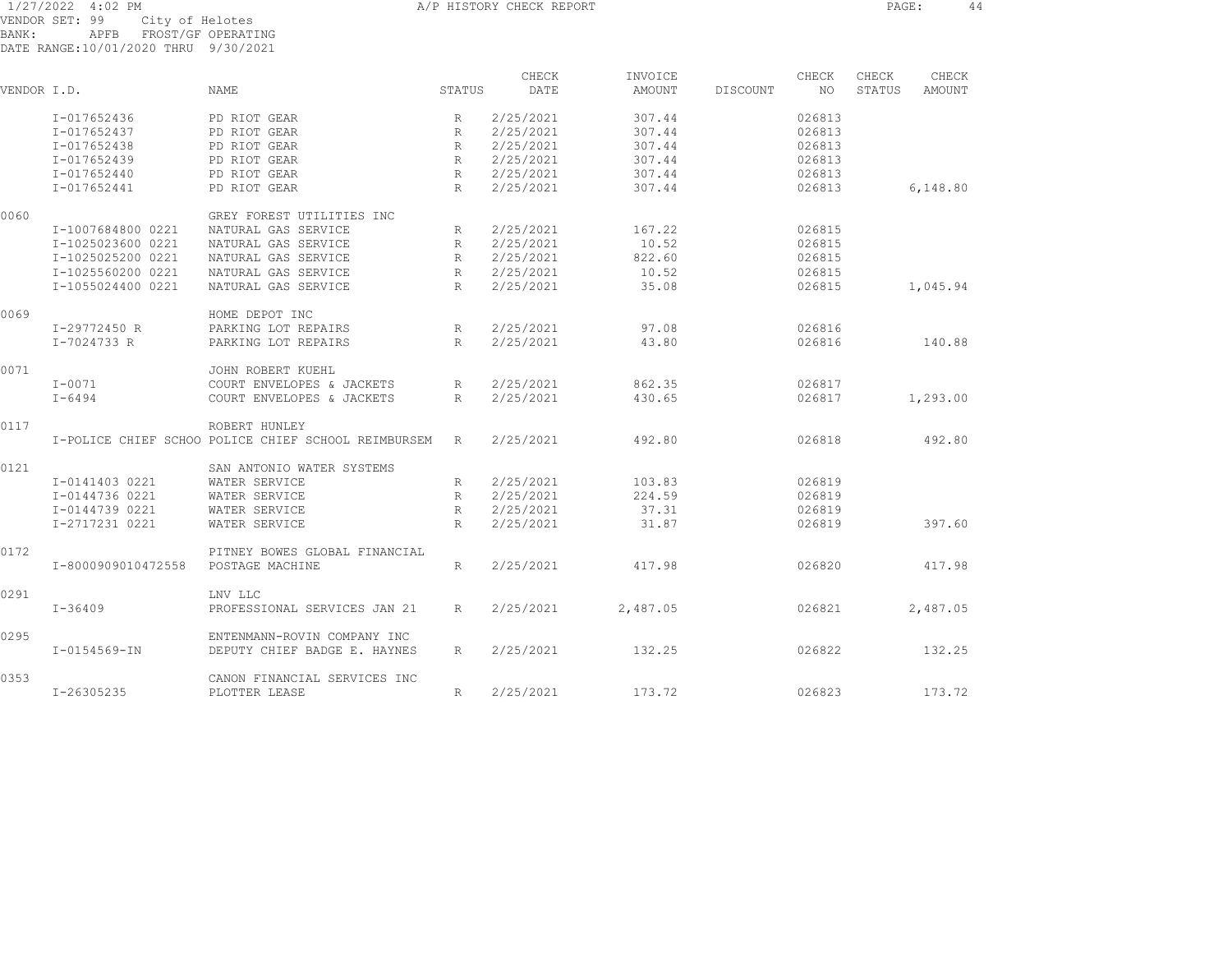1/27/2022 4:02 PM A/P HISTORY CHECK REPORT PAGE: 44 VENDOR SET: 99 City of Helotes BANK: APFB FROST/GF OPERATING DATE RANGE:10/01/2020 THRU 9/30/2021

| VENDOR I.D. |                    | NAME                                                | STATUS       | CHECK<br>DATE | INVOICE<br>AMOUNT | DISCOUNT | CHECK<br>NO. | CHECK<br>STATUS | CHECK<br>AMOUNT |
|-------------|--------------------|-----------------------------------------------------|--------------|---------------|-------------------|----------|--------------|-----------------|-----------------|
|             |                    |                                                     |              |               |                   |          |              |                 |                 |
|             | I-017652436        | PD RIOT GEAR                                        | $\mathbb{R}$ | 2/25/2021     | 307.44            |          | 026813       |                 |                 |
|             | I-017652437        | PD RIOT GEAR                                        | $\mathbb{R}$ | 2/25/2021     | 307.44            |          | 026813       |                 |                 |
|             | I-017652438        | PD RIOT GEAR                                        | R            | 2/25/2021     | 307.44            |          | 026813       |                 |                 |
|             | I-017652439        | PD RIOT GEAR                                        | R            | 2/25/2021     | 307.44            |          | 026813       |                 |                 |
|             | I-017652440        | PD RIOT GEAR                                        | R            | 2/25/2021     | 307.44            |          | 026813       |                 |                 |
|             | I-017652441        | PD RIOT GEAR                                        | R            | 2/25/2021     | 307.44            |          | 026813       |                 | 6,148.80        |
| 0060        |                    | GREY FOREST UTILITIES INC                           |              |               |                   |          |              |                 |                 |
|             | I-1007684800 0221  | NATURAL GAS SERVICE                                 | R            | 2/25/2021     | 167.22            |          | 026815       |                 |                 |
|             | I-1025023600 0221  | NATURAL GAS SERVICE                                 | $\mathbb{R}$ | 2/25/2021     | 10.52             |          | 026815       |                 |                 |
|             | I-1025025200 0221  | NATURAL GAS SERVICE                                 | R            | 2/25/2021     | 822.60            |          | 026815       |                 |                 |
|             | I-1025560200 0221  | NATURAL GAS SERVICE                                 | R            | 2/25/2021     | 10.52             |          | 026815       |                 |                 |
|             | I-1055024400 0221  | NATURAL GAS SERVICE                                 | R            | 2/25/2021     | 35.08             |          | 026815       |                 | 1,045.94        |
| 0069        |                    | HOME DEPOT INC                                      |              |               |                   |          |              |                 |                 |
|             | I-29772450 R       | PARKING LOT REPAIRS                                 | R            | 2/25/2021     | 97.08             |          | 026816       |                 |                 |
|             | I-7024733 R        | PARKING LOT REPAIRS                                 | R            | 2/25/2021     | 43.80             |          | 026816       |                 | 140.88          |
| 0071        |                    | JOHN ROBERT KUEHL                                   |              |               |                   |          |              |                 |                 |
|             | $I - 0071$         | COURT ENVELOPES & JACKETS                           | R            | 2/25/2021     | 862.35            |          | 026817       |                 |                 |
|             | $I - 6494$         | COURT ENVELOPES & JACKETS                           | $\mathbb{R}$ | 2/25/2021     | 430.65            |          | 026817       |                 | 1,293.00        |
| 0117        |                    | ROBERT HUNLEY                                       |              |               |                   |          |              |                 |                 |
|             |                    | I-POLICE CHIEF SCHOO POLICE CHIEF SCHOOL REIMBURSEM | R            | 2/25/2021     | 492.80            |          | 026818       |                 | 492.80          |
| 0121        |                    | SAN ANTONIO WATER SYSTEMS                           |              |               |                   |          |              |                 |                 |
|             | I-0141403 0221     | WATER SERVICE                                       | R            | 2/25/2021     | 103.83            |          | 026819       |                 |                 |
|             | I-0144736 0221     | WATER SERVICE                                       | R            | 2/25/2021     | 224.59            |          | 026819       |                 |                 |
|             | I-0144739 0221     | WATER SERVICE                                       | R            | 2/25/2021     | 37.31             |          | 026819       |                 |                 |
|             | I-2717231 0221     | WATER SERVICE                                       | R            | 2/25/2021     | 31.87             |          | 026819       |                 | 397.60          |
| 0172        |                    | PITNEY BOWES GLOBAL FINANCIAL                       |              |               |                   |          |              |                 |                 |
|             | I-8000909010472558 | POSTAGE MACHINE                                     | $R_{\odot}$  | 2/25/2021     | 417.98            |          | 026820       |                 | 417.98          |
| 0291        |                    | LNV LLC                                             |              |               |                   |          |              |                 |                 |
|             | $I - 36409$        | PROFESSIONAL SERVICES JAN 21                        | R            | 2/25/2021     | 2,487.05          |          | 026821       |                 | 2,487.05        |
| 0295        |                    | ENTENMANN-ROVIN COMPANY INC                         |              |               |                   |          |              |                 |                 |
|             | $I - 0154569 - IN$ | DEPUTY CHIEF BADGE E. HAYNES                        | R            | 2/25/2021     | 132.25            |          | 026822       |                 | 132.25          |
| 0353        |                    | CANON FINANCIAL SERVICES INC                        |              |               |                   |          |              |                 |                 |
|             | I-26305235         | PLOTTER LEASE                                       | R            | 2/25/2021     | 173.72            |          | 026823       |                 | 173.72          |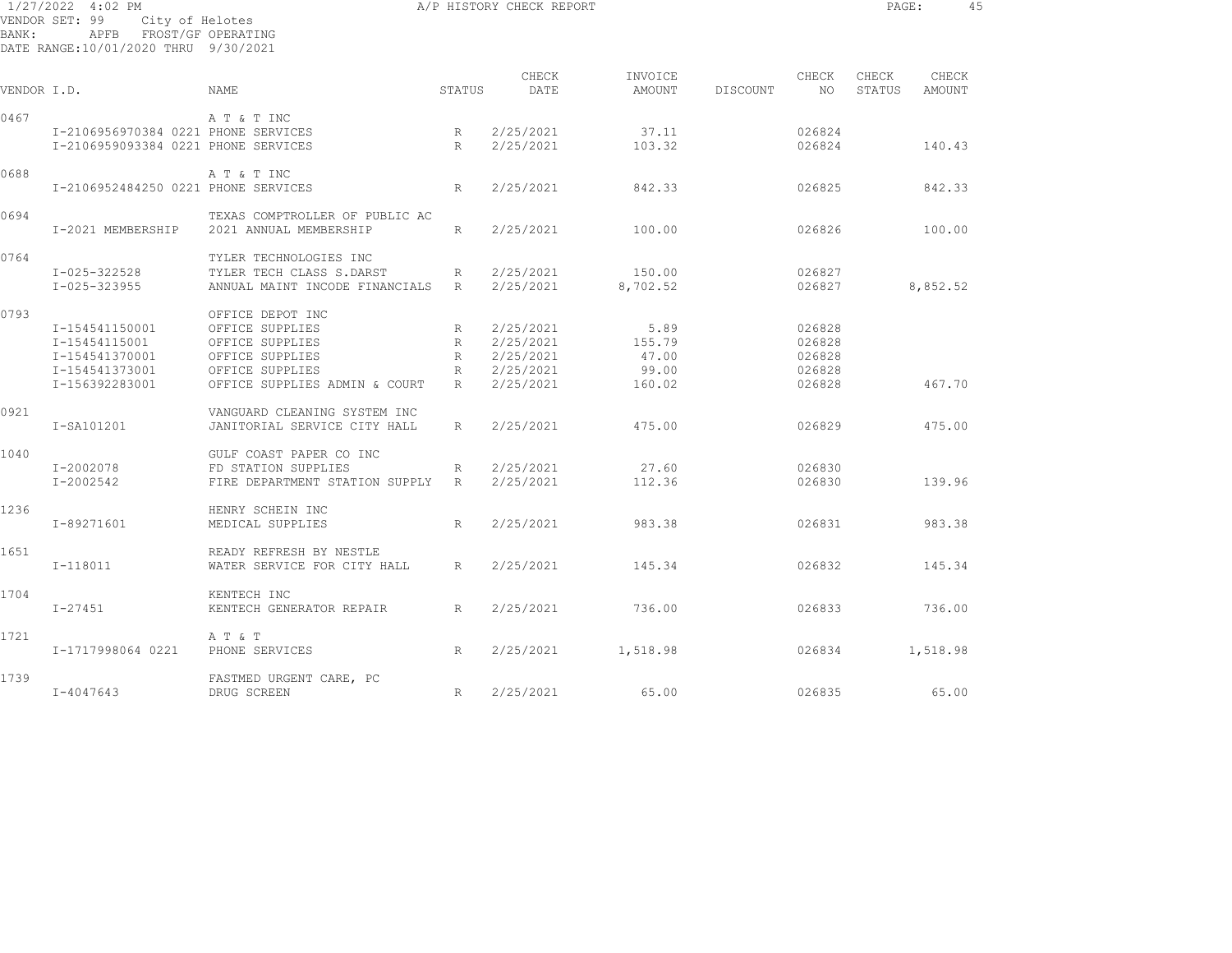| 1/27/2022 4:02 PM<br>VENDOR SET: 99<br>City of Helotes<br>APFB<br>FROST/GF OPERATING<br>BANK:<br>DATE RANGE:10/01/2020 THRU 9/30/2021 |                                     |                                |                 | A/P HISTORY CHECK REPORT |          |          |        |        | PAGE:         | 45 |
|---------------------------------------------------------------------------------------------------------------------------------------|-------------------------------------|--------------------------------|-----------------|--------------------------|----------|----------|--------|--------|---------------|----|
|                                                                                                                                       |                                     |                                |                 | CHECK                    | INVOICE  |          | CHECK  | CHECK  | CHECK         |    |
| VENDOR I.D.                                                                                                                           |                                     | <b>NAME</b>                    | STATUS          | DATE                     | AMOUNT   | DISCOUNT | NO     | STATUS | <b>AMOUNT</b> |    |
| 0467                                                                                                                                  |                                     | A T & T INC                    |                 |                          |          |          |        |        |               |    |
|                                                                                                                                       | I-2106956970384 0221 PHONE SERVICES |                                | R               | 2/25/2021                | 37.11    |          | 026824 |        |               |    |
|                                                                                                                                       | I-2106959093384 0221 PHONE SERVICES |                                | R               | 2/25/2021                | 103.32   |          | 026824 |        | 140.43        |    |
| 0688                                                                                                                                  |                                     | A T & T INC                    |                 |                          |          |          |        |        |               |    |
|                                                                                                                                       | I-2106952484250 0221 PHONE SERVICES |                                | R               | 2/25/2021                | 842.33   |          | 026825 |        | 842.33        |    |
| 0694                                                                                                                                  |                                     | TEXAS COMPTROLLER OF PUBLIC AC |                 |                          |          |          |        |        |               |    |
|                                                                                                                                       | I-2021 MEMBERSHIP                   | 2021 ANNUAL MEMBERSHIP         | R               | 2/25/2021                | 100.00   |          | 026826 |        | 100.00        |    |
| 0764                                                                                                                                  |                                     | TYLER TECHNOLOGIES INC         |                 |                          |          |          |        |        |               |    |
|                                                                                                                                       | $I - 025 - 322528$                  | TYLER TECH CLASS S.DARST       | R               | 2/25/2021                | 150.00   |          | 026827 |        |               |    |
|                                                                                                                                       | $I - 025 - 323955$                  | ANNUAL MAINT INCODE FINANCIALS | R               | 2/25/2021                | 8,702.52 |          | 026827 |        | 8,852.52      |    |
| 0793                                                                                                                                  |                                     | OFFICE DEPOT INC               |                 |                          |          |          |        |        |               |    |
|                                                                                                                                       | I-154541150001                      | OFFICE SUPPLIES                | R               | 2/25/2021                | 5.89     |          | 026828 |        |               |    |
|                                                                                                                                       | I-15454115001                       | OFFICE SUPPLIES                | R               | 2/25/2021                | 155.79   |          | 026828 |        |               |    |
|                                                                                                                                       | I-154541370001                      | OFFICE SUPPLIES                | R               | 2/25/2021                | 47.00    |          | 026828 |        |               |    |
|                                                                                                                                       | I-154541373001                      | OFFICE SUPPLIES                | $R_{\parallel}$ | 2/25/2021                | 99.00    |          | 026828 |        |               |    |
|                                                                                                                                       | I-156392283001                      | OFFICE SUPPLIES ADMIN & COURT  | R               | 2/25/2021                | 160.02   |          | 026828 |        | 467.70        |    |
| 0921                                                                                                                                  |                                     | VANGUARD CLEANING SYSTEM INC   |                 |                          |          |          |        |        |               |    |
|                                                                                                                                       | I-SA101201                          | JANITORIAL SERVICE CITY HALL   | R               | 2/25/2021                | 475.00   |          | 026829 |        | 475.00        |    |
| 1040                                                                                                                                  |                                     | GULF COAST PAPER CO INC        |                 |                          |          |          |        |        |               |    |
|                                                                                                                                       | I-2002078                           | FD STATION SUPPLIES            | R               | 2/25/2021                | 27.60    |          | 026830 |        |               |    |
|                                                                                                                                       | I-2002542                           | FIRE DEPARTMENT STATION SUPPLY | R               | 2/25/2021                | 112.36   |          | 026830 |        | 139.96        |    |
| 1236                                                                                                                                  |                                     | HENRY SCHEIN INC               |                 |                          |          |          |        |        |               |    |
|                                                                                                                                       | I-89271601                          | MEDICAL SUPPLIES               | R               | 2/25/2021                | 983.38   |          | 026831 |        | 983.38        |    |
| 1651                                                                                                                                  |                                     | READY REFRESH BY NESTLE        |                 |                          |          |          |        |        |               |    |
|                                                                                                                                       | I-118011                            | WATER SERVICE FOR CITY HALL    | R               | 2/25/2021                | 145.34   |          | 026832 |        | 145.34        |    |
| 1704                                                                                                                                  |                                     | KENTECH INC                    |                 |                          |          |          |        |        |               |    |
|                                                                                                                                       | $I - 27451$                         | KENTECH GENERATOR REPAIR       | R               | 2/25/2021                | 736.00   |          | 026833 |        | 736.00        |    |
| 1721                                                                                                                                  |                                     | A T & T                        |                 |                          |          |          |        |        |               |    |
|                                                                                                                                       | I-1717998064 0221                   | PHONE SERVICES                 | R               | 2/25/2021                | 1,518.98 |          | 026834 |        | 1,518.98      |    |
| 1739                                                                                                                                  |                                     | FASTMED URGENT CARE, PC        |                 |                          |          |          |        |        |               |    |
|                                                                                                                                       | $I - 4047643$                       | DRUG SCREEN                    | R               | 2/25/2021                | 65.00    |          | 026835 |        | 65.00         |    |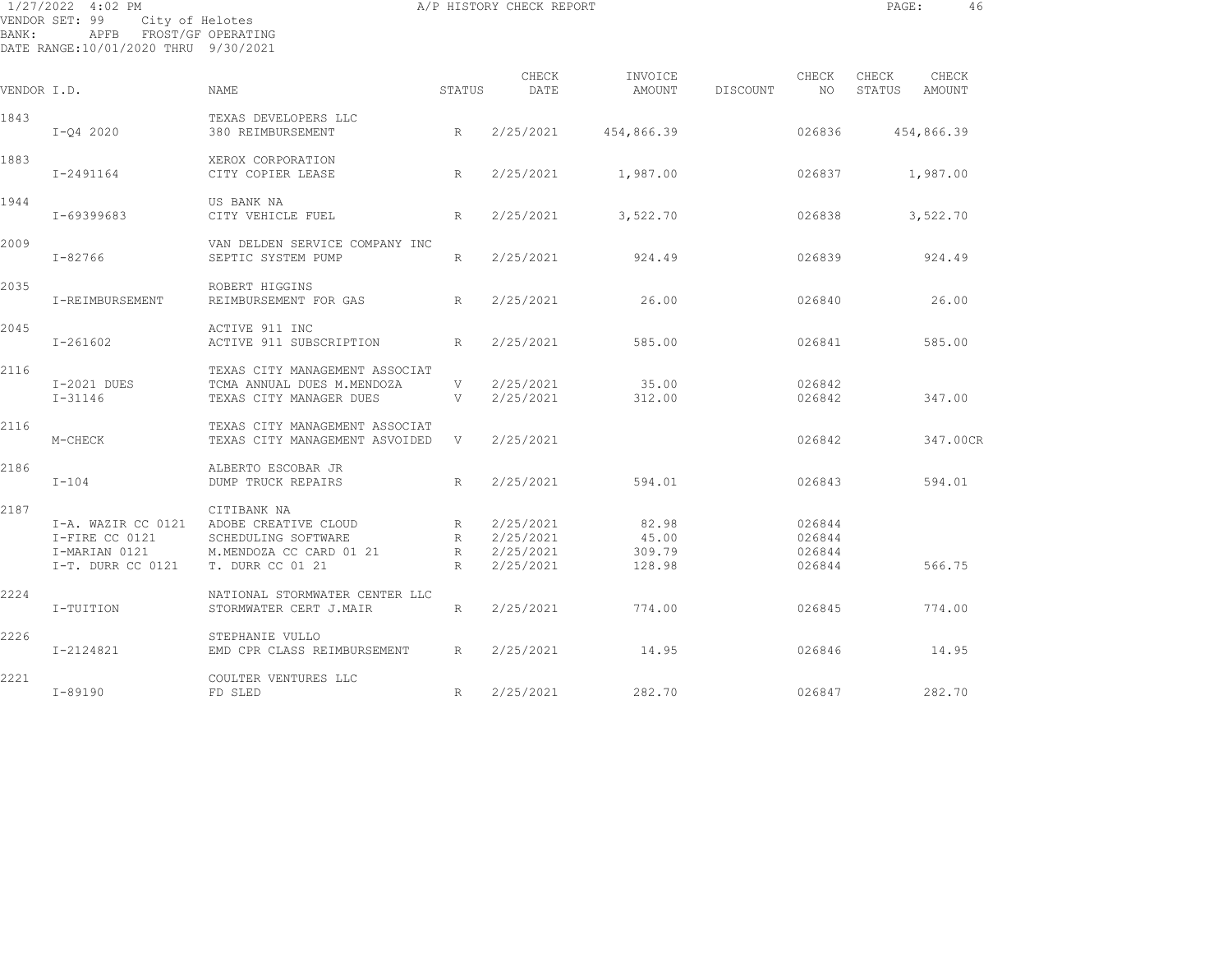| BANK:       | 1/27/2022 4:02 PM<br>VENDOR SET: 99<br>City of Helotes<br>APFB FROST/GF OPERATING<br>DATE RANGE:10/01/2020 THRU 9/30/2021 |                                                                                                           |                                                                   | A/P HISTORY CHECK REPORT                         |                                    |          |                                      | PAGE:           | 46              |  |
|-------------|---------------------------------------------------------------------------------------------------------------------------|-----------------------------------------------------------------------------------------------------------|-------------------------------------------------------------------|--------------------------------------------------|------------------------------------|----------|--------------------------------------|-----------------|-----------------|--|
| VENDOR I.D. |                                                                                                                           | NAME                                                                                                      | STATUS                                                            | CHECK<br>DATE                                    | INVOICE<br>AMOUNT                  | DISCOUNT | CHECK<br>NO.                         | CHECK<br>STATUS | CHECK<br>AMOUNT |  |
| 1843        |                                                                                                                           | TEXAS DEVELOPERS LLC                                                                                      |                                                                   |                                                  |                                    |          |                                      |                 |                 |  |
|             | $I-Q4 2020$                                                                                                               | 380 REIMBURSEMENT                                                                                         | R                                                                 | 2/25/2021                                        | 454,866.39                         |          | 026836                               |                 | 454,866.39      |  |
| 1883        | I-2491164                                                                                                                 | XEROX CORPORATION<br>CITY COPIER LEASE                                                                    | R                                                                 | 2/25/2021                                        | 1,987.00                           |          | 026837                               |                 | 1,987.00        |  |
| 1944        | I-69399683                                                                                                                | US BANK NA<br>CITY VEHICLE FUEL                                                                           | R                                                                 | 2/25/2021                                        | 3,522.70                           |          | 026838                               |                 | 3,522.70        |  |
| 2009        | $I - 82766$                                                                                                               | VAN DELDEN SERVICE COMPANY INC<br>SEPTIC SYSTEM PUMP                                                      | R                                                                 | 2/25/2021                                        | 924.49                             |          | 026839                               |                 | 924.49          |  |
| 2035        | I-REIMBURSEMENT                                                                                                           | ROBERT HIGGINS<br>REIMBURSEMENT FOR GAS                                                                   | R                                                                 | 2/25/2021                                        | 26.00                              |          | 026840                               |                 | 26.00           |  |
| 2045        | I-261602                                                                                                                  | ACTIVE 911 INC<br>ACTIVE 911 SUBSCRIPTION                                                                 | R                                                                 | 2/25/2021                                        | 585.00                             |          | 026841                               |                 | 585.00          |  |
| 2116        | I-2021 DUES<br>$I - 31146$                                                                                                | TEXAS CITY MANAGEMENT ASSOCIAT<br>TCMA ANNUAL DUES M.MENDOZA<br>TEXAS CITY MANAGER DUES                   | V<br>V                                                            | 2/25/2021<br>2/25/2021                           | 35.00<br>312.00                    |          | 026842<br>026842                     |                 | 347.00          |  |
| 2116        | M-CHECK                                                                                                                   | TEXAS CITY MANAGEMENT ASSOCIAT<br>TEXAS CITY MANAGEMENT ASVOIDED                                          | V                                                                 | 2/25/2021                                        |                                    |          | 026842                               |                 | 347.00CR        |  |
| 2186        | $I-104$                                                                                                                   | ALBERTO ESCOBAR JR<br><b>DUMP TRUCK REPAIRS</b>                                                           | R                                                                 | 2/25/2021                                        | 594.01                             |          | 026843                               |                 | 594.01          |  |
| 2187        | I-A. WAZIR CC 0121<br>I-FIRE CC 0121<br>I-MARIAN 0121<br>I-T. DURR CC 0121                                                | CITIBANK NA<br>ADOBE CREATIVE CLOUD<br>SCHEDULING SOFTWARE<br>M.MENDOZA CC CARD 01 21<br>T. DURR CC 01 21 | $R_{\parallel}$<br>$R_{\parallel}$<br>$R \sim$<br>$R_{\parallel}$ | 2/25/2021<br>2/25/2021<br>2/25/2021<br>2/25/2021 | 82.98<br>45.00<br>309.79<br>128.98 |          | 026844<br>026844<br>026844<br>026844 |                 | 566.75          |  |
| 2224        | I-TUITION                                                                                                                 | NATIONAL STORMWATER CENTER LLC<br>STORMWATER CERT J.MAIR                                                  | $R_{\parallel}$                                                   | 2/25/2021                                        | 774.00                             |          | 026845                               |                 | 774.00          |  |
| 2226        | I-2124821                                                                                                                 | STEPHANIE VULLO<br>EMD CPR CLASS REIMBURSEMENT                                                            | R                                                                 | 2/25/2021                                        | 14.95                              |          | 026846                               |                 | 14.95           |  |
| 2221        |                                                                                                                           | COULTER VENTURES LLC                                                                                      |                                                                   |                                                  |                                    |          |                                      |                 |                 |  |

I-89190 FD SLED R 2/25/2021 282.70 026847 282.70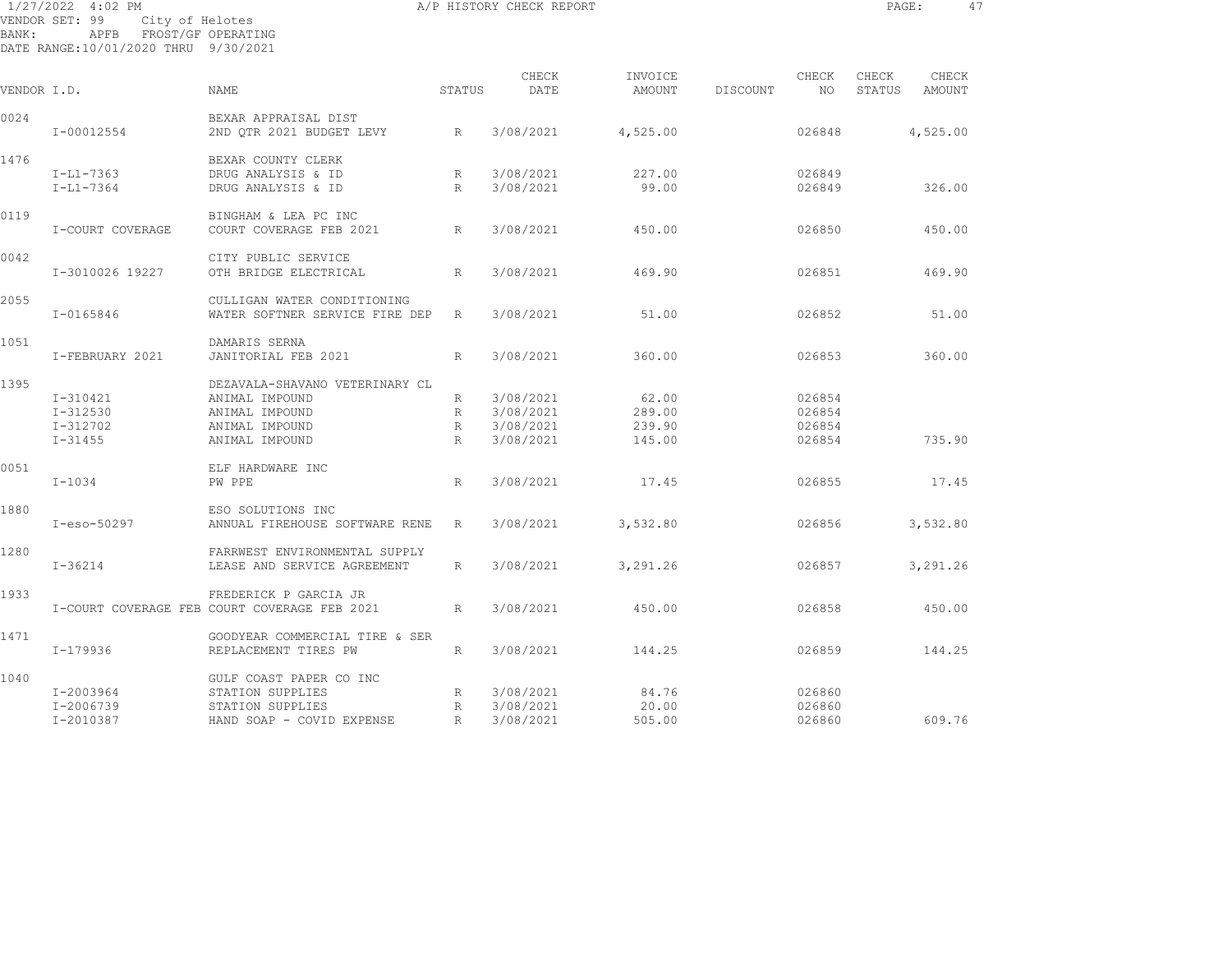| 1/27/2022 4:02 PM<br>VENDOR SET: 99<br>City of Helotes |                                                                  |                                                                                                        |                  | A/P HISTORY CHECK REPORT                         |                                     |          |                                      | PAGE:           |                 | 47 |
|--------------------------------------------------------|------------------------------------------------------------------|--------------------------------------------------------------------------------------------------------|------------------|--------------------------------------------------|-------------------------------------|----------|--------------------------------------|-----------------|-----------------|----|
| BANK:                                                  | APFB FROST/GF OPERATING<br>DATE RANGE: 10/01/2020 THRU 9/30/2021 |                                                                                                        |                  |                                                  |                                     |          |                                      |                 |                 |    |
| VENDOR I.D.                                            |                                                                  | <b>NAME</b>                                                                                            | STATUS           | CHECK<br>DATE                                    | INVOICE<br>AMOUNT                   | DISCOUNT | CHECK<br>NO.                         | CHECK<br>STATUS | CHECK<br>AMOUNT |    |
| 0024                                                   | I-00012554                                                       | BEXAR APPRAISAL DIST<br>2ND OTR 2021 BUDGET LEVY                                                       | R                | 3/08/2021                                        | 4,525.00                            |          | 026848                               |                 | 4,525.00        |    |
| 1476                                                   | $I-L1-7363$<br>$I-L1-7364$                                       | BEXAR COUNTY CLERK<br>DRUG ANALYSIS & ID<br>DRUG ANALYSIS & ID                                         | R<br>R           | 3/08/2021<br>3/08/2021                           | 227.00<br>99.00                     |          | 026849<br>026849                     |                 | 326.00          |    |
| 0119                                                   | I-COURT COVERAGE                                                 | BINGHAM & LEA PC INC<br>COURT COVERAGE FEB 2021                                                        | R                | 3/08/2021                                        | 450.00                              |          | 026850                               |                 | 450.00          |    |
| 0042                                                   | I-3010026 19227                                                  | CITY PUBLIC SERVICE<br>OTH BRIDGE ELECTRICAL                                                           | R                | 3/08/2021                                        | 469.90                              |          | 026851                               |                 | 469.90          |    |
| 2055                                                   | $I - 0165846$                                                    | CULLIGAN WATER CONDITIONING<br>WATER SOFTNER SERVICE FIRE DEP                                          | R                | 3/08/2021                                        | 51.00                               |          | 026852                               |                 | 51.00           |    |
| 1051                                                   | I-FEBRUARY 2021                                                  | DAMARIS SERNA<br>JANITORIAL FEB 2021                                                                   | R                | 3/08/2021                                        | 360.00                              |          | 026853                               |                 | 360.00          |    |
| 1395                                                   | I-310421<br>I-312530<br>I-312702<br>$I - 31455$                  | DEZAVALA-SHAVANO VETERINARY CL<br>ANIMAL IMPOUND<br>ANIMAL IMPOUND<br>ANIMAL IMPOUND<br>ANIMAL IMPOUND | R<br>R<br>R<br>R | 3/08/2021<br>3/08/2021<br>3/08/2021<br>3/08/2021 | 62.00<br>289.00<br>239.90<br>145.00 |          | 026854<br>026854<br>026854<br>026854 |                 | 735.90          |    |
| 0051                                                   | $I - 1034$                                                       | ELF HARDWARE INC<br>PW PPE                                                                             | R                | 3/08/2021                                        | 17.45                               |          | 026855                               |                 | 17.45           |    |
| 1880                                                   | $I-eso-50297$                                                    | ESO SOLUTIONS INC<br>ANNUAL FIREHOUSE SOFTWARE RENE                                                    | R                | 3/08/2021                                        | 3,532.80                            |          | 026856                               |                 | 3,532.80        |    |
| 1280                                                   | $I - 36214$                                                      | FARRWEST ENVIRONMENTAL SUPPLY<br>LEASE AND SERVICE AGREEMENT                                           | R                | 3/08/2021                                        | 3,291.26                            |          | 026857                               |                 | 3,291.26        |    |
| 1933                                                   |                                                                  | FREDERICK P GARCIA JR<br>I-COURT COVERAGE FEB COURT COVERAGE FEB 2021                                  | R                | 3/08/2021                                        | 450.00                              |          | 026858                               |                 | 450.00          |    |

I-179936 REPLACEMENT TIRES PW R 3/08/2021 144.25 026859 144.25

I-2010387 HAND SOAP - COVID EXPENSE R 3/08/2021 505.00 026860 609.76

I-2003964 STATION SUPPLIES R 3/08/2021 84.76 026860 I-2006739 STATION SUPPLIES R 3/08/2021 20.00 026860

1471 GOODYEAR COMMERCIAL TIRE & SER

1040 GULF COAST PAPER CO INC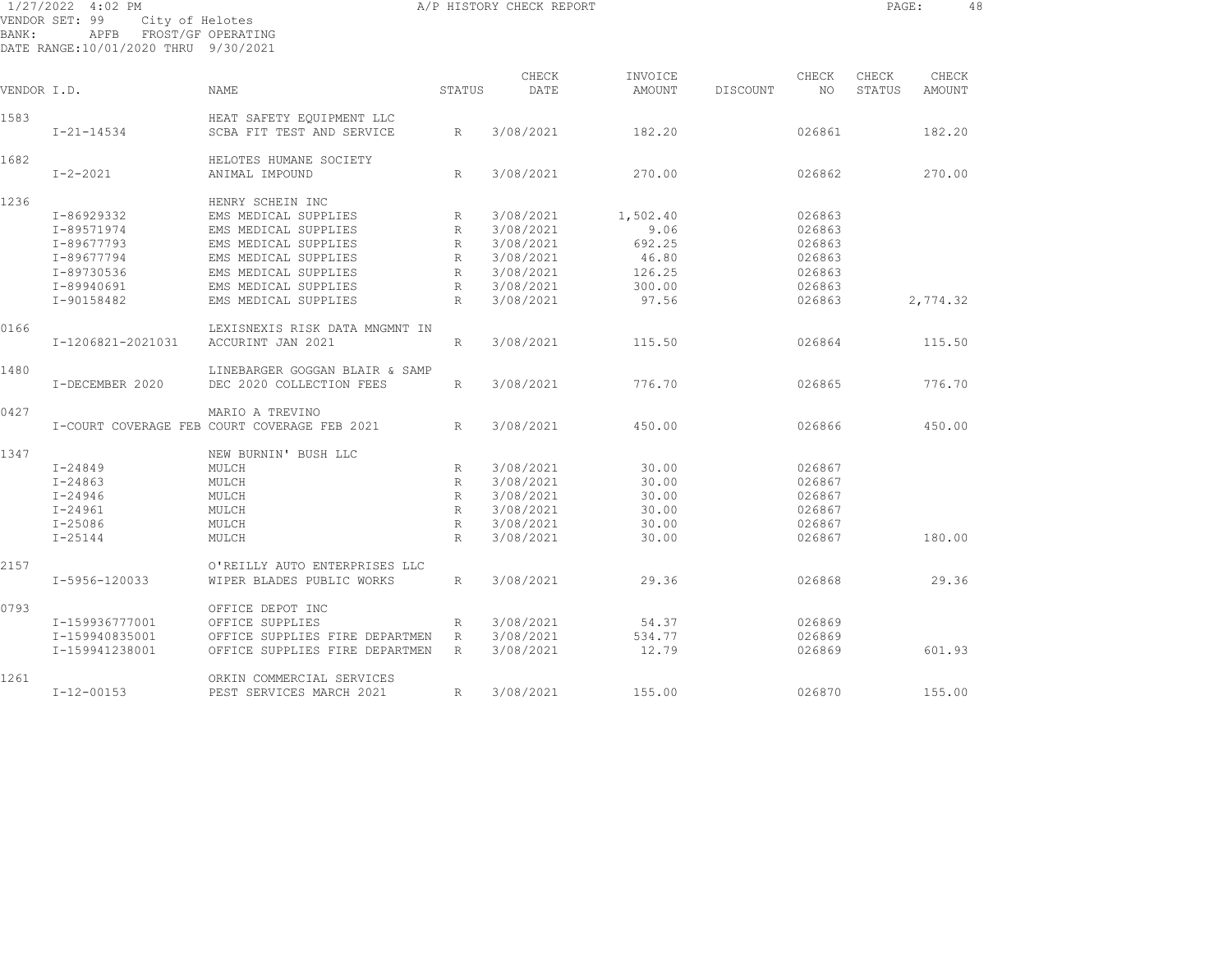1/27/2022 4:02 PM A/P HISTORY CHECK REPORT PAGE: 48 VENDOR SET: 99 City of Helotes BANK: APFB FROST/GF OPERATING DATE RANGE:10/01/2020 THRU 9/30/2021

| VENDOR I.D. |                   | <b>NAME</b>                                  | STATUS       | CHECK<br>DATE | INVOICE<br>AMOUNT | DISCOUNT | CHECK<br>NO | CHECK<br>STATUS | CHECK<br>AMOUNT |  |
|-------------|-------------------|----------------------------------------------|--------------|---------------|-------------------|----------|-------------|-----------------|-----------------|--|
| 1583        |                   | HEAT SAFETY EQUIPMENT LLC                    |              |               |                   |          |             |                 |                 |  |
|             | $I - 21 - 14534$  | SCBA FIT TEST AND SERVICE                    | R            | 3/08/2021     | 182.20            |          | 026861      |                 | 182.20          |  |
| 1682        |                   | HELOTES HUMANE SOCIETY                       |              |               |                   |          |             |                 |                 |  |
|             | $I - 2 - 2021$    | ANIMAL IMPOUND                               | $\mathbb{R}$ | 3/08/2021     | 270.00            |          | 026862      |                 | 270.00          |  |
| 1236        |                   | HENRY SCHEIN INC                             |              |               |                   |          |             |                 |                 |  |
|             | I-86929332        | EMS MEDICAL SUPPLIES                         | R            | 3/08/2021     | 1,502.40          |          | 026863      |                 |                 |  |
|             | I-89571974        | EMS MEDICAL SUPPLIES                         | R            | 3/08/2021     | 9.06              |          | 026863      |                 |                 |  |
|             | I-89677793        | EMS MEDICAL SUPPLIES                         | $\mathbb{R}$ | 3/08/2021     | 692.25            |          | 026863      |                 |                 |  |
|             | I-89677794        | EMS MEDICAL SUPPLIES                         | R            | 3/08/2021     | 46.80             |          | 026863      |                 |                 |  |
|             | I-89730536        | EMS MEDICAL SUPPLIES                         | $\mathbb{R}$ | 3/08/2021     | 126.25            |          | 026863      |                 |                 |  |
|             | I-89940691        | EMS MEDICAL SUPPLIES                         | R            | 3/08/2021     | 300.00            |          | 026863      |                 |                 |  |
|             | I-90158482        | EMS MEDICAL SUPPLIES                         | R            | 3/08/2021     | 97.56             |          | 026863      |                 | 2,774.32        |  |
| 0166        |                   | LEXISNEXIS RISK DATA MNGMNT IN               |              |               |                   |          |             |                 |                 |  |
|             | I-1206821-2021031 | ACCURINT JAN 2021                            | R            | 3/08/2021     | 115.50            |          | 026864      |                 | 115.50          |  |
| 1480        |                   | LINEBARGER GOGGAN BLAIR & SAMP               |              |               |                   |          |             |                 |                 |  |
|             | I-DECEMBER 2020   | DEC 2020 COLLECTION FEES                     | $\mathbb{R}$ | 3/08/2021     | 776.70            |          | 026865      |                 | 776.70          |  |
| 0427        |                   | MARIO A TREVINO                              |              |               |                   |          |             |                 |                 |  |
|             |                   | I-COURT COVERAGE FEB COURT COVERAGE FEB 2021 | $\mathbb{R}$ | 3/08/2021     | 450.00            |          | 026866      |                 | 450.00          |  |
| 1347        |                   | NEW BURNIN' BUSH LLC                         |              |               |                   |          |             |                 |                 |  |
|             | $I - 24849$       | MULCH                                        | R            | 3/08/2021     | 30.00             |          | 026867      |                 |                 |  |
|             | $I - 24863$       | MULCH                                        | R            | 3/08/2021     | 30.00             |          | 026867      |                 |                 |  |
|             | $I - 24946$       | MULCH                                        | R            | 3/08/2021     | 30.00             |          | 026867      |                 |                 |  |
|             | $I - 24961$       | MULCH                                        | R            | 3/08/2021     | 30.00             |          | 026867      |                 |                 |  |
|             | $I - 25086$       | MULCH                                        | R            | 3/08/2021     | 30.00             |          | 026867      |                 |                 |  |
|             | $I - 25144$       | MULCH                                        | R            | 3/08/2021     | 30.00             |          | 026867      |                 | 180.00          |  |
| 2157        |                   | O'REILLY AUTO ENTERPRISES LLC                |              |               |                   |          |             |                 |                 |  |
|             | I-5956-120033     | WIPER BLADES PUBLIC WORKS                    | $\mathbb{R}$ | 3/08/2021     | 29.36             |          | 026868      |                 | 29.36           |  |
| 0793        |                   | OFFICE DEPOT INC                             |              |               |                   |          |             |                 |                 |  |
|             | I-159936777001    | OFFICE SUPPLIES                              | R            | 3/08/2021     | 54.37             |          | 026869      |                 |                 |  |
|             | I-159940835001    | OFFICE SUPPLIES FIRE DEPARTMEN               | R            | 3/08/2021     | 534.77            |          | 026869      |                 |                 |  |
|             | I-159941238001    | OFFICE SUPPLIES FIRE DEPARTMEN               | R            | 3/08/2021     | 12.79             |          | 026869      |                 | 601.93          |  |
| 1261        |                   | ORKIN COMMERCIAL SERVICES                    |              |               |                   |          |             |                 |                 |  |
|             | $I - 12 - 00153$  | PEST SERVICES MARCH 2021                     | R            | 3/08/2021     | 155.00            |          | 026870      |                 | 155.00          |  |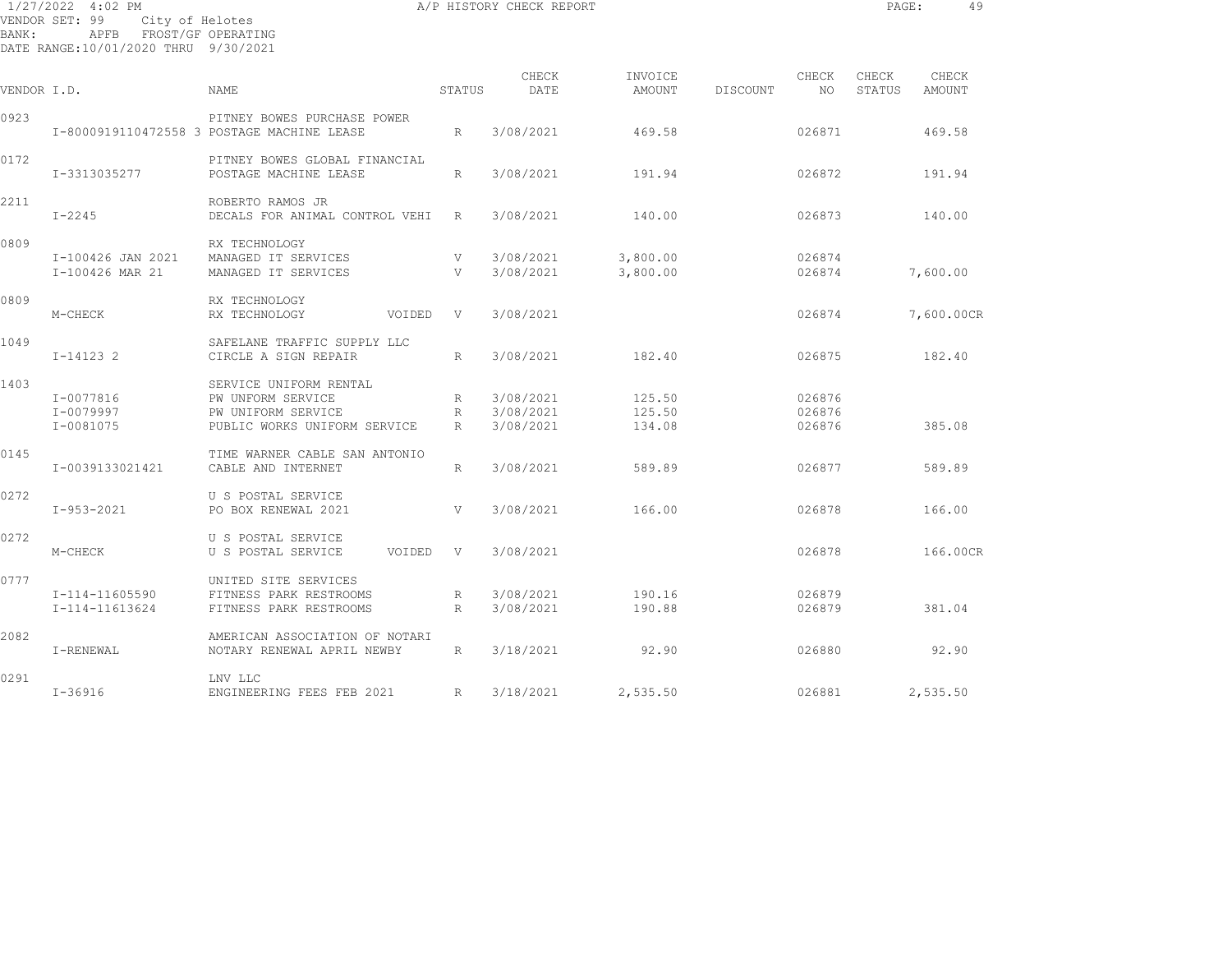| BANK:       | 1/27/2022 4:02 PM<br>VENDOR SET: 99<br>City of Helotes<br>APFB FROST/GF OPERATING<br>DATE RANGE:10/01/2020 THRU 9/30/2021 |                                                                                                   |                                     | A/P HISTORY CHECK REPORT            |                            |          |                            | PAGE:           | 49              |
|-------------|---------------------------------------------------------------------------------------------------------------------------|---------------------------------------------------------------------------------------------------|-------------------------------------|-------------------------------------|----------------------------|----------|----------------------------|-----------------|-----------------|
| VENDOR I.D. |                                                                                                                           | NAME                                                                                              | STATUS                              | CHECK<br>DATE                       | INVOICE<br>AMOUNT          | DISCOUNT | CHECK<br>NO                | CHECK<br>STATUS | CHECK<br>AMOUNT |
| 0923        |                                                                                                                           | PITNEY BOWES PURCHASE POWER<br>I-8000919110472558 3 POSTAGE MACHINE LEASE                         | R                                   | 3/08/2021                           | 469.58                     |          | 026871                     |                 | 469.58          |
| 0172        | I-3313035277                                                                                                              | PITNEY BOWES GLOBAL FINANCIAL<br>POSTAGE MACHINE LEASE                                            | $R_{\parallel}$                     | 3/08/2021                           | 191.94                     |          | 026872                     |                 | 191.94          |
| 2211        | $I - 2245$                                                                                                                | ROBERTO RAMOS JR<br>DECALS FOR ANIMAL CONTROL VEHI                                                | R                                   | 3/08/2021                           | 140.00                     |          | 026873                     |                 | 140.00          |
| 0809        | I-100426 JAN 2021<br>I-100426 MAR 21                                                                                      | RX TECHNOLOGY<br>MANAGED IT SERVICES<br>MANAGED IT SERVICES                                       | V<br>V                              | 3/08/2021<br>3/08/2021              | 3,800.00<br>3,800.00       |          | 026874<br>026874           |                 | 7,600.00        |
| 0809        | M-CHECK                                                                                                                   | RX TECHNOLOGY<br>RX TECHNOLOGY<br>VOIDED                                                          | $\mathbf{V}$                        | 3/08/2021                           |                            |          | 026874                     |                 | 7,600.00CR      |
| 1049        | $I-14123$ 2                                                                                                               | SAFELANE TRAFFIC SUPPLY LLC<br>CIRCLE A SIGN REPAIR                                               | R                                   | 3/08/2021                           | 182.40                     |          | 026875                     |                 | 182.40          |
| 1403        | I-0077816<br>I-0079997<br>I-0081075                                                                                       | SERVICE UNIFORM RENTAL<br>PW UNFORM SERVICE<br>PW UNIFORM SERVICE<br>PUBLIC WORKS UNIFORM SERVICE | $R_{\parallel}$<br>R<br>$R_{\perp}$ | 3/08/2021<br>3/08/2021<br>3/08/2021 | 125.50<br>125.50<br>134.08 |          | 026876<br>026876<br>026876 |                 | 385.08          |
| 0145        | I-0039133021421                                                                                                           | TIME WARNER CABLE SAN ANTONIO<br>CABLE AND INTERNET                                               | R                                   | 3/08/2021                           | 589.89                     |          | 026877                     |                 | 589.89          |
| 0272        | $I-953-2021$                                                                                                              | U S POSTAL SERVICE<br>PO BOX RENEWAL 2021                                                         | V                                   | 3/08/2021                           | 166.00                     |          | 026878                     |                 | 166.00          |
| 0272        | M-CHECK                                                                                                                   | U S POSTAL SERVICE<br>U S POSTAL SERVICE<br>VOIDED V                                              |                                     | 3/08/2021                           |                            |          | 026878                     |                 | 166.00CR        |
| 0777        | I-114-11605590<br>I-114-11613624                                                                                          | UNITED SITE SERVICES<br>FITNESS PARK RESTROOMS<br>FITNESS PARK RESTROOMS                          | R<br>R                              | 3/08/2021<br>3/08/2021              | 190.16<br>190.88           |          | 026879<br>026879           |                 | 381.04          |
| 2082        | I-RENEWAL                                                                                                                 | AMERICAN ASSOCIATION OF NOTARI<br>NOTARY RENEWAL APRIL NEWBY                                      | R                                   | 3/18/2021                           | 92.90                      |          | 026880                     |                 | 92.90           |
| 0291        | $I - 36916$                                                                                                               | LNV LLC<br>ENGINEERING FEES FEB 2021                                                              | $\mathbb{R}$                        | 3/18/2021                           | 2,535.50                   |          | 026881                     |                 | 2,535.50        |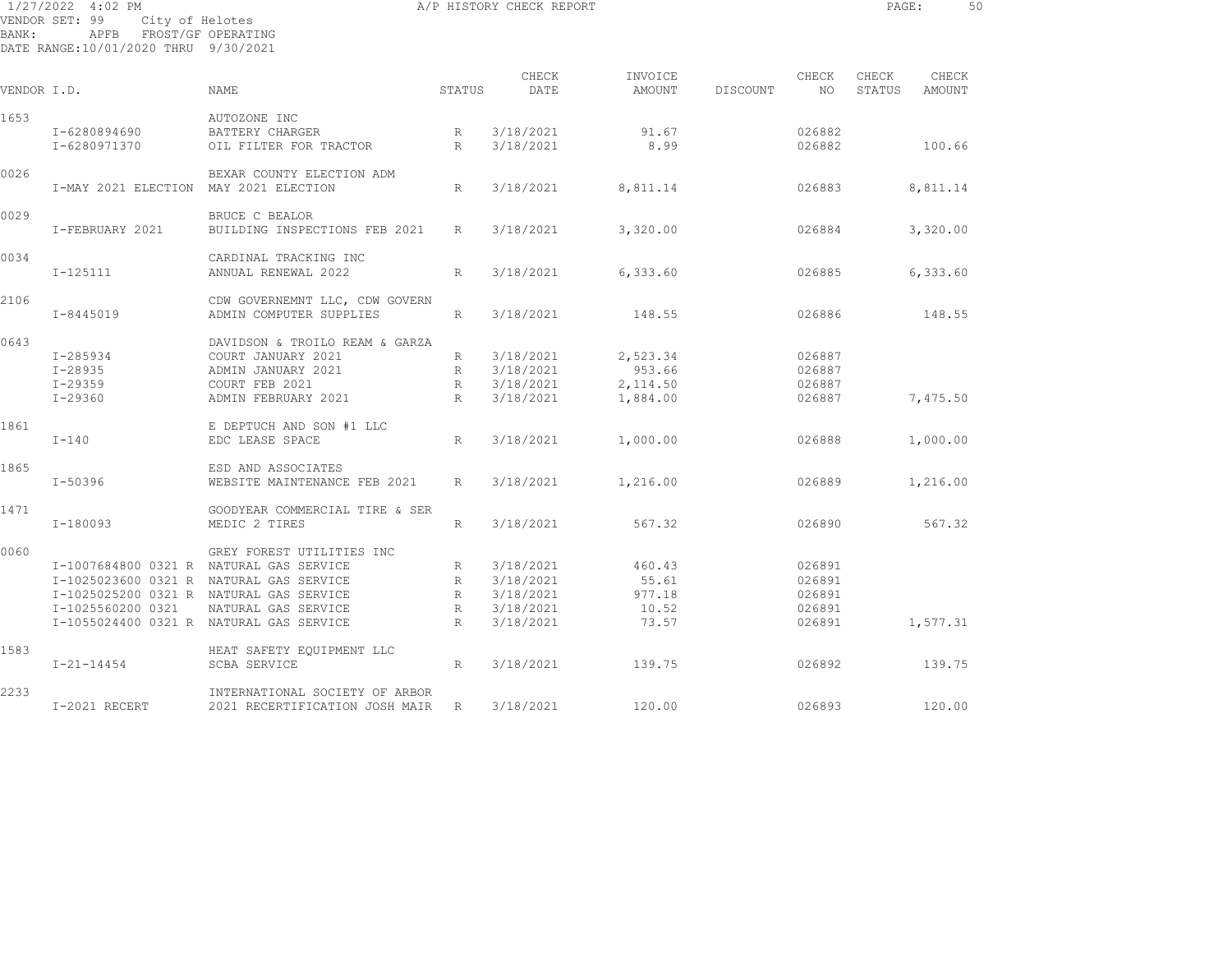| BANK:       | 1/27/2022 4:02 PM<br>VENDOR SET: 99<br>City of Helotes<br>APFB FROST/GF OPERATING<br>DATE RANGE:10/01/2020 THRU 9/30/2021 |                                                           |                                    | A/P HISTORY CHECK REPORT |                   |          |                  | PAGE:           | 50              |  |
|-------------|---------------------------------------------------------------------------------------------------------------------------|-----------------------------------------------------------|------------------------------------|--------------------------|-------------------|----------|------------------|-----------------|-----------------|--|
| VENDOR I.D. |                                                                                                                           | <b>NAME</b>                                               | STATUS                             | CHECK<br>DATE            | INVOICE<br>AMOUNT | DISCOUNT | CHECK<br>NO.     | CHECK<br>STATUS | CHECK<br>AMOUNT |  |
| 1653        |                                                                                                                           | AUTOZONE INC                                              |                                    |                          |                   |          |                  |                 |                 |  |
|             | I-6280894690<br>I-6280971370                                                                                              | BATTERY CHARGER<br>OIL FILTER FOR TRACTOR                 | $R_{\parallel}$<br>$R_{\parallel}$ | 3/18/2021<br>3/18/2021   | 91.67<br>8.99     |          | 026882<br>026882 |                 | 100.66          |  |
| 0026        |                                                                                                                           | BEXAR COUNTY ELECTION ADM                                 |                                    |                          |                   |          |                  |                 |                 |  |
|             | I-MAY 2021 ELECTION MAY 2021 ELECTION                                                                                     |                                                           | R                                  | 3/18/2021                | 8,811.14          |          | 026883           |                 | 8,811.14        |  |
| 0029        | I-FEBRUARY 2021                                                                                                           | BRUCE C BEALOR<br>BUILDING INSPECTIONS FEB 2021           | R                                  | 3/18/2021                | 3,320.00          |          | 026884           |                 | 3,320.00        |  |
| 0034        | $I - 125111$                                                                                                              | CARDINAL TRACKING INC<br>ANNUAL RENEWAL 2022              | $R_{\parallel}$                    | 3/18/2021                | 6,333.60          |          | 026885           |                 | 6,333.60        |  |
| 2106        | $I - 8445019$                                                                                                             | CDW GOVERNEMNT LLC, CDW GOVERN<br>ADMIN COMPUTER SUPPLIES | $R_{\parallel}$                    | 3/18/2021                | 148.55            |          | 026886           |                 | 148.55          |  |
| 0643        |                                                                                                                           | DAVIDSON & TROILO REAM & GARZA                            |                                    |                          |                   |          |                  |                 |                 |  |
|             | I-285934                                                                                                                  | COURT JANUARY 2021                                        | R                                  | 3/18/2021                | 2,523.34          |          | 026887           |                 |                 |  |
|             | I-28935                                                                                                                   | ADMIN JANUARY 2021                                        | R                                  | 3/18/2021                | 953.66            |          | 026887           |                 |                 |  |
|             | $I - 29359$                                                                                                               | COURT FEB 2021                                            |                                    | R 3/18/2021              | 2,114.50          |          | 026887           |                 |                 |  |
|             | $I - 29360$                                                                                                               | ADMIN FEBRUARY 2021                                       | R                                  | 3/18/2021                | 1,884.00          |          | 026887           |                 | 7,475.50        |  |
| 1861        |                                                                                                                           | E DEPTUCH AND SON #1 LLC                                  |                                    |                          |                   |          |                  |                 |                 |  |
|             | $I-140$                                                                                                                   | EDC LEASE SPACE                                           | R                                  | 3/18/2021                | 1,000.00          |          | 026888           |                 | 1,000.00        |  |
| 1865        |                                                                                                                           | ESD AND ASSOCIATES                                        |                                    |                          |                   |          |                  |                 |                 |  |
|             | I-50396                                                                                                                   | WEBSITE MAINTENANCE FEB 2021                              | R                                  | 3/18/2021                | 1,216.00          |          | 026889           |                 | 1,216.00        |  |
| 1471        |                                                                                                                           | GOODYEAR COMMERCIAL TIRE & SER                            |                                    |                          |                   |          |                  |                 |                 |  |
|             | I-180093                                                                                                                  | MEDIC 2 TIRES                                             | R                                  | 3/18/2021                | 567.32            |          | 026890           |                 | 567.32          |  |
| 0060        |                                                                                                                           | GREY FOREST UTILITIES INC                                 |                                    |                          |                   |          |                  |                 |                 |  |
|             |                                                                                                                           | I-1007684800 0321 R NATURAL GAS SERVICE                   | R                                  | 3/18/2021                | 460.43            |          | 026891           |                 |                 |  |
|             |                                                                                                                           | I-1025023600 0321 R NATURAL GAS SERVICE                   | R                                  | 3/18/2021                | 55.61             |          | 026891           |                 |                 |  |
|             |                                                                                                                           | I-1025025200 0321 R NATURAL GAS SERVICE                   | R                                  | 3/18/2021                | 977.18            |          | 026891           |                 |                 |  |
|             | I-1025560200 0321                                                                                                         | NATURAL GAS SERVICE                                       | R                                  | 3/18/2021                | 10.52             |          | 026891           |                 |                 |  |
|             |                                                                                                                           | I-1055024400 0321 R NATURAL GAS SERVICE                   | R                                  | 3/18/2021                | 73.57             |          | 026891           |                 | 1,577.31        |  |
| 1583        |                                                                                                                           | HEAT SAFETY EOUIPMENT LLC                                 |                                    |                          |                   |          |                  |                 |                 |  |
|             | $I - 21 - 14454$                                                                                                          | <b>SCBA SERVICE</b>                                       | R                                  | 3/18/2021                | 139.75            |          | 026892           |                 | 139.75          |  |
| 2233        |                                                                                                                           | INTERNATIONAL SOCIETY OF ARBOR                            |                                    |                          |                   |          |                  |                 |                 |  |
|             | I-2021 RECERT                                                                                                             | 2021 RECERTIFICATION JOSH MAIR R 3/18/2021                |                                    |                          | 120.00            |          | 026893           |                 | 120.00          |  |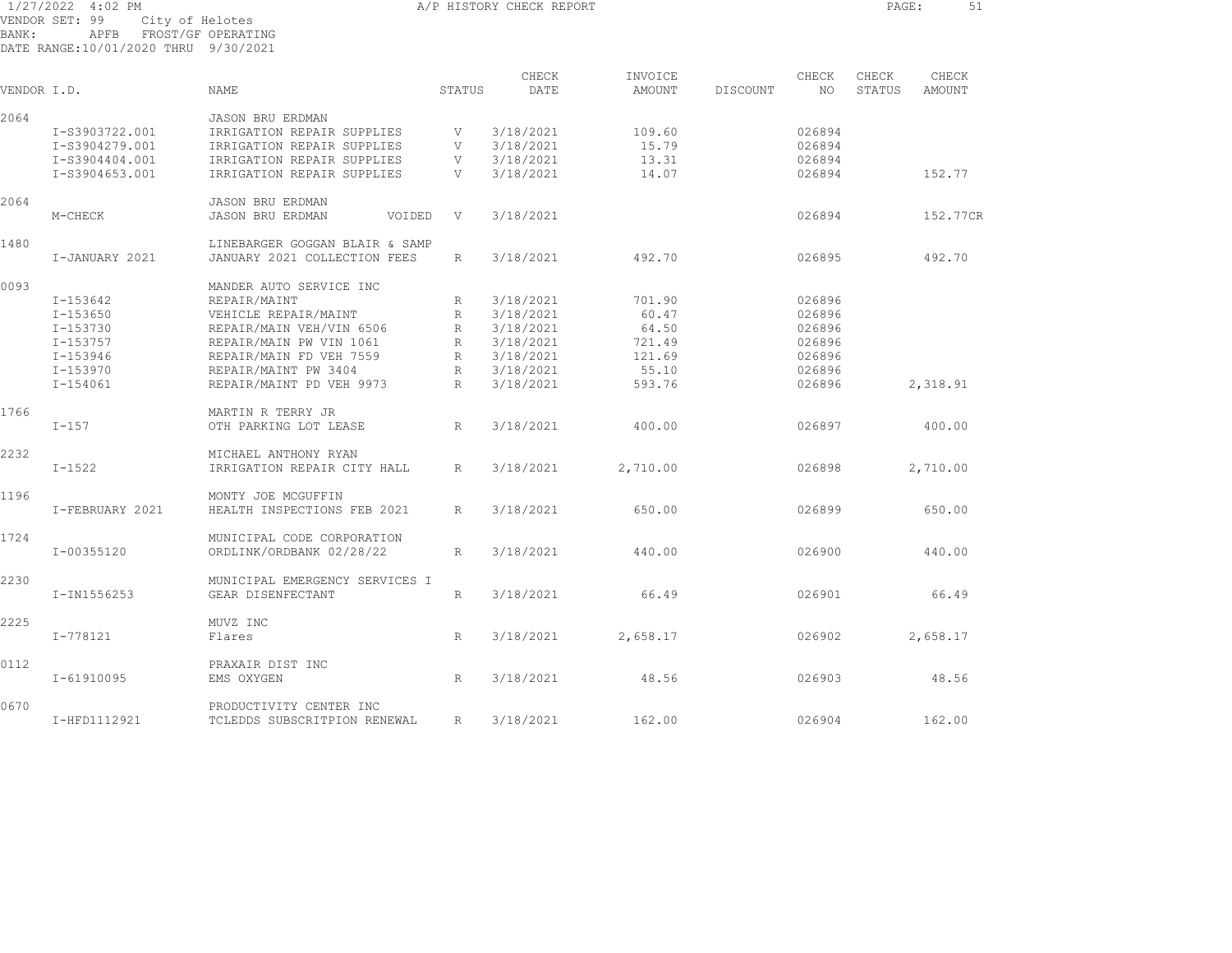| 1/27/2022 4:02 PM                    |      |                    |  |
|--------------------------------------|------|--------------------|--|
| VENDOR SET: 99                       |      | City of Helotes    |  |
| BANK:                                | APFB | FROST/GF OPERATING |  |
| DATE RANGE:10/01/2020 THRU 9/30/2021 |      |                    |  |

A/P HISTORY CHECK REPORT **PAGE:** 51

| VENDOR I.D. |                 | <b>NAME</b>                                           | STATUS       | CHECK<br>DATE | INVOICE<br>AMOUNT | DISCOUNT | CHECK<br>NO. | CHECK<br><b>STATUS</b> | CHECK<br>AMOUNT |  |
|-------------|-----------------|-------------------------------------------------------|--------------|---------------|-------------------|----------|--------------|------------------------|-----------------|--|
| 2064        |                 |                                                       |              |               |                   |          |              |                        |                 |  |
|             | I-S3903722.001  | <b>JASON BRU ERDMAN</b><br>IRRIGATION REPAIR SUPPLIES | V            | 3/18/2021     | 109.60            |          | 026894       |                        |                 |  |
|             |                 | IRRIGATION REPAIR SUPPLIES                            |              |               |                   |          |              |                        |                 |  |
|             | I-S3904279.001  |                                                       | V            | 3/18/2021     | 15.79             |          | 026894       |                        |                 |  |
|             | I-S3904404.001  | IRRIGATION REPAIR SUPPLIES                            | V            | 3/18/2021     | 13.31             |          | 026894       |                        |                 |  |
|             | I-S3904653.001  | IRRIGATION REPAIR SUPPLIES                            | V            | 3/18/2021     | 14.07             |          | 026894       |                        | 152.77          |  |
| 2064        |                 | <b>JASON BRU ERDMAN</b>                               |              |               |                   |          |              |                        |                 |  |
|             | M-CHECK         | <b>JASON BRU ERDMAN</b><br>VOIDED                     | V            | 3/18/2021     |                   |          | 026894       |                        | 152.77CR        |  |
| 1480        |                 | LINEBARGER GOGGAN BLAIR & SAMP                        |              |               |                   |          |              |                        |                 |  |
|             | I-JANUARY 2021  | JANUARY 2021 COLLECTION FEES                          | R            | 3/18/2021     | 492.70            |          | 026895       |                        | 492.70          |  |
| 0093        |                 | MANDER AUTO SERVICE INC                               |              |               |                   |          |              |                        |                 |  |
|             | I-153642        | REPAIR/MAINT                                          | R            | 3/18/2021     | 701.90            |          | 026896       |                        |                 |  |
|             | I-153650        | VEHICLE REPAIR/MAINT                                  | R            | 3/18/2021     | 60.47             |          | 026896       |                        |                 |  |
|             | $I - 153730$    | REPAIR/MAIN VEH/VIN 6506                              | $\mathbb{R}$ | 3/18/2021     | 64.50             |          | 026896       |                        |                 |  |
|             | I-153757        | REPAIR/MAIN PW VIN 1061                               | $\mathbb R$  | 3/18/2021     | 721.49            |          | 026896       |                        |                 |  |
|             | I-153946        | REPAIR/MAIN FD VEH 7559                               | R            | 3/18/2021     | 121.69            |          | 026896       |                        |                 |  |
|             | I-153970        | REPAIR/MAINT PW 3404                                  | R            | 3/18/2021     | 55.10             |          | 026896       |                        |                 |  |
|             | $I - 154061$    | REPAIR/MAINT PD VEH 9973                              | R            | 3/18/2021     | 593.76            |          | 026896       |                        | 2,318.91        |  |
|             |                 |                                                       |              |               |                   |          |              |                        |                 |  |
| 1766        |                 | MARTIN R TERRY JR                                     |              |               |                   |          |              |                        |                 |  |
|             | $I-157$         | OTH PARKING LOT LEASE                                 | R            | 3/18/2021     | 400.00            |          | 026897       |                        | 400.00          |  |
| 2232        |                 | MICHAEL ANTHONY RYAN                                  |              |               |                   |          |              |                        |                 |  |
|             | $I - 1522$      | IRRIGATION REPAIR CITY HALL                           | R            | 3/18/2021     | 2,710.00          |          | 026898       |                        | 2,710.00        |  |
| 1196        |                 | MONTY JOE MCGUFFIN                                    |              |               |                   |          |              |                        |                 |  |
|             | I-FEBRUARY 2021 | HEALTH INSPECTIONS FEB 2021                           | R            | 3/18/2021     | 650.00            |          | 026899       |                        | 650.00          |  |
| 1724        |                 | MUNICIPAL CODE CORPORATION                            |              |               |                   |          |              |                        |                 |  |
|             | I-00355120      | ORDLINK/ORDBANK 02/28/22                              | R            | 3/18/2021     | 440.00            |          | 026900       |                        | 440.00          |  |
|             |                 |                                                       |              |               |                   |          |              |                        |                 |  |
| 2230        |                 | MUNICIPAL EMERGENCY SERVICES I                        |              |               |                   |          |              |                        |                 |  |
|             | I-IN1556253     | GEAR DISENFECTANT                                     | R            | 3/18/2021     | 66.49             |          | 026901       |                        | 66.49           |  |
| 2225        |                 | MUVZ INC                                              |              |               |                   |          |              |                        |                 |  |
|             | I-778121        | Flares                                                | R            | 3/18/2021     | 2,658.17          |          | 026902       |                        | 2,658.17        |  |
| 0112        |                 | PRAXAIR DIST INC                                      |              |               |                   |          |              |                        |                 |  |
|             | I-61910095      | EMS OXYGEN                                            | $\mathbb{R}$ | 3/18/2021     | 48.56             |          | 026903       |                        | 48.56           |  |
| 0670        |                 | PRODUCTIVITY CENTER INC                               |              |               |                   |          |              |                        |                 |  |
|             | I-HFD1112921    | TCLEDDS SUBSCRITPION RENEWAL                          | R            | 3/18/2021     | 162.00            |          | 026904       |                        | 162.00          |  |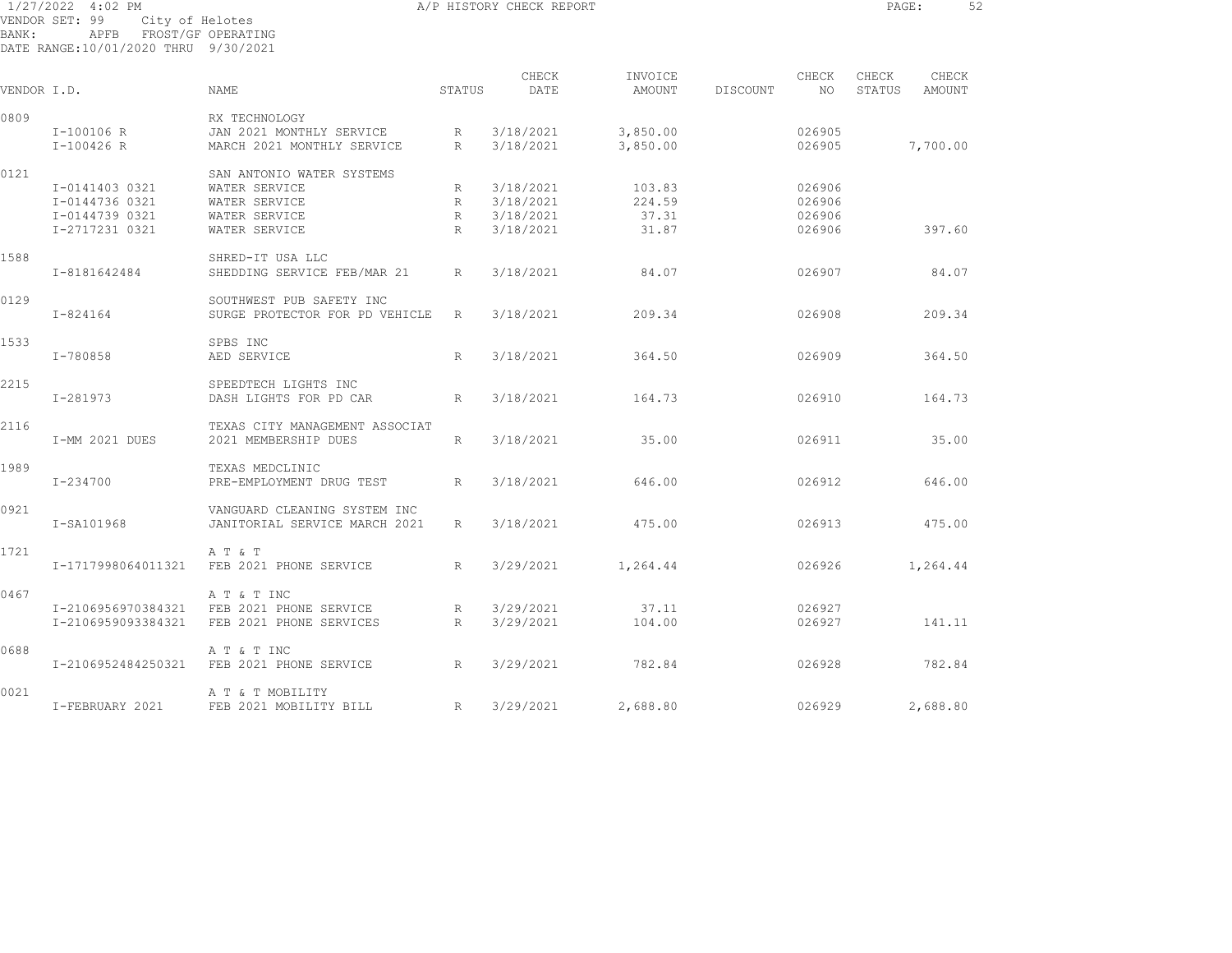| BANK:       | 1/27/2022 4:02 PM<br>VENDOR SET: 99<br>City of Helotes<br>APFB FROST/GF OPERATING<br>DATE RANGE:10/01/2020 THRU 9/30/2021 |                                                                  |                      | A/P HISTORY CHECK REPORT |                      |          |                  | PAGE:           |                 | 52 |
|-------------|---------------------------------------------------------------------------------------------------------------------------|------------------------------------------------------------------|----------------------|--------------------------|----------------------|----------|------------------|-----------------|-----------------|----|
| VENDOR I.D. |                                                                                                                           | NAME                                                             | STATUS               | CHECK<br>DATE            | INVOICE<br>AMOUNT    | DISCOUNT | CHECK<br>NO      | CHECK<br>STATUS | CHECK<br>AMOUNT |    |
| 0809        |                                                                                                                           | RX TECHNOLOGY                                                    |                      |                          |                      |          |                  |                 |                 |    |
|             | I-100106 R<br>I-100426 R                                                                                                  | JAN 2021 MONTHLY SERVICE<br>MARCH 2021 MONTHLY SERVICE           | R<br>$R_{\parallel}$ | 3/18/2021<br>3/18/2021   | 3,850.00<br>3,850.00 |          | 026905<br>026905 |                 | 7,700.00        |    |
| 0121        | I-0141403 0321                                                                                                            | SAN ANTONIO WATER SYSTEMS<br>WATER SERVICE                       | R                    | 3/18/2021                | 103.83               |          | 026906           |                 |                 |    |
|             | I-0144736 0321                                                                                                            | WATER SERVICE                                                    | R                    | 3/18/2021                | 224.59               |          | 026906           |                 |                 |    |
|             | I-0144739 0321                                                                                                            | WATER SERVICE                                                    | $R_{\parallel}$      | 3/18/2021                | 37.31                |          | 026906           |                 |                 |    |
|             | I-2717231 0321                                                                                                            | WATER SERVICE                                                    | R                    | 3/18/2021                | 31.87                |          | 026906           |                 | 397.60          |    |
| 1588        | I-8181642484                                                                                                              | SHRED-IT USA LLC<br>SHEDDING SERVICE FEB/MAR 21                  | R                    | 3/18/2021                | 84.07                |          | 026907           |                 | 84.07           |    |
| 0129        | $I - 824164$                                                                                                              | SOUTHWEST PUB SAFETY INC<br>SURGE PROTECTOR FOR PD VEHICLE       | R                    | 3/18/2021                | 209.34               |          | 026908           |                 | 209.34          |    |
| 1533        | I-780858                                                                                                                  | SPBS INC<br>AED SERVICE                                          | $\mathbb{R}$         | 3/18/2021                | 364.50               |          | 026909           |                 | 364.50          |    |
| 2215        | $I - 281973$                                                                                                              | SPEEDTECH LIGHTS INC<br>DASH LIGHTS FOR PD CAR                   | $R_{\odot}$          | 3/18/2021                | 164.73               |          | 026910           |                 | 164.73          |    |
| 2116        | I-MM 2021 DUES                                                                                                            | TEXAS CITY MANAGEMENT ASSOCIAT<br>2021 MEMBERSHIP DUES           | $R_{\parallel}$      | 3/18/2021                | 35.00                |          | 026911           |                 | 35.00           |    |
| 1989        | I-234700                                                                                                                  | TEXAS MEDCLINIC<br>PRE-EMPLOYMENT DRUG TEST                      | R                    | 3/18/2021                | 646.00               |          | 026912           |                 | 646.00          |    |
| 0921        | I-SA101968                                                                                                                | VANGUARD CLEANING SYSTEM INC<br>JANITORIAL SERVICE MARCH 2021    | R                    | 3/18/2021                | 475.00               |          | 026913           |                 | 475.00          |    |
| 1721        | I-1717998064011321                                                                                                        | A T & T<br>FEB 2021 PHONE SERVICE                                | $R_{\parallel}$      | 3/29/2021                | 1,264.44             |          | 026926           |                 | 1,264.44        |    |
| 0467        | I-2106956970384321<br>I-2106959093384321                                                                                  | A T & T INC<br>FEB 2021 PHONE SERVICE<br>FEB 2021 PHONE SERVICES | R<br>$R_{\perp}$     | 3/29/2021<br>3/29/2021   | 37.11<br>104.00      |          | 026927<br>026927 |                 | 141.11          |    |
| 0688        | I-2106952484250321                                                                                                        | A T & T INC<br>FEB 2021 PHONE SERVICE                            | R                    | 3/29/2021                | 782.84               |          | 026928           |                 | 782.84          |    |

I-FEBRUARY 2021 FEB 2021 MOBILITY BILL R 3/29/2021 2,688.80 026929 2,688.80

0021 A T & T MOBILITY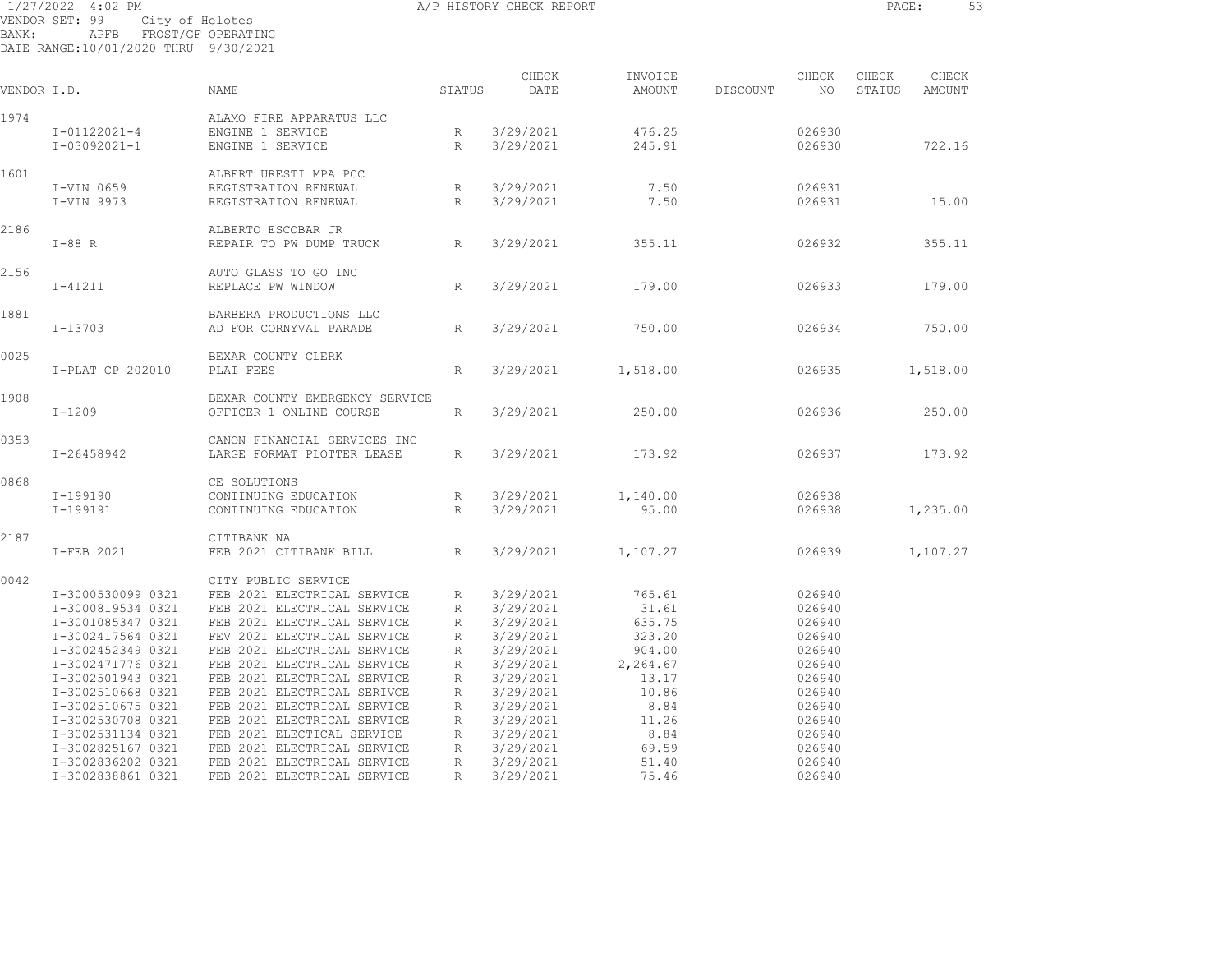1/27/2022 4:02 PM **A/P HISTORY CHECK REPORT PAGE:** 53 VENDOR SET: 99 City of Helotes BANK: APFB FROST/GF OPERATING DATE RANGE:10/01/2020 THRU 9/30/2021 CHECK INVOICE CHECK CHECK CHECK VENDOR I.D. NAME STATUS DATE AMOUNT DISCOUNT NO STATUS AMOUNT 1974 ALAMO FIRE APPARATUS LLC I-01122021-4 ENGINE 1 SERVICE R 3/29/2021 476.25 026930 I-03092021-1 ENGINE 1 SERVICE R 3/29/2021 245.91 026930 722.16 1601 ALBERT URESTI MPA PCC I-VIN 0659 REGISTRATION RENEWAL R 3/29/2021 7.50 026931 I-VIN 9973 REGISTRATION RENEWAL R 3/29/2021 7.50 026931 15.00 2186 ALBERTO ESCOBAR JR I-88 R REPAIR TO PW DUMP TRUCK R 3/29/2021 355.11 026932 355.11 2156 AUTO GLASS TO GO INC I-41211 REPLACE PW WINDOW R 3/29/2021 179.00 026933 179.00 1881 BARBERA PRODUCTIONS LLC I-13703 AD FOR CORNYVAL PARADE R 3/29/2021 750.00 026934 750.00 0025 BEXAR COUNTY CLERK I-PLAT CP 202010 PLAT FEES R 3/29/2021 1,518.00 026935 1,518.00 1908 BEXAR COUNTY EMERGENCY SERVICE I-1209 OFFICER 1 ONLINE COURSE R 3/29/2021 250.00 026936 250.00 0353 CANON FINANCIAL SERVICES INC I-26458942 LARGE FORMAT PLOTTER LEASE R 3/29/2021 173.92 026937 173.92 0868 CE SOLUTIONS I-199190 CONTINUING EDUCATION R 3/29/2021 1,140.00 026938 I-199191 CONTINUING EDUCATION R 3/29/2021 95.00 026938 1,235.00 2187 CITIBANK NA I-FEB 2021 FEB 2021 CITIBANK BILL R 3/29/2021 1,107.27 026939 1,107.27 0042 CITY PUBLIC SERVICE I-3000530099 0321 FEB 2021 ELECTRICAL SERVICE R 3/29/2021 765.61 026940 I-3000819534 0321 FEB 2021 ELECTRICAL SERVICE R 3/29/2021 31.61 026940 I-3001085347 0321 FEB 2021 ELECTRICAL SERVICE R 3/29/2021 635.75 026940 I-3002417564 0321 FEV 2021 ELECTRICAL SERVICE R 3/29/2021 323.20 026940 I-3002452349 0321 FEB 2021 ELECTRICAL SERVICE R 3/29/2021 904.00 026940 I-3002471776 0321 FEB 2021 ELECTRICAL SERVICE R 3/29/2021 2,264.67 026940 I-3002501943 0321 FEB 2021 ELECTRICAL SERVICE R 3/29/2021 13.17 026940

 I-3002510668 0321 FEB 2021 ELECTRICAL SERIVCE R 3/29/2021 10.86 026940 I-3002510675 0321 FEB 2021 ELECTRICAL SERVICE R 3/29/2021 8.84 026940 I-3002530708 0321 FEB 2021 ELECTRICAL SERVICE R 3/29/2021 11.26 026940 I-3002531134 0321 FEB 2021 ELECTICAL SERVICE R 3/29/2021 8.84 026940 I-3002825167 0321 FEB 2021 ELECTRICAL SERVICE R 3/29/2021 69.59 026940 I-3002836202 0321 FEB 2021 ELECTRICAL SERVICE R 3/29/2021 51.40 026940 I-3002838861 0321 FEB 2021 ELECTRICAL SERVICE R 3/29/2021 75.46 026940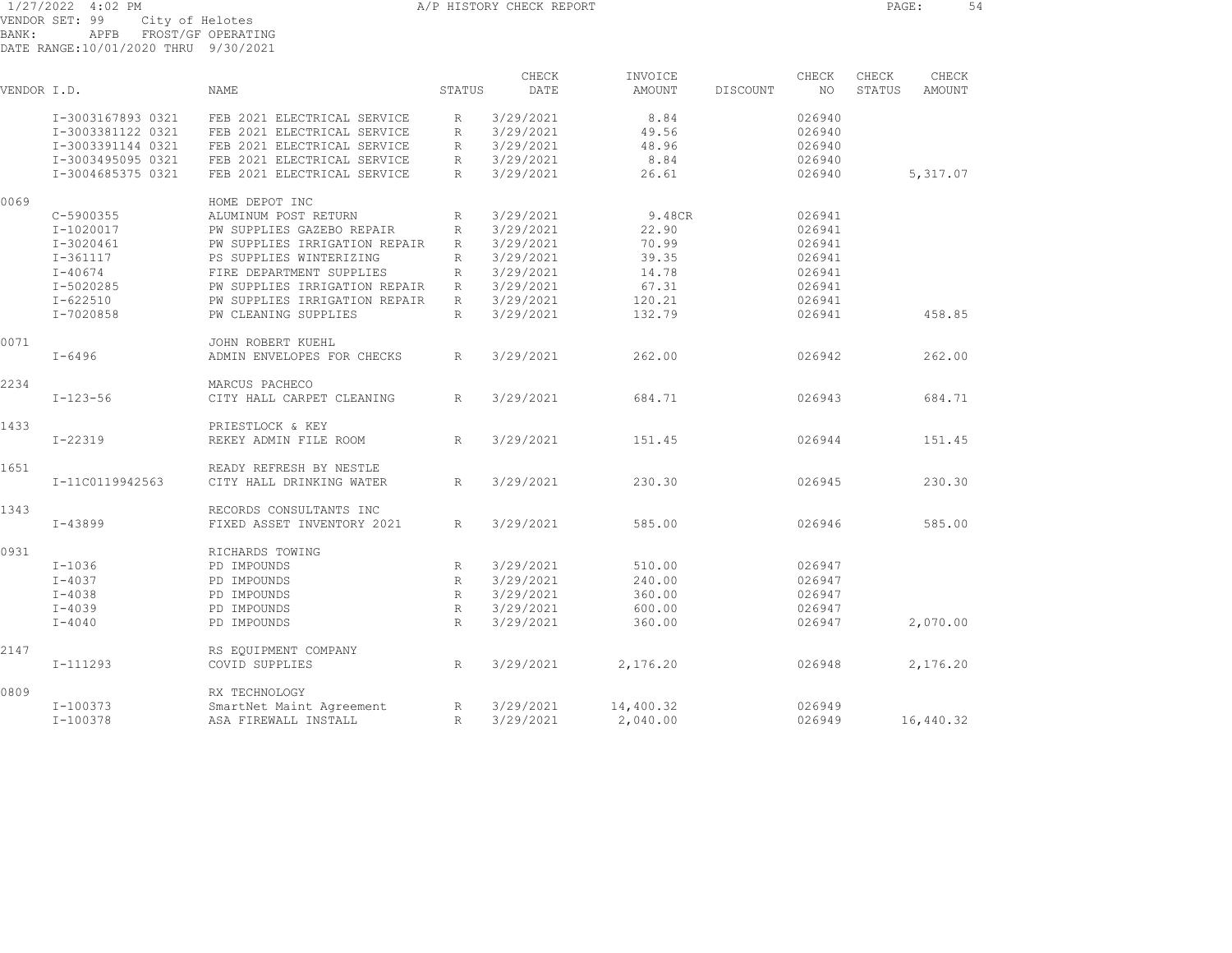BANK: APFB FROST/GF OPERATING

DATE RANGE:10/01/2020 THRU 9/30/2021

| VENDOR I.D. |                   | <b>NAME</b>                                           | STATUS          | CHECK<br>DATE | INVOICE<br>AMOUNT | DISCOUNT | CHECK<br>NO. | CHECK<br>STATUS | CHECK<br><b>AMOUNT</b> |
|-------------|-------------------|-------------------------------------------------------|-----------------|---------------|-------------------|----------|--------------|-----------------|------------------------|
|             | I-3003167893 0321 | FEB 2021 ELECTRICAL SERVICE                           | R               | 3/29/2021     | 8.84              |          | 026940       |                 |                        |
|             | I-3003381122 0321 | FEB 2021 ELECTRICAL SERVICE                           | R               | 3/29/2021     | 49.56             |          | 026940       |                 |                        |
|             | I-3003391144 0321 | FEB 2021 ELECTRICAL SERVICE                           | R               | 3/29/2021     | 48.96             |          | 026940       |                 |                        |
|             | I-3003495095 0321 | FEB 2021 ELECTRICAL SERVICE                           | R               | 3/29/2021     | 8.84              |          | 026940       |                 |                        |
|             | I-3004685375 0321 | FEB 2021 ELECTRICAL SERVICE                           | R               | 3/29/2021     | 26.61             |          | 026940       |                 | 5,317.07               |
| 0069        |                   | HOME DEPOT INC                                        |                 |               |                   |          |              |                 |                        |
|             | C-5900355         | ALUMINUM POST RETURN                                  | R               | 3/29/2021     | 9.48CR            |          | 026941       |                 |                        |
|             | I-1020017         | PW SUPPLIES GAZEBO REPAIR                             | $R_{\parallel}$ | 3/29/2021     | 22.90             |          | 026941       |                 |                        |
|             | $I-3020461$       | PW SUPPLIES IRRIGATION REPAIR                         | R               | 3/29/2021     | 70.99             |          | 026941       |                 |                        |
|             | I-361117          | PS SUPPLIES WINTERIZING                               | R               | 3/29/2021     | 39.35             |          | 026941       |                 |                        |
|             | $I - 40674$       | FIRE DEPARTMENT SUPPLIES                              | $R_{\parallel}$ | 3/29/2021     | 14.78             |          | 026941       |                 |                        |
|             | I-5020285         | PW SUPPLIES IRRIGATION REPAIR                         | R               | 3/29/2021     | 67.31             |          | 026941       |                 |                        |
|             | $I - 622510$      | PW SUPPLIES IRRIGATION REPAIR                         | R               | 3/29/2021     | 120.21            |          | 026941       |                 |                        |
|             | I-7020858         | PW CLEANING SUPPLIES                                  | R               | 3/29/2021     | 132.79            |          | 026941       |                 | 458.85                 |
|             |                   |                                                       |                 |               |                   |          |              |                 |                        |
| 0071        | $I - 6496$        | JOHN ROBERT KUEHL<br>ADMIN ENVELOPES FOR CHECKS       | $R_{\parallel}$ | 3/29/2021     | 262.00            |          | 026942       |                 | 262.00                 |
| 2234        | $I - 123 - 56$    | MARCUS PACHECO<br>CITY HALL CARPET CLEANING           | R               | 3/29/2021     | 684.71            |          | 026943       |                 | 684.71                 |
|             |                   |                                                       |                 |               |                   |          |              |                 |                        |
| 1433        | $I - 22319$       | PRIESTLOCK & KEY<br>REKEY ADMIN FILE ROOM             | R               | 3/29/2021     | 151.45            |          | 026944       |                 | 151.45                 |
| 1651        | I-11C0119942563   | READY REFRESH BY NESTLE<br>CITY HALL DRINKING WATER   | R               | 3/29/2021     | 230.30            |          | 026945       |                 | 230.30                 |
|             |                   |                                                       |                 |               |                   |          |              |                 |                        |
| 1343        | $I - 43899$       | RECORDS CONSULTANTS INC<br>FIXED ASSET INVENTORY 2021 | R               | 3/29/2021     | 585.00            |          | 026946       |                 | 585.00                 |
| 0931        |                   | RICHARDS TOWING                                       |                 |               |                   |          |              |                 |                        |
|             | $I-1036$          | PD IMPOUNDS                                           | $R_{\parallel}$ | 3/29/2021     | 510.00            |          | 026947       |                 |                        |
|             | $I - 4037$        | PD IMPOUNDS                                           | R               | 3/29/2021     | 240.00            |          | 026947       |                 |                        |
|             | $I - 4038$        | PD IMPOUNDS                                           | $R_{\parallel}$ | 3/29/2021     | 360.00            |          | 026947       |                 |                        |
|             | $I - 4039$        | PD IMPOUNDS                                           | $R_{\parallel}$ | 3/29/2021     | 600.00            |          | 026947       |                 |                        |
|             | $I - 4040$        | PD IMPOUNDS                                           | R               | 3/29/2021     | 360.00            |          | 026947       |                 | 2,070.00               |
| 2147        |                   | RS EQUIPMENT COMPANY                                  |                 |               |                   |          |              |                 |                        |
|             | $I-111293$        | COVID SUPPLIES                                        | R               | 3/29/2021     | 2,176.20          |          | 026948       |                 | 2,176.20               |
| 0809        |                   | RX TECHNOLOGY                                         |                 |               |                   |          |              |                 |                        |
|             | I-100373          | SmartNet Maint Agreement                              | $R_{\rm}$       | 3/29/2021     | 14,400.32         |          | 026949       |                 |                        |
|             | $I-100378$        | ASA FIREWALL INSTALL                                  | R               | 3/29/2021     | 2,040.00          |          | 026949       |                 | 16,440.32              |
|             |                   |                                                       |                 |               |                   |          |              |                 |                        |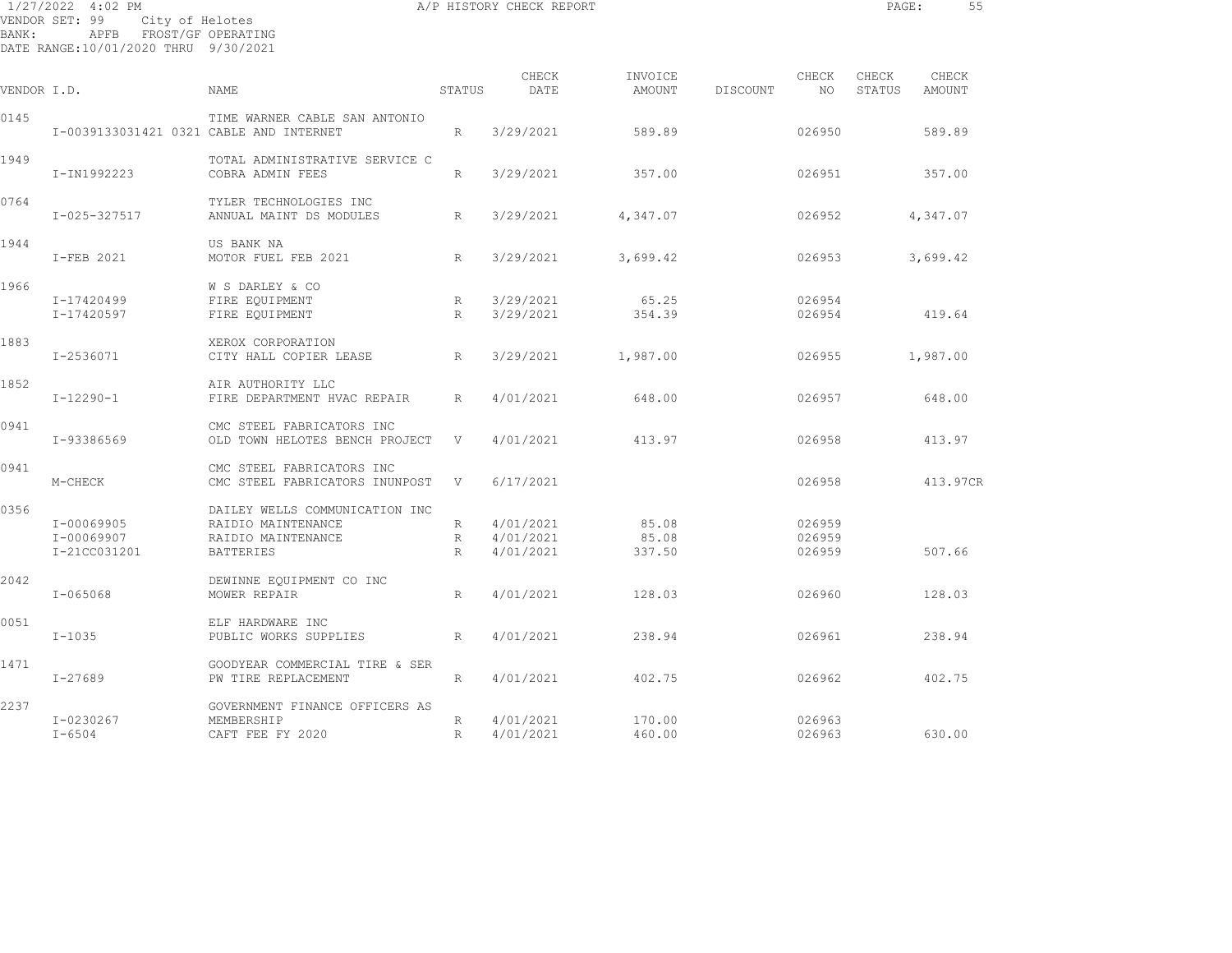| BANK:       | 1/27/2022 4:02 PM<br>VENDOR SET: 99<br>City of Helotes<br>APFB FROST/GF OPERATING<br>DATE RANGE:10/01/2020 THRU 9/30/2021 |                                                                                         |                      | A/P HISTORY CHECK REPORT              |                          |          |                            | PAGE:           | 55              |  |
|-------------|---------------------------------------------------------------------------------------------------------------------------|-----------------------------------------------------------------------------------------|----------------------|---------------------------------------|--------------------------|----------|----------------------------|-----------------|-----------------|--|
| VENDOR I.D. |                                                                                                                           | NAME                                                                                    | STATUS               | CHECK<br>DATE                         | INVOICE<br>AMOUNT        | DISCOUNT | CHECK<br>NO                | CHECK<br>STATUS | CHECK<br>AMOUNT |  |
| 0145        | I-0039133031421 0321 CABLE AND INTERNET                                                                                   | TIME WARNER CABLE SAN ANTONIO                                                           | R                    | 3/29/2021                             | 589.89                   |          | 026950                     |                 | 589.89          |  |
| 1949        | I-IN1992223                                                                                                               | TOTAL ADMINISTRATIVE SERVICE C<br>COBRA ADMIN FEES                                      | R                    | 3/29/2021                             | 357.00                   |          | 026951                     |                 | 357.00          |  |
| 0764        | I-025-327517                                                                                                              | TYLER TECHNOLOGIES INC<br>ANNUAL MAINT DS MODULES                                       | R.                   | 3/29/2021                             | 4,347.07                 |          | 026952                     |                 | 4,347.07        |  |
| 1944        | I-FEB 2021                                                                                                                | US BANK NA<br>MOTOR FUEL FEB 2021                                                       | R                    | 3/29/2021                             | 3,699.42                 |          | 026953                     |                 | 3,699.42        |  |
| 1966        | I-17420499<br>I-17420597                                                                                                  | W S DARLEY & CO<br>FIRE EQUIPMENT<br>FIRE EQUIPMENT                                     | R<br>R               | 3/29/2021<br>3/29/2021                | 65.25<br>354.39          |          | 026954<br>026954           |                 | 419.64          |  |
| 1883        | I-2536071                                                                                                                 | XEROX CORPORATION<br>CITY HALL COPIER LEASE                                             | R                    | 3/29/2021                             | 1,987.00                 |          | 026955                     |                 | 1,987.00        |  |
| 1852        | $I-12290-1$                                                                                                               | AIR AUTHORITY LLC<br>FIRE DEPARTMENT HVAC REPAIR                                        | R                    | 4/01/2021                             | 648.00                   |          | 026957                     |                 | 648.00          |  |
| 0941        | I-93386569                                                                                                                | CMC STEEL FABRICATORS INC<br>OLD TOWN HELOTES BENCH PROJECT V                           |                      | 4/01/2021                             | 413.97                   |          | 026958                     |                 | 413.97          |  |
| 0941        | M-CHECK                                                                                                                   | CMC STEEL FABRICATORS INC<br>CMC STEEL FABRICATORS INUNPOST                             | V                    | 6/17/2021                             |                          |          | 026958                     |                 | 413.97CR        |  |
| 0356        | I-00069905<br>I-00069907<br>I-21CC031201                                                                                  | DAILEY WELLS COMMUNICATION INC<br>RAIDIO MAINTENANCE<br>RAIDIO MAINTENANCE<br>BATTERIES | $R_{\parallel}$<br>R | 4/01/2021<br>R 4/01/2021<br>4/01/2021 | 85.08<br>85.08<br>337.50 |          | 026959<br>026959<br>026959 |                 | 507.66          |  |
| 2042        | I-065068                                                                                                                  | DEWINNE EQUIPMENT CO INC<br>MOWER REPAIR                                                | R                    | 4/01/2021                             | 128.03                   |          | 026960                     |                 | 128.03          |  |
| 0051        | $I - 1035$                                                                                                                | ELF HARDWARE INC<br>PUBLIC WORKS SUPPLIES                                               | R                    | 4/01/2021                             | 238.94                   |          | 026961                     |                 | 238.94          |  |
| 1471        | $I - 27689$                                                                                                               | GOODYEAR COMMERCIAL TIRE & SER<br>PW TIRE REPLACEMENT                                   | R                    | 4/01/2021                             | 402.75                   |          | 026962                     |                 | 402.75          |  |
| 2237        |                                                                                                                           | GOVERNMENT FINANCE OFFICERS AS                                                          |                      |                                       |                          |          |                            |                 |                 |  |

I-0230267 MEMBERSHIP R 4/01/2021 170.00 026963

I-6504 CAFT FEE FY 2020 R 4/01/2021 460.00 026963 630.00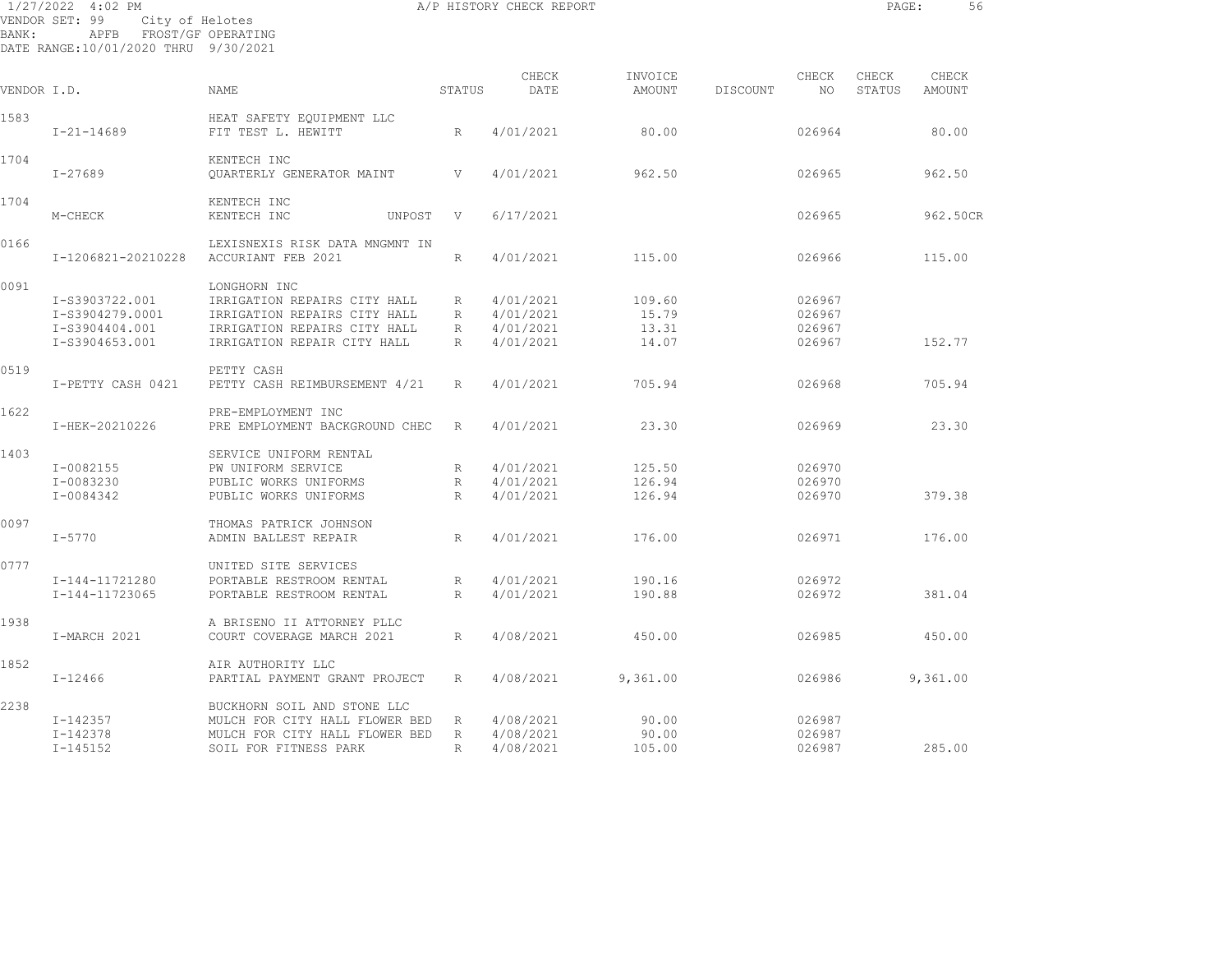| 1/27/2022<br>BANK: | 4:02 PM<br>VENDOR SET: 99<br>City of Helotes<br>APFB<br>DATE RANGE:10/01/2020 THRU 9/30/2021 | FROST/GF OPERATING                                                                                                                          |                        | A/P HISTORY CHECK REPORT                         |                                   |          |                                      | PAGE:  | 56       |
|--------------------|----------------------------------------------------------------------------------------------|---------------------------------------------------------------------------------------------------------------------------------------------|------------------------|--------------------------------------------------|-----------------------------------|----------|--------------------------------------|--------|----------|
|                    |                                                                                              |                                                                                                                                             |                        | CHECK                                            | INVOICE                           |          | CHECK                                | CHECK  | CHECK    |
| VENDOR I.D.        |                                                                                              | <b>NAME</b>                                                                                                                                 | STATUS                 | DATE                                             | AMOUNT                            | DISCOUNT | NO                                   | STATUS | AMOUNT   |
| 1583               | $I - 21 - 14689$                                                                             | HEAT SAFETY EOUIPMENT LLC<br>FIT TEST L. HEWITT                                                                                             | R.                     | 4/01/2021                                        | 80.00                             |          | 026964                               |        | 80.00    |
| 1704               | $I - 27689$                                                                                  | KENTECH INC<br>OUARTERLY GENERATOR MAINT                                                                                                    | V                      | 4/01/2021                                        | 962.50                            |          | 026965                               |        | 962.50   |
| 1704               | M-CHECK                                                                                      | KENTECH INC<br>KENTECH INC<br>UNPOST                                                                                                        | V                      | 6/17/2021                                        |                                   |          | 026965                               |        | 962.50CR |
| 0166               | I-1206821-20210228                                                                           | LEXISNEXIS RISK DATA MNGMNT IN<br>ACCURIANT FEB 2021                                                                                        | R                      | 4/01/2021                                        | 115.00                            |          | 026966                               |        | 115.00   |
| 0091               | I-S3903722.001<br>I-S3904279.0001<br>I-S3904404.001<br>I-S3904653.001                        | LONGHORN INC<br>IRRIGATION REPAIRS CITY HALL<br>IRRIGATION REPAIRS CITY HALL<br>IRRIGATION REPAIRS CITY HALL<br>IRRIGATION REPAIR CITY HALL | R<br>R<br>R<br>R       | 4/01/2021<br>4/01/2021<br>4/01/2021<br>4/01/2021 | 109.60<br>15.79<br>13.31<br>14.07 |          | 026967<br>026967<br>026967<br>026967 |        | 152.77   |
| 0519               | I-PETTY CASH 0421                                                                            | PETTY CASH<br>PETTY CASH REIMBURSEMENT 4/21                                                                                                 | R                      | 4/01/2021                                        | 705.94                            |          | 026968                               |        | 705.94   |
| 1622               | I-HEK-20210226                                                                               | PRE-EMPLOYMENT INC<br>PRE EMPLOYMENT BACKGROUND CHEC                                                                                        | R                      | 4/01/2021                                        | 23.30                             |          | 026969                               |        | 23.30    |
| 1403               | $I-0082155$<br>I-0083230<br>I-0084342                                                        | SERVICE UNIFORM RENTAL<br>PW UNIFORM SERVICE<br>PUBLIC WORKS UNIFORMS<br>PUBLIC WORKS UNIFORMS                                              | R<br>R<br>R            | 4/01/2021<br>4/01/2021<br>4/01/2021              | 125.50<br>126.94<br>126.94        |          | 026970<br>026970<br>026970           |        | 379.38   |
| 0097               | $I - 5770$                                                                                   | THOMAS PATRICK JOHNSON<br>ADMIN BALLEST REPAIR                                                                                              | R                      | 4/01/2021                                        | 176.00                            |          | 026971                               |        | 176.00   |
| 0777               | I-144-11721280<br>I-144-11723065                                                             | UNITED SITE SERVICES<br>PORTABLE RESTROOM RENTAL<br>PORTABLE RESTROOM RENTAL                                                                | R<br>$\mathbb{R}$      | 4/01/2021<br>4/01/2021                           | 190.16<br>190.88                  |          | 026972<br>026972                     |        | 381.04   |
| 1938               | I-MARCH 2021                                                                                 | A BRISENO II ATTORNEY PLLC<br>COURT COVERAGE MARCH 2021                                                                                     | R                      | 4/08/2021                                        | 450.00                            |          | 026985                               |        | 450.00   |
| 1852               | $I - 12466$                                                                                  | AIR AUTHORITY LLC<br>PARTIAL PAYMENT GRANT PROJECT                                                                                          | R.                     | 4/08/2021                                        | 9,361.00                          |          | 026986                               |        | 9,361.00 |
| 2238               | I-142357<br>I-142378<br>$I - 145152$                                                         | BUCKHORN SOIL AND STONE LLC<br>MULCH FOR CITY HALL FLOWER BED<br>MULCH FOR CITY HALL FLOWER BED<br>SOIL FOR FITNESS PARK                    | R<br>R<br>$\mathbb{R}$ | 4/08/2021<br>4/08/2021<br>4/08/2021              | 90.00<br>90.00<br>105.00          |          | 026987<br>026987<br>026987           |        | 285.00   |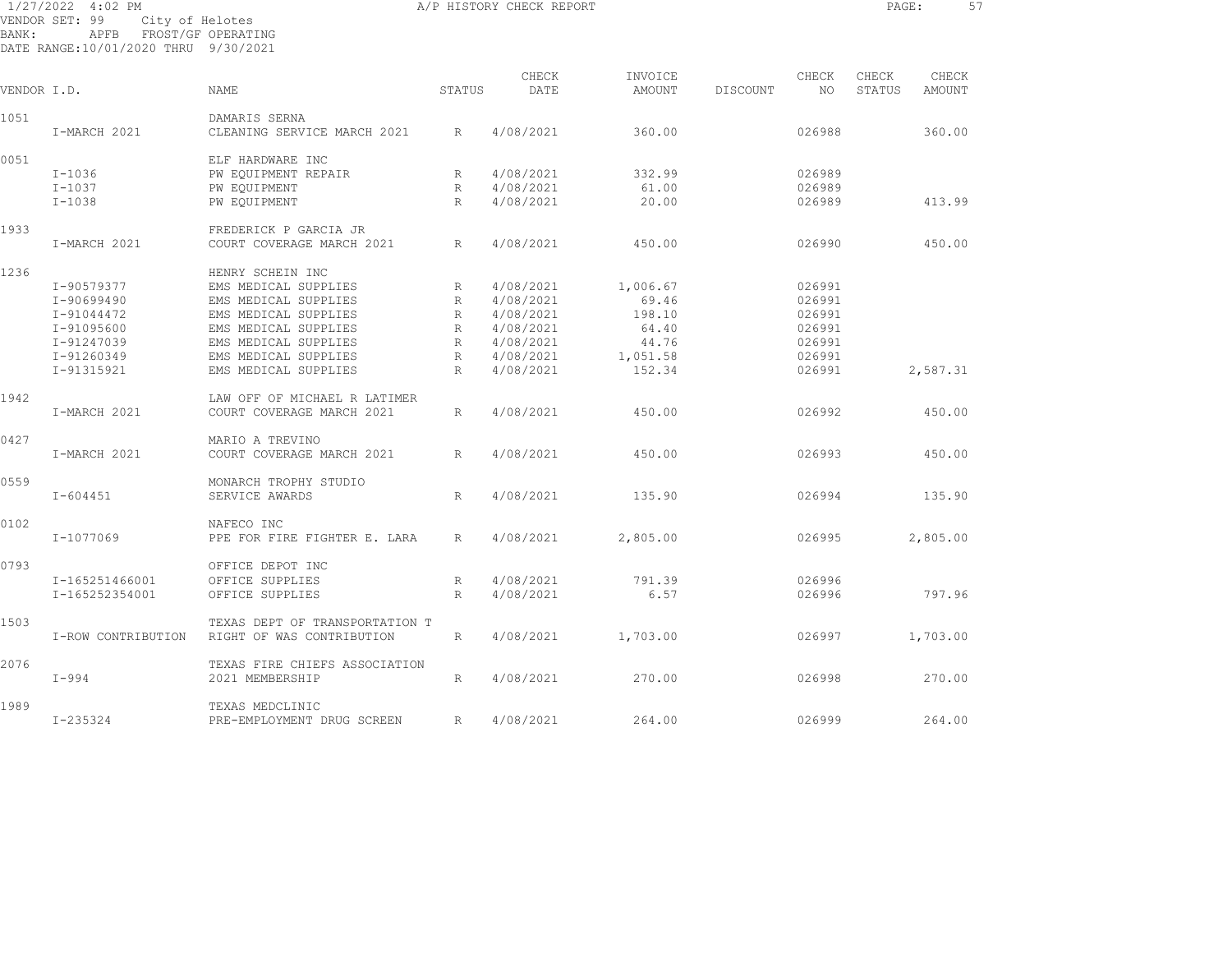| 1/27/2022 4:02 PM<br>VENDOR SET: 99<br>City of Helotes |                                              |                                                             |        | A/P HISTORY CHECK REPORT |                    |          |                  | PAGE:  |               | 57 |
|--------------------------------------------------------|----------------------------------------------|-------------------------------------------------------------|--------|--------------------------|--------------------|----------|------------------|--------|---------------|----|
| BANK:                                                  | APFB<br>DATE RANGE:10/01/2020 THRU 9/30/2021 | FROST/GF OPERATING                                          |        |                          |                    |          |                  |        |               |    |
|                                                        |                                              |                                                             |        | CHECK                    | INVOICE            |          | CHECK            | CHECK  | CHECK         |    |
| VENDOR I.D.                                            |                                              | <b>NAME</b>                                                 | STATUS | DATE                     | AMOUNT             | DISCOUNT | NO               | STATUS | <b>AMOUNT</b> |    |
| 1051                                                   |                                              | DAMARIS SERNA                                               |        |                          |                    |          |                  |        |               |    |
|                                                        | I-MARCH 2021                                 | CLEANING SERVICE MARCH 2021                                 | R      | 4/08/2021                | 360.00             |          | 026988           |        | 360.00        |    |
| 0051                                                   |                                              | ELF HARDWARE INC                                            |        |                          |                    |          |                  |        |               |    |
|                                                        | $I-1036$                                     | PW EQUIPMENT REPAIR                                         | R      | 4/08/2021                | 332.99             |          | 026989           |        |               |    |
|                                                        | $I - 1037$                                   | PW EQUIPMENT                                                | R      | 4/08/2021                | 61.00              |          | 026989           |        |               |    |
|                                                        | $I - 1038$                                   | PW EOUIPMENT                                                | R      | 4/08/2021                | 20.00              |          | 026989           |        | 413.99        |    |
| 1933                                                   |                                              | FREDERICK P GARCIA JR                                       |        |                          |                    |          |                  |        |               |    |
|                                                        | I-MARCH 2021                                 | COURT COVERAGE MARCH 2021                                   | R      | 4/08/2021                | 450.00             |          | 026990           |        | 450.00        |    |
| 1236                                                   |                                              | HENRY SCHEIN INC                                            |        |                          |                    |          |                  |        |               |    |
|                                                        | I-90579377                                   | EMS MEDICAL SUPPLIES                                        | R      | 4/08/2021                | 1,006.67           |          | 026991           |        |               |    |
|                                                        | I-90699490                                   | EMS MEDICAL SUPPLIES                                        | R      | 4/08/2021                | 69.46              |          | 026991           |        |               |    |
|                                                        | I-91044472                                   | EMS MEDICAL SUPPLIES                                        | R      | 4/08/2021                | 198.10             |          | 026991           |        |               |    |
|                                                        | I-91095600                                   | EMS MEDICAL SUPPLIES                                        | R      | 4/08/2021                | 64.40              |          | 026991           |        |               |    |
|                                                        | I-91247039                                   | EMS MEDICAL SUPPLIES                                        | R      | 4/08/2021                | 44.76              |          | 026991           |        |               |    |
|                                                        |                                              | EMS MEDICAL SUPPLIES                                        |        |                          |                    |          |                  |        |               |    |
|                                                        | I-91260349<br>I-91315921                     | EMS MEDICAL SUPPLIES                                        | R<br>R | 4/08/2021<br>4/08/2021   | 1,051.58<br>152.34 |          | 026991<br>026991 |        | 2,587.31      |    |
|                                                        |                                              |                                                             |        |                          |                    |          |                  |        |               |    |
| 1942                                                   |                                              | LAW OFF OF MICHAEL R LATIMER                                |        |                          |                    |          |                  |        |               |    |
|                                                        | I-MARCH 2021                                 | COURT COVERAGE MARCH 2021                                   | R      | 4/08/2021                | 450.00             |          | 026992           |        | 450.00        |    |
| 0427                                                   |                                              | MARIO A TREVINO                                             |        |                          |                    |          |                  |        |               |    |
|                                                        | I-MARCH 2021                                 | COURT COVERAGE MARCH 2021                                   | R      | 4/08/2021                | 450.00             |          | 026993           |        | 450.00        |    |
| 0559                                                   |                                              | MONARCH TROPHY STUDIO                                       |        |                          |                    |          |                  |        |               |    |
|                                                        | $I - 604451$                                 | SERVICE AWARDS                                              | R      | 4/08/2021                | 135.90             |          | 026994           |        | 135.90        |    |
| 0102                                                   |                                              | NAFECO INC                                                  |        |                          |                    |          |                  |        |               |    |
|                                                        | I-1077069                                    | PPE FOR FIRE FIGHTER E. LARA                                | R      | 4/08/2021                | 2,805.00           |          | 026995           |        | 2,805.00      |    |
| 0793                                                   |                                              | OFFICE DEPOT INC                                            |        |                          |                    |          |                  |        |               |    |
|                                                        | I-165251466001                               | OFFICE SUPPLIES                                             | R      | 4/08/2021                | 791.39             |          | 026996           |        |               |    |
|                                                        | I-165252354001                               | OFFICE SUPPLIES                                             | R      | 4/08/2021                | 6.57               |          | 026996           |        | 797.96        |    |
|                                                        |                                              |                                                             |        |                          |                    |          |                  |        |               |    |
| 1503                                                   | I-ROW CONTRIBUTION                           | TEXAS DEPT OF TRANSPORTATION T<br>RIGHT OF WAS CONTRIBUTION | R      | 4/08/2021                | 1,703.00           |          | 026997           |        | 1,703.00      |    |
|                                                        |                                              |                                                             |        |                          |                    |          |                  |        |               |    |

I-994 2021 MEMBERSHIP R 4/08/2021 270.00 026998 270.00

I-235324 PRE-EMPLOYMENT DRUG SCREEN R 4/08/2021 264.00 026999 264.00

2076 TEXAS FIRE CHIEFS ASSOCIATION

1989 TEXAS MEDCLINIC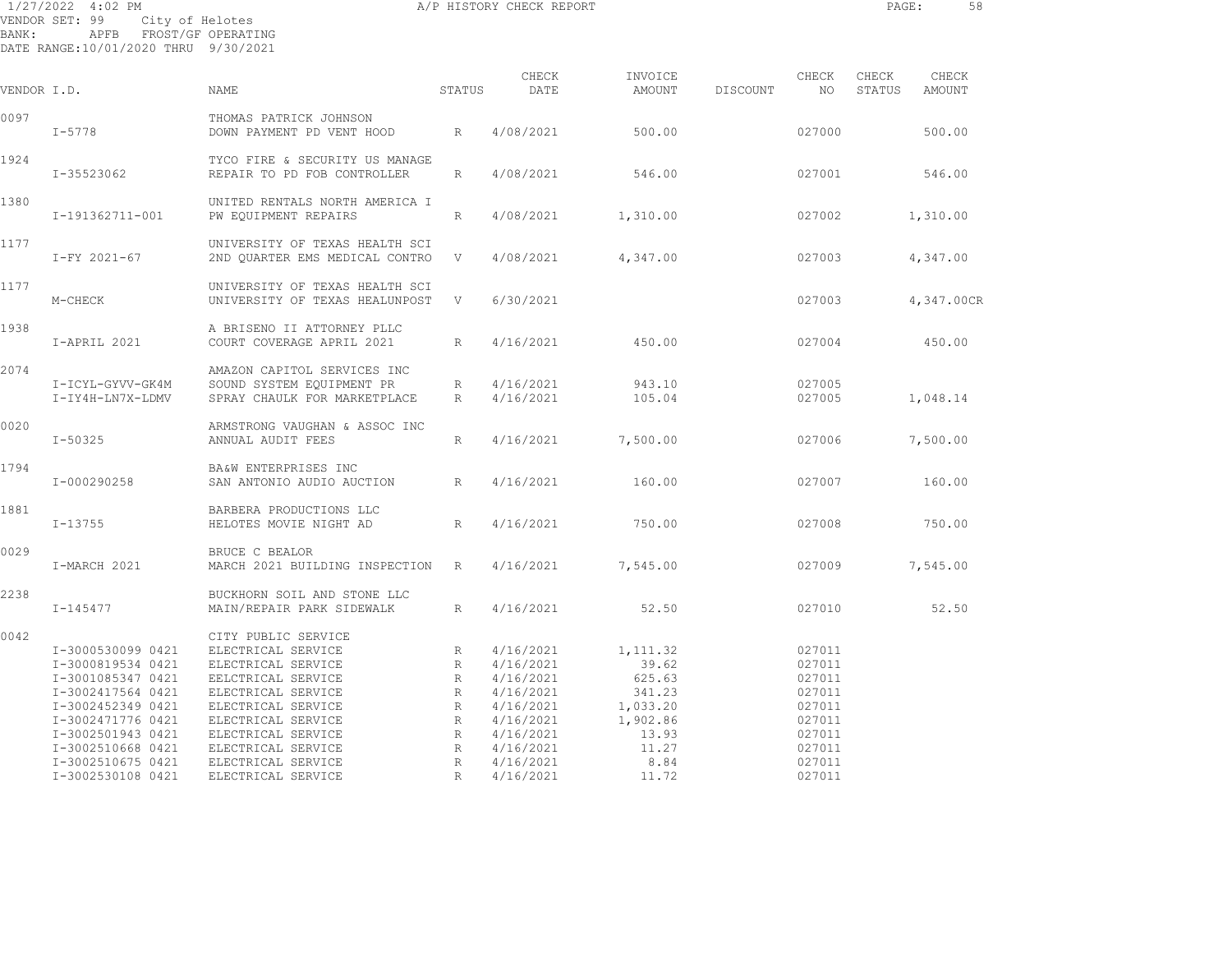| BANK:       | 1/27/2022 4:02 PM<br>VENDOR SET: 99<br>APFB FROST/GF OPERATING<br>DATE RANGE:10/01/2020 THRU 9/30/2021 | City of Helotes                                                                                             |                  | A/P HISTORY CHECK REPORT                         |                                        |          |                                      | PAGE:           | 58                     |
|-------------|--------------------------------------------------------------------------------------------------------|-------------------------------------------------------------------------------------------------------------|------------------|--------------------------------------------------|----------------------------------------|----------|--------------------------------------|-----------------|------------------------|
| VENDOR I.D. |                                                                                                        | <b>NAME</b>                                                                                                 | STATUS           | CHECK<br>DATE                                    | INVOICE<br>AMOUNT                      | DISCOUNT | CHECK<br>NO .                        | CHECK<br>STATUS | CHECK<br><b>AMOUNT</b> |
| 0097        | $I - 5778$                                                                                             | THOMAS PATRICK JOHNSON<br>DOWN PAYMENT PD VENT HOOD                                                         | R                | 4/08/2021                                        | 500.00                                 |          | 027000                               |                 | 500.00                 |
| 1924        | I-35523062                                                                                             | TYCO FIRE & SECURITY US MANAGE<br>REPAIR TO PD FOB CONTROLLER                                               | R                | 4/08/2021                                        | 546.00                                 |          | 027001                               |                 | 546.00                 |
| 1380        | I-191362711-001                                                                                        | UNITED RENTALS NORTH AMERICA I<br>PW EQUIPMENT REPAIRS                                                      | R                | 4/08/2021                                        | 1,310.00                               |          | 027002                               |                 | 1,310.00               |
| 1177        | I-FY 2021-67                                                                                           | UNIVERSITY OF TEXAS HEALTH SCI<br>2ND QUARTER EMS MEDICAL CONTRO                                            | V                | 4/08/2021                                        | 4,347.00                               |          | 027003                               |                 | 4,347.00               |
| 1177        | M-CHECK                                                                                                | UNIVERSITY OF TEXAS HEALTH SCI<br>UNIVERSITY OF TEXAS HEALUNPOST                                            | V                | 6/30/2021                                        |                                        |          | 027003                               |                 | 4,347.00CR             |
| 1938        | I-APRIL 2021                                                                                           | A BRISENO II ATTORNEY PLLC<br>COURT COVERAGE APRIL 2021                                                     | R                | 4/16/2021                                        | 450.00                                 |          | 027004                               |                 | 450.00                 |
| 2074        | I-ICYL-GYVV-GK4M<br>I-IY4H-LN7X-LDMV                                                                   | AMAZON CAPITOL SERVICES INC<br>SOUND SYSTEM EQUIPMENT PR<br>SPRAY CHAULK FOR MARKETPLACE                    | R<br>R           | 4/16/2021<br>4/16/2021                           | 943.10<br>105.04                       |          | 027005<br>027005                     |                 | 1,048.14               |
| 0020        | $I - 50325$                                                                                            | ARMSTRONG VAUGHAN & ASSOC INC<br>ANNUAL AUDIT FEES                                                          | R                | 4/16/2021                                        | 7,500.00                               |          | 027006                               |                 | 7,500.00               |
| 1794        | I-000290258                                                                                            | BA&W ENTERPRISES INC<br>SAN ANTONIO AUDIO AUCTION                                                           | $R_{\parallel}$  | 4/16/2021                                        | 160.00                                 |          | 027007                               |                 | 160.00                 |
| 1881        | $I - 13755$                                                                                            | BARBERA PRODUCTIONS LLC<br>HELOTES MOVIE NIGHT AD                                                           | R                | 4/16/2021                                        | 750.00                                 |          | 027008                               |                 | 750.00                 |
| 0029        | I-MARCH 2021                                                                                           | BRUCE C BEALOR<br>MARCH 2021 BUILDING INSPECTION                                                            | R                | 4/16/2021                                        | 7,545.00                               |          | 027009                               |                 | 7,545.00               |
| 2238        | I-145477                                                                                               | BUCKHORN SOIL AND STONE LLC<br>MAIN/REPAIR PARK SIDEWALK                                                    | $R_{\parallel}$  | 4/16/2021                                        | 52.50                                  |          | 027010                               |                 | 52.50                  |
| 0042        | I-3000530099 0421<br>I-3000819534 0421<br>I-3001085347 0421<br>I-3002417564 0421                       | CITY PUBLIC SERVICE<br>ELECTRICAL SERVICE<br>ELECTRICAL SERVICE<br>EELCTRICAL SERVICE<br>ELECTRICAL SERVICE | R<br>R<br>R<br>R | 4/16/2021<br>4/16/2021<br>4/16/2021<br>4/16/2021 | 1, 111.32<br>39.62<br>625.63<br>341.23 |          | 027011<br>027011<br>027011<br>027011 |                 |                        |
|             | I-3002452349 0421                                                                                      | ELECTRICAL SERVICE                                                                                          | $\mathbb{R}$     | 4/16/2021                                        | 1,033.20                               |          | 027011                               |                 |                        |

 I-3002471776 0421 ELECTRICAL SERVICE R 4/16/2021 1,902.86 027011 I-3002501943 0421 ELECTRICAL SERVICE R 4/16/2021 13.93 027011 I-3002510668 0421 ELECTRICAL SERVICE R 4/16/2021 11.27 027011 I-3002510675 0421 ELECTRICAL SERVICE R 4/16/2021 8.84 027011 I-3002530108 0421 ELECTRICAL SERVICE R 4/16/2021 11.72 027011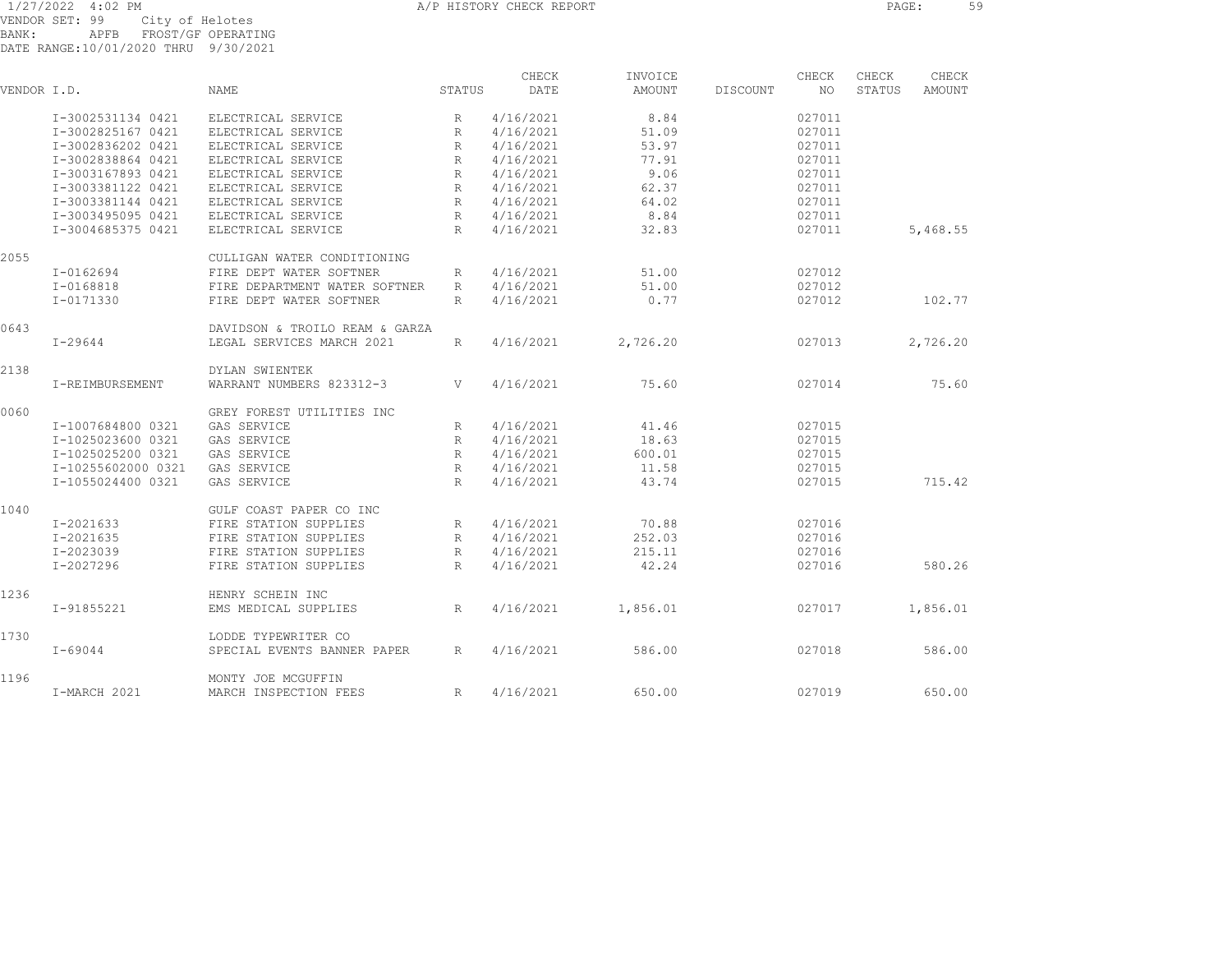1/27/2022 4:02 PM CHECK ASSOCIATE A A A PHISTORY CHECK REPORT CHECK REPORT PAGE: 59 VENDOR SET: 99 City of Helotes BANK: APFB FROST/GF OPERATING DATE RANGE:10/01/2020 THRU 9/30/2021

| VENDOR I.D. |                    | <b>NAME</b>                    | STATUS          | CHECK<br>DATE | INVOICE<br>AMOUNT | DISCOUNT | CHECK<br>NO. | CHECK<br>STATUS | CHECK<br>AMOUNT |
|-------------|--------------------|--------------------------------|-----------------|---------------|-------------------|----------|--------------|-----------------|-----------------|
|             | I-3002531134 0421  | ELECTRICAL SERVICE             | R               | 4/16/2021     | 8.84              |          | 027011       |                 |                 |
|             | I-3002825167 0421  | ELECTRICAL SERVICE             | R               | 4/16/2021     | 51.09             |          | 027011       |                 |                 |
|             | I-3002836202 0421  | ELECTRICAL SERVICE             | R               | 4/16/2021     | 53.97             |          | 027011       |                 |                 |
|             | I-3002838864 0421  | ELECTRICAL SERVICE             | $R_{\parallel}$ | 4/16/2021     | 77.91             |          | 027011       |                 |                 |
|             | I-3003167893 0421  | ELECTRICAL SERVICE             | $\mathbb{R}$    | 4/16/2021     | 9.06              |          | 027011       |                 |                 |
|             | I-3003381122 0421  | ELECTRICAL SERVICE             | R               | 4/16/2021     | 62.37             |          | 027011       |                 |                 |
|             | I-3003381144 0421  | ELECTRICAL SERVICE             | $R_{\parallel}$ | 4/16/2021     | 64.02             |          | 027011       |                 |                 |
|             | I-3003495095 0421  | ELECTRICAL SERVICE             | R               | 4/16/2021     | 8.84              |          | 027011       |                 |                 |
|             | I-3004685375 0421  | ELECTRICAL SERVICE             | R               | 4/16/2021     | 32.83             |          | 027011       |                 | 5,468.55        |
| 2055        |                    | CULLIGAN WATER CONDITIONING    |                 |               |                   |          |              |                 |                 |
|             | I-0162694          | FIRE DEPT WATER SOFTNER        | R               | 4/16/2021     | 51.00             |          | 027012       |                 |                 |
|             | I-0168818          | FIRE DEPARTMENT WATER SOFTNER  | R               | 4/16/2021     | 51.00             |          | 027012       |                 |                 |
|             | I-0171330          | FIRE DEPT WATER SOFTNER        | $R_{\odot}$     | 4/16/2021     | 0.77              |          | 027012       |                 | 102.77          |
| 0643        |                    | DAVIDSON & TROILO REAM & GARZA |                 |               |                   |          |              |                 |                 |
|             | $I - 29644$        | LEGAL SERVICES MARCH 2021      | $R_{\parallel}$ | 4/16/2021     | 2,726.20          |          | 027013       |                 | 2,726.20        |
| 2138        |                    | DYLAN SWIENTEK                 |                 |               |                   |          |              |                 |                 |
|             | I-REIMBURSEMENT    | WARRANT NUMBERS 823312-3       | V               | 4/16/2021     | 75.60             |          | 027014       |                 | 75.60           |
| 0060        |                    | GREY FOREST UTILITIES INC      |                 |               |                   |          |              |                 |                 |
|             | I-1007684800 0321  | GAS SERVICE                    | R               | 4/16/2021     | 41.46             |          | 027015       |                 |                 |
|             | I-1025023600 0321  | GAS SERVICE                    | R               | 4/16/2021     | 18.63             |          | 027015       |                 |                 |
|             | I-1025025200 0321  | GAS SERVICE                    | $R_{\parallel}$ | 4/16/2021     | 600.01            |          | 027015       |                 |                 |
|             | I-10255602000 0321 | GAS SERVICE                    | $R_{\rm}$       | 4/16/2021     | 11.58             |          | 027015       |                 |                 |
|             | I-1055024400 0321  | GAS SERVICE                    | $\mathbb{R}$    | 4/16/2021     | 43.74             |          | 027015       |                 | 715.42          |
| 1040        |                    | GULF COAST PAPER CO INC        |                 |               |                   |          |              |                 |                 |
|             | $I - 2021633$      | FIRE STATION SUPPLIES          | R               | 4/16/2021     | 70.88             |          | 027016       |                 |                 |
|             | I-2021635          | FIRE STATION SUPPLIES          | R               | 4/16/2021     | 252.03            |          | 027016       |                 |                 |
|             | I-2023039          | FIRE STATION SUPPLIES          | $R_{\parallel}$ | 4/16/2021     | 215.11            |          | 027016       |                 |                 |
|             | I-2027296          | FIRE STATION SUPPLIES          | $R_{\parallel}$ | 4/16/2021     | 42.24             |          | 027016       |                 | 580.26          |
| 1236        |                    | HENRY SCHEIN INC               |                 |               |                   |          |              |                 |                 |
|             | I-91855221         | EMS MEDICAL SUPPLIES           | R               | 4/16/2021     | 1,856.01          |          | 027017       |                 | 1,856.01        |
| 1730        |                    | LODDE TYPEWRITER CO            |                 |               |                   |          |              |                 |                 |
|             | $I - 69044$        | SPECIAL EVENTS BANNER PAPER    | R               | 4/16/2021     | 586.00            |          | 027018       |                 | 586.00          |
| 1196        |                    | MONTY JOE MCGUFFIN             |                 |               |                   |          |              |                 |                 |
|             | I-MARCH 2021       | MARCH INSPECTION FEES          | R               | 4/16/2021     | 650.00            |          | 027019       |                 | 650.00          |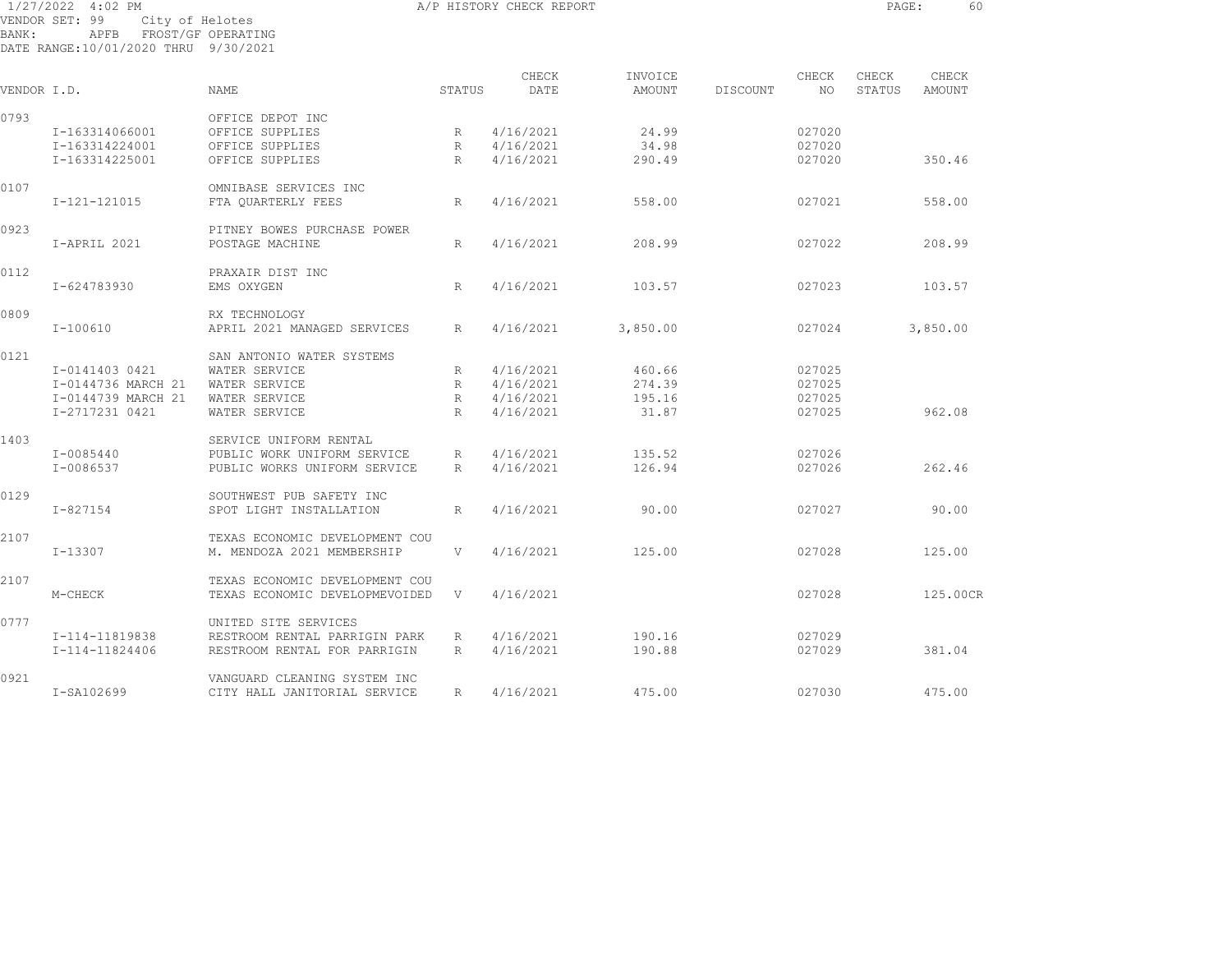1/27/2022 4:02 PM **A/P HISTORY CHECK REPORT CHECK REPORT** PAGE: 60 VENDOR SET: 99 City of Helotes BANK: APFB FROST/GF OPERATING DATE RANGE:10/01/2020 THRU 9/30/2021

CHECK INVOICE CHECK CHECK CHECK VENDOR I.D. NAME STATUS DATE AMOUNT DISCOUNT NO STATUS AMOUNT 0793 OFFICE DEPOT INC I-163314066001 OFFICE SUPPLIES R 4/16/2021 24.99 027020 I-163314224001 OFFICE SUPPLIES R 4/16/2021 34.98 027020 I-163314225001 OFFICE SUPPLIES R 4/16/2021 290.49 027020 350.46 0107 OMNIBASE SERVICES INC I-121-121015 FTA QUARTERLY FEES R 4/16/2021 558.00 027021 558.00 0923 **PITNEY BOWES PURCHASE POWER**  I-APRIL 2021 POSTAGE MACHINE R 4/16/2021 208.99 027022 208.99 0112 PRAXAIR DIST INC I-624783930 EMS OXYGEN R 4/16/2021 103.57 027023 103.57 0809 RX TECHNOLOGY I-100610 APRIL 2021 MANAGED SERVICES R 4/16/2021 3,850.00 027024 3,850.00 0121 SAN ANTONIO WATER SYSTEMS I-0141403 0421 WATER SERVICE R 4/16/2021 460.66 027025 I-0144736 MARCH 21 WATER SERVICE R 4/16/2021 274.39 027025 I-0144739 MARCH 21 WATER SERVICE R 4/16/2021 195.16 027025 I-2717231 0421 WATER SERVICE R 4/16/2021 31.87 027025 962.08 1403 SERVICE UNIFORM RENTAL I-0085440 PUBLIC WORK UNIFORM SERVICE R 4/16/2021 135.52 027026 I-0086537 PUBLIC WORKS UNIFORM SERVICE R 4/16/2021 126.94 027026 262.46 0129 SOUTHWEST PUB SAFETY INC I-827154 SPOT LIGHT INSTALLATION R 4/16/2021 90.00 027027 90.00 2107 TEXAS ECONOMIC DEVELOPMENT COU I-13307 M. MENDOZA 2021 MEMBERSHIP V 4/16/2021 125.00 027028 125.00 2107 TEXAS ECONOMIC DEVELOPMENT COUM-CHECK TEXAS ECONOMIC DEVELOPMEVOIDED V 4/16/2021 027028 027028 125.00CR 0777 UNITED SITE SERVICES I-114-11819838 RESTROOM RENTAL PARRIGIN PARK R 4/16/2021 190.16 027029 I-114-11824406 RESTROOM RENTAL FOR PARRIGIN R 4/16/2021 190.88 027029 381.04 0921 VANGUARD CLEANING SYSTEM INC I-SA102699 CITY HALL JANITORIAL SERVICE R 4/16/2021 475.00 027030 475.00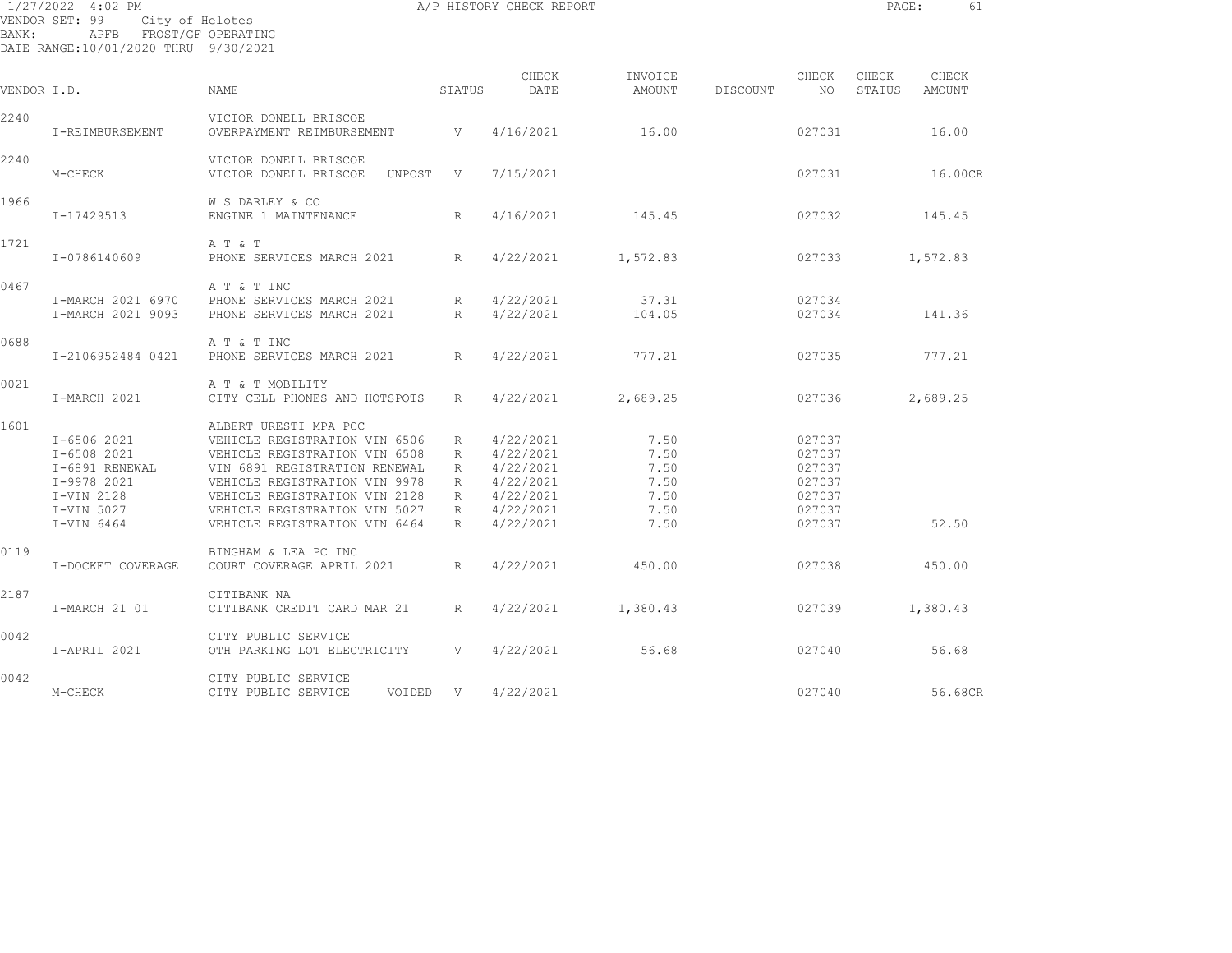| BANK:       | 1/27/2022 4:02 PM<br>VENDOR SET: 99<br>City of Helotes<br>APFB FROST/GF OPERATING<br>DATE RANGE:10/01/2020 THRU 9/30/2021 |                                                                                                                                                                                                                                                              |                                 | A/P HISTORY CHECK REPORT                                                                |                                                      |          |                                                                    | PAGE:           | 61              |
|-------------|---------------------------------------------------------------------------------------------------------------------------|--------------------------------------------------------------------------------------------------------------------------------------------------------------------------------------------------------------------------------------------------------------|---------------------------------|-----------------------------------------------------------------------------------------|------------------------------------------------------|----------|--------------------------------------------------------------------|-----------------|-----------------|
| VENDOR I.D. |                                                                                                                           | NAME                                                                                                                                                                                                                                                         | STATUS                          | CHECK<br>DATE                                                                           | INVOICE<br><b>AMOUNT</b>                             | DISCOUNT | CHECK<br>NO.                                                       | CHECK<br>STATUS | CHECK<br>AMOUNT |
| 2240        | I-REIMBURSEMENT                                                                                                           | VICTOR DONELL BRISCOE<br>OVERPAYMENT REIMBURSEMENT                                                                                                                                                                                                           | $\mathbf{V}$                    | 4/16/2021                                                                               | 16.00                                                |          | 027031                                                             |                 | 16.00           |
| 2240        | M-CHECK                                                                                                                   | VICTOR DONELL BRISCOE<br>VICTOR DONELL BRISCOE<br>UNPOST                                                                                                                                                                                                     | $\mathbf{V}$                    | 7/15/2021                                                                               |                                                      |          | 027031                                                             |                 | 16.00CR         |
| 1966        | I-17429513                                                                                                                | W S DARLEY & CO<br>ENGINE 1 MAINTENANCE                                                                                                                                                                                                                      | $\mathbb{R}$                    | 4/16/2021                                                                               | 145.45                                               |          | 027032                                                             |                 | 145.45          |
| 1721        | I-0786140609                                                                                                              | A T & T<br>PHONE SERVICES MARCH 2021                                                                                                                                                                                                                         | R                               | 4/22/2021                                                                               | 1,572.83                                             |          | 027033                                                             |                 | 1,572.83        |
| 0467        | I-MARCH 2021 6970<br>I-MARCH 2021 9093                                                                                    | A T & T INC<br>PHONE SERVICES MARCH 2021<br>PHONE SERVICES MARCH 2021                                                                                                                                                                                        | R<br>R                          | 4/22/2021<br>4/22/2021                                                                  | 37.31<br>104.05                                      |          | 027034<br>027034                                                   |                 | 141.36          |
| 0688        | I-2106952484 0421                                                                                                         | A T & T INC<br>PHONE SERVICES MARCH 2021                                                                                                                                                                                                                     | R                               | 4/22/2021                                                                               | 777.21                                               |          | 027035                                                             |                 | 777.21          |
| 0021        | I-MARCH 2021                                                                                                              | A T & T MOBILITY<br>CITY CELL PHONES AND HOTSPOTS                                                                                                                                                                                                            | R                               | 4/22/2021                                                                               | 2,689.25                                             |          | 027036                                                             |                 | 2,689.25        |
| 1601        | I-6506 2021<br>I-6508 2021<br>I-6891 RENEWAL<br>I-9978 2021<br>I-VIN 2128<br>I-VIN 5027<br>I-VIN 6464                     | ALBERT URESTI MPA PCC<br>VEHICLE REGISTRATION VIN 6506<br>VEHICLE REGISTRATION VIN 6508<br>VIN 6891 REGISTRATION RENEWAL<br>VEHICLE REGISTRATION VIN 9978<br>VEHICLE REGISTRATION VIN 2128<br>VEHICLE REGISTRATION VIN 5027<br>VEHICLE REGISTRATION VIN 6464 | R<br>R<br>R<br>R<br>R<br>R<br>R | 4/22/2021<br>4/22/2021<br>4/22/2021<br>4/22/2021<br>4/22/2021<br>4/22/2021<br>4/22/2021 | 7.50<br>7.50<br>7.50<br>7.50<br>7.50<br>7.50<br>7.50 |          | 027037<br>027037<br>027037<br>027037<br>027037<br>027037<br>027037 |                 | 52.50           |
| 0119        | I-DOCKET COVERAGE                                                                                                         | BINGHAM & LEA PC INC<br>COURT COVERAGE APRIL 2021                                                                                                                                                                                                            | R                               | 4/22/2021                                                                               | 450.00                                               |          | 027038                                                             |                 | 450.00          |
| 2187        | I-MARCH 21 01                                                                                                             | CITIBANK NA<br>CITIBANK CREDIT CARD MAR 21                                                                                                                                                                                                                   | R                               | 4/22/2021                                                                               | 1,380.43                                             |          | 027039                                                             |                 | 1,380.43        |
| 0042        | I-APRIL 2021                                                                                                              | CITY PUBLIC SERVICE<br>OTH PARKING LOT ELECTRICITY                                                                                                                                                                                                           | V                               | 4/22/2021                                                                               | 56.68                                                |          | 027040                                                             |                 | 56.68           |
| 0042        | M-CHECK                                                                                                                   | CITY PUBLIC SERVICE<br>CITY PUBLIC SERVICE<br>VOIDED V                                                                                                                                                                                                       |                                 | 4/22/2021                                                                               |                                                      |          | 027040                                                             |                 | 56.68CR         |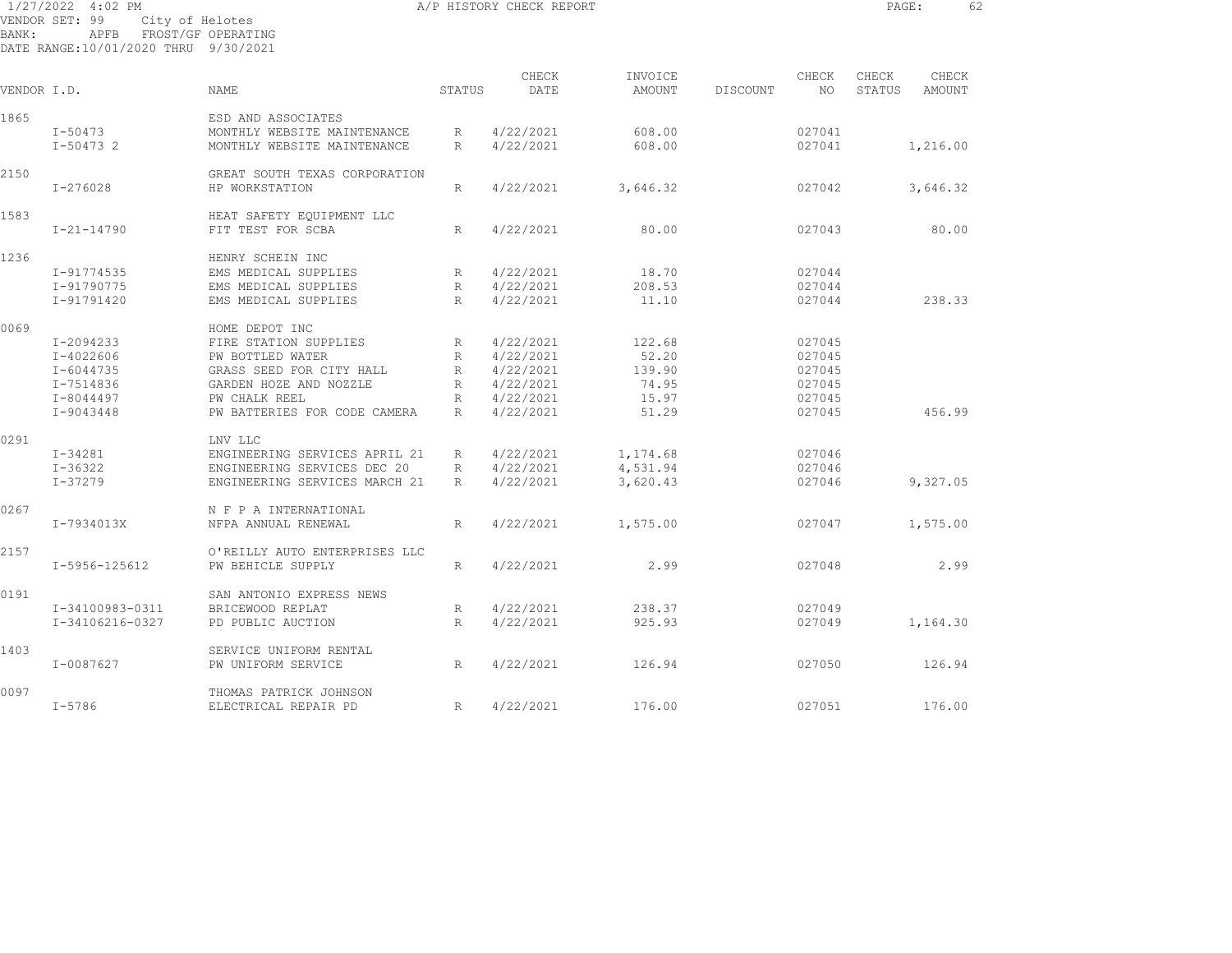| $1/27/2022$ 4:02 PM                  |  |                         | A/P HISTORY CHECK REPORT |                             |                    |           | PAGE:                               | 62        |  |
|--------------------------------------|--|-------------------------|--------------------------|-----------------------------|--------------------|-----------|-------------------------------------|-----------|--|
| VENDOR SET: 99 City of Helotes       |  |                         |                          |                             |                    |           |                                     |           |  |
| BANK:                                |  | APFB FROST/GF OPERATING |                          |                             |                    |           |                                     |           |  |
| DATE RANGE:10/01/2020 THRU 9/30/2021 |  |                         |                          |                             |                    |           |                                     |           |  |
|                                      |  |                         |                          | $\bigcap$ TITI $\bigcap$ TZ | $TNTI\cap T\cap T$ | $\bigcap$ | $\bigcap$ ii ii $\bigcap$ $\bigcap$ | $\bigcap$ |  |

| VENDOR I.D. |                  | NAME                          | STATUS          | CHECK<br>DATE | INVOICE<br>AMOUNT | DISCOUNT | CHECK<br>NO. | CHECK<br>STATUS | CHECK<br>AMOUNT |  |
|-------------|------------------|-------------------------------|-----------------|---------------|-------------------|----------|--------------|-----------------|-----------------|--|
| 1865        |                  | ESD AND ASSOCIATES            |                 |               |                   |          |              |                 |                 |  |
|             | $I - 50473$      | MONTHLY WEBSITE MAINTENANCE   | R               | 4/22/2021     | 608.00            |          | 027041       |                 |                 |  |
|             | $I-504732$       | MONTHLY WEBSITE MAINTENANCE   | R               | 4/22/2021     | 608.00            |          | 027041       |                 | 1,216.00        |  |
|             |                  |                               |                 |               |                   |          |              |                 |                 |  |
| 2150        |                  | GREAT SOUTH TEXAS CORPORATION |                 |               |                   |          |              |                 |                 |  |
|             | $I - 276028$     | HP WORKSTATION                | $R_{\parallel}$ | 4/22/2021     | 3,646.32          |          | 027042       |                 | 3,646.32        |  |
| 1583        |                  | HEAT SAFETY EQUIPMENT LLC     |                 |               |                   |          |              |                 |                 |  |
|             | $I - 21 - 14790$ | FIT TEST FOR SCBA             | R               | 4/22/2021     | 80.00             |          | 027043       |                 | 80.00           |  |
|             |                  |                               |                 |               |                   |          |              |                 |                 |  |
| 1236        |                  | HENRY SCHEIN INC              |                 |               |                   |          |              |                 |                 |  |
|             | I-91774535       | EMS MEDICAL SUPPLIES          | R               | 4/22/2021     | 18.70             |          | 027044       |                 |                 |  |
|             | I-91790775       | EMS MEDICAL SUPPLIES          | $R_{\parallel}$ | 4/22/2021     | 208.53            |          | 027044       |                 |                 |  |
|             | I-91791420       | EMS MEDICAL SUPPLIES          | R               | 4/22/2021     | 11.10             |          | 027044       |                 | 238.33          |  |
| 0069        |                  | HOME DEPOT INC                |                 |               |                   |          |              |                 |                 |  |
|             | I-2094233        | FIRE STATION SUPPLIES         | R               | 4/22/2021     | 122.68            |          | 027045       |                 |                 |  |
|             | I-4022606        | PW BOTTLED WATER              | R               | 4/22/2021     | 52.20             |          | 027045       |                 |                 |  |
|             |                  |                               |                 |               | 139.90            |          |              |                 |                 |  |
|             | I-6044735        | GRASS SEED FOR CITY HALL      | $R_{\parallel}$ | 4/22/2021     |                   |          | 027045       |                 |                 |  |
|             | I-7514836        | GARDEN HOZE AND NOZZLE        | R               | 4/22/2021     | 74.95             |          | 027045       |                 |                 |  |
|             | I-8044497        | PW CHALK REEL                 | R               | 4/22/2021     | 15.97             |          | 027045       |                 |                 |  |
|             | I-9043448        | PW BATTERIES FOR CODE CAMERA  | R               | 4/22/2021     | 51.29             |          | 027045       |                 | 456.99          |  |
| 0291        |                  | LNV LLC                       |                 |               |                   |          |              |                 |                 |  |
|             | I-34281          | ENGINEERING SERVICES APRIL 21 | R               | 4/22/2021     | 1,174.68          |          | 027046       |                 |                 |  |
|             | $I - 36322$      | ENGINEERING SERVICES DEC 20   | R               | 4/22/2021     | 4,531.94          |          | 027046       |                 |                 |  |
|             | $I - 37279$      | ENGINEERING SERVICES MARCH 21 | R               | 4/22/2021     | 3,620.43          |          | 027046       |                 | 9,327.05        |  |
|             |                  |                               |                 |               |                   |          |              |                 |                 |  |
| 0267        |                  | N F P A INTERNATIONAL         |                 |               |                   |          |              |                 |                 |  |
|             | I-7934013X       | NFPA ANNUAL RENEWAL           | $R_{\parallel}$ | 4/22/2021     | 1,575.00          |          | 027047       |                 | 1,575.00        |  |
| 2157        |                  | O'REILLY AUTO ENTERPRISES LLC |                 |               |                   |          |              |                 |                 |  |
|             | I-5956-125612    | PW BEHICLE SUPPLY             | R               | 4/22/2021     | 2.99              |          | 027048       |                 | 2.99            |  |
|             |                  |                               |                 |               |                   |          |              |                 |                 |  |
| 0191        |                  | SAN ANTONIO EXPRESS NEWS      |                 |               |                   |          |              |                 |                 |  |
|             | I-34100983-0311  | BRICEWOOD REPLAT              | R               | 4/22/2021     | 238.37            |          | 027049       |                 |                 |  |
|             | I-34106216-0327  | PD PUBLIC AUCTION             | R               | 4/22/2021     | 925.93            |          | 027049       |                 | 1,164.30        |  |
| 1403        |                  | SERVICE UNIFORM RENTAL        |                 |               |                   |          |              |                 |                 |  |
|             | I-0087627        | PW UNIFORM SERVICE            | $R_{\parallel}$ | 4/22/2021     | 126.94            |          | 027050       |                 | 126.94          |  |
|             |                  |                               |                 |               |                   |          |              |                 |                 |  |
| 0097        |                  | THOMAS PATRICK JOHNSON        |                 |               |                   |          |              |                 |                 |  |
|             | $I - 5786$       | ELECTRICAL REPAIR PD          | R               | 4/22/2021     | 176.00            |          | 027051       |                 | 176.00          |  |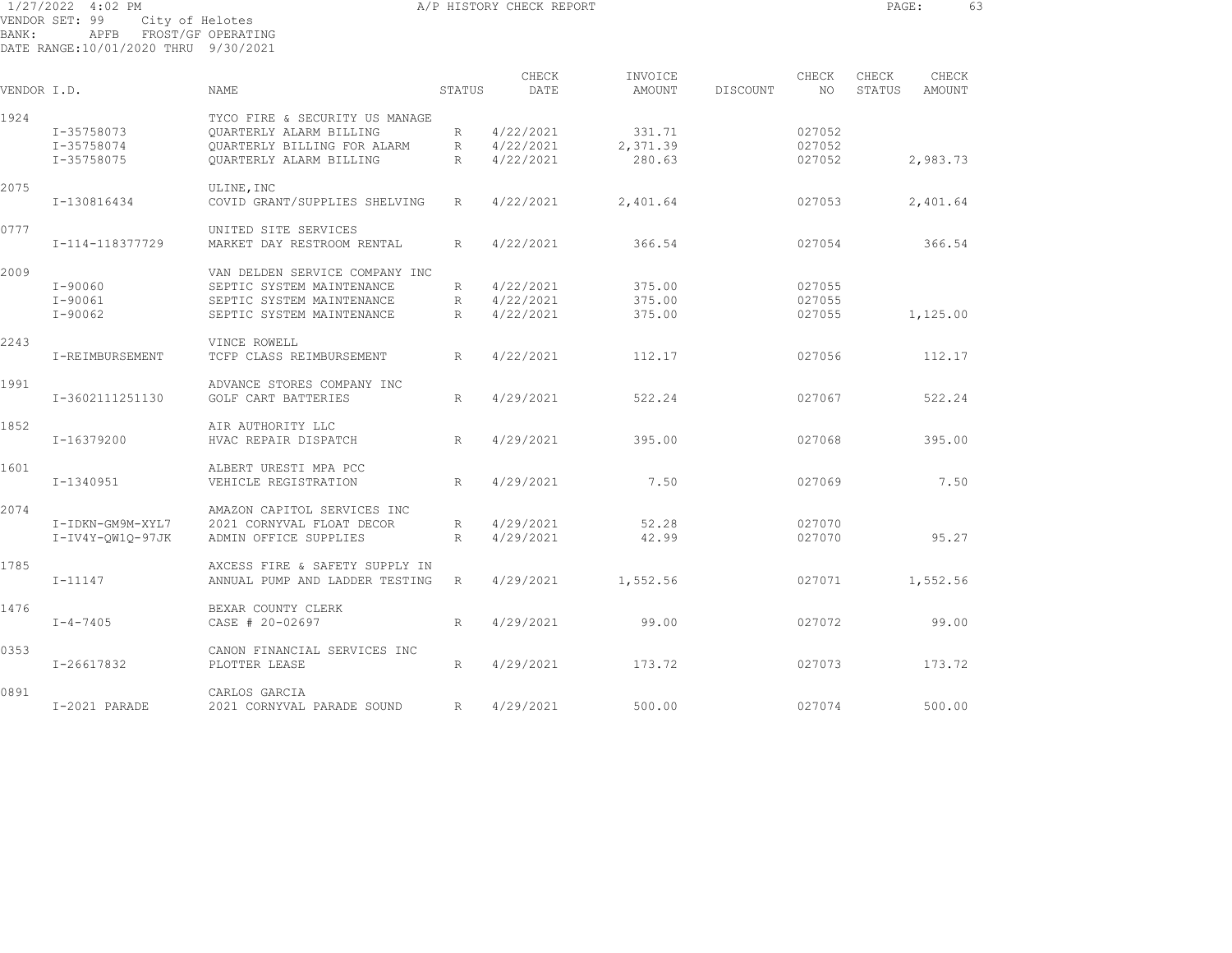1/27/2022 4:02 PM A/P HISTORY CHECK REPORT PAGE: 63 VENDOR SET: 99 City of Helotes BANK: APFB FROST/GF OPERATING DATE RANGE:10/01/2020 THRU 9/30/2021

| VENDOR I.D. |                  | NAME                           | STATUS       | CHECK<br>DATE | INVOICE<br>AMOUNT | DISCOUNT | CHECK<br>NO. | CHECK<br>STATUS | CHECK<br>AMOUNT |  |
|-------------|------------------|--------------------------------|--------------|---------------|-------------------|----------|--------------|-----------------|-----------------|--|
| 1924        |                  | TYCO FIRE & SECURITY US MANAGE |              |               |                   |          |              |                 |                 |  |
|             | I-35758073       | <b>OUARTERLY ALARM BILLING</b> | R            | 4/22/2021     | 331.71            |          | 027052       |                 |                 |  |
|             | I-35758074       | OUARTERLY BILLING FOR ALARM    | R            | 4/22/2021     | 2,371.39          |          | 027052       |                 |                 |  |
|             | I-35758075       | <b>OUARTERLY ALARM BILLING</b> | $\mathbb{R}$ | 4/22/2021     | 280.63            |          | 027052       |                 | 2,983.73        |  |
| 2075        |                  | ULINE, INC                     |              |               |                   |          |              |                 |                 |  |
|             | I-130816434      | COVID GRANT/SUPPLIES SHELVING  | R            | 4/22/2021     | 2,401.64          |          | 027053       |                 | 2,401.64        |  |
| 0777        |                  | UNITED SITE SERVICES           |              |               |                   |          |              |                 |                 |  |
|             | I-114-118377729  | MARKET DAY RESTROOM RENTAL     | R            | 4/22/2021     | 366.54            |          | 027054       |                 | 366.54          |  |
| 2009        |                  | VAN DELDEN SERVICE COMPANY INC |              |               |                   |          |              |                 |                 |  |
|             | $I - 90060$      | SEPTIC SYSTEM MAINTENANCE      | R            | 4/22/2021     | 375.00            |          | 027055       |                 |                 |  |
|             | $I - 90061$      | SEPTIC SYSTEM MAINTENANCE      | $R_{\odot}$  | 4/22/2021     | 375.00            |          | 027055       |                 |                 |  |
|             | $I - 90062$      | SEPTIC SYSTEM MAINTENANCE      | R            | 4/22/2021     | 375.00            |          | 027055       |                 | 1,125.00        |  |
| 2243        |                  | VINCE ROWELL                   |              |               |                   |          |              |                 |                 |  |
|             | I-REIMBURSEMENT  | TCFP CLASS REIMBURSEMENT       | R            | 4/22/2021     | 112.17            |          | 027056       |                 | 112.17          |  |
| 1991        |                  | ADVANCE STORES COMPANY INC     |              |               |                   |          |              |                 |                 |  |
|             | I-3602111251130  | GOLF CART BATTERIES            | $R_{\odot}$  | 4/29/2021     | 522.24            |          | 027067       |                 | 522.24          |  |
| 1852        |                  | AIR AUTHORITY LLC              |              |               |                   |          |              |                 |                 |  |
|             | I-16379200       | HVAC REPAIR DISPATCH           | R            | 4/29/2021     | 395.00            |          | 027068       |                 | 395.00          |  |
| 1601        |                  | ALBERT URESTI MPA PCC          |              |               |                   |          |              |                 |                 |  |
|             | I-1340951        | VEHICLE REGISTRATION           | R            | 4/29/2021     | 7.50              |          | 027069       |                 | 7.50            |  |
| 2074        |                  | AMAZON CAPITOL SERVICES INC    |              |               |                   |          |              |                 |                 |  |
|             | I-IDKN-GM9M-XYL7 | 2021 CORNYVAL FLOAT DECOR      | R            | 4/29/2021     | 52.28             |          | 027070       |                 |                 |  |
|             | I-IV4Y-QW1Q-97JK | ADMIN OFFICE SUPPLIES          | R            | 4/29/2021     | 42.99             |          | 027070       |                 | 95.27           |  |
| 1785        |                  | AXCESS FIRE & SAFETY SUPPLY IN |              |               |                   |          |              |                 |                 |  |
|             | $I - 11147$      | ANNUAL PUMP AND LADDER TESTING | R            | 4/29/2021     | 1,552.56          |          | 027071       |                 | 1,552.56        |  |
| 1476        |                  | BEXAR COUNTY CLERK             |              |               |                   |          |              |                 |                 |  |
|             | $I - 4 - 7405$   | CASE # 20-02697                | R            | 4/29/2021     | 99.00             |          | 027072       |                 | 99.00           |  |
| 0353        |                  | CANON FINANCIAL SERVICES INC   |              |               |                   |          |              |                 |                 |  |
|             | I-26617832       | PLOTTER LEASE                  | R            | 4/29/2021     | 173.72            |          | 027073       |                 | 173.72          |  |

0891 CARLOS GARCIA I-2021 PARADE 2021 CORNYVAL PARADE SOUND R 4/29/2021 500.00 027074 500.00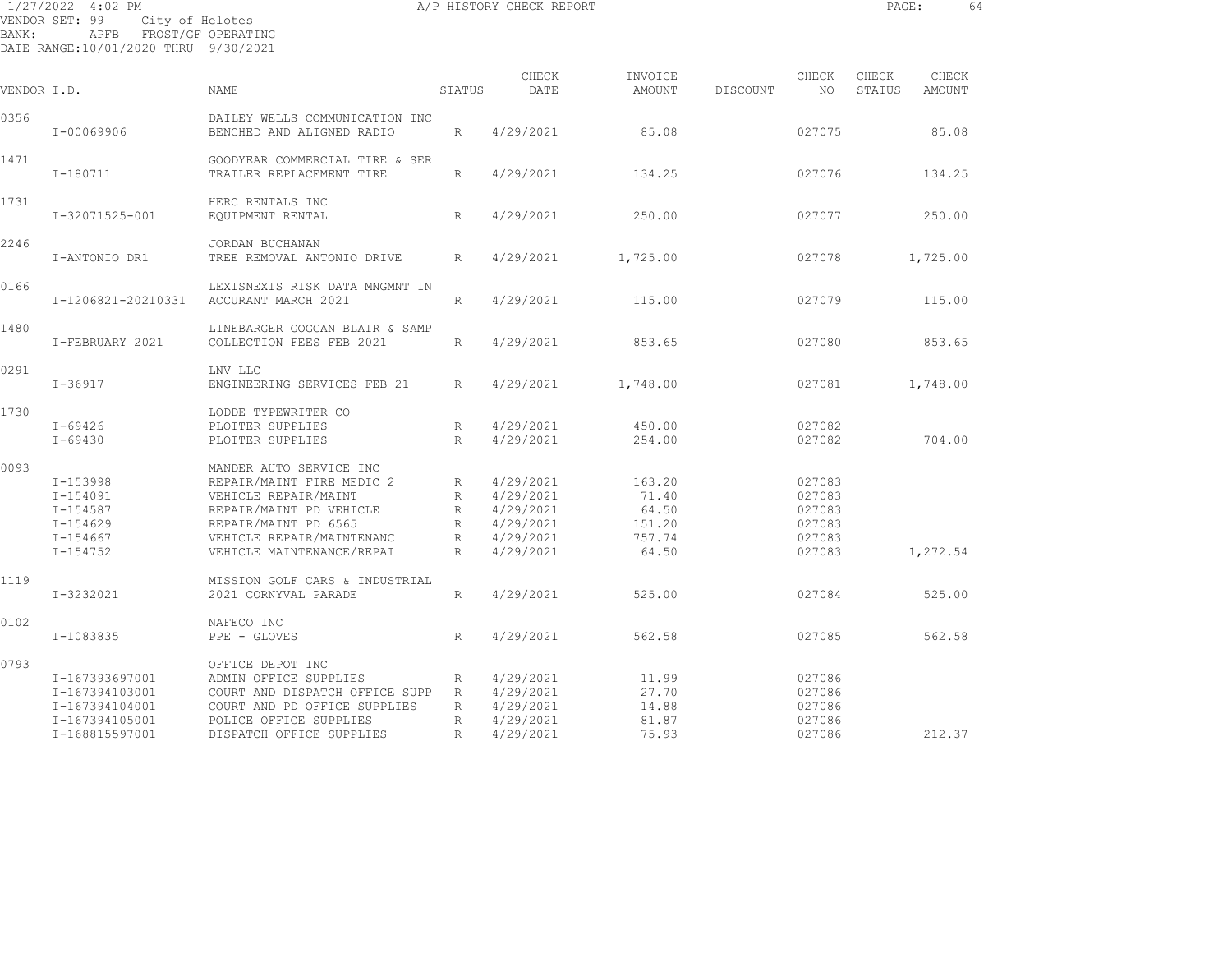|             | 1/27/2022 4:02 PM                                                                                    |                                                                                                                                                                                           |                                          | A/P HISTORY CHECK REPORT                                                   |                                                       |          |                                                          | PAGE:           |                 | 64 |
|-------------|------------------------------------------------------------------------------------------------------|-------------------------------------------------------------------------------------------------------------------------------------------------------------------------------------------|------------------------------------------|----------------------------------------------------------------------------|-------------------------------------------------------|----------|----------------------------------------------------------|-----------------|-----------------|----|
| BANK:       | VENDOR SET: 99<br>City of Helotes<br>APFB FROST/GF OPERATING<br>DATE RANGE:10/01/2020 THRU 9/30/2021 |                                                                                                                                                                                           |                                          |                                                                            |                                                       |          |                                                          |                 |                 |    |
| VENDOR I.D. |                                                                                                      | <b>NAME</b>                                                                                                                                                                               | STATUS                                   | CHECK<br>DATE                                                              | INVOICE<br>AMOUNT                                     | DISCOUNT | CHECK<br>NO.                                             | CHECK<br>STATUS | CHECK<br>AMOUNT |    |
| 0356        | I-00069906                                                                                           | DAILEY WELLS COMMUNICATION INC<br>BENCHED AND ALIGNED RADIO                                                                                                                               | R                                        | 4/29/2021                                                                  | 85.08                                                 |          | 027075                                                   |                 | 85.08           |    |
| 1471        | I-180711                                                                                             | GOODYEAR COMMERCIAL TIRE & SER<br>TRAILER REPLACEMENT TIRE                                                                                                                                | R                                        | 4/29/2021                                                                  | 134.25                                                |          | 027076                                                   |                 | 134.25          |    |
| 1731        | I-32071525-001                                                                                       | HERC RENTALS INC<br>EQUIPMENT RENTAL                                                                                                                                                      | R                                        | 4/29/2021                                                                  | 250.00                                                |          | 027077                                                   |                 | 250.00          |    |
| 2246        | I-ANTONIO DR1                                                                                        | JORDAN BUCHANAN<br>TREE REMOVAL ANTONIO DRIVE                                                                                                                                             | R                                        | 4/29/2021                                                                  | 1,725.00                                              |          | 027078                                                   |                 | 1,725.00        |    |
| 0166        | I-1206821-20210331                                                                                   | LEXISNEXIS RISK DATA MNGMNT IN<br>ACCURANT MARCH 2021                                                                                                                                     | R                                        | 4/29/2021                                                                  | 115.00                                                |          | 027079                                                   |                 | 115.00          |    |
| 1480        | I-FEBRUARY 2021                                                                                      | LINEBARGER GOGGAN BLAIR & SAMP<br>COLLECTION FEES FEB 2021                                                                                                                                | $R_{\parallel}$                          | 4/29/2021                                                                  | 853.65                                                |          | 027080                                                   |                 | 853.65          |    |
| 0291        | I-36917                                                                                              | LNV LLC<br>ENGINEERING SERVICES FEB 21                                                                                                                                                    | R                                        | 4/29/2021                                                                  | 1,748.00                                              |          | 027081                                                   |                 | 1,748.00        |    |
| 1730        | I-69426<br>I-69430                                                                                   | LODDE TYPEWRITER CO<br>PLOTTER SUPPLIES<br>PLOTTER SUPPLIES                                                                                                                               | R<br>R                                   | 4/29/2021<br>4/29/2021                                                     | 450.00<br>254.00                                      |          | 027082<br>027082                                         |                 | 704.00          |    |
| 0093        | I-153998<br>I-154091<br>I-154587<br>$I - 154629$<br>$I - 154667$<br>$I - 154752$                     | MANDER AUTO SERVICE INC<br>REPAIR/MAINT FIRE MEDIC 2<br>VEHICLE REPAIR/MAINT<br>REPAIR/MAINT PD VEHICLE<br>REPAIR/MAINT PD 6565<br>VEHICLE REPAIR/MAINTENANC<br>VEHICLE MAINTENANCE/REPAI | R<br>R<br>R<br>R<br>R<br>$R_{\parallel}$ | 4/29/2021<br>4/29/2021<br>4/29/2021<br>4/29/2021<br>4/29/2021<br>4/29/2021 | 163.20<br>71.40<br>64.50<br>151.20<br>757.74<br>64.50 |          | 027083<br>027083<br>027083<br>027083<br>027083<br>027083 |                 | 1,272.54        |    |
| 1119        | I-3232021                                                                                            | MISSION GOLF CARS & INDUSTRIAL<br>2021 CORNYVAL PARADE                                                                                                                                    | R                                        | 4/29/2021                                                                  | 525.00                                                |          | 027084                                                   |                 | 525.00          |    |
| 0102        | I-1083835                                                                                            | NAFECO INC<br>PPE - GLOVES                                                                                                                                                                | R                                        | 4/29/2021                                                                  | 562.58                                                |          | 027085                                                   |                 | 562.58          |    |
|             |                                                                                                      |                                                                                                                                                                                           |                                          |                                                                            |                                                       |          |                                                          |                 |                 |    |

0793 OFFICE DEPOT INC ADMIN OFFICE SUPPLIES R 4/29/2021 I-167393697001 ADMIN OFFICE SUPPLIES R 4/29/2021 11.99 027086 I-167394103001 COURT AND DISPATCH OFFICE SUPP R 4/29/2021 27.70 027086 I-167394104001 COURT AND PD OFFICE SUPPLIES R 4/29/2021 14.88 027086 I-167394105001 POLICE OFFICE SUPPLIES R 4/29/2021 81.87 027086 I-168815597001 DISPATCH OFFICE SUPPLIES R 4/29/2021 75.93 027086 212.37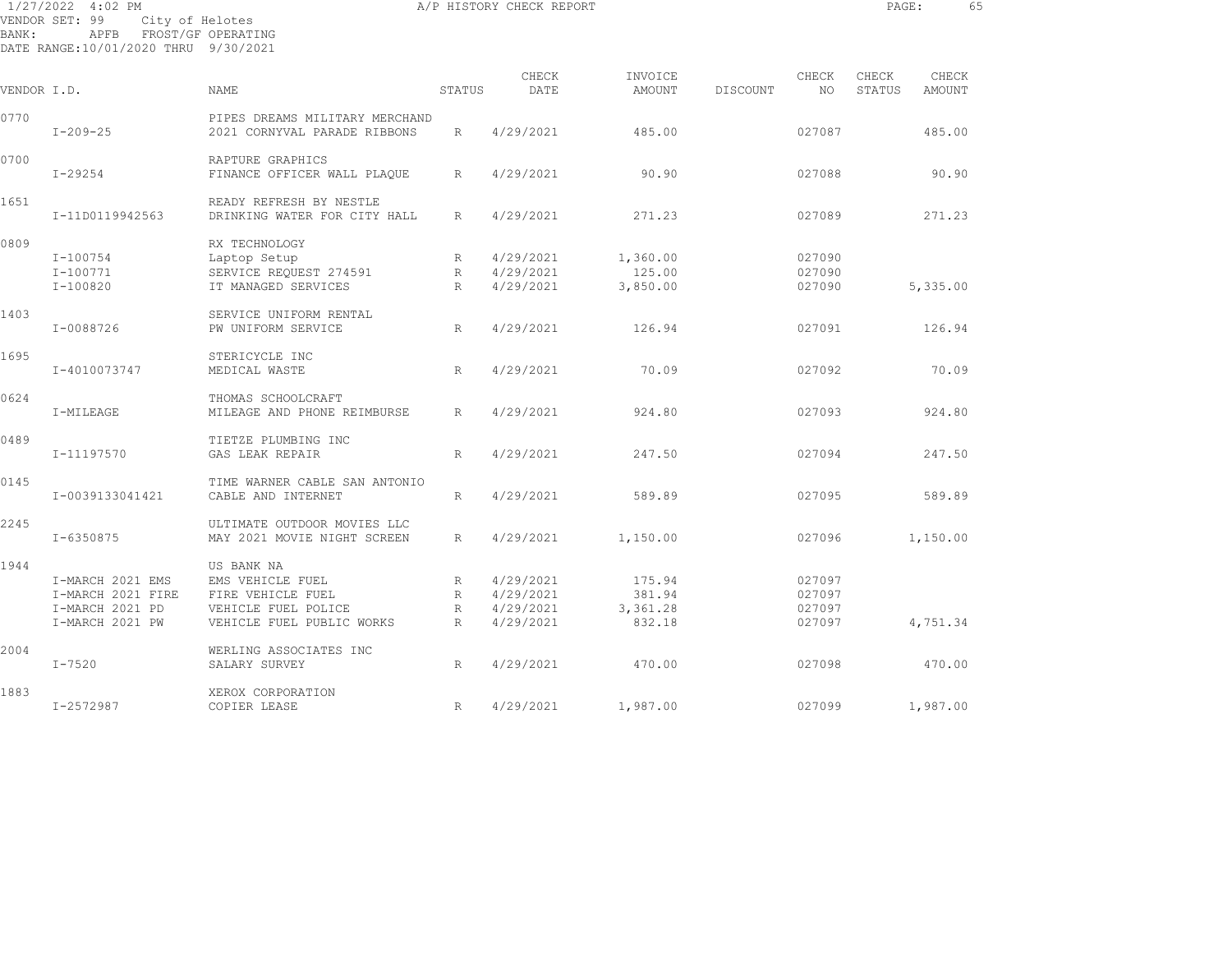|             | 1/27/2022 4:02 PM                                                                                    |                                                                                                         |                                           | A/P HISTORY CHECK REPORT                         |                                        |          |                                      | PAGE:           |                 | 65 |
|-------------|------------------------------------------------------------------------------------------------------|---------------------------------------------------------------------------------------------------------|-------------------------------------------|--------------------------------------------------|----------------------------------------|----------|--------------------------------------|-----------------|-----------------|----|
| BANK:       | VENDOR SET: 99<br>City of Helotes<br>APFB FROST/GF OPERATING<br>DATE RANGE:10/01/2020 THRU 9/30/2021 |                                                                                                         |                                           |                                                  |                                        |          |                                      |                 |                 |    |
| VENDOR I.D. |                                                                                                      | NAME                                                                                                    | STATUS                                    | CHECK<br>DATE                                    | INVOICE<br>AMOUNT                      | DISCOUNT | CHECK<br>NO.                         | CHECK<br>STATUS | CHECK<br>AMOUNT |    |
| 0770        | $I - 209 - 25$                                                                                       | PIPES DREAMS MILITARY MERCHAND<br>2021 CORNYVAL PARADE RIBBONS                                          | R                                         | 4/29/2021                                        | 485.00                                 |          | 027087                               |                 | 485.00          |    |
| 0700        | $I - 29254$                                                                                          | RAPTURE GRAPHICS<br>FINANCE OFFICER WALL PLAQUE                                                         | $R_{\perp}$                               | 4/29/2021                                        | 90.90                                  |          | 027088                               |                 | 90.90           |    |
| 1651        | I-11D0119942563                                                                                      | READY REFRESH BY NESTLE<br>DRINKING WATER FOR CITY HALL                                                 | R                                         | 4/29/2021                                        | 271.23                                 |          | 027089                               |                 | 271.23          |    |
| 0809        | I-100754<br>$I-100771$<br>I-100820                                                                   | RX TECHNOLOGY<br>Laptop Setup<br>SERVICE REQUEST 274591<br>IT MANAGED SERVICES                          | R<br>R<br>R                               | 4/29/2021<br>4/29/2021<br>4/29/2021              | 1,360.00<br>125.00<br>3,850.00         |          | 027090<br>027090<br>027090           |                 | 5,335.00        |    |
| 1403        | I-0088726                                                                                            | SERVICE UNIFORM RENTAL<br>PW UNIFORM SERVICE                                                            | R                                         | 4/29/2021                                        | 126.94                                 |          | 027091                               |                 | 126.94          |    |
| 1695        | I-4010073747                                                                                         | STERICYCLE INC<br>MEDICAL WASTE                                                                         | R                                         | 4/29/2021                                        | 70.09                                  |          | 027092                               |                 | 70.09           |    |
| 0624        | I-MILEAGE                                                                                            | THOMAS SCHOOLCRAFT<br>MILEAGE AND PHONE REIMBURSE                                                       | R                                         | 4/29/2021                                        | 924.80                                 |          | 027093                               |                 | 924.80          |    |
| 0489        | I-11197570                                                                                           | TIETZE PLUMBING INC<br>GAS LEAK REPAIR                                                                  | $R_{\odot}$                               | 4/29/2021                                        | 247.50                                 |          | 027094                               |                 | 247.50          |    |
| 0145        | I-0039133041421                                                                                      | TIME WARNER CABLE SAN ANTONIO<br>CABLE AND INTERNET                                                     | R                                         | 4/29/2021                                        | 589.89                                 |          | 027095                               |                 | 589.89          |    |
| 2245        | I-6350875                                                                                            | ULTIMATE OUTDOOR MOVIES LLC<br>MAY 2021 MOVIE NIGHT SCREEN                                              | $R_{\perp}$                               | 4/29/2021                                        | 1,150.00                               |          | 027096                               |                 | 1,150.00        |    |
| 1944        | I-MARCH 2021 EMS<br>I-MARCH 2021 FIRE<br>I-MARCH 2021 PD<br>I-MARCH 2021 PW                          | US BANK NA<br>EMS VEHICLE FUEL<br>FIRE VEHICLE FUEL<br>VEHICLE FUEL POLICE<br>VEHICLE FUEL PUBLIC WORKS | R<br>$R_{\parallel}$<br>R<br>$\mathbb{R}$ | 4/29/2021<br>4/29/2021<br>4/29/2021<br>4/29/2021 | 175.94<br>381.94<br>3,361.28<br>832.18 |          | 027097<br>027097<br>027097<br>027097 |                 | 4,751.34        |    |

2004 WERLING ASSOCIATES INC I-7520 SALARY SURVEY R 4/29/2021 470.00 027098 470.00

1883 XEROX CORPORATION I-2572987 COPIER LEASE R 4/29/2021 1,987.00 027099 1,987.00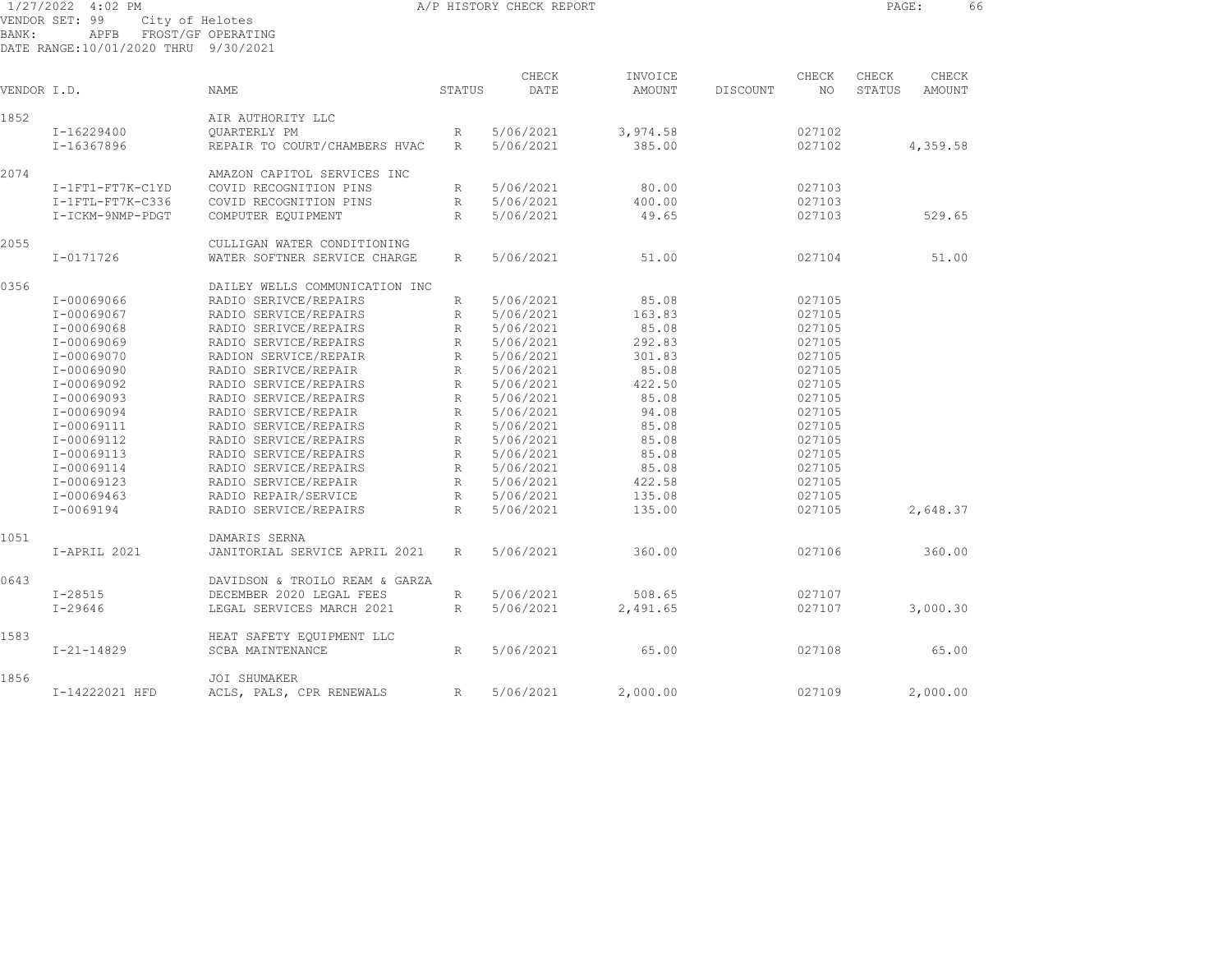| BANK:       | $1/27/2022$ 4:02 PM<br>VENDOR SET: 99<br>APFB<br>DATE RANGE:10/01/2020 THRU 9/30/2021 | City of Helotes<br>FROST/GF OPERATING                       |              | A/P HISTORY CHECK REPORT |          |          |        | PAGE:  | 66       |  |
|-------------|---------------------------------------------------------------------------------------|-------------------------------------------------------------|--------------|--------------------------|----------|----------|--------|--------|----------|--|
|             |                                                                                       |                                                             |              | CHECK                    | INVOICE  |          | CHECK  | CHECK  | CHECK    |  |
| VENDOR I.D. |                                                                                       | <b>NAME</b>                                                 | STATUS       | DATE                     | AMOUNT   | DISCOUNT | NO     | STATUS | AMOUNT   |  |
| 1852        |                                                                                       | AIR AUTHORITY LLC                                           |              |                          |          |          |        |        |          |  |
|             | I-16229400                                                                            | QUARTERLY PM                                                | R            | 5/06/2021                | 3,974.58 |          | 027102 |        |          |  |
|             | I-16367896                                                                            | REPAIR TO COURT/CHAMBERS HVAC                               | R            | 5/06/2021                | 385.00   |          | 027102 |        | 4,359.58 |  |
| 2074        |                                                                                       | AMAZON CAPITOL SERVICES INC                                 |              |                          |          |          |        |        |          |  |
|             | I-1FT1-FT7K-C1YD                                                                      | COVID RECOGNITION PINS                                      | R            | 5/06/2021                | 80.00    |          | 027103 |        |          |  |
|             | I-1FTL-FT7K-C336                                                                      | COVID RECOGNITION PINS                                      | R            | 5/06/2021                | 400.00   |          | 027103 |        |          |  |
|             | I-ICKM-9NMP-PDGT                                                                      | COMPUTER EQUIPMENT                                          | R            | 5/06/2021                | 49.65    |          | 027103 |        | 529.65   |  |
|             |                                                                                       |                                                             |              |                          |          |          |        |        |          |  |
| 2055        | I-0171726                                                                             | CULLIGAN WATER CONDITIONING<br>WATER SOFTNER SERVICE CHARGE | R            | 5/06/2021                | 51.00    |          | 027104 |        | 51.00    |  |
| 0356        |                                                                                       | DAILEY WELLS COMMUNICATION INC                              |              |                          |          |          |        |        |          |  |
|             | I-00069066                                                                            | RADIO SERIVCE/REPAIRS                                       |              | 5/06/2021                | 85.08    |          | 027105 |        |          |  |
|             | I-00069067                                                                            | RADIO SERVICE/REPAIRS                                       | R            | 5/06/2021                | 163.83   |          | 027105 |        |          |  |
|             |                                                                                       |                                                             | R            |                          |          |          |        |        |          |  |
|             | I-00069068                                                                            | RADIO SERIVCE/REPAIRS                                       | R            | 5/06/2021                | 85.08    |          | 027105 |        |          |  |
|             | I-00069069                                                                            | RADIO SERVICE/REPAIRS                                       | R            | 5/06/2021                | 292.83   |          | 027105 |        |          |  |
|             | I-00069070                                                                            | RADION SERVICE/REPAIR                                       | R            | 5/06/2021                | 301.83   |          | 027105 |        |          |  |
|             | I-00069090                                                                            | RADIO SERIVCE/REPAIR                                        | R            | 5/06/2021                | 85.08    |          | 027105 |        |          |  |
|             | I-00069092                                                                            | RADIO SERVICE/REPAIRS                                       | R            | 5/06/2021                | 422.50   |          | 027105 |        |          |  |
|             | I-00069093                                                                            | RADIO SERVICE/REPAIRS                                       | R            | 5/06/2021                | 85.08    |          | 027105 |        |          |  |
|             | I-00069094                                                                            | RADIO SERVICE/REPAIR                                        | R            | 5/06/2021                | 94.08    |          | 027105 |        |          |  |
|             | I-00069111                                                                            | RADIO SERVICE/REPAIRS                                       | R            | 5/06/2021                | 85.08    |          | 027105 |        |          |  |
|             | I-00069112                                                                            | RADIO SERVICE/REPAIRS                                       | R            | 5/06/2021                | 85.08    |          | 027105 |        |          |  |
|             | I-00069113                                                                            | RADIO SERVICE/REPAIRS                                       | R            | 5/06/2021                | 85.08    |          | 027105 |        |          |  |
|             | I-00069114                                                                            | RADIO SERVICE/REPAIRS                                       | R            | 5/06/2021                | 85.08    |          | 027105 |        |          |  |
|             | I-00069123                                                                            | RADIO SERVICE/REPAIR                                        | R            | 5/06/2021                | 422.58   |          | 027105 |        |          |  |
|             | I-00069463                                                                            | RADIO REPAIR/SERVICE                                        | R            | 5/06/2021                | 135.08   |          | 027105 |        |          |  |
|             | I-0069194                                                                             | RADIO SERVICE/REPAIRS                                       | $\mathbb{R}$ | 5/06/2021                | 135.00   |          | 027105 |        | 2,648.37 |  |
| 1051        |                                                                                       | DAMARIS SERNA                                               |              |                          |          |          |        |        |          |  |
|             | I-APRIL 2021                                                                          | JANITORIAL SERVICE APRIL 2021                               | R            | 5/06/2021                | 360.00   |          | 027106 |        | 360.00   |  |
| 0643        |                                                                                       | DAVIDSON & TROILO REAM & GARZA                              |              |                          |          |          |        |        |          |  |
|             | $I - 28515$                                                                           | DECEMBER 2020 LEGAL FEES                                    | R            | 5/06/2021                | 508.65   |          | 027107 |        |          |  |
|             | $I - 29646$                                                                           | LEGAL SERVICES MARCH 2021                                   | R            | 5/06/2021                | 2,491.65 |          | 027107 |        | 3,000.30 |  |
| 1583        |                                                                                       | HEAT SAFETY EQUIPMENT LLC                                   |              |                          |          |          |        |        |          |  |
|             | $I - 21 - 14829$                                                                      | SCBA MAINTENANCE                                            | R            | 5/06/2021                | 65.00    |          | 027108 |        | 65.00    |  |
| 1856        |                                                                                       | JOI SHUMAKER                                                |              |                          |          |          |        |        |          |  |
|             | I-14222021 HFD                                                                        | ACLS, PALS, CPR RENEWALS                                    | R            | 5/06/2021                | 2,000.00 |          | 027109 |        | 2,000.00 |  |
|             |                                                                                       |                                                             |              |                          |          |          |        |        |          |  |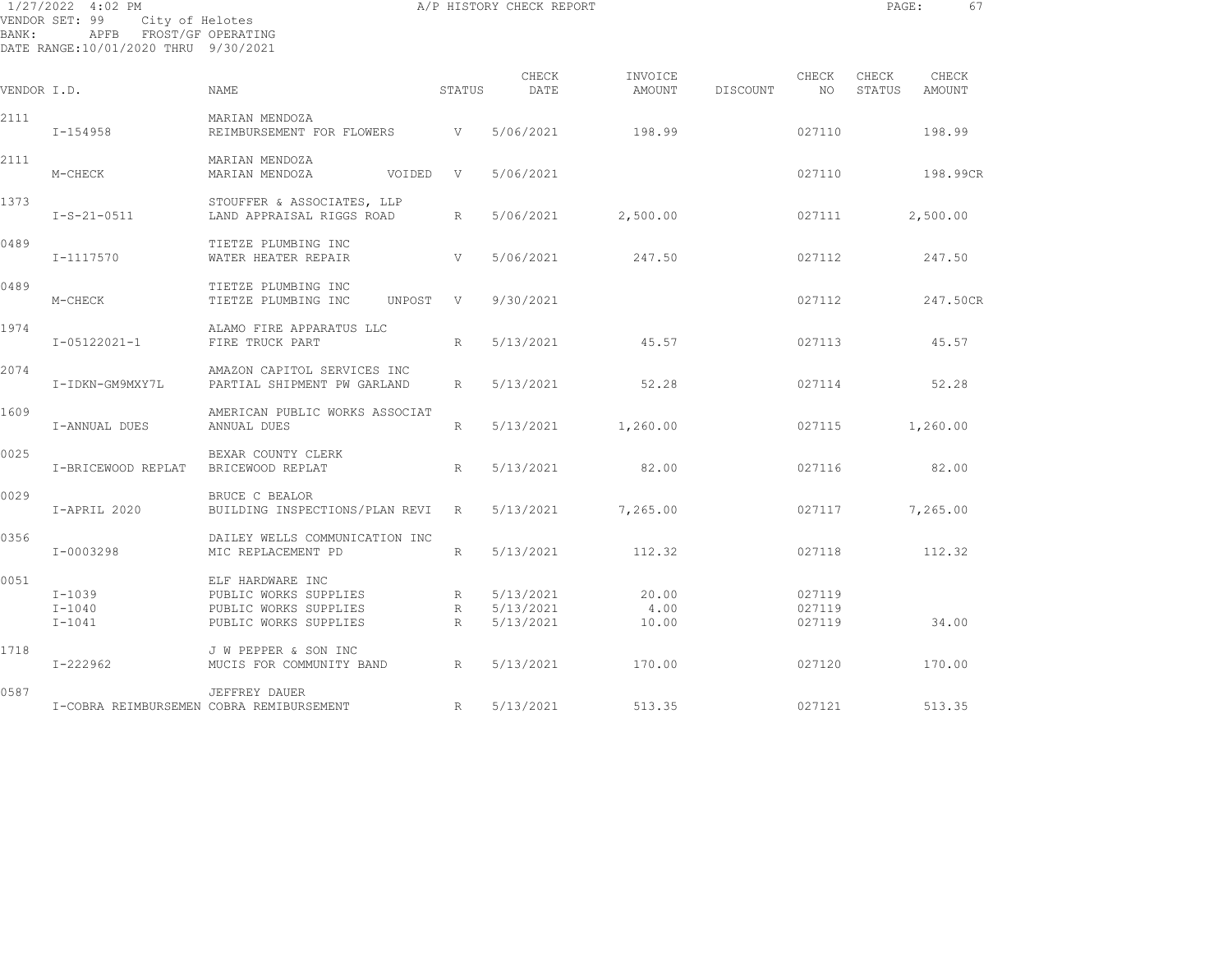| BANK:       | 1/27/2022 4:02 PM<br>VENDOR SET: 99<br>City of Helotes<br>APFB FROST/GF OPERATING<br>DATE RANGE:10/01/2020 THRU 9/30/2021 |                                                                                             |                           | A/P HISTORY CHECK REPORT            |                        |          |                            | PAGE:           | 67              |
|-------------|---------------------------------------------------------------------------------------------------------------------------|---------------------------------------------------------------------------------------------|---------------------------|-------------------------------------|------------------------|----------|----------------------------|-----------------|-----------------|
| VENDOR I.D. |                                                                                                                           | NAME                                                                                        | STATUS                    | CHECK<br>DATE                       | INVOICE<br>AMOUNT      | DISCOUNT | CHECK<br>NO                | CHECK<br>STATUS | CHECK<br>AMOUNT |
| 2111        | I-154958                                                                                                                  | MARIAN MENDOZA<br>REIMBURSEMENT FOR FLOWERS                                                 | <b>V</b>                  | 5/06/2021                           | 198.99                 |          | 027110                     |                 | 198.99          |
| 2111        | M-CHECK                                                                                                                   | MARIAN MENDOZA<br>MARIAN MENDOZA<br>VOIDED V                                                |                           | 5/06/2021                           |                        |          | 027110                     |                 | 198.99CR        |
| 1373        | $I-S-21-0511$                                                                                                             | STOUFFER & ASSOCIATES, LLP<br>LAND APPRAISAL RIGGS ROAD                                     | R                         | 5/06/2021                           | 2,500.00               |          | 027111                     |                 | 2,500.00        |
| 0489        | I-1117570                                                                                                                 | TIETZE PLUMBING INC<br>WATER HEATER REPAIR                                                  | V                         | 5/06/2021                           | 247.50                 |          | 027112                     |                 | 247.50          |
| 0489        | M-CHECK                                                                                                                   | TIETZE PLUMBING INC<br>TIETZE PLUMBING INC<br>UNPOST                                        | $\mathbf{V}$              | 9/30/2021                           |                        |          | 027112                     |                 | 247.50CR        |
| 1974        | I-05122021-1                                                                                                              | ALAMO FIRE APPARATUS LLC<br>FIRE TRUCK PART                                                 | R                         | 5/13/2021                           | 45.57                  |          | 027113                     |                 | 45.57           |
| 2074        | I-IDKN-GM9MXY7L                                                                                                           | AMAZON CAPITOL SERVICES INC<br>PARTIAL SHIPMENT PW GARLAND                                  | R                         | 5/13/2021                           | 52.28                  |          | 027114                     |                 | 52.28           |
| 1609        | I-ANNUAL DUES                                                                                                             | AMERICAN PUBLIC WORKS ASSOCIAT<br>ANNUAL DUES                                               | R                         | 5/13/2021                           | 1,260.00               |          | 027115                     |                 | 1,260.00        |
| 0025        | I-BRICEWOOD REPLAT                                                                                                        | BEXAR COUNTY CLERK<br>BRICEWOOD REPLAT                                                      | R                         | 5/13/2021                           | 82.00                  |          | 027116                     |                 | 82.00           |
| 0029        | I-APRIL 2020                                                                                                              | BRUCE C BEALOR<br>BUILDING INSPECTIONS/PLAN REVI                                            | R                         | 5/13/2021                           | 7,265.00               |          | 027117                     |                 | 7,265.00        |
| 0356        | I-0003298                                                                                                                 | DAILEY WELLS COMMUNICATION INC<br>MIC REPLACEMENT PD                                        | R                         | 5/13/2021                           | 112.32                 |          | 027118                     |                 | 112.32          |
| 0051        | $I-1039$<br>$I - 1040$<br>$I-1041$                                                                                        | ELF HARDWARE INC<br>PUBLIC WORKS SUPPLIES<br>PUBLIC WORKS SUPPLIES<br>PUBLIC WORKS SUPPLIES | R<br>$R_{\parallel}$<br>R | 5/13/2021<br>5/13/2021<br>5/13/2021 | 20.00<br>4.00<br>10.00 |          | 027119<br>027119<br>027119 |                 | 34.00           |
| 1718        | $I - 222962$                                                                                                              | J W PEPPER & SON INC<br>MUCIS FOR COMMUNITY BAND                                            | R                         | 5/13/2021                           | 170.00                 |          | 027120                     |                 | 170.00          |
| 0587        |                                                                                                                           | JEFFREY DAUER                                                                               |                           |                                     |                        |          |                            |                 |                 |

UBEERET DAUER<br>I-COBRA REIMBURSEMEN COBRA REMIBURSEMENT R 5/13/2021 513.35 513.35 027121 513.35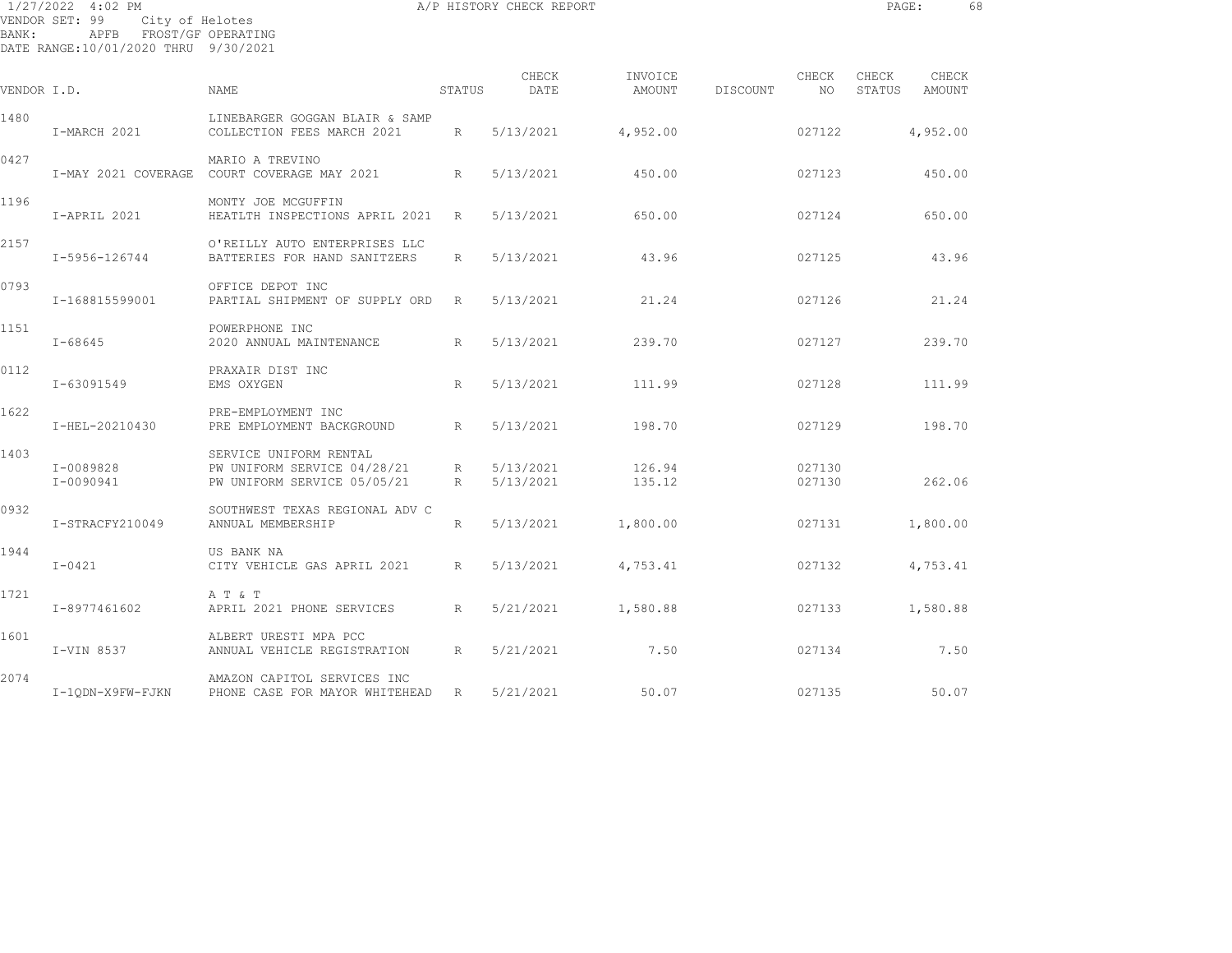|             | 1/27/2022 4:02 PM<br>VENDOR SET: 99<br>City of Helotes          |                                                                                        |        | A/P HISTORY CHECK REPORT |                   |                                       |                  | PAGE:           |                 | 68 |
|-------------|-----------------------------------------------------------------|----------------------------------------------------------------------------------------|--------|--------------------------|-------------------|---------------------------------------|------------------|-----------------|-----------------|----|
| BANK:       | APFB FROST/GF OPERATING<br>DATE RANGE:10/01/2020 THRU 9/30/2021 |                                                                                        |        |                          |                   |                                       |                  |                 |                 |    |
| VENDOR I.D. |                                                                 | <b>NAME</b>                                                                            | STATUS | CHECK<br>DATE            | INVOICE<br>AMOUNT | <b>Example 2018</b> CHECK<br>DISCOUNT | NO.              | CHECK<br>STATUS | CHECK<br>AMOUNT |    |
| 1480        | I-MARCH 2021                                                    | LINEBARGER GOGGAN BLAIR & SAMP<br>COLLECTION FEES MARCH 2021 R                         |        | 5/13/2021 4,952.00       |                   |                                       | 027122           |                 | 4,952.00        |    |
| 0427        |                                                                 | MARIO A TREVINO<br>I-MAY 2021 COVERAGE COURT COVERAGE MAY 2021 R                       |        | 5/13/2021                | 450.00            |                                       | 027123           |                 | 450.00          |    |
| 1196        | I-APRIL 2021                                                    | MONTY JOE MCGUFFIN<br>HEATLTH INSPECTIONS APRIL 2021 R                                 |        | 5/13/2021                | 650.00            |                                       | 027124           |                 | 650.00          |    |
| 2157        | I-5956-126744                                                   | O'REILLY AUTO ENTERPRISES LLC<br>BATTERIES FOR HAND SANITZERS R                        |        | 5/13/2021                | 43.96             |                                       | 027125           |                 | 43.96           |    |
| 0793        | I-168815599001                                                  | OFFICE DEPOT INC<br>PARTIAL SHIPMENT OF SUPPLY ORD R                                   |        | 5/13/2021                | 21.24             |                                       | 027126           |                 | 21.24           |    |
| 1151        | $I - 68645$                                                     | POWERPHONE INC<br>2020 ANNUAL MAINTENANCE<br>$\mathbb{R}$                              |        | 5/13/2021                | 239.70            |                                       | 027127           |                 | 239.70          |    |
| 0112        | I-63091549                                                      | PRAXAIR DIST INC<br>EMS OXYGEN                                                         | R      | 5/13/2021                | 111.99            |                                       | 027128           |                 | 111.99          |    |
| 1622        | I-HEL-20210430                                                  | PRE-EMPLOYMENT INC<br>PRE EMPLOYMENT BACKGROUND R                                      |        | 5/13/2021                | 198.70            |                                       | 027129           |                 | 198.70          |    |
| 1403        | I-0089828<br>I-0090941                                          | SERVICE UNIFORM RENTAL<br>PW UNIFORM SERVICE 04/28/21 R<br>PW UNIFORM SERVICE 05/05/21 | R      | 5/13/2021<br>5/13/2021   | 126.94<br>135.12  |                                       | 027130<br>027130 |                 | 262.06          |    |

|      | $I - 0090941$    | PW UNIFORM SERVICE 05/05/21                                   | R           | 5/13/2021 | 135.12   | 027130 | 262.06   |
|------|------------------|---------------------------------------------------------------|-------------|-----------|----------|--------|----------|
| 0932 | I-STRACFY210049  | SOUTHWEST TEXAS REGIONAL ADV C<br>ANNUAL MEMBERSHIP           | R           | 5/13/2021 | 1,800.00 | 027131 | 1,800.00 |
| 1944 | $I-0421$         | US BANK NA<br>CITY VEHICLE GAS APRIL 2021                     | R           | 5/13/2021 | 4,753.41 | 027132 | 4,753.41 |
| 1721 | I-8977461602     | A T & T<br>APRIL 2021 PHONE SERVICES                          | $R_{\perp}$ | 5/21/2021 | 1,580.88 | 027133 | 1,580.88 |
| 1601 | I-VIN 8537       | ALBERT URESTI MPA PCC<br>ANNUAL VEHICLE REGISTRATION          | $R_{\perp}$ | 5/21/2021 | 7.50     | 027134 | 7.50     |
| 2074 | I-10DN-X9FW-FJKN | AMAZON CAPITOL SERVICES INC<br>PHONE CASE FOR MAYOR WHITEHEAD | R           | 5/21/2021 | 50.07    | 027135 | 50.07    |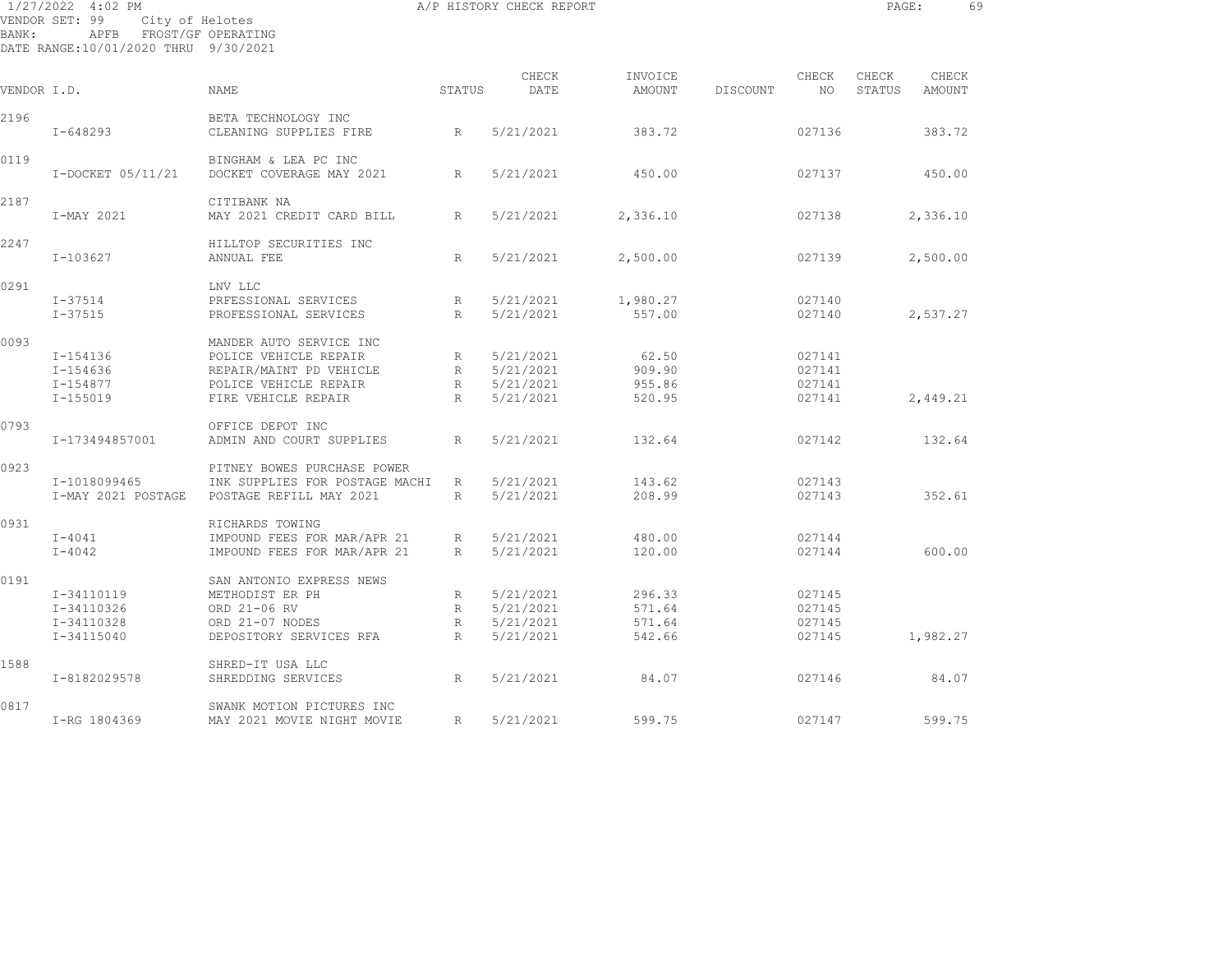| BANK:       | 1/27/2022 4:02 PM<br>VENDOR SET: 99<br>City of Helotes<br>APFB FROST/GF OPERATING<br>DATE RANGE:10/01/2020 THRU 9/30/2021 |                                                                                                                             |                                | A/P HISTORY CHECK REPORT                         |                                      |          |                                      | PAGE:           |                        | 69 |
|-------------|---------------------------------------------------------------------------------------------------------------------------|-----------------------------------------------------------------------------------------------------------------------------|--------------------------------|--------------------------------------------------|--------------------------------------|----------|--------------------------------------|-----------------|------------------------|----|
| VENDOR I.D. |                                                                                                                           | <b>NAME</b>                                                                                                                 | STATUS                         | CHECK<br>DATE                                    | INVOICE<br>AMOUNT                    | DISCOUNT | CHECK<br>NO.                         | CHECK<br>STATUS | CHECK<br><b>AMOUNT</b> |    |
| 2196        | $I - 648293$                                                                                                              | BETA TECHNOLOGY INC<br>CLEANING SUPPLIES FIRE                                                                               | R                              | 5/21/2021                                        | 383.72                               |          | 027136                               |                 | 383.72                 |    |
| 0119        | I-DOCKET 05/11/21                                                                                                         | BINGHAM & LEA PC INC<br>DOCKET COVERAGE MAY 2021                                                                            | R                              | 5/21/2021                                        | 450.00                               |          | 027137                               |                 | 450.00                 |    |
| 2187        | I-MAY 2021                                                                                                                | CITIBANK NA<br>MAY 2021 CREDIT CARD BILL                                                                                    | R                              | 5/21/2021                                        | 2,336.10                             |          | 027138                               |                 | 2,336.10               |    |
| 2247        | $I - 103627$                                                                                                              | HILLTOP SECURITIES INC<br>ANNUAL FEE                                                                                        | R                              | 5/21/2021                                        | 2,500.00                             |          | 027139                               |                 | 2,500.00               |    |
| 0291        | I-37514<br>$I - 37515$                                                                                                    | LNV LLC<br>PRFESSIONAL SERVICES<br>PROFESSIONAL SERVICES                                                                    | R<br>R                         | 5/21/2021<br>5/21/2021                           | 1,980.27<br>557.00                   |          | 027140<br>027140                     |                 | 2,537.27               |    |
| 0093        | I-154136<br>I-154636<br>I-154877<br>$I - 155019$                                                                          | MANDER AUTO SERVICE INC<br>POLICE VEHICLE REPAIR<br>REPAIR/MAINT PD VEHICLE<br>POLICE VEHICLE REPAIR<br>FIRE VEHICLE REPAIR | R<br>R<br>R<br>R               | 5/21/2021<br>5/21/2021<br>5/21/2021<br>5/21/2021 | 62.50<br>909.90<br>955.86<br>520.95  |          | 027141<br>027141<br>027141<br>027141 |                 | 2,449.21               |    |
| 0793        | I-173494857001                                                                                                            | OFFICE DEPOT INC<br>ADMIN AND COURT SUPPLIES                                                                                | R                              | 5/21/2021                                        | 132.64                               |          | 027142                               |                 | 132.64                 |    |
| 0923        | I-1018099465<br>I-MAY 2021 POSTAGE                                                                                        | PITNEY BOWES PURCHASE POWER<br>INK SUPPLIES FOR POSTAGE MACHI<br>POSTAGE REFILL MAY 2021                                    | R<br>R                         | 5/21/2021<br>5/21/2021                           | 143.62<br>208.99                     |          | 027143<br>027143                     |                 | 352.61                 |    |
| 0931        | $I - 4041$<br>$I - 4042$                                                                                                  | RICHARDS TOWING<br>IMPOUND FEES FOR MAR/APR 21<br>IMPOUND FEES FOR MAR/APR 21                                               | R<br>R                         | 5/21/2021<br>5/21/2021                           | 480.00<br>120.00                     |          | 027144<br>027144                     |                 | 600.00                 |    |
| 0191        | I-34110119<br>I-34110326<br>I-34110328<br>I-34115040                                                                      | SAN ANTONIO EXPRESS NEWS<br>METHODIST ER PH<br>ORD 21-06 RV<br>ORD 21-07 NODES<br>DEPOSITORY SERVICES RFA                   | R<br>R<br>$R_{\parallel}$<br>R | 5/21/2021<br>5/21/2021<br>5/21/2021<br>5/21/2021 | 296.33<br>571.64<br>571.64<br>542.66 |          | 027145<br>027145<br>027145<br>027145 |                 | 1,982.27               |    |
| 1588        | I-8182029578                                                                                                              | SHRED-IT USA LLC<br>SHREDDING SERVICES                                                                                      | R                              | 5/21/2021                                        | 84.07                                |          | 027146                               |                 | 84.07                  |    |
|             |                                                                                                                           |                                                                                                                             |                                |                                                  |                                      |          |                                      |                 |                        |    |

0817 SWANK MOTION PICTURES INC I-RG 1804369 MAY 2021 MOVIE NIGHT MOVIE R 5/21/2021 599.75 027147 599.75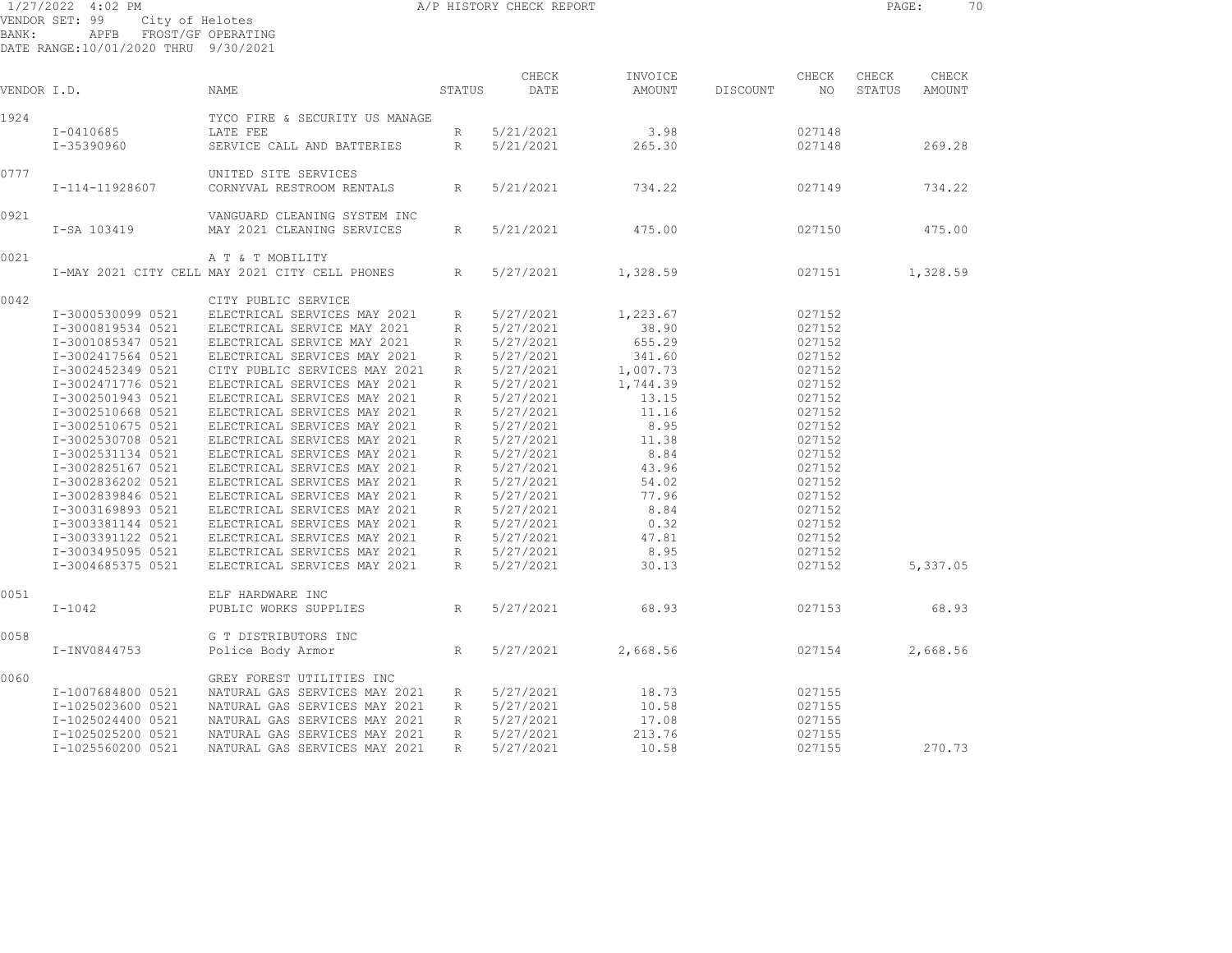| 1/27/2022 4:02 PM |                                      | A/P HISTORY CHECK REPORT | PAGE: | 70 |
|-------------------|--------------------------------------|--------------------------|-------|----|
|                   | VENDOR SET: 99 City of Helotes       |                          |       |    |
|                   | BANK: APFB FROST/GF-OPERATING        |                          |       |    |
|                   | DATE RANGE:10/01/2020 THRU 9/30/2021 |                          |       |    |

| VENDOR I.D. |                   | NAME                                           | STATUS          | CHECK<br>DATE | INVOICE<br>AMOUNT | DISCOUNT | CHECK<br>NO | CHECK<br>STATUS | CHECK<br><b>AMOUNT</b> |  |
|-------------|-------------------|------------------------------------------------|-----------------|---------------|-------------------|----------|-------------|-----------------|------------------------|--|
| 1924        |                   | TYCO FIRE & SECURITY US MANAGE                 |                 |               |                   |          |             |                 |                        |  |
|             | I-0410685         | LATE FEE                                       | R               | 5/21/2021     | 3.98              |          | 027148      |                 |                        |  |
|             | I-35390960        | SERVICE CALL AND BATTERIES                     | R               | 5/21/2021     | 265.30            |          | 027148      |                 | 269.28                 |  |
|             |                   |                                                |                 |               |                   |          |             |                 |                        |  |
| 0777        |                   | UNITED SITE SERVICES                           |                 |               |                   |          |             |                 |                        |  |
|             | I-114-11928607    | CORNYVAL RESTROOM RENTALS                      | R               | 5/21/2021     | 734.22            |          | 027149      |                 | 734.22                 |  |
| 0921        |                   | VANGUARD CLEANING SYSTEM INC                   |                 |               |                   |          |             |                 |                        |  |
|             | I-SA 103419       | MAY 2021 CLEANING SERVICES                     | $R_{\parallel}$ | 5/21/2021     | 475.00            |          | 027150      |                 | 475.00                 |  |
| 0021        |                   | A T & T MOBILITY                               |                 |               |                   |          |             |                 |                        |  |
|             |                   | I-MAY 2021 CITY CELL MAY 2021 CITY CELL PHONES | $R_{\parallel}$ | 5/27/2021     | 1,328.59          |          | 027151      |                 | 1,328.59               |  |
| 0042        |                   | CITY PUBLIC SERVICE                            |                 |               |                   |          |             |                 |                        |  |
|             | I-3000530099 0521 | ELECTRICAL SERVICES MAY 2021                   | $R_{\odot}$     | 5/27/2021     | 1,223.67          |          | 027152      |                 |                        |  |
|             | I-3000819534 0521 | ELECTRICAL SERVICE MAY 2021                    | R               | 5/27/2021     | 38.90             |          | 027152      |                 |                        |  |
|             | I-3001085347 0521 | ELECTRICAL SERVICE MAY 2021                    | R               | 5/27/2021     | 655.29            |          | 027152      |                 |                        |  |
|             | I-3002417564 0521 | ELECTRICAL SERVICES MAY 2021                   | R               | 5/27/2021     | 341.60            |          | 027152      |                 |                        |  |
|             | I-3002452349 0521 | CITY PUBLIC SERVICES MAY 2021                  | R               | 5/27/2021     | 1,007.73          |          | 027152      |                 |                        |  |
|             | I-3002471776 0521 | ELECTRICAL SERVICES MAY 2021                   | $R_{\parallel}$ | 5/27/2021     | 1,744.39          |          | 027152      |                 |                        |  |
|             | I-3002501943 0521 | ELECTRICAL SERVICES MAY 2021                   | R               | 5/27/2021     | 13.15             |          | 027152      |                 |                        |  |
|             | I-3002510668 0521 | ELECTRICAL SERVICES MAY 2021                   | R               | 5/27/2021     | 11.16             |          | 027152      |                 |                        |  |
|             | I-3002510675 0521 | ELECTRICAL SERVICES MAY 2021                   | R               | 5/27/2021     | 8.95              |          | 027152      |                 |                        |  |
|             | I-3002530708 0521 | ELECTRICAL SERVICES MAY 2021                   | $R_{\parallel}$ | 5/27/2021     | 11.38             |          | 027152      |                 |                        |  |
|             | I-3002531134 0521 | ELECTRICAL SERVICES MAY 2021                   | R               | 5/27/2021     | 8.84              |          | 027152      |                 |                        |  |
|             | I-3002825167 0521 | ELECTRICAL SERVICES MAY 2021                   | $R_{\parallel}$ | 5/27/2021     | 43.96             |          | 027152      |                 |                        |  |
|             |                   |                                                |                 |               |                   |          |             |                 |                        |  |
|             | I-3002836202 0521 | ELECTRICAL SERVICES MAY 2021                   | R               | 5/27/2021     | 54.02             |          | 027152      |                 |                        |  |
|             | I-3002839846 0521 | ELECTRICAL SERVICES MAY 2021                   | $R_{\parallel}$ | 5/27/2021     | 77.96             |          | 027152      |                 |                        |  |
|             | I-3003169893 0521 | ELECTRICAL SERVICES MAY 2021                   | $R_{\parallel}$ | 5/27/2021     | 8.84              |          | 027152      |                 |                        |  |
|             | I-3003381144 0521 | ELECTRICAL SERVICES MAY 2021                   | $R_{\parallel}$ | 5/27/2021     | 0.32              |          | 027152      |                 |                        |  |
|             | I-3003391122 0521 | ELECTRICAL SERVICES MAY 2021                   | R               | 5/27/2021     | 47.81             |          | 027152      |                 |                        |  |
|             | I-3003495095 0521 | ELECTRICAL SERVICES MAY 2021                   | R               | 5/27/2021     | 8.95              |          | 027152      |                 |                        |  |
|             | I-3004685375 0521 | ELECTRICAL SERVICES MAY 2021                   | $R_{\perp}$     | 5/27/2021     | 30.13             |          | 027152      |                 | 5,337.05               |  |
| 0051        |                   | ELF HARDWARE INC                               |                 |               |                   |          |             |                 |                        |  |
|             | $I-1042$          | PUBLIC WORKS SUPPLIES                          | R               | 5/27/2021     | 68.93             |          | 027153      |                 | 68.93                  |  |
| 0058        |                   | G T DISTRIBUTORS INC                           |                 |               |                   |          |             |                 |                        |  |
|             | I-INV0844753      | Police Body Armor                              | $R_{\parallel}$ | 5/27/2021     | 2,668.56          |          | 027154      |                 | 2,668.56               |  |
| 0060        |                   | GREY FOREST UTILITIES INC                      |                 |               |                   |          |             |                 |                        |  |
|             | I-1007684800 0521 | NATURAL GAS SERVICES MAY 2021                  | R               | 5/27/2021     | 18.73             |          | 027155      |                 |                        |  |
|             | I-1025023600 0521 | NATURAL GAS SERVICES MAY 2021                  | R               | 5/27/2021     | 10.58             |          | 027155      |                 |                        |  |
|             | I-1025024400 0521 | NATURAL GAS SERVICES MAY 2021                  | R               | 5/27/2021     | 17.08             |          | 027155      |                 |                        |  |
|             | I-1025025200 0521 | NATURAL GAS SERVICES MAY 2021                  | $R_{\parallel}$ | 5/27/2021     | 213.76            |          | 027155      |                 |                        |  |
|             | I-1025560200 0521 | NATURAL GAS SERVICES MAY 2021                  | $R_{\parallel}$ | 5/27/2021     | 10.58             |          | 027155      |                 | 270.73                 |  |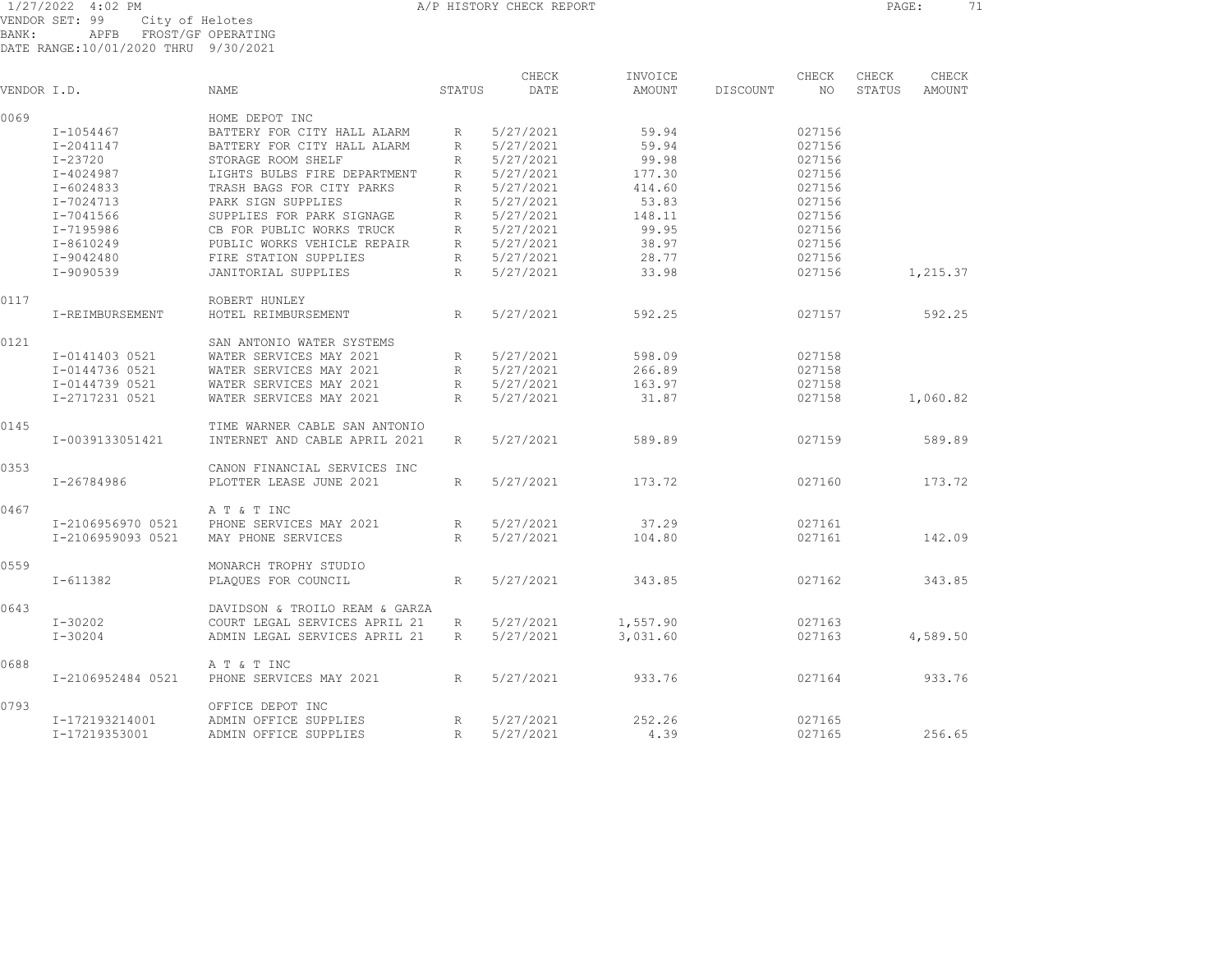1/27/2022 4:02 PM A/P HISTORY CHECK REPORT PAGE: 71 VENDOR SET: 99 City of Helotes

BANK: APFB FROST/GF OPERATING DATE RANGE:10/01/2020 THRU 9/30/2021

| VENDOR I.D. |                   | NAME                           | STATUS          | DATE      | AMOUNT   | DISCOUNT<br>NO | STATUS | AMOUNT   |  |
|-------------|-------------------|--------------------------------|-----------------|-----------|----------|----------------|--------|----------|--|
| 0069        |                   | HOME DEPOT INC                 |                 |           |          |                |        |          |  |
|             | I-1054467         | BATTERY FOR CITY HALL ALARM    | $R_{\perp}$     | 5/27/2021 | 59.94    | 027156         |        |          |  |
|             | I-2041147         | BATTERY FOR CITY HALL ALARM    | $R_{\perp}$     | 5/27/2021 | 59.94    | 027156         |        |          |  |
|             | $I - 23720$       | STORAGE ROOM SHELF             | R               | 5/27/2021 | 99.98    | 027156         |        |          |  |
|             | $I - 4024987$     | LIGHTS BULBS FIRE DEPARTMENT   | R               | 5/27/2021 | 177.30   | 027156         |        |          |  |
|             | I-6024833         | TRASH BAGS FOR CITY PARKS      | R               | 5/27/2021 | 414.60   | 027156         |        |          |  |
|             | I-7024713         | PARK SIGN SUPPLIES             | R               | 5/27/2021 | 53.83    | 027156         |        |          |  |
|             | I-7041566         | SUPPLIES FOR PARK SIGNAGE      | $R_{\parallel}$ | 5/27/2021 | 148.11   | 027156         |        |          |  |
|             | I-7195986         | CB FOR PUBLIC WORKS TRUCK      | R               | 5/27/2021 | 99.95    | 027156         |        |          |  |
|             | $I - 8610249$     | PUBLIC WORKS VEHICLE REPAIR    | $R_{\perp}$     | 5/27/2021 | 38.97    | 027156         |        |          |  |
|             | I-9042480         | FIRE STATION SUPPLIES          | R               | 5/27/2021 | 28.77    | 027156         |        |          |  |
|             | I-9090539         | <b>JANITORIAL SUPPLIES</b>     | $R_{\parallel}$ | 5/27/2021 | 33.98    | 027156         |        | 1,215.37 |  |
|             |                   |                                |                 |           |          |                |        |          |  |
| 0117        |                   | ROBERT HUNLEY                  |                 |           |          |                |        |          |  |
|             | I-REIMBURSEMENT   | HOTEL REIMBURSEMENT            | R               | 5/27/2021 | 592.25   | 027157         |        | 592.25   |  |
| 0121        |                   | SAN ANTONIO WATER SYSTEMS      |                 |           |          |                |        |          |  |
|             | I-0141403 0521    | WATER SERVICES MAY 2021        | R               | 5/27/2021 | 598.09   | 027158         |        |          |  |
|             | I-0144736 0521    | WATER SERVICES MAY 2021        | R               | 5/27/2021 | 266.89   | 027158         |        |          |  |
|             | I-0144739 0521    | WATER SERVICES MAY 2021        | R               | 5/27/2021 | 163.97   | 027158         |        |          |  |
|             | I-2717231 0521    | WATER SERVICES MAY 2021        | $R_{\parallel}$ | 5/27/2021 | 31.87    | 027158         |        | 1,060.82 |  |
| 0145        |                   | TIME WARNER CABLE SAN ANTONIO  |                 |           |          |                |        |          |  |
|             | I-0039133051421   | INTERNET AND CABLE APRIL 2021  | R               | 5/27/2021 | 589.89   | 027159         |        | 589.89   |  |
|             |                   |                                |                 |           |          |                |        |          |  |
| 0353        |                   | CANON FINANCIAL SERVICES INC   |                 |           |          |                |        |          |  |
|             | I-26784986        | PLOTTER LEASE JUNE 2021        | $R_{\parallel}$ | 5/27/2021 | 173.72   | 027160         |        | 173.72   |  |
| 0467        |                   | A T & T INC                    |                 |           |          |                |        |          |  |
|             | I-2106956970 0521 | PHONE SERVICES MAY 2021        | R               | 5/27/2021 | 37.29    | 027161         |        |          |  |
|             | I-2106959093 0521 | MAY PHONE SERVICES             | R               | 5/27/2021 | 104.80   | 027161         |        | 142.09   |  |
|             |                   |                                |                 |           |          |                |        |          |  |
| 0559        |                   | MONARCH TROPHY STUDIO          |                 |           |          |                |        |          |  |
|             | I-611382          | PLAQUES FOR COUNCIL            | R               | 5/27/2021 | 343.85   | 027162         |        | 343.85   |  |
| 0643        |                   | DAVIDSON & TROILO REAM & GARZA |                 |           |          |                |        |          |  |
|             | $I - 30202$       | COURT LEGAL SERVICES APRIL 21  | R               | 5/27/2021 | 1,557.90 | 027163         |        |          |  |
|             | $I - 30204$       | ADMIN LEGAL SERVICES APRIL 21  | $R_{\parallel}$ | 5/27/2021 | 3,031.60 | 027163         |        | 4,589.50 |  |
| 0688        |                   | A T & T INC                    |                 |           |          |                |        |          |  |
|             | I-2106952484 0521 | PHONE SERVICES MAY 2021        | R               | 5/27/2021 | 933.76   | 027164         |        | 933.76   |  |
|             |                   |                                |                 |           |          |                |        |          |  |
| 0793        |                   | OFFICE DEPOT INC               |                 |           |          |                |        |          |  |
|             | I-172193214001    | ADMIN OFFICE SUPPLIES          | R               | 5/27/2021 | 252.26   | 027165         |        |          |  |

I-17219353001 ADMIN OFFICE SUPPLIES R 5/27/2021 4.39 027165 256.65

CHECK INVOICE CHECK CHECK

CHECK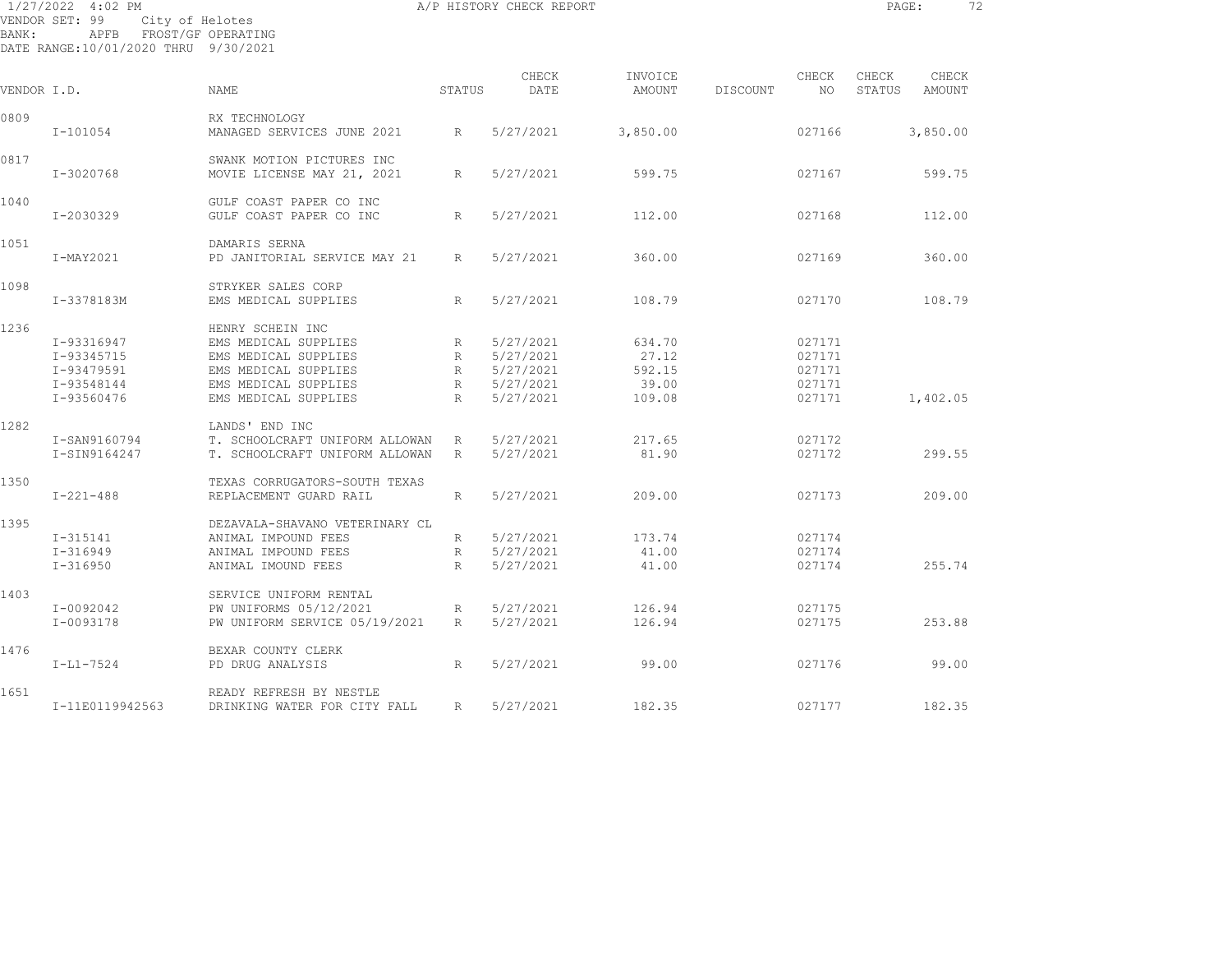|             | 1/27/2022 4:02 PM                                      |                                            |                 | A/P HISTORY CHECK REPORT |                   |                          | PAGE:           | 72              |
|-------------|--------------------------------------------------------|--------------------------------------------|-----------------|--------------------------|-------------------|--------------------------|-----------------|-----------------|
| BANK:       | VENDOR SET: 99<br>DATE RANGE:10/01/2020 THRU 9/30/2021 | City of Helotes<br>APFB FROST/GF OPERATING |                 |                          |                   |                          |                 |                 |
|             |                                                        |                                            |                 |                          |                   |                          |                 |                 |
| VENDOR I.D. |                                                        | NAME                                       | STATUS          | CHECK<br>DATE            | INVOICE<br>AMOUNT | CHECK<br>DISCOUNT<br>NO. | CHECK<br>STATUS | CHECK<br>AMOUNT |
|             |                                                        |                                            |                 |                          |                   |                          |                 |                 |
| 0809        |                                                        | RX TECHNOLOGY                              |                 |                          |                   |                          |                 |                 |
|             | $I - 101054$                                           | MANAGED SERVICES JUNE 2021                 | R               | 5/27/2021                | 3,850.00          | 027166                   |                 | 3,850.00        |
| 0817        |                                                        | SWANK MOTION PICTURES INC                  |                 |                          |                   |                          |                 |                 |
|             | I-3020768                                              | MOVIE LICENSE MAY 21, 2021                 | R               | 5/27/2021                | 599.75            | 027167                   |                 | 599.75          |
| 1040        |                                                        | GULF COAST PAPER CO INC                    |                 |                          |                   |                          |                 |                 |
|             | I-2030329                                              | GULF COAST PAPER CO INC                    | R               | 5/27/2021                | 112.00            | 027168                   |                 | 112.00          |
| 1051        |                                                        | DAMARIS SERNA                              |                 |                          |                   |                          |                 |                 |
|             | I-MAY2021                                              | PD JANITORIAL SERVICE MAY 21               | R               | 5/27/2021                | 360.00            | 027169                   |                 | 360.00          |
| 1098        |                                                        | STRYKER SALES CORP                         |                 |                          |                   |                          |                 |                 |
|             | I-3378183M                                             | EMS MEDICAL SUPPLIES                       | $R_{\parallel}$ | 5/27/2021                | 108.79            | 027170                   |                 | 108.79          |
| 1236        |                                                        | HENRY SCHEIN INC                           |                 |                          |                   |                          |                 |                 |
|             | I-93316947                                             | EMS MEDICAL SUPPLIES                       | $R_{\parallel}$ | 5/27/2021                | 634.70            | 027171                   |                 |                 |
|             | I-93345715                                             | EMS MEDICAL SUPPLIES                       | R               | 5/27/2021                | 27.12             | 027171                   |                 |                 |
|             | I-93479591                                             | EMS MEDICAL SUPPLIES                       | R               | 5/27/2021                | 592.15            | 027171                   |                 |                 |
|             | I-93548144                                             | EMS MEDICAL SUPPLIES                       | R               | 5/27/2021                | 39.00             | 027171                   |                 |                 |
|             | I-93560476                                             | EMS MEDICAL SUPPLIES                       | $R_{\odot}$     | 5/27/2021                | 109.08            | 027171                   |                 | 1,402.05        |
| 1282        |                                                        | LANDS' END INC                             |                 |                          |                   |                          |                 |                 |
|             | I-SAN9160794                                           | T. SCHOOLCRAFT UNIFORM ALLOWAN             | $R_{\perp}$     | 5/27/2021                | 217.65            | 027172                   |                 |                 |
|             | I-SIN9164247                                           | T. SCHOOLCRAFT UNIFORM ALLOWAN             | R               | 5/27/2021                | 81.90             | 027172                   |                 | 299.55          |
| 1350        |                                                        | TEXAS CORRUGATORS-SOUTH TEXAS              |                 |                          |                   |                          |                 |                 |
|             | $I - 221 - 488$                                        | REPLACEMENT GUARD RAIL                     | $R_{\parallel}$ | 5/27/2021                | 209.00            | 027173                   |                 | 209.00          |
| 1395        |                                                        | DEZAVALA-SHAVANO VETERINARY CL             |                 |                          |                   |                          |                 |                 |
|             | $I-315141$                                             | ANIMAL IMPOUND FEES                        | R               | 5/27/2021                | 173.74            | 027174                   |                 |                 |

I-316949 ANIMAL IMPOUND FEES R 5/27/2021 41.00 027174

I-0092042 PW UNIFORMS 05/12/2021 R 5/27/2021 126.94 027175

1403 SERVICE UNIFORM RENTAL

1651 READY REFRESH BY NESTLE

1476 BEXAR COUNTY CLERK

I-316950 ANIMAL IMOUND FEES R 5/27/2021 41.00 027174 255.74

I-11E0119942563 DRINKING WATER FOR CITY FALL R 5/27/2021 182.35 027177 182.35

I-0093178 PW UNIFORM SERVICE 05/19/2021 R 5/27/2021 126.94 027175 253.88

I-L1-7524 PD DRUG ANALYSIS R 5/27/2021 99.00 027176 99.00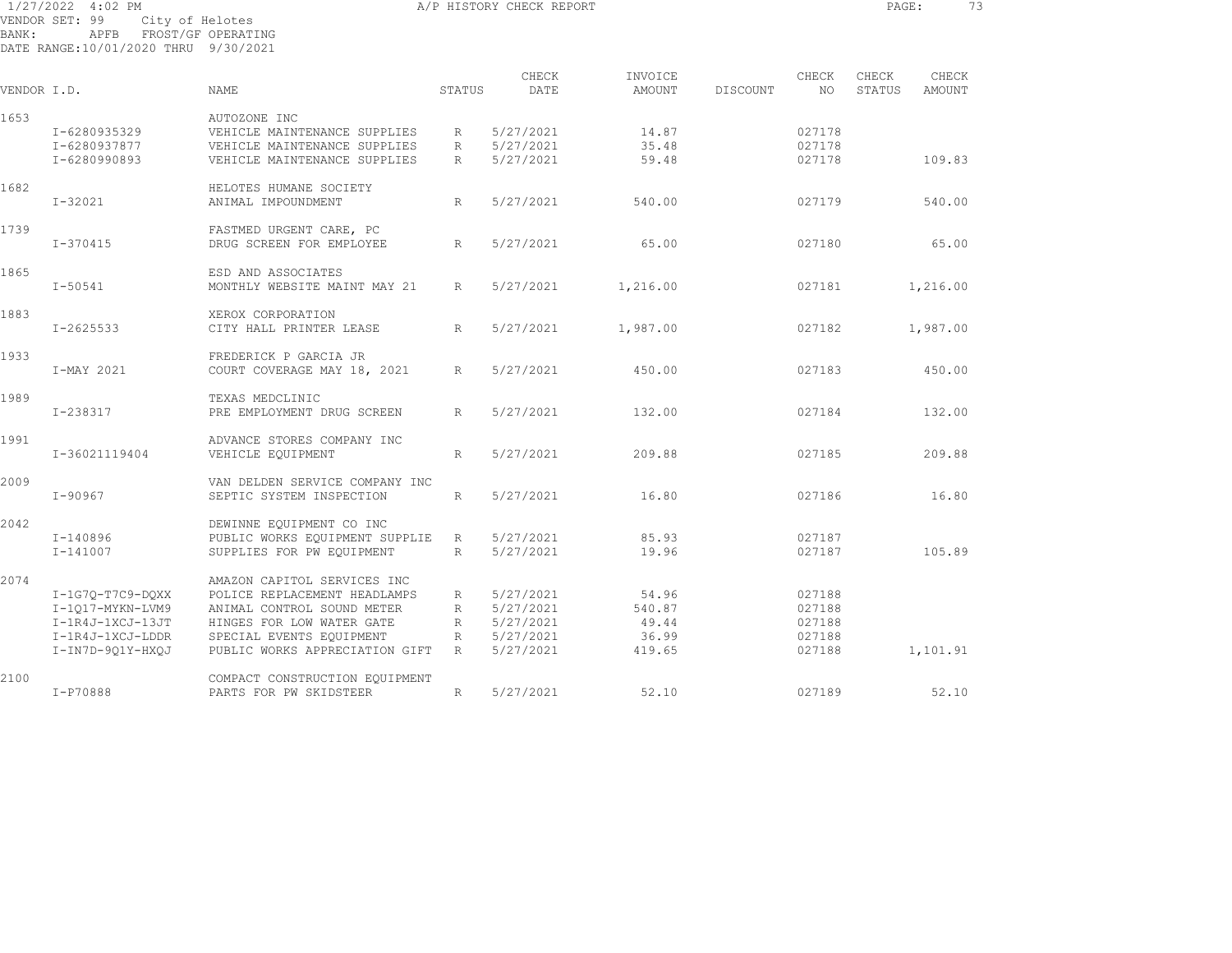1/27/2022 4:02 PM A/P HISTORY CHECK REPORT PAGE: 73 VENDOR SET: 99 City of Helotes BANK: APFB FROST/GF OPERATING DATE RANGE:10/01/2020 THRU 9/30/2021

|             |                  |                                |                 | CHECK     | INVOICE  |          | CHECK  | CHECK  | CHECK         |  |
|-------------|------------------|--------------------------------|-----------------|-----------|----------|----------|--------|--------|---------------|--|
| VENDOR I.D. |                  | <b>NAME</b>                    | STATUS          | DATE      | AMOUNT   | DISCOUNT | NO.    | STATUS | <b>AMOUNT</b> |  |
| 1653        |                  | AUTOZONE INC                   |                 |           |          |          |        |        |               |  |
|             | I-6280935329     | VEHICLE MAINTENANCE SUPPLIES   | $R_{\parallel}$ | 5/27/2021 | 14.87    |          | 027178 |        |               |  |
|             | I-6280937877     | VEHICLE MAINTENANCE SUPPLIES   | R               | 5/27/2021 | 35.48    |          | 027178 |        |               |  |
|             | I-6280990893     | VEHICLE MAINTENANCE SUPPLIES   | R               | 5/27/2021 | 59.48    |          | 027178 |        | 109.83        |  |
| 1682        |                  | HELOTES HUMANE SOCIETY         |                 |           |          |          |        |        |               |  |
|             | $I - 32021$      | ANIMAL IMPOUNDMENT             | R               | 5/27/2021 | 540.00   |          | 027179 |        | 540.00        |  |
| 1739        |                  | FASTMED URGENT CARE, PC        |                 |           |          |          |        |        |               |  |
|             | $I - 370415$     | DRUG SCREEN FOR EMPLOYEE       | R               | 5/27/2021 | 65.00    |          | 027180 |        | 65.00         |  |
| 1865        |                  | ESD AND ASSOCIATES             |                 |           |          |          |        |        |               |  |
|             | $I - 50541$      | MONTHLY WEBSITE MAINT MAY 21   | $R_{\parallel}$ | 5/27/2021 | 1,216.00 |          | 027181 |        | 1,216.00      |  |
| 1883        |                  | XEROX CORPORATION              |                 |           |          |          |        |        |               |  |
|             | I-2625533        | CITY HALL PRINTER LEASE        | R               | 5/27/2021 | 1,987.00 |          | 027182 |        | 1,987.00      |  |
| 1933        |                  | FREDERICK P GARCIA JR          |                 |           |          |          |        |        |               |  |
|             | I-MAY 2021       | COURT COVERAGE MAY 18, 2021    | $R_{\parallel}$ | 5/27/2021 | 450.00   |          | 027183 |        | 450.00        |  |
| 1989        |                  | TEXAS MEDCLINIC                |                 |           |          |          |        |        |               |  |
|             | I-238317         | PRE EMPLOYMENT DRUG SCREEN     | R               | 5/27/2021 | 132.00   |          | 027184 |        | 132.00        |  |
| 1991        |                  | ADVANCE STORES COMPANY INC     |                 |           |          |          |        |        |               |  |
|             | I-36021119404    | VEHICLE EQUIPMENT              | $R_{\parallel}$ | 5/27/2021 | 209.88   |          | 027185 |        | 209.88        |  |
| 2009        |                  | VAN DELDEN SERVICE COMPANY INC |                 |           |          |          |        |        |               |  |
|             | $I - 90967$      | SEPTIC SYSTEM INSPECTION       | R               | 5/27/2021 | 16.80    |          | 027186 |        | 16.80         |  |
| 2042        |                  | DEWINNE EQUIPMENT CO INC       |                 |           |          |          |        |        |               |  |
|             | I-140896         | PUBLIC WORKS EQUIPMENT SUPPLIE | R               | 5/27/2021 | 85.93    |          | 027187 |        |               |  |
|             | I-141007         | SUPPLIES FOR PW EOUIPMENT      | R               | 5/27/2021 | 19.96    |          | 027187 |        | 105.89        |  |
| 2074        |                  | AMAZON CAPITOL SERVICES INC    |                 |           |          |          |        |        |               |  |
|             | I-1G70-T7C9-DOXX | POLICE REPLACEMENT HEADLAMPS   | R               | 5/27/2021 | 54.96    |          | 027188 |        |               |  |
|             | I-1017-MYKN-LVM9 | ANIMAL CONTROL SOUND METER     | $R_{\parallel}$ | 5/27/2021 | 540.87   |          | 027188 |        |               |  |
|             | I-1R4J-1XCJ-13JT | HINGES FOR LOW WATER GATE      | R               | 5/27/2021 | 49.44    |          | 027188 |        |               |  |
|             | I-1R4J-1XCJ-LDDR | SPECIAL EVENTS EQUIPMENT       | R               | 5/27/2021 | 36.99    |          | 027188 |        |               |  |
|             | I-IN7D-9Q1Y-HXQJ | PUBLIC WORKS APPRECIATION GIFT | R               | 5/27/2021 | 419.65   |          | 027188 |        | 1,101.91      |  |
| 2100        |                  | COMPACT CONSTRUCTION EQUIPMENT |                 |           |          |          |        |        |               |  |
|             | I-P70888         | PARTS FOR PW SKIDSTEER         | R               | 5/27/2021 | 52.10    |          | 027189 |        | 52.10         |  |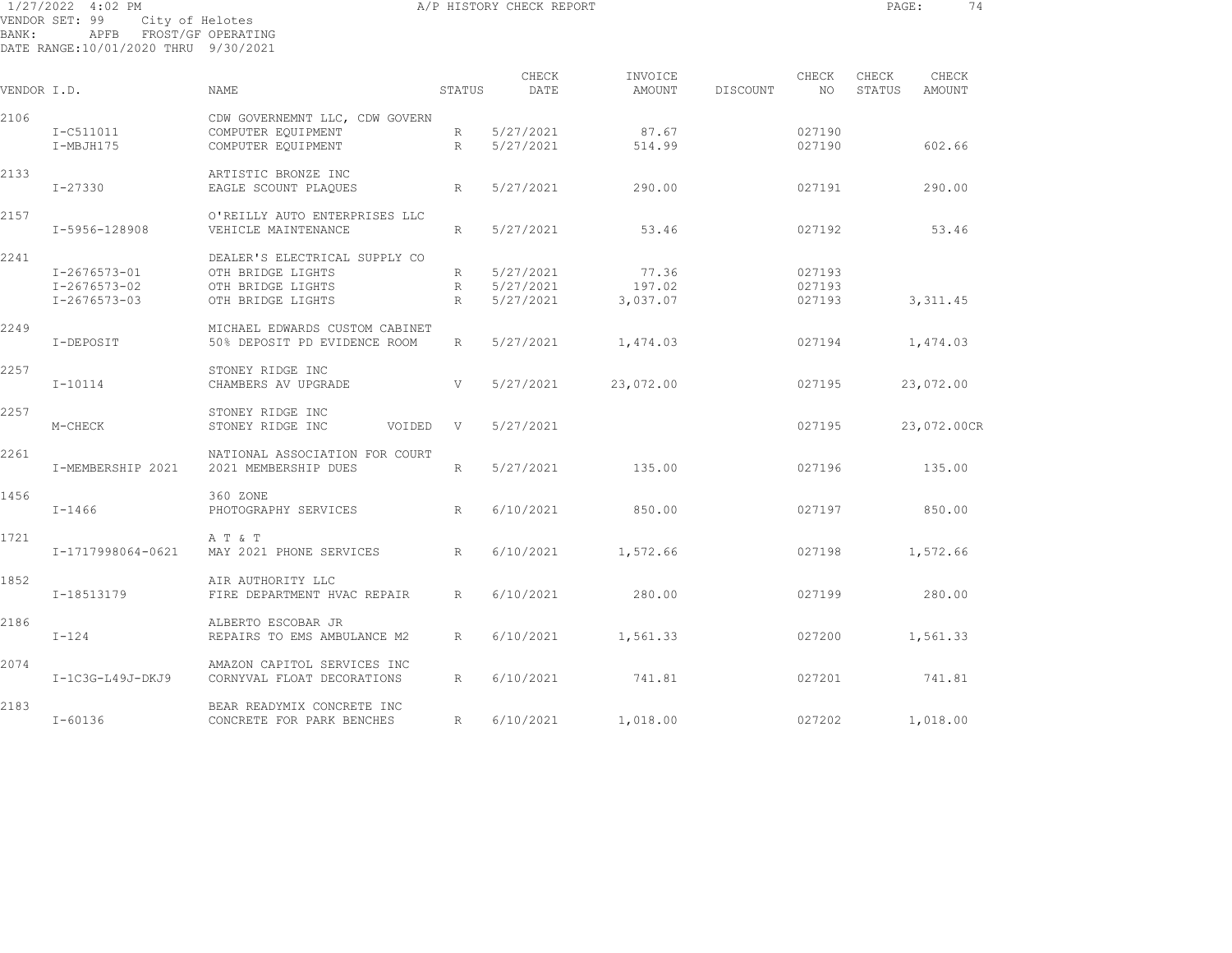|       | 1/27/2022 4:02 PM                                              |                                       |             | A/P HISTORY CHECK REPORT | PAGE:             | 74       |                  |                 |                 |
|-------|----------------------------------------------------------------|---------------------------------------|-------------|--------------------------|-------------------|----------|------------------|-----------------|-----------------|
| BANK: | VENDOR SET: 99<br>APFB<br>DATE RANGE:10/01/2020 THRU 9/30/2021 | City of Helotes<br>FROST/GF OPERATING |             |                          |                   |          |                  |                 |                 |
|       | VENDOR I.D.                                                    | <b>NAME</b>                           | STATUS      | CHECK<br>DATE            | INVOICE<br>AMOUNT | DISCOUNT | CHECK<br>NO      | CHECK<br>STATUS | CHECK<br>AMOUNT |
|       |                                                                |                                       |             |                          |                   |          |                  |                 |                 |
| 2106  |                                                                | CDW GOVERNEMNT LLC, CDW GOVERN        |             |                          |                   |          |                  |                 |                 |
|       | I-C511011                                                      | COMPUTER EQUIPMENT                    |             | R 5/27/2021              | 87.67<br>514.99   |          | 027190<br>027190 |                 | 602.66          |
|       | I-MBJH175                                                      | COMPUTER EOUIPMENT                    | R           | 5/27/2021                |                   |          |                  |                 |                 |
| 2133  |                                                                | ARTISTIC BRONZE INC                   |             |                          |                   |          |                  |                 |                 |
|       | I-27330                                                        | EAGLE SCOUNT PLAQUES                  | R           | 5/27/2021                | 290.00            |          | 027191           |                 | 290.00          |
| 2157  |                                                                | O'REILLY AUTO ENTERPRISES LLC         |             |                          |                   |          |                  |                 |                 |
|       | I-5956-128908                                                  | VEHICLE MAINTENANCE                   | R           | 5/27/2021                | 53.46             |          | 027192           |                 | 53.46           |
|       |                                                                |                                       |             |                          |                   |          |                  |                 |                 |
| 2241  |                                                                | DEALER'S ELECTRICAL SUPPLY CO         |             |                          |                   |          |                  |                 |                 |
|       | I-2676573-01                                                   | OTH BRIDGE LIGHTS                     | R           | 5/27/2021                | 77.36             |          | 027193           |                 |                 |
|       | I-2676573-02                                                   | OTH BRIDGE LIGHTS                     | $R$ and $R$ | 5/27/2021                | 197.02            |          | 027193           |                 |                 |
|       | I-2676573-03                                                   | OTH BRIDGE LIGHTS                     | R           | 5/27/2021                | 3,037.07          |          | 027193           |                 | 3,311.45        |
| 2249  |                                                                | MICHAEL EDWARDS CUSTOM CABINET        |             |                          |                   |          |                  |                 |                 |
|       | I-DEPOSIT                                                      | 50% DEPOSIT PD EVIDENCE ROOM          | R           | 5/27/2021                | 1,474.03          |          | 027194           |                 | 1,474.03        |
|       |                                                                |                                       |             |                          |                   |          |                  |                 |                 |
| 2257  |                                                                | STONEY RIDGE INC                      |             |                          |                   |          |                  |                 |                 |
|       | $I - 10114$                                                    | CHAMBERS AV UPGRADE                   | V           | 5/27/2021                | 23,072.00         |          | 027195           |                 | 23,072.00       |
| 2257  |                                                                | STONEY RIDGE INC                      |             |                          |                   |          |                  |                 |                 |
|       | M-CHECK                                                        | STONEY RIDGE INC<br>VOIDED            | V           | 5/27/2021                |                   |          | 027195           |                 | 23,072.00CR     |
|       |                                                                |                                       |             |                          |                   |          |                  |                 |                 |
| 2261  |                                                                | NATIONAL ASSOCIATION FOR COURT        |             |                          |                   |          |                  |                 |                 |
|       | I-MEMBERSHIP 2021                                              | 2021 MEMBERSHIP DUES                  | R           | 5/27/2021                | 135.00            |          | 027196           |                 | 135.00          |
| 1456  |                                                                | 360 ZONE                              |             |                          |                   |          |                  |                 |                 |
|       | $I - 1466$                                                     | PHOTOGRAPHY SERVICES                  | R           | 6/10/2021                | 850.00            |          | 027197           |                 | 850.00          |
|       |                                                                |                                       |             |                          |                   |          |                  |                 |                 |
| 1721  |                                                                | A T & T                               |             |                          |                   |          |                  |                 |                 |
|       | I-1717998064-0621                                              | MAY 2021 PHONE SERVICES               | R           | 6/10/2021                | 1,572.66          |          | 027198           |                 | 1,572.66        |

I-18513179 FIRE DEPARTMENT HVAC REPAIR R 6/10/2021 280.00 027199 280.00

I-124 REPAIRS TO EMS AMBULANCE M2 R 6/10/2021 1,561.33 027200 1,561.33

I-1C3G-L49J-DKJ9 CORNYVAL FLOAT DECORATIONS R 6/10/2021 741.81 027201 741.81

I-60136 CONCRETE FOR PARK BENCHES R 6/10/2021 1,018.00 027202 1,018.00

1852 AIR AUTHORITY LLC

2186 ALBERTO ESCOBAR JR

2074 AMAZON CAPITOL SERVICES INC

2183 BEAR READYMIX CONCRETE INC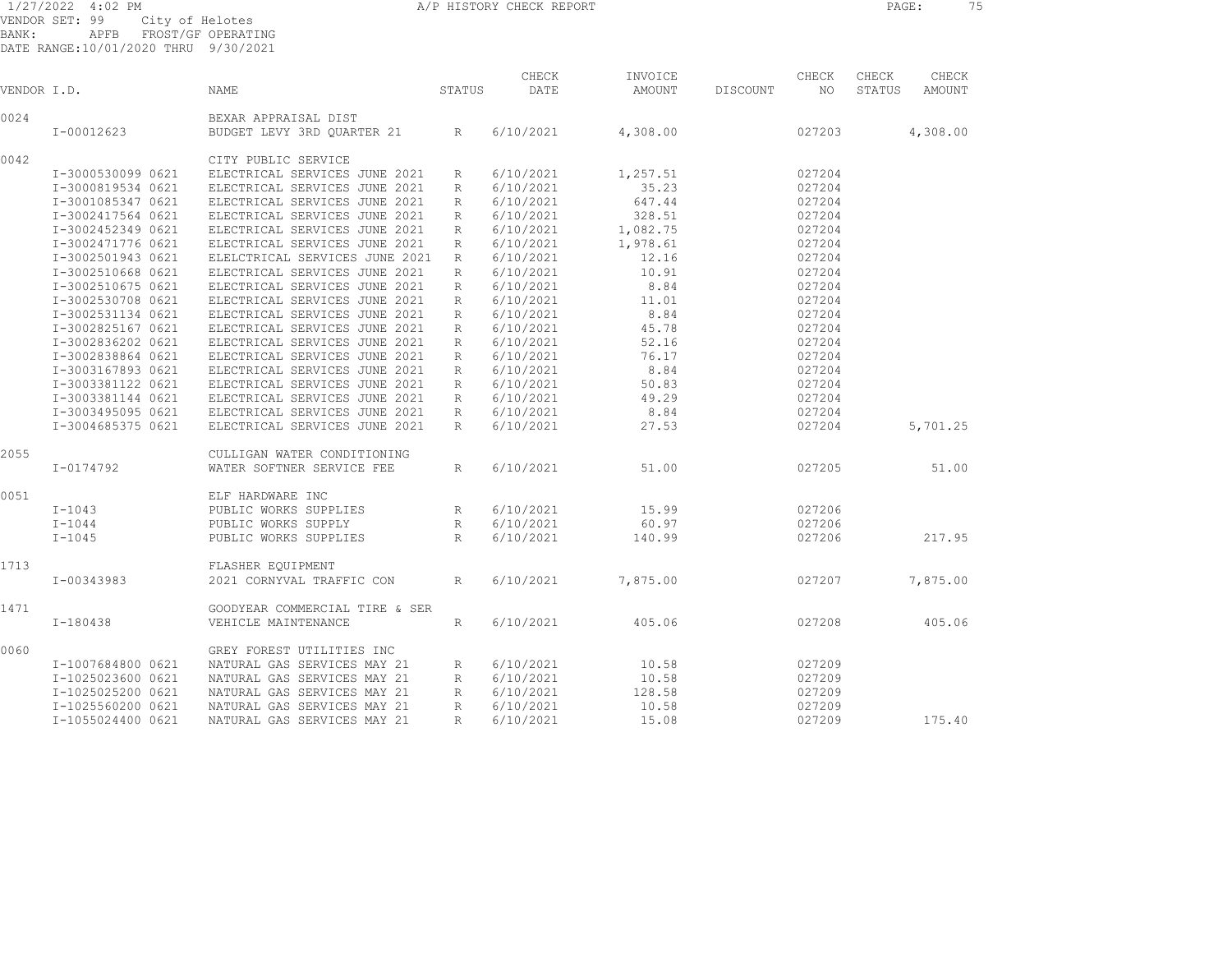1/27/2022 4:02 PM A/P HISTORY CHECK REPORT PAGE: 75

VENDOR SET: 99 City of Helotes BANK: APFB FROST/GF OPERATING

DATE RANGE:10/01/2020 THRU 9/30/2021

| VENDOR I.D. |                   | NAME                           | STATUS          | CHECK<br>DATE | INVOICE<br>AMOUNT | DISCOUNT | CHECK<br>NO. | CHECK<br>STATUS | CHECK<br><b>AMOUNT</b> |  |
|-------------|-------------------|--------------------------------|-----------------|---------------|-------------------|----------|--------------|-----------------|------------------------|--|
| 0024        |                   | BEXAR APPRAISAL DIST           |                 |               |                   |          |              |                 |                        |  |
|             | $I-00012623$      | BUDGET LEVY 3RD QUARTER 21     | $R_{\perp}$     | 6/10/2021     | 4,308.00          |          | 027203       |                 | 4,308.00               |  |
| 0042        |                   | CITY PUBLIC SERVICE            |                 |               |                   |          |              |                 |                        |  |
|             | I-3000530099 0621 | ELECTRICAL SERVICES JUNE 2021  | R               | 6/10/2021     | 1,257.51          |          | 027204       |                 |                        |  |
|             | I-3000819534 0621 | ELECTRICAL SERVICES JUNE 2021  | R               | 6/10/2021     | 35.23             |          | 027204       |                 |                        |  |
|             | I-3001085347 0621 | ELECTRICAL SERVICES JUNE 2021  | R               | 6/10/2021     | 647.44            |          | 027204       |                 |                        |  |
|             | I-3002417564 0621 | ELECTRICAL SERVICES JUNE 2021  | R               | 6/10/2021     | 328.51            |          | 027204       |                 |                        |  |
|             | I-3002452349 0621 | ELECTRICAL SERVICES JUNE 2021  | R               | 6/10/2021     | 1,082.75          |          | 027204       |                 |                        |  |
|             | I-3002471776 0621 | ELECTRICAL SERVICES JUNE 2021  | R               | 6/10/2021     | 1,978.61          |          | 027204       |                 |                        |  |
|             | I-3002501943 0621 | ELELCTRICAL SERVICES JUNE 2021 | R               | 6/10/2021     | 12.16             |          | 027204       |                 |                        |  |
|             | I-3002510668 0621 | ELECTRICAL SERVICES JUNE 2021  | R               | 6/10/2021     | 10.91             |          | 027204       |                 |                        |  |
|             | I-3002510675 0621 | ELECTRICAL SERVICES JUNE 2021  | R               | 6/10/2021     | 8.84              |          | 027204       |                 |                        |  |
|             | I-3002530708 0621 | ELECTRICAL SERVICES JUNE 2021  | R               | 6/10/2021     | 11.01             |          | 027204       |                 |                        |  |
|             | I-3002531134 0621 | ELECTRICAL SERVICES JUNE 2021  | R               | 6/10/2021     | 8.84              |          | 027204       |                 |                        |  |
|             | I-3002825167 0621 | ELECTRICAL SERVICES JUNE 2021  | R               | 6/10/2021     | 45.78             |          | 027204       |                 |                        |  |
|             | I-3002836202 0621 | ELECTRICAL SERVICES JUNE 2021  | R               | 6/10/2021     | 52.16             |          | 027204       |                 |                        |  |
|             | I-3002838864 0621 | ELECTRICAL SERVICES JUNE 2021  | R               | 6/10/2021     | 76.17             |          | 027204       |                 |                        |  |
|             | I-3003167893 0621 | ELECTRICAL SERVICES JUNE 2021  | R               | 6/10/2021     | 8.84              |          | 027204       |                 |                        |  |
|             | I-3003381122 0621 | ELECTRICAL SERVICES JUNE 2021  | R               | 6/10/2021     | 50.83             |          | 027204       |                 |                        |  |
|             | I-3003381144 0621 | ELECTRICAL SERVICES JUNE 2021  | R               | 6/10/2021     | 49.29             |          | 027204       |                 |                        |  |
|             | I-3003495095 0621 | ELECTRICAL SERVICES JUNE 2021  | R               | 6/10/2021     | 8.84              |          | 027204       |                 |                        |  |
|             | I-3004685375 0621 | ELECTRICAL SERVICES JUNE 2021  | R               | 6/10/2021     | 27.53             |          | 027204       |                 | 5,701.25               |  |
| 2055        |                   | CULLIGAN WATER CONDITIONING    |                 |               |                   |          |              |                 |                        |  |
|             | I-0174792         | WATER SOFTNER SERVICE FEE      | $R_{\parallel}$ | 6/10/2021     | 51.00             |          | 027205       |                 | 51.00                  |  |
| 0051        |                   | ELF HARDWARE INC               |                 |               |                   |          |              |                 |                        |  |
|             | $I-1043$          | PUBLIC WORKS SUPPLIES          | R               | 6/10/2021     | 15.99             |          | 027206       |                 |                        |  |
|             | $I-1044$          | PUBLIC WORKS SUPPLY            | R               | 6/10/2021     | 60.97             |          | 027206       |                 |                        |  |
|             | $I - 1045$        | PUBLIC WORKS SUPPLIES          | R               | 6/10/2021     | 140.99            |          | 027206       |                 | 217.95                 |  |
| 1713        |                   | FLASHER EQUIPMENT              |                 |               |                   |          |              |                 |                        |  |
|             | I-00343983        | 2021 CORNYVAL TRAFFIC CON      | $R_{\parallel}$ | 6/10/2021     | 7,875.00          |          | 027207       |                 | 7,875.00               |  |
| 1471        |                   | GOODYEAR COMMERCIAL TIRE & SER |                 |               |                   |          |              |                 |                        |  |
|             | I-180438          | VEHICLE MAINTENANCE            | $R_{\parallel}$ | 6/10/2021     | 405.06            |          | 027208       |                 | 405.06                 |  |
| 0060        |                   | GREY FOREST UTILITIES INC      |                 |               |                   |          |              |                 |                        |  |
|             | I-1007684800 0621 | NATURAL GAS SERVICES MAY 21    | R               | 6/10/2021     | 10.58             |          | 027209       |                 |                        |  |
|             | I-1025023600 0621 | NATURAL GAS SERVICES MAY 21    | R               | 6/10/2021     | 10.58             |          | 027209       |                 |                        |  |
|             | I-1025025200 0621 | NATURAL GAS SERVICES MAY 21    | R               | 6/10/2021     | 128.58            |          | 027209       |                 |                        |  |
|             | I-1025560200 0621 | NATURAL GAS SERVICES MAY 21    | R               | 6/10/2021     | 10.58             |          | 027209       |                 |                        |  |
|             | I-1055024400 0621 | NATURAL GAS SERVICES MAY 21    | $\mathbb{R}$    | 6/10/2021     | 15.08             |          | 027209       |                 | 175.40                 |  |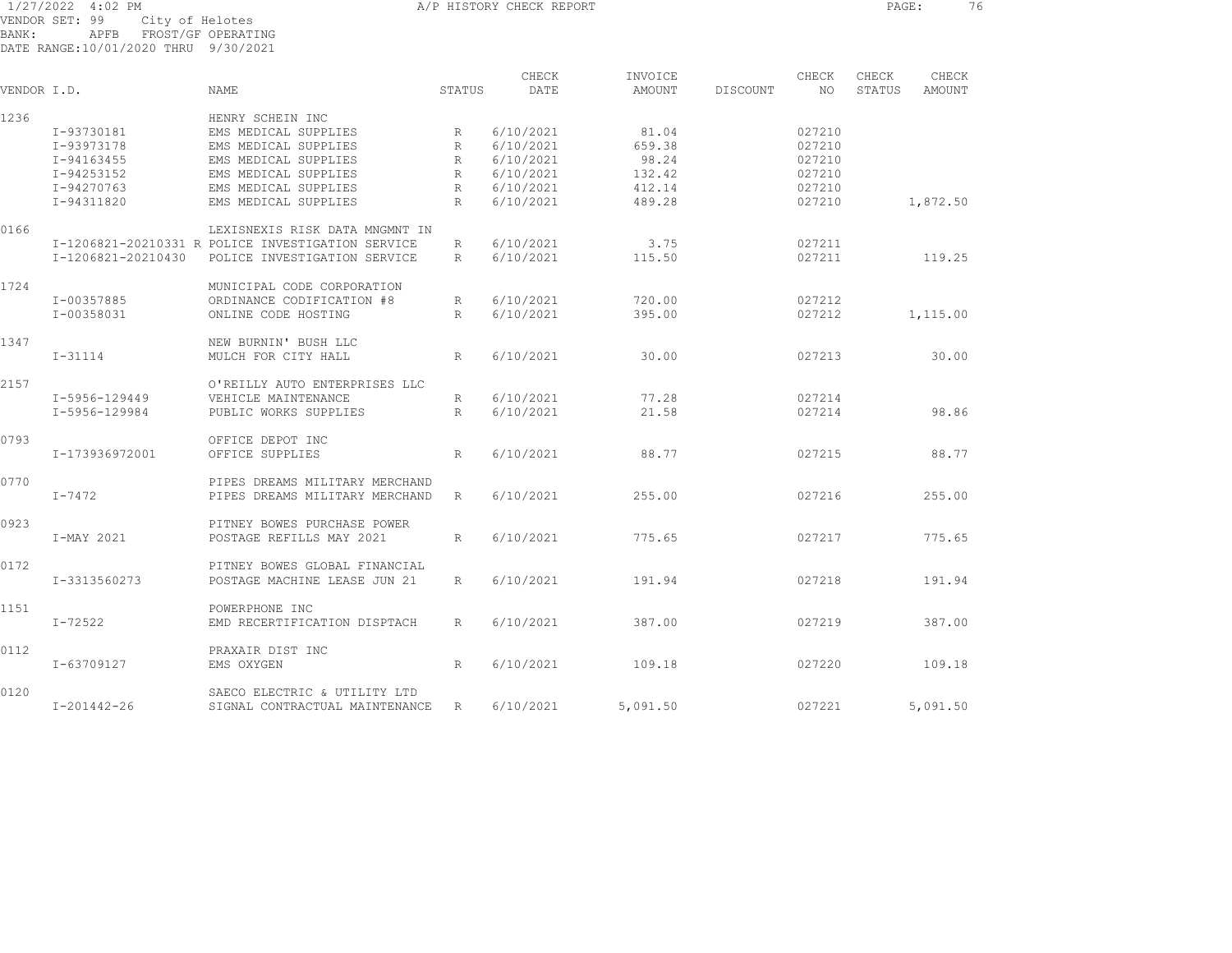1/27/2022 4:02 PM A/P HISTORY CHECK REPORT PAGE: 76 VENDOR SET: 99 City of Helotes BANK: APFB FROST/GF OPERATING DATE RANGE:10/01/2020 THRU 9/30/2021

|             |                    |                                                   |              | CHECK     | INVOICE  |          | CHECK  | CHECK  | CHECK         |  |
|-------------|--------------------|---------------------------------------------------|--------------|-----------|----------|----------|--------|--------|---------------|--|
| VENDOR I.D. |                    | <b>NAME</b>                                       | STATUS       | DATE      | AMOUNT   | DISCOUNT | NO.    | STATUS | <b>AMOUNT</b> |  |
| 1236        |                    | HENRY SCHEIN INC                                  |              |           |          |          |        |        |               |  |
|             | I-93730181         | EMS MEDICAL SUPPLIES                              | R            | 6/10/2021 | 81.04    |          | 027210 |        |               |  |
|             | I-93973178         | EMS MEDICAL SUPPLIES                              | R            | 6/10/2021 | 659.38   |          | 027210 |        |               |  |
|             | I-94163455         | EMS MEDICAL SUPPLIES                              | R            | 6/10/2021 | 98.24    |          | 027210 |        |               |  |
|             | I-94253152         | EMS MEDICAL SUPPLIES                              | R            | 6/10/2021 | 132.42   |          | 027210 |        |               |  |
|             | I-94270763         | EMS MEDICAL SUPPLIES                              | $\mathbb{R}$ | 6/10/2021 | 412.14   |          | 027210 |        |               |  |
|             | I-94311820         | EMS MEDICAL SUPPLIES                              | $\mathbb{R}$ | 6/10/2021 | 489.28   |          | 027210 |        | 1,872.50      |  |
| 0166        |                    | LEXISNEXIS RISK DATA MNGMNT IN                    |              |           |          |          |        |        |               |  |
|             |                    | I-1206821-20210331 R POLICE INVESTIGATION SERVICE | R            | 6/10/2021 | 3.75     |          | 027211 |        |               |  |
|             | I-1206821-20210430 | POLICE INVESTIGATION SERVICE                      | R            | 6/10/2021 | 115.50   |          | 027211 |        | 119.25        |  |
| 1724        |                    | MUNICIPAL CODE CORPORATION                        |              |           |          |          |        |        |               |  |
|             | I-00357885         | ORDINANCE CODIFICATION #8                         | R            | 6/10/2021 | 720.00   |          | 027212 |        |               |  |
|             | I-00358031         | ONLINE CODE HOSTING                               | $\mathbb{R}$ | 6/10/2021 | 395.00   |          | 027212 |        | 1,115.00      |  |
| 1347        |                    | NEW BURNIN' BUSH LLC                              |              |           |          |          |        |        |               |  |
|             | $I - 31114$        | MULCH FOR CITY HALL                               | R            | 6/10/2021 | 30.00    |          | 027213 |        | 30.00         |  |
| 2157        |                    | O'REILLY AUTO ENTERPRISES LLC                     |              |           |          |          |        |        |               |  |
|             | I-5956-129449      | VEHICLE MAINTENANCE                               | R            | 6/10/2021 | 77.28    |          | 027214 |        |               |  |
|             | I-5956-129984      | PUBLIC WORKS SUPPLIES                             | R            | 6/10/2021 | 21.58    |          | 027214 |        | 98.86         |  |
| 0793        |                    | OFFICE DEPOT INC                                  |              |           |          |          |        |        |               |  |
|             | I-173936972001     | OFFICE SUPPLIES                                   | R            | 6/10/2021 | 88.77    |          | 027215 |        | 88.77         |  |
| 0770        |                    | PIPES DREAMS MILITARY MERCHAND                    |              |           |          |          |        |        |               |  |
|             | I-7472             | PIPES DREAMS MILITARY MERCHAND                    | R            | 6/10/2021 | 255.00   |          | 027216 |        | 255.00        |  |
| 0923        |                    | PITNEY BOWES PURCHASE POWER                       |              |           |          |          |        |        |               |  |
|             | I-MAY 2021         | POSTAGE REFILLS MAY 2021                          | R            | 6/10/2021 | 775.65   |          | 027217 |        | 775.65        |  |
| 0172        |                    | PITNEY BOWES GLOBAL FINANCIAL                     |              |           |          |          |        |        |               |  |
|             | I-3313560273       | POSTAGE MACHINE LEASE JUN 21                      | R            | 6/10/2021 | 191.94   |          | 027218 |        | 191.94        |  |
| 1151        |                    | POWERPHONE INC                                    |              |           |          |          |        |        |               |  |
|             | I-72522            | EMD RECERTIFICATION DISPTACH                      | R            | 6/10/2021 | 387.00   |          | 027219 |        | 387.00        |  |
| 0112        |                    | PRAXAIR DIST INC                                  |              |           |          |          |        |        |               |  |
|             | I-63709127         | EMS OXYGEN                                        | R            | 6/10/2021 | 109.18   |          | 027220 |        | 109.18        |  |
| 0120        |                    | SAECO ELECTRIC & UTILITY LTD                      |              |           |          |          |        |        |               |  |
|             | $I - 201442 - 26$  | SIGNAL CONTRACTUAL MAINTENANCE                    | R            | 6/10/2021 | 5,091.50 |          | 027221 |        | 5,091.50      |  |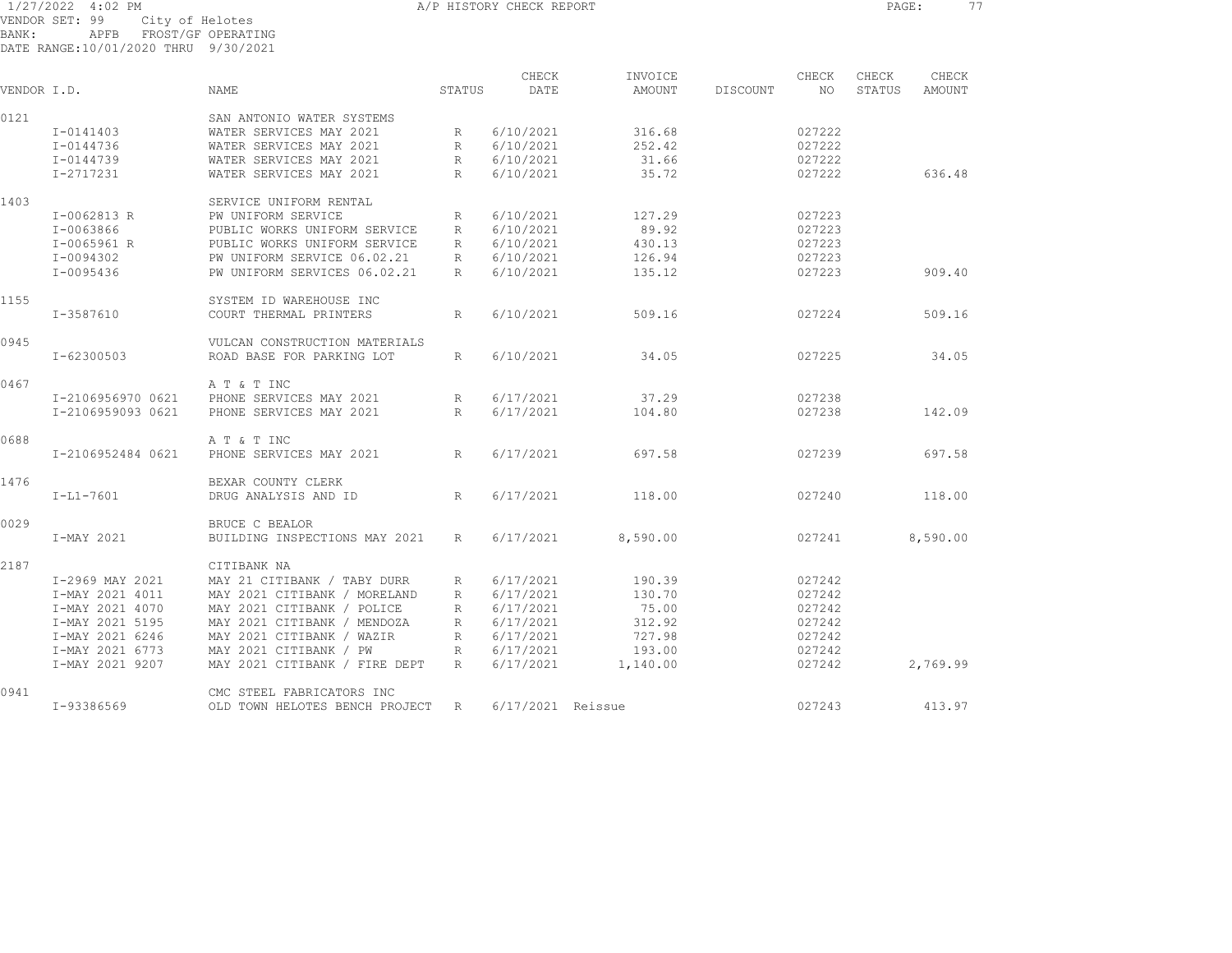1/27/2022 4:02 PM A/P HISTORY CHECK REPORT PAGE: 77 VENDOR SET: 99 City of Helotes BANK: APFB FROST/GF OPERATING

DATE RANGE:10/01/2020 THRU 9/30/2021

|             |                   |                                |                 | CHECK             | INVOICE  |          | CHECK  | CHECK  | CHECK    |
|-------------|-------------------|--------------------------------|-----------------|-------------------|----------|----------|--------|--------|----------|
| VENDOR I.D. |                   | <b>NAME</b>                    | STATUS          | DATE              | AMOUNT   | DISCOUNT | NO     | STATUS | AMOUNT   |
| 0121        |                   | SAN ANTONIO WATER SYSTEMS      |                 |                   |          |          |        |        |          |
|             | I-0141403         | WATER SERVICES MAY 2021        | R               | 6/10/2021         | 316.68   |          | 027222 |        |          |
|             | I-0144736         | WATER SERVICES MAY 2021        | $R_{\parallel}$ | 6/10/2021         | 252.42   |          | 027222 |        |          |
|             | I-0144739         | WATER SERVICES MAY 2021        | $R_{\parallel}$ | 6/10/2021         | 31.66    |          | 027222 |        |          |
|             | I-2717231         | WATER SERVICES MAY 2021        | $R_{\parallel}$ | 6/10/2021         | 35.72    |          | 027222 |        | 636.48   |
| 1403        |                   | SERVICE UNIFORM RENTAL         |                 |                   |          |          |        |        |          |
|             | I-0062813 R       | PW UNIFORM SERVICE             | R               | 6/10/2021         | 127.29   |          | 027223 |        |          |
|             | I-0063866         | PUBLIC WORKS UNIFORM SERVICE   | R               | 6/10/2021         | 89.92    |          | 027223 |        |          |
|             | I-0065961 R       | PUBLIC WORKS UNIFORM SERVICE   | R               | 6/10/2021         | 430.13   |          | 027223 |        |          |
|             | I-0094302         | PW UNIFORM SERVICE 06.02.21    | $R_{\parallel}$ | 6/10/2021         | 126.94   |          | 027223 |        |          |
|             | I-0095436         | PW UNIFORM SERVICES 06.02.21   | R               | 6/10/2021         | 135.12   |          | 027223 |        | 909.40   |
| 1155        |                   | SYSTEM ID WAREHOUSE INC        |                 |                   |          |          |        |        |          |
|             | I-3587610         | COURT THERMAL PRINTERS         | R               | 6/10/2021         | 509.16   |          | 027224 |        | 509.16   |
| 0945        |                   | VULCAN CONSTRUCTION MATERIALS  |                 |                   |          |          |        |        |          |
|             | I-62300503        | ROAD BASE FOR PARKING LOT      | R               | 6/10/2021         | 34.05    |          | 027225 |        | 34.05    |
| 0467        |                   | A T & T INC                    |                 |                   |          |          |        |        |          |
|             | I-2106956970 0621 | PHONE SERVICES MAY 2021        | $R_{\parallel}$ | 6/17/2021         | 37.29    |          | 027238 |        |          |
|             | I-2106959093 0621 | PHONE SERVICES MAY 2021        | R               | 6/17/2021         | 104.80   |          | 027238 |        | 142.09   |
| 0688        |                   | A T & T INC                    |                 |                   |          |          |        |        |          |
|             | I-2106952484 0621 | PHONE SERVICES MAY 2021        | R               | 6/17/2021         | 697.58   |          | 027239 |        | 697.58   |
| 1476        |                   | BEXAR COUNTY CLERK             |                 |                   |          |          |        |        |          |
|             | $I-L1-7601$       | DRUG ANALYSIS AND ID           | R               | 6/17/2021         | 118.00   |          | 027240 |        | 118.00   |
| 0029        |                   | BRUCE C BEALOR                 |                 |                   |          |          |        |        |          |
|             | I-MAY 2021        | BUILDING INSPECTIONS MAY 2021  | R               | 6/17/2021         | 8,590.00 |          | 027241 |        | 8,590.00 |
| 2187        |                   | CITIBANK NA                    |                 |                   |          |          |        |        |          |
|             | I-2969 MAY 2021   | MAY 21 CITIBANK / TABY DURR    | $R_{\parallel}$ | 6/17/2021         | 190.39   |          | 027242 |        |          |
|             | I-MAY 2021 4011   | MAY 2021 CITIBANK / MORELAND   | $R_{\parallel}$ | 6/17/2021         | 130.70   |          | 027242 |        |          |
|             | I-MAY 2021 4070   | MAY 2021 CITIBANK / POLICE     | R               | 6/17/2021         | 75.00    |          | 027242 |        |          |
|             | I-MAY 2021 5195   | MAY 2021 CITIBANK / MENDOZA    | R               | 6/17/2021         | 312.92   |          | 027242 |        |          |
|             | I-MAY 2021 6246   | MAY 2021 CITIBANK / WAZIR      | R               | 6/17/2021         | 727.98   |          | 027242 |        |          |
|             | I-MAY 2021 6773   | MAY 2021 CITIBANK / PW         | R               | 6/17/2021         | 193.00   |          | 027242 |        |          |
|             | I-MAY 2021 9207   | MAY 2021 CITIBANK / FIRE DEPT  | R               | 6/17/2021         | 1,140.00 |          | 027242 |        | 2,769.99 |
| 0941        |                   | CMC STEEL FABRICATORS INC      |                 |                   |          |          |        |        |          |
|             | I-93386569        | OLD TOWN HELOTES BENCH PROJECT | R               | 6/17/2021 Reissue |          |          | 027243 |        | 413.97   |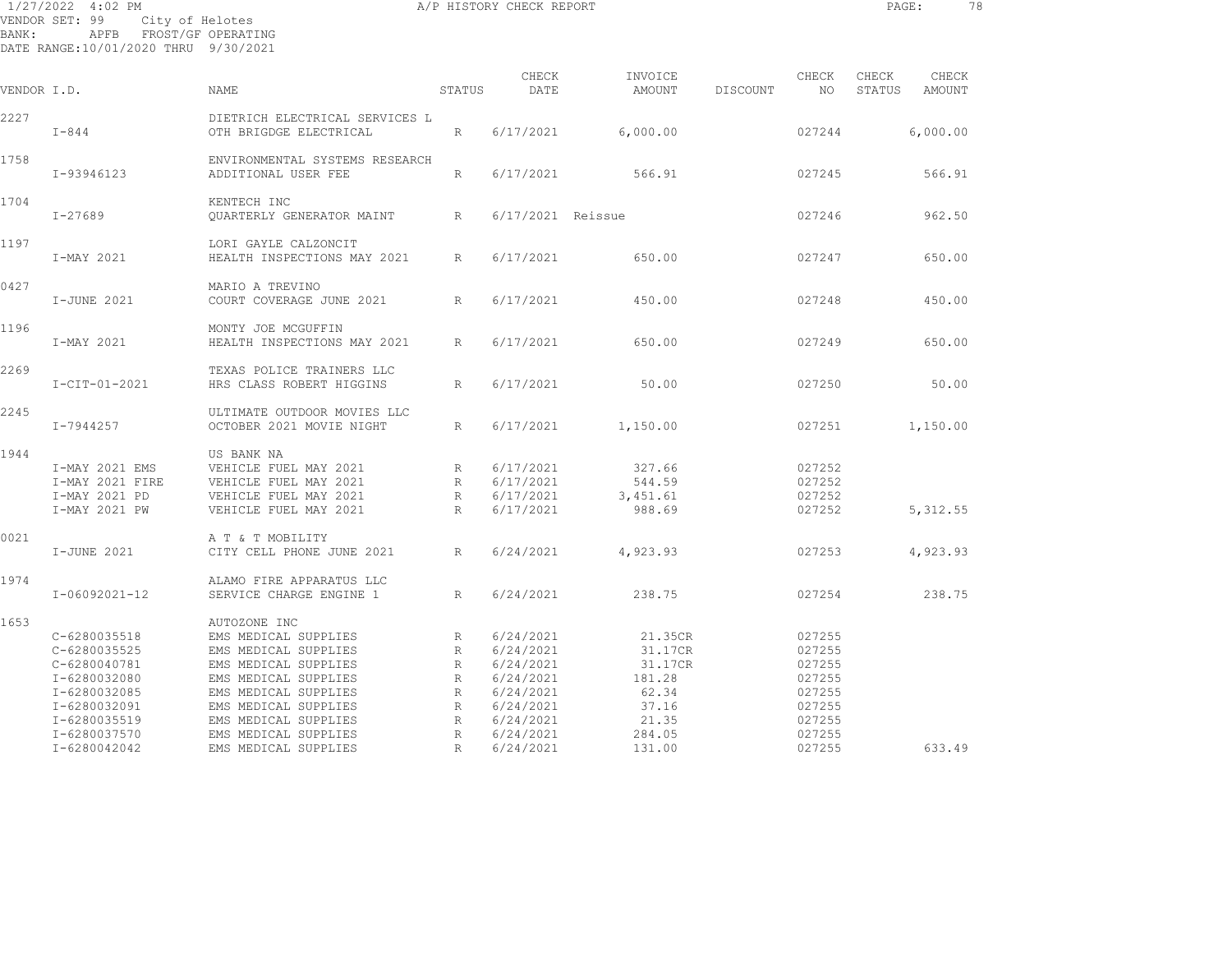1/27/2022 4:02 PM A/P HISTORY CHECK REPORT PAGE: 78 VENDOR SET: 99 City of Helotes BANK: APFB FROST/GF OPERATING DATE RANGE:10/01/2020 THRU 9/30/2021

| VENDOR I.D. |                                                                                                                              | NAME                                                                                                                                                                                                         | STATUS                                                    | CHECK<br>DATE                                                                                        | INVOICE<br>AMOUNT                                                            | DISCOUNT | CHECK<br>NO                                                                  | CHECK<br>STATUS | CHECK<br>AMOUNT |  |
|-------------|------------------------------------------------------------------------------------------------------------------------------|--------------------------------------------------------------------------------------------------------------------------------------------------------------------------------------------------------------|-----------------------------------------------------------|------------------------------------------------------------------------------------------------------|------------------------------------------------------------------------------|----------|------------------------------------------------------------------------------|-----------------|-----------------|--|
| 2227        | $I - 844$                                                                                                                    | DIETRICH ELECTRICAL SERVICES L<br>OTH BRIGDGE ELECTRICAL                                                                                                                                                     | $R_{\parallel}$                                           | 6/17/2021                                                                                            | 6,000.00                                                                     |          | 027244                                                                       |                 | 6,000.00        |  |
| 1758        | I-93946123                                                                                                                   | ENVIRONMENTAL SYSTEMS RESEARCH<br>ADDITIONAL USER FEE                                                                                                                                                        | $R_{\odot}$                                               | 6/17/2021                                                                                            | 566.91                                                                       |          | 027245                                                                       |                 | 566.91          |  |
| 1704        | $I - 27689$                                                                                                                  | KENTECH INC<br>OUARTERLY GENERATOR MAINT                                                                                                                                                                     | $R_{\odot}$                                               | 6/17/2021 Reissue                                                                                    |                                                                              |          | 027246                                                                       |                 | 962.50          |  |
| 1197        | I-MAY 2021                                                                                                                   | LORI GAYLE CALZONCIT<br>HEALTH INSPECTIONS MAY 2021                                                                                                                                                          | R                                                         | 6/17/2021                                                                                            | 650.00                                                                       |          | 027247                                                                       |                 | 650.00          |  |
| 0427        | I-JUNE 2021                                                                                                                  | MARIO A TREVINO<br>COURT COVERAGE JUNE 2021                                                                                                                                                                  | R                                                         | 6/17/2021                                                                                            | 450.00                                                                       |          | 027248                                                                       |                 | 450.00          |  |
| 1196        | I-MAY 2021                                                                                                                   | MONTY JOE MCGUFFIN<br>HEALTH INSPECTIONS MAY 2021                                                                                                                                                            | $R_{\odot}$                                               | 6/17/2021                                                                                            | 650.00                                                                       |          | 027249                                                                       |                 | 650.00          |  |
| 2269        | $I-CIT-01-2021$                                                                                                              | TEXAS POLICE TRAINERS LLC<br>HRS CLASS ROBERT HIGGINS                                                                                                                                                        | $R_{\odot}$                                               | 6/17/2021                                                                                            | 50.00                                                                        |          | 027250                                                                       |                 | 50.00           |  |
| 2245        | $I - 7944257$                                                                                                                | ULTIMATE OUTDOOR MOVIES LLC<br>OCTOBER 2021 MOVIE NIGHT                                                                                                                                                      | $R_{\parallel}$                                           | 6/17/2021                                                                                            | 1,150.00                                                                     |          | 027251                                                                       |                 | 1,150.00        |  |
| 1944        | I-MAY 2021 EMS<br>I-MAY 2021 FIRE<br>I-MAY 2021 PD<br>I-MAY 2021 PW                                                          | US BANK NA<br>VEHICLE FUEL MAY 2021<br>VEHICLE FUEL MAY 2021<br>VEHICLE FUEL MAY 2021<br>VEHICLE FUEL MAY 2021                                                                                               | R<br>R<br>R<br>R                                          | 6/17/2021<br>6/17/2021<br>6/17/2021<br>6/17/2021                                                     | 327.66<br>544.59<br>3,451.61<br>988.69                                       |          | 027252<br>027252<br>027252<br>027252                                         |                 | 5, 312.55       |  |
| 0021        | I-JUNE 2021                                                                                                                  | A T & T MOBILITY<br>CITY CELL PHONE JUNE 2021                                                                                                                                                                | R                                                         | 6/24/2021                                                                                            | 4,923.93                                                                     |          | 027253                                                                       |                 | 4,923.93        |  |
| 1974        | I-06092021-12                                                                                                                | ALAMO FIRE APPARATUS LLC<br>SERVICE CHARGE ENGINE 1                                                                                                                                                          | $R_{\odot}$                                               | 6/24/2021                                                                                            | 238.75                                                                       |          | 027254                                                                       |                 | 238.75          |  |
| 1653        | C-6280035518<br>C-6280035525<br>C-6280040781<br>I-6280032080<br>I-6280032085<br>I-6280032091<br>I-6280035519<br>I-6280037570 | AUTOZONE INC<br>EMS MEDICAL SUPPLIES<br>EMS MEDICAL SUPPLIES<br>EMS MEDICAL SUPPLIES<br>EMS MEDICAL SUPPLIES<br>EMS MEDICAL SUPPLIES<br>EMS MEDICAL SUPPLIES<br>EMS MEDICAL SUPPLIES<br>EMS MEDICAL SUPPLIES | R<br>R<br>$\mathbb{R}$<br>R<br>R<br>R<br>$R_{\odot}$<br>R | 6/24/2021<br>6/24/2021<br>6/24/2021<br>6/24/2021<br>6/24/2021<br>6/24/2021<br>6/24/2021<br>6/24/2021 | 21.35CR<br>31.17CR<br>31.17CR<br>181.28<br>62.34<br>37.16<br>21.35<br>284.05 |          | 027255<br>027255<br>027255<br>027255<br>027255<br>027255<br>027255<br>027255 |                 |                 |  |
|             | I-6280042042                                                                                                                 | EMS MEDICAL SUPPLIES                                                                                                                                                                                         | R                                                         | 6/24/2021                                                                                            | 131.00                                                                       |          | 027255                                                                       |                 | 633.49          |  |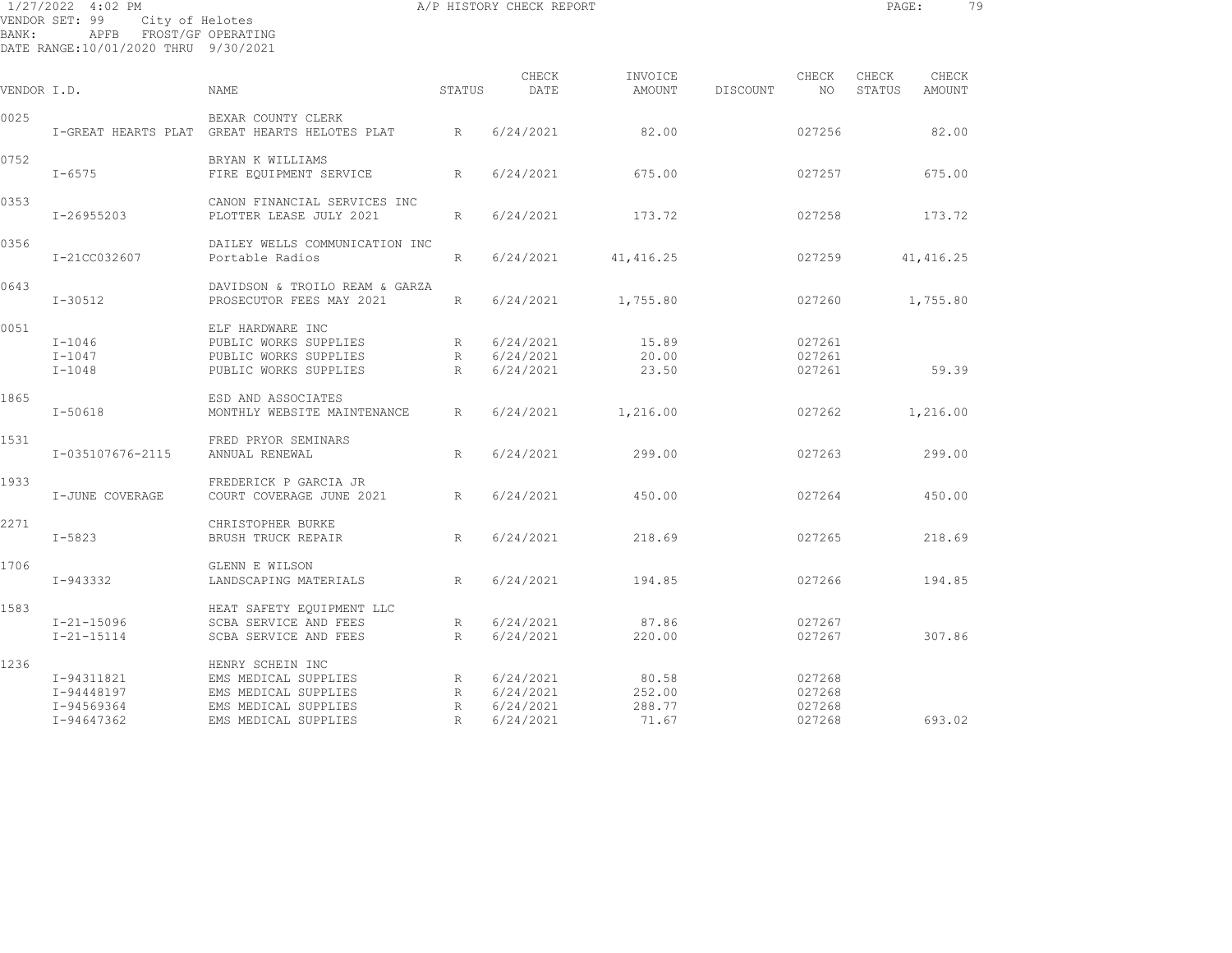| BANK:       | 1/27/2022 4:02 PM<br>VENDOR SET: 99 City of Helotes<br>APFB FROST/GF OPERATING<br>DATE RANGE:10/01/2020 THRU 9/30/2021 |                                                                                             |        | A/P HISTORY CHECK REPORT              |                         |          |                            | PAGE:           |                 | 79 |
|-------------|------------------------------------------------------------------------------------------------------------------------|---------------------------------------------------------------------------------------------|--------|---------------------------------------|-------------------------|----------|----------------------------|-----------------|-----------------|----|
| VENDOR I.D. |                                                                                                                        | NAME                                                                                        | STATUS | CHECK<br>DATE                         | INVOICE<br>AMOUNT       | DISCOUNT | CHECK<br>NO                | CHECK<br>STATUS | CHECK<br>AMOUNT |    |
| 0025        |                                                                                                                        | BEXAR COUNTY CLERK<br>I-GREAT HEARTS PLAT GREAT HEARTS HELOTES PLAT                         | R      | 6/24/2021                             | 82.00                   |          | 027256                     |                 | 82.00           |    |
| 0752        | $I - 6575$                                                                                                             | BRYAN K WILLIAMS<br>FIRE EQUIPMENT SERVICE                                                  | R      | 6/24/2021                             | 675.00                  |          | 027257                     |                 | 675.00          |    |
| 0353        | I-26955203                                                                                                             | CANON FINANCIAL SERVICES INC<br>PLOTTER LEASE JULY 2021                                     | R      | 6/24/2021                             | 173.72                  |          | 027258                     |                 | 173.72          |    |
| 0356        | I-21CC032607                                                                                                           | DAILEY WELLS COMMUNICATION INC<br>Portable Radios                                           | R      | 6/24/2021                             | 41, 416.25              |          | 027259                     |                 | 41, 416.25      |    |
| 0643        | $I - 30512$                                                                                                            | DAVIDSON & TROILO REAM & GARZA<br>PROSECUTOR FEES MAY 2021                                  | R      | 6/24/2021                             | 1,755.80                |          | 027260                     |                 | 1,755.80        |    |
| 0051        | $I-1046$<br>$I-1047$<br>$I-1048$                                                                                       | ELF HARDWARE INC<br>PUBLIC WORKS SUPPLIES<br>PUBLIC WORKS SUPPLIES<br>PUBLIC WORKS SUPPLIES | R<br>R | 6/24/2021<br>R 6/24/2021<br>6/24/2021 | 15.89<br>20.00<br>23.50 |          | 027261<br>027261<br>027261 |                 | 59.39           |    |
| 1865        | $I - 50618$                                                                                                            | ESD AND ASSOCIATES<br>MONTHLY WEBSITE MAINTENANCE                                           | R      | 6/24/2021                             | 1,216.00                |          | 027262                     |                 | 1,216.00        |    |
| 1531        | I-035107676-2115                                                                                                       | FRED PRYOR SEMINARS<br>ANNUAL RENEWAL                                                       | R      | 6/24/2021                             | 299.00                  |          | 027263                     |                 | 299.00          |    |
| 1933        | I-JUNE COVERAGE                                                                                                        | FREDERICK P GARCIA JR<br>COURT COVERAGE JUNE 2021                                           | R      | 6/24/2021                             | 450.00                  |          | 027264                     |                 | 450.00          |    |
| 2271        | $I - 5823$                                                                                                             | CHRISTOPHER BURKE<br>BRUSH TRUCK REPAIR                                                     | R      | 6/24/2021                             | 218.69                  |          | 027265                     |                 | 218.69          |    |
| 1706        | $I-943332$                                                                                                             | GLENN E WILSON<br>LANDSCAPING MATERIALS                                                     | R      | 6/24/2021                             | 194.85                  |          | 027266                     |                 | 194.85          |    |
| 1583        | $I - 21 - 15096$<br>$I - 21 - 15114$                                                                                   | HEAT SAFETY EQUIPMENT LLC<br>SCBA SERVICE AND FEES<br>SCBA SERVICE AND FEES                 | R<br>R | 6/24/2021<br>6/24/2021                | 87.86<br>220.00         |          | 027267<br>027267           |                 | 307.86          |    |
| 1236        | I-94311821<br>I-94448197                                                                                               | HENRY SCHEIN INC<br>EMS MEDICAL SUPPLIES<br>EMS MEDICAL SUPPLIES                            | R      | 6/24/2021<br>R 6/24/2021              | 80.58<br>252.00         |          | 027268<br>027268           |                 |                 |    |

I-94569364 EMS MEDICAL SUPPLIES R 6/24/2021 288.77 027268

I-94647362 EMS MEDICAL SUPPLIES R 6/24/2021 71.67 027268 693.02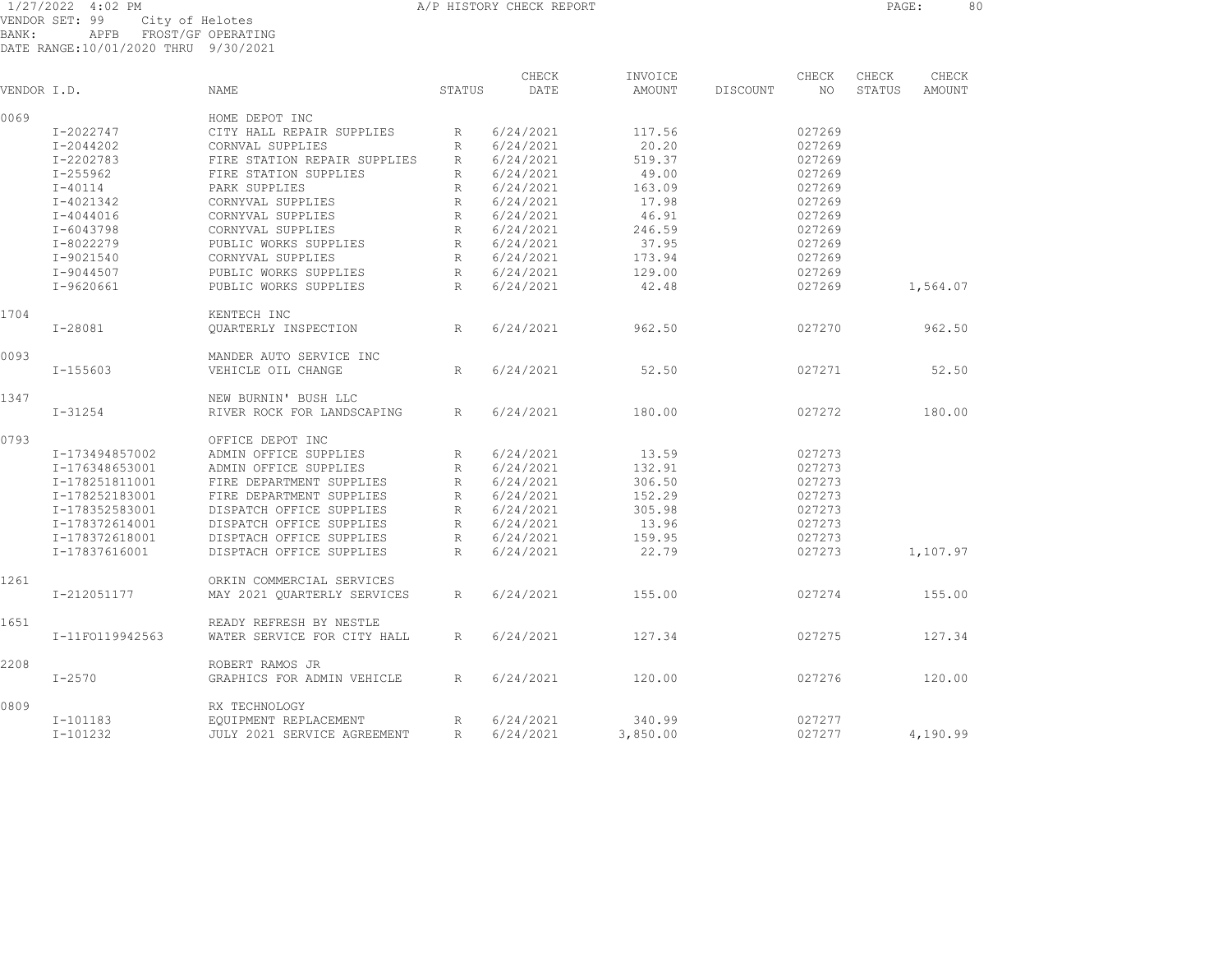VENDOR SET: 99 City of Helotes BANK: APFB FROST/GF OPERATING A/P HISTORY CHECK REPORT **PAGE:** 80

|       | VENDOR SET: 99 |                             |  | CILA OI HETOLER    |
|-------|----------------|-----------------------------|--|--------------------|
| BANK: |                | APFB                        |  | FROST/GF OPERATING |
|       |                | DATE RANGE: 10/01/2020 THRU |  | 9/30/2021          |

| VENDOR I.D. |                 | <b>NAME</b>                  | STATUS          | CHECK<br>DATE | INVOICE<br>AMOUNT | CHECK<br>DISCOUNT<br>NO | CHECK<br>STATUS | CHECK<br>AMOUNT |
|-------------|-----------------|------------------------------|-----------------|---------------|-------------------|-------------------------|-----------------|-----------------|
| 0069        |                 | HOME DEPOT INC               |                 |               |                   |                         |                 |                 |
|             | I-2022747       | CITY HALL REPAIR SUPPLIES    | R               | 6/24/2021     | 117.56            | 027269                  |                 |                 |
|             | I-2044202       | CORNVAL SUPPLIES             | $\mathbb{R}$    | 6/24/2021     | 20.20             | 027269                  |                 |                 |
|             | I-2202783       | FIRE STATION REPAIR SUPPLIES | R               | 6/24/2021     | 519.37            | 027269                  |                 |                 |
|             | I-255962        | FIRE STATION SUPPLIES        | R               | 6/24/2021     | 49.00             | 027269                  |                 |                 |
|             | $I - 40114$     | PARK SUPPLIES                | R               | 6/24/2021     | 163.09            | 027269                  |                 |                 |
|             | I-4021342       | CORNYVAL SUPPLIES            | R               | 6/24/2021     | 17.98             | 027269                  |                 |                 |
|             | $I - 4044016$   | CORNYVAL SUPPLIES            | R               | 6/24/2021     | 46.91             | 027269                  |                 |                 |
|             | I-6043798       | CORNYVAL SUPPLIES            | $\mathbb R$     | 6/24/2021     | 246.59            | 027269                  |                 |                 |
|             | I-8022279       | PUBLIC WORKS SUPPLIES        | R               | 6/24/2021     | 37.95             | 027269                  |                 |                 |
|             | I-9021540       | CORNYVAL SUPPLIES            | R               | 6/24/2021     | 173.94            | 027269                  |                 |                 |
|             |                 |                              |                 |               |                   |                         |                 |                 |
|             | I-9044507       | PUBLIC WORKS SUPPLIES        | R               | 6/24/2021     | 129.00            | 027269                  |                 |                 |
|             | $I-9620661$     | PUBLIC WORKS SUPPLIES        | R               | 6/24/2021     | 42.48             | 027269                  |                 | 1,564.07        |
| 1704        |                 | KENTECH INC                  |                 |               |                   |                         |                 |                 |
|             | $I - 28081$     | QUARTERLY INSPECTION         | R               | 6/24/2021     | 962.50            | 027270                  |                 | 962.50          |
| 0093        |                 | MANDER AUTO SERVICE INC      |                 |               |                   |                         |                 |                 |
|             | $I - 155603$    | VEHICLE OIL CHANGE           | R               | 6/24/2021     | 52.50             | 027271                  |                 | 52.50           |
| 1347        |                 | NEW BURNIN' BUSH LLC         |                 |               |                   |                         |                 |                 |
|             | $I - 31254$     | RIVER ROCK FOR LANDSCAPING   | $R_{\parallel}$ | 6/24/2021     | 180.00            | 027272                  |                 | 180.00          |
| 0793        |                 | OFFICE DEPOT INC             |                 |               |                   |                         |                 |                 |
|             | I-173494857002  | ADMIN OFFICE SUPPLIES        | R               | 6/24/2021     | 13.59             | 027273                  |                 |                 |
|             | I-176348653001  | ADMIN OFFICE SUPPLIES        | R               | 6/24/2021     | 132.91            | 027273                  |                 |                 |
|             |                 |                              |                 |               |                   | 027273                  |                 |                 |
|             | I-178251811001  | FIRE DEPARTMENT SUPPLIES     | R               | 6/24/2021     | 306.50            |                         |                 |                 |
|             | I-178252183001  | FIRE DEPARTMENT SUPPLIES     | $\mathbb{R}$    | 6/24/2021     | 152.29            | 027273                  |                 |                 |
|             | I-178352583001  | DISPATCH OFFICE SUPPLIES     | R               | 6/24/2021     | 305.98            | 027273                  |                 |                 |
|             | I-178372614001  | DISPATCH OFFICE SUPPLIES     | R               | 6/24/2021     | 13.96             | 027273                  |                 |                 |
|             | I-178372618001  | DISPTACH OFFICE SUPPLIES     | $R_{\rm}$       | 6/24/2021     | 159.95            | 027273                  |                 |                 |
|             | I-17837616001   | DISPTACH OFFICE SUPPLIES     | $\mathbb{R}$    | 6/24/2021     | 22.79             | 027273                  |                 | 1,107.97        |
| 1261        |                 | ORKIN COMMERCIAL SERVICES    |                 |               |                   |                         |                 |                 |
|             | I-212051177     | MAY 2021 QUARTERLY SERVICES  | R               | 6/24/2021     | 155.00            | 027274                  |                 | 155.00          |
| 1651        |                 | READY REFRESH BY NESTLE      |                 |               |                   |                         |                 |                 |
|             | I-11F0119942563 | WATER SERVICE FOR CITY HALL  | $R_{\parallel}$ | 6/24/2021     | 127.34            | 027275                  |                 | 127.34          |
| 2208        |                 | ROBERT RAMOS JR              |                 |               |                   |                         |                 |                 |
|             | $I - 2570$      | GRAPHICS FOR ADMIN VEHICLE   | R               | 6/24/2021     | 120.00            | 027276                  |                 | 120.00          |
| 0809        |                 | RX TECHNOLOGY                |                 |               |                   |                         |                 |                 |
|             | I-101183        | EOUIPMENT REPLACEMENT        | R               | 6/24/2021     | 340.99            | 027277                  |                 |                 |
|             | $I-101232$      | JULY 2021 SERVICE AGREEMENT  | R               | 6/24/2021     | 3,850.00          | 027277                  |                 | 4,190.99        |
|             |                 |                              |                 |               |                   |                         |                 |                 |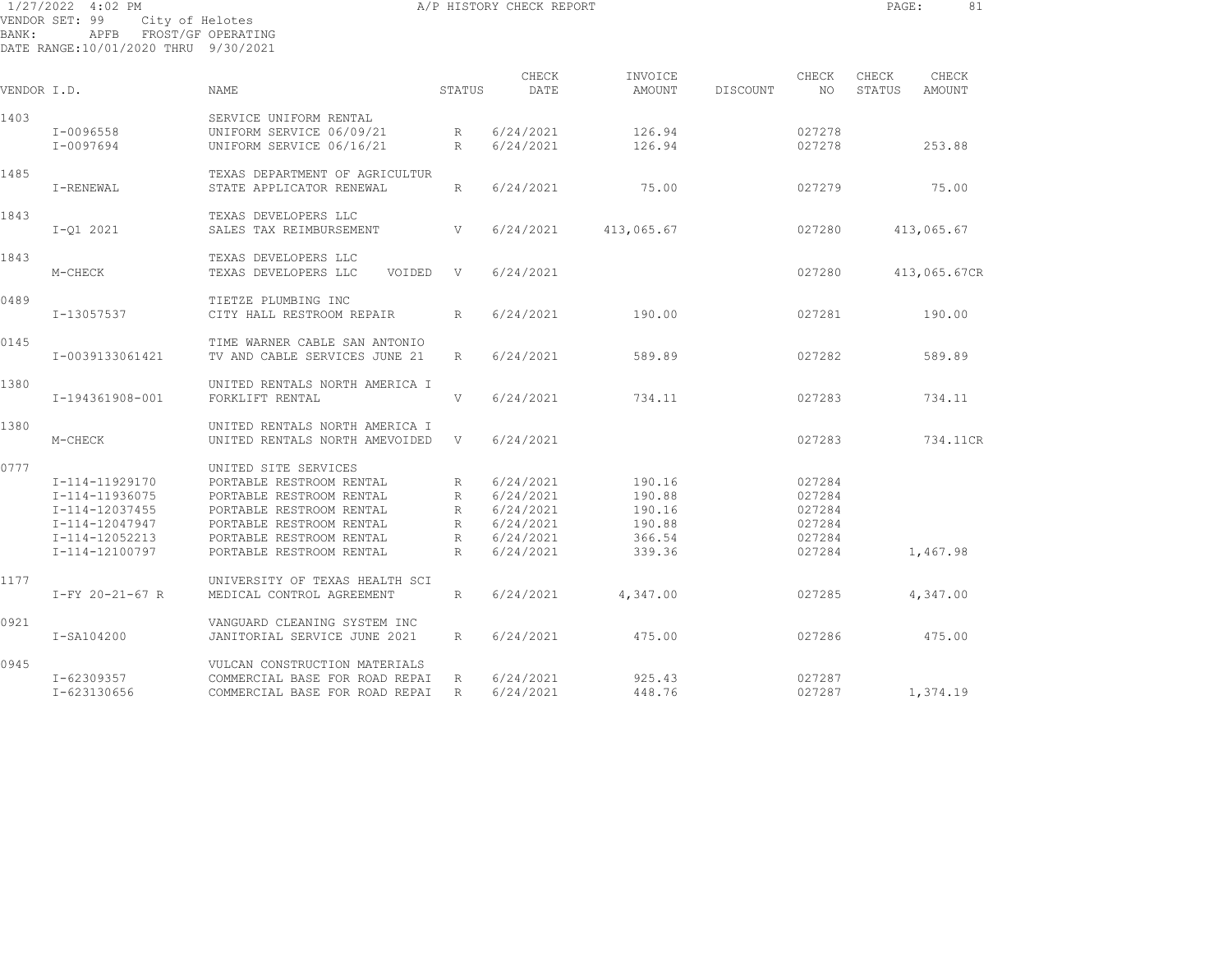| BANK:       | 1/27/2022 4:02 PM<br>VENDOR SET: 99<br>APFB FROST/GF OPERATING<br>DATE RANGE:10/01/2020 THRU 9/30/2021 | City of Helotes                |                 | A/P HISTORY CHECK REPORT |                   |          |              | PAGE:           | 81              |
|-------------|--------------------------------------------------------------------------------------------------------|--------------------------------|-----------------|--------------------------|-------------------|----------|--------------|-----------------|-----------------|
| VENDOR I.D. |                                                                                                        | <b>NAME</b>                    | STATUS          | CHECK<br>DATE            | INVOICE<br>AMOUNT | DISCOUNT | CHECK<br>NO. | CHECK<br>STATUS | CHECK<br>AMOUNT |
| 1403        |                                                                                                        | SERVICE UNIFORM RENTAL         |                 |                          |                   |          |              |                 |                 |
|             | I-0096558                                                                                              | UNIFORM SERVICE 06/09/21       | R               | 6/24/2021                | 126.94            |          | 027278       |                 |                 |
|             | I-0097694                                                                                              | UNIFORM SERVICE 06/16/21       | $R_{\parallel}$ | 6/24/2021                | 126.94            |          | 027278       |                 | 253.88          |
|             |                                                                                                        |                                |                 |                          |                   |          |              |                 |                 |
| 1485        |                                                                                                        | TEXAS DEPARTMENT OF AGRICULTUR |                 |                          |                   |          |              |                 |                 |
|             | I-RENEWAL                                                                                              | STATE APPLICATOR RENEWAL       | R               | 6/24/2021                | 75.00             |          | 027279       |                 | 75.00           |
| 1843        |                                                                                                        | TEXAS DEVELOPERS LLC           |                 |                          |                   |          |              |                 |                 |
|             | $I-Q1 2021$                                                                                            | SALES TAX REIMBURSEMENT        | V               | 6/24/2021                | 413,065.67        |          | 027280       |                 | 413,065.67      |
| 1843        |                                                                                                        | TEXAS DEVELOPERS LLC           |                 |                          |                   |          |              |                 |                 |
|             | M-CHECK                                                                                                | TEXAS DEVELOPERS LLC<br>VOIDED | V               | 6/24/2021                |                   |          | 027280       |                 | 413,065.67CR    |
| 0489        |                                                                                                        | TIETZE PLUMBING INC            |                 |                          |                   |          |              |                 |                 |
|             | I-13057537                                                                                             | CITY HALL RESTROOM REPAIR      | R               | 6/24/2021                | 190.00            |          | 027281       |                 | 190.00          |
| 0145        |                                                                                                        | TIME WARNER CABLE SAN ANTONIO  |                 |                          |                   |          |              |                 |                 |
|             | I-0039133061421                                                                                        | TV AND CABLE SERVICES JUNE 21  | $R_{\parallel}$ | 6/24/2021                | 589.89            |          | 027282       |                 | 589.89          |
| 1380        |                                                                                                        | UNITED RENTALS NORTH AMERICA I |                 |                          |                   |          |              |                 |                 |
|             | I-194361908-001                                                                                        | FORKLIFT RENTAL                | V               | 6/24/2021                | 734.11            |          | 027283       |                 | 734.11          |
| 1380        |                                                                                                        | UNITED RENTALS NORTH AMERICA I |                 |                          |                   |          |              |                 |                 |
|             | M-CHECK                                                                                                | UNITED RENTALS NORTH AMEVOIDED | V               | 6/24/2021                |                   |          | 027283       |                 | 734.11CR        |
| 0777        |                                                                                                        | UNITED SITE SERVICES           |                 |                          |                   |          |              |                 |                 |
|             | I-114-11929170                                                                                         | PORTABLE RESTROOM RENTAL       | R               | 6/24/2021                | 190.16            |          | 027284       |                 |                 |
|             | I-114-11936075                                                                                         | PORTABLE RESTROOM RENTAL       | R               | 6/24/2021                | 190.88            |          | 027284       |                 |                 |
|             | I-114-12037455                                                                                         | PORTABLE RESTROOM RENTAL       | R               | 6/24/2021                | 190.16            |          | 027284       |                 |                 |
|             | I-114-12047947                                                                                         | PORTABLE RESTROOM RENTAL       | R               | 6/24/2021                | 190.88            |          | 027284       |                 |                 |
|             | I-114-12052213                                                                                         | PORTABLE RESTROOM RENTAL       | R               | 6/24/2021                | 366.54            |          | 027284       |                 |                 |
|             | I-114-12100797                                                                                         | PORTABLE RESTROOM RENTAL       | $R_{\parallel}$ | 6/24/2021                | 339.36            |          | 027284       |                 | 1,467.98        |
| 1177        |                                                                                                        | UNIVERSITY OF TEXAS HEALTH SCI |                 |                          |                   |          |              |                 |                 |
|             | $I-FY 20-21-67 R$                                                                                      | MEDICAL CONTROL AGREEMENT      | $R_{\parallel}$ | 6/24/2021                | 4,347.00          |          | 027285       |                 | 4,347.00        |
| 0921        |                                                                                                        | VANGUARD CLEANING SYSTEM INC   |                 |                          |                   |          |              |                 |                 |
|             | I-SA104200                                                                                             | JANITORIAL SERVICE JUNE 2021   | R               | 6/24/2021                | 475.00            |          | 027286       |                 | 475.00          |
| 0945        |                                                                                                        | VULCAN CONSTRUCTION MATERIALS  |                 |                          |                   |          |              |                 |                 |
|             | I-62309357                                                                                             | COMMERCIAL BASE FOR ROAD REPAI | R               | 6/24/2021                | 925.43            |          | 027287       |                 |                 |

I-623130656 COMMERCIAL BASE FOR ROAD REPAI R 6/24/2021 448.76 027287 1,374.19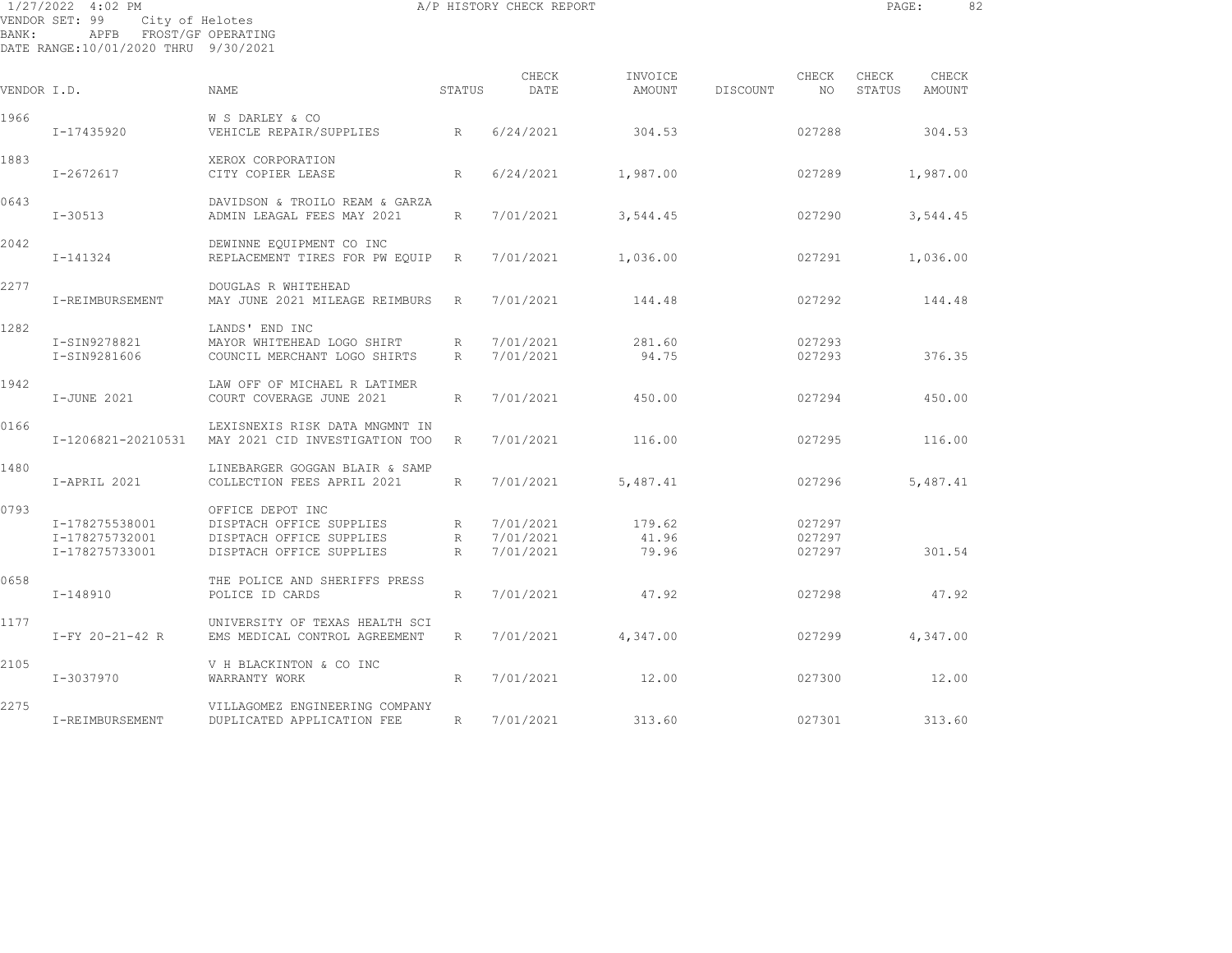| 1/27/2022 4:02 PM                    |      |                    |  |
|--------------------------------------|------|--------------------|--|
| VENDOR SET: 99                       |      | City of Helotes    |  |
| BANK:                                | APFB | FROST/GF OPERATING |  |
| DATE RANGE:10/01/2020 THRU 9/30/2021 |      |                    |  |

| VENDOR I.D. |                                                    | <b>NAME</b>                                                                                          | STATUS               | CHECK<br>DATE                       | INVOICE<br>AMOUNT        | DISCOUNT | CHECK<br>NO                | CHECK<br>STATUS | CHECK<br>AMOUNT |  |
|-------------|----------------------------------------------------|------------------------------------------------------------------------------------------------------|----------------------|-------------------------------------|--------------------------|----------|----------------------------|-----------------|-----------------|--|
| 1966        | I-17435920                                         | W S DARLEY & CO<br>VEHICLE REPAIR/SUPPLIES<br>R                                                      |                      | 6/24/2021                           | 304.53                   |          | 027288                     |                 | 304.53          |  |
| 1883        | $I - 2672617$                                      | XEROX CORPORATION<br>CITY COPIER LEASE                                                               | R                    | 6/24/2021                           | 1,987.00                 |          | 027289                     |                 | 1,987.00        |  |
| 0643        | $I - 30513$                                        | DAVIDSON & TROILO REAM & GARZA<br>ADMIN LEAGAL FEES MAY 2021                                         | R                    | 7/01/2021                           | 3,544.45                 |          | 027290                     |                 | 3,544.45        |  |
| 2042        | I-141324                                           | DEWINNE EQUIPMENT CO INC<br>REPLACEMENT TIRES FOR PW EQUIP                                           | R                    | 7/01/2021                           | 1,036.00                 |          | 027291                     |                 | 1,036.00        |  |
| 2277        | I-REIMBURSEMENT                                    | DOUGLAS R WHITEHEAD<br>MAY JUNE 2021 MILEAGE REIMBURS                                                | R                    | 7/01/2021                           | 144.48                   |          | 027292                     |                 | 144.48          |  |
| 1282        | I-SIN9278821<br>I-SIN9281606                       | LANDS' END INC<br>MAYOR WHITEHEAD LOGO SHIRT<br>COUNCIL MERCHANT LOGO SHIRTS                         | $R_{\parallel}$<br>R | 7/01/2021<br>7/01/2021              | 281.60<br>94.75          |          | 027293<br>027293           |                 | 376.35          |  |
| 1942        | I-JUNE 2021                                        | LAW OFF OF MICHAEL R LATIMER<br>COURT COVERAGE JUNE 2021                                             | R                    | 7/01/2021                           | 450.00                   |          | 027294                     |                 | 450.00          |  |
| 0166        | I-1206821-20210531                                 | LEXISNEXIS RISK DATA MNGMNT IN<br>MAY 2021 CID INVESTIGATION TOO                                     | R                    | 7/01/2021                           | 116.00                   |          | 027295                     |                 | 116.00          |  |
| 1480        | I-APRIL 2021                                       | LINEBARGER GOGGAN BLAIR & SAMP<br>COLLECTION FEES APRIL 2021                                         | R                    | 7/01/2021                           | 5,487.41                 |          | 027296                     |                 | 5,487.41        |  |
| 0793        | I-178275538001<br>I-178275732001<br>I-178275733001 | OFFICE DEPOT INC<br>DISPTACH OFFICE SUPPLIES<br>DISPTACH OFFICE SUPPLIES<br>DISPTACH OFFICE SUPPLIES | R<br>R<br>R          | 7/01/2021<br>7/01/2021<br>7/01/2021 | 179.62<br>41.96<br>79.96 |          | 027297<br>027297<br>027297 |                 | 301.54          |  |
| 0658        | I-148910                                           | THE POLICE AND SHERIFFS PRESS<br>POLICE ID CARDS                                                     | R                    | 7/01/2021                           | 47.92                    |          | 027298                     |                 | 47.92           |  |
| 1177        | $I-FY 20-21-42 R$                                  | UNIVERSITY OF TEXAS HEALTH SCI<br>EMS MEDICAL CONTROL AGREEMENT                                      | R                    | 7/01/2021                           | 4,347.00                 |          | 027299                     |                 | 4,347.00        |  |
| 2105        | I-3037970                                          | V H BLACKINTON & CO INC<br>WARRANTY WORK                                                             | R                    | 7/01/2021                           | 12.00                    |          | 027300                     |                 | 12.00           |  |
| 2275        | I-REIMBURSEMENT                                    | VILLAGOMEZ ENGINEERING COMPANY<br>DUPLICATED APPLICATION FEE                                         | R                    | 7/01/2021                           | 313.60                   |          | 027301                     |                 | 313.60          |  |

A/P HISTORY CHECK REPORT **PAGE:** 82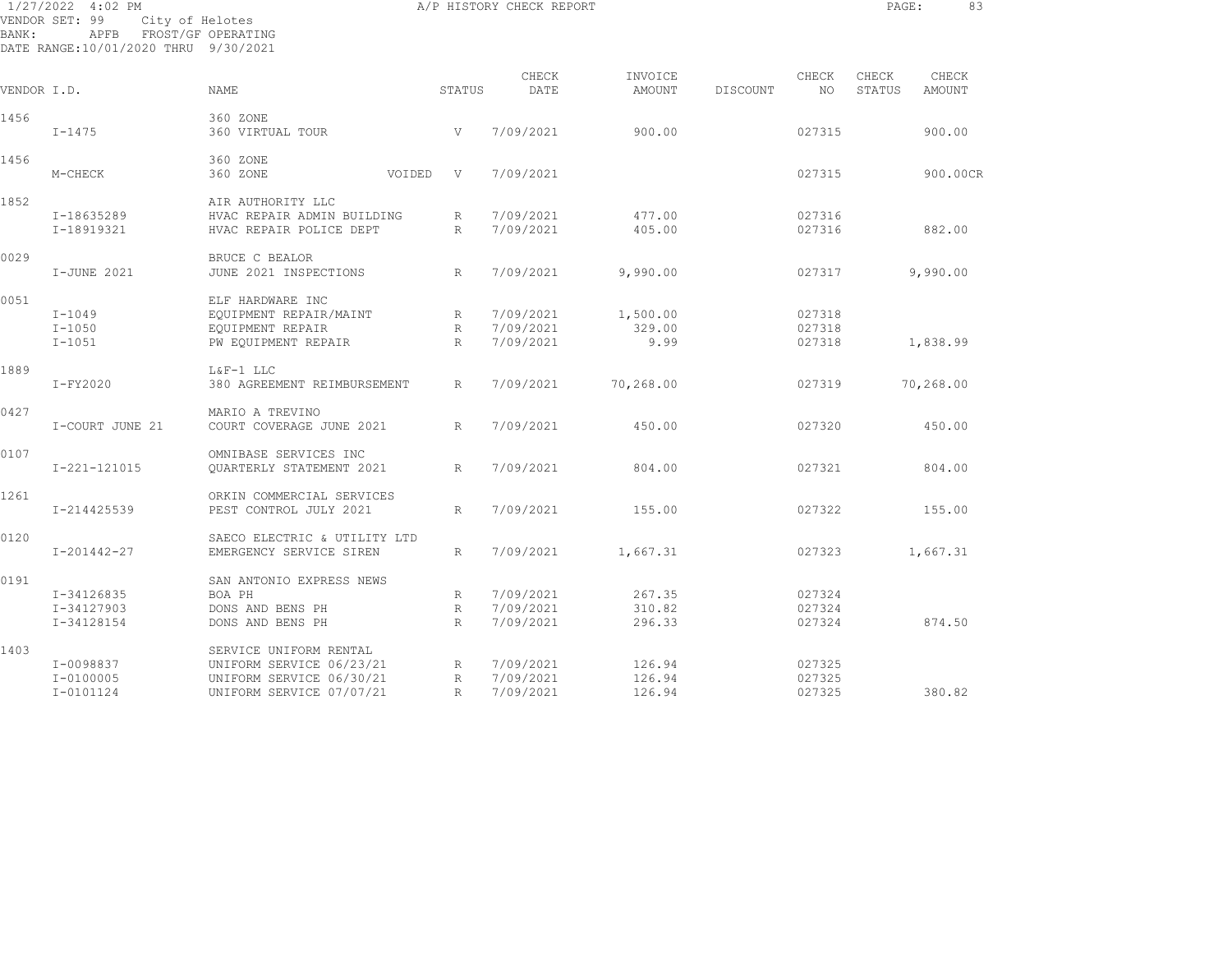| BANK:       | 1/27/2022 4:02 PM<br>VENDOR SET: 99<br>APFB FROST/GF OPERATING<br>DATE RANGE:10/01/2020 THRU 9/30/2021 | City of Helotes                      |                           | A/P HISTORY CHECK REPORT |                   |          |                  | PAGE:           | 83                     |
|-------------|--------------------------------------------------------------------------------------------------------|--------------------------------------|---------------------------|--------------------------|-------------------|----------|------------------|-----------------|------------------------|
| VENDOR I.D. |                                                                                                        | <b>NAME</b>                          | STATUS                    | CHECK<br>DATE            | INVOICE<br>AMOUNT | DISCOUNT | CHECK<br>NO.     | CHECK<br>STATUS | CHECK<br><b>AMOUNT</b> |
|             |                                                                                                        |                                      |                           |                          |                   |          |                  |                 |                        |
| 1456        | $I - 1475$                                                                                             | 360 ZONE<br>360 VIRTUAL TOUR         | V                         | 7/09/2021                | 900.00            |          | 027315           |                 | 900.00                 |
| 1456        |                                                                                                        | 360 ZONE                             |                           |                          |                   |          |                  |                 |                        |
|             | M-CHECK                                                                                                | 360 ZONE<br>VOIDED                   | V                         | 7/09/2021                |                   |          | 027315           |                 | 900.00CR               |
| 1852        |                                                                                                        | AIR AUTHORITY LLC                    |                           |                          |                   |          |                  |                 |                        |
|             | I-18635289                                                                                             | HVAC REPAIR ADMIN BUILDING           | R                         | 7/09/2021                | 477.00            |          | 027316           |                 |                        |
|             | I-18919321                                                                                             | HVAC REPAIR POLICE DEPT              | $\mathbb{R}$              | 7/09/2021                | 405.00            |          | 027316           |                 | 882.00                 |
| 0029        |                                                                                                        | BRUCE C BEALOR                       |                           |                          |                   |          |                  |                 |                        |
|             | I-JUNE 2021                                                                                            | JUNE 2021 INSPECTIONS                | R                         | 7/09/2021                | 9,990.00          |          | 027317           |                 | 9,990.00               |
| 0051        |                                                                                                        | ELF HARDWARE INC                     |                           |                          |                   |          |                  |                 |                        |
|             | $I-1049$                                                                                               | EQUIPMENT REPAIR/MAINT               |                           | 7/09/2021                | 1,500.00          |          | 027318           |                 |                        |
|             | $I-1050$                                                                                               | EQUIPMENT REPAIR                     | R                         | 7/09/2021                | 329.00            |          | 027318           |                 |                        |
|             | $I - 1051$                                                                                             |                                      | R<br>R                    | 7/09/2021                | 9.99              |          | 027318           |                 |                        |
|             |                                                                                                        | PW EQUIPMENT REPAIR                  |                           |                          |                   |          |                  |                 | 1,838.99               |
| 1889        |                                                                                                        | L&F-1 LLC                            |                           |                          |                   |          |                  |                 |                        |
|             | $I-FY2020$                                                                                             | 380 AGREEMENT REIMBURSEMENT          | R                         | 7/09/2021                | 70,268.00         |          | 027319           |                 | 70,268.00              |
| 0427        |                                                                                                        | MARIO A TREVINO                      |                           |                          |                   |          |                  |                 |                        |
|             | I-COURT JUNE 21                                                                                        | COURT COVERAGE JUNE 2021             | R                         | 7/09/2021                | 450.00            |          | 027320           |                 | 450.00                 |
| 0107        |                                                                                                        | OMNIBASE SERVICES INC                |                           |                          |                   |          |                  |                 |                        |
|             | I-221-121015                                                                                           | OUARTERLY STATEMENT 2021             | $R_{\parallel}$           | 7/09/2021                | 804.00            |          | 027321           |                 | 804.00                 |
| 1261        |                                                                                                        | ORKIN COMMERCIAL SERVICES            |                           |                          |                   |          |                  |                 |                        |
|             | I-214425539                                                                                            | PEST CONTROL JULY 2021               | R                         | 7/09/2021                | 155.00            |          | 027322           |                 | 155.00                 |
| 0120        |                                                                                                        | SAECO ELECTRIC & UTILITY LTD         |                           |                          |                   |          |                  |                 |                        |
|             | $I - 201442 - 27$                                                                                      | EMERGENCY SERVICE SIREN              | R                         | 7/09/2021                | 1,667.31          |          | 027323           |                 | 1,667.31               |
| 0191        |                                                                                                        |                                      |                           |                          |                   |          |                  |                 |                        |
|             |                                                                                                        | SAN ANTONIO EXPRESS NEWS             |                           |                          |                   |          |                  |                 |                        |
|             | I-34126835                                                                                             | BOA PH                               | R                         | 7/09/2021                | 267.35            |          | 027324           |                 |                        |
|             | I-34127903<br>I-34128154                                                                               | DONS AND BENS PH<br>DONS AND BENS PH | $R_{\rm}$<br>$\mathbb{R}$ | 7/09/2021<br>7/09/2021   | 310.82<br>296.33  |          | 027324<br>027324 |                 | 874.50                 |
|             |                                                                                                        |                                      |                           |                          |                   |          |                  |                 |                        |
| 1403        |                                                                                                        | SERVICE UNIFORM RENTAL               |                           |                          |                   |          |                  |                 |                        |
|             | I-0098837                                                                                              | UNIFORM SERVICE 06/23/21             | R                         | 7/09/2021                | 126.94            |          | 027325           |                 |                        |
|             | $I - 0100005$                                                                                          | UNIFORM SERVICE 06/30/21             | $R_{\odot}$               | 7/09/2021                | 126.94            |          | 027325           |                 |                        |

I-0101124 UNIFORM SERVICE 07/07/21 R 7/09/2021 126.94 027325 380.82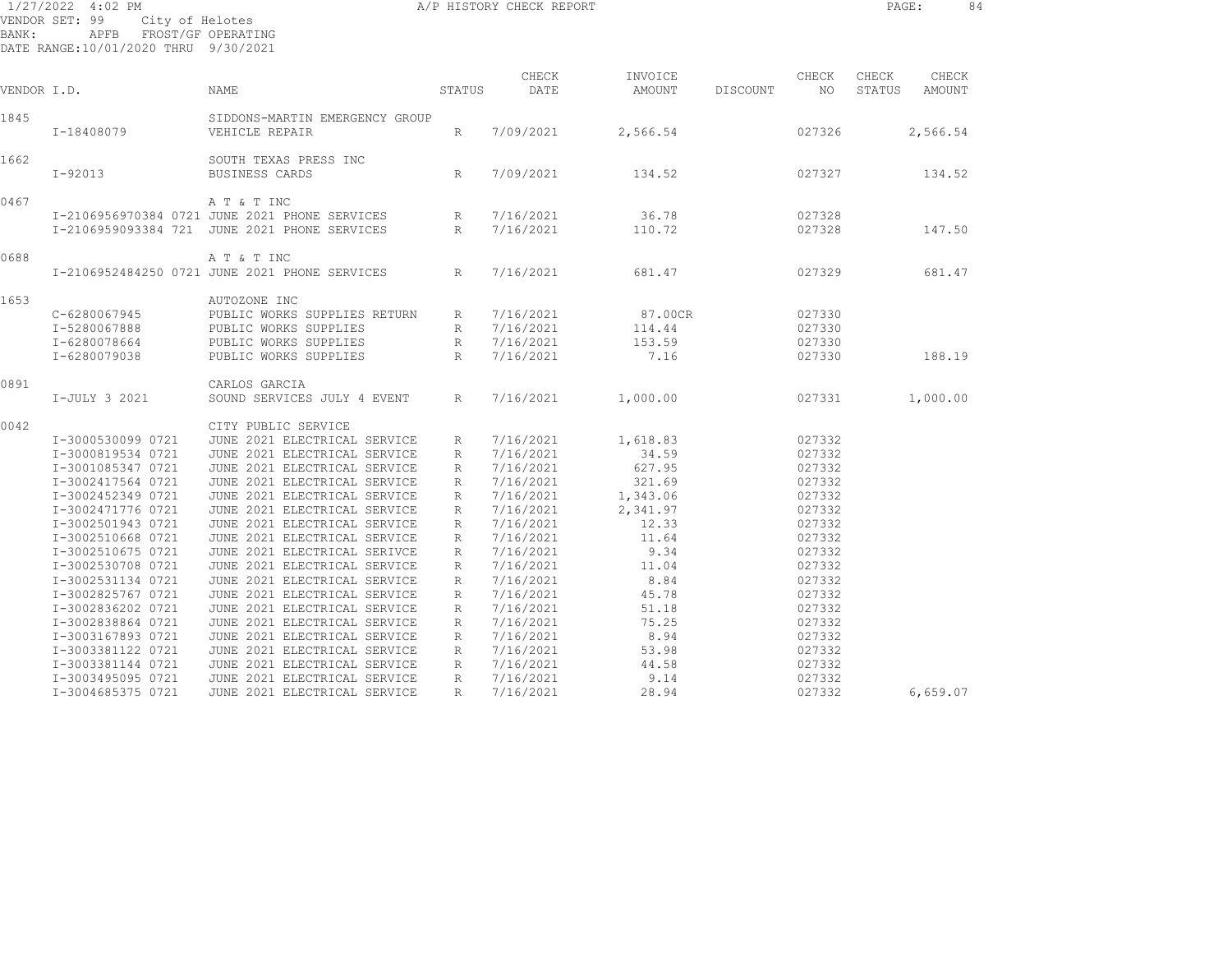|             | 1/27/2022 4:02 PM                                               |                                               |                 | A/P HISTORY CHECK REPORT |          |          |        | 84<br>PAGE:      |
|-------------|-----------------------------------------------------------------|-----------------------------------------------|-----------------|--------------------------|----------|----------|--------|------------------|
|             | VENDOR SET: 99<br>City of Helotes                               |                                               |                 |                          |          |          |        |                  |
| BANK:       | APFB FROST/GF OPERATING<br>DATE RANGE:10/01/2020 THRU 9/30/2021 |                                               |                 |                          |          |          |        |                  |
|             |                                                                 |                                               |                 | CHECK                    | INVOICE  |          | CHECK  | CHECK<br>CHECK   |
| VENDOR I.D. |                                                                 | NAME                                          | STATUS          | DATE                     | AMOUNT   | DISCOUNT | NO     | STATUS<br>AMOUNT |
| 1845        |                                                                 | SIDDONS-MARTIN EMERGENCY GROUP                |                 |                          |          |          |        |                  |
|             | I-18408079                                                      | VEHICLE REPAIR                                | $R_{\parallel}$ | 7/09/2021                | 2,566.54 |          | 027326 | 2,566.54         |
| 1662        |                                                                 | SOUTH TEXAS PRESS INC                         |                 |                          |          |          |        |                  |
|             | $I-92013$                                                       | BUSINESS CARDS                                | R               | 7/09/2021                | 134.52   |          | 027327 | 134.52           |
| 0467        |                                                                 | A T & T INC                                   |                 |                          |          |          |        |                  |
|             |                                                                 | I-2106956970384 0721 JUNE 2021 PHONE SERVICES | R               | 7/16/2021                | 36.78    |          | 027328 |                  |
|             |                                                                 | I-2106959093384 721 JUNE 2021 PHONE SERVICES  | R               | 7/16/2021                | 110.72   |          | 027328 | 147.50           |
| 0688        |                                                                 | A T & T INC                                   |                 |                          |          |          |        |                  |
|             |                                                                 | I-2106952484250 0721 JUNE 2021 PHONE SERVICES | R               | 7/16/2021                | 681.47   |          | 027329 | 681.47           |
| 1653        |                                                                 | AUTOZONE INC                                  |                 |                          |          |          |        |                  |
|             | C-6280067945                                                    | PUBLIC WORKS SUPPLIES RETURN                  | $R_{\perp}$     | 7/16/2021                | 87.00CR  |          | 027330 |                  |
|             | I-5280067888                                                    | PUBLIC WORKS SUPPLIES                         | R               | 7/16/2021                | 114.44   |          | 027330 |                  |
|             | I-6280078664                                                    | PUBLIC WORKS SUPPLIES                         |                 | R 7/16/2021              | 153.59   |          | 027330 |                  |
|             | I-6280079038                                                    | PUBLIC WORKS SUPPLIES                         | R               | 7/16/2021                | 7.16     |          | 027330 | 188.19           |
| 0891        |                                                                 | CARLOS GARCIA                                 |                 |                          |          |          |        |                  |
|             | I-JULY 3 2021                                                   | SOUND SERVICES JULY 4 EVENT                   | R               | 7/16/2021                | 1,000.00 |          | 027331 | 1,000.00         |
| 0042        |                                                                 | CITY PUBLIC SERVICE                           |                 |                          |          |          |        |                  |
|             | I-3000530099 0721                                               | JUNE 2021 ELECTRICAL SERVICE                  | R               | 7/16/2021                | 1,618.83 |          | 027332 |                  |
|             | I-3000819534 0721                                               | JUNE 2021 ELECTRICAL SERVICE                  | R               | 7/16/2021                | 34.59    |          | 027332 |                  |
|             | I-3001085347 0721                                               | JUNE 2021 ELECTRICAL SERVICE                  | R               | 7/16/2021                | 627.95   |          | 027332 |                  |
|             | I-3002417564 0721                                               | JUNE 2021 ELECTRICAL SERVICE                  | R               | 7/16/2021                | 321.69   |          | 027332 |                  |
|             | I-3002452349 0721                                               | JUNE 2021 ELECTRICAL SERVICE                  | R               | 7/16/2021                | 1,343.06 |          | 027332 |                  |
|             | I-3002471776 0721                                               | JUNE 2021 ELECTRICAL SERVICE                  | R               | 7/16/2021                | 2,341.97 |          | 027332 |                  |
|             | I-3002501943 0721                                               | JUNE 2021 ELECTRICAL SERVICE                  | $R_{\perp}$     | 7/16/2021                | 12.33    |          | 027332 |                  |
|             | I-3002510668 0721                                               | JUNE 2021 ELECTRICAL SERVICE                  | R               | 7/16/2021                | 11.64    |          | 027332 |                  |
|             | I-3002510675 0721                                               | JUNE 2021 ELECTRICAL SERIVCE                  | R               | 7/16/2021                | 9.34     |          | 027332 |                  |
|             | I-3002530708 0721                                               | JUNE 2021 ELECTRICAL SERVICE                  | R               | 7/16/2021                | 11.04    |          | 027332 |                  |
|             | I-3002531134 0721                                               | JUNE 2021 ELECTRICAL SERVICE                  | R               | 7/16/2021                | 8.84     |          | 027332 |                  |
|             | I-3002825767 0721                                               | JUNE 2021 ELECTRICAL SERVICE                  | R               | 7/16/2021                | 45.78    |          | 027332 |                  |
|             | I-3002836202 0721                                               | JUNE 2021 ELECTRICAL SERVICE                  | $R_{\parallel}$ | 7/16/2021                | 51.18    |          | 027332 |                  |
|             | I-3002838864 0721                                               | JUNE 2021 ELECTRICAL SERVICE                  | R               | 7/16/2021                | 75.25    |          | 027332 |                  |
|             | I-3003167893 0721                                               | JUNE 2021 ELECTRICAL SERVICE                  | R               | 7/16/2021                | 8.94     |          | 027332 |                  |
|             | I-3003381122 0721                                               | JUNE 2021 ELECTRICAL SERVICE                  | $R_{\parallel}$ | 7/16/2021                | 53.98    |          | 027332 |                  |
|             | I-3003381144 0721                                               | JUNE 2021 ELECTRICAL SERVICE                  | R               | 7/16/2021                | 44.58    |          | 027332 |                  |

I-3004685375 0721 JUNE 2021 ELECTRICAL SERVICE R 7/16/2021 28.94 027332 6,659.07

I-3003495095 0721 JUNE 2021 ELECTRICAL SERVICE R 7/16/2021 9.14 027332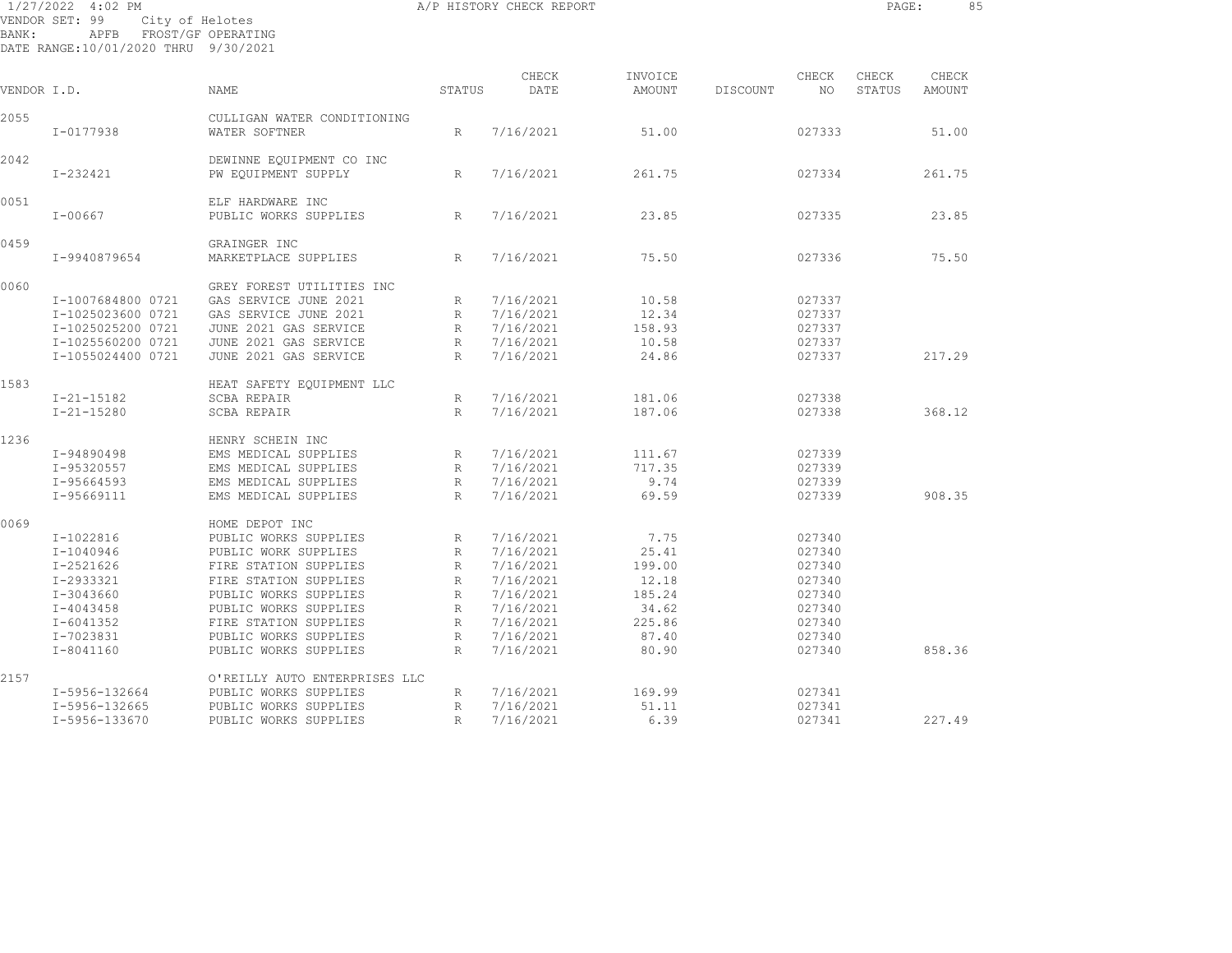|       | 1/27/2022 4:02 PM<br>City of Helotes<br>VENDOR SET: 99           |                                                 |                 | A/P HISTORY CHECK REPORT |                   |          |              | PAGE:           |                 | 85 |
|-------|------------------------------------------------------------------|-------------------------------------------------|-----------------|--------------------------|-------------------|----------|--------------|-----------------|-----------------|----|
| BANK: | APFB FROST/GF OPERATING<br>DATE RANGE: 10/01/2020 THRU 9/30/2021 |                                                 |                 |                          |                   |          |              |                 |                 |    |
|       | VENDOR I.D.                                                      | NAME                                            | STATUS          | CHECK<br>DATE            | INVOICE<br>AMOUNT | DISCOUNT | CHECK<br>NO. | CHECK<br>STATUS | CHECK<br>AMOUNT |    |
|       |                                                                  |                                                 |                 |                          |                   |          |              |                 |                 |    |
| 2055  | I-0177938                                                        | CULLIGAN WATER CONDITIONING<br>WATER SOFTNER    | R               | 7/16/2021                | 51.00             |          | 027333       |                 | 51.00           |    |
| 2042  | I-232421                                                         | DEWINNE EQUIPMENT CO INC<br>PW EQUIPMENT SUPPLY | R               | 7/16/2021                | 261.75            |          | 027334       |                 | 261.75          |    |
|       |                                                                  |                                                 |                 |                          |                   |          |              |                 |                 |    |
| 0051  | $I - 00667$                                                      | ELF HARDWARE INC<br>PUBLIC WORKS SUPPLIES       | R               | 7/16/2021                | 23.85             |          | 027335       |                 | 23.85           |    |
| 0459  |                                                                  | GRAINGER INC                                    |                 |                          |                   |          |              |                 |                 |    |
|       | I-9940879654                                                     | MARKETPLACE SUPPLIES                            | R               | 7/16/2021                | 75.50             |          | 027336       |                 | 75.50           |    |
| 0060  |                                                                  | GREY FOREST UTILITIES INC                       |                 |                          |                   |          |              |                 |                 |    |
|       | I-1007684800 0721                                                | GAS SERVICE JUNE 2021                           | R               | 7/16/2021                | 10.58             |          | 027337       |                 |                 |    |
|       | I-1025023600 0721                                                | GAS SERVICE JUNE 2021                           | $R_{\perp}$     | 7/16/2021                | 12.34             |          | 027337       |                 |                 |    |
|       | I-1025025200 0721                                                | JUNE 2021 GAS SERVICE                           | R               | 7/16/2021                | 158.93            |          | 027337       |                 |                 |    |
|       | I-1025560200 0721                                                | JUNE 2021 GAS SERVICE                           | R               | 7/16/2021                | 10.58             |          | 027337       |                 |                 |    |
|       | I-1055024400 0721                                                | JUNE 2021 GAS SERVICE                           | $R_{\perp}$     | 7/16/2021                | 24.86             |          | 027337       |                 | 217.29          |    |
| 1583  |                                                                  | HEAT SAFETY EQUIPMENT LLC                       |                 |                          |                   |          |              |                 |                 |    |
|       | $I - 21 - 15182$                                                 | SCBA REPAIR                                     | R               | 7/16/2021                | 181.06            |          | 027338       |                 |                 |    |
|       | $I - 21 - 15280$                                                 | SCBA REPAIR                                     | R               | 7/16/2021                | 187.06            |          | 027338       |                 | 368.12          |    |
| 1236  |                                                                  | HENRY SCHEIN INC                                |                 |                          |                   |          |              |                 |                 |    |
|       | I-94890498                                                       | EMS MEDICAL SUPPLIES                            | $R_{\parallel}$ | 7/16/2021                | 111.67            |          | 027339       |                 |                 |    |
|       | I-95320557                                                       | EMS MEDICAL SUPPLIES                            | R               | 7/16/2021                | 717.35            |          | 027339       |                 |                 |    |
|       | I-95664593                                                       | EMS MEDICAL SUPPLIES                            | R               | 7/16/2021                | 9.74              |          | 027339       |                 |                 |    |
|       | I-95669111                                                       | EMS MEDICAL SUPPLIES                            | R               | 7/16/2021                | 69.59             |          | 027339       |                 | 908.35          |    |
| 0069  |                                                                  | HOME DEPOT INC                                  |                 |                          |                   |          |              |                 |                 |    |
|       | I-1022816                                                        | PUBLIC WORKS SUPPLIES                           | $R_{\parallel}$ | 7/16/2021                | 7.75              |          | 027340       |                 |                 |    |
|       | I-1040946                                                        | PUBLIC WORK SUPPLIES                            | R               | 7/16/2021                | 25.41             |          | 027340       |                 |                 |    |
|       | I-2521626                                                        | FIRE STATION SUPPLIES                           | R               | 7/16/2021                | 199.00            |          | 027340       |                 |                 |    |
|       | I-2933321                                                        | FIRE STATION SUPPLIES                           | R               | 7/16/2021                | 12.18             |          | 027340       |                 |                 |    |
|       | $I-3043660$                                                      | PUBLIC WORKS SUPPLIES                           | $R_{\parallel}$ | 7/16/2021                | 185.24            |          | 027340       |                 |                 |    |
|       | $I - 4043458$                                                    | PUBLIC WORKS SUPPLIES                           | $R_{\perp}$     | 7/16/2021                | 34.62             |          | 027340       |                 |                 |    |
|       | I-6041352                                                        | FIRE STATION SUPPLIES                           | $R_{\perp}$     | 7/16/2021                | 225.86            |          | 027340       |                 |                 |    |
|       | I-7023831                                                        | PUBLIC WORKS SUPPLIES                           | $R_{\perp}$     | 7/16/2021                | 87.40             |          | 027340       |                 |                 |    |
|       | I-8041160                                                        | PUBLIC WORKS SUPPLIES                           | R               | 7/16/2021                | 80.90             |          | 027340       |                 | 858.36          |    |
| 0.100 |                                                                  | $\alpha$ ishtitu auga mushbaatana iia           |                 |                          |                   |          |              |                 |                 |    |

2157 O'REILLY AUTO ENTERPRISES LLC I-5956-132664 PUBLIC WORKS SUPPLIES R 7/16/2021 169.99 027341 I-5956-132665 PUBLIC WORKS SUPPLIES R 7/16/2021 51.11 027341

I-5956-133670 PUBLIC WORKS SUPPLIES R 7/16/2021 6.39 027341 227.49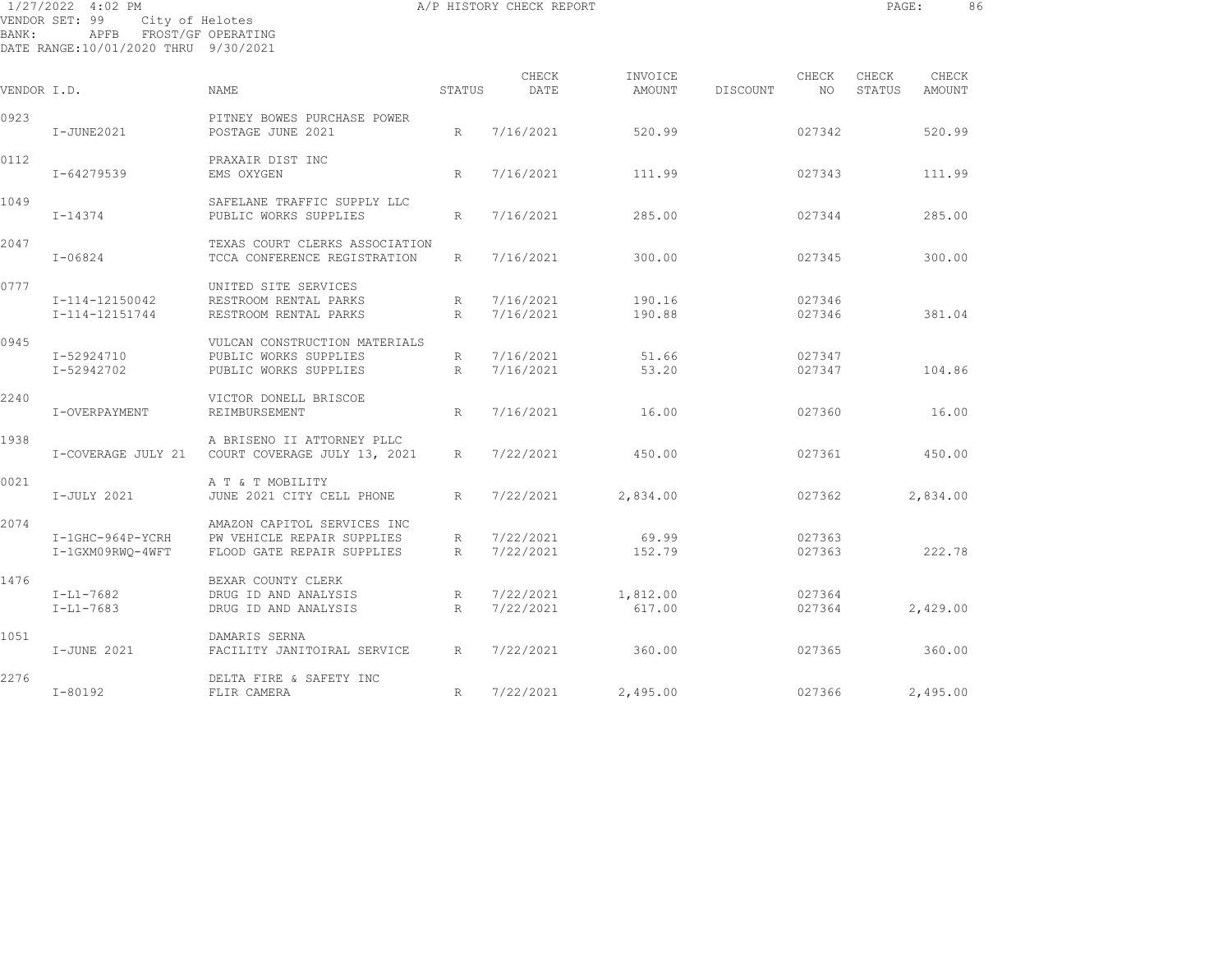| BANK:       | 1/27/2022 4:02 PM<br>VENDOR SET: 99<br>City of Helotes<br>APFB<br>FROST/GF OPERATING<br>DATE RANGE: 10/01/2020 THRU 9/30/2021 |                                                                                         |                      | A/P HISTORY CHECK REPORT |                   |                   |        | PAGE:           | 86              |
|-------------|-------------------------------------------------------------------------------------------------------------------------------|-----------------------------------------------------------------------------------------|----------------------|--------------------------|-------------------|-------------------|--------|-----------------|-----------------|
| VENDOR I.D. |                                                                                                                               | NAME                                                                                    | STATUS               | CHECK<br>DATE            | INVOICE<br>AMOUNT | CHECK<br>DISCOUNT | NO.    | CHECK<br>STATUS | CHECK<br>AMOUNT |
| 0923        | $I-JUNE2021$                                                                                                                  | PITNEY BOWES PURCHASE POWER<br>POSTAGE JUNE 2021                                        | R                    | 7/16/2021                | 520.99            |                   | 027342 |                 | 520.99          |
| 0112        | I-64279539                                                                                                                    | PRAXAIR DIST INC<br>EMS OXYGEN                                                          | R                    | 7/16/2021                | 111.99            | 027343            |        |                 | 111.99          |
| 1049        | I-14374                                                                                                                       | SAFELANE TRAFFIC SUPPLY LLC<br>PUBLIC WORKS SUPPLIES                                    | $R_{\parallel}$      | 7/16/2021                | 285.00            | 027344            |        |                 | 285.00          |
| 2047        | $I - 06824$                                                                                                                   | TEXAS COURT CLERKS ASSOCIATION<br>TCCA CONFERENCE REGISTRATION                          | $R_{\perp}$          | 7/16/2021                | 300.00            |                   | 027345 |                 | 300.00          |
| 0777        | I-114-12150042<br>I-114-12151744                                                                                              | UNITED SITE SERVICES<br>RESTROOM RENTAL PARKS<br>RESTROOM RENTAL PARKS                  | $R_{\parallel}$<br>R | 7/16/2021<br>7/16/2021   | 190.16<br>190.88  | 027346<br>027346  |        |                 | 381.04          |
| 0945        | I-52924710<br>I-52942702                                                                                                      | VULCAN CONSTRUCTION MATERIALS<br>PUBLIC WORKS SUPPLIES<br>PUBLIC WORKS SUPPLIES         | $R_{\perp}$<br>R     | 7/16/2021<br>7/16/2021   | 51.66<br>53.20    | 027347            | 027347 |                 | 104.86          |
| 2240        | I-OVERPAYMENT                                                                                                                 | VICTOR DONELL BRISCOE<br>REIMBURSEMENT                                                  | R                    | 7/16/2021                | 16.00             |                   | 027360 |                 | 16.00           |
| 1938        | I-COVERAGE JULY 21                                                                                                            | A BRISENO II ATTORNEY PLLC<br>COURT COVERAGE JULY 13, 2021                              | $R_{\perp}$          | 7/22/2021                | 450.00            |                   | 027361 |                 | 450.00          |
| 0021        | I-JULY 2021                                                                                                                   | A T & T MOBILITY<br>JUNE 2021 CITY CELL PHONE                                           | $R_{\parallel}$      | 7/22/2021                | 2,834.00          |                   | 027362 |                 | 2,834.00        |
| 2074        | I-1GHC-964P-YCRH<br>I-1GXM09RWO-4WFT                                                                                          | AMAZON CAPITOL SERVICES INC<br>PW VEHICLE REPAIR SUPPLIES<br>FLOOD GATE REPAIR SUPPLIES | $R_{\perp}$<br>R     | 7/22/2021<br>7/22/2021   | 69.99<br>152.79   | 027363<br>027363  |        |                 | 222.78          |

I-L1-7682 DRUG ID AND ANALYSIS R 7/22/2021 1,812.00 027364

I-L1-7683 DRUG ID AND ANALYSIS R 7/22/2021 617.00 027364 2,429.00

I-JUNE 2021 FACILITY JANITOIRAL SERVICE R 7/22/2021 360.00 027365 360.00

I-80192 FLIR CAMERA R 7/22/2021 2,495.00 027366 2,495.00

1476 BEXAR COUNTY CLERK

2276 DELTA FIRE & SAFETY INC

1051 DAMARIS SERNA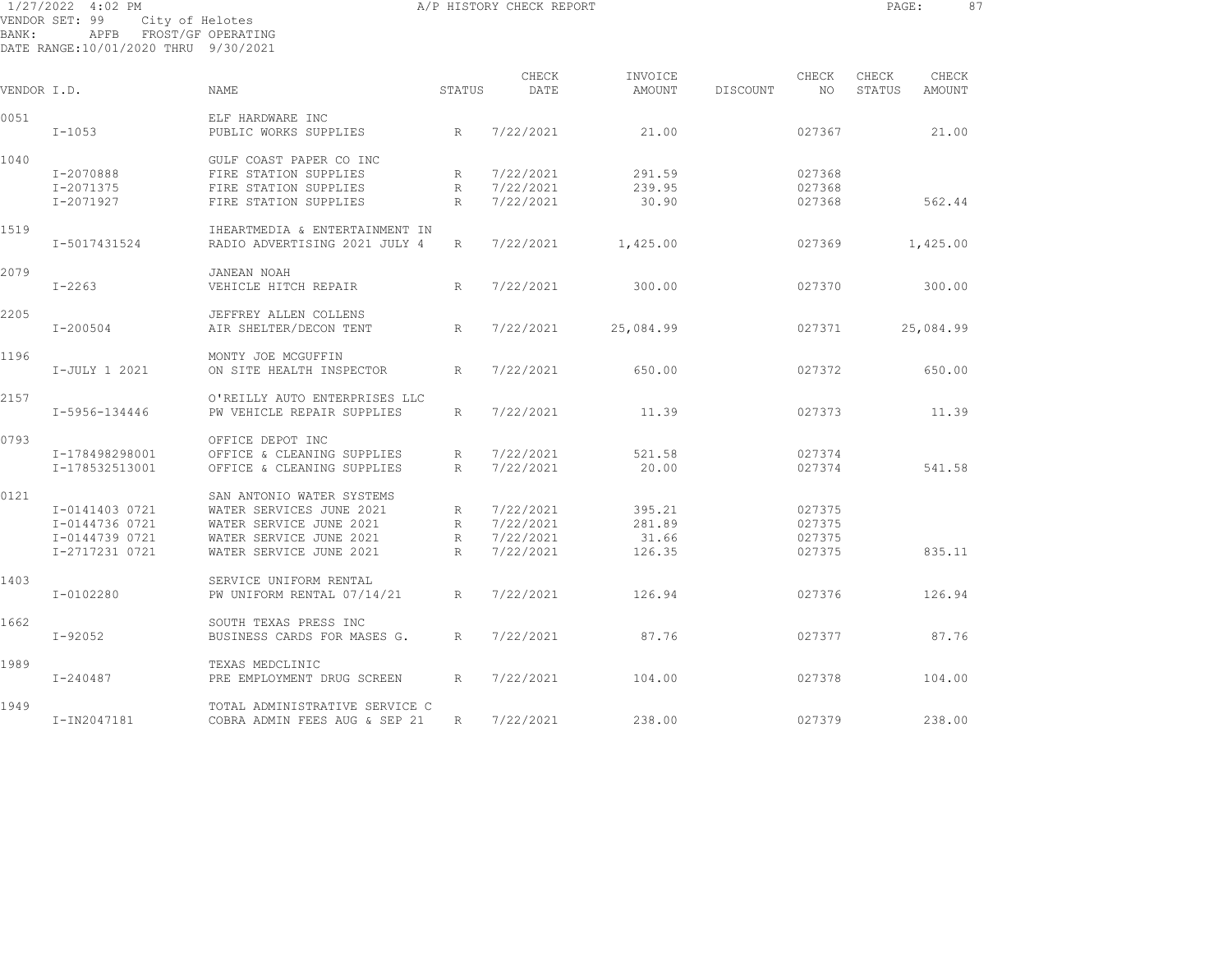| BANK:       | 1/27/2022 4:02 PM<br>VENDOR SET: 99 City of Helotes<br>APFB FROST/GF OPERATING<br>DATE RANGE:10/01/2020 THRU 9/30/2021 |                                                                                                                                        |                                     | A/P HISTORY CHECK REPORT                           |                                     |          |                                      | PAGE:           | 87              |  |
|-------------|------------------------------------------------------------------------------------------------------------------------|----------------------------------------------------------------------------------------------------------------------------------------|-------------------------------------|----------------------------------------------------|-------------------------------------|----------|--------------------------------------|-----------------|-----------------|--|
| VENDOR I.D. |                                                                                                                        | NAME                                                                                                                                   | STATUS                              | CHECK<br>DATE                                      | INVOICE<br>AMOUNT                   | DISCOUNT | CHECK<br>NO                          | CHECK<br>STATUS | CHECK<br>AMOUNT |  |
| 0051        | $I-1053$                                                                                                               | ELF HARDWARE INC<br>PUBLIC WORKS SUPPLIES                                                                                              | R                                   | 7/22/2021                                          | 21.00                               |          | 027367                               |                 | 21.00           |  |
| 1040        | I-2070888<br>I-2071375<br>I-2071927                                                                                    | GULF COAST PAPER CO INC<br>FIRE STATION SUPPLIES<br>FIRE STATION SUPPLIES<br>FIRE STATION SUPPLIES                                     | $R_{\parallel}$<br>R<br>R           | 7/22/2021<br>7/22/2021<br>7/22/2021                | 291.59<br>239.95<br>30.90           |          | 027368<br>027368<br>027368           |                 | 562.44          |  |
| 1519        | I-5017431524                                                                                                           | IHEARTMEDIA & ENTERTAINMENT IN<br>RADIO ADVERTISING 2021 JULY 4                                                                        | R                                   | 7/22/2021                                          | 1,425.00                            |          | 027369                               |                 | 1,425.00        |  |
| 2079        | $I-2263$                                                                                                               | JANEAN NOAH<br>VEHICLE HITCH REPAIR                                                                                                    | R                                   | 7/22/2021                                          | 300.00                              |          | 027370                               |                 | 300.00          |  |
| 2205        | $I - 200504$                                                                                                           | JEFFREY ALLEN COLLENS<br>AIR SHELTER/DECON TENT                                                                                        | R                                   | 7/22/2021                                          | 25,084.99                           |          | 027371                               |                 | 25,084.99       |  |
| 1196        | I-JULY 1 2021                                                                                                          | MONTY JOE MCGUFFIN<br>ON SITE HEALTH INSPECTOR                                                                                         | R                                   | 7/22/2021                                          | 650.00                              |          | 027372                               |                 | 650.00          |  |
| 2157        | I-5956-134446                                                                                                          | O'REILLY AUTO ENTERPRISES LLC<br>PW VEHICLE REPAIR SUPPLIES                                                                            | R                                   | 7/22/2021                                          | 11.39                               |          | 027373                               |                 | 11.39           |  |
| 0793        | I-178498298001<br>I-178532513001                                                                                       | OFFICE DEPOT INC<br>OFFICE & CLEANING SUPPLIES<br>OFFICE & CLEANING SUPPLIES                                                           | R<br>R                              | 7/22/2021<br>7/22/2021                             | 521.58<br>20.00                     |          | 027374<br>027374                     |                 | 541.58          |  |
| 0121        | I-0141403 0721<br>I-0144736 0721<br>I-0144739 0721<br>I-2717231 0721                                                   | SAN ANTONIO WATER SYSTEMS<br>WATER SERVICES JUNE 2021<br>WATER SERVICE JUNE 2021<br>WATER SERVICE JUNE 2021<br>WATER SERVICE JUNE 2021 | $R_{\perp}$<br>R<br>$R_{\parallel}$ | 7/22/2021<br>7/22/2021<br>R 7/22/2021<br>7/22/2021 | 395.21<br>281.89<br>31.66<br>126.35 |          | 027375<br>027375<br>027375<br>027375 |                 | 835.11          |  |
| 1403        | I-0102280                                                                                                              | SERVICE UNIFORM RENTAL<br>PW UNIFORM RENTAL 07/14/21                                                                                   | R                                   | 7/22/2021                                          | 126.94                              |          | 027376                               |                 | 126.94          |  |
| 1662        | I-92052                                                                                                                | SOUTH TEXAS PRESS INC<br>BUSINESS CARDS FOR MASES G.                                                                                   | R                                   | 7/22/2021                                          | 87.76                               |          | 027377                               |                 | 87.76           |  |
| 1989        | I-240487                                                                                                               | TEXAS MEDCLINIC<br>PRE EMPLOYMENT DRUG SCREEN                                                                                          | R                                   | 7/22/2021                                          | 104.00                              |          | 027378                               |                 | 104.00          |  |

1949 TOTAL ADMINISTRATIVE SERVICE C I-IN2047181 COBRA ADMIN FEES AUG & SEP 21 R 7/22/2021 238.00 027379 238.00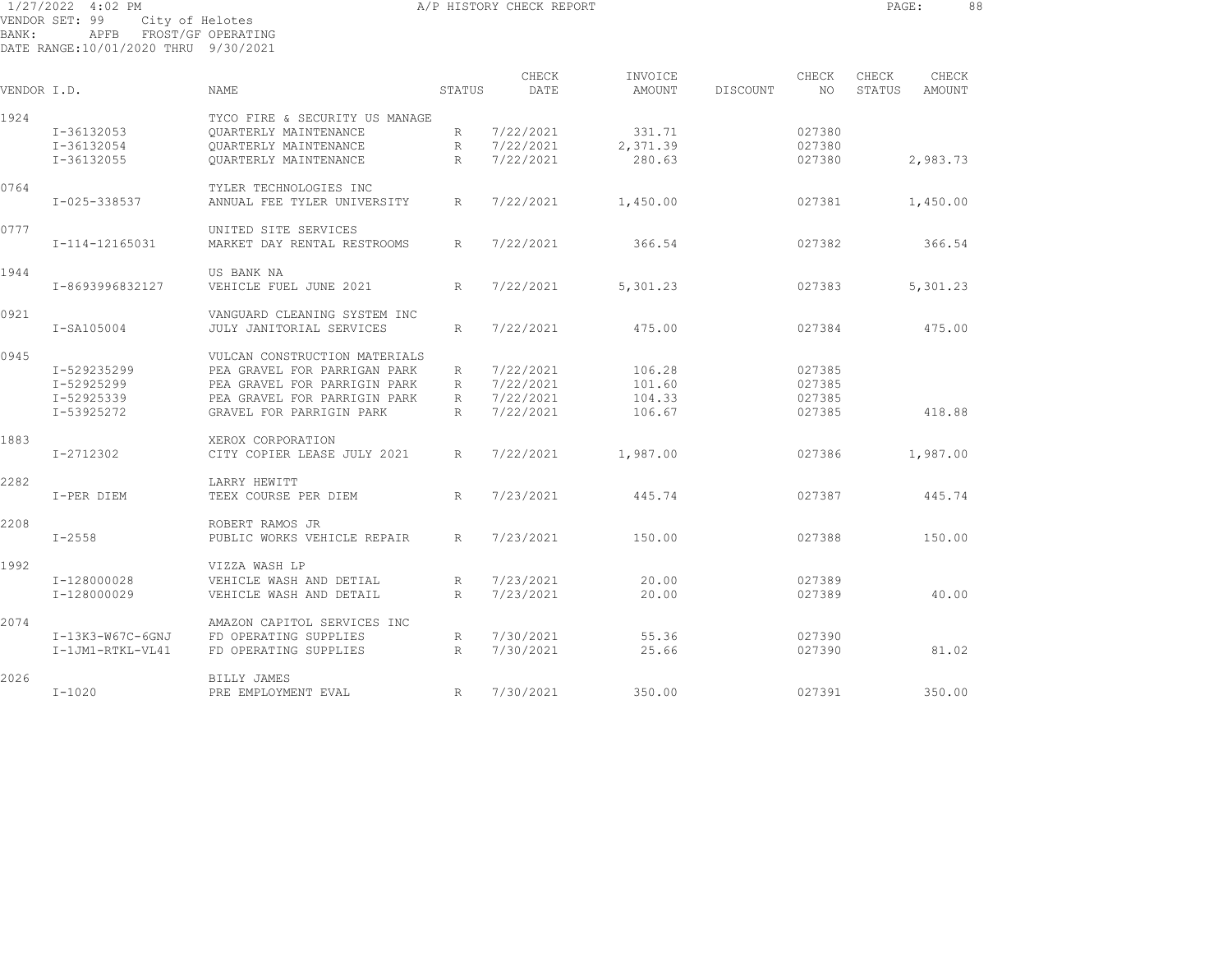1/27/2022 4:02 PM A/P HISTORY CHECK REPORT PAGE: 88 VENDOR SET: 99 City of Helotes BANK: APFB FROST/GF OPERATING DATE RANGE:10/01/2020 THRU 9/30/2021

|             |                  |                                |              | CHECK     | INVOICE  |          | CHECK  | CHECK  | CHECK         |  |
|-------------|------------------|--------------------------------|--------------|-----------|----------|----------|--------|--------|---------------|--|
| VENDOR I.D. |                  | <b>NAME</b>                    | STATUS       | DATE      | AMOUNT   | DISCOUNT | NO.    | STATUS | <b>AMOUNT</b> |  |
| 1924        |                  | TYCO FIRE & SECURITY US MANAGE |              |           |          |          |        |        |               |  |
|             | I-36132053       | <b>OUARTERLY MAINTENANCE</b>   | R            | 7/22/2021 | 331.71   |          | 027380 |        |               |  |
|             | I-36132054       | OUARTERLY MAINTENANCE          | R            | 7/22/2021 | 2,371.39 |          | 027380 |        |               |  |
|             | I-36132055       | <b>OUARTERLY MAINTENANCE</b>   | $\mathbb{R}$ | 7/22/2021 | 280.63   |          | 027380 |        | 2,983.73      |  |
| 0764        |                  | TYLER TECHNOLOGIES INC         |              |           |          |          |        |        |               |  |
|             | I-025-338537     | ANNUAL FEE TYLER UNIVERSITY    | R            | 7/22/2021 | 1,450.00 |          | 027381 |        | 1,450.00      |  |
| 0777        |                  | UNITED SITE SERVICES           |              |           |          |          |        |        |               |  |
|             | I-114-12165031   | MARKET DAY RENTAL RESTROOMS    | R            | 7/22/2021 | 366.54   |          | 027382 |        | 366.54        |  |
| 1944        |                  | US BANK NA                     |              |           |          |          |        |        |               |  |
|             | I-8693996832127  | VEHICLE FUEL JUNE 2021         | R            | 7/22/2021 | 5,301.23 |          | 027383 |        | 5,301.23      |  |
| 0921        |                  | VANGUARD CLEANING SYSTEM INC   |              |           |          |          |        |        |               |  |
|             | I-SA105004       | JULY JANITORIAL SERVICES       | R            | 7/22/2021 | 475.00   |          | 027384 |        | 475.00        |  |
| 0945        |                  | VULCAN CONSTRUCTION MATERIALS  |              |           |          |          |        |        |               |  |
|             | I-529235299      | PEA GRAVEL FOR PARRIGAN PARK   | R            | 7/22/2021 | 106.28   |          | 027385 |        |               |  |
|             | I-52925299       | PEA GRAVEL FOR PARRIGIN PARK   | R            | 7/22/2021 | 101.60   |          | 027385 |        |               |  |
|             | I-52925339       | PEA GRAVEL FOR PARRIGIN PARK   | R            | 7/22/2021 | 104.33   |          | 027385 |        |               |  |
|             | I-53925272       | GRAVEL FOR PARRIGIN PARK       | $\mathbb{R}$ | 7/22/2021 | 106.67   |          | 027385 |        | 418.88        |  |
| 1883        |                  | XEROX CORPORATION              |              |           |          |          |        |        |               |  |
|             | I-2712302        | CITY COPIER LEASE JULY 2021    | R            | 7/22/2021 | 1,987.00 |          | 027386 |        | 1,987.00      |  |
| 2282        |                  | LARRY HEWITT                   |              |           |          |          |        |        |               |  |
|             | I-PER DIEM       | TEEX COURSE PER DIEM           | R            | 7/23/2021 | 445.74   |          | 027387 |        | 445.74        |  |
| 2208        |                  | ROBERT RAMOS JR                |              |           |          |          |        |        |               |  |
|             | $I - 2558$       | PUBLIC WORKS VEHICLE REPAIR    | R            | 7/23/2021 | 150.00   |          | 027388 |        | 150.00        |  |
| 1992        |                  | VIZZA WASH LP                  |              |           |          |          |        |        |               |  |
|             | I-128000028      | VEHICLE WASH AND DETIAL        | R            | 7/23/2021 | 20.00    |          | 027389 |        |               |  |
|             | I-128000029      | VEHICLE WASH AND DETAIL        | R            | 7/23/2021 | 20.00    |          | 027389 |        | 40.00         |  |
| 2074        |                  | AMAZON CAPITOL SERVICES INC    |              |           |          |          |        |        |               |  |
|             | I-13K3-W67C-6GNJ | FD OPERATING SUPPLIES          | R            | 7/30/2021 | 55.36    |          | 027390 |        |               |  |
|             | I-1JM1-RTKL-VL41 | FD OPERATING SUPPLIES          | R            | 7/30/2021 | 25.66    |          | 027390 |        | 81.02         |  |
| 2026        |                  | BILLY JAMES                    |              |           |          |          |        |        |               |  |
|             | $I - 1020$       | PRE EMPLOYMENT EVAL            | R            | 7/30/2021 | 350.00   |          | 027391 |        | 350.00        |  |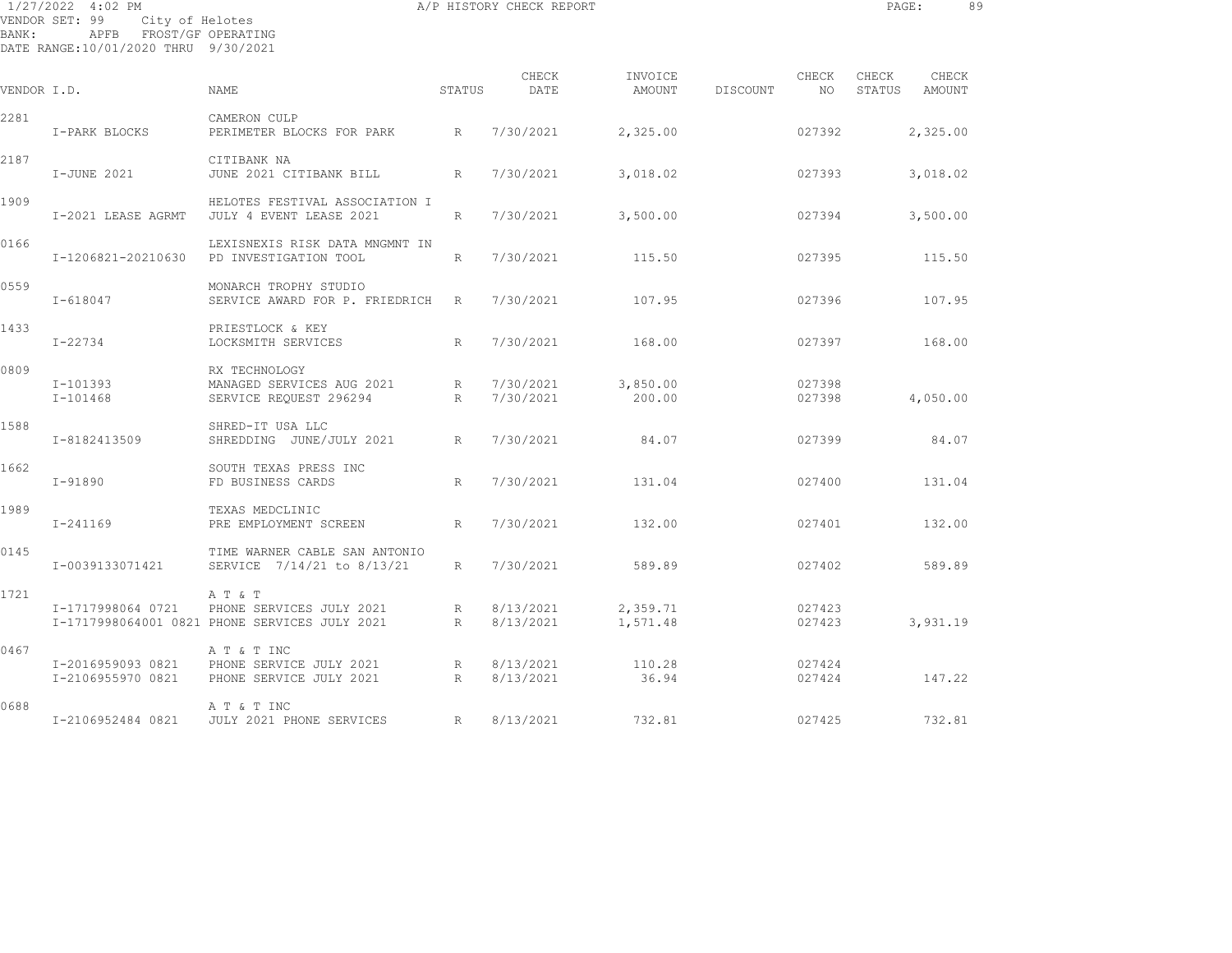|             | 1/27/2022 4:02 PM<br>VENDOR SET: 99<br>City of Helotes          |                                                                                      |                      | A/P HISTORY CHECK REPORT |                      |          |                  | PAGE: |                        | 89 |
|-------------|-----------------------------------------------------------------|--------------------------------------------------------------------------------------|----------------------|--------------------------|----------------------|----------|------------------|-------|------------------------|----|
| BANK:       | APFB FROST/GF OPERATING<br>DATE RANGE:10/01/2020 THRU 9/30/2021 |                                                                                      |                      |                          |                      |          |                  |       |                        |    |
| VENDOR I.D. |                                                                 | NAME                                                                                 | STATUS               | CHECK<br>DATE            | INVOICE<br>AMOUNT    | DISCOUNT | CHECK<br>NO      | CHECK | CHECK<br>STATUS AMOUNT |    |
| 2281        | I-PARK BLOCKS                                                   | CAMERON CULP<br>PERIMETER BLOCKS FOR PARK R 7/30/2021                                |                      |                          | 2,325.00             |          | 027392           |       | 2,325.00               |    |
| 2187        | I-JUNE 2021                                                     | CITIBANK NA<br>JUNE 2021 CITIBANK BILL                                               | R                    | 7/30/2021                | 3,018.02             |          | 027393           |       | 3,018.02               |    |
| 1909        | I-2021 LEASE AGRMT                                              | HELOTES FESTIVAL ASSOCIATION I<br>JULY 4 EVENT LEASE 2021                            | R                    | 7/30/2021                | 3,500.00             |          | 027394           |       | 3,500.00               |    |
| 0166        | I-1206821-20210630                                              | LEXISNEXIS RISK DATA MNGMNT IN<br>PD INVESTIGATION TOOL                              | R                    | 7/30/2021                | 115.50               |          | 027395           |       | 115.50                 |    |
| 0559        | $I - 618047$                                                    | MONARCH TROPHY STUDIO<br>SERVICE AWARD FOR P. FRIEDRICH R                            |                      | 7/30/2021                | 107.95               |          | 027396           |       | 107.95                 |    |
| 1433        | I-22734                                                         | PRIESTLOCK & KEY<br>LOCKSMITH SERVICES                                               | R                    | 7/30/2021                | 168.00               |          | 027397           |       | 168.00                 |    |
| 0809        | I-101393<br>I-101468                                            | RX TECHNOLOGY<br>MANAGED SERVICES AUG 2021<br>SERVICE REQUEST 296294                 | R<br>R               | 7/30/2021<br>7/30/2021   | 3,850.00<br>200.00   |          | 027398<br>027398 |       | 4,050.00               |    |
| 1588        | I-8182413509                                                    | SHRED-IT USA LLC<br>SHREDDING JUNE/JULY 2021                                         | R                    | 7/30/2021                | 84.07                |          | 027399           |       | 84.07                  |    |
| 1662        | I-91890                                                         | SOUTH TEXAS PRESS INC<br>FD BUSINESS CARDS                                           | R                    | 7/30/2021                | 131.04               |          | 027400           |       | 131.04                 |    |
| 1989        | $I - 241169$                                                    | TEXAS MEDCLINIC<br>PRE EMPLOYMENT SCREEN                                             | R                    | 7/30/2021                | 132.00               |          | 027401           |       | 132.00                 |    |
| 0145        | I-0039133071421                                                 | TIME WARNER CABLE SAN ANTONIO<br>SERVICE 7/14/21 to 8/13/21                          | R                    | 7/30/2021                | 589.89               |          | 027402           |       | 589.89                 |    |
| 1721        | I-1717998064 0721                                               | A T & T<br>PHONE SERVICES JULY 2021<br>I-1717998064001 0821 PHONE SERVICES JULY 2021 | R<br>$R_{\parallel}$ | 8/13/2021<br>8/13/2021   | 2,359.71<br>1,571.48 |          | 027423<br>027423 |       | 3,931.19               |    |
| 0467        | I-2016959093 0821<br>I-2106955970 0821                          | A T & T INC<br>PHONE SERVICE JULY 2021<br>PHONE SERVICE JULY 2021                    | $R_{\parallel}$<br>R | 8/13/2021<br>8/13/2021   | 110.28<br>36.94      |          | 027424<br>027424 |       | 147.22                 |    |

I-2106952484 0821 JULY 2021 PHONE SERVICES R 8/13/2021 732.81 027425 732.81

0688 A T & T INC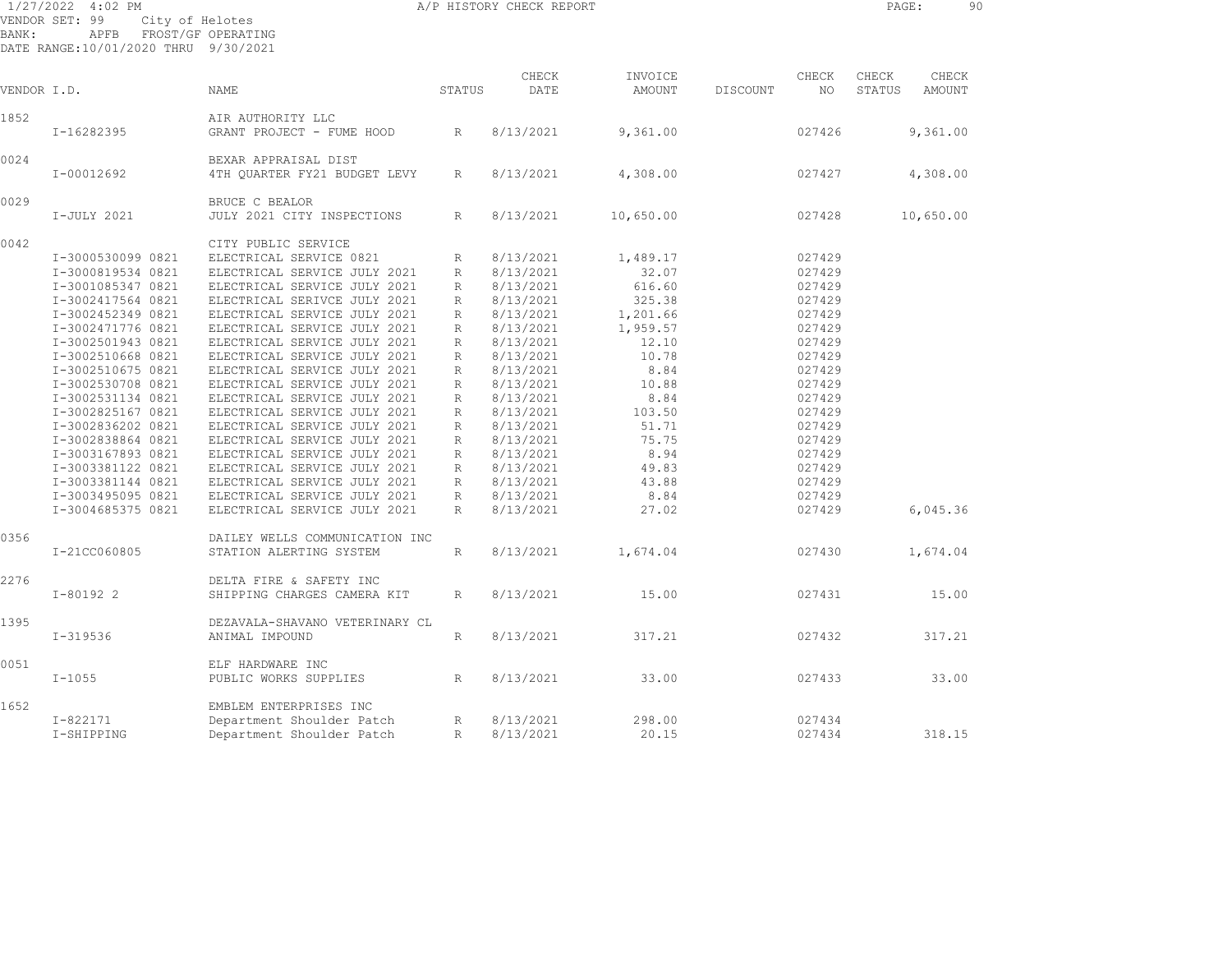| 1/27/2022 4:02 PM |                                | A/P HISTORY CHECK REPORT |  | PAGE: | 90 |
|-------------------|--------------------------------|--------------------------|--|-------|----|
|                   | VENDOR SET: 99 City of Helotes |                          |  |       |    |
| BANK:             | APFB FROST/GF OPERATING        |                          |  |       |    |

DATE RANGE:10/01/2020 THRU 9/30/2021

| VENDOR I.D. |                   | <b>NAME</b>                    | STATUS          | CHECK<br>DATE | INVOICE<br>AMOUNT | DISCOUNT | CHECK<br>NO. | CHECK<br>STATUS | CHECK<br><b>AMOUNT</b> |  |
|-------------|-------------------|--------------------------------|-----------------|---------------|-------------------|----------|--------------|-----------------|------------------------|--|
| 1852        |                   | AIR AUTHORITY LLC              |                 |               |                   |          |              |                 |                        |  |
|             | I-16282395        | GRANT PROJECT - FUME HOOD      | R               | 8/13/2021     | 9,361.00          |          | 027426       |                 | 9,361.00               |  |
| 0024        |                   | BEXAR APPRAISAL DIST           |                 |               |                   |          |              |                 |                        |  |
|             | I-00012692        | 4TH QUARTER FY21 BUDGET LEVY   | $R_{\parallel}$ | 8/13/2021     | 4,308.00          |          | 027427       |                 | 4,308.00               |  |
| 0029        |                   | BRUCE C BEALOR                 |                 |               |                   |          |              |                 |                        |  |
|             | I-JULY 2021       | JULY 2021 CITY INSPECTIONS     | R               | 8/13/2021     | 10,650.00         |          | 027428       |                 | 10,650.00              |  |
| 0042        |                   | CITY PUBLIC SERVICE            |                 |               |                   |          |              |                 |                        |  |
|             | I-3000530099 0821 | ELECTRICAL SERVICE 0821        | R               | 8/13/2021     | 1,489.17          |          | 027429       |                 |                        |  |
|             | I-3000819534 0821 | ELECTRICAL SERVICE JULY 2021   | R               | 8/13/2021     | 32.07             |          | 027429       |                 |                        |  |
|             | I-3001085347 0821 | ELECTRICAL SERVICE JULY 2021   | R               | 8/13/2021     | 616.60            |          | 027429       |                 |                        |  |
|             | I-3002417564 0821 | ELECTRICAL SERIVCE JULY 2021   | R               | 8/13/2021     | 325.38            |          | 027429       |                 |                        |  |
|             | I-3002452349 0821 | ELECTRICAL SERVICE JULY 2021   | R               | 8/13/2021     | 1,201.66          |          | 027429       |                 |                        |  |
|             | I-3002471776 0821 | ELECTRICAL SERVICE JULY 2021   | R               | 8/13/2021     | 1,959.57          |          | 027429       |                 |                        |  |
|             | I-3002501943 0821 | ELECTRICAL SERVICE JULY 2021   | R               | 8/13/2021     | 12.10             |          | 027429       |                 |                        |  |
|             | I-3002510668 0821 | ELECTRICAL SERVICE JULY 2021   | R               | 8/13/2021     | 10.78             |          | 027429       |                 |                        |  |
|             | I-3002510675 0821 | ELECTRICAL SERVICE JULY 2021   | R               | 8/13/2021     | 8.84              |          | 027429       |                 |                        |  |
|             | I-3002530708 0821 | ELECTRICAL SERVICE JULY 2021   | R               | 8/13/2021     | 10.88             |          | 027429       |                 |                        |  |
|             | I-3002531134 0821 | ELECTRICAL SERVICE JULY 2021   | R               | 8/13/2021     | 8.84              |          | 027429       |                 |                        |  |
|             | I-3002825167 0821 | ELECTRICAL SERVICE JULY 2021   | R               | 8/13/2021     | 103.50            |          | 027429       |                 |                        |  |
|             | I-3002836202 0821 | ELECTRICAL SERVICE JULY 2021   | R               | 8/13/2021     | 51.71             |          | 027429       |                 |                        |  |
|             |                   |                                |                 |               |                   |          |              |                 |                        |  |
|             | I-3002838864 0821 | ELECTRICAL SERVICE JULY 2021   | R               | 8/13/2021     | 75.75             |          | 027429       |                 |                        |  |
|             | I-3003167893 0821 | ELECTRICAL SERVICE JULY 2021   | R               | 8/13/2021     | 8.94              |          | 027429       |                 |                        |  |
|             | I-3003381122 0821 | ELECTRICAL SERVICE JULY 2021   | R               | 8/13/2021     | 49.83             |          | 027429       |                 |                        |  |
|             | I-3003381144 0821 | ELECTRICAL SERVICE JULY 2021   | R               | 8/13/2021     | 43.88             |          | 027429       |                 |                        |  |
|             | I-3003495095 0821 | ELECTRICAL SERVICE JULY 2021   | R               | 8/13/2021     | 8.84              |          | 027429       |                 |                        |  |
|             | I-3004685375 0821 | ELECTRICAL SERVICE JULY 2021   | $R_{\parallel}$ | 8/13/2021     | 27.02             |          | 027429       |                 | 6,045.36               |  |
| 0356        |                   | DAILEY WELLS COMMUNICATION INC |                 |               |                   |          |              |                 |                        |  |
|             | I-21CC060805      | STATION ALERTING SYSTEM        | R               | 8/13/2021     | 1,674.04          |          | 027430       |                 | 1,674.04               |  |
| 2276        |                   | DELTA FIRE & SAFETY INC        |                 |               |                   |          |              |                 |                        |  |
|             | $I-80192$ 2       | SHIPPING CHARGES CAMERA KIT    | R               | 8/13/2021     | 15.00             |          | 027431       |                 | 15.00                  |  |
| 1395        |                   | DEZAVALA-SHAVANO VETERINARY CL |                 |               |                   |          |              |                 |                        |  |
|             | $I - 319536$      | ANIMAL IMPOUND                 | R               | 8/13/2021     | 317.21            |          | 027432       |                 | 317.21                 |  |
| 0051        |                   | ELF HARDWARE INC               |                 |               |                   |          |              |                 |                        |  |
|             | $I - 1055$        | PUBLIC WORKS SUPPLIES          | R               | 8/13/2021     | 33.00             |          | 027433       |                 | 33.00                  |  |
| 1652        |                   | EMBLEM ENTERPRISES INC         |                 |               |                   |          |              |                 |                        |  |
|             | I-822171          | Department Shoulder Patch      | R               | 8/13/2021     | 298.00            |          | 027434       |                 |                        |  |
|             | I-SHIPPING        | Department Shoulder Patch      | R               | 8/13/2021     | 20.15             |          | 027434       |                 | 318.15                 |  |
|             |                   |                                |                 |               |                   |          |              |                 |                        |  |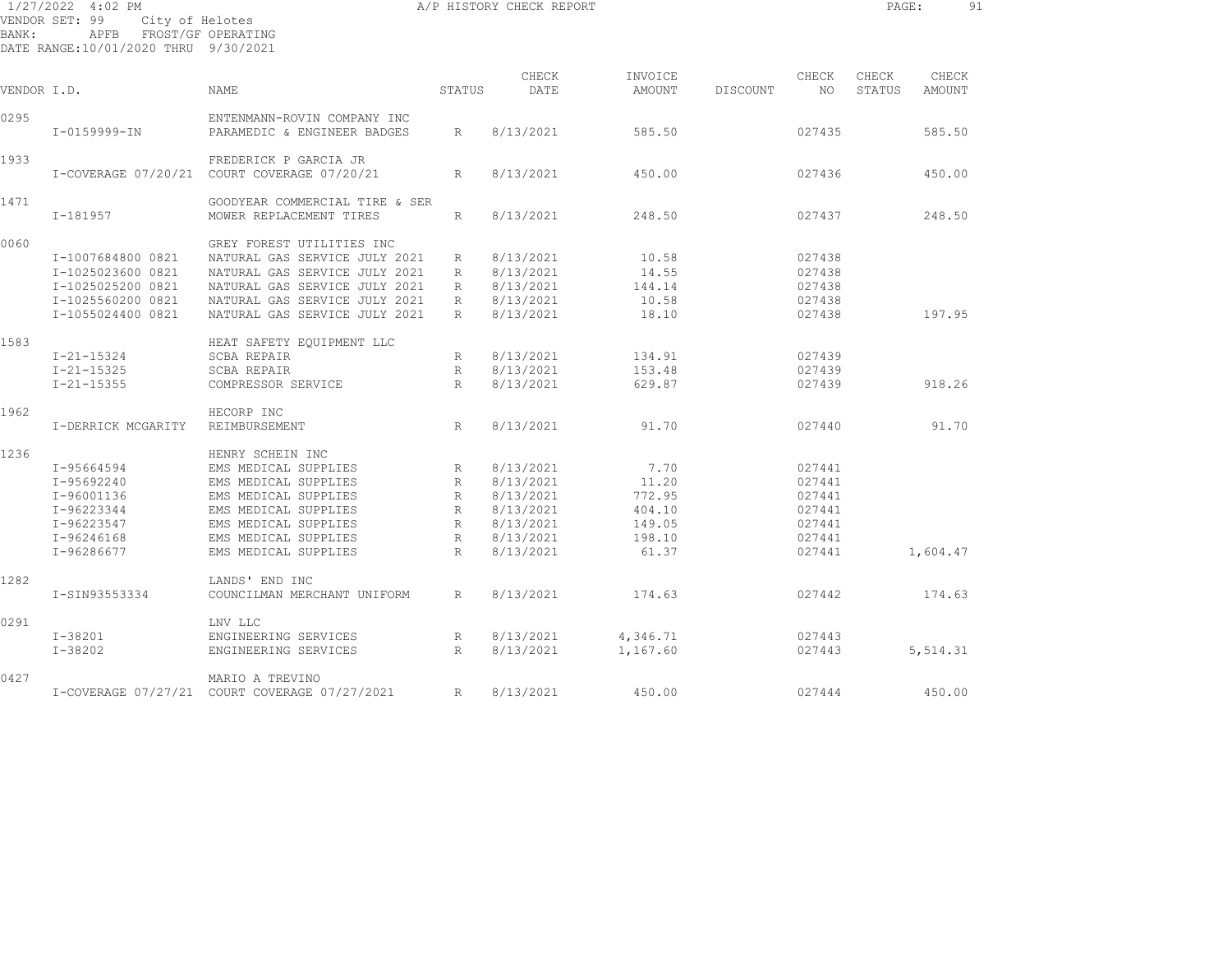|             | 1/27/2022 4:02 PM                         |                                             |                 | A/P HISTORY CHECK REPORT |          |          |                                                                   | PAGE:  |          | 91 |
|-------------|-------------------------------------------|---------------------------------------------|-----------------|--------------------------|----------|----------|-------------------------------------------------------------------|--------|----------|----|
| BANK:       | VENDOR SET: 99<br>City of Helotes<br>APFB | FROST/GF OPERATING                          |                 |                          |          |          |                                                                   |        |          |    |
|             | DATE RANGE:10/01/2020 THRU 9/30/2021      |                                             |                 |                          |          |          |                                                                   |        |          |    |
|             |                                           |                                             |                 |                          |          |          |                                                                   |        |          |    |
|             |                                           |                                             |                 | CHECK                    | INVOICE  |          | CHECK                                                             | CHECK  | CHECK    |    |
| VENDOR I.D. |                                           | <b>NAME</b>                                 | STATUS          | DATE                     | AMOUNT   | DISCOUNT | NO                                                                | STATUS | AMOUNT   |    |
| 0295        |                                           | ENTENMANN-ROVIN COMPANY INC                 |                 |                          |          |          |                                                                   |        |          |    |
|             | I-0159999-IN                              | PARAMEDIC & ENGINEER BADGES                 | R               | 8/13/2021                | 585.50   |          | 027435                                                            |        | 585.50   |    |
|             |                                           |                                             |                 |                          |          |          |                                                                   |        |          |    |
| 1933        |                                           | FREDERICK P GARCIA JR                       |                 |                          |          |          |                                                                   |        |          |    |
|             |                                           | I-COVERAGE 07/20/21 COURT COVERAGE 07/20/21 | $R_{\parallel}$ | 8/13/2021                | 450.00   |          | 027436                                                            |        | 450.00   |    |
| 1471        |                                           | GOODYEAR COMMERCIAL TIRE & SER              |                 |                          |          |          |                                                                   |        |          |    |
|             | $I-181957$                                | MOWER REPLACEMENT TIRES                     | R               | 8/13/2021                | 248.50   |          | 027437                                                            |        | 248.50   |    |
|             |                                           |                                             |                 |                          |          |          |                                                                   |        |          |    |
| 0060        |                                           | GREY FOREST UTILITIES INC                   |                 |                          |          |          |                                                                   |        |          |    |
|             | I-1007684800 0821                         | NATURAL GAS SERVICE JULY 2021               | R               | 8/13/2021                | 10.58    |          | 027438                                                            |        |          |    |
|             | I-1025023600 0821                         | NATURAL GAS SERVICE JULY 2021               | R               | 8/13/2021                | 14.55    |          | 027438                                                            |        |          |    |
|             | I-1025025200 0821                         | NATURAL GAS SERVICE JULY 2021               | $R_{\parallel}$ | 8/13/2021                | 144.14   |          | 027438                                                            |        |          |    |
|             | I-1025560200 0821                         | NATURAL GAS SERVICE JULY 2021               | R               | 8/13/2021                | 10.58    |          | 027438                                                            |        |          |    |
|             | I-1055024400 0821                         | NATURAL GAS SERVICE JULY 2021               | R               | 8/13/2021                | 18.10    |          | 027438                                                            |        | 197.95   |    |
| 1583        |                                           | HEAT SAFETY EQUIPMENT LLC                   |                 |                          |          |          |                                                                   |        |          |    |
|             | $I - 21 - 15324$                          | <b>SCBA REPAIR</b>                          | R               | 8/13/2021                | 134.91   |          | 027439                                                            |        |          |    |
|             | $I - 21 - 15325$                          | SCBA REPAIR                                 | $R_{\perp}$     | 8/13/2021                | 153.48   |          | 027439                                                            |        |          |    |
|             | $I - 21 - 15355$                          | COMPRESSOR SERVICE                          | R               | 8/13/2021                | 629.87   |          | 027439                                                            |        | 918.26   |    |
|             |                                           |                                             |                 |                          |          |          |                                                                   |        |          |    |
| 1962        |                                           | HECORP INC                                  |                 |                          |          |          |                                                                   |        |          |    |
|             | I-DERRICK MCGARITY                        | REIMBURSEMENT                               | R               | 8/13/2021                | 91.70    |          | 027440                                                            |        | 91.70    |    |
| 1236        |                                           | HENRY SCHEIN INC                            |                 |                          |          |          |                                                                   |        |          |    |
|             | I-95664594                                | EMS MEDICAL SUPPLIES                        | R               | 8/13/2021                | 7.70     |          | 027441                                                            |        |          |    |
|             | I-95692240                                | EMS MEDICAL SUPPLIES                        | $R_{\parallel}$ | 8/13/2021                | 11.20    |          | 027441                                                            |        |          |    |
|             | I-96001136                                | EMS MEDICAL SUPPLIES                        | R               | 8/13/2021                | 772.95   |          | 027441                                                            |        |          |    |
|             | I-96223344                                | EMS MEDICAL SUPPLIES                        | R               | 8/13/2021                | 404.10   |          | 027441                                                            |        |          |    |
|             |                                           | EMS MEDICAL SUPPLIES                        |                 | 8/13/2021                |          |          | 027441                                                            |        |          |    |
|             | I-96223547                                | EMS MEDICAL SUPPLIES                        | R               | 8/13/2021                | 149.05   |          |                                                                   |        |          |    |
|             | $I-96246168$                              |                                             | R               |                          | 198.10   |          | 027441                                                            |        |          |    |
|             | I-96286677                                | EMS MEDICAL SUPPLIES                        | R               | 8/13/2021                | 61.37    |          | 027441                                                            |        | 1,604.47 |    |
| 1282        |                                           | LANDS' END INC                              |                 |                          |          |          |                                                                   |        |          |    |
|             | I-SIN93553334                             | COUNCILMAN MERCHANT UNIFORM                 | $R_{\parallel}$ | 8/13/2021                | 174.63   |          | 027442                                                            |        | 174.63   |    |
| 0291        |                                           | LNV LLC                                     |                 |                          |          |          |                                                                   |        |          |    |
|             | I-38201                                   | ENGINEERING SERVICES                        | R               | 8/13/2021                | 4,346.71 |          | 027443                                                            |        |          |    |
|             |                                           |                                             |                 |                          |          |          | $\begin{array}{c} \n\circ \\ \n\circ \\ \n\circ \\ \n\end{array}$ |        |          |    |

 I-38202 ENGINEERING SERVICES R 8/13/2021 1,167.60 027443 5,514.31 0427 MARIO A TREVINOI-COVERAGE 07/27/21 COURT COVERAGE 07/27/2021 R 8/13/2021 450.00 027444 450.00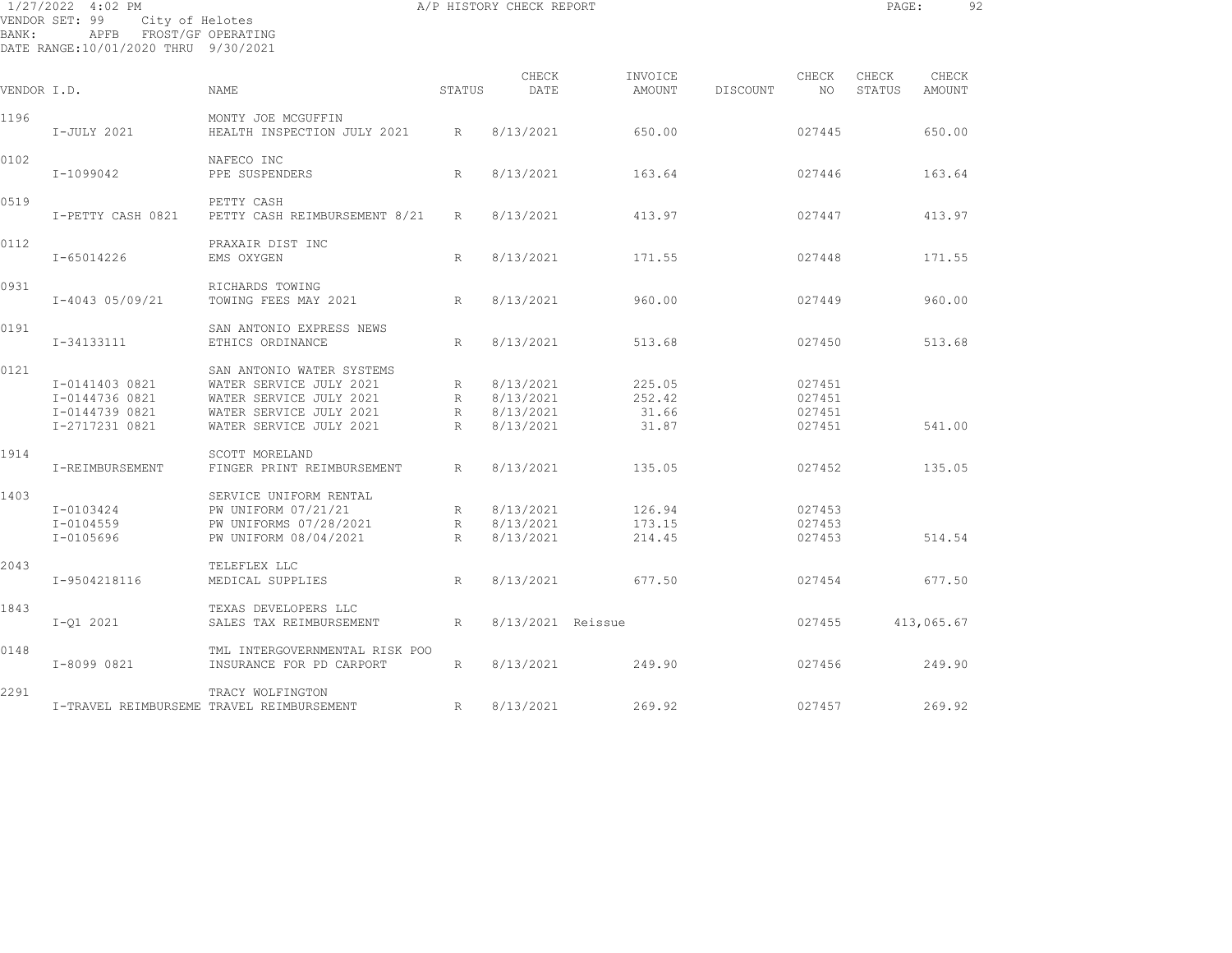| BANK:       | 1/27/2022 4:02 PM<br>VENDOR SET: 99<br>City of Helotes<br>APFB FROST/GF OPERATING<br>DATE RANGE:10/01/2020 THRU 9/30/2021 |                                                                                                                                       |                         | A/P HISTORY CHECK REPORT                         |                                    |          |                                      | PAGE:           | -92             |  |
|-------------|---------------------------------------------------------------------------------------------------------------------------|---------------------------------------------------------------------------------------------------------------------------------------|-------------------------|--------------------------------------------------|------------------------------------|----------|--------------------------------------|-----------------|-----------------|--|
| VENDOR I.D. |                                                                                                                           | NAME                                                                                                                                  | STATUS                  | CHECK<br>DATE                                    | INVOICE<br>AMOUNT                  | DISCOUNT | CHECK<br>NO 1                        | CHECK<br>STATUS | CHECK<br>AMOUNT |  |
| 1196        | I-JULY 2021                                                                                                               | MONTY JOE MCGUFFIN<br>HEALTH INSPECTION JULY 2021 R                                                                                   |                         | 8/13/2021                                        | 650.00                             |          | 027445                               |                 | 650.00          |  |
| 0102        | I-1099042                                                                                                                 | NAFECO INC<br>PPE SUSPENDERS                                                                                                          | R                       | 8/13/2021                                        | 163.64                             |          | 027446                               |                 | 163.64          |  |
| 0519        | I-PETTY CASH 0821                                                                                                         | PETTY CASH<br>PETTY CASH REIMBURSEMENT 8/21                                                                                           | $R_{\parallel}$         | 8/13/2021                                        | 413.97                             |          | 027447                               |                 | 413.97          |  |
| 0112        | I-65014226                                                                                                                | PRAXAIR DIST INC<br>EMS OXYGEN                                                                                                        | R                       | 8/13/2021                                        | 171.55                             |          | 027448                               |                 | 171.55          |  |
| 0931        | I-4043 05/09/21                                                                                                           | RICHARDS TOWING<br>TOWING FEES MAY 2021                                                                                               | R                       | 8/13/2021                                        | 960.00                             |          | 027449                               |                 | 960.00          |  |
| 0191        | I-34133111                                                                                                                | SAN ANTONIO EXPRESS NEWS<br>ETHICS ORDINANCE                                                                                          | R                       | 8/13/2021                                        | 513.68                             |          | 027450                               |                 | 513.68          |  |
| 0121        | I-0141403 0821<br>I-0144736 0821<br>I-0144739 0821<br>I-2717231 0821                                                      | SAN ANTONIO WATER SYSTEMS<br>WATER SERVICE JULY 2021<br>WATER SERVICE JULY 2021<br>WATER SERVICE JULY 2021<br>WATER SERVICE JULY 2021 | R<br>R<br>$R \sim$<br>R | 8/13/2021<br>8/13/2021<br>8/13/2021<br>8/13/2021 | 225.05<br>252.42<br>31.66<br>31.87 |          | 027451<br>027451<br>027451<br>027451 |                 | 541.00          |  |
| 1914        | I-REIMBURSEMENT                                                                                                           | SCOTT MORELAND<br>FINGER PRINT REIMBURSEMENT                                                                                          | R                       | 8/13/2021                                        | 135.05                             |          | 027452                               |                 | 135.05          |  |
| 1403        | I-0103424<br>$I - 0104559$<br>I-0105696                                                                                   | SERVICE UNIFORM RENTAL<br>PW UNIFORM 07/21/21<br>PW UNIFORMS 07/28/2021<br>PW UNIFORM 08/04/2021                                      | R<br>R<br>R             | 8/13/2021<br>8/13/2021<br>8/13/2021              | 126.94<br>173.15<br>214.45         |          | 027453<br>027453<br>027453           |                 | 514.54          |  |
| 2043        | I-9504218116                                                                                                              | TELEFLEX LLC<br>MEDICAL SUPPLIES                                                                                                      | R                       | 8/13/2021                                        | 677.50                             |          | 027454                               |                 | 677.50          |  |
| 1843        | $I - 01 2021$                                                                                                             | TEXAS DEVELOPERS LLC<br>SALES TAX REIMBURSEMENT                                                                                       | R                       | 8/13/2021 Reissue                                |                                    |          | 027455                               |                 | 413,065.67      |  |
| 0148        | I-8099 0821                                                                                                               | TML INTERGOVERNMENTAL RISK POO<br>INSURANCE FOR PD CARPORT                                                                            | $R_{\perp}$             | 8/13/2021                                        | 249.90                             |          | 027456                               |                 | 249.90          |  |
| 2291        |                                                                                                                           | TRACY WOLFINGTON<br>I-TRAVEL REIMBURSEME TRAVEL REIMBURSEMENT                                                                         | R                       | 8/13/2021                                        | 269.92                             |          | 027457                               |                 | 269.92          |  |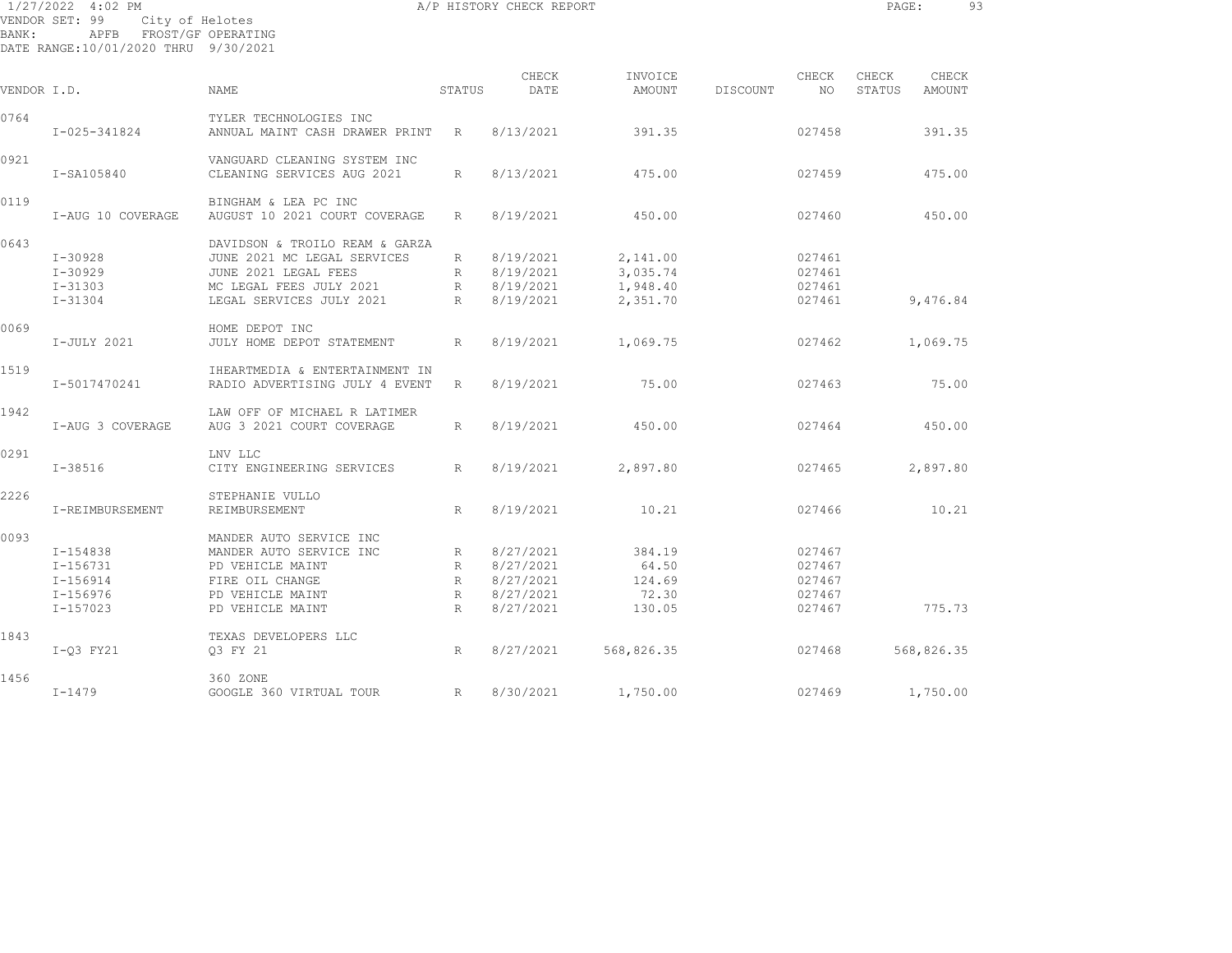| 1/27/2022 4:02 PM                    |                         |  |
|--------------------------------------|-------------------------|--|
| VENDOR SET: 99 City of Helotes       |                         |  |
| BANK :                               | APFB FROST/GF OPERATING |  |
| DATE RANGE:10/01/2020 THRU 9/30/2021 |                         |  |

| VENDOR I.D. |                                                                        | NAME                                                                                                                                         | STATUS                              | CHECK<br>DATE                                                 | INVOICE<br>AMOUNT                            | DISCOUNT | CHECK<br>NO                                    | CHECK<br>STATUS | CHECK<br>AMOUNT |  |
|-------------|------------------------------------------------------------------------|----------------------------------------------------------------------------------------------------------------------------------------------|-------------------------------------|---------------------------------------------------------------|----------------------------------------------|----------|------------------------------------------------|-----------------|-----------------|--|
| 0764        | I-025-341824                                                           | TYLER TECHNOLOGIES INC<br>ANNUAL MAINT CASH DRAWER PRINT                                                                                     | R                                   | 8/13/2021                                                     | 391.35                                       |          | 027458                                         |                 | 391.35          |  |
| 0921        | I-SA105840                                                             | VANGUARD CLEANING SYSTEM INC<br>CLEANING SERVICES AUG 2021                                                                                   | R                                   | 8/13/2021                                                     | 475.00                                       |          | 027459                                         |                 | 475.00          |  |
| 0119        | I-AUG 10 COVERAGE                                                      | BINGHAM & LEA PC INC<br>AUGUST 10 2021 COURT COVERAGE                                                                                        | R                                   | 8/19/2021                                                     | 450.00                                       |          | 027460                                         |                 | 450.00          |  |
| 0643        | $I - 30928$<br>$I - 30929$<br>$I - 31303$<br>$I - 31304$               | DAVIDSON & TROILO REAM & GARZA<br>JUNE 2021 MC LEGAL SERVICES<br>JUNE 2021 LEGAL FEES<br>MC LEGAL FEES JULY 2021<br>LEGAL SERVICES JULY 2021 | R<br>R<br>R<br>$R_{\parallel}$      | 8/19/2021<br>8/19/2021<br>8/19/2021<br>8/19/2021              | 2,141.00<br>3,035.74<br>1,948.40<br>2,351.70 |          | 027461<br>027461<br>027461<br>027461           |                 | 9,476.84        |  |
| 0069        | I-JULY 2021                                                            | HOME DEPOT INC<br>JULY HOME DEPOT STATEMENT                                                                                                  | R                                   | 8/19/2021                                                     | 1,069.75                                     |          | 027462                                         |                 | 1,069.75        |  |
| 1519        | I-5017470241                                                           | IHEARTMEDIA & ENTERTAINMENT IN<br>RADIO ADVERTISING JULY 4 EVENT                                                                             | R                                   | 8/19/2021                                                     | 75.00                                        |          | 027463                                         |                 | 75.00           |  |
| 1942        | I-AUG 3 COVERAGE                                                       | LAW OFF OF MICHAEL R LATIMER<br>AUG 3 2021 COURT COVERAGE                                                                                    | R                                   | 8/19/2021                                                     | 450.00                                       |          | 027464                                         |                 | 450.00          |  |
| 0291        | $I - 38516$                                                            | LNV LLC<br>CITY ENGINEERING SERVICES                                                                                                         | R                                   | 8/19/2021                                                     | 2,897.80                                     |          | 027465                                         |                 | 2,897.80        |  |
| 2226        | I-REIMBURSEMENT                                                        | STEPHANIE VULLO<br>REIMBURSEMENT                                                                                                             | R                                   | 8/19/2021                                                     | 10.21                                        |          | 027466                                         |                 | 10.21           |  |
| 0093        | I-154838<br>$I-156731$<br>$I - 156914$<br>$I - 156976$<br>$I - 157023$ | MANDER AUTO SERVICE INC<br>MANDER AUTO SERVICE INC<br>PD VEHICLE MAINT<br>FIRE OIL CHANGE<br>PD VEHICLE MAINT<br>PD VEHICLE MAINT            | R<br>R<br>$R_{\parallel}$<br>R<br>R | 8/27/2021<br>8/27/2021<br>8/27/2021<br>8/27/2021<br>8/27/2021 | 384.19<br>64.50<br>124.69<br>72.30<br>130.05 |          | 027467<br>027467<br>027467<br>027467<br>027467 |                 | 775.73          |  |
| 1843        | I-03 FY21                                                              | TEXAS DEVELOPERS LLC<br>03 FY 21                                                                                                             | R                                   | 8/27/2021                                                     | 568,826.35                                   |          | 027468                                         |                 | 568,826.35      |  |
| 1456        | $I - 1479$                                                             | 360 ZONE<br>GOOGLE 360 VIRTUAL TOUR                                                                                                          | R                                   | 8/30/2021                                                     | 1,750.00                                     |          | 027469                                         |                 | 1,750.00        |  |

A/P HISTORY CHECK REPORT **PAGE:** 93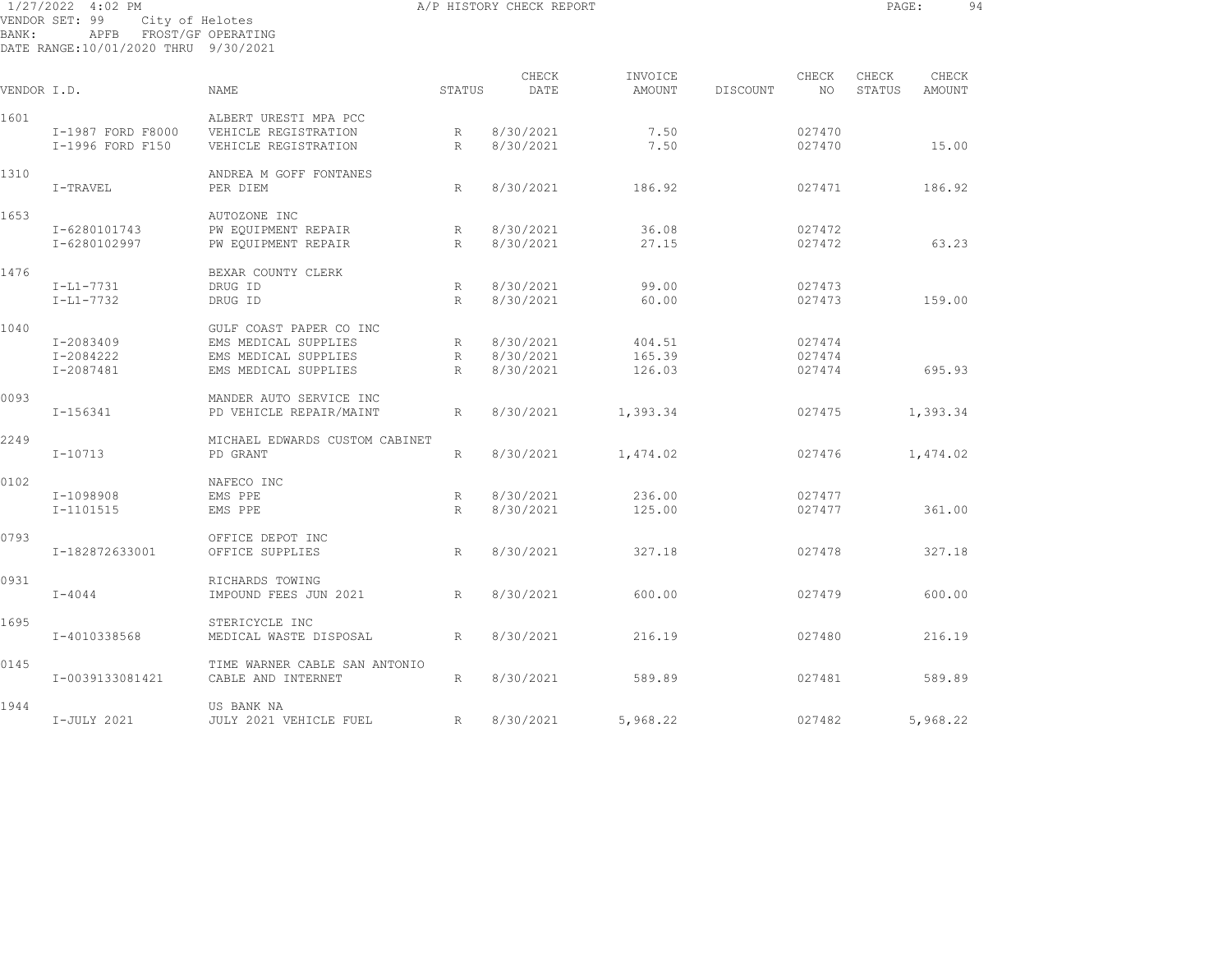| BANK:       | 1/27/2022 4:02 PM<br>VENDOR SET: 99<br>APFB FROST/GF OPERATING<br>DATE RANGE:10/01/2020 THRU 9/30/2021 | City of Helotes                |              | A/P HISTORY CHECK REPORT |          |          |        | PAGE:  | 94       |  |
|-------------|--------------------------------------------------------------------------------------------------------|--------------------------------|--------------|--------------------------|----------|----------|--------|--------|----------|--|
|             |                                                                                                        |                                |              | CHECK                    | INVOICE  |          | CHECK  | CHECK  | CHECK    |  |
| VENDOR I.D. |                                                                                                        | <b>NAME</b>                    | STATUS       | DATE                     | AMOUNT   | DISCOUNT | NO     | STATUS | AMOUNT   |  |
| 1601        |                                                                                                        | ALBERT URESTI MPA PCC          |              |                          |          |          |        |        |          |  |
|             | I-1987 FORD F8000                                                                                      | VEHICLE REGISTRATION           | R            | 8/30/2021                | 7.50     |          | 027470 |        |          |  |
|             | I-1996 FORD F150                                                                                       | VEHICLE REGISTRATION           | R            | 8/30/2021                | 7.50     |          | 027470 |        | 15.00    |  |
| 1310        |                                                                                                        | ANDREA M GOFF FONTANES         |              |                          |          |          |        |        |          |  |
|             | I-TRAVEL                                                                                               | PER DIEM                       | R            | 8/30/2021                | 186.92   |          | 027471 |        | 186.92   |  |
| 1653        |                                                                                                        | AUTOZONE INC                   |              |                          |          |          |        |        |          |  |
|             | I-6280101743                                                                                           | PW EQUIPMENT REPAIR            | R            | 8/30/2021                | 36.08    |          | 027472 |        |          |  |
|             | I-6280102997                                                                                           | PW EQUIPMENT REPAIR            | R            | 8/30/2021                | 27.15    |          | 027472 |        | 63.23    |  |
| 1476        |                                                                                                        | BEXAR COUNTY CLERK             |              |                          |          |          |        |        |          |  |
|             | $I-L1-7731$                                                                                            | DRUG ID                        | R            | 8/30/2021                | 99.00    |          | 027473 |        |          |  |
|             | $I-L1-7732$                                                                                            | DRUG ID                        | R            | 8/30/2021                | 60.00    |          | 027473 |        | 159.00   |  |
| 1040        |                                                                                                        | GULF COAST PAPER CO INC        |              |                          |          |          |        |        |          |  |
|             | I-2083409                                                                                              | EMS MEDICAL SUPPLIES           | R            | 8/30/2021                | 404.51   |          | 027474 |        |          |  |
|             | I-2084222                                                                                              | EMS MEDICAL SUPPLIES           | R            | 8/30/2021                | 165.39   |          | 027474 |        |          |  |
|             | I-2087481                                                                                              | EMS MEDICAL SUPPLIES           | R            | 8/30/2021                | 126.03   |          | 027474 |        | 695.93   |  |
| 0093        |                                                                                                        | MANDER AUTO SERVICE INC        |              |                          |          |          |        |        |          |  |
|             | $I - 156341$                                                                                           | PD VEHICLE REPAIR/MAINT        | R            | 8/30/2021                | 1,393.34 |          | 027475 |        | 1,393.34 |  |
| 2249        |                                                                                                        | MICHAEL EDWARDS CUSTOM CABINET |              |                          |          |          |        |        |          |  |
|             | $I - 10713$                                                                                            | PD GRANT                       | R            | 8/30/2021                | 1,474.02 |          | 027476 |        | 1,474.02 |  |
| 0102        |                                                                                                        | NAFECO INC                     |              |                          |          |          |        |        |          |  |
|             | I-1098908                                                                                              | EMS PPE                        | R            | 8/30/2021                | 236.00   |          | 027477 |        |          |  |
|             | I-1101515                                                                                              | EMS PPE                        | R            | 8/30/2021                | 125.00   |          | 027477 |        | 361.00   |  |
| 0793        |                                                                                                        | OFFICE DEPOT INC               |              |                          |          |          |        |        |          |  |
|             | I-182872633001                                                                                         | OFFICE SUPPLIES                | R            | 8/30/2021                | 327.18   |          | 027478 |        | 327.18   |  |
| 0931        |                                                                                                        | RICHARDS TOWING                |              |                          |          |          |        |        |          |  |
|             | $I - 4044$                                                                                             | IMPOUND FEES JUN 2021          | $\mathbb{R}$ | 8/30/2021                | 600.00   |          | 027479 |        | 600.00   |  |
| 1695        |                                                                                                        | STERICYCLE INC                 |              |                          |          |          |        |        |          |  |
|             | I-4010338568                                                                                           | MEDICAL WASTE DISPOSAL         | R            | 8/30/2021                | 216.19   |          | 027480 |        | 216.19   |  |
| 0145        |                                                                                                        | TIME WARNER CABLE SAN ANTONIO  |              |                          |          |          |        |        |          |  |
|             | I-0039133081421                                                                                        | CABLE AND INTERNET             | R            | 8/30/2021                | 589.89   |          | 027481 |        | 589.89   |  |
| 1944        |                                                                                                        | US BANK NA                     |              |                          |          |          |        |        |          |  |
|             | I-JULY 2021                                                                                            | JULY 2021 VEHICLE FUEL         | R            | 8/30/2021                | 5,968.22 |          | 027482 |        | 5,968.22 |  |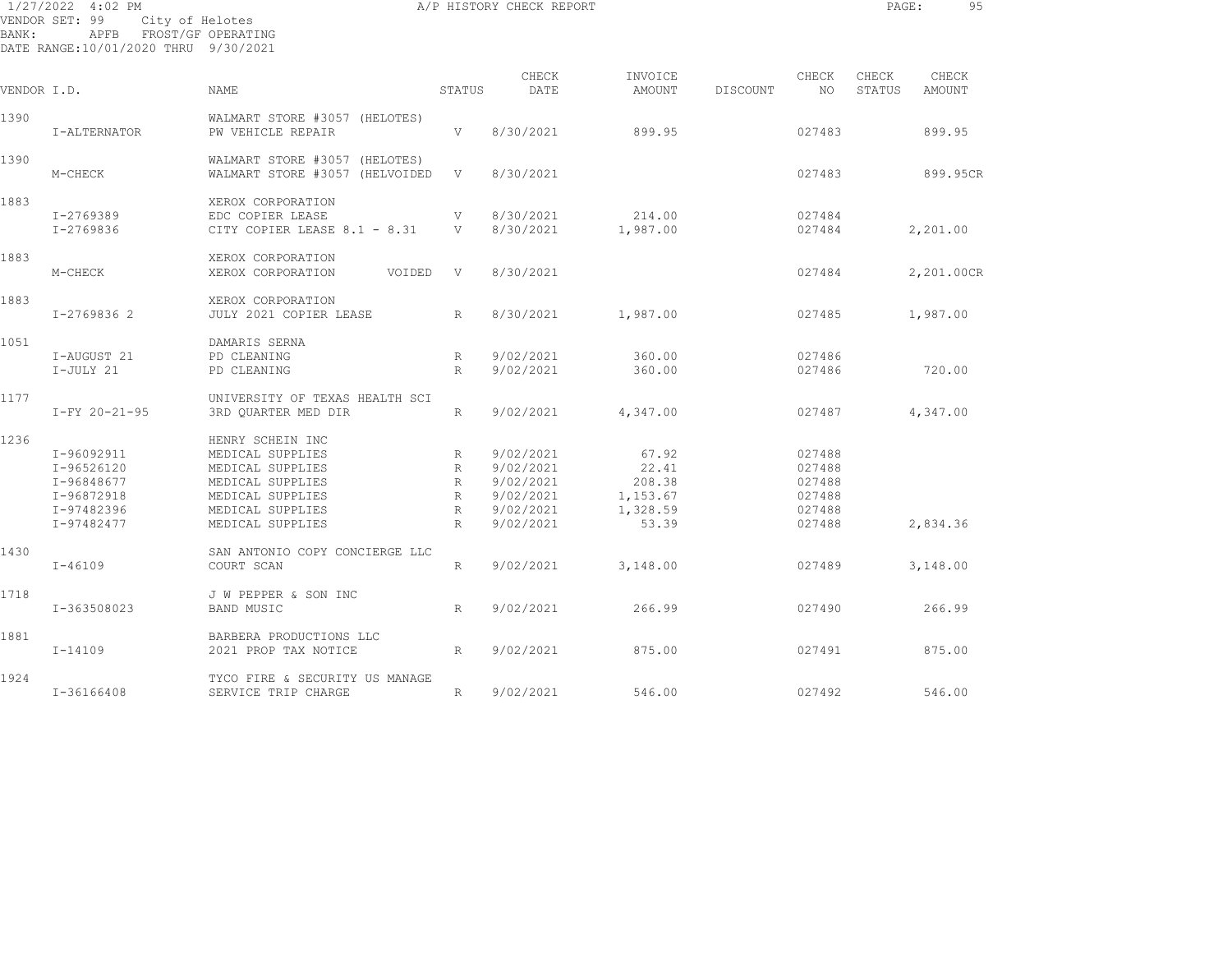|             | 1/27/2022 4:02 PM                                              |                                                                 |                   | A/P HISTORY CHECK REPORT |                    |          |                  | PAGE:           | 95              |
|-------------|----------------------------------------------------------------|-----------------------------------------------------------------|-------------------|--------------------------|--------------------|----------|------------------|-----------------|-----------------|
| BANK:       | VENDOR SET: 99<br>APFB<br>DATE RANGE:10/01/2020 THRU 9/30/2021 | City of Helotes<br>FROST/GF OPERATING                           |                   |                          |                    |          |                  |                 |                 |
|             |                                                                |                                                                 |                   |                          |                    |          |                  |                 |                 |
| VENDOR I.D. |                                                                | NAME                                                            | STATUS            | CHECK<br>DATE            | INVOICE<br>AMOUNT  | DISCOUNT | CHECK<br>NO.     | CHECK<br>STATUS | CHECK<br>AMOUNT |
| 1390        | I-ALTERNATOR                                                   | WALMART STORE #3057 (HELOTES)<br>PW VEHICLE REPAIR              | $\mathbf{V}$      | 8/30/2021                | 899.95             |          | 027483           |                 | 899.95          |
| 1390        | M-CHECK                                                        | WALMART STORE #3057 (HELOTES)<br>WALMART STORE #3057 (HELVOIDED | $\mathbf{V}$      | 8/30/2021                |                    |          | 027483           |                 | 899.95CR        |
| 1883        |                                                                | XEROX CORPORATION                                               |                   |                          |                    |          |                  |                 |                 |
|             | I-2769389<br>I-2769836                                         | EDC COPIER LEASE<br>CITY COPIER LEASE 8.1 - 8.31                | V<br>V            | 8/30/2021<br>8/30/2021   | 214.00<br>1,987.00 |          | 027484<br>027484 |                 | 2,201.00        |
| 1883        | M-CHECK                                                        | XEROX CORPORATION<br>XEROX CORPORATION<br>VOIDED                | V                 | 8/30/2021                |                    |          | 027484           |                 | 2,201.00CR      |
| 1883        |                                                                | XEROX CORPORATION                                               |                   |                          |                    |          |                  |                 |                 |
|             | I-2769836 2                                                    | JULY 2021 COPIER LEASE                                          | R                 | 8/30/2021                | 1,987.00           |          | 027485           |                 | 1,987.00        |
| 1051        |                                                                | DAMARIS SERNA                                                   |                   |                          |                    |          |                  |                 |                 |
|             | I-AUGUST 21<br>I-JULY 21                                       | PD CLEANING<br>PD CLEANING                                      | R<br>$\mathbb{R}$ | 9/02/2021<br>9/02/2021   | 360.00<br>360.00   |          | 027486<br>027486 |                 | 720.00          |
| 1177        |                                                                | UNIVERSITY OF TEXAS HEALTH SCI                                  |                   |                          |                    |          |                  |                 |                 |
|             | I-FY 20-21-95                                                  | 3RD QUARTER MED DIR                                             | $R_{\parallel}$   | 9/02/2021                | 4,347.00           |          | 027487           |                 | 4,347.00        |
| 1236        |                                                                | HENRY SCHEIN INC                                                |                   |                          |                    |          |                  |                 |                 |
|             | I-96092911                                                     | MEDICAL SUPPLIES                                                | R                 | 9/02/2021                | 67.92              |          | 027488           |                 |                 |
|             | I-96526120                                                     | MEDICAL SUPPLIES                                                | $R_{\parallel}$   | 9/02/2021                | 22.41              |          | 027488           |                 |                 |
|             | I-96848677                                                     | MEDICAL SUPPLIES                                                | $R_{\parallel}$   | 9/02/2021                | 208.38             |          | 027488           |                 |                 |
|             | I-96872918                                                     | MEDICAL SUPPLIES                                                | $R_{\parallel}$   | 9/02/2021                | 1,153.67           |          | 027488           |                 |                 |
|             | I-97482396                                                     | MEDICAL SUPPLIES                                                | $R_{\parallel}$   | 9/02/2021                | 1,328.59           |          | 027488           |                 |                 |
|             | I-97482477                                                     | MEDICAL SUPPLIES                                                | $R_{\odot}$       | 9/02/2021                | 53.39              |          | 027488           |                 | 2,834.36        |
| 1430        |                                                                | SAN ANTONIO COPY CONCIERGE LLC                                  |                   |                          |                    |          |                  |                 |                 |
|             | $I - 46109$                                                    | COURT SCAN                                                      | $R_{\parallel}$   | 9/02/2021                | 3,148.00           |          | 027489           |                 | 3,148.00        |
| 1718        |                                                                | J W PEPPER & SON INC                                            |                   |                          |                    |          |                  |                 |                 |
|             | I-363508023                                                    | <b>BAND MUSIC</b>                                               | $R_{\parallel}$   | 9/02/2021                | 266.99             |          | 027490           |                 | 266.99          |

I-14109 2021 PROP TAX NOTICE R 9/02/2021 875.00 027491 875.00

I-36166408 SERVICE TRIP CHARGE R 9/02/2021 546.00 027492 546.00

1881 BARBERA PRODUCTIONS LLC

1924 TYCO FIRE & SECURITY US MANAGE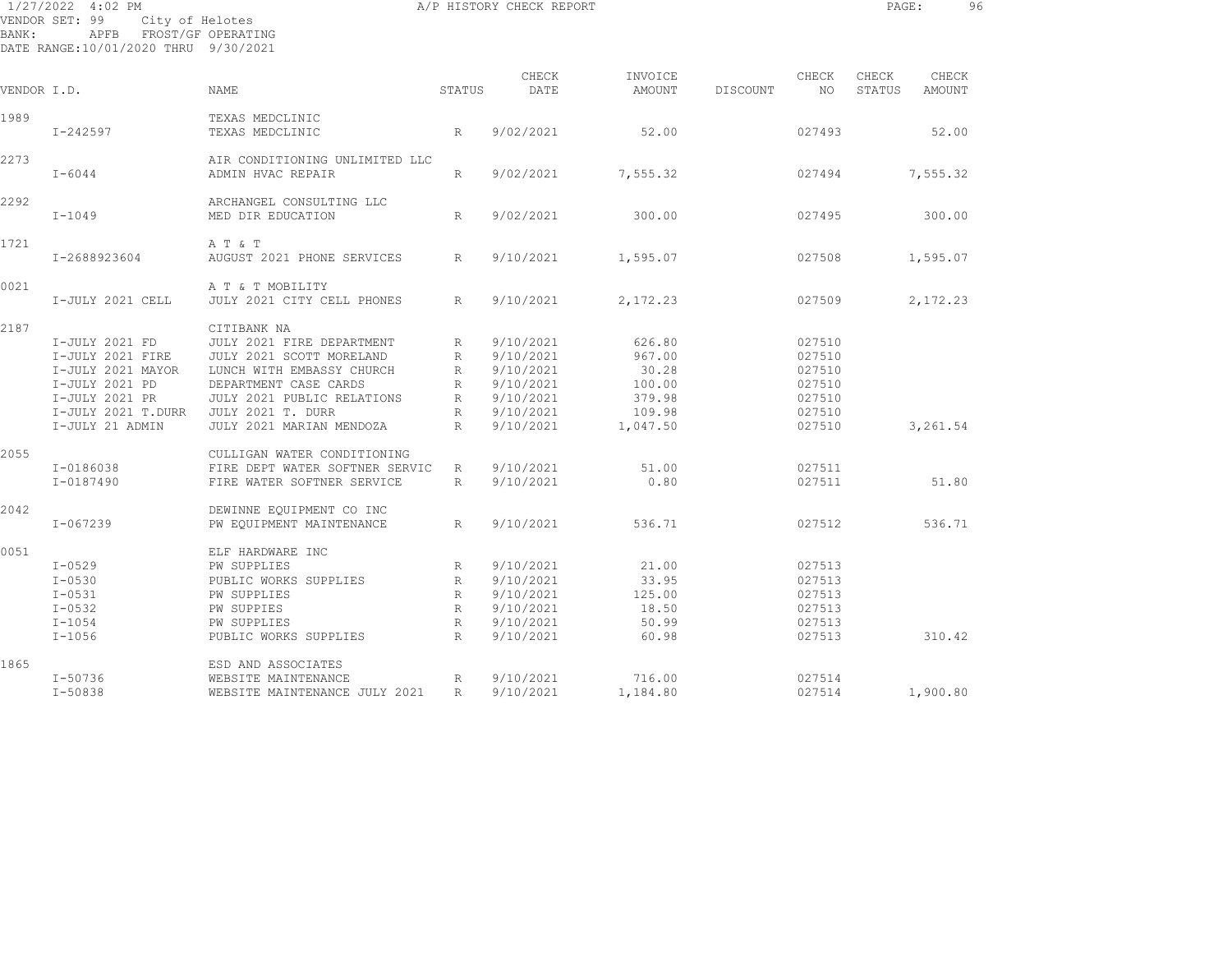| BANK:       | 1/27/2022 4:02 PM<br>VENDOR SET: 99<br>City of Helotes<br>APFB FROST/GF OPERATING<br>DATE RANGE:10/01/2020 THRU 9/30/2021            |                                                                                                                                                                                                           |                                                                    | A/P HISTORY CHECK REPORT                                                                |                                                                     |          |                                                                    | PAGE:           |                 | 96 |
|-------------|--------------------------------------------------------------------------------------------------------------------------------------|-----------------------------------------------------------------------------------------------------------------------------------------------------------------------------------------------------------|--------------------------------------------------------------------|-----------------------------------------------------------------------------------------|---------------------------------------------------------------------|----------|--------------------------------------------------------------------|-----------------|-----------------|----|
| VENDOR I.D. |                                                                                                                                      | NAME                                                                                                                                                                                                      | STATUS                                                             | CHECK<br>DATE                                                                           | INVOICE<br>AMOUNT                                                   | DISCOUNT | CHECK<br>NO                                                        | CHECK<br>STATUS | CHECK<br>AMOUNT |    |
|             |                                                                                                                                      |                                                                                                                                                                                                           |                                                                    |                                                                                         |                                                                     |          |                                                                    |                 |                 |    |
| 1989        | $I - 242597$                                                                                                                         | TEXAS MEDCLINIC<br>TEXAS MEDCLINIC                                                                                                                                                                        | R                                                                  | 9/02/2021                                                                               | 52.00                                                               |          | 027493                                                             |                 | 52.00           |    |
| 2273        | $I - 6044$                                                                                                                           | AIR CONDITIONING UNLIMITED LLC<br>ADMIN HVAC REPAIR                                                                                                                                                       | R                                                                  | 9/02/2021                                                                               | 7,555.32                                                            |          | 027494                                                             |                 | 7,555.32        |    |
| 2292        | $I-1049$                                                                                                                             | ARCHANGEL CONSULTING LLC<br>MED DIR EDUCATION                                                                                                                                                             | R                                                                  | 9/02/2021                                                                               | 300.00                                                              |          | 027495                                                             |                 | 300.00          |    |
| 1721        | I-2688923604                                                                                                                         | A T & T<br>AUGUST 2021 PHONE SERVICES                                                                                                                                                                     | $\mathbb{R}$                                                       | 9/10/2021                                                                               | 1,595.07                                                            |          | 027508                                                             |                 | 1,595.07        |    |
| 0021        | I-JULY 2021 CELL                                                                                                                     | A T & T MOBILITY<br>JULY 2021 CITY CELL PHONES                                                                                                                                                            | R                                                                  | 9/10/2021                                                                               | 2,172.23                                                            |          | 027509                                                             |                 | 2,172.23        |    |
| 2187        | I-JULY 2021 FD<br>I-JULY 2021 FIRE<br>I-JULY 2021 MAYOR<br>I-JULY 2021 PD<br>I-JULY 2021 PR<br>I-JULY 2021 T.DURR<br>I-JULY 21 ADMIN | CITIBANK NA<br>JULY 2021 FIRE DEPARTMENT<br>JULY 2021 SCOTT MORELAND<br>LUNCH WITH EMBASSY CHURCH<br>DEPARTMENT CASE CARDS<br>JULY 2021 PUBLIC RELATIONS<br>JULY 2021 T. DURR<br>JULY 2021 MARIAN MENDOZA | R<br>$R_{\perp}$<br>R<br>R<br>R<br>$R_{\parallel}$<br>$\mathbb{R}$ | 9/10/2021<br>9/10/2021<br>9/10/2021<br>9/10/2021<br>9/10/2021<br>9/10/2021<br>9/10/2021 | 626.80<br>967.00<br>30.28<br>100.00<br>379.98<br>109.98<br>1,047.50 |          | 027510<br>027510<br>027510<br>027510<br>027510<br>027510<br>027510 |                 | 3,261.54        |    |
| 2055        | I-0186038<br>I-0187490                                                                                                               | CULLIGAN WATER CONDITIONING<br>FIRE DEPT WATER SOFTNER SERVIC<br>FIRE WATER SOFTNER SERVICE                                                                                                               | R<br>R                                                             | 9/10/2021<br>9/10/2021                                                                  | 51.00<br>0.80                                                       |          | 027511<br>027511                                                   |                 | 51.80           |    |
| 2042        | I-067239                                                                                                                             | DEWINNE EQUIPMENT CO INC<br>PW EOUIPMENT MAINTENANCE                                                                                                                                                      | $R_{\odot}$                                                        | 9/10/2021                                                                               | 536.71                                                              |          | 027512                                                             |                 | 536.71          |    |
| 0051        | $I - 0529$<br>$I - 0530$<br>$I - 0531$<br>$I - 0532$<br>$I-1054$<br>$I-1056$                                                         | ELF HARDWARE INC<br>PW SUPPLIES<br>PUBLIC WORKS SUPPLIES<br>PW SUPPLIES<br>PW SUPPIES<br>PW SUPPLIES<br>PUBLIC WORKS SUPPLIES                                                                             | R<br>R<br>R<br>R<br>R<br>$R_{\parallel}$                           | 9/10/2021<br>9/10/2021<br>9/10/2021<br>9/10/2021<br>9/10/2021<br>9/10/2021              | 21.00<br>33.95<br>125.00<br>18.50<br>50.99<br>60.98                 |          | 027513<br>027513<br>027513<br>027513<br>027513<br>027513           |                 | 310.42          |    |
| 1865        | $I - 50736$                                                                                                                          | ESD AND ASSOCIATES<br>WEBSITE MAINTENANCE                                                                                                                                                                 | R                                                                  | 9/10/2021                                                                               | 716.00                                                              |          | 027514                                                             |                 |                 |    |

I-50838 WEBSITE MAINTENANCE JULY 2021 R 9/10/2021 1,184.80 027514 1,900.80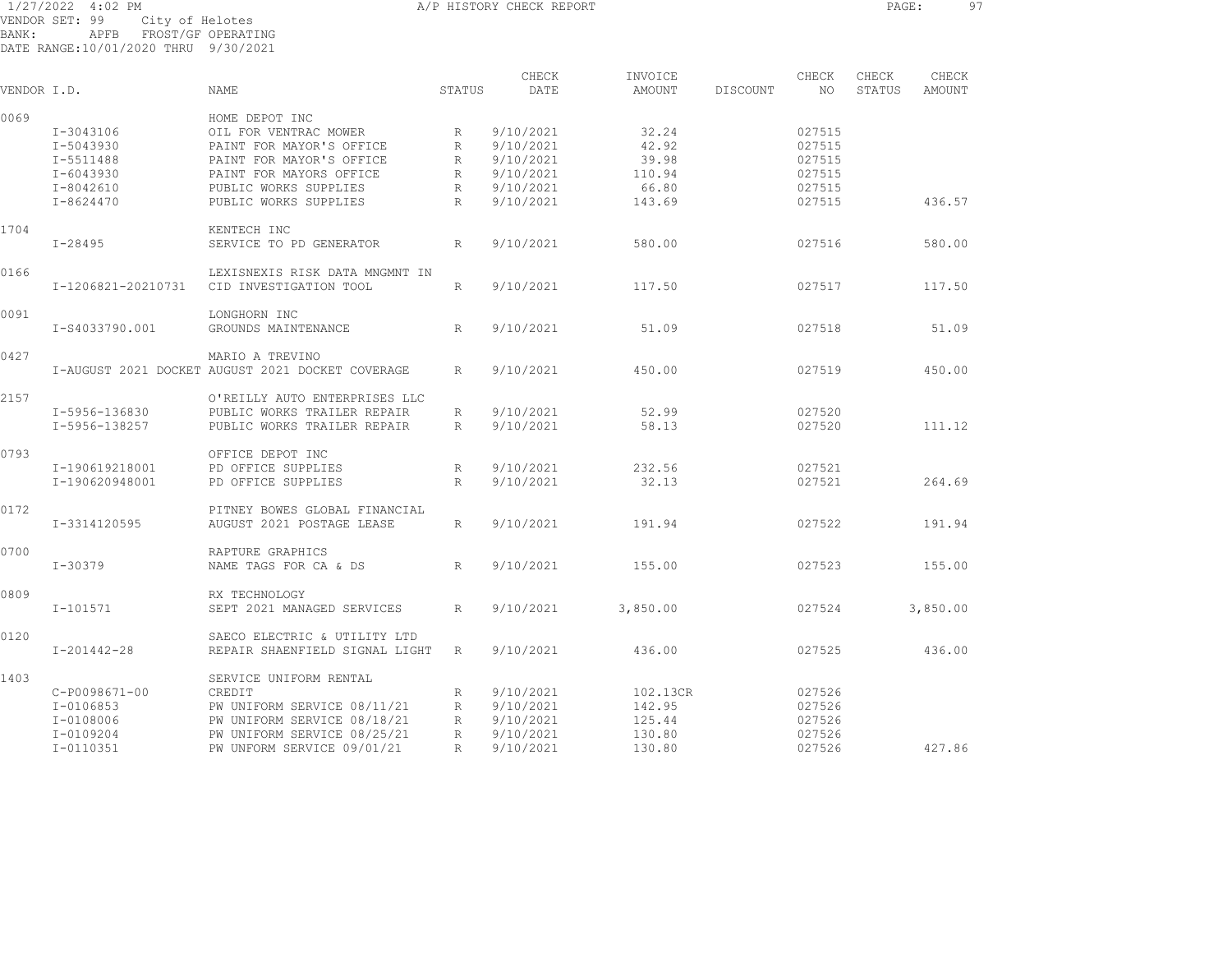1/27/2022 4:02 PM **A/P HISTORY CHECK REPORT PAGE:** 97 VENDOR SET: 99 City of Helotes BANK: APFB FROST/GF OPERATING DATE RANGE:10/01/2020 THRU 9/30/2021

CHECK INVOICE CHECK CHECK CHECK VENDOR I.D. NAME STATUS DATE AMOUNT DISCOUNT NO STATUS AMOUNT 0069 HOME DEPOT INC I-3043106 OIL FOR VENTRAC MOWER R 9/10/2021 32.24 027515 I-5043930 PAINT FOR MAYOR'S OFFICE R 9/10/2021 42.92 027515 I-5511488 PAINT FOR MAYOR'S OFFICE R 9/10/2021 39.98 027515 I-6043930 PAINT FOR MAYORS OFFICE R 9/10/2021 110.94 027515 I-8042610 PUBLIC WORKS SUPPLIES R 9/10/2021 66.80 027515 I-8624470 PUBLIC WORKS SUPPLIES R 9/10/2021 143.69 027515 436.57 1704 KENTECH INC I-28495 SERVICE TO PD GENERATOR R 9/10/2021 580.00 027516 580.00 0166 LEXISNEXIS RISK DATA MNGMNT IN I-1206821-20210731 CID INVESTIGATION TOOL R 9/10/2021 117.50 027517 117.50 0091 LONGHORN INC I-S4033790.001 GROUNDS MAINTENANCE R 9/10/2021 51.09 027518 51.09 0427 MARIO A TREVINO I-AUGUST 2021 DOCKET AUGUST 2021 DOCKET COVERAGE R 9/10/2021 450.00 027519 450.00 2157 O'REILLY AUTO ENTERPRISES LLC I-5956-136830 PUBLIC WORKS TRAILER REPAIR R 9/10/2021 52.99 027520 I-5956-138257 PUBLIC WORKS TRAILER REPAIR R 9/10/2021 58.13 027520 111.12 0793 OFFICE DEPOT INC I-190619218001 PD OFFICE SUPPLIES R 9/10/2021 232.56 027521 I-190620948001 PD OFFICE SUPPLIES R 9/10/2021 32.13 027521 264.69 0172 **PITNEY BOWES GLOBAL FINANCIAL**  I-3314120595 AUGUST 2021 POSTAGE LEASE R 9/10/2021 191.94 027522 191.94 0700 RAPTURE GRAPHICS I-30379 NAME TAGS FOR CA & DS R 9/10/2021 155.00 027523 155.00 0809 RX TECHNOLOGY I-101571 SEPT 2021 MANAGED SERVICES R 9/10/2021 3,850.00 027524 3,850.00 0120 SAECO ELECTRIC & UTILITY LTD I-201442-28 REPAIR SHAENFIELD SIGNAL LIGHT R 9/10/2021 436.00 027525 436.00 1403 SERVICE UNIFORM RENTAL C-P0098671-00 CREDIT R 9/10/2021 102.13CR 027526 I-0106853 PW UNIFORM SERVICE 08/11/21 R 9/10/2021 142.95 027526 I-0108006 PW UNIFORM SERVICE 08/18/21 R 9/10/2021 125.44 027526 I-0109204 PW UNIFORM SERVICE 08/25/21 R 9/10/2021 130.80 027526 I-0110351 PW UNFORM SERVICE 09/01/21 R 9/10/2021 130.80 027526 427.86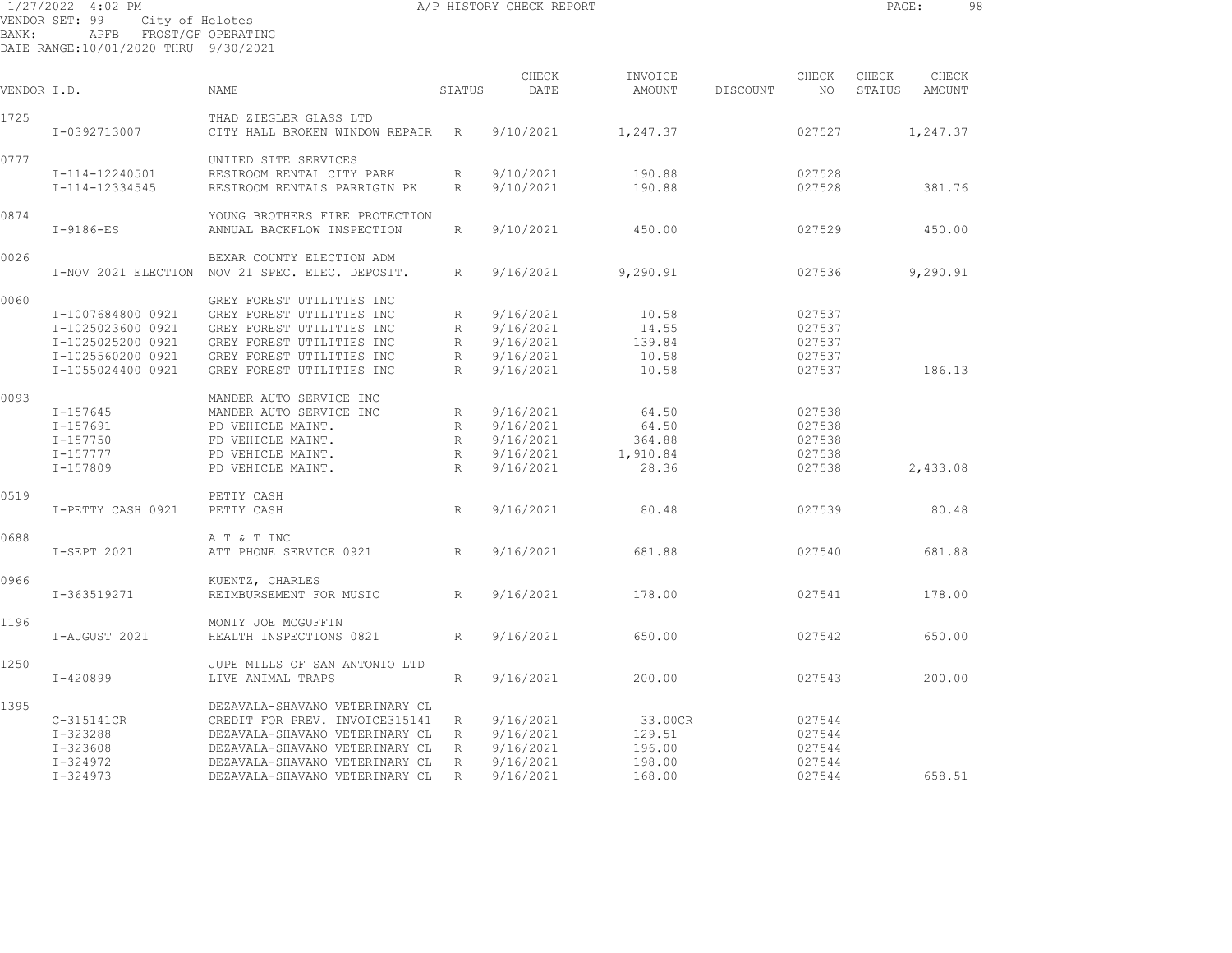| 1/27/2022 4:02 PM                                                |      |                                       |        | A/P HISTORY CHECK REPORT |                   |          |             | PAGE:           |                 | 98 |
|------------------------------------------------------------------|------|---------------------------------------|--------|--------------------------|-------------------|----------|-------------|-----------------|-----------------|----|
| VENDOR SET: 99<br>BANK:<br>DATE RANGE: 10/01/2020 THRU 9/30/2021 | APFB | City of Helotes<br>FROST/GF OPERATING |        |                          |                   |          |             |                 |                 |    |
| VENDOR I.D.                                                      |      | NAME                                  | STATUS | CHECK<br>DATE            | INVOICE<br>AMOUNT | DISCOUNT | CHECK<br>NO | CHECK<br>STATUS | CHECK<br>AMOUNT |    |

| VENDOR I.D. |                   | NAME                                                       | STATUS          | DATE      | AMOUNT   | DISCOUNT | NO.    | STATUS | AMOUNT   |  |
|-------------|-------------------|------------------------------------------------------------|-----------------|-----------|----------|----------|--------|--------|----------|--|
| 1725        | I-0392713007      | THAD ZIEGLER GLASS LTD<br>CITY HALL BROKEN WINDOW REPAIR R |                 | 9/10/2021 | 1,247.37 |          | 027527 |        | 1,247.37 |  |
| 0777        |                   | UNITED SITE SERVICES                                       |                 |           |          |          |        |        |          |  |
|             | I-114-12240501    | RESTROOM RENTAL CITY PARK                                  | R               | 9/10/2021 | 190.88   |          | 027528 |        |          |  |
|             | I-114-12334545    | RESTROOM RENTALS PARRIGIN PK                               | $R_{\parallel}$ | 9/10/2021 | 190.88   |          | 027528 |        | 381.76   |  |
|             |                   |                                                            |                 |           |          |          |        |        |          |  |
| 0874        |                   | YOUNG BROTHERS FIRE PROTECTION                             |                 |           |          |          |        |        |          |  |
|             | $I-9186-ES$       | ANNUAL BACKFLOW INSPECTION                                 | R               | 9/10/2021 | 450.00   |          | 027529 |        | 450.00   |  |
| 0026        |                   | BEXAR COUNTY ELECTION ADM                                  |                 |           |          |          |        |        |          |  |
|             |                   | I-NOV 2021 ELECTION NOV 21 SPEC. ELEC. DEPOSIT.            | R               | 9/16/2021 | 9,290.91 |          | 027536 |        | 9,290.91 |  |
| 0060        |                   | GREY FOREST UTILITIES INC                                  |                 |           |          |          |        |        |          |  |
|             | I-1007684800 0921 | GREY FOREST UTILITIES INC                                  | R               | 9/16/2021 | 10.58    |          | 027537 |        |          |  |
|             | I-1025023600 0921 | GREY FOREST UTILITIES INC                                  | R               | 9/16/2021 | 14.55    |          | 027537 |        |          |  |
|             | I-1025025200 0921 | GREY FOREST UTILITIES INC                                  | R               | 9/16/2021 | 139.84   |          | 027537 |        |          |  |
|             | I-1025560200 0921 | GREY FOREST UTILITIES INC                                  | $R_{\rm}$       | 9/16/2021 | 10.58    |          | 027537 |        |          |  |
|             |                   |                                                            |                 |           |          |          |        |        |          |  |
|             | I-1055024400 0921 | GREY FOREST UTILITIES INC                                  | R               | 9/16/2021 | 10.58    |          | 027537 |        | 186.13   |  |
| 0093        |                   | MANDER AUTO SERVICE INC                                    |                 |           |          |          |        |        |          |  |
|             | $I - 157645$      | MANDER AUTO SERVICE INC                                    | R               | 9/16/2021 | 64.50    |          | 027538 |        |          |  |
|             | I-157691          | PD VEHICLE MAINT.                                          | $R_{\parallel}$ | 9/16/2021 | 64.50    |          | 027538 |        |          |  |
|             | I-157750          | FD VEHICLE MAINT.                                          | R               | 9/16/2021 | 364.88   |          | 027538 |        |          |  |
|             | I-157777          | PD VEHICLE MAINT.                                          | R               | 9/16/2021 | 1,910.84 |          | 027538 |        |          |  |
|             | I-157809          | PD VEHICLE MAINT.                                          | R               | 9/16/2021 | 28.36    |          | 027538 |        | 2,433.08 |  |
|             |                   |                                                            |                 |           |          |          |        |        |          |  |
| 0519        |                   | PETTY CASH                                                 |                 |           |          |          |        |        |          |  |
|             | I-PETTY CASH 0921 | PETTY CASH                                                 | R               | 9/16/2021 | 80.48    |          | 027539 |        | 80.48    |  |
| 0688        |                   | A T & T INC                                                |                 |           |          |          |        |        |          |  |
|             | I-SEPT 2021       | ATT PHONE SERVICE 0921                                     | R               | 9/16/2021 | 681.88   |          | 027540 |        | 681.88   |  |
|             |                   |                                                            |                 |           |          |          |        |        |          |  |
| 0966        |                   | KUENTZ, CHARLES                                            |                 |           |          |          |        |        |          |  |
|             | I-363519271       | REIMBURSEMENT FOR MUSIC                                    | R               | 9/16/2021 | 178.00   |          | 027541 |        | 178.00   |  |
| 1196        |                   | MONTY JOE MCGUFFIN                                         |                 |           |          |          |        |        |          |  |
|             | I-AUGUST 2021     | HEALTH INSPECTIONS 0821                                    | R               | 9/16/2021 | 650.00   |          | 027542 |        | 650.00   |  |
| 1250        |                   | JUPE MILLS OF SAN ANTONIO LTD                              |                 |           |          |          |        |        |          |  |
|             | $I - 420899$      | LIVE ANIMAL TRAPS                                          | R               | 9/16/2021 | 200.00   |          | 027543 |        | 200.00   |  |
|             |                   |                                                            |                 |           |          |          |        |        |          |  |
| 1395        |                   | DEZAVALA-SHAVANO VETERINARY CL                             |                 |           |          |          |        |        |          |  |
|             | C-315141CR        | CREDIT FOR PREV. INVOICE315141                             | $R_{\parallel}$ | 9/16/2021 | 33.00CR  |          | 027544 |        |          |  |
|             | I-323288          | DEZAVALA-SHAVANO VETERINARY CL                             | R               | 9/16/2021 | 129.51   |          | 027544 |        |          |  |
|             | $I - 323608$      | DEZAVALA-SHAVANO VETERINARY CL                             | R               | 9/16/2021 | 196.00   |          | 027544 |        |          |  |
|             | I-324972          | DEZAVALA-SHAVANO VETERINARY CL                             | R               | 9/16/2021 | 198.00   |          | 027544 |        |          |  |
|             | $I - 324973$      | DEZAVALA-SHAVANO VETERINARY CL                             | R               | 9/16/2021 | 168.00   |          | 027544 |        | 658.51   |  |
|             |                   |                                                            |                 |           |          |          |        |        |          |  |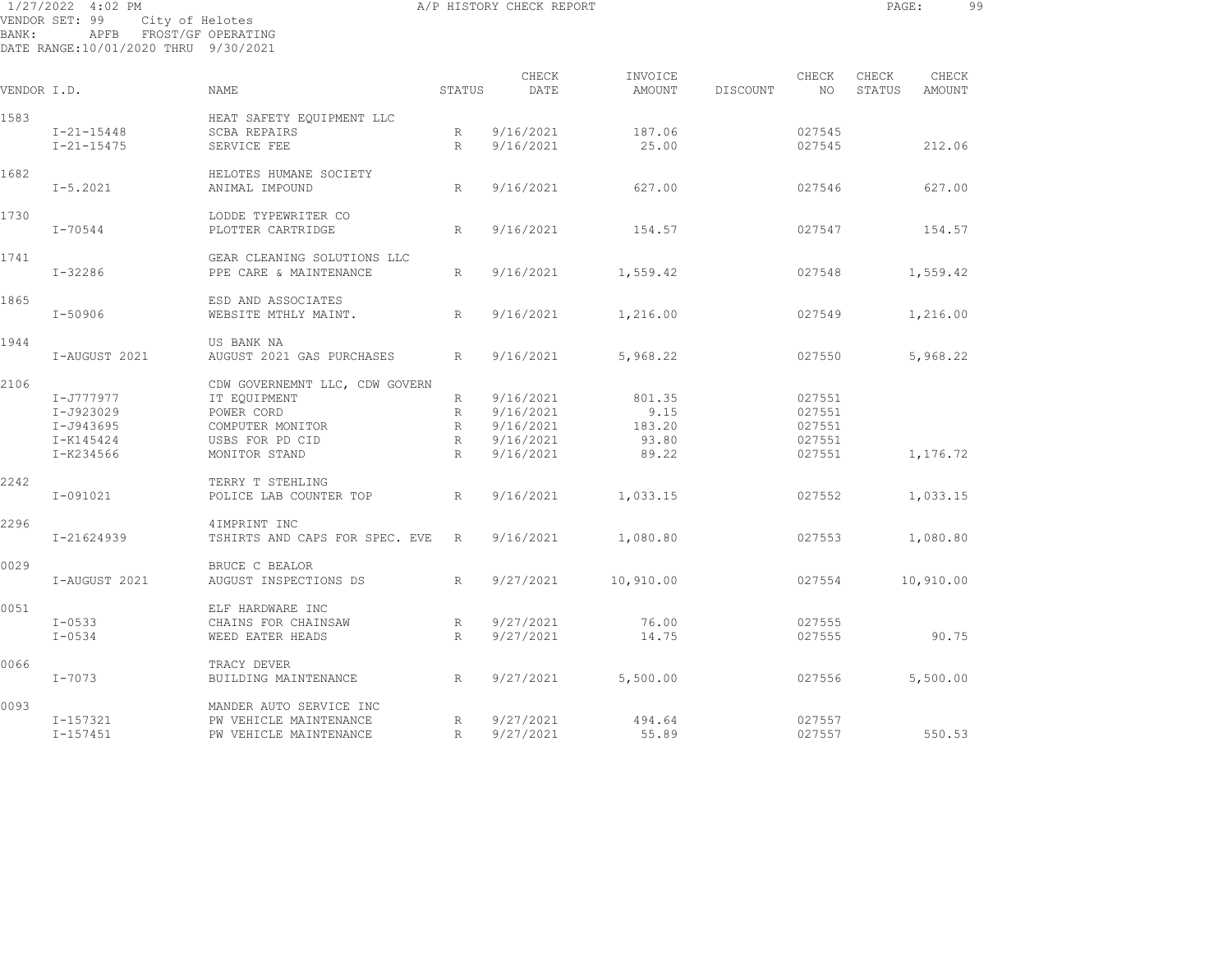| BANK:       | 1/27/2022 4:02 PM<br>VENDOR SET: 99<br>APFB FROST/GF OPERATING<br>DATE RANGE:10/01/2020 THRU 9/30/2021 | A/P HISTORY CHECK REPORT<br>City of Helotes    |                 |               |                   |          |             |                 |                 | 9 <sub>9</sub> |  |
|-------------|--------------------------------------------------------------------------------------------------------|------------------------------------------------|-----------------|---------------|-------------------|----------|-------------|-----------------|-----------------|----------------|--|
| VENDOR I.D. |                                                                                                        | NAME                                           | STATUS          | CHECK<br>DATE | INVOICE<br>AMOUNT | DISCOUNT | CHECK<br>NO | CHECK<br>STATUS | CHECK<br>AMOUNT |                |  |
|             |                                                                                                        |                                                |                 |               |                   |          |             |                 |                 |                |  |
| 1583        |                                                                                                        | HEAT SAFETY EQUIPMENT LLC                      |                 |               |                   |          |             |                 |                 |                |  |
|             | $I - 21 - 15448$                                                                                       | <b>SCBA REPAIRS</b>                            | R               | 9/16/2021     | 187.06            |          | 027545      |                 |                 |                |  |
|             | $I - 21 - 15475$                                                                                       | SERVICE FEE                                    | R               | 9/16/2021     | 25.00             |          | 027545      |                 | 212.06          |                |  |
| 1682        |                                                                                                        | HELOTES HUMANE SOCIETY                         |                 |               |                   |          |             |                 |                 |                |  |
|             | $I - 5.2021$                                                                                           | ANIMAL IMPOUND                                 | R               | 9/16/2021     | 627.00            |          | 027546      |                 | 627.00          |                |  |
| 1730        |                                                                                                        | LODDE TYPEWRITER CO                            |                 |               |                   |          |             |                 |                 |                |  |
|             | I-70544                                                                                                | PLOTTER CARTRIDGE                              | R               | 9/16/2021     | 154.57            |          | 027547      |                 | 154.57          |                |  |
| 1741        |                                                                                                        | GEAR CLEANING SOLUTIONS LLC                    |                 |               |                   |          |             |                 |                 |                |  |
|             | $I - 32286$                                                                                            | PPE CARE & MAINTENANCE                         | $R_{\parallel}$ | 9/16/2021     | 1,559.42          |          | 027548      |                 | 1,559.42        |                |  |
| 1865        |                                                                                                        | ESD AND ASSOCIATES                             |                 |               |                   |          |             |                 |                 |                |  |
|             | $I - 50906$                                                                                            | WEBSITE MTHLY MAINT.                           | R               | 9/16/2021     | 1,216.00          |          | 027549      |                 | 1,216.00        |                |  |
| 1944        |                                                                                                        | US BANK NA                                     |                 |               |                   |          |             |                 |                 |                |  |
|             | I-AUGUST 2021                                                                                          | AUGUST 2021 GAS PURCHASES                      | R               | 9/16/2021     | 5,968.22          |          | 027550      |                 | 5,968.22        |                |  |
| 2106        |                                                                                                        | CDW GOVERNEMNT LLC, CDW GOVERN                 |                 |               |                   |          |             |                 |                 |                |  |
|             | I-J777977                                                                                              | IT EQUIPMENT                                   | R               | 9/16/2021     | 801.35            |          | 027551      |                 |                 |                |  |
|             | I-J923029                                                                                              | POWER CORD                                     | R               | 9/16/2021     | 9.15              |          | 027551      |                 |                 |                |  |
|             | I-J943695                                                                                              | COMPUTER MONITOR                               | R               | 9/16/2021     | 183.20            |          | 027551      |                 |                 |                |  |
|             | I-K145424                                                                                              | USBS FOR PD CID                                | R               | 9/16/2021     | 93.80             |          | 027551      |                 |                 |                |  |
|             | I-K234566                                                                                              | MONITOR STAND                                  | R               | 9/16/2021     | 89.22             |          | 027551      |                 | 1,176.72        |                |  |
| 2242        |                                                                                                        | TERRY T STEHLING                               |                 |               |                   |          |             |                 |                 |                |  |
|             | I-091021                                                                                               | POLICE LAB COUNTER TOP                         | R               | 9/16/2021     | 1,033.15          |          | 027552      |                 | 1,033.15        |                |  |
|             |                                                                                                        |                                                |                 |               |                   |          |             |                 |                 |                |  |
| 2296        | I-21624939                                                                                             | 4IMPRINT INC<br>TSHIRTS AND CAPS FOR SPEC. EVE | R               | 9/16/2021     | 1,080.80          |          | 027553      |                 | 1,080.80        |                |  |
|             |                                                                                                        |                                                |                 |               |                   |          |             |                 |                 |                |  |
| 0029        |                                                                                                        | BRUCE C BEALOR                                 |                 |               |                   |          |             |                 |                 |                |  |
|             | I-AUGUST 2021                                                                                          | AUGUST INSPECTIONS DS                          | $R_{\parallel}$ | 9/27/2021     | 10,910.00         |          | 027554      |                 | 10,910.00       |                |  |
| 0051        |                                                                                                        | ELF HARDWARE INC                               |                 |               |                   |          |             |                 |                 |                |  |
|             | $I - 0533$                                                                                             | CHAINS FOR CHAINSAW                            | R               | 9/27/2021     | 76.00             |          | 027555      |                 |                 |                |  |
|             | $I - 0534$                                                                                             | WEED EATER HEADS                               | R               | 9/27/2021     | 14.75             |          | 027555      |                 | 90.75           |                |  |
| 0066        |                                                                                                        | TRACY DEVER                                    |                 |               |                   |          |             |                 |                 |                |  |
|             | $I - 7073$                                                                                             | BUILDING MAINTENANCE                           | $R_{\rm}$       | 9/27/2021     | 5,500.00          |          | 027556      |                 | 5,500.00        |                |  |

I-157321 PW VEHICLE MAINTENANCE R 9/27/2021 494.64 027557

I-157451 PW VEHICLE MAINTENANCE R 9/27/2021 55.89 027557 550.53

0093 MANDER AUTO SERVICE INC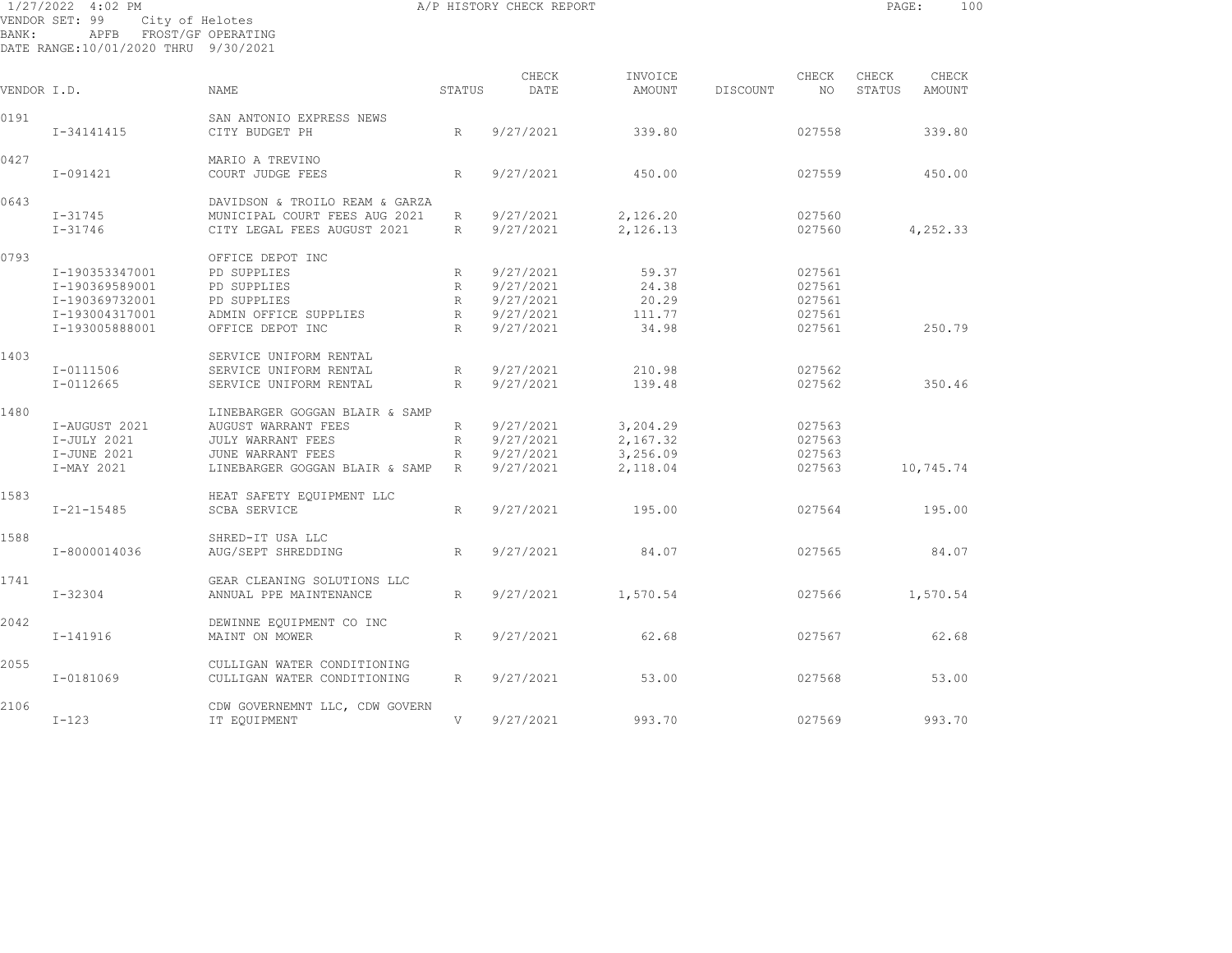| 1/27/2022 4:02 PM                    |      |                 |                    |
|--------------------------------------|------|-----------------|--------------------|
| VENDOR SET: 99                       |      | City of Helotes |                    |
| BANK:                                | APFB |                 | FROST/GF OPERATING |
| DATE RANGE:10/01/2020 THRU 9/30/2021 |      |                 |                    |

CHECK INVOICE CHECK CHECK CHECK VENDOR I.D. NAME STATUS DATE AMOUNT DISCOUNT NO STATUS AMOUNT 0191 SAN ANTONIO EXPRESS NEWSSAN ANTONIO EXPRESS NEWS I-34141415 CITY BUDGET PH R 9/27/2021 339.80 027558 339.80 0427 MARIO A TREVINO I-091421 COURT JUDGE FEES R 9/27/2021 450.00 027559 450.00 0643 DAVIDSON & TROILO REAM & GARZA I-31745 MUNICIPAL COURT FEES AUG 2021 R 9/27/2021 2,126.20 027560 I-31746 CITY LEGAL FEES AUGUST 2021 R 9/27/2021 2,126.13 027560 4,252.33 0793 OFFICE DEPOT INC I-190353347001 PD SUPPLIES R 9/27/2021 59.37 027561 I-190369589001 PD SUPPLIES R 9/27/2021 24.38 027561 I-190369732001 PD SUPPLIES R 9/27/2021 20.29 027561 I-193004317001 ADMIN OFFICE SUPPLIES R 9/27/2021 111.77 027561 I-193005888001 OFFICE DEPOT INC R 9/27/2021 34.98 027561 250.79 1403 SERVICE UNIFORM RENTAL I-0111506 SERVICE UNIFORM RENTAL R 9/27/2021 210.98 027562 I-0112665 SERVICE UNIFORM RENTAL R 9/27/2021 139.48 027562 350.46 1480 LINEBARGER GOGGAN BLAIR & SAMP I-AUGUST 2021 AUGUST WARRANT FEES R 9/27/2021 3,204.29 027563 I-JULY 2021 JULY WARRANT FEES R 9/27/2021 2,167.32 027563 I-JUNE 2021 JUNE WARRANT FEES R 9/27/2021 3,256.09 027563 I-MAY 2021 LINEBARGER GOGGAN BLAIR & SAMP R 9/27/2021 2,118.04 027563 10,745.74 1583 HEAT SAFETY EQUIPMENT LLC I-21-15485 SCBA SERVICE R 9/27/2021 195.00 027564 195.00 1588 SHRED-IT USA LLC I-8000014036 AUG/SEPT SHREDDING R 9/27/2021 84.07 027565 84.07 1741 GEAR CLEANING SOLUTIONS LLC I-32304 ANNUAL PPE MAINTENANCE R 9/27/2021 1,570.54 027566 1,570.54 2042 DEWINNE EQUIPMENT CO INC I-141916 MAINT ON MOWER R 9/27/2021 62.68 027567 62.68 2055 CULLIGAN WATER CONDITIONING I-0181069 CULLIGAN WATER CONDITIONING R 9/27/2021 53.00 027568 53.00 2106 CDW GOVERNEMNT LLC, CDW GOVERN I-123 IT EQUIPMENT V 9/27/2021 993.70 027569 993.70

A/P HISTORY CHECK REPORT **PAGE:** 100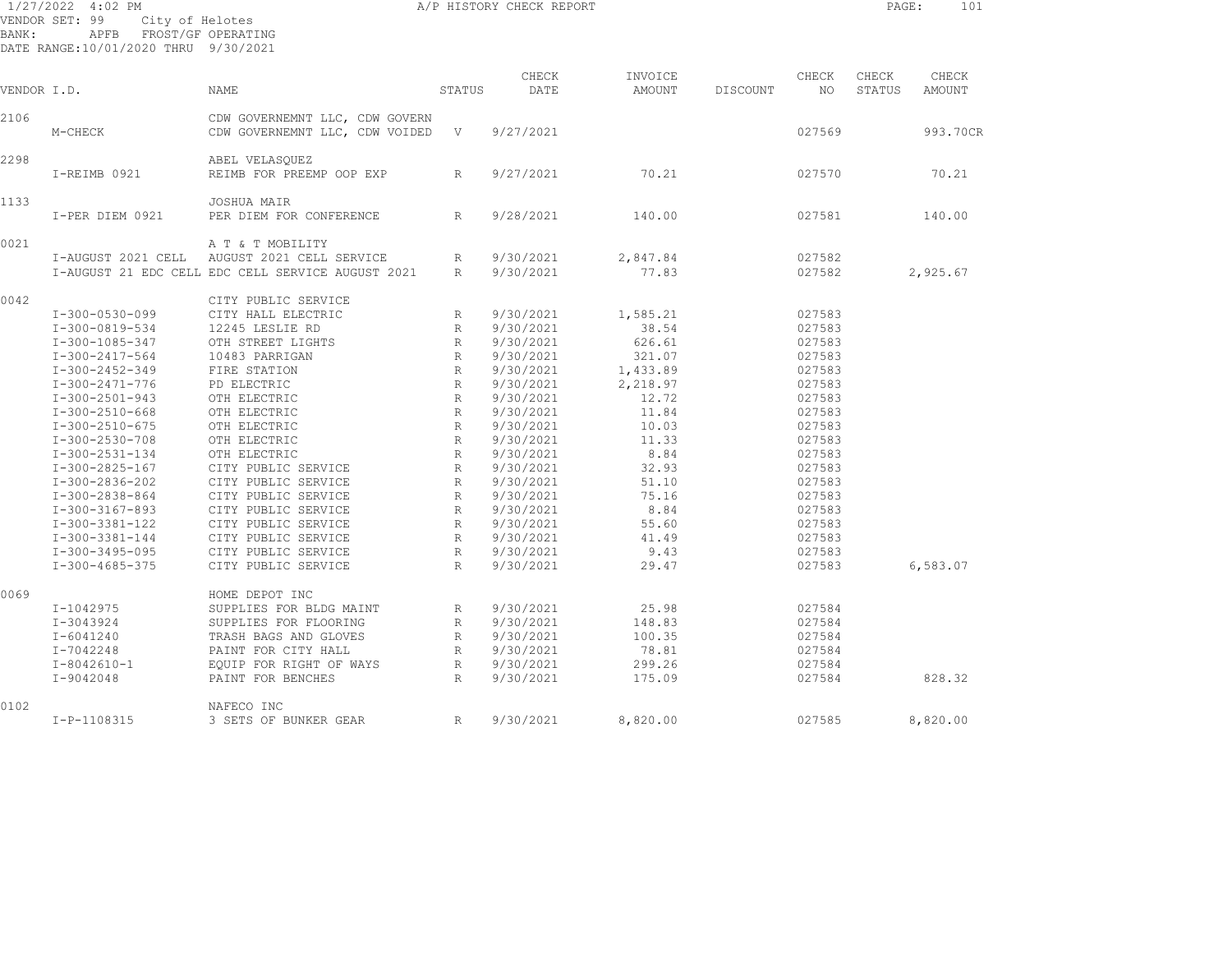| A/P HISTORY CHECK REPORT<br>1/27/2022 4:02 PM<br>City of Helotes<br>VENDOR SET: 99<br>APFB FROST/GF OPERATING<br>BANK:<br>DATE RANGE:10/01/2020 THRU 9/30/2021 |                                                                                                                                                                                                                                                                                              |                                                                                                                                                                                                                                                                                                                                       |                    |                                                                                                                                                                                                                                        |                                                                                                                                                       |          | PAGE:                                                                                                                                                        | 101             |                 |
|----------------------------------------------------------------------------------------------------------------------------------------------------------------|----------------------------------------------------------------------------------------------------------------------------------------------------------------------------------------------------------------------------------------------------------------------------------------------|---------------------------------------------------------------------------------------------------------------------------------------------------------------------------------------------------------------------------------------------------------------------------------------------------------------------------------------|--------------------|----------------------------------------------------------------------------------------------------------------------------------------------------------------------------------------------------------------------------------------|-------------------------------------------------------------------------------------------------------------------------------------------------------|----------|--------------------------------------------------------------------------------------------------------------------------------------------------------------|-----------------|-----------------|
| VENDOR I.D.                                                                                                                                                    |                                                                                                                                                                                                                                                                                              | <b>NAME</b>                                                                                                                                                                                                                                                                                                                           | STATUS             | CHECK<br>DATE                                                                                                                                                                                                                          | INVOICE<br>AMOUNT                                                                                                                                     | DISCOUNT | CHECK<br>NO                                                                                                                                                  | CHECK<br>STATUS | CHECK<br>AMOUNT |
| 2106                                                                                                                                                           | M-CHECK                                                                                                                                                                                                                                                                                      | CDW GOVERNEMNT LLC, CDW GOVERN<br>CDW GOVERNEMNT LLC, CDW VOIDED V                                                                                                                                                                                                                                                                    |                    | 9/27/2021                                                                                                                                                                                                                              |                                                                                                                                                       |          | 027569                                                                                                                                                       |                 | 993.70CR        |
| 2298                                                                                                                                                           | I-REIMB 0921                                                                                                                                                                                                                                                                                 | ABEL VELASQUEZ<br>REIMB FOR PREEMP OOP EXP                                                                                                                                                                                                                                                                                            | R                  | 9/27/2021                                                                                                                                                                                                                              | 70.21                                                                                                                                                 |          | 027570                                                                                                                                                       |                 | 70.21           |
| 1133                                                                                                                                                           | I-PER DIEM 0921                                                                                                                                                                                                                                                                              | <b>JOSHUA MAIR</b><br>PER DIEM FOR CONFERENCE                                                                                                                                                                                                                                                                                         | R                  | 9/28/2021                                                                                                                                                                                                                              | 140.00                                                                                                                                                |          | 027581                                                                                                                                                       |                 | 140.00          |
| 0021                                                                                                                                                           |                                                                                                                                                                                                                                                                                              | A T & T MOBILITY<br>I-AUGUST 2021 CELL AUGUST 2021 CELL SERVICE<br>I-AUGUST 21 EDC CELL EDC CELL SERVICE AUGUST 2021                                                                                                                                                                                                                  | R                  | R 9/30/2021<br>9/30/2021                                                                                                                                                                                                               | 2,847.84<br>77.83                                                                                                                                     |          | 027582<br>027582                                                                                                                                             |                 | 2,925.67        |
| 0042                                                                                                                                                           | I-300-0530-099<br>I-300-0819-534<br>I-300-1085-347<br>I-300-2417-564<br>I-300-2452-349<br>I-300-2471-776<br>I-300-2501-943<br>I-300-2510-668<br>I-300-2510-675<br>I-300-2530-708<br>I-300-2531-134<br>I-300-2825-167<br>I-300-2836-202<br>I-300-2838-864<br>I-300-3167-893<br>I-300-3381-122 | CITY PUBLIC SERVICE<br>CITY HALL ELECTRIC<br>12245 LESLIE RD<br>OTH STREET LIGHTS<br>10483 PARRIGAN<br>FIRE STATION<br>PD ELECTRIC<br>OTH ELECTRIC<br>OTH ELECTRIC<br>OTH ELECTRIC<br>OTH ELECTRIC<br>OTH ELECTRIC<br>CITY PUBLIC SERVICE<br>CITY PUBLIC SERVICE<br>CITY PUBLIC SERVICE<br>CITY PUBLIC SERVICE<br>CITY PUBLIC SERVICE | $R \sim$<br>R<br>R | 9/30/2021<br>9/30/2021<br>R 9/30/2021<br>R 9/30/2021<br>R 9/30/2021<br>R 9/30/2021<br>R 9/30/2021<br>R 9/30/2021<br>R 9/30/2021<br>R 9/30/2021<br>9/30/2021<br>R 9/30/2021<br>R 9/30/2021<br>R 9/30/2021<br>R 9/30/2021<br>R 9/30/2021 | 1,585.21<br>38.54<br>626.61<br>321.07<br>1,433.89<br>2,218.97<br>12.72<br>11.84<br>10.03<br>11.33<br>8.84<br>32.93<br>51.10<br>75.16<br>8.84<br>55.60 |          | 027583<br>027583<br>027583<br>027583<br>027583<br>027583<br>027583<br>027583<br>027583<br>027583<br>027583<br>027583<br>027583<br>027583<br>027583<br>027583 |                 |                 |
| 0069                                                                                                                                                           | I-300-3381-144<br>I-300-3495-095<br>I-300-4685-375<br>I-1042975<br>I-3043924<br>I-6041240<br>I-7042248<br>I-8042610-1                                                                                                                                                                        | CITY PUBLIC SERVICE<br>CITY PUBLIC SERVICE<br>CITY PUBLIC SERVICE<br>HOME DEPOT INC<br>SUPPLIES FOR BLDG MAINT<br>SUPPLIES FOR FLOORING<br>TRASH BAGS AND GLOVES<br>PAINT FOR CITY HALL<br>EOUIP FOR RIGHT OF WAYS                                                                                                                    | R                  | R 9/30/2021<br>R 9/30/2021<br>9/30/2021<br>R 9/30/2021<br>R 9/30/2021<br>R 9/30/2021<br>R 9/30/2021<br>R 9/30/2021                                                                                                                     | 41.49<br>9.43<br>29.47<br>25.98<br>148.83<br>100.35<br>78.81<br>299.26                                                                                |          | 027583<br>027583<br>027583<br>027584<br>027584<br>027584<br>027584<br>027584                                                                                 |                 | 6,583.07        |
| 0102                                                                                                                                                           | I-9042048                                                                                                                                                                                                                                                                                    | PAINT FOR BENCHES<br>NAFECO INC                                                                                                                                                                                                                                                                                                       | R                  | 9/30/2021                                                                                                                                                                                                                              | 175.09                                                                                                                                                |          | 027584                                                                                                                                                       |                 | 828.32          |
|                                                                                                                                                                | I-P-1108315                                                                                                                                                                                                                                                                                  | 3 SETS OF BUNKER GEAR                                                                                                                                                                                                                                                                                                                 | R                  | 9/30/2021                                                                                                                                                                                                                              | 8,820.00                                                                                                                                              |          | 027585                                                                                                                                                       |                 | 8,820.00        |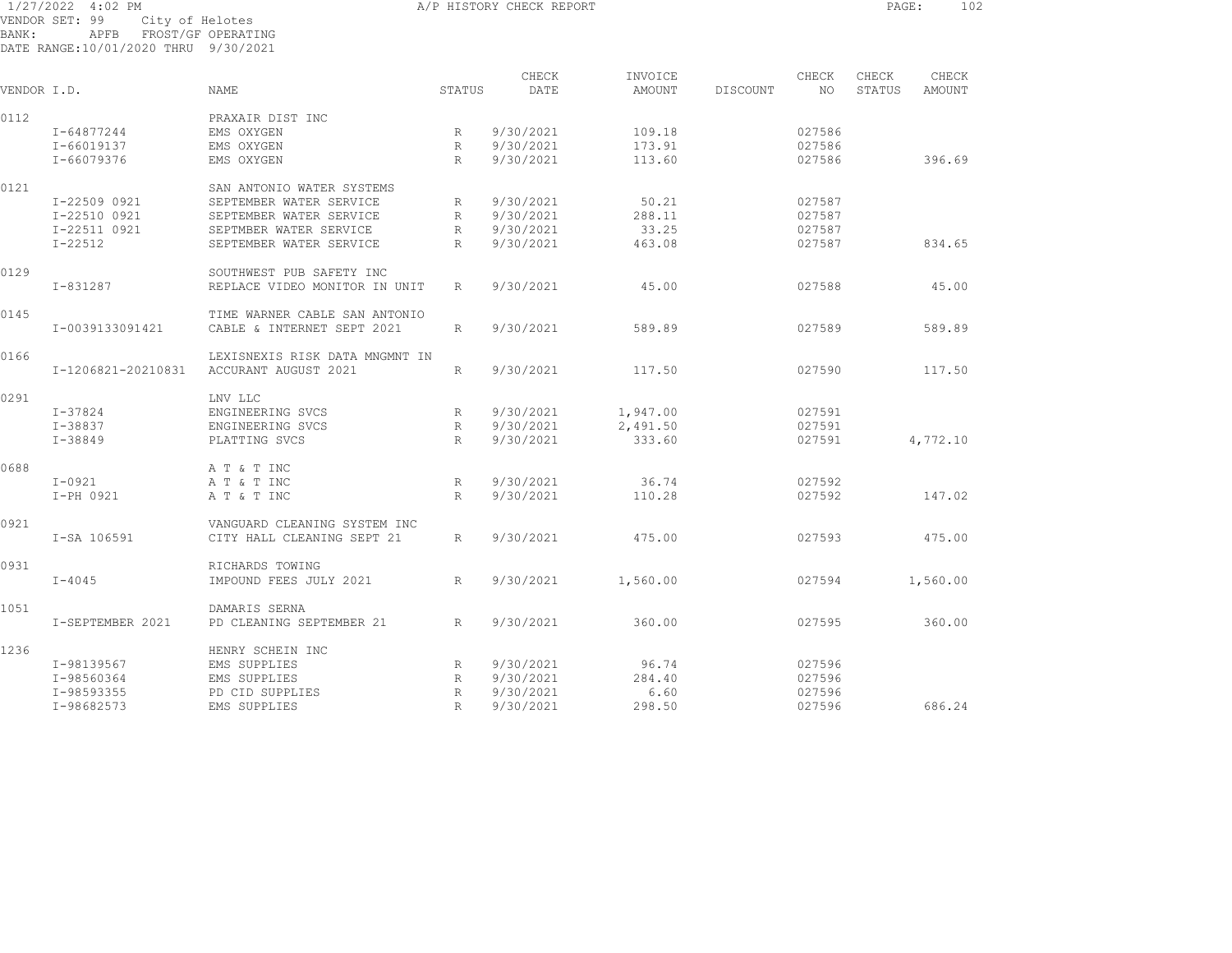1/27/2022 4:02 PM A/P HISTORY CHECK REPORT PAGE: 102 VENDOR SET: 99 City of Helotes BANK: APFB FROST/GF OPERATING DATE RANGE:10/01/2020 THRU 9/30/2021

CHECK INVOICE CHECK CHECK CHECK VENDOR I.D. NAME STATUS DATE AMOUNT DISCOUNT NO STATUS AMOUNT 0112 PRAXAIR DIST INC I-64877244 EMS OXYGEN R 9/30/2021 109.18 027586 I-66019137 EMS OXYGEN R 9/30/2021 173.91 027586 I-66079376 EMS OXYGEN R 9/30/2021 113.60 027586 396.69 0121 SAN ANTONIO WATER SYSTEMS I-22509 0921 SEPTEMBER WATER SERVICE R 9/30/2021 50.21 027587 I-22510 0921 SEPTEMBER WATER SERVICE R 9/30/2021 288.11 027587 I-22511 0921 SEPTMBER WATER SERVICE R 9/30/2021 33.25 027587 I-22512 SEPTEMBER WATER SERVICE R 9/30/2021 463.08 027587 834.65 0129 SOUTHWEST PUB SAFETY INC I-831287 REPLACE VIDEO MONITOR IN UNIT R 9/30/2021 45.00 027588 45.00 0145 TIME WARNER CABLE SAN ANTONIO I-0039133091421 CABLE & INTERNET SEPT 2021 R 9/30/2021 589.89 027589 589.89 0166 LEXISNEXIS RISK DATA MNGMNT IN I-1206821-20210831 ACCURANT AUGUST 2021 R 9/30/2021 117.50 027590 117.50 0291 LNV LLC I-37824 ENGINEERING SVCS R 9/30/2021 1,947.00 027591 I-38837 ENGINEERING SVCS R 9/30/2021 2,491.50 027591 I-38849 PLATTING SVCS R 9/30/2021 333.60 027591 4,772.10 0688 A T & T INC I-0921 A T & T INC R 9/30/2021 36.74 027592 I-PH 0921 A T & T INC R 9/30/2021 110.28 027592 147.02 0921 VANGUARD CLEANING SYSTEM INC I-SA 106591 CITY HALL CLEANING SEPT 21 R 9/30/2021 475.00 027593 475.00 0931 RICHARDS TOWING I-4045 IMPOUND FEES JULY 2021 R 9/30/2021 1,560.00 027594 1,560.00 1051 DAMARIS SERNA I-SEPTEMBER 2021 PD CLEANING SEPTEMBER 21 R 9/30/2021 360.00 027595 360.00 1236 HENRY SCHEIN INC I-98139567 EMS SUPPLIES R 9/30/2021 96.74 027596 I-98560364 EMS SUPPLIES R 9/30/2021 284.40 027596 I-98593355 PD CID SUPPLIES R 9/30/2021 6.60 027596 I-98682573 EMS SUPPLIES R 9/30/2021 298.50 027596 686.24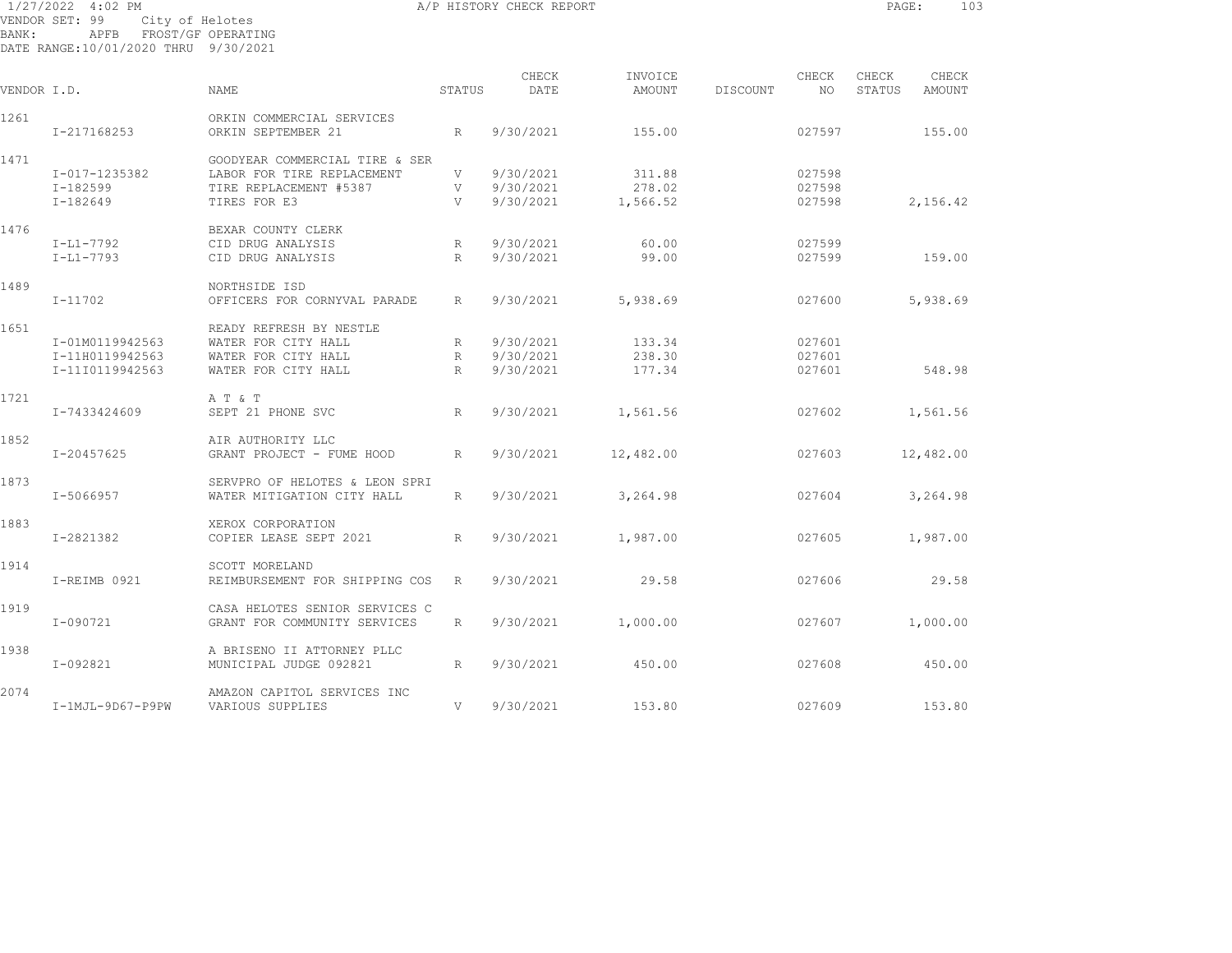| BANK:       | 1/27/2022 4:02 PM<br>VENDOR SET: 99<br>City of Helotes<br>APFB FROST/GF OPERATING<br>DATE RANGE:10/01/2020 THRU 9/30/2021 |                                                              |                 | A/P HISTORY CHECK REPORT |                   |          |              | PAGE:           | 103             |  |
|-------------|---------------------------------------------------------------------------------------------------------------------------|--------------------------------------------------------------|-----------------|--------------------------|-------------------|----------|--------------|-----------------|-----------------|--|
| VENDOR I.D. |                                                                                                                           | NAME                                                         | STATUS          | CHECK<br>DATE            | INVOICE<br>AMOUNT | DISCOUNT | CHECK<br>NO. | CHECK<br>STATUS | CHECK<br>AMOUNT |  |
|             |                                                                                                                           |                                                              |                 |                          |                   |          |              |                 |                 |  |
| 1261        | I-217168253                                                                                                               | ORKIN COMMERCIAL SERVICES<br>ORKIN SEPTEMBER 21              | R               | 9/30/2021                | 155.00            |          | 027597       |                 | 155.00          |  |
| 1471        |                                                                                                                           | GOODYEAR COMMERCIAL TIRE & SER                               |                 |                          |                   |          |              |                 |                 |  |
|             | I-017-1235382                                                                                                             | LABOR FOR TIRE REPLACEMENT                                   | V               | 9/30/2021                | 311.88            |          | 027598       |                 |                 |  |
|             | $I-182599$                                                                                                                | TIRE REPLACEMENT #5387                                       | V               | 9/30/2021                | 278.02            |          | 027598       |                 |                 |  |
|             | $I-182649$                                                                                                                | TIRES FOR E3                                                 | V               | 9/30/2021                | 1,566.52          |          | 027598       |                 | 2,156.42        |  |
| 1476        |                                                                                                                           | BEXAR COUNTY CLERK                                           |                 |                          |                   |          |              |                 |                 |  |
|             | I-L1-7792                                                                                                                 | CID DRUG ANALYSIS                                            | R               | 9/30/2021                | 60.00             |          | 027599       |                 |                 |  |
|             | $I-L1-7793$                                                                                                               | CID DRUG ANALYSIS                                            | R               | 9/30/2021                | 99.00             |          | 027599       |                 | 159.00          |  |
| 1489        |                                                                                                                           | NORTHSIDE ISD                                                |                 |                          |                   |          |              |                 |                 |  |
|             | $I - 11702$                                                                                                               | OFFICERS FOR CORNYVAL PARADE                                 | R               | 9/30/2021                | 5,938.69          |          | 027600       |                 | 5,938.69        |  |
| 1651        |                                                                                                                           | READY REFRESH BY NESTLE                                      |                 |                          |                   |          |              |                 |                 |  |
|             | I-01M0119942563                                                                                                           | WATER FOR CITY HALL                                          | $R_{\parallel}$ | 9/30/2021                | 133.34            |          | 027601       |                 |                 |  |
|             | I-11H0119942563                                                                                                           | WATER FOR CITY HALL                                          | R               | 9/30/2021                | 238.30            |          | 027601       |                 |                 |  |
|             | I-11I0119942563                                                                                                           | WATER FOR CITY HALL                                          | R               | 9/30/2021                | 177.34            |          | 027601       |                 | 548.98          |  |
| 1721        |                                                                                                                           | A T & T                                                      |                 |                          |                   |          |              |                 |                 |  |
|             | I-7433424609                                                                                                              | SEPT 21 PHONE SVC                                            | R               | 9/30/2021                | 1,561.56          |          | 027602       |                 | 1,561.56        |  |
| 1852        |                                                                                                                           | AIR AUTHORITY LLC                                            |                 |                          |                   |          |              |                 |                 |  |
|             | I-20457625                                                                                                                | GRANT PROJECT - FUME HOOD                                    | R               | 9/30/2021                | 12,482.00         |          | 027603       |                 | 12,482.00       |  |
|             |                                                                                                                           |                                                              |                 |                          |                   |          |              |                 |                 |  |
| 1873        | I-5066957                                                                                                                 | SERVPRO OF HELOTES & LEON SPRI<br>WATER MITIGATION CITY HALL | R               | 9/30/2021                | 3,264.98          |          | 027604       |                 | 3,264.98        |  |
|             |                                                                                                                           |                                                              |                 |                          |                   |          |              |                 |                 |  |
| 1883        | I-2821382                                                                                                                 | XEROX CORPORATION<br>COPIER LEASE SEPT 2021                  | R               | 9/30/2021                | 1,987.00          |          | 027605       |                 | 1,987.00        |  |
|             |                                                                                                                           |                                                              |                 |                          |                   |          |              |                 |                 |  |
| 1914        |                                                                                                                           | SCOTT MORELAND                                               |                 |                          |                   |          |              |                 |                 |  |
|             | I-REIMB 0921                                                                                                              | REIMBURSEMENT FOR SHIPPING COS                               | R               | 9/30/2021                | 29.58             |          | 027606       |                 | 29.58           |  |
| 1919        |                                                                                                                           | CASA HELOTES SENIOR SERVICES C                               |                 |                          |                   |          |              |                 |                 |  |
|             | $I - 090721$                                                                                                              | GRANT FOR COMMUNITY SERVICES                                 | R               | 9/30/2021                | 1,000.00          |          | 027607       |                 | 1,000.00        |  |
| 1938        |                                                                                                                           | A BRISENO II ATTORNEY PLLC                                   |                 |                          |                   |          |              |                 |                 |  |
|             | I-092821                                                                                                                  | MUNICIPAL JUDGE 092821                                       | R               | 9/30/2021                | 450.00            |          | 027608       |                 | 450.00          |  |
|             |                                                                                                                           |                                                              |                 |                          |                   |          |              |                 |                 |  |

2074 AMAZON CAPITOL SERVICES INC I-1MJL-9D67-P9PW VARIOUS SUPPLIES V 9/30/2021 153.80 027609 153.80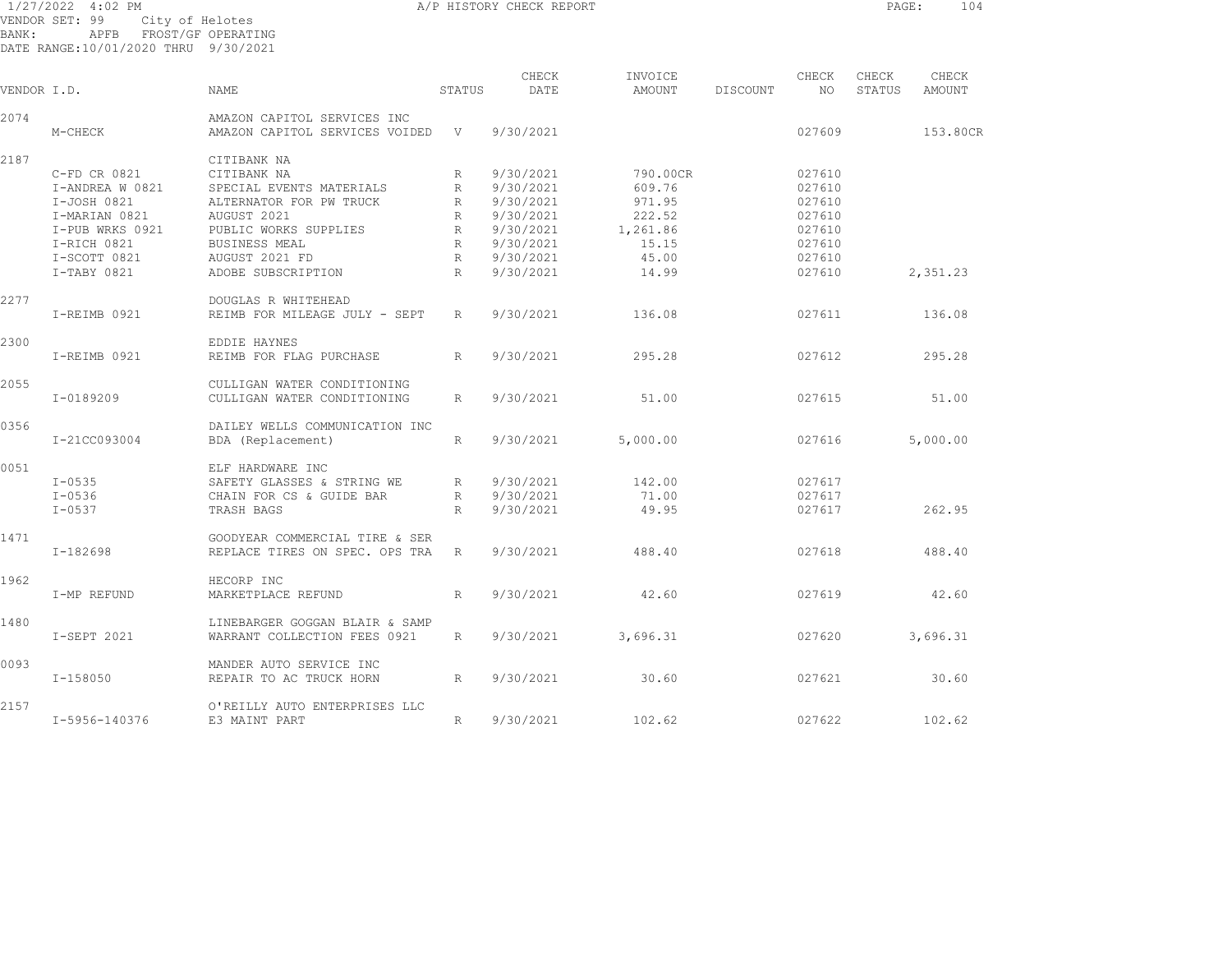| BANK:       | 1/27/2022 4:02 PM<br>VENDOR SET: 99<br>APFB FROST/GF OPERATING<br>DATE RANGE:10/01/2020 THRU 9/30/2021 | City of Helotes                  |                 | A/P HISTORY CHECK REPORT |                   |          |             | PAGE:           | 104             |
|-------------|--------------------------------------------------------------------------------------------------------|----------------------------------|-----------------|--------------------------|-------------------|----------|-------------|-----------------|-----------------|
| VENDOR I.D. |                                                                                                        | NAME                             | STATUS          | CHECK<br>DATE            | INVOICE<br>AMOUNT | DISCOUNT | CHECK<br>NO | CHECK<br>STATUS | CHECK<br>AMOUNT |
| 2074        |                                                                                                        | AMAZON CAPITOL SERVICES INC      |                 |                          |                   |          |             |                 |                 |
|             | M-CHECK                                                                                                | AMAZON CAPITOL SERVICES VOIDED V |                 | 9/30/2021                |                   |          | 027609      |                 | 153.80CR        |
| 2187        |                                                                                                        | CITIBANK NA                      |                 |                          |                   |          |             |                 |                 |
|             | C-FD CR 0821                                                                                           | CITIBANK NA                      | $R_{\parallel}$ | 9/30/2021                | 790.00CR          |          | 027610      |                 |                 |
|             | I-ANDREA W 0821                                                                                        | SPECIAL EVENTS MATERIALS         | R               | 9/30/2021                | 609.76            |          | 027610      |                 |                 |
|             | I-JOSH 0821                                                                                            | ALTERNATOR FOR PW TRUCK          | $R_{\parallel}$ | 9/30/2021                | 971.95            |          | 027610      |                 |                 |
|             | I-MARIAN 0821                                                                                          | AUGUST 2021                      | R               | 9/30/2021                | 222.52            |          | 027610      |                 |                 |
|             | I-PUB WRKS 0921                                                                                        | PUBLIC WORKS SUPPLIES            | R               | 9/30/2021                | 1,261.86          |          | 027610      |                 |                 |
|             | I-RICH 0821                                                                                            | BUSINESS MEAL                    | R               | 9/30/2021                | 15.15             |          | 027610      |                 |                 |
|             | I-SCOTT 0821                                                                                           | AUGUST 2021 FD                   | R               | 9/30/2021                | 45.00             |          | 027610      |                 |                 |
|             |                                                                                                        |                                  |                 |                          |                   |          |             |                 |                 |
|             | I-TABY 0821                                                                                            | ADOBE SUBSCRIPTION               | R               | 9/30/2021                | 14.99             |          | 027610      |                 | 2,351.23        |
| 2277        |                                                                                                        | DOUGLAS R WHITEHEAD              |                 |                          |                   |          |             |                 |                 |
|             | I-REIMB 0921                                                                                           | REIMB FOR MILEAGE JULY - SEPT    | $R_{\parallel}$ | 9/30/2021                | 136.08            |          | 027611      |                 | 136.08          |
| 2300        |                                                                                                        | EDDIE HAYNES                     |                 |                          |                   |          |             |                 |                 |
|             | I-REIMB 0921                                                                                           | REIMB FOR FLAG PURCHASE          | R               | 9/30/2021                | 295.28            |          | 027612      |                 | 295.28          |
| 2055        |                                                                                                        | CULLIGAN WATER CONDITIONING      |                 |                          |                   |          |             |                 |                 |
|             | I-0189209                                                                                              | CULLIGAN WATER CONDITIONING      | $R_{\parallel}$ | 9/30/2021                | 51.00             |          | 027615      |                 | 51.00           |
| 0356        |                                                                                                        | DAILEY WELLS COMMUNICATION INC   |                 |                          |                   |          |             |                 |                 |
|             | I-21CC093004                                                                                           | BDA (Replacement)                | $R_{\perp}$     | 9/30/2021                | 5,000.00          |          | 027616      |                 | 5,000.00        |
| 0051        |                                                                                                        | ELF HARDWARE INC                 |                 |                          |                   |          |             |                 |                 |
|             | $I - 0535$                                                                                             | SAFETY GLASSES & STRING WE       | R               | 9/30/2021                | 142.00            |          | 027617      |                 |                 |
|             | $I - 0536$                                                                                             | CHAIN FOR CS & GUIDE BAR         | R               | 9/30/2021                | 71.00             |          | 027617      |                 |                 |
|             | $I - 0537$                                                                                             | TRASH BAGS                       | R               | 9/30/2021                | 49.95             |          | 027617      |                 | 262.95          |
| 1471        |                                                                                                        | GOODYEAR COMMERCIAL TIRE & SER   |                 |                          |                   |          |             |                 |                 |
|             | I-182698                                                                                               | REPLACE TIRES ON SPEC. OPS TRA   | R               | 9/30/2021                | 488.40            |          | 027618      |                 | 488.40          |
|             |                                                                                                        |                                  |                 |                          |                   |          |             |                 |                 |
| 1962        |                                                                                                        | HECORP INC                       |                 |                          |                   |          |             |                 |                 |
|             | I-MP REFUND                                                                                            | MARKETPLACE REFUND               | R               | 9/30/2021                | 42.60             |          | 027619      |                 | 42.60           |
| 1480        |                                                                                                        | LINEBARGER GOGGAN BLAIR & SAMP   |                 |                          |                   |          |             |                 |                 |
|             | I-SEPT 2021                                                                                            | WARRANT COLLECTION FEES 0921     | $R_{\parallel}$ | 9/30/2021                | 3,696.31          |          | 027620      |                 | 3,696.31        |
| 0093        |                                                                                                        | MANDER AUTO SERVICE INC          |                 |                          |                   |          |             |                 |                 |
|             | $I-158050$                                                                                             | REPAIR TO AC TRUCK HORN          | R               | 9/30/2021                | 30.60             |          | 027621      |                 | 30.60           |

2157 O'REILLY AUTO ENTERPRISES LLC I-5956-140376 E3 MAINT PART R 9/30/2021 102.62 027622 102.62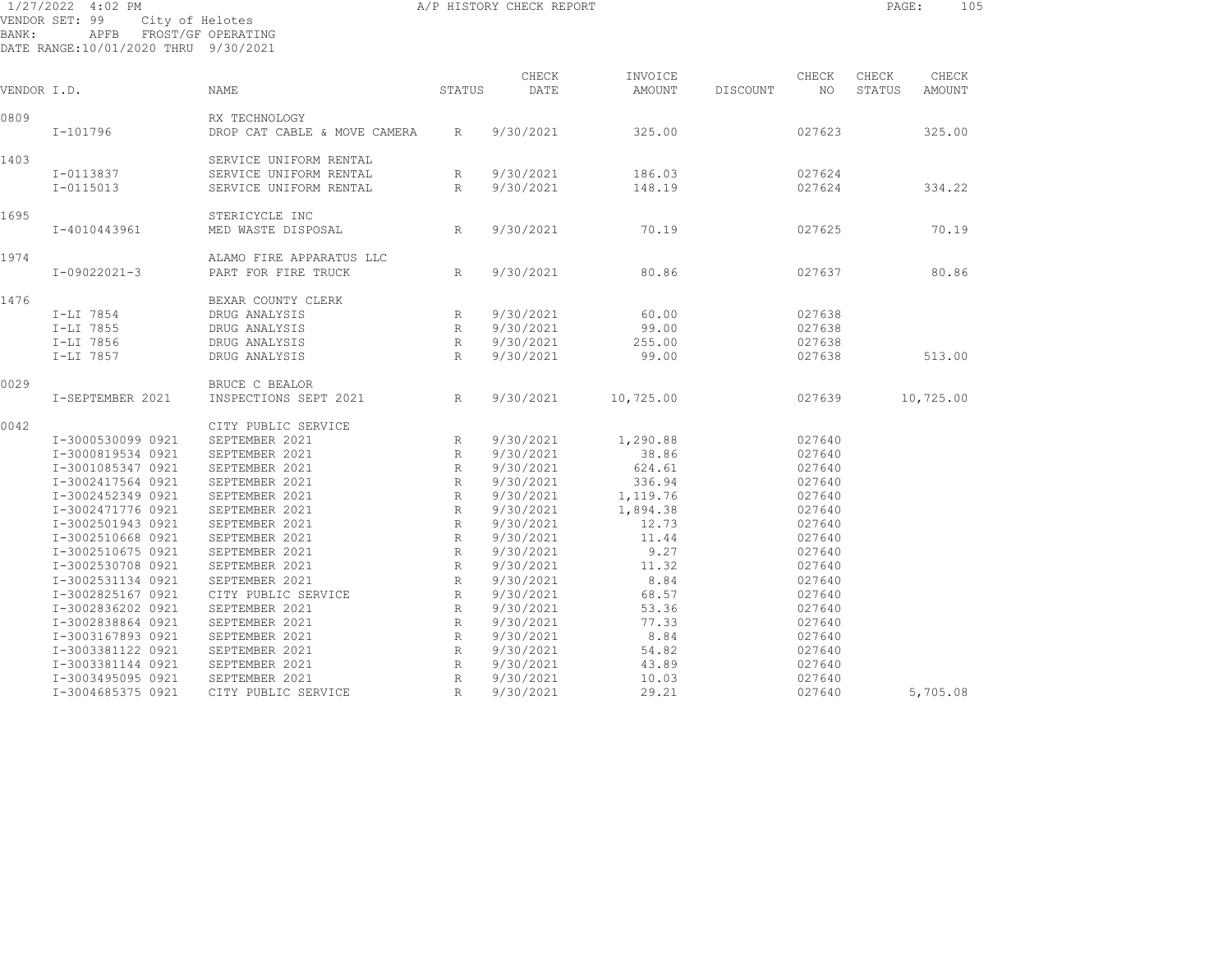|             | 1/27/2022 4:02 PM                                                                 |                                                                            |                      | A/P HISTORY CHECK REPORT |                      |          |                  | PAGE:           | 105             |
|-------------|-----------------------------------------------------------------------------------|----------------------------------------------------------------------------|----------------------|--------------------------|----------------------|----------|------------------|-----------------|-----------------|
| BANK:       | VENDOR SET: 99<br>City of Helotes<br>APFB<br>DATE RANGE:10/01/2020 THRU 9/30/2021 | FROST/GF OPERATING                                                         |                      |                          |                      |          |                  |                 |                 |
| VENDOR I.D. |                                                                                   | NAME                                                                       | STATUS               | CHECK<br>DATE            | INVOICE<br>AMOUNT    | DISCOUNT | CHECK<br>NO.     | CHECK<br>STATUS | CHECK<br>AMOUNT |
| 0809        | I-101796                                                                          | RX TECHNOLOGY<br>DROP CAT CABLE & MOVE CAMERA                              | R                    | 9/30/2021                | 325.00               |          | 027623           |                 | 325.00          |
| 1403        | I-0113837<br>I-0115013                                                            | SERVICE UNIFORM RENTAL<br>SERVICE UNIFORM RENTAL<br>SERVICE UNIFORM RENTAL | R<br>R               | 9/30/2021<br>9/30/2021   | 186.03<br>148.19     |          | 027624<br>027624 |                 | 334.22          |
| 1695        | I-4010443961                                                                      | STERICYCLE INC<br>MED WASTE DISPOSAL                                       | R                    | 9/30/2021                | 70.19                |          | 027625           |                 | 70.19           |
| 1974        |                                                                                   | ALAMO FIRE APPARATUS LLC                                                   |                      |                          |                      |          |                  |                 |                 |
| 1476        | $I-09022021-3$                                                                    | PART FOR FIRE TRUCK<br>BEXAR COUNTY CLERK                                  | R                    | 9/30/2021                | 80.86                |          | 027637           |                 | 80.86           |
|             | I-LI 7854<br>I-LI 7855                                                            | DRUG ANALYSIS<br>DRUG ANALYSIS                                             | R<br>$R_{\parallel}$ | 9/30/2021<br>9/30/2021   | 60.00<br>99.00       |          | 027638<br>027638 |                 |                 |
|             | I-LI 7856<br>I-LI 7857                                                            | DRUG ANALYSIS<br>DRUG ANALYSIS                                             | R<br>$R_{\parallel}$ | 9/30/2021<br>9/30/2021   | 255.00<br>99.00      |          | 027638<br>027638 |                 | 513.00          |
| 0029        | I-SEPTEMBER 2021                                                                  | BRUCE C BEALOR<br>INSPECTIONS SEPT 2021                                    | $R_{\parallel}$      | 9/30/2021                | 10,725.00            |          | 027639           |                 | 10,725.00       |
| 0042        | I-3000530099 0921                                                                 | CITY PUBLIC SERVICE<br>SEPTEMBER 2021                                      | R                    | 9/30/2021                | 1,290.88             |          | 027640           |                 |                 |
|             | I-3000819534 0921                                                                 | SEPTEMBER 2021                                                             | R                    | 9/30/2021                | 38.86                |          | 027640           |                 |                 |
|             | I-3001085347 0921                                                                 | SEPTEMBER 2021                                                             | R                    | 9/30/2021                | 624.61               |          | 027640           |                 |                 |
|             | I-3002417564 0921                                                                 | SEPTEMBER 2021                                                             | R                    | 9/30/2021                | 336.94               |          | 027640           |                 |                 |
|             | I-3002452349 0921<br>I-3002471776 0921                                            | SEPTEMBER 2021<br>SEPTEMBER 2021                                           | R<br>R               | 9/30/2021<br>9/30/2021   | 1,119.76<br>1,894.38 |          | 027640<br>027640 |                 |                 |
|             | I-3002501943 0921                                                                 | SEPTEMBER 2021                                                             | $R_{\rm}$            | 9/30/2021                | 12.73                |          | 027640           |                 |                 |
|             | I-3002510668 0921                                                                 | SEPTEMBER 2021                                                             | $R_{\rm}$            | 9/30/2021                | 11.44                |          | 027640           |                 |                 |
|             | I-3002510675 0921                                                                 | SEPTEMBER 2021                                                             | $R_{\rm}$            | 9/30/2021                | 9.27                 |          | 027640           |                 |                 |
|             | I-3002530708 0921                                                                 | SEPTEMBER 2021                                                             | R                    | 9/30/2021                | 11.32                |          | 027640           |                 |                 |
|             | I-3002531134 0921                                                                 | SEPTEMBER 2021                                                             | R                    | 9/30/2021                | 8.84                 |          | 027640           |                 |                 |
|             | I-3002825167 0921                                                                 | CITY PUBLIC SERVICE                                                        | R                    | 9/30/2021                | 68.57                |          | 027640           |                 |                 |
|             | I-3002836202 0921                                                                 | SEPTEMBER 2021                                                             | R                    | 9/30/2021                | 53.36                |          | 027640           |                 |                 |
|             | I-3002838864 0921                                                                 | SEPTEMBER 2021                                                             | R                    | 9/30/2021                | 77.33                |          | 027640           |                 |                 |
|             | I-3003167893 0921                                                                 | SEPTEMBER 2021                                                             | R                    | 9/30/2021                | 8.84                 |          | 027640           |                 |                 |
|             | I-3003381122 0921                                                                 | SEPTEMBER 2021                                                             | R                    | 9/30/2021                | 54.82                |          | 027640           |                 |                 |

 I-3003381144 0921 SEPTEMBER 2021 R 9/30/2021 43.89 027640 I-3003495095 0921 SEPTEMBER 2021 R 9/30/2021 10.03 027640

I-3004685375 0921 CITY PUBLIC SERVICE R 9/30/2021 29.21 027640 5,705.08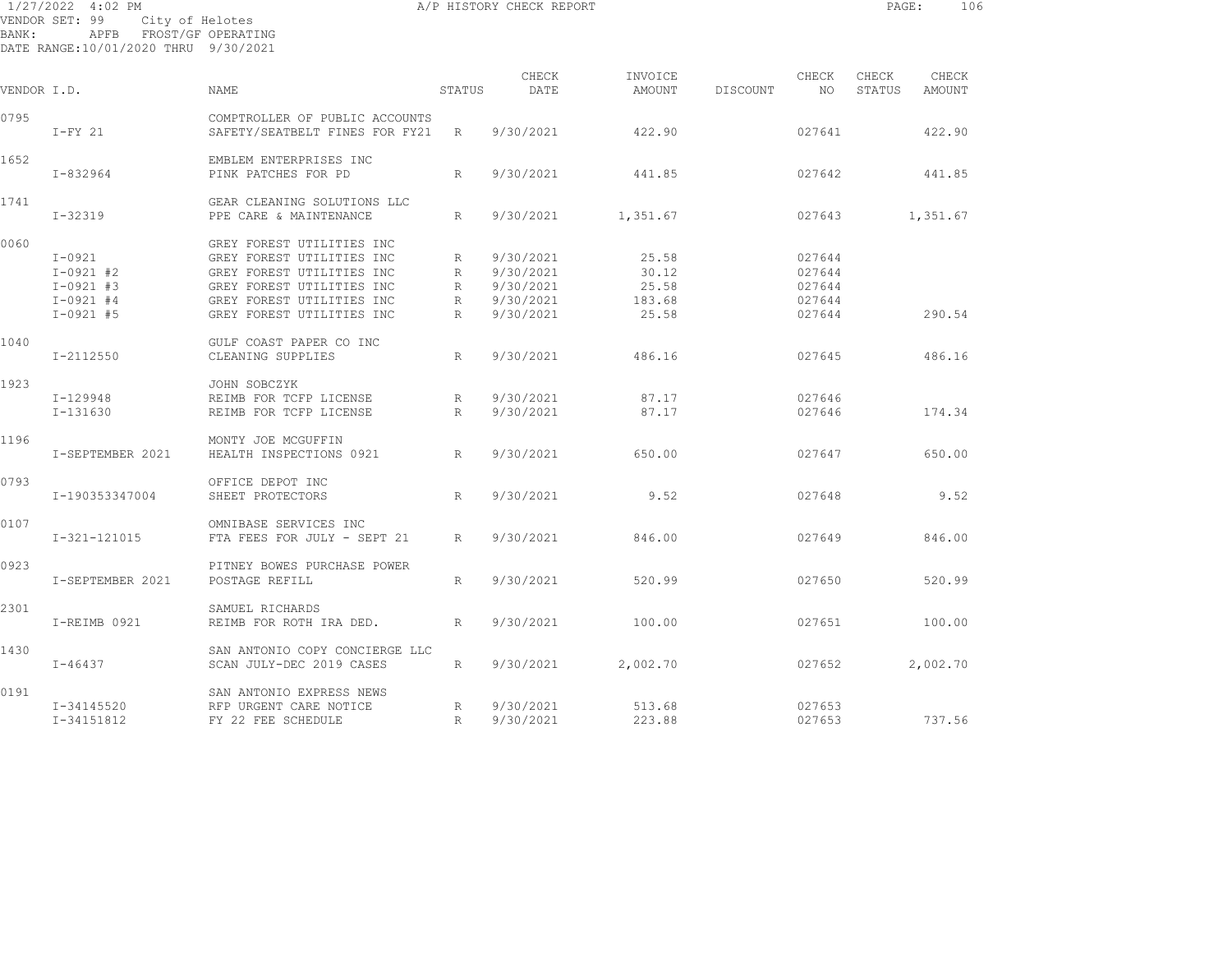1/27/2022 4:02 PM A/P HISTORY CHECK REPORT PAGE: 106 VENDOR SET: 99 City of Helotes BANK: APFB FROST/GF OPERATING DATE RANGE:10/01/2020 THRU 9/30/2021

CHECK INVOICE CHECK CHECK CHECK VENDOR I.D. NAME STATUS DATE AMOUNT DISCOUNT NO STATUS AMOUNT 0795 COMPTROLLER OF PUBLIC ACCOUNTS I-FY 21 SAFETY/SEATBELT FINES FOR FY21 R 9/30/2021 422.90 027641 422.90 1652 EMBLEM ENTERPRISES INC I-832964 PINK PATCHES FOR PD R 9/30/2021 441.85 027642 441.85 1741 GEAR CLEANING SOLUTIONS LLC I-32319 PPE CARE & MAINTENANCE R 9/30/2021 1,351.67 027643 1,351.67 0060 GREY FOREST UTILITIES INC I-0921 GREY FOREST UTILITIES INC R 9/30/2021 25.58 027644 I-0921 #2 GREY FOREST UTILITIES INC R 9/30/2021 30.12 027644 I-0921 #3 GREY FOREST UTILITIES INC R 9/30/2021 25.58 027644 I-0921 #4 GREY FOREST UTILITIES INC R 9/30/2021 183.68 027644 I-0921 #5 GREY FOREST UTILITIES INC R 9/30/2021 25.58 027644 290.54 1040 GULF COAST PAPER CO INC I-2112550 CLEANING SUPPLIES R 9/30/2021 486.16 027645 486.16 1923 JOHN SOBCZYK I-129948 REIMB FOR TCFP LICENSE R 9/30/2021 87.17 027646 I-131630 REIMB FOR TCFP LICENSE R 9/30/2021 87.17 027646 174.34 1196 MONTY JOE MCGUFFIN I-SEPTEMBER 2021 HEALTH INSPECTIONS 0921 R 9/30/2021 650.00 027647 650.00 0793 OFFICE DEPOT INC I-190353347004 SHEET PROTECTORS R 9/30/2021 9.52 027648 9.52 0107 OMNIBASE SERVICES INC I-321-121015 FTA FEES FOR JULY - SEPT 21 R 9/30/2021 846.00 027649 846.00 0923 PITNEY BOWES PURCHASE POWER I-SEPTEMBER 2021 POSTAGE REFILL R 9/30/2021 520.99 027650 520.99 2301 SAMUEL RICHARDS I-REIMB 0921 REIMB FOR ROTH IRA DED. R 9/30/2021 100.00 027651 100.00 1430 SAN ANTONIO COPY CONCIERGE LLC I-46437 SCAN JULY-DEC 2019 CASES R 9/30/2021 2,002.70 027652 2,002.70 0191 SAN ANTONIO EXPRESS NEWS I-34145520 RFP URGENT CARE NOTICE R 9/30/2021 513.68 027653 I-34151812 FY 22 FEE SCHEDULE R 9/30/2021 223.88 027653 737.56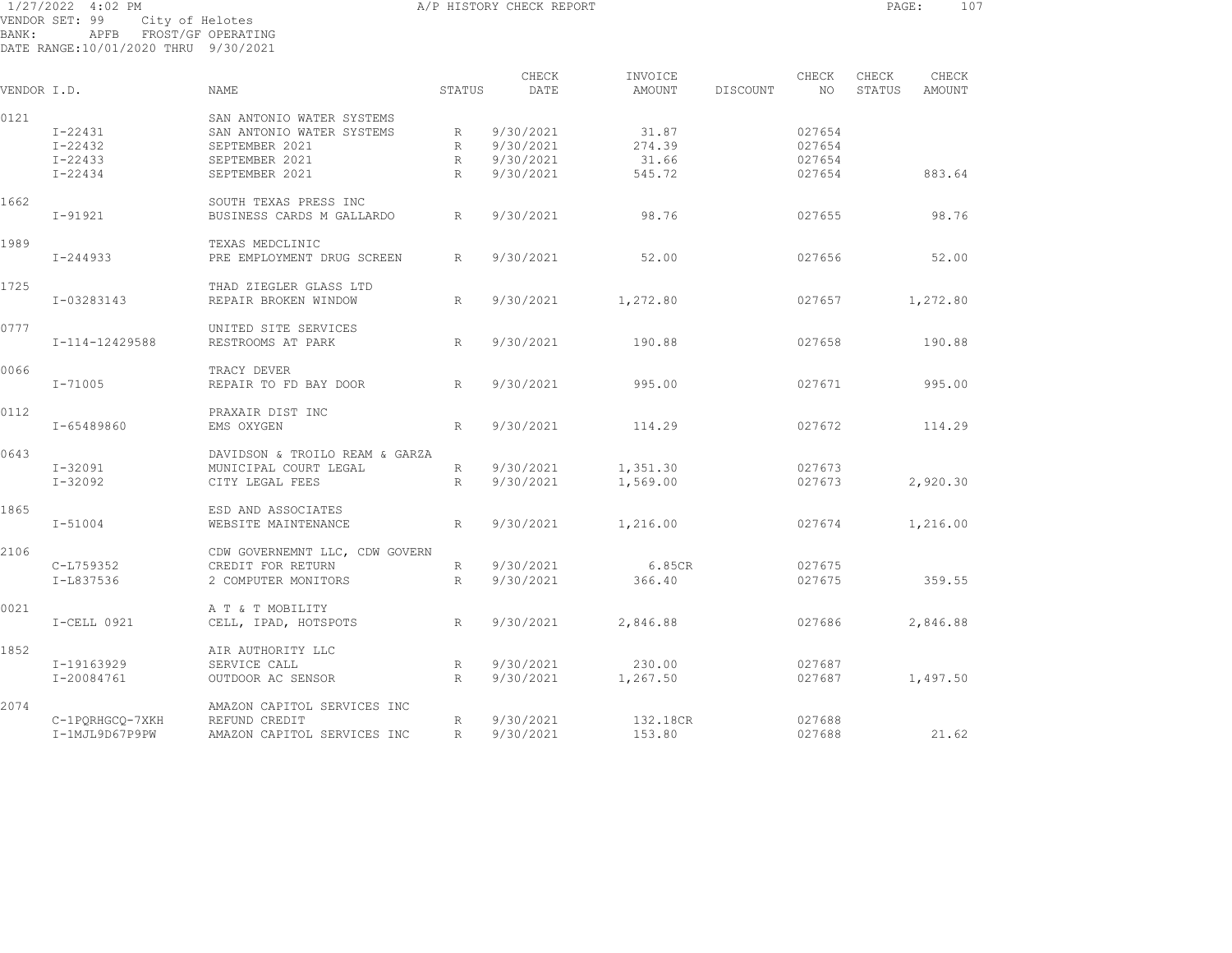1/27/2022 4:02 PM A/P HISTORY CHECK REPORT PAGE: 107 VENDOR SET: 99 City of Helotes BANK: APFB FROST/GF OPERATING DATE RANGE:10/01/2020 THRU 9/30/2021

|             |                 |                                |                 | CHECK     | INVOICE  |          | CHECK  | CHECK  | CHECK    |  |
|-------------|-----------------|--------------------------------|-----------------|-----------|----------|----------|--------|--------|----------|--|
| VENDOR I.D. |                 | <b>NAME</b>                    | STATUS          | DATE      | AMOUNT   | DISCOUNT | NO.    | STATUS | AMOUNT   |  |
| 0121        |                 | SAN ANTONIO WATER SYSTEMS      |                 |           |          |          |        |        |          |  |
|             | $I - 22431$     | SAN ANTONIO WATER SYSTEMS      | $R_{\parallel}$ | 9/30/2021 | 31.87    |          | 027654 |        |          |  |
|             | $I - 22432$     | SEPTEMBER 2021                 | R               | 9/30/2021 | 274.39   |          | 027654 |        |          |  |
|             | $I - 22433$     | SEPTEMBER 2021                 | $R_{\parallel}$ | 9/30/2021 | 31.66    |          | 027654 |        |          |  |
|             |                 |                                |                 |           |          |          |        |        |          |  |
|             | $I - 22434$     | SEPTEMBER 2021                 | $R_{\parallel}$ | 9/30/2021 | 545.72   |          | 027654 |        | 883.64   |  |
| 1662        |                 | SOUTH TEXAS PRESS INC          |                 |           |          |          |        |        |          |  |
|             | $I - 91921$     | BUSINESS CARDS M GALLARDO      | R               | 9/30/2021 | 98.76    |          | 027655 |        | 98.76    |  |
| 1989        |                 | TEXAS MEDCLINIC                |                 |           |          |          |        |        |          |  |
|             | I-244933        | PRE EMPLOYMENT DRUG SCREEN     | R               | 9/30/2021 | 52.00    |          | 027656 |        | 52.00    |  |
|             |                 |                                |                 |           |          |          |        |        |          |  |
| 1725        |                 | THAD ZIEGLER GLASS LTD         |                 |           |          |          |        |        |          |  |
|             | I-03283143      | REPAIR BROKEN WINDOW           | $R_{\parallel}$ | 9/30/2021 | 1,272.80 |          | 027657 |        | 1,272.80 |  |
| 0777        |                 | UNITED SITE SERVICES           |                 |           |          |          |        |        |          |  |
|             | I-114-12429588  | RESTROOMS AT PARK              | R               | 9/30/2021 | 190.88   |          | 027658 |        | 190.88   |  |
| 0066        |                 | TRACY DEVER                    |                 |           |          |          |        |        |          |  |
|             | I-71005         | REPAIR TO FD BAY DOOR          | R               | 9/30/2021 | 995.00   |          | 027671 |        | 995.00   |  |
|             |                 |                                |                 |           |          |          |        |        |          |  |
| 0112        |                 | PRAXAIR DIST INC               |                 |           |          |          |        |        |          |  |
|             | I-65489860      | EMS OXYGEN                     | R               | 9/30/2021 | 114.29   |          | 027672 |        | 114.29   |  |
| 0643        |                 | DAVIDSON & TROILO REAM & GARZA |                 |           |          |          |        |        |          |  |
|             | I-32091         | MUNICIPAL COURT LEGAL          | R               | 9/30/2021 | 1,351.30 |          | 027673 |        |          |  |
|             | I-32092         | CITY LEGAL FEES                | $R_{\parallel}$ | 9/30/2021 | 1,569.00 |          | 027673 |        | 2,920.30 |  |
|             |                 |                                |                 |           |          |          |        |        |          |  |
| 1865        |                 | ESD AND ASSOCIATES             |                 |           |          |          |        |        |          |  |
|             | $I - 51004$     | WEBSITE MAINTENANCE            | R               | 9/30/2021 | 1,216.00 |          | 027674 |        | 1,216.00 |  |
| 2106        |                 | CDW GOVERNEMNT LLC, CDW GOVERN |                 |           |          |          |        |        |          |  |
|             | C-L759352       | CREDIT FOR RETURN              | $R_{\parallel}$ | 9/30/2021 | 6.85CR   |          | 027675 |        |          |  |
|             |                 |                                | $R_{\perp}$     | 9/30/2021 |          |          |        |        |          |  |
|             | I-L837536       | 2 COMPUTER MONITORS            |                 |           | 366.40   |          | 027675 |        | 359.55   |  |
| 0021        |                 | A T & T MOBILITY               |                 |           |          |          |        |        |          |  |
|             | $I-CELL$ 0921   | CELL, IPAD, HOTSPOTS           | $\mathbb{R}$    | 9/30/2021 | 2,846.88 |          | 027686 |        | 2,846.88 |  |
| 1852        |                 | AIR AUTHORITY LLC              |                 |           |          |          |        |        |          |  |
|             | I-19163929      | SERVICE CALL                   | R               | 9/30/2021 | 230.00   |          | 027687 |        |          |  |
|             | I-20084761      | OUTDOOR AC SENSOR              | R               | 9/30/2021 | 1,267.50 |          | 027687 |        | 1,497.50 |  |
|             |                 |                                |                 |           |          |          |        |        |          |  |
| 2074        |                 | AMAZON CAPITOL SERVICES INC    |                 |           |          |          |        |        |          |  |
|             | C-1PQRHGCQ-7XKH | REFUND CREDIT                  | $R_{\odot}$     | 9/30/2021 | 132.18CR |          | 027688 |        |          |  |
|             | I-1MJL9D67P9PW  | AMAZON CAPITOL SERVICES INC    | $R_{\parallel}$ | 9/30/2021 | 153.80   |          | 027688 |        | 21.62    |  |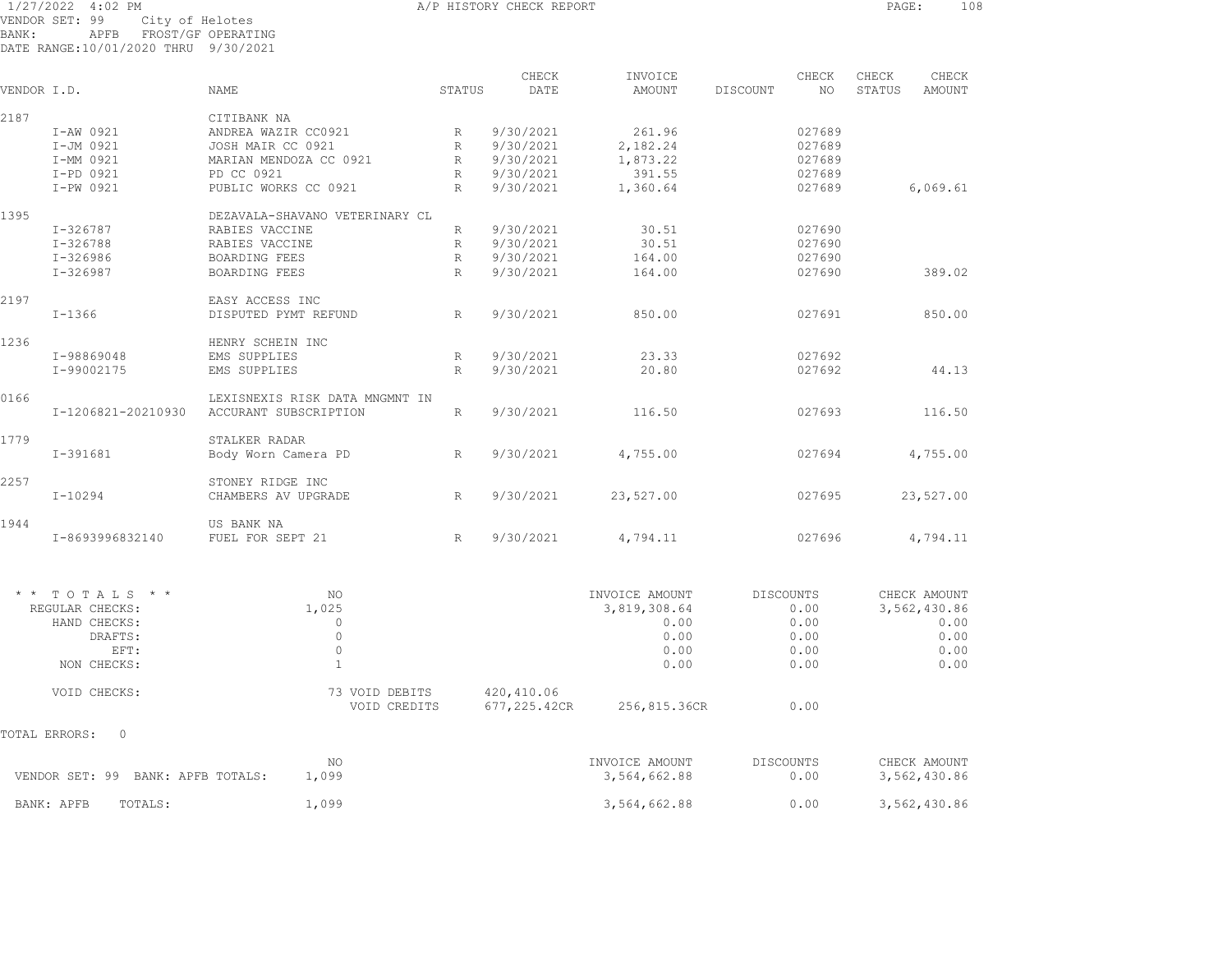## 1/27/2022 4:02 PM A/P HISTORY CHECK REPORT PAGE: 108 VENDOR SET: 99 City of Helotes BANK: APFB FROST/GF OPERATING DATE RANGE:10/01/2020 THRU 9/30/2021

CHECK INVOICE CHECK CHECK CHECK VENDOR I.D. NAME STATUS DATE AMOUNT DISCOUNT NO STATUS AMOUNT 2187 CITIBANK NA I-AW 0921 ANDREA WAZIR CC0921 R 9/30/2021 261.96 027689 I-JM 0921 JOSH MAIR CC 0921 R 9/30/2021 2,182.24 027689 I-MM 0921 MARIAN MENDOZA CC 0921 R 9/30/2021 1,873.22 027689 I-PD 0921 PD CC 0921 R 9/30/2021 391.55 027689 I-PW 0921 PUBLIC WORKS CC 0921 R 9/30/2021 1,360.64 027689 6,069.61 1395 DEZAVALA-SHAVANO VETERINARY CL I-326787 RABIES VACCINE R 9/30/2021 30.51 027690 I-326788 RABIES VACCINE R 9/30/2021 30.51 027690 I-326986 BOARDING FEES R 9/30/2021 164.00 027690 I-326987 BOARDING FEES R 9/30/2021 164.00 027690 389.02 2197 EASY ACCESS INC I-1366 DISPUTED PYMT REFUND R 9/30/2021 850.00 027691 850.00 1236 HENRY SCHEIN INC I-98869048 EMS SUPPLIES R 9/30/2021 23.33 027692 I-99002175 EMS SUPPLIES R 9/30/2021 20.80 027692 44.13 0166 LEXISNEXIS RISK DATA MNGMNT IN I-1206821-20210930 ACCURANT SUBSCRIPTION R 9/30/2021 116.50 027693 116.50 1779 STALKER RADAR I-391681 Body Worn Camera PD R 9/30/2021 4,755.00 027694 4,755.00 2257 STONEY RIDGE INC I-10294 CHAMBERS AV UPGRADE R 9/30/2021 23,527.00 027695 23,527.00 1944 US BANK NAI-8693996832140 FUEL FOR SEPT 21 R 9/30/2021 4,794.11 027696 4,794.11

| NO             |              | INVOICE AMOUNT | DISCOUNTS | CHECK AMOUNT |
|----------------|--------------|----------------|-----------|--------------|
| 1,025          |              | 3,819,308.64   | 0.00      | 3,562,430.86 |
|                |              | 0.00           | 0.00      | 0.00         |
|                |              | 0.00           | 0.00      | 0.00         |
|                |              | 0.00           | 0.00      | 0.00         |
|                |              | 0.00           | 0.00      | 0.00         |
| 73 VOID DEBITS | 420,410.06   |                |           |              |
| VOID CREDITS   | 677,225.42CR | 256,815.36CR   | 0.00      |              |
|                |              |                |           |              |
| NO.            |              | INVOICE AMOUNT | DISCOUNTS | CHECK AMOUNT |
| 1,099          |              | 3,564,662.88   | 0.00      | 3,562,430.86 |
| 1,099          |              | 3,564,662.88   | 0.00      | 3,562,430.86 |
|                |              |                |           |              |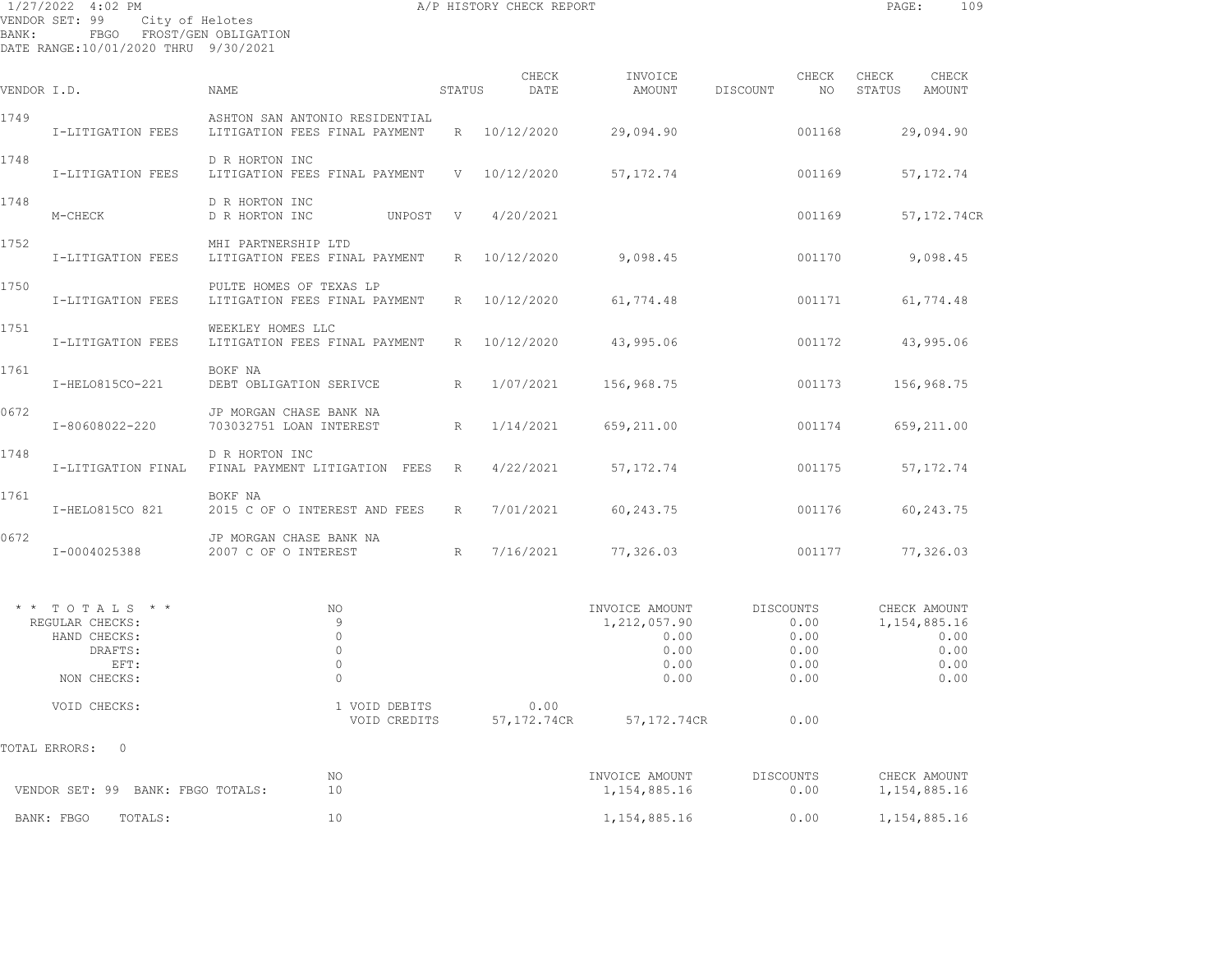1/27/2022 4:02 PM A/P HISTORY CHECK REPORT PAGE: 109 VENDOR SET: 99 City of Helotes BANK: FBGO FROST/GEN OBLIGATION DATE RANGE:10/01/2020 THRU 9/30/2021

| VENDOR I.D.   |                                                                                       | NAME                                                            | STATUS          | CHECK<br>DATE        | INVOICE<br>AMOUNT                                                | DISCOUNT         | CHECK<br>NO                          | CHECK<br>STATUS | CHECK<br>AMOUNT                                                 |
|---------------|---------------------------------------------------------------------------------------|-----------------------------------------------------------------|-----------------|----------------------|------------------------------------------------------------------|------------------|--------------------------------------|-----------------|-----------------------------------------------------------------|
| 1749          | I-LITIGATION FEES                                                                     | ASHTON SAN ANTONIO RESIDENTIAL<br>LITIGATION FEES FINAL PAYMENT | $R_{\parallel}$ | 10/12/2020           | 29,094.90                                                        |                  | 001168                               |                 | 29,094.90                                                       |
| 1748          | I-LITIGATION FEES                                                                     | D R HORTON INC<br>LITIGATION FEES FINAL PAYMENT                 | V               | 10/12/2020           | 57, 172.74                                                       |                  | 001169                               |                 | 57, 172.74                                                      |
| 1748          | M-CHECK                                                                               | D R HORTON INC<br>D R HORTON INC<br>UNPOST                      | V               | 4/20/2021            |                                                                  |                  | 001169                               |                 | 57,172.74CR                                                     |
| 1752          | I-LITIGATION FEES                                                                     | MHI PARTNERSHIP LTD<br>LITIGATION FEES FINAL PAYMENT            | R               | 10/12/2020           | 9,098.45                                                         |                  | 001170                               |                 | 9,098.45                                                        |
| 1750          | I-LITIGATION FEES                                                                     | PULTE HOMES OF TEXAS LP<br>LITIGATION FEES FINAL PAYMENT        | R               | 10/12/2020           | 61,774.48                                                        |                  | 001171                               |                 | 61,774.48                                                       |
| 1751          | I-LITIGATION FEES                                                                     | WEEKLEY HOMES LLC<br>LITIGATION FEES FINAL PAYMENT              | R               | 10/12/2020           | 43,995.06                                                        |                  | 001172                               |                 | 43,995.06                                                       |
| 1761          | I-HELO815CO-221                                                                       | BOKF NA<br>DEBT OBLIGATION SERIVCE                              | R               | 1/07/2021            | 156,968.75                                                       |                  | 001173                               |                 | 156,968.75                                                      |
| 0672          | I-80608022-220                                                                        | JP MORGAN CHASE BANK NA<br>703032751 LOAN INTEREST              | R               | 1/14/2021            | 659,211.00                                                       |                  | 001174                               |                 | 659,211.00                                                      |
| 1748          | I-LITIGATION FINAL                                                                    | D R HORTON INC<br>FINAL PAYMENT LITIGATION FEES                 | $\mathbb{R}$    | 4/22/2021            | 57, 172.74                                                       |                  | 001175                               |                 | 57, 172.74                                                      |
| 1761          | I-HELO815CO 821                                                                       | BOKF NA<br>2015 C OF O INTEREST AND FEES                        | R               | 7/01/2021            | 60,243.75                                                        |                  | 001176                               |                 | 60, 243.75                                                      |
| 0672          | I-0004025388                                                                          | JP MORGAN CHASE BANK NA<br>2007 C OF O INTEREST                 | $R_{\parallel}$ | 7/16/2021            | 77,326.03                                                        |                  | 001177                               |                 | 77,326.03                                                       |
|               | $*$ * TOTALS * *<br>REGULAR CHECKS:<br>HAND CHECKS:<br>DRAFTS:<br>EFT:<br>NON CHECKS: | NO<br>9<br>$\circ$<br>$\circ$<br>$\circ$<br>$\Omega$            |                 |                      | INVOICE AMOUNT<br>1, 212, 057.90<br>0.00<br>0.00<br>0.00<br>0.00 | <b>DISCOUNTS</b> | 0.00<br>0.00<br>0.00<br>0.00<br>0.00 |                 | CHECK AMOUNT<br>1, 154, 885. 16<br>0.00<br>0.00<br>0.00<br>0.00 |
|               | VOID CHECKS:                                                                          | 1 VOID DEBITS<br>VOID CREDITS                                   |                 | 0.00<br>57, 172.74CR | 57, 172.74CR                                                     |                  | 0.00                                 |                 |                                                                 |
| TOTAL ERRORS: | 0                                                                                     |                                                                 |                 |                      |                                                                  |                  |                                      |                 |                                                                 |
|               | VENDOR SET: 99 BANK: FBGO TOTALS:                                                     | NO<br>10                                                        |                 |                      | INVOICE AMOUNT<br>1, 154, 885.16                                 | DISCOUNTS        | 0.00                                 |                 | CHECK AMOUNT<br>1, 154, 885. 16                                 |
|               | TOTALS:<br>BANK: FBGO                                                                 | 10                                                              |                 |                      | 1,154,885.16                                                     |                  | 0.00                                 |                 | 1,154,885.16                                                    |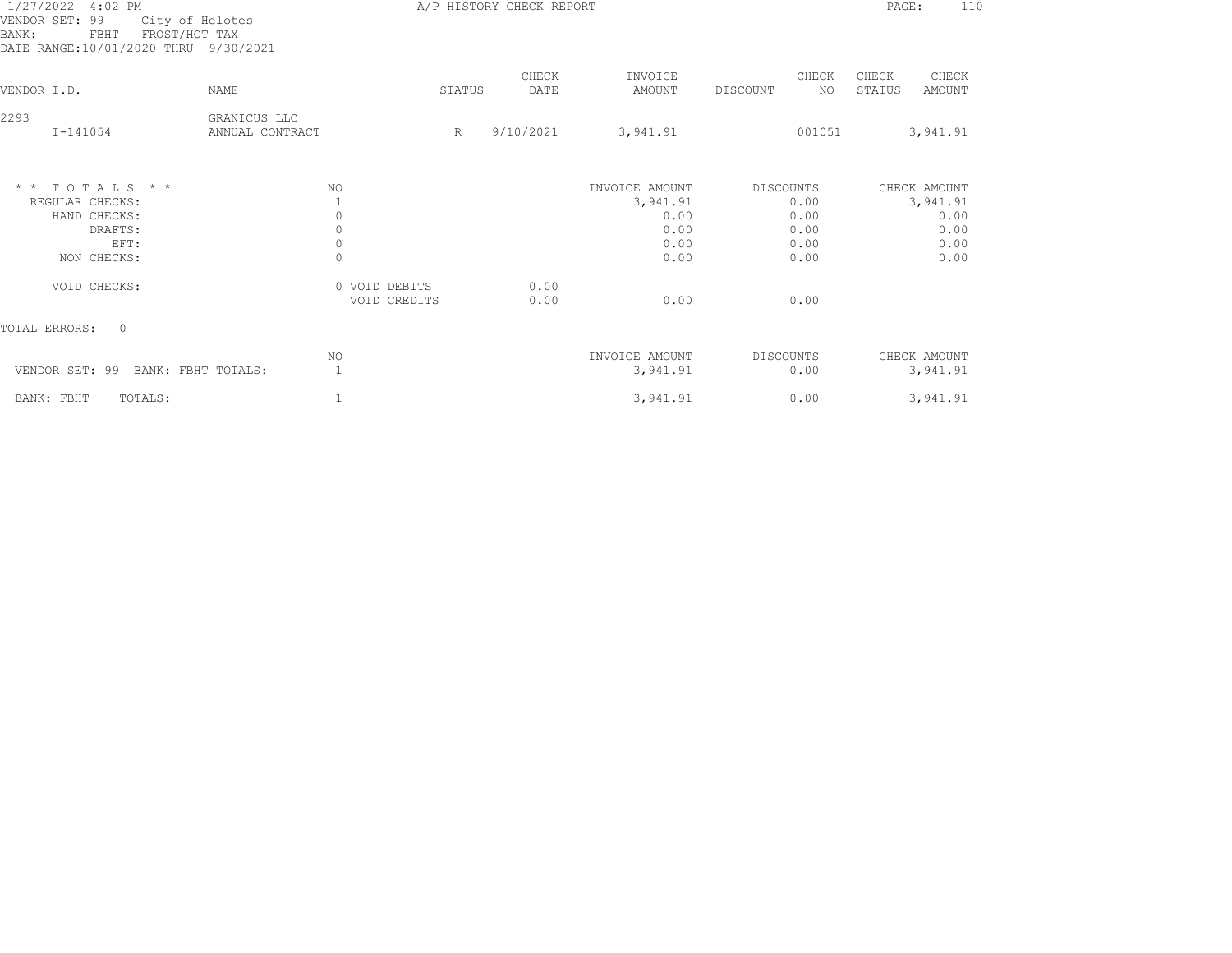| 1/27/2022 4:02 PM<br>VENDOR SET: 99<br>City of Helotes<br>FROST/HOT TAX<br>FBHT<br>BANK:<br>DATE RANGE:10/01/2020 THRU 9/30/2021 |                                 |                               |        | A/P HISTORY CHECK REPORT |                            |                          |              | PAGE:           | 110                      |
|----------------------------------------------------------------------------------------------------------------------------------|---------------------------------|-------------------------------|--------|--------------------------|----------------------------|--------------------------|--------------|-----------------|--------------------------|
| VENDOR I.D.                                                                                                                      | <b>NAME</b>                     |                               | STATUS | CHECK<br>DATE            | INVOICE<br>AMOUNT          | DISCOUNT                 | CHECK<br>NO. | CHECK<br>STATUS | CHECK<br>AMOUNT          |
| 2293<br>$I - 141054$                                                                                                             | GRANICUS LLC<br>ANNUAL CONTRACT |                               | R      | 9/10/2021                | 3,941.91                   |                          | 001051       |                 | 3,941.91                 |
| $*$ * TOTALS * *                                                                                                                 |                                 | NO.                           |        |                          | INVOICE AMOUNT             | DISCOUNTS                |              |                 | CHECK AMOUNT             |
| REGULAR CHECKS:                                                                                                                  |                                 |                               |        |                          | 3,941.91                   | 0.00                     |              |                 | 3,941.91                 |
| HAND CHECKS:                                                                                                                     |                                 | $\circ$                       |        |                          | 0.00                       | 0.00                     |              |                 | 0.00                     |
| DRAFTS:                                                                                                                          |                                 | $\circ$                       |        |                          | 0.00                       | 0.00                     |              |                 | 0.00                     |
| EFT:<br>NON CHECKS:                                                                                                              |                                 | $\circ$<br>$\mathbf 0$        |        |                          | 0.00<br>0.00               | 0.00<br>0.00             |              |                 | 0.00<br>0.00             |
|                                                                                                                                  |                                 |                               |        |                          |                            |                          |              |                 |                          |
| VOID CHECKS:                                                                                                                     |                                 | 0 VOID DEBITS<br>VOID CREDITS |        | 0.00<br>0.00             | 0.00                       | 0.00                     |              |                 |                          |
| TOTAL ERRORS:<br>$\Omega$                                                                                                        |                                 |                               |        |                          |                            |                          |              |                 |                          |
| VENDOR SET: 99<br>BANK: FBHT TOTALS:                                                                                             |                                 | NO<br>$\mathbf{1}$            |        |                          | INVOICE AMOUNT<br>3,941.91 | <b>DISCOUNTS</b><br>0.00 |              |                 | CHECK AMOUNT<br>3,941.91 |
|                                                                                                                                  |                                 |                               |        |                          |                            |                          |              |                 | 3,941.91                 |
| BANK: FBHT<br>TOTALS:                                                                                                            |                                 | 1                             |        |                          | 3,941.91                   | 0.00                     |              |                 |                          |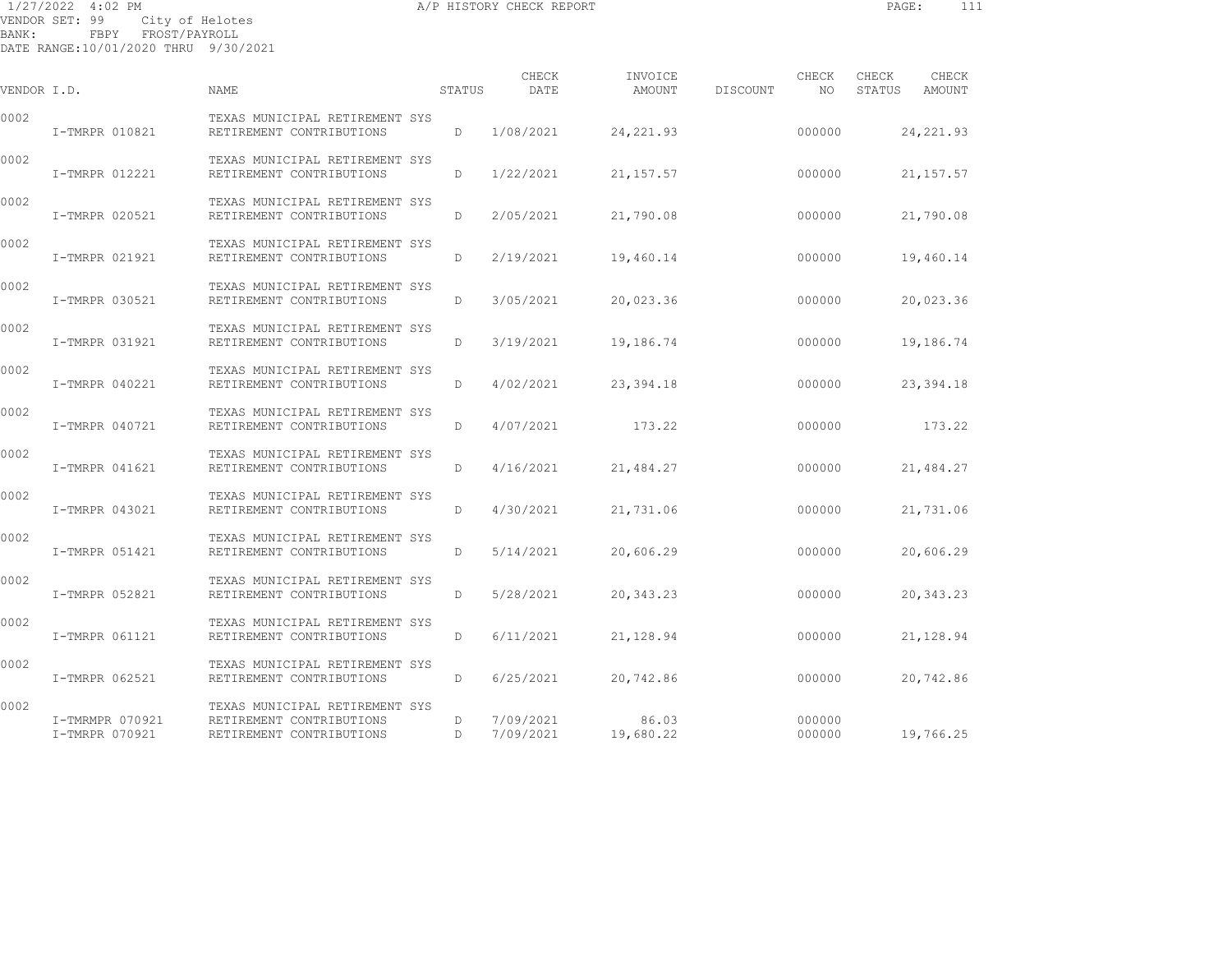1/27/2022 4:02 PM A/P HISTORY CHECK REPORT PAGE: 111 VENDOR SET: 99 City of Helotes BANK: FBPY FROST/PAYROLL

| VENDOR I.D. |                                   | <b>NAME</b>                                                                            | STATUS       | CHECK<br>DATE          | INVOICE<br>AMOUNT  | DISCOUNT | CHECK<br>NO      | CHECK<br>STATUS | CHECK<br>AMOUNT |
|-------------|-----------------------------------|----------------------------------------------------------------------------------------|--------------|------------------------|--------------------|----------|------------------|-----------------|-----------------|
| 0002        | I-TMRPR 010821                    | TEXAS MUNICIPAL RETIREMENT SYS<br>RETIREMENT CONTRIBUTIONS                             | D            | 1/08/2021              | 24, 221.93         |          | 000000           |                 | 24, 221.93      |
| 0002        | I-TMRPR 012221                    | TEXAS MUNICIPAL RETIREMENT SYS<br>RETIREMENT CONTRIBUTIONS                             | D            | 1/22/2021              | 21, 157.57         |          | 000000           |                 | 21, 157.57      |
| 0002        | I-TMRPR 020521                    | TEXAS MUNICIPAL RETIREMENT SYS<br>RETIREMENT CONTRIBUTIONS                             | D            | 2/05/2021              | 21,790.08          |          | 000000           |                 | 21,790.08       |
| 0002        | I-TMRPR 021921                    | TEXAS MUNICIPAL RETIREMENT SYS<br>RETIREMENT CONTRIBUTIONS                             | D            | 2/19/2021              | 19,460.14          |          | 000000           |                 | 19,460.14       |
| 0002        | I-TMRPR 030521                    | TEXAS MUNICIPAL RETIREMENT SYS<br>RETIREMENT CONTRIBUTIONS                             | D            | 3/05/2021              | 20,023.36          |          | 000000           |                 | 20,023.36       |
| 0002        | I-TMRPR 031921                    | TEXAS MUNICIPAL RETIREMENT SYS<br>RETIREMENT CONTRIBUTIONS                             | D.           | 3/19/2021              | 19,186.74          |          | 000000           |                 | 19,186.74       |
| 0002        | I-TMRPR 040221                    | TEXAS MUNICIPAL RETIREMENT SYS<br>RETIREMENT CONTRIBUTIONS                             | D            | 4/02/2021              | 23,394.18          |          | 000000           |                 | 23,394.18       |
| 0002        | I-TMRPR 040721                    | TEXAS MUNICIPAL RETIREMENT SYS<br>RETIREMENT CONTRIBUTIONS                             | $\mathbb{D}$ | 4/07/2021              | 173.22             |          | 000000           |                 | 173.22          |
| 0002        | I-TMRPR 041621                    | TEXAS MUNICIPAL RETIREMENT SYS<br>RETIREMENT CONTRIBUTIONS                             | D            | 4/16/2021              | 21,484.27          |          | 000000           |                 | 21,484.27       |
| 0002        | I-TMRPR 043021                    | TEXAS MUNICIPAL RETIREMENT SYS<br>RETIREMENT CONTRIBUTIONS                             | D            | 4/30/2021              | 21,731.06          |          | 000000           |                 | 21,731.06       |
| 0002        | I-TMRPR 051421                    | TEXAS MUNICIPAL RETIREMENT SYS<br>RETIREMENT CONTRIBUTIONS                             | D            | 5/14/2021              | 20,606.29          |          | 000000           |                 | 20,606.29       |
| 0002        | I-TMRPR 052821                    | TEXAS MUNICIPAL RETIREMENT SYS<br>RETIREMENT CONTRIBUTIONS                             | $\mathbb{D}$ | 5/28/2021              | 20,343.23          |          | 000000           |                 | 20,343.23       |
| 0002        | I-TMRPR 061121                    | TEXAS MUNICIPAL RETIREMENT SYS<br>RETIREMENT CONTRIBUTIONS                             | D            | 6/11/2021              | 21, 128.94         |          | 000000           |                 | 21,128.94       |
| 0002        | I-TMRPR 062521                    | TEXAS MUNICIPAL RETIREMENT SYS<br>RETIREMENT CONTRIBUTIONS                             | D            | 6/25/2021              | 20,742.86          |          | 000000           |                 | 20,742.86       |
| 0002        | I-TMRMPR 070921<br>I-TMRPR 070921 | TEXAS MUNICIPAL RETIREMENT SYS<br>RETIREMENT CONTRIBUTIONS<br>RETIREMENT CONTRIBUTIONS | D<br>D       | 7/09/2021<br>7/09/2021 | 86.03<br>19,680.22 |          | 000000<br>000000 |                 | 19,766.25       |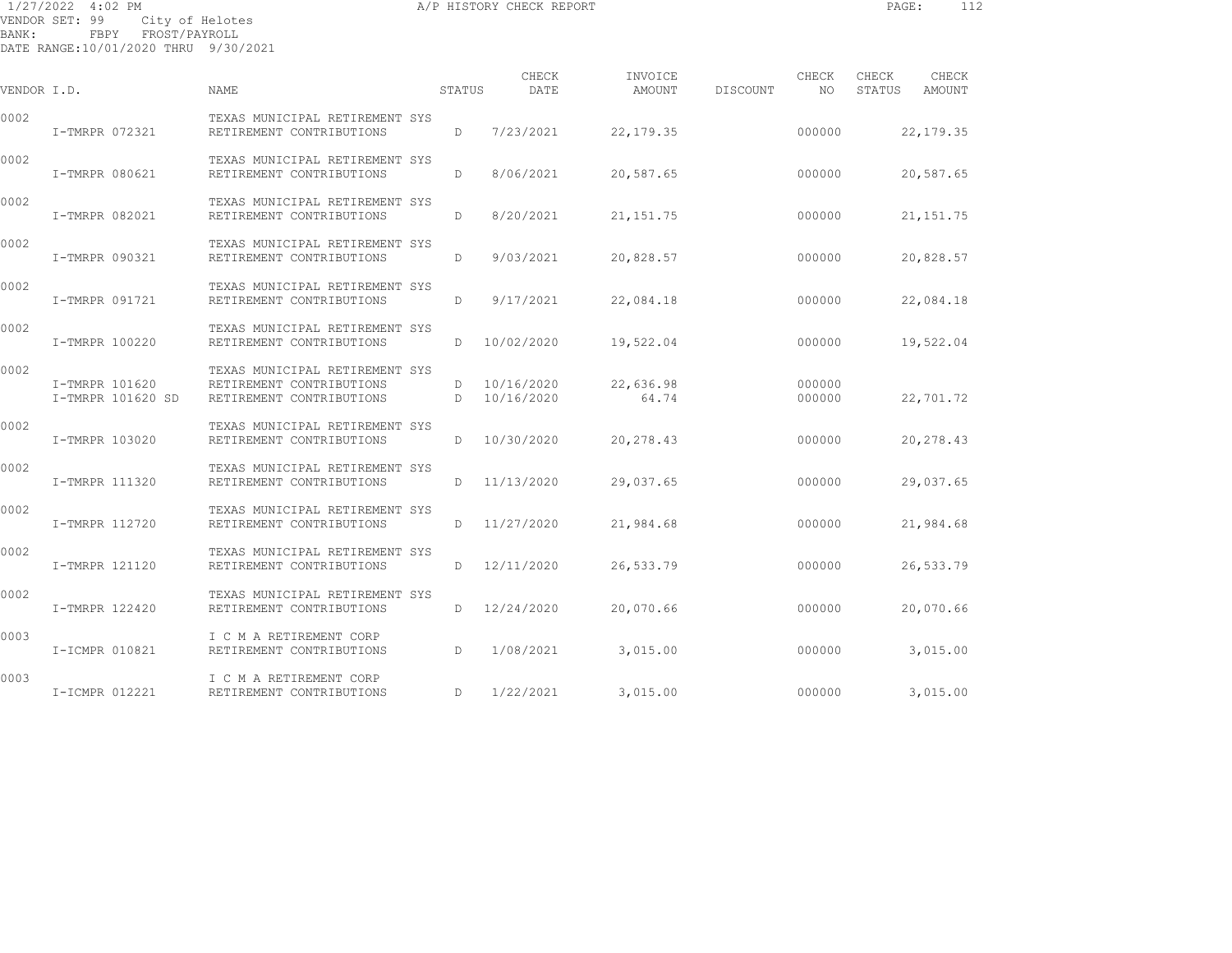1/27/2022 4:02 PM A/P HISTORY CHECK REPORT PAGE: 112 VENDOR SET: 99 City of Helotes BANK: FBPY FROST/PAYROLL

| VENDOR I.D. |                                     | <b>NAME</b>                                                                            | STATUS | CHECK<br>DATE            | INVOICE<br>AMOUNT  | DISCOUNT | CHECK<br>NO.     | CHECK<br>STATUS | CHECK<br>AMOUNT |
|-------------|-------------------------------------|----------------------------------------------------------------------------------------|--------|--------------------------|--------------------|----------|------------------|-----------------|-----------------|
| 0002        | I-TMRPR 072321                      | TEXAS MUNICIPAL RETIREMENT SYS<br>RETIREMENT CONTRIBUTIONS                             | D      | 7/23/2021                | 22,179.35          |          | 000000           |                 | 22, 179. 35     |
| 0002        | I-TMRPR 080621                      | TEXAS MUNICIPAL RETIREMENT SYS<br>RETIREMENT CONTRIBUTIONS                             | D      | 8/06/2021                | 20,587.65          |          | 000000           |                 | 20,587.65       |
| 0002        | I-TMRPR 082021                      | TEXAS MUNICIPAL RETIREMENT SYS<br>RETIREMENT CONTRIBUTIONS                             | D      | 8/20/2021                | 21, 151.75         |          | 000000           |                 | 21, 151. 75     |
| 0002        | I-TMRPR 090321                      | TEXAS MUNICIPAL RETIREMENT SYS<br>RETIREMENT CONTRIBUTIONS                             | D      | 9/03/2021                | 20,828.57          |          | 000000           |                 | 20,828.57       |
| 0002        | I-TMRPR 091721                      | TEXAS MUNICIPAL RETIREMENT SYS<br>RETIREMENT CONTRIBUTIONS                             | D      | 9/17/2021                | 22,084.18          |          | 000000           |                 | 22,084.18       |
| 0002        | I-TMRPR 100220                      | TEXAS MUNICIPAL RETIREMENT SYS<br>RETIREMENT CONTRIBUTIONS                             | D      | 10/02/2020               | 19,522.04          |          | 000000           |                 | 19,522.04       |
| 0002        | I-TMRPR 101620<br>I-TMRPR 101620 SD | TEXAS MUNICIPAL RETIREMENT SYS<br>RETIREMENT CONTRIBUTIONS<br>RETIREMENT CONTRIBUTIONS | D<br>D | 10/16/2020<br>10/16/2020 | 22,636.98<br>64.74 |          | 000000<br>000000 |                 | 22,701.72       |
| 0002        | I-TMRPR 103020                      | TEXAS MUNICIPAL RETIREMENT SYS<br>RETIREMENT CONTRIBUTIONS                             | D      | 10/30/2020               | 20,278.43          |          | 000000           |                 | 20,278.43       |
| 0002        | I-TMRPR 111320                      | TEXAS MUNICIPAL RETIREMENT SYS<br>RETIREMENT CONTRIBUTIONS                             | D      | 11/13/2020               | 29,037.65          |          | 000000           |                 | 29,037.65       |
| 0002        | I-TMRPR 112720                      | TEXAS MUNICIPAL RETIREMENT SYS<br>RETIREMENT CONTRIBUTIONS                             | D      | 11/27/2020               | 21,984.68          |          | 000000           |                 | 21,984.68       |
| 0002        | I-TMRPR 121120                      | TEXAS MUNICIPAL RETIREMENT SYS<br>RETIREMENT CONTRIBUTIONS                             | D      | 12/11/2020               | 26,533.79          |          | 000000           |                 | 26,533.79       |
| 0002        | I-TMRPR 122420                      | TEXAS MUNICIPAL RETIREMENT SYS<br>RETIREMENT CONTRIBUTIONS                             | D      | 12/24/2020               | 20,070.66          |          | 000000           |                 | 20,070.66       |
| 0003        | I-ICMPR 010821                      | I C M A RETIREMENT CORP<br>RETIREMENT CONTRIBUTIONS                                    | D      | 1/08/2021                | 3,015.00           |          | 000000           |                 | 3,015.00        |
| 0003        | I-ICMPR 012221                      | I C M A RETIREMENT CORP<br>RETIREMENT CONTRIBUTIONS                                    | D      | 1/22/2021                | 3,015.00           |          | 000000           |                 | 3,015.00        |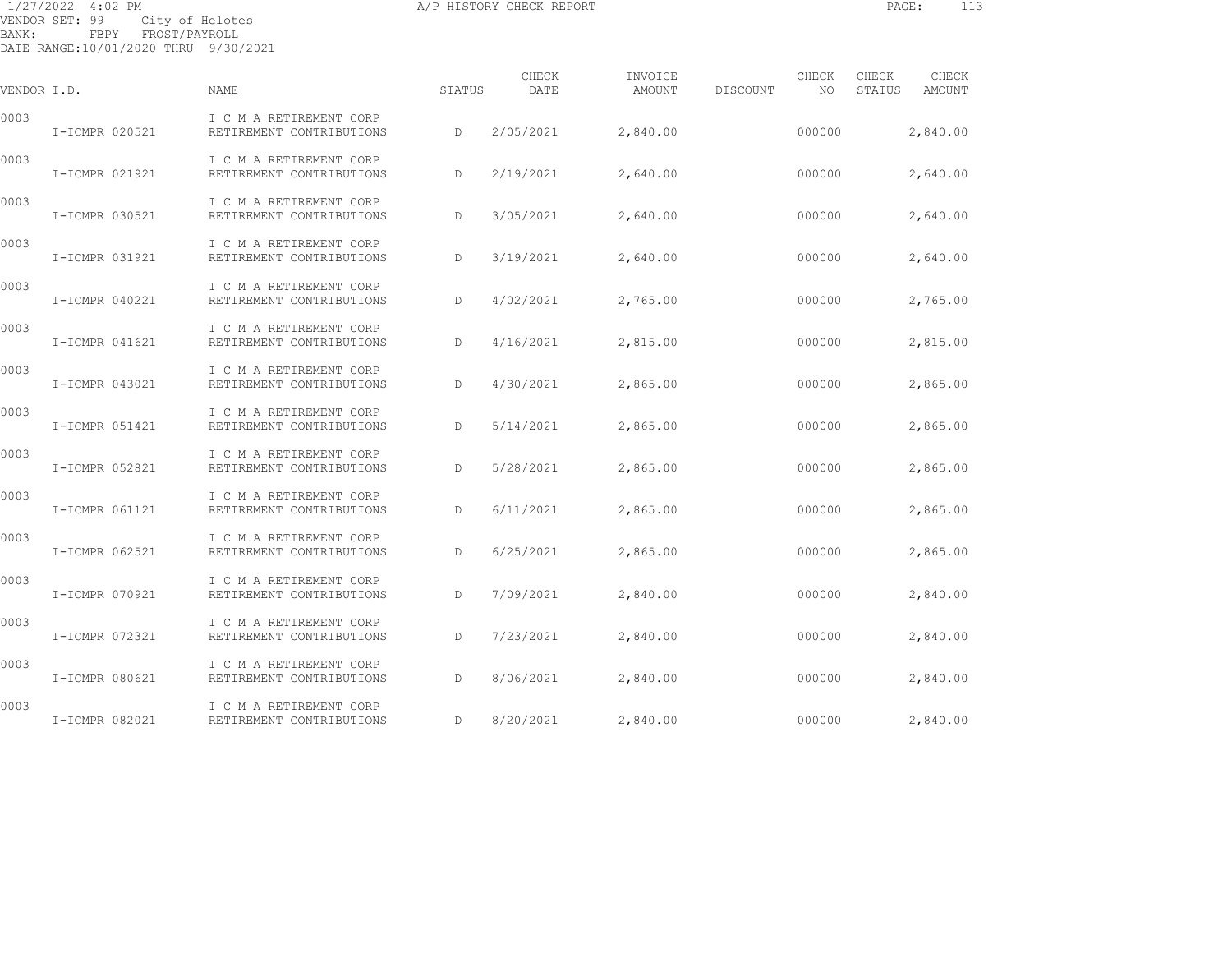1/27/2022 4:02 PM A/P HISTORY CHECK REPORT PAGE: 113 VENDOR SET: 99 City of Helotes BANK: FBPY FROST/PAYROLL

| VENDOR I.D. |                | NAME                                                | STATUS | CHECK<br>DATE | INVOICE<br>AMOUNT | DISCOUNT | CHECK<br>NO | CHECK<br>STATUS | CHECK<br>AMOUNT |
|-------------|----------------|-----------------------------------------------------|--------|---------------|-------------------|----------|-------------|-----------------|-----------------|
| 0003        | I-ICMPR 020521 | I C M A RETIREMENT CORP<br>RETIREMENT CONTRIBUTIONS | D      | 2/05/2021     | 2,840.00          |          | 000000      |                 | 2,840.00        |
| 0003        | I-ICMPR 021921 | I C M A RETIREMENT CORP<br>RETIREMENT CONTRIBUTIONS | D      | 2/19/2021     | 2,640.00          |          | 000000      |                 | 2,640.00        |
| 0003        | I-ICMPR 030521 | I C M A RETIREMENT CORP<br>RETIREMENT CONTRIBUTIONS | D      | 3/05/2021     | 2,640.00          |          | 000000      |                 | 2,640.00        |
| 0003        | I-ICMPR 031921 | I C M A RETIREMENT CORP<br>RETIREMENT CONTRIBUTIONS | D      | 3/19/2021     | 2,640.00          |          | 000000      |                 | 2,640.00        |
| 0003        | I-ICMPR 040221 | I C M A RETIREMENT CORP<br>RETIREMENT CONTRIBUTIONS | D      | 4/02/2021     | 2,765.00          |          | 000000      |                 | 2,765.00        |
| 0003        | I-ICMPR 041621 | I C M A RETIREMENT CORP<br>RETIREMENT CONTRIBUTIONS | D      | 4/16/2021     | 2,815.00          |          | 000000      |                 | 2,815.00        |
| 0003        | I-ICMPR 043021 | I C M A RETIREMENT CORP<br>RETIREMENT CONTRIBUTIONS | D      | 4/30/2021     | 2,865.00          |          | 000000      |                 | 2,865.00        |
| 0003        | I-ICMPR 051421 | I C M A RETIREMENT CORP<br>RETIREMENT CONTRIBUTIONS | D      | 5/14/2021     | 2,865.00          |          | 000000      |                 | 2,865.00        |
| 0003        | I-ICMPR 052821 | I C M A RETIREMENT CORP<br>RETIREMENT CONTRIBUTIONS | D      | 5/28/2021     | 2,865.00          |          | 000000      |                 | 2,865.00        |
| 0003        | I-ICMPR 061121 | I C M A RETIREMENT CORP<br>RETIREMENT CONTRIBUTIONS | D      | 6/11/2021     | 2,865.00          |          | 000000      |                 | 2,865.00        |
| 0003        | I-ICMPR 062521 | I C M A RETIREMENT CORP<br>RETIREMENT CONTRIBUTIONS | D      | 6/25/2021     | 2,865.00          |          | 000000      |                 | 2,865.00        |
| 0003        | I-ICMPR 070921 | I C M A RETIREMENT CORP<br>RETIREMENT CONTRIBUTIONS | D      | 7/09/2021     | 2,840.00          |          | 000000      |                 | 2,840.00        |
| 0003        | I-ICMPR 072321 | I C M A RETIREMENT CORP<br>RETIREMENT CONTRIBUTIONS | D      | 7/23/2021     | 2,840.00          |          | 000000      |                 | 2,840.00        |
| 0003        | I-ICMPR 080621 | I C M A RETIREMENT CORP<br>RETIREMENT CONTRIBUTIONS | D      | 8/06/2021     | 2,840.00          |          | 000000      |                 | 2,840.00        |
| 0003        | I-ICMPR 082021 | I C M A RETIREMENT CORP<br>RETIREMENT CONTRIBUTIONS | D      | 8/20/2021     | 2,840.00          |          | 000000      |                 | 2,840.00        |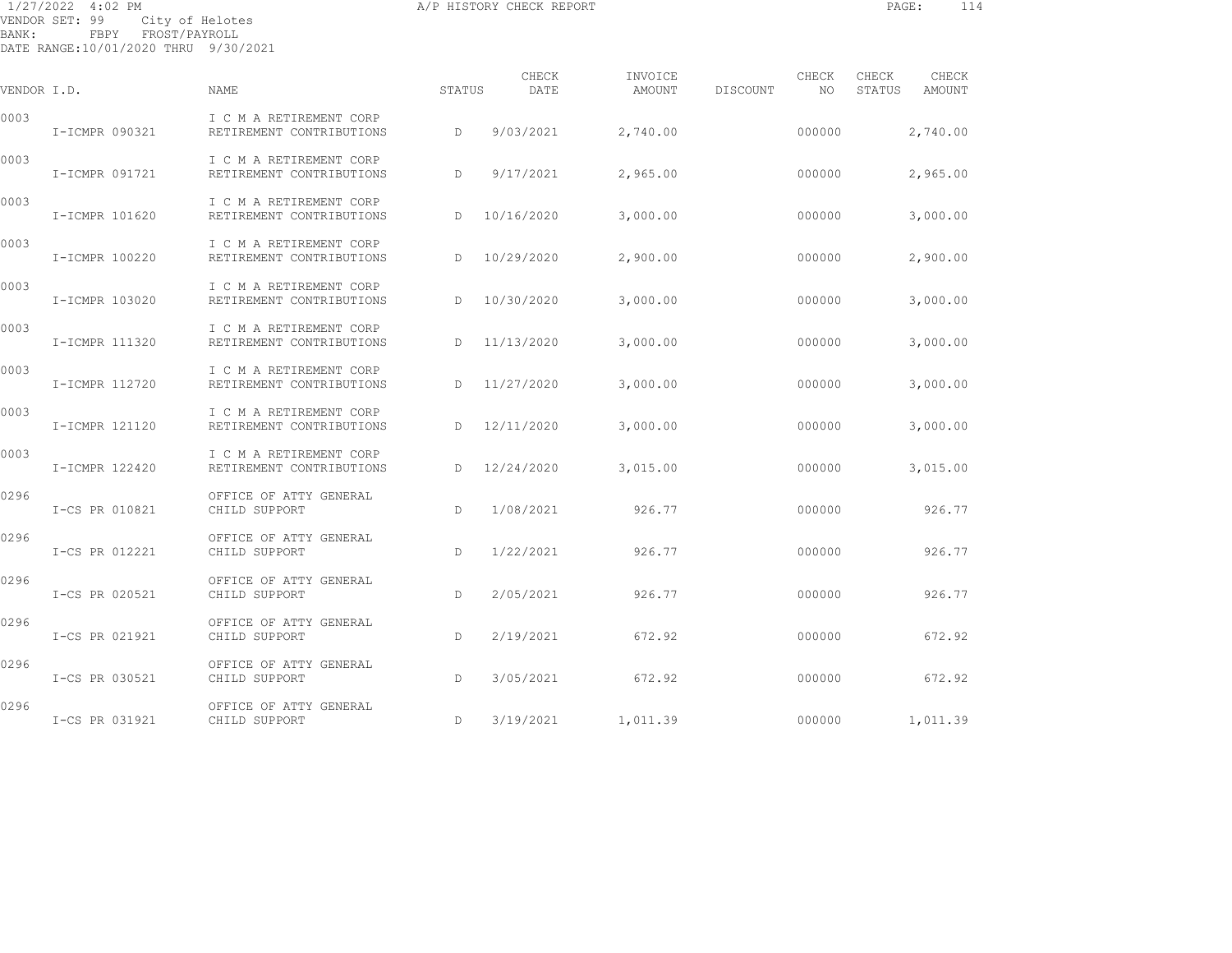1/27/2022 4:02 PM A/P HISTORY CHECK REPORT PAGE: 114 VENDOR SET: 99 City of Helotes BANK: FBPY FROST/PAYROLL

| VENDOR I.D. |                | NAME                                                | STATUS       | CHECK<br>DATE | INVOICE<br>AMOUNT | CHECK<br>DISCOUNT<br>NO. | CHECK<br>CHECK<br>STATUS<br>AMOUNT |
|-------------|----------------|-----------------------------------------------------|--------------|---------------|-------------------|--------------------------|------------------------------------|
| 0003        | I-ICMPR 090321 | I C M A RETIREMENT CORP<br>RETIREMENT CONTRIBUTIONS | D            | 9/03/2021     | 2,740.00          | 000000                   | 2,740.00                           |
| 0003        | I-ICMPR 091721 | I C M A RETIREMENT CORP<br>RETIREMENT CONTRIBUTIONS | D            | 9/17/2021     | 2,965.00          | 000000                   | 2,965.00                           |
| 0003        | I-ICMPR 101620 | I C M A RETIREMENT CORP<br>RETIREMENT CONTRIBUTIONS | D            | 10/16/2020    | 3,000.00          | 000000                   | 3,000.00                           |
| 0003        | I-ICMPR 100220 | I C M A RETIREMENT CORP<br>RETIREMENT CONTRIBUTIONS | D            | 10/29/2020    | 2,900.00          | 000000                   | 2,900.00                           |
| 0003        | I-ICMPR 103020 | I C M A RETIREMENT CORP<br>RETIREMENT CONTRIBUTIONS | D            | 10/30/2020    | 3,000.00          | 000000                   | 3,000.00                           |
| 0003        | I-ICMPR 111320 | I C M A RETIREMENT CORP<br>RETIREMENT CONTRIBUTIONS | $\mathbb{D}$ | 11/13/2020    | 3,000.00          | 000000                   | 3,000.00                           |
| 0003        | I-ICMPR 112720 | I C M A RETIREMENT CORP<br>RETIREMENT CONTRIBUTIONS | D            | 11/27/2020    | 3,000.00          | 000000                   | 3,000.00                           |
| 0003        | I-ICMPR 121120 | I C M A RETIREMENT CORP<br>RETIREMENT CONTRIBUTIONS | D            | 12/11/2020    | 3,000.00          | 000000                   | 3,000.00                           |
| 0003        | I-ICMPR 122420 | I C M A RETIREMENT CORP<br>RETIREMENT CONTRIBUTIONS | D            | 12/24/2020    | 3,015.00          | 000000                   | 3,015.00                           |
| 0296        | I-CS PR 010821 | OFFICE OF ATTY GENERAL<br>CHILD SUPPORT             | $\mathbb{D}$ | 1/08/2021     | 926.77            | 000000                   | 926.77                             |
| 0296        | I-CS PR 012221 | OFFICE OF ATTY GENERAL<br>CHILD SUPPORT             | D            | 1/22/2021     | 926.77            | 000000                   | 926.77                             |
| 0296        | I-CS PR 020521 | OFFICE OF ATTY GENERAL<br>CHILD SUPPORT             | D            | 2/05/2021     | 926.77            | 000000                   | 926.77                             |
| 0296        | I-CS PR 021921 | OFFICE OF ATTY GENERAL<br>CHILD SUPPORT             | $\mathbb{D}$ | 2/19/2021     | 672.92            | 000000                   | 672.92                             |
| 0296        | I-CS PR 030521 | OFFICE OF ATTY GENERAL<br>CHILD SUPPORT             | D            | 3/05/2021     | 672.92            | 000000                   | 672.92                             |
| 0296        | I-CS PR 031921 | OFFICE OF ATTY GENERAL<br>CHILD SUPPORT             | D            | 3/19/2021     | 1,011.39          | 000000                   | 1,011.39                           |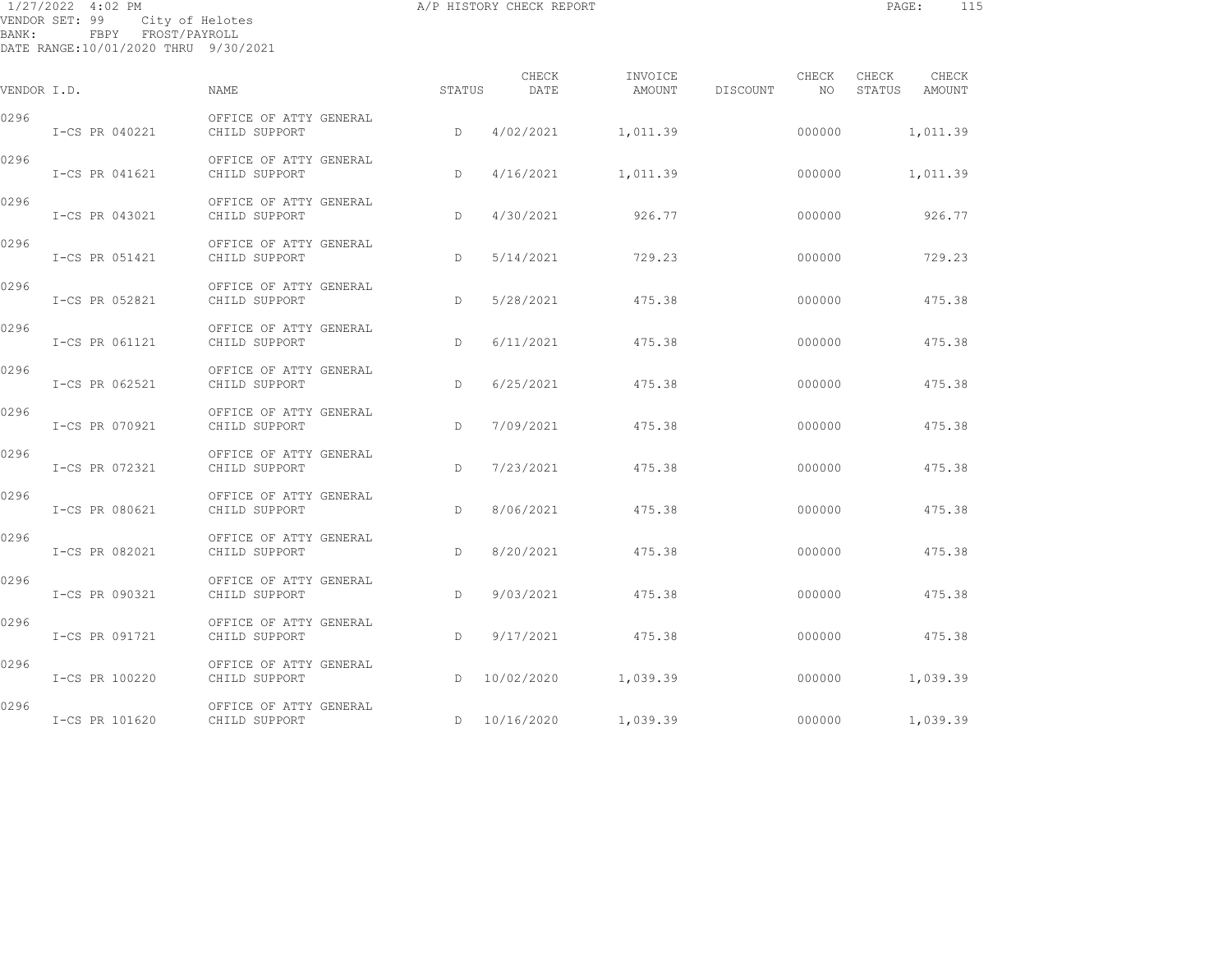| BANK: | 1/27/2022 4:02 PM<br>VENDOR SET: 99<br>FBPY FROST/PAYROLL<br>DATE RANGE:10/01/2020 THRU 9/30/2021 | City of Helotes                         |              | A/P HISTORY CHECK REPORT |                   |          |             | PAGE:           | 115             |  |
|-------|---------------------------------------------------------------------------------------------------|-----------------------------------------|--------------|--------------------------|-------------------|----------|-------------|-----------------|-----------------|--|
|       | VENDOR I.D.                                                                                       | NAME                                    | STATUS       | CHECK<br>DATE            | INVOICE<br>AMOUNT | DISCOUNT | CHECK<br>NO | CHECK<br>STATUS | CHECK<br>AMOUNT |  |
| 0296  | I-CS PR 040221                                                                                    | OFFICE OF ATTY GENERAL<br>CHILD SUPPORT | D            | 4/02/2021                | 1,011.39          |          | 000000      |                 | 1,011.39        |  |
| 0296  | I-CS PR 041621                                                                                    | OFFICE OF ATTY GENERAL<br>CHILD SUPPORT | D.           | 4/16/2021                | 1,011.39          |          | 000000      |                 | 1,011.39        |  |
| 0296  | I-CS PR 043021                                                                                    | OFFICE OF ATTY GENERAL<br>CHILD SUPPORT | D            | 4/30/2021                | 926.77            |          | 000000      |                 | 926.77          |  |
| 0296  | I-CS PR 051421                                                                                    | OFFICE OF ATTY GENERAL<br>CHILD SUPPORT | D            | 5/14/2021                | 729.23            |          | 000000      |                 | 729.23          |  |
| 0296  | I-CS PR 052821                                                                                    | OFFICE OF ATTY GENERAL<br>CHILD SUPPORT | D            | 5/28/2021                | 475.38            |          | 000000      |                 | 475.38          |  |
| 0296  | I-CS PR 061121                                                                                    | OFFICE OF ATTY GENERAL<br>CHILD SUPPORT | $\mathbb{D}$ | 6/11/2021                | 475.38            |          | 000000      |                 | 475.38          |  |
| 0296  | I-CS PR 062521                                                                                    | OFFICE OF ATTY GENERAL<br>CHILD SUPPORT | D            | 6/25/2021                | 475.38            |          | 000000      |                 | 475.38          |  |
| 0296  | I-CS PR 070921                                                                                    | OFFICE OF ATTY GENERAL<br>CHILD SUPPORT | D.           | 7/09/2021                | 475.38            |          | 000000      |                 | 475.38          |  |
| 0296  | I-CS PR 072321                                                                                    | OFFICE OF ATTY GENERAL<br>CHILD SUPPORT | D.           | 7/23/2021                | 475.38            |          | 000000      |                 | 475.38          |  |
| 0296  | I-CS PR 080621                                                                                    | OFFICE OF ATTY GENERAL<br>CHILD SUPPORT | D            | 8/06/2021                | 475.38            |          | 000000      |                 | 475.38          |  |
| 0296  | I-CS PR 082021                                                                                    | OFFICE OF ATTY GENERAL<br>CHILD SUPPORT | D            | 8/20/2021                | 475.38            |          | 000000      |                 | 475.38          |  |
| 0296  | I-CS PR 090321                                                                                    | OFFICE OF ATTY GENERAL<br>CHILD SUPPORT | D            | 9/03/2021                | 475.38            |          | 000000      |                 | 475.38          |  |
| 0296  | I-CS PR 091721                                                                                    | OFFICE OF ATTY GENERAL<br>CHILD SUPPORT | D            | 9/17/2021                | 475.38            |          | 000000      |                 | 475.38          |  |
| 0296  | I-CS PR 100220                                                                                    | OFFICE OF ATTY GENERAL<br>CHILD SUPPORT | D            | 10/02/2020               | 1,039.39          |          | 000000      |                 | 1,039.39        |  |

ENERAL<br>
D 10/16/2020 1,039.39 000000 1,039.39

0296 OFFICE OF ATTY GENERAL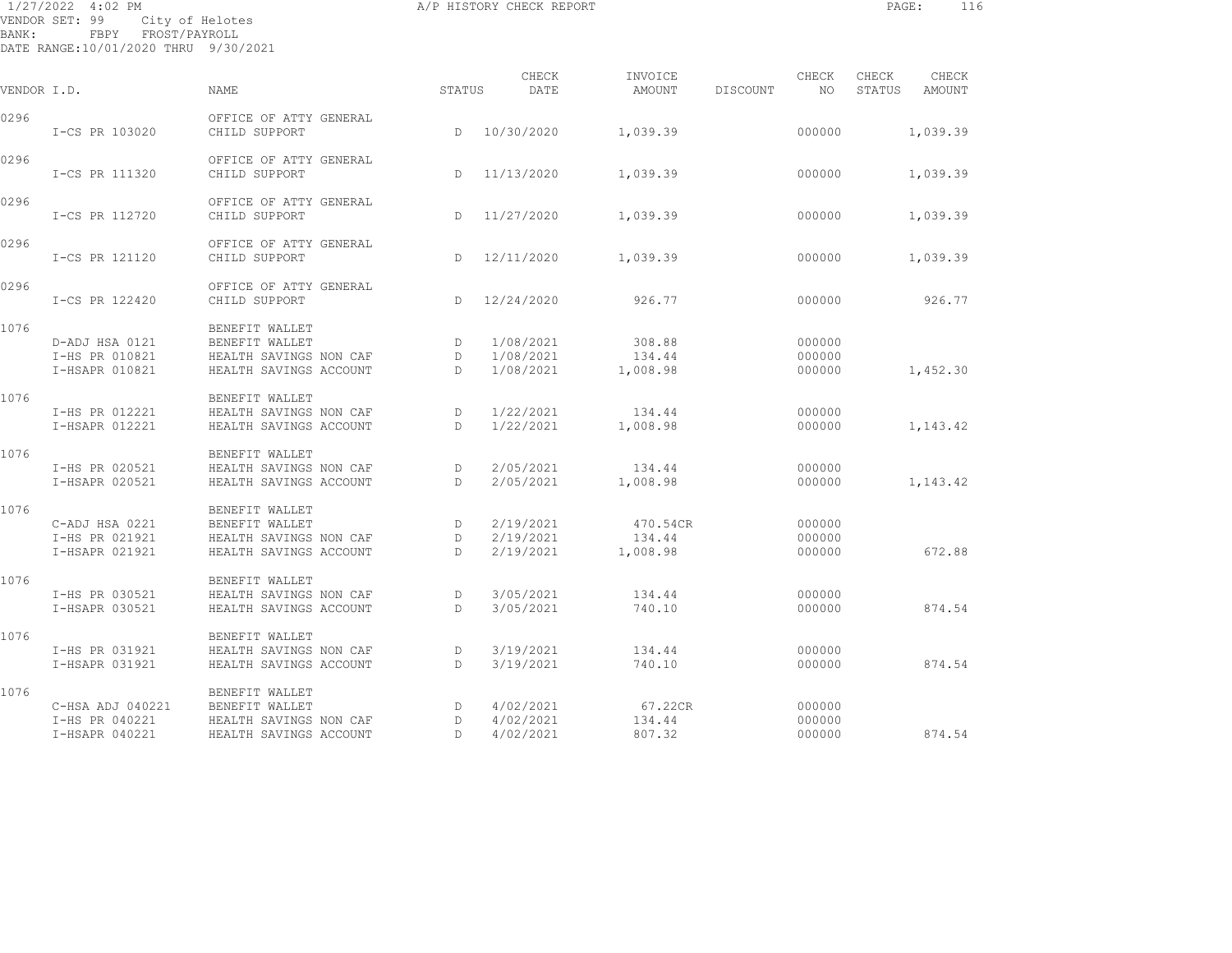| BANK: | 1/27/2022 4:02 PM<br>VENDOR SET: 99<br>FBPY FROST/PAYROLL<br>DATE RANGE:10/01/2020 THRU 9/30/2021 | City of Helotes                                                                      |                        | A/P HISTORY CHECK REPORT            |                                |          |                            | PAGE:           | 116             |
|-------|---------------------------------------------------------------------------------------------------|--------------------------------------------------------------------------------------|------------------------|-------------------------------------|--------------------------------|----------|----------------------------|-----------------|-----------------|
|       | VENDOR I.D.                                                                                       | NAME                                                                                 | STATUS                 | CHECK<br>DATE                       | INVOICE<br>AMOUNT              | DISCOUNT | CHECK<br>NO .              | CHECK<br>STATUS | CHECK<br>AMOUNT |
| 0296  | I-CS PR 103020                                                                                    | OFFICE OF ATTY GENERAL<br>CHILD SUPPORT                                              | D                      | 10/30/2020                          | 1,039.39                       |          | 000000                     |                 | 1,039.39        |
| 0296  | I-CS PR 111320                                                                                    | OFFICE OF ATTY GENERAL<br>CHILD SUPPORT                                              | D.                     | 11/13/2020                          | 1,039.39                       |          | 000000                     |                 | 1,039.39        |
| 0296  | I-CS PR 112720                                                                                    | OFFICE OF ATTY GENERAL<br>CHILD SUPPORT                                              |                        | D 11/27/2020                        | 1,039.39                       |          | 000000                     |                 | 1,039.39        |
| 0296  | I-CS PR 121120                                                                                    | OFFICE OF ATTY GENERAL<br>CHILD SUPPORT                                              | D                      | 12/11/2020                          | 1,039.39                       |          | 000000                     |                 | 1,039.39        |
| 0296  | I-CS PR 122420                                                                                    | OFFICE OF ATTY GENERAL<br>CHILD SUPPORT                                              | D                      | 12/24/2020                          | 926.77                         |          | 000000                     |                 | 926.77          |
| 1076  | D-ADJ HSA 0121<br>I-HS PR 010821<br>I-HSAPR 010821                                                | BENEFIT WALLET<br>BENEFIT WALLET<br>HEALTH SAVINGS NON CAF<br>HEALTH SAVINGS ACCOUNT | D<br>D<br>$\mathbb{D}$ | 1/08/2021<br>1/08/2021<br>1/08/2021 | 308.88<br>134.44<br>1,008.98   |          | 000000<br>000000<br>000000 |                 | 1,452.30        |
| 1076  | I-HS PR 012221<br>I-HSAPR 012221                                                                  | BENEFIT WALLET<br>HEALTH SAVINGS NON CAF<br>HEALTH SAVINGS ACCOUNT                   | D<br>D                 | 1/22/2021<br>1/22/2021              | 134.44<br>1,008.98             |          | 000000<br>000000           |                 | 1,143.42        |
| 1076  | I-HS PR 020521<br>I-HSAPR 020521                                                                  | BENEFIT WALLET<br>HEALTH SAVINGS NON CAF<br>HEALTH SAVINGS ACCOUNT                   | D<br>D                 | 2/05/2021<br>2/05/2021              | 134.44<br>1,008.98             |          | 000000<br>000000           |                 | 1,143.42        |
| 1076  | C-ADJ HSA 0221<br>I-HS PR 021921<br>I-HSAPR 021921                                                | BENEFIT WALLET<br>BENEFIT WALLET<br>HEALTH SAVINGS NON CAF<br>HEALTH SAVINGS ACCOUNT | D<br>D<br>$\mathbb{D}$ | 2/19/2021<br>2/19/2021<br>2/19/2021 | 470.54CR<br>134.44<br>1,008.98 |          | 000000<br>000000<br>000000 |                 | 672.88          |
| 1076  | I-HS PR 030521<br>I-HSAPR 030521                                                                  | BENEFIT WALLET<br>HEALTH SAVINGS NON CAF<br>HEALTH SAVINGS ACCOUNT                   | D<br>$\mathbb{D}$      | 3/05/2021<br>3/05/2021              | 134.44<br>740.10               |          | 000000<br>000000           |                 | 874.54          |
| 1076  | I-HS PR 031921<br>I-HSAPR 031921                                                                  | BENEFIT WALLET<br>HEALTH SAVINGS NON CAF<br>HEALTH SAVINGS ACCOUNT                   | D<br>D                 | 3/19/2021<br>3/19/2021              | 134.44<br>740.10               |          | 000000<br>000000           |                 | 874.54          |
| 1076  |                                                                                                   | BENEFIT WALLET                                                                       |                        |                                     |                                |          |                            |                 |                 |

 C-HSA ADJ 040221 BENEFIT WALLET D 4/02/2021 67.22CR 000000 I-HS PR 040221 HEALTH SAVINGS NON CAF D 4/02/2021 134.44 000000

I-HSAPR 040221 HEALTH SAVINGS ACCOUNT D 4/02/2021 807.32 000000 874.54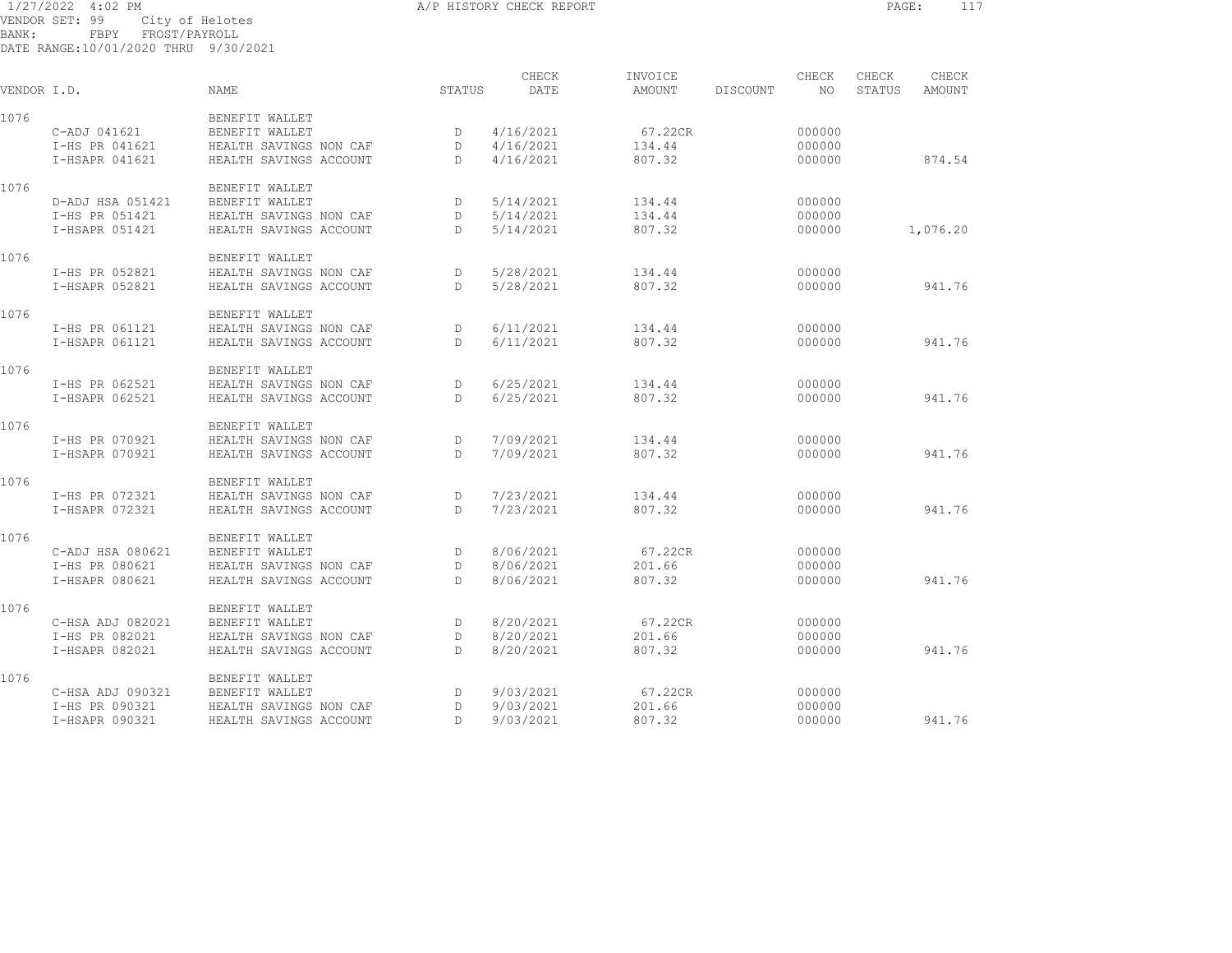1/27/2022 4:02 PM A/P HISTORY CHECK REPORT PAGE: 117 VENDOR SET: 99 City of Helotes BANK: FBPY FROST/PAYROLL

| VENDOR I.D. |                  | <b>NAME</b>            | STATUS       | CHECK<br>DATE | INVOICE<br><b>AMOUNT</b> | DISCOUNT | CHECK<br>NO. | CHECK<br>STATUS | CHECK<br><b>AMOUNT</b> |
|-------------|------------------|------------------------|--------------|---------------|--------------------------|----------|--------------|-----------------|------------------------|
| 1076        |                  | BENEFIT WALLET         |              |               |                          |          |              |                 |                        |
|             | C-ADJ 041621     | BENEFIT WALLET         | D            | 4/16/2021     | 67.22CR                  |          | 000000       |                 |                        |
|             | I-HS PR 041621   | HEALTH SAVINGS NON CAF | D            | 4/16/2021     | 134.44                   |          | 000000       |                 |                        |
|             | I-HSAPR 041621   | HEALTH SAVINGS ACCOUNT | D            | 4/16/2021     | 807.32                   |          | 000000       |                 | 874.54                 |
| 1076        |                  | BENEFIT WALLET         |              |               |                          |          |              |                 |                        |
|             | D-ADJ HSA 051421 | BENEFIT WALLET         | D            | 5/14/2021     | 134.44                   |          | 000000       |                 |                        |
|             | I-HS PR 051421   | HEALTH SAVINGS NON CAF | D            | 5/14/2021     | 134.44                   |          | 000000       |                 |                        |
|             | I-HSAPR 051421   | HEALTH SAVINGS ACCOUNT | D.           | 5/14/2021     | 807.32                   |          | 000000       |                 | 1,076.20               |
| 1076        |                  | BENEFIT WALLET         |              |               |                          |          |              |                 |                        |
|             | I-HS PR 052821   | HEALTH SAVINGS NON CAF | D            | 5/28/2021     | 134.44                   |          | 000000       |                 |                        |
|             | I-HSAPR 052821   | HEALTH SAVINGS ACCOUNT | D.           | 5/28/2021     | 807.32                   |          | 000000       |                 | 941.76                 |
| 1076        |                  | BENEFIT WALLET         |              |               |                          |          |              |                 |                        |
|             | I-HS PR 061121   | HEALTH SAVINGS NON CAF | D            | 6/11/2021     | 134.44                   |          | 000000       |                 |                        |
|             | I-HSAPR 061121   | HEALTH SAVINGS ACCOUNT | D.           | 6/11/2021     | 807.32                   |          | 000000       |                 | 941.76                 |
| 1076        |                  | BENEFIT WALLET         |              |               |                          |          |              |                 |                        |
|             | I-HS PR 062521   | HEALTH SAVINGS NON CAF | D            | 6/25/2021     | 134.44                   |          | 000000       |                 |                        |
|             | I-HSAPR 062521   | HEALTH SAVINGS ACCOUNT | D.           | 6/25/2021     | 807.32                   |          | 000000       |                 | 941.76                 |
| 1076        |                  | BENEFIT WALLET         |              |               |                          |          |              |                 |                        |
|             | I-HS PR 070921   | HEALTH SAVINGS NON CAF | D            | 7/09/2021     | 134.44                   |          | 000000       |                 |                        |
|             | I-HSAPR 070921   | HEALTH SAVINGS ACCOUNT | $\mathbb{D}$ | 7/09/2021     | 807.32                   |          | 000000       |                 | 941.76                 |
| 1076        |                  | BENEFIT WALLET         |              |               |                          |          |              |                 |                        |
|             | I-HS PR 072321   | HEALTH SAVINGS NON CAF | D            | 7/23/2021     | 134.44                   |          | 000000       |                 |                        |
|             | I-HSAPR 072321   | HEALTH SAVINGS ACCOUNT | D.           | 7/23/2021     | 807.32                   |          | 000000       |                 | 941.76                 |
| 1076        |                  | BENEFIT WALLET         |              |               |                          |          |              |                 |                        |
|             | C-ADJ HSA 080621 | BENEFIT WALLET         | D            | 8/06/2021     | 67.22CR                  |          | 000000       |                 |                        |
|             | I-HS PR 080621   | HEALTH SAVINGS NON CAF | D            | 8/06/2021     | 201.66                   |          | 000000       |                 |                        |
|             | I-HSAPR 080621   | HEALTH SAVINGS ACCOUNT | D.           | 8/06/2021     | 807.32                   |          | 000000       |                 | 941.76                 |
| 1076        |                  | BENEFIT WALLET         |              |               |                          |          |              |                 |                        |
|             | C-HSA ADJ 082021 | BENEFIT WALLET         | D            | 8/20/2021     | 67.22CR                  |          | 000000       |                 |                        |
|             | I-HS PR 082021   | HEALTH SAVINGS NON CAF | D            | 8/20/2021     | 201.66                   |          | 000000       |                 |                        |
|             | I-HSAPR 082021   | HEALTH SAVINGS ACCOUNT | D.           | 8/20/2021     | 807.32                   |          | 000000       |                 | 941.76                 |
| 1076        |                  | BENEFIT WALLET         |              |               |                          |          |              |                 |                        |
|             | C-HSA ADJ 090321 | BENEFIT WALLET         | D            | 9/03/2021     | 67.22CR                  |          | 000000       |                 |                        |
|             | I-HS PR 090321   | HEALTH SAVINGS NON CAF | D            | 9/03/2021     | 201.66                   |          | 000000       |                 |                        |
|             | I-HSAPR 090321   | HEALTH SAVINGS ACCOUNT | D.           | 9/03/2021     | 807.32                   |          | 000000       |                 | 941.76                 |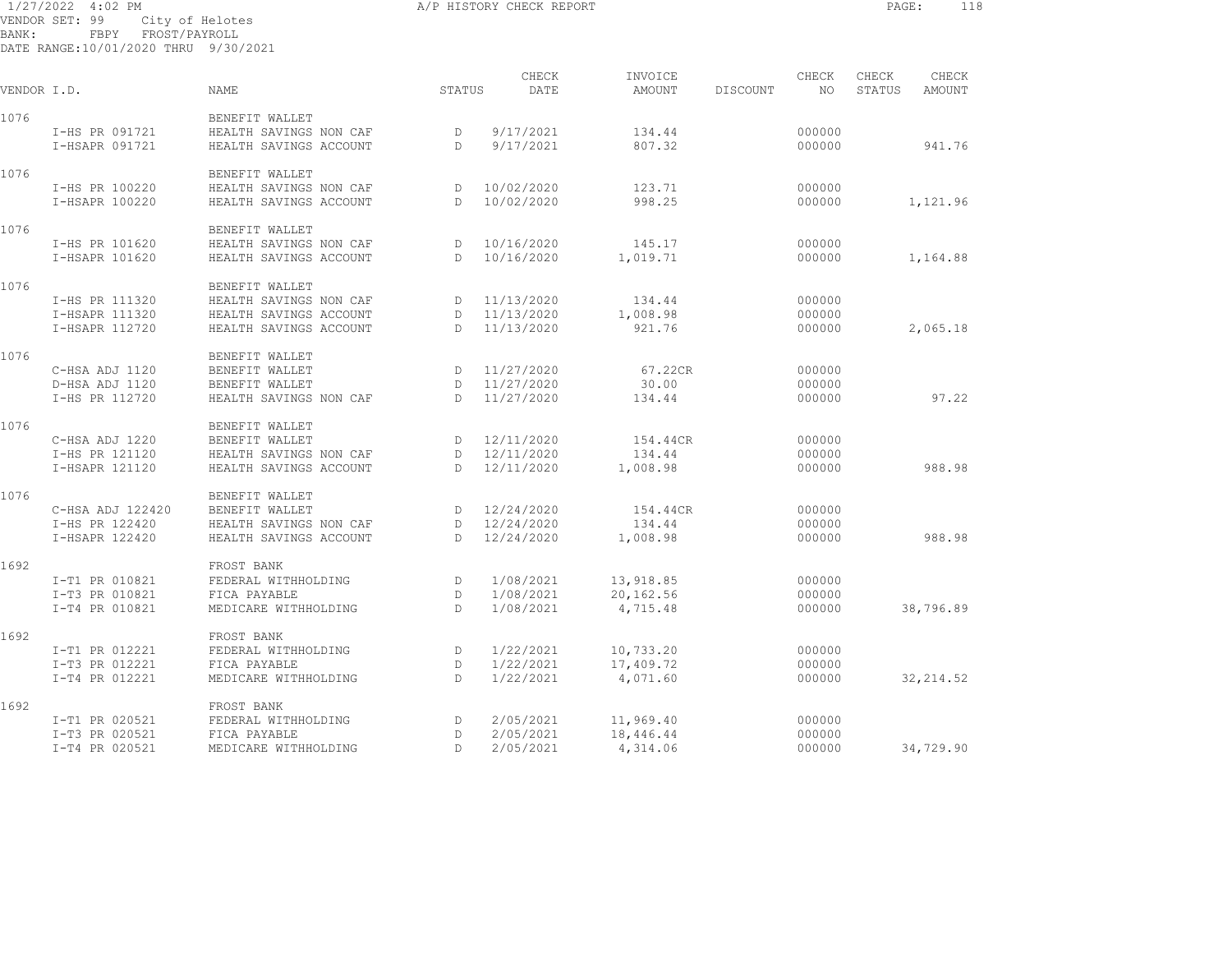## 1/27/2022 4:02 PM CHECK ASSOCIATE A A A PHISTORY CHECK REPORT A REPORT PAGE: 118 VENDOR SET: 99 City of Helotes BANK: FBPY FROST/PAYROLL

| VENDOR I.D. |                                  | <b>NAME</b>                                      | STATUS            | CHECK<br>DATE          | INVOICE<br><b>AMOUNT</b> | DISCOUNT | CHECK<br>NO.     | CHECK<br>STATUS | CHECK<br><b>AMOUNT</b> |
|-------------|----------------------------------|--------------------------------------------------|-------------------|------------------------|--------------------------|----------|------------------|-----------------|------------------------|
| 1076        |                                  | BENEFIT WALLET                                   |                   |                        |                          |          |                  |                 |                        |
|             | I-HS PR 091721<br>I-HSAPR 091721 | HEALTH SAVINGS NON CAF<br>HEALTH SAVINGS ACCOUNT | D<br>$\mathbb{D}$ | 9/17/2021<br>9/17/2021 | 134.44<br>807.32         |          | 000000<br>000000 |                 | 941.76                 |
| 1076        |                                  | BENEFIT WALLET                                   |                   |                        |                          |          |                  |                 |                        |
|             | I-HS PR 100220                   | HEALTH SAVINGS NON CAF                           | D                 | 10/02/2020             | 123.71                   |          | 000000           |                 |                        |
|             | I-HSAPR 100220                   | HEALTH SAVINGS ACCOUNT                           | $\mathbb{D}$      | 10/02/2020             | 998.25                   |          | 000000           |                 | 1,121.96               |
| 1076        |                                  | BENEFIT WALLET                                   |                   |                        |                          |          |                  |                 |                        |
|             | I-HS PR 101620                   | HEALTH SAVINGS NON CAF                           | D                 | 10/16/2020             | 145.17                   |          | 000000           |                 |                        |
|             | I-HSAPR 101620                   | HEALTH SAVINGS ACCOUNT                           | $\mathbb{D}$      | 10/16/2020             | 1,019.71                 |          | 000000           |                 | 1,164.88               |
| 1076        |                                  | BENEFIT WALLET                                   |                   |                        |                          |          |                  |                 |                        |
|             | I-HS PR 111320                   | HEALTH SAVINGS NON CAF                           | D                 | 11/13/2020             | 134.44                   |          | 000000           |                 |                        |
|             | I-HSAPR 111320                   | HEALTH SAVINGS ACCOUNT                           | D.                | 11/13/2020             | 1,008.98                 |          | 000000           |                 |                        |
|             | I-HSAPR 112720                   | HEALTH SAVINGS ACCOUNT                           | $\mathbb{D}$      | 11/13/2020             | 921.76                   |          | 000000           |                 | 2,065.18               |
| 1076        |                                  | BENEFIT WALLET                                   |                   |                        |                          |          |                  |                 |                        |
|             | C-HSA ADJ 1120                   | BENEFIT WALLET                                   | D                 | 11/27/2020             | 67.22CR                  |          | 000000           |                 |                        |
|             | D-HSA ADJ 1120                   | BENEFIT WALLET                                   | D                 | 11/27/2020             | 30.00                    |          | 000000           |                 |                        |
|             | I-HS PR 112720                   | HEALTH SAVINGS NON CAF                           | $\mathbb{D}$      | 11/27/2020             | 134.44                   |          | 000000           |                 | 97.22                  |
| 1076        |                                  | BENEFIT WALLET                                   |                   |                        |                          |          |                  |                 |                        |
|             | C-HSA ADJ 1220                   | BENEFIT WALLET                                   | D                 | 12/11/2020             | 154.44CR                 |          | 000000           |                 |                        |
|             | I-HS PR 121120                   | HEALTH SAVINGS NON CAF                           | $\mathbb{D}$      | 12/11/2020             | 134.44                   |          | 000000           |                 |                        |
|             | I-HSAPR 121120                   | HEALTH SAVINGS ACCOUNT                           | $\mathbb{D}$      | 12/11/2020             | 1,008.98                 |          | 000000           |                 | 988.98                 |
| 1076        |                                  | BENEFIT WALLET                                   |                   |                        |                          |          |                  |                 |                        |
|             | C-HSA ADJ 122420                 | BENEFIT WALLET                                   | D                 | 12/24/2020             | 154.44CR                 |          | 000000           |                 |                        |
|             | I-HS PR 122420                   | HEALTH SAVINGS NON CAF                           | D                 | 12/24/2020             | 134.44                   |          | 000000           |                 |                        |
|             | I-HSAPR 122420                   | HEALTH SAVINGS ACCOUNT                           | $\mathbb{D}$      | 12/24/2020             | 1,008.98                 |          | 000000           |                 | 988.98                 |
| 1692        |                                  | FROST BANK                                       |                   |                        |                          |          |                  |                 |                        |
|             | I-T1 PR 010821                   | FEDERAL WITHHOLDING                              | D                 | 1/08/2021              | 13,918.85                |          | 000000           |                 |                        |
|             | I-T3 PR 010821                   | FICA PAYABLE                                     | D                 | 1/08/2021              | 20,162.56                |          | 000000           |                 |                        |
|             | I-T4 PR 010821                   | MEDICARE WITHHOLDING                             | $\mathbb{D}$      | 1/08/2021              | 4,715.48                 |          | 000000           |                 | 38,796.89              |
| 1692        |                                  | FROST BANK                                       |                   |                        |                          |          |                  |                 |                        |
|             | I-T1 PR 012221                   | FEDERAL WITHHOLDING                              | D                 | 1/22/2021              | 10,733.20                |          | 000000           |                 |                        |
|             | I-T3 PR 012221                   | FICA PAYABLE                                     | D                 | 1/22/2021              | 17,409.72                |          | 000000           |                 |                        |
|             | I-T4 PR 012221                   | MEDICARE WITHHOLDING                             | $\mathbb{D}$      | 1/22/2021              | 4,071.60                 |          | 000000           |                 | 32, 214.52             |
| 1692        |                                  | FROST BANK                                       |                   |                        |                          |          |                  |                 |                        |
|             | I-T1 PR 020521                   | FEDERAL WITHHOLDING                              | D                 | 2/05/2021              | 11,969.40                |          | 000000           |                 |                        |
|             | I-T3 PR 020521                   | FICA PAYABLE                                     | D                 | 2/05/2021              | 18,446.44                |          | 000000           |                 |                        |
|             | I-T4 PR 020521                   | MEDICARE WITHHOLDING                             | D                 | 2/05/2021              | 4,314.06                 |          | 000000           |                 | 34,729.90              |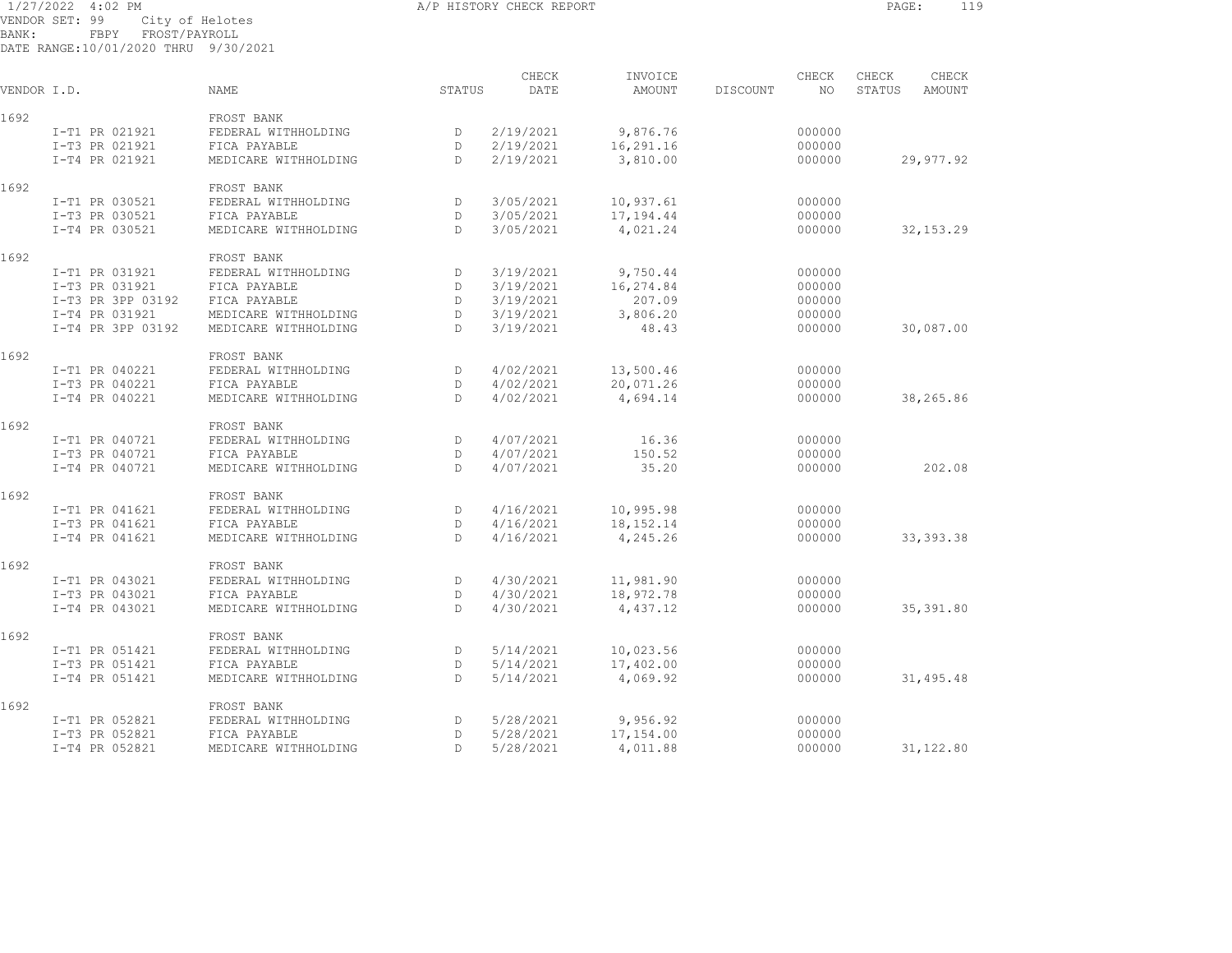## 1/27/2022 4:02 PM A/P HISTORY CHECK REPORT PAGE: 119 VENDOR SET: 99 City of Helotes BANK: FBPY FROST/PAYROLL

DATE RANGE:10/01/2020 THRU 9/30/2021

| VENDOR I.D. |                   | <b>NAME</b>          | STATUS       | CHECK<br>DATE | INVOICE<br><b>AMOUNT</b> | DISCOUNT | CHECK<br>NO. | CHECK<br>STATUS | CHECK<br><b>AMOUNT</b> |
|-------------|-------------------|----------------------|--------------|---------------|--------------------------|----------|--------------|-----------------|------------------------|
| 1692        |                   | FROST BANK           |              |               |                          |          |              |                 |                        |
|             | I-T1 PR 021921    | FEDERAL WITHHOLDING  | D            | 2/19/2021     | 9,876.76                 |          | 000000       |                 |                        |
|             | I-T3 PR 021921    | FICA PAYABLE         | D            | 2/19/2021     | 16,291.16                |          | 000000       |                 |                        |
|             | I-T4 PR 021921    | MEDICARE WITHHOLDING | $\mathbb{D}$ | 2/19/2021     | 3,810.00                 |          | 000000       |                 | 29,977.92              |
| 1692        |                   | FROST BANK           |              |               |                          |          |              |                 |                        |
|             | I-T1 PR 030521    | FEDERAL WITHHOLDING  | D            | 3/05/2021     | 10,937.61                |          | 000000       |                 |                        |
|             | I-T3 PR 030521    | FICA PAYABLE         | D            | 3/05/2021     | 17,194.44                |          | 000000       |                 |                        |
|             | I-T4 PR 030521    | MEDICARE WITHHOLDING | $\mathbb{D}$ | 3/05/2021     | 4,021.24                 |          | 000000       |                 | 32, 153.29             |
| 1692        |                   | FROST BANK           |              |               |                          |          |              |                 |                        |
|             | I-T1 PR 031921    | FEDERAL WITHHOLDING  | D            | 3/19/2021     | 9,750.44                 |          | 000000       |                 |                        |
|             | I-T3 PR 031921    | FICA PAYABLE         | D            | 3/19/2021     | 16,274.84                |          | 000000       |                 |                        |
|             | I-T3 PR 3PP 03192 | FICA PAYABLE         | D            | 3/19/2021     | 207.09                   |          | 000000       |                 |                        |
|             | I-T4 PR 031921    | MEDICARE WITHHOLDING | D            | 3/19/2021     | 3,806.20                 |          | 000000       |                 |                        |
|             | I-T4 PR 3PP 03192 | MEDICARE WITHHOLDING | D.           | 3/19/2021     | 48.43                    |          | 000000       |                 | 30,087.00              |
| 1692        |                   | FROST BANK           |              |               |                          |          |              |                 |                        |
|             | I-T1 PR 040221    | FEDERAL WITHHOLDING  | D            | 4/02/2021     | 13,500.46                |          | 000000       |                 |                        |
|             | I-T3 PR 040221    | FICA PAYABLE         | $\mathbb{D}$ | 4/02/2021     | 20,071.26                |          | 000000       |                 |                        |
|             | I-T4 PR 040221    | MEDICARE WITHHOLDING | $\mathbb{D}$ | 4/02/2021     | 4,694.14                 |          | 000000       |                 | 38,265.86              |
| 1692        |                   | FROST BANK           |              |               |                          |          |              |                 |                        |
|             | I-T1 PR 040721    | FEDERAL WITHHOLDING  | D            | 4/07/2021     | 16.36                    |          | 000000       |                 |                        |
|             | I-T3 PR 040721    | FICA PAYABLE         | D            | 4/07/2021     | 150.52                   |          | 000000       |                 |                        |
|             | I-T4 PR 040721    | MEDICARE WITHHOLDING | $\mathbb{D}$ | 4/07/2021     | 35.20                    |          | 000000       |                 | 202.08                 |
| 1692        |                   | FROST BANK           |              |               |                          |          |              |                 |                        |
|             | I-T1 PR 041621    | FEDERAL WITHHOLDING  | D            | 4/16/2021     | 10,995.98                |          | 000000       |                 |                        |
|             | I-T3 PR 041621    | FICA PAYABLE         | D            | 4/16/2021     | 18, 152. 14              |          | 000000       |                 |                        |
|             | I-T4 PR 041621    | MEDICARE WITHHOLDING | D.           | 4/16/2021     | 4,245.26                 |          | 000000       |                 | 33, 393.38             |
| 1692        |                   | FROST BANK           |              |               |                          |          |              |                 |                        |
|             | I-T1 PR 043021    | FEDERAL WITHHOLDING  | D            | 4/30/2021     | 11,981.90                |          | 000000       |                 |                        |
|             | I-T3 PR 043021    | FICA PAYABLE         | D            | 4/30/2021     | 18,972.78                |          | 000000       |                 |                        |
|             | I-T4 PR 043021    | MEDICARE WITHHOLDING | D            | 4/30/2021     | 4,437.12                 |          | 000000       |                 | 35,391.80              |
| 1692        |                   | FROST BANK           |              |               |                          |          |              |                 |                        |
|             | I-T1 PR 051421    | FEDERAL WITHHOLDING  | D            | 5/14/2021     | 10,023.56                |          | 000000       |                 |                        |
|             | I-T3 PR 051421    | FICA PAYABLE         | D            | 5/14/2021     | 17,402.00                |          | 000000       |                 |                        |
|             | I-T4 PR 051421    | MEDICARE WITHHOLDING | D            | 5/14/2021     | 4,069.92                 |          | 000000       |                 | 31,495.48              |
| 1692        |                   | FROST BANK           |              |               |                          |          |              |                 |                        |
|             | I-T1 PR 052821    | FEDERAL WITHHOLDING  | D            | 5/28/2021     | 9,956.92                 |          | 000000       |                 |                        |
|             | I-T3 PR 052821    | FICA PAYABLE         | $\mathbb{D}$ | 5/28/2021     | 17,154.00                |          | 000000       |                 |                        |

I-T4 PR 052821 MEDICARE WITHHOLDING D 5/28/2021 4,011.88 000000 31,122.80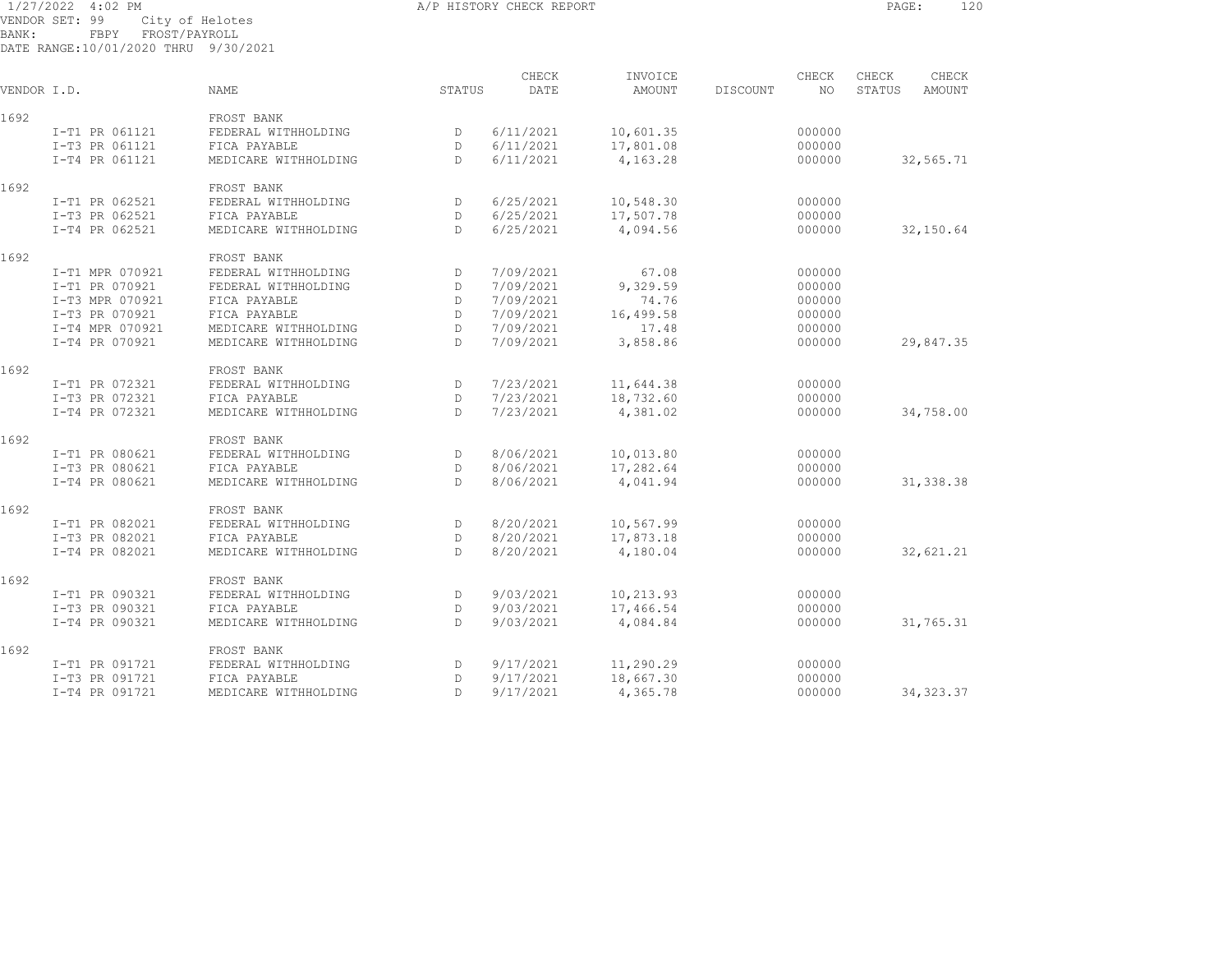## 1/27/2022 4:02 PM A/P HISTORY CHECK REPORT PAGE: 120 VENDOR SET: 99 City of Helotes BANK: FBPY FROST/PAYROLL

| VENDOR I.D. |                 | <b>NAME</b>          | STATUS       | CHECK<br>DATE | INVOICE<br><b>AMOUNT</b> | DISCOUNT | CHECK<br>NO. | CHECK<br>STATUS | CHECK<br><b>AMOUNT</b> |
|-------------|-----------------|----------------------|--------------|---------------|--------------------------|----------|--------------|-----------------|------------------------|
| 1692        |                 | FROST BANK           |              |               |                          |          |              |                 |                        |
|             | I-T1 PR 061121  | FEDERAL WITHHOLDING  | D            | 6/11/2021     | 10,601.35                |          | 000000       |                 |                        |
|             | I-T3 PR 061121  | FICA PAYABLE         | D            | 6/11/2021     | 17,801.08                |          | 000000       |                 |                        |
|             | I-T4 PR 061121  | MEDICARE WITHHOLDING | D            | 6/11/2021     | 4,163.28                 |          | 000000       |                 | 32,565.71              |
| 1692        |                 | FROST BANK           |              |               |                          |          |              |                 |                        |
|             | I-T1 PR 062521  | FEDERAL WITHHOLDING  | D            | 6/25/2021     | 10,548.30                |          | 000000       |                 |                        |
|             | I-T3 PR 062521  | FICA PAYABLE         | D            | 6/25/2021     | 17,507.78                |          | 000000       |                 |                        |
|             | I-T4 PR 062521  | MEDICARE WITHHOLDING | D            | 6/25/2021     | 4,094.56                 |          | 000000       |                 | 32,150.64              |
| 1692        |                 | FROST BANK           |              |               |                          |          |              |                 |                        |
|             | I-T1 MPR 070921 | FEDERAL WITHHOLDING  | D            | 7/09/2021     | 67.08                    |          | 000000       |                 |                        |
|             | I-T1 PR 070921  | FEDERAL WITHHOLDING  | D            | 7/09/2021     | 9,329.59                 |          | 000000       |                 |                        |
|             | I-T3 MPR 070921 | FICA PAYABLE         | D            | 7/09/2021     | 74.76                    |          | 000000       |                 |                        |
|             | I-T3 PR 070921  | FICA PAYABLE         | D            | 7/09/2021     | 16,499.58                |          | 000000       |                 |                        |
|             | I-T4 MPR 070921 | MEDICARE WITHHOLDING | D            | 7/09/2021     | 17.48                    |          | 000000       |                 |                        |
|             | I-T4 PR 070921  | MEDICARE WITHHOLDING | D.           | 7/09/2021     | 3,858.86                 |          | 000000       |                 | 29,847.35              |
| 1692        |                 | FROST BANK           |              |               |                          |          |              |                 |                        |
|             | I-T1 PR 072321  | FEDERAL WITHHOLDING  | D            | 7/23/2021     | 11,644.38                |          | 000000       |                 |                        |
|             | I-T3 PR 072321  | FICA PAYABLE         | D            | 7/23/2021     | 18,732.60                |          | 000000       |                 |                        |
|             | I-T4 PR 072321  | MEDICARE WITHHOLDING | D.           | 7/23/2021     | 4,381.02                 |          | 000000       |                 | 34,758.00              |
| 1692        |                 | FROST BANK           |              |               |                          |          |              |                 |                        |
|             | I-T1 PR 080621  | FEDERAL WITHHOLDING  | D            | 8/06/2021     | 10,013.80                |          | 000000       |                 |                        |
|             | I-T3 PR 080621  | FICA PAYABLE         | D            | 8/06/2021     | 17,282.64                |          | 000000       |                 |                        |
|             | I-T4 PR 080621  | MEDICARE WITHHOLDING | D.           | 8/06/2021     | 4,041.94                 |          | 000000       |                 | 31, 338.38             |
| 1692        |                 | FROST BANK           |              |               |                          |          |              |                 |                        |
|             | I-T1 PR 082021  | FEDERAL WITHHOLDING  | D            | 8/20/2021     | 10,567.99                |          | 000000       |                 |                        |
|             | I-T3 PR 082021  | FICA PAYABLE         | D            | 8/20/2021     | 17,873.18                |          | 000000       |                 |                        |
|             | I-T4 PR 082021  | MEDICARE WITHHOLDING | D            | 8/20/2021     | 4,180.04                 |          | 000000       |                 | 32,621.21              |
| 1692        |                 | FROST BANK           |              |               |                          |          |              |                 |                        |
|             | I-T1 PR 090321  | FEDERAL WITHHOLDING  | D            | 9/03/2021     | 10,213.93                |          | 000000       |                 |                        |
|             | I-T3 PR 090321  | FICA PAYABLE         | D            | 9/03/2021     | 17,466.54                |          | 000000       |                 |                        |
|             | I-T4 PR 090321  | MEDICARE WITHHOLDING | $\mathbb{D}$ | 9/03/2021     | 4,084.84                 |          | 000000       |                 | 31,765.31              |
| 1692        |                 | FROST BANK           |              |               |                          |          |              |                 |                        |
|             | I-T1 PR 091721  | FEDERAL WITHHOLDING  | D            | 9/17/2021     | 11,290.29                |          | 000000       |                 |                        |
|             | I-T3 PR 091721  | FICA PAYABLE         | D.           | 9/17/2021     | 18,667.30                |          | 000000       |                 |                        |
|             | I-T4 PR 091721  | MEDICARE WITHHOLDING | $\mathbb{D}$ | 9/17/2021     | 4,365.78                 |          | 000000       |                 | 34, 323.37             |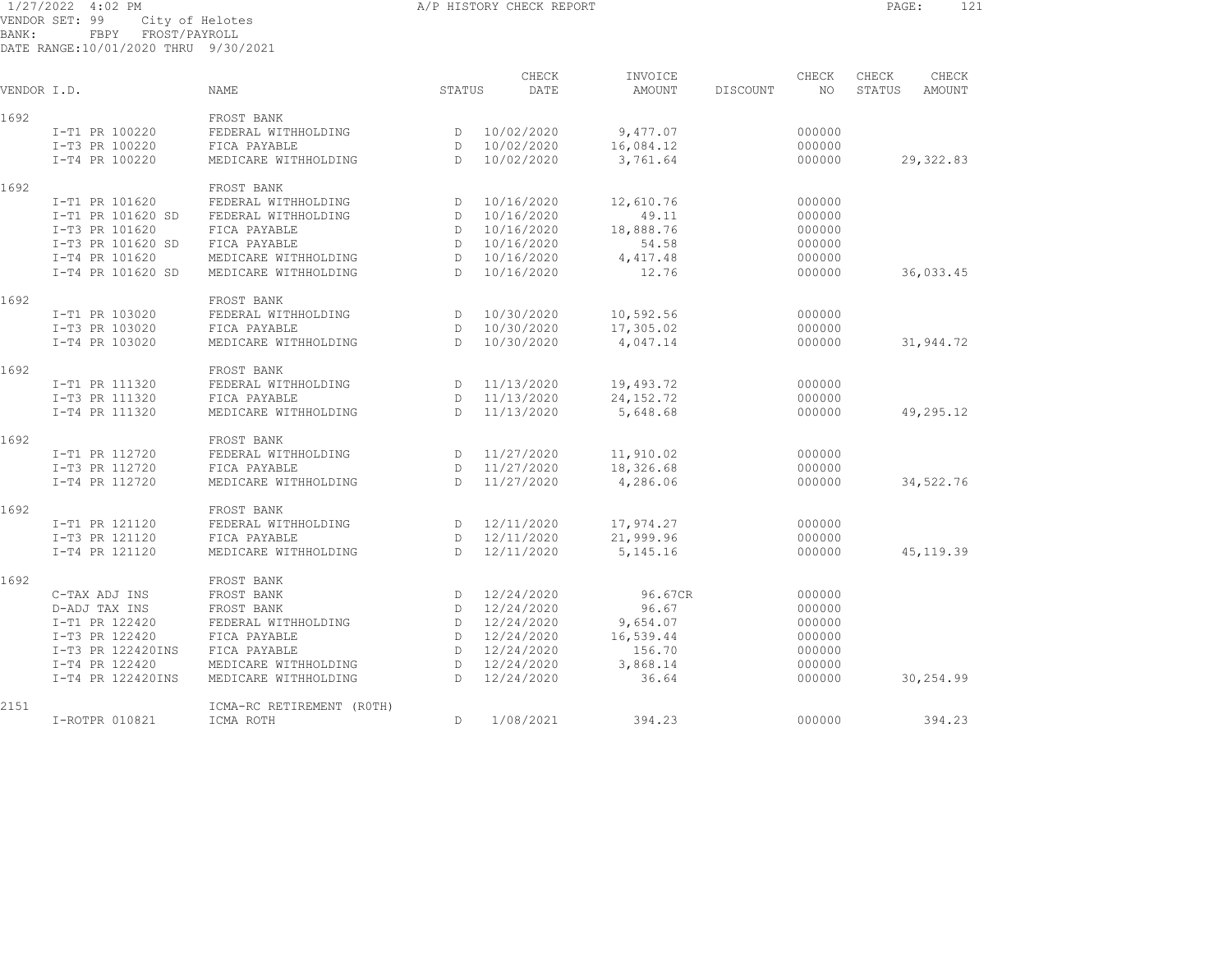## 1/27/2022 4:02 PM A/P HISTORY CHECK REPORT PAGE: 121 VENDOR SET: 99 City of Helotes BANK: FBPY FROST/PAYROLL

| VENDOR I.D. |                   | <b>NAME</b>               | STATUS       | CHECK<br>DATE | INVOICE<br><b>AMOUNT</b> | DISCOUNT | CHECK<br>NO | CHECK<br>STATUS | CHECK<br><b>AMOUNT</b> |
|-------------|-------------------|---------------------------|--------------|---------------|--------------------------|----------|-------------|-----------------|------------------------|
| 1692        |                   | FROST BANK                |              |               |                          |          |             |                 |                        |
|             | I-T1 PR 100220    | FEDERAL WITHHOLDING       | D            | 10/02/2020    | 9,477.07                 |          | 000000      |                 |                        |
|             | I-T3 PR 100220    | FICA PAYABLE              | $\mathbb{D}$ | 10/02/2020    | 16,084.12                |          | 000000      |                 |                        |
|             | I-T4 PR 100220    | MEDICARE WITHHOLDING      | $\mathbb{D}$ | 10/02/2020    | 3,761.64                 |          | 000000      |                 | 29, 322.83             |
| 1692        |                   | FROST BANK                |              |               |                          |          |             |                 |                        |
|             | I-T1 PR 101620    | FEDERAL WITHHOLDING       | D            | 10/16/2020    | 12,610.76                |          | 000000      |                 |                        |
|             | I-T1 PR 101620 SD | FEDERAL WITHHOLDING       | D            | 10/16/2020    | 49.11                    |          | 000000      |                 |                        |
|             | I-T3 PR 101620    | FICA PAYABLE              | D            | 10/16/2020    | 18,888.76                |          | 000000      |                 |                        |
|             | I-T3 PR 101620 SD | FICA PAYABLE              | $\mathbb{D}$ | 10/16/2020    | 54.58                    |          | 000000      |                 |                        |
|             | I-T4 PR 101620    | MEDICARE WITHHOLDING      | D            | 10/16/2020    | 4,417.48                 |          | 000000      |                 |                        |
|             | I-T4 PR 101620 SD | MEDICARE WITHHOLDING      | $\mathbb{D}$ | 10/16/2020    | 12.76                    |          | 000000      |                 | 36,033.45              |
| 1692        |                   | FROST BANK                |              |               |                          |          |             |                 |                        |
|             | I-T1 PR 103020    | FEDERAL WITHHOLDING       | D            | 10/30/2020    | 10,592.56                |          | 000000      |                 |                        |
|             | I-T3 PR 103020    | FICA PAYABLE              | D            | 10/30/2020    | 17,305.02                |          | 000000      |                 |                        |
|             | I-T4 PR 103020    | MEDICARE WITHHOLDING      | $\mathbb{D}$ | 10/30/2020    | 4,047.14                 |          | 000000      |                 | 31,944.72              |
| 1692        |                   | FROST BANK                |              |               |                          |          |             |                 |                        |
|             | I-T1 PR 111320    | FEDERAL WITHHOLDING       | D            | 11/13/2020    | 19,493.72                |          | 000000      |                 |                        |
|             | I-T3 PR 111320    | FICA PAYABLE              | D            | 11/13/2020    | 24, 152. 72              |          | 000000      |                 |                        |
|             | I-T4 PR 111320    | MEDICARE WITHHOLDING      | D.           | 11/13/2020    | 5,648.68                 |          | 000000      |                 | 49,295.12              |
| 1692        |                   | FROST BANK                |              |               |                          |          |             |                 |                        |
|             | I-T1 PR 112720    | FEDERAL WITHHOLDING       | D            | 11/27/2020    | 11,910.02                |          | 000000      |                 |                        |
|             | I-T3 PR 112720    | FICA PAYABLE              | D            | 11/27/2020    | 18,326.68                |          | 000000      |                 |                        |
|             | I-T4 PR 112720    | MEDICARE WITHHOLDING      | $\mathbb{D}$ | 11/27/2020    | 4,286.06                 |          | 000000      |                 | 34,522.76              |
| 1692        |                   | FROST BANK                |              |               |                          |          |             |                 |                        |
|             | I-T1 PR 121120    | FEDERAL WITHHOLDING       | D            | 12/11/2020    | 17,974.27                |          | 000000      |                 |                        |
|             | I-T3 PR 121120    | FICA PAYABLE              | D            | 12/11/2020    | 21,999.96                |          | 000000      |                 |                        |
|             | I-T4 PR 121120    | MEDICARE WITHHOLDING      | $\mathbb{D}$ | 12/11/2020    | 5,145.16                 |          | 000000      |                 | 45, 119.39             |
| 1692        |                   | FROST BANK                |              |               |                          |          |             |                 |                        |
|             | C-TAX ADJ INS     | FROST BANK                | D            | 12/24/2020    | 96.67CR                  |          | 000000      |                 |                        |
|             | D-ADJ TAX INS     | FROST BANK                | $\mathbb{D}$ | 12/24/2020    | 96.67                    |          | 000000      |                 |                        |
|             | I-T1 PR 122420    | FEDERAL WITHHOLDING       | D            | 12/24/2020    | 9,654.07                 |          | 000000      |                 |                        |
|             | I-T3 PR 122420    | FICA PAYABLE              | D            | 12/24/2020    | 16,539.44                |          | 000000      |                 |                        |
|             | I-T3 PR 122420INS | FICA PAYABLE              | D            | 12/24/2020    | 156.70                   |          | 000000      |                 |                        |
|             | I-T4 PR 122420    | MEDICARE WITHHOLDING      | D            | 12/24/2020    | 3,868.14                 |          | 000000      |                 |                        |
|             | I-T4 PR 122420INS | MEDICARE WITHHOLDING      | D            | 12/24/2020    | 36.64                    |          | 000000      |                 | 30,254.99              |
| 2151        |                   | ICMA-RC RETIREMENT (ROTH) |              |               |                          |          |             |                 |                        |
|             | I-ROTPR 010821    | ICMA ROTH                 | D            | 1/08/2021     | 394.23                   |          | 000000      |                 | 394.23                 |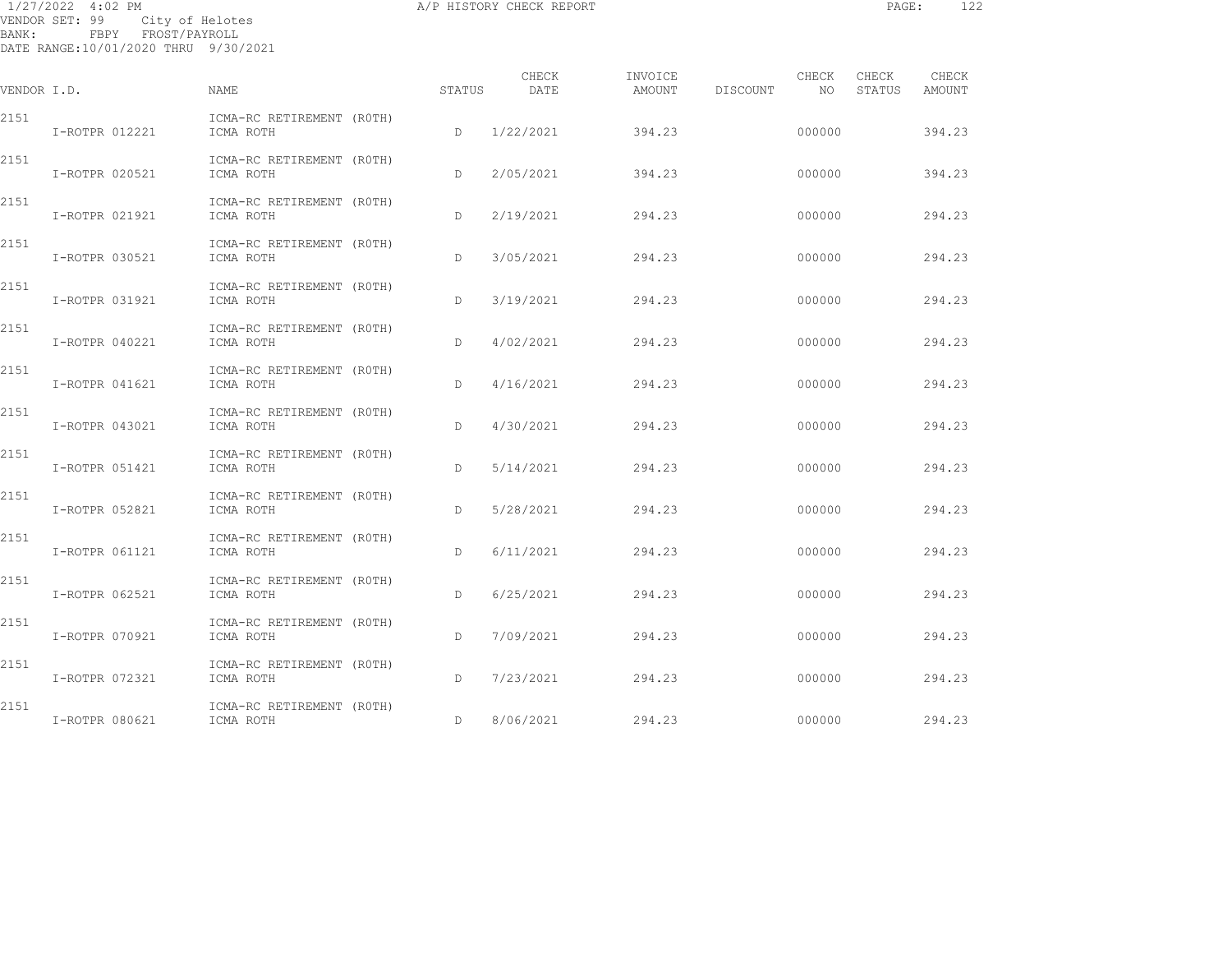| BANK: | 1/27/2022 4:02 PM<br>VENDOR SET: 99<br>City of Helotes<br>FBPY FROST/PAYROLL<br>DATE RANGE:10/01/2020 THRU 9/30/2021 |                                        |        | A/P HISTORY CHECK REPORT |                   |                   | PAGE:                 | 122             |
|-------|----------------------------------------------------------------------------------------------------------------------|----------------------------------------|--------|--------------------------|-------------------|-------------------|-----------------------|-----------------|
|       | VENDOR I.D.                                                                                                          | <b>NAME</b>                            | STATUS | CHECK<br>DATE            | INVOICE<br>AMOUNT | CHECK<br>DISCOUNT | CHECK<br>NO<br>STATUS | CHECK<br>AMOUNT |
| 2151  | I-ROTPR 012221                                                                                                       | ICMA-RC RETIREMENT (ROTH)<br>ICMA ROTH | D      | 1/22/2021                | 394.23            | 000000            |                       | 394.23          |
| 2151  | I-ROTPR 020521                                                                                                       | ICMA-RC RETIREMENT (ROTH)<br>ICMA ROTH | D      | 2/05/2021                | 394.23            | 000000            |                       | 394.23          |
| 2151  | I-ROTPR 021921                                                                                                       | ICMA-RC RETIREMENT (ROTH)<br>ICMA ROTH | D      | 2/19/2021                | 294.23            | 000000            |                       | 294.23          |
| 2151  | I-ROTPR 030521                                                                                                       | ICMA-RC RETIREMENT (ROTH)<br>ICMA ROTH | D      | 3/05/2021                | 294.23            | 000000            |                       | 294.23          |
| 2151  | I-ROTPR 031921                                                                                                       | ICMA-RC RETIREMENT (ROTH)<br>ICMA ROTH | D      | 3/19/2021                | 294.23            | 000000            |                       | 294.23          |
| 2151  | I-ROTPR 040221                                                                                                       | ICMA-RC RETIREMENT (ROTH)<br>ICMA ROTH | D      | 4/02/2021                | 294.23            | 000000            |                       | 294.23          |
| 2151  | I-ROTPR 041621                                                                                                       | ICMA-RC RETIREMENT (ROTH)<br>ICMA ROTH | D      | 4/16/2021                | 294.23            | 000000            |                       | 294.23          |
| 2151  | I-ROTPR 043021                                                                                                       | ICMA-RC RETIREMENT (ROTH)<br>ICMA ROTH | D      | 4/30/2021                | 294.23            | 000000            |                       | 294.23          |
| 2151  | I-ROTPR 051421                                                                                                       | ICMA-RC RETIREMENT (ROTH)<br>ICMA ROTH | D      | 5/14/2021                | 294.23            | 000000            |                       | 294.23          |
| 2151  | I-ROTPR 052821                                                                                                       | ICMA-RC RETIREMENT (ROTH)<br>ICMA ROTH | D.     | 5/28/2021                | 294.23            | 000000            |                       | 294.23          |
| 2151  | I-ROTPR 061121                                                                                                       | ICMA-RC RETIREMENT (ROTH)<br>ICMA ROTH | D      | 6/11/2021                | 294.23            | 000000            |                       | 294.23          |
| 2151  | I-ROTPR 062521                                                                                                       | ICMA-RC RETIREMENT (ROTH)<br>ICMA ROTH | D      | 6/25/2021                | 294.23            | 000000            |                       | 294.23          |
| 2151  | I-ROTPR 070921                                                                                                       | ICMA-RC RETIREMENT (ROTH)<br>ICMA ROTH | D      | 7/09/2021                | 294.23            | 000000            |                       | 294.23          |
| 2151  | I-ROTPR 072321                                                                                                       | ICMA-RC RETIREMENT (ROTH)<br>ICMA ROTH | D      | 7/23/2021                | 294.23            | 000000            |                       | 294.23          |
|       |                                                                                                                      |                                        |        |                          |                   |                   |                       |                 |

D 8/06/2021 294.23 000000 294.23

2151 ICMA-RC RETIREMENT (ROTH)<br>I-ROTPR 080621 ICMA ROTH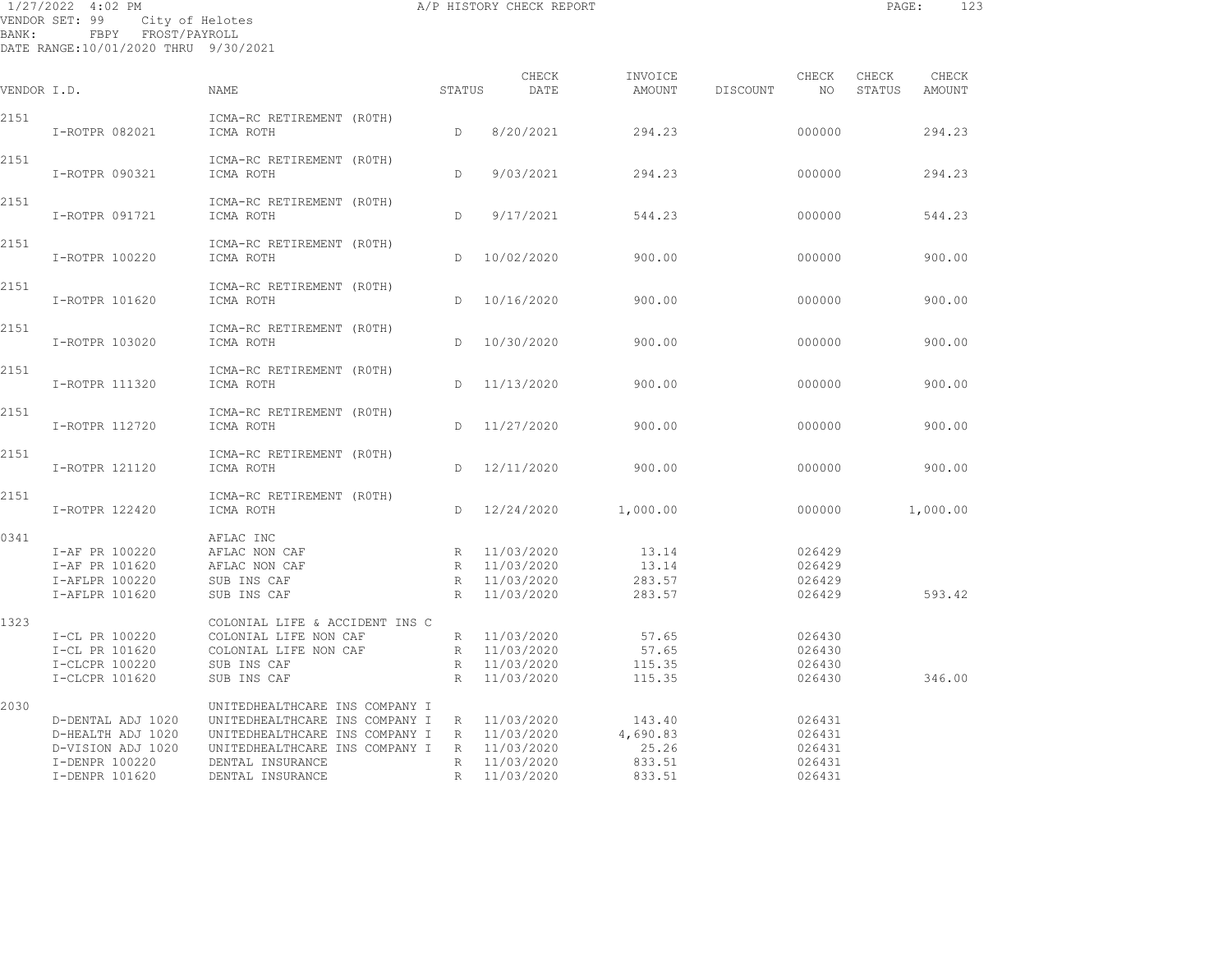| 1/27/2022 4:02 PM<br>VENDOR SET: 99<br>BANK:<br>FBPY FROST/PAYROLL<br>DATE RANGE:10/01/2020 THRU 9/30/2021 | City of Helotes                                                                                                                                     |              | A/P HISTORY CHECK REPORT                                   |                                       |          |                                      | PAGE:  | 123      |
|------------------------------------------------------------------------------------------------------------|-----------------------------------------------------------------------------------------------------------------------------------------------------|--------------|------------------------------------------------------------|---------------------------------------|----------|--------------------------------------|--------|----------|
|                                                                                                            |                                                                                                                                                     |              | CHECK                                                      | INVOICE                               |          | CHECK                                | CHECK  | CHECK    |
| VENDOR I.D.                                                                                                | NAME                                                                                                                                                | STATUS       | DATE                                                       | AMOUNT                                | DISCOUNT | NO                                   | STATUS | AMOUNT   |
| 2151<br>I-ROTPR 082021                                                                                     | ICMA-RC RETIREMENT (ROTH)<br>ICMA ROTH                                                                                                              | D.           | 8/20/2021                                                  | 294.23                                |          | 000000                               |        | 294.23   |
| 2151<br>I-ROTPR 090321                                                                                     | ICMA-RC RETIREMENT (ROTH)<br>ICMA ROTH                                                                                                              | D            | 9/03/2021                                                  | 294.23                                |          | 000000                               |        | 294.23   |
| 2151<br>I-ROTPR 091721                                                                                     | ICMA-RC RETIREMENT (ROTH)<br>ICMA ROTH                                                                                                              | $\mathbb{D}$ | 9/17/2021                                                  | 544.23                                |          | 000000                               |        | 544.23   |
| 2151<br>I-ROTPR 100220                                                                                     | ICMA-RC RETIREMENT (ROTH)<br>ICMA ROTH                                                                                                              | $\mathbb{D}$ | 10/02/2020                                                 | 900.00                                |          | 000000                               |        | 900.00   |
| 2151<br>I-ROTPR 101620                                                                                     | ICMA-RC RETIREMENT (ROTH)<br>ICMA ROTH                                                                                                              | $\mathbb{D}$ | 10/16/2020                                                 | 900.00                                |          | 000000                               |        | 900.00   |
| 2151<br>I-ROTPR 103020                                                                                     | ICMA-RC RETIREMENT (ROTH)<br>ICMA ROTH                                                                                                              | $\mathbb{D}$ | 10/30/2020                                                 | 900.00                                |          | 000000                               |        | 900.00   |
| 2151<br>I-ROTPR 111320                                                                                     | ICMA-RC RETIREMENT (ROTH)<br>ICMA ROTH                                                                                                              | $\mathbb{D}$ | 11/13/2020                                                 | 900.00                                |          | 000000                               |        | 900.00   |
| 2151<br>I-ROTPR 112720                                                                                     | ICMA-RC RETIREMENT (ROTH)<br>ICMA ROTH                                                                                                              | D            | 11/27/2020                                                 | 900.00                                |          | 000000                               |        | 900.00   |
| 2151<br>I-ROTPR 121120                                                                                     | ICMA-RC RETIREMENT (ROTH)<br>ICMA ROTH                                                                                                              | D            | 12/11/2020                                                 | 900.00                                |          | 000000                               |        | 900.00   |
| 2151<br>I-ROTPR 122420                                                                                     | ICMA-RC RETIREMENT (ROTH)<br>ICMA ROTH                                                                                                              | D            | 12/24/2020                                                 | 1,000.00                              |          | 000000                               |        | 1,000.00 |
| 0341<br>I-AF PR 100220<br>I-AF PR 101620<br>I-AFLPR 100220<br>I-AFLPR 101620                               | AFLAC INC<br>AFLAC NON CAF<br>AFLAC NON CAF<br>SUB INS CAF<br>SUB INS CAF                                                                           | R            | R 11/03/2020<br>R 11/03/2020<br>R 11/03/2020<br>11/03/2020 | 13.14<br>13.14<br>283.57<br>283.57    |          | 026429<br>026429<br>026429<br>026429 |        | 593.42   |
| 1323<br>I-CL PR 100220<br>I-CL PR 101620<br>I-CLCPR 100220                                                 | COLONIAL LIFE & ACCIDENT INS C<br>COLONIAL LIFE NON CAF<br>COLONIAL LIFE NON CAF<br>SUB INS CAF                                                     |              | R 11/03/2020<br>R 11/03/2020<br>R 11/03/2020               | 57.65<br>57.65<br>115.35              |          | 026430<br>026430<br>026430           |        |          |
| I-CLCPR 101620<br>2030<br>D-DENTAL ADJ 1020<br>D-HEALTH ADJ 1020<br>D-VISION ADJ 1020                      | SUB INS CAF<br>UNITEDHEALTHCARE INS COMPANY I<br>UNITEDHEALTHCARE INS COMPANY I<br>UNITEDHEALTHCARE INS COMPANY I<br>UNITEDHEALTHCARE INS COMPANY I | R<br>R       | 11/03/2020<br>R 11/03/2020<br>11/03/2020<br>R 11/03/2020   | 115.35<br>143.40<br>4,690.83<br>25.26 |          | 026430<br>026431<br>026431<br>026431 |        | 346.00   |

 I-DENPR 100220 DENTAL INSURANCE R 11/03/2020 833.51 026431 I-DENPR 101620 DENTAL INSURANCE R 11/03/2020 833.51 026431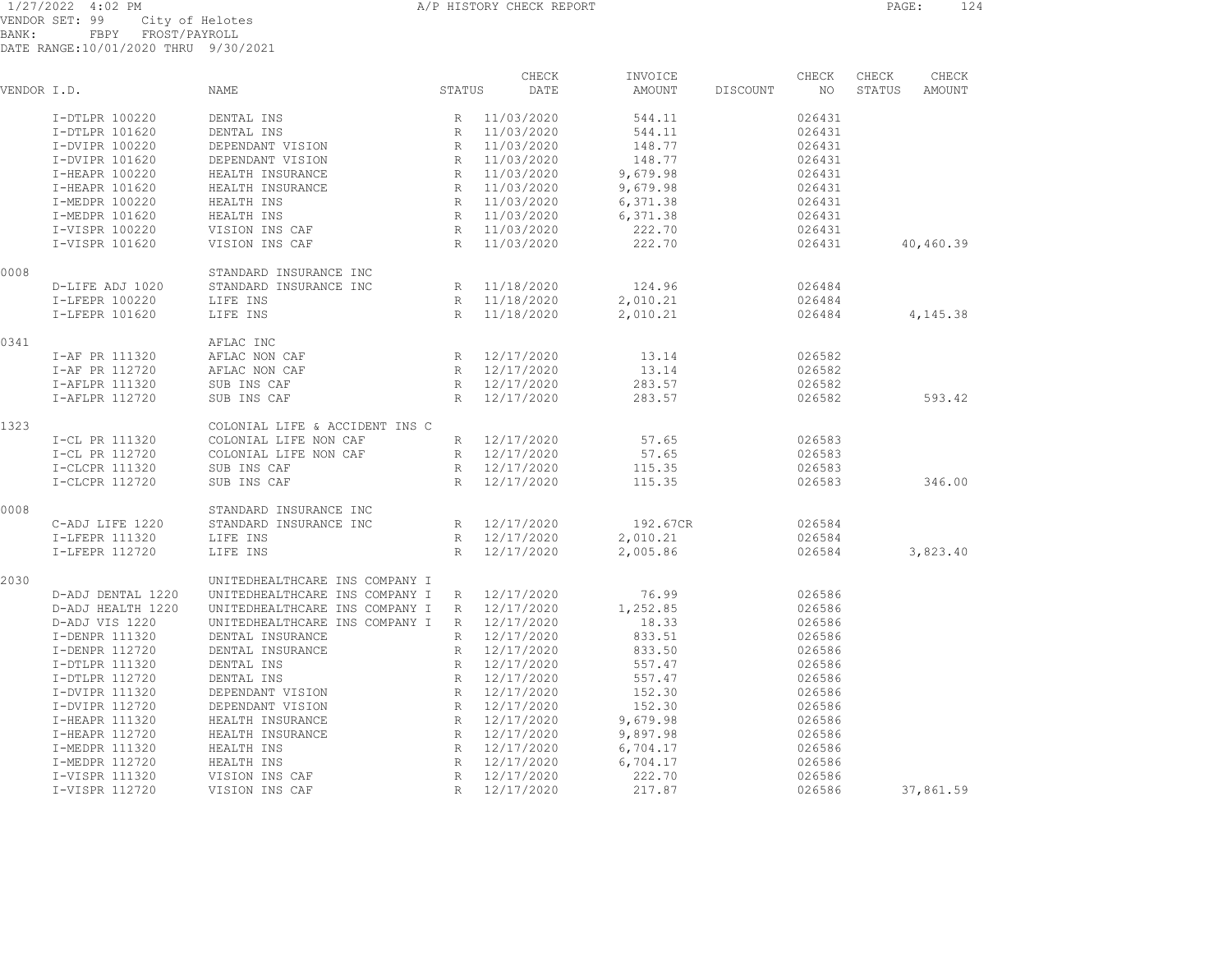1/27/2022 4:02 PM A/P HISTORY CHECK REPORT PAGE: 124<br>VENDOR SET 99 City of Helotes VENDOR SET: 99 City of Helotes BANK: FBPY FROST/PAYROLL DATE RANGE:10/01/2020 THRU 9/30/2021

| VENDOR I.D. |                   | NAME                           | STATUS          | CHECK<br>DATE | INVOICE<br>AMOUNT | DISCOUNT | CHECK<br>NO. | CHECK<br>STATUS | CHECK<br>AMOUNT |
|-------------|-------------------|--------------------------------|-----------------|---------------|-------------------|----------|--------------|-----------------|-----------------|
|             | I-DTLPR 100220    | DENTAL INS                     |                 | R 11/03/2020  | 544.11            |          | 026431       |                 |                 |
|             | I-DTLPR 101620    | DENTAL INS                     | R               | 11/03/2020    | 544.11            |          | 026431       |                 |                 |
|             | I-DVIPR 100220    | DEPENDANT VISION               | R               | 11/03/2020    | 148.77            |          | 026431       |                 |                 |
|             | I-DVIPR 101620    | DEPENDANT VISION               | R               | 11/03/2020    | 148.77            |          | 026431       |                 |                 |
|             | I-HEAPR 100220    | HEALTH INSURANCE               | R               | 11/03/2020    | 9,679.98          |          | 026431       |                 |                 |
|             | I-HEAPR 101620    | HEALTH INSURANCE               | R               | 11/03/2020    | 9,679.98          |          | 026431       |                 |                 |
|             | I-MEDPR 100220    | HEALTH INS                     | R               | 11/03/2020    | 6,371.38          |          | 026431       |                 |                 |
|             | I-MEDPR 101620    | HEALTH INS                     | R               | 11/03/2020    | 6,371.38          |          | 026431       |                 |                 |
|             | I-VISPR 100220    | VISION INS CAF                 | R               | 11/03/2020    | 222.70            |          | 026431       |                 |                 |
|             | I-VISPR 101620    | VISION INS CAF                 | R               | 11/03/2020    | 222.70            |          | 026431       |                 | 40,460.39       |
| 0008        |                   | STANDARD INSURANCE INC         |                 |               |                   |          |              |                 |                 |
|             | D-LIFE ADJ 1020   | STANDARD INSURANCE INC         | R               | 11/18/2020    | 124.96            |          | 026484       |                 |                 |
|             | I-LFEPR 100220    | LIFE INS                       | R               | 11/18/2020    | 2,010.21          |          | 026484       |                 |                 |
|             | I-LFEPR 101620    | LIFE INS                       | R               | 11/18/2020    | 2,010.21          |          | 026484       |                 | 4,145.38        |
| 0341        |                   | AFLAC INC                      |                 |               |                   |          |              |                 |                 |
|             | I-AF PR 111320    | AFLAC NON CAF                  | R               | 12/17/2020    | 13.14             |          | 026582       |                 |                 |
|             | I-AF PR 112720    | AFLAC NON CAF                  | R               | 12/17/2020    | 13.14             |          | 026582       |                 |                 |
|             | I-AFLPR 111320    | SUB INS CAF                    |                 | R 12/17/2020  | 283.57            |          | 026582       |                 |                 |
|             | I-AFLPR 112720    | SUB INS CAF                    | R               | 12/17/2020    | 283.57            |          | 026582       |                 | 593.42          |
| 1323        |                   | COLONIAL LIFE & ACCIDENT INS C |                 |               |                   |          |              |                 |                 |
|             | I-CL PR 111320    | COLONIAL LIFE NON CAF          | R               | 12/17/2020    | 57.65             |          | 026583       |                 |                 |
|             | I-CL PR 112720    | COLONIAL LIFE NON CAF          | R               | 12/17/2020    | 57.65             |          | 026583       |                 |                 |
|             | I-CLCPR 111320    | SUB INS CAF                    | $R_{\parallel}$ | 12/17/2020    | 115.35            |          | 026583       |                 |                 |
|             | I-CLCPR 112720    | SUB INS CAF                    | $\mathbb{R}$    | 12/17/2020    | 115.35            |          | 026583       |                 | 346.00          |
| 0008        |                   | STANDARD INSURANCE INC         |                 |               |                   |          |              |                 |                 |
|             | C-ADJ LIFE 1220   | STANDARD INSURANCE INC         |                 | R 12/17/2020  | 192.67CR          |          | 026584       |                 |                 |
|             | I-LFEPR 111320    | LIFE INS                       |                 | R 12/17/2020  | 2,010.21          |          | 026584       |                 |                 |
|             | I-LFEPR 112720    | LIFE INS                       | $\mathbb{R}$    | 12/17/2020    | 2,005.86          |          | 026584       |                 | 3,823.40        |
| 2030        |                   | UNITEDHEALTHCARE INS COMPANY I |                 |               |                   |          |              |                 |                 |
|             | D-ADJ DENTAL 1220 | UNITEDHEALTHCARE INS COMPANY I | R               | 12/17/2020    | 76.99             |          | 026586       |                 |                 |
|             | D-ADJ HEALTH 1220 | UNITEDHEALTHCARE INS COMPANY I | R               | 12/17/2020    | 1,252.85          |          | 026586       |                 |                 |
|             | D-ADJ VIS 1220    | UNITEDHEALTHCARE INS COMPANY I | R               | 12/17/2020    | 18.33             |          | 026586       |                 |                 |
|             | I-DENPR 111320    | DENTAL INSURANCE               | R               | 12/17/2020    | 833.51            |          | 026586       |                 |                 |
|             | I-DENPR 112720    | DENTAL INSURANCE               | R               | 12/17/2020    | 833.50            |          | 026586       |                 |                 |
|             | I-DTLPR 111320    | DENTAL INS                     | R               | 12/17/2020    | 557.47            |          | 026586       |                 |                 |
|             | I-DTLPR 112720    | DENTAL INS                     | R               | 12/17/2020    | 557.47            |          | 026586       |                 |                 |
|             | I-DVIPR 111320    | DEPENDANT VISION               | R               | 12/17/2020    | 152.30            |          | 026586       |                 |                 |
|             | I-DVIPR 112720    | DEPENDANT VISION               | R               | 12/17/2020    | 152.30            |          | 026586       |                 |                 |
|             | I-HEAPR 111320    | HEALTH INSURANCE               | R               | 12/17/2020    | 9,679.98          |          | 026586       |                 |                 |
|             | I-HEAPR 112720    | HEALTH INSURANCE               | $R_{\parallel}$ | 12/17/2020    | 9,897.98          |          | 026586       |                 |                 |
|             | I-MEDPR 111320    | HEALTH INS                     | R               | 12/17/2020    | 6,704.17          |          | 026586       |                 |                 |
|             | I-MEDPR 112720    | HEALTH INS                     | R               | 12/17/2020    | 6,704.17          |          | 026586       |                 |                 |
|             | I-VISPR 111320    | VISION INS CAF                 | $\mathbb R$     | 12/17/2020    | 222.70            |          | 026586       |                 |                 |
|             | I-VISPR 112720    | VISION INS CAF                 | $\mathbb{R}$    | 12/17/2020    | 217.87            |          | 026586       |                 | 37,861.59       |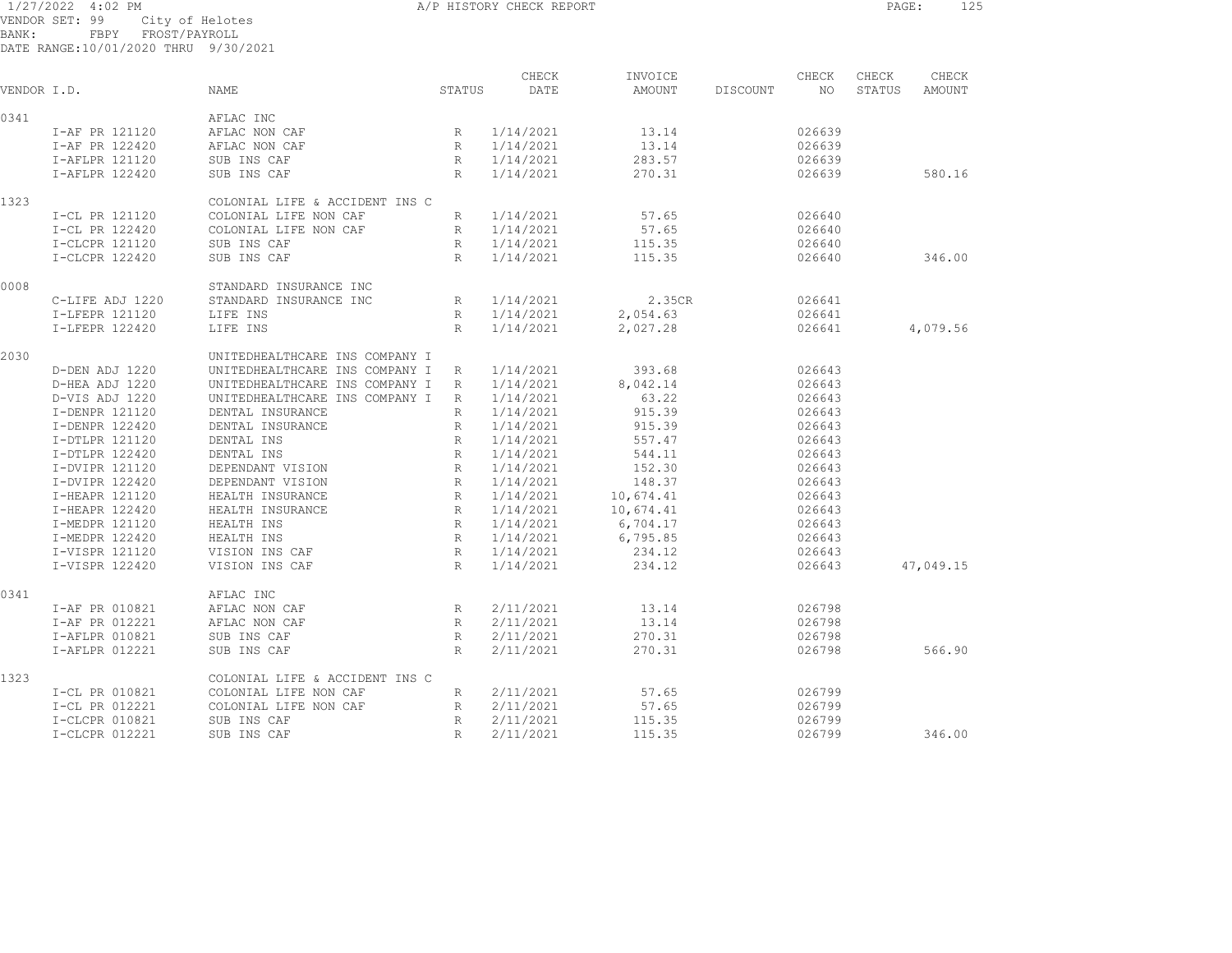1/27/2022 4:02 PM A/P HISTORY CHECK REPORT PAGE: 125 VENDOR SET: 99 City of Helotes BANK: FBPY FROST/PAYROLL

| VENDOR I.D. |                 | NAME                           | STATUS          | CHECK<br>DATE | INVOICE<br>AMOUNT | DISCOUNT | CHECK<br>NO | CHECK<br>STATUS | CHECK<br>AMOUNT |
|-------------|-----------------|--------------------------------|-----------------|---------------|-------------------|----------|-------------|-----------------|-----------------|
| 0341        |                 | AFLAC INC                      |                 |               |                   |          |             |                 |                 |
|             | I-AF PR 121120  | AFLAC NON CAF                  | R               | 1/14/2021     | 13.14             |          | 026639      |                 |                 |
|             | I-AF PR 122420  | AFLAC NON CAF                  | R               | 1/14/2021     | 13.14             |          | 026639      |                 |                 |
|             | I-AFLPR 121120  | SUB INS CAF                    | $R_{\perp}$     | 1/14/2021     | 283.57            |          | 026639      |                 |                 |
|             | I-AFLPR 122420  | SUB INS CAF                    | R               | 1/14/2021     | 270.31            |          | 026639      |                 | 580.16          |
| 1323        |                 | COLONIAL LIFE & ACCIDENT INS C |                 |               |                   |          |             |                 |                 |
|             | I-CL PR 121120  | COLONIAL LIFE NON CAF          | R               | 1/14/2021     | 57.65             |          | 026640      |                 |                 |
|             | I-CL PR 122420  | COLONIAL LIFE NON CAF          | R               | 1/14/2021     | 57.65             |          | 026640      |                 |                 |
|             | I-CLCPR 121120  | SUB INS CAF                    | R               | 1/14/2021     | 115.35            |          | 026640      |                 |                 |
|             | I-CLCPR 122420  | SUB INS CAF                    | R               | 1/14/2021     | 115.35            |          | 026640      |                 | 346.00          |
| 0008        |                 | STANDARD INSURANCE INC         |                 |               |                   |          |             |                 |                 |
|             | C-LIFE ADJ 1220 | STANDARD INSURANCE INC         | R               | 1/14/2021     | 2.35CR            |          | 026641      |                 |                 |
|             | I-LFEPR 121120  | LIFE INS                       | R               | 1/14/2021     | 2,054.63          |          | 026641      |                 |                 |
|             | I-LFEPR 122420  | LIFE INS                       | R               | 1/14/2021     | 2,027.28          |          | 026641      |                 | 4,079.56        |
| 2030        |                 | UNITEDHEALTHCARE INS COMPANY I |                 |               |                   |          |             |                 |                 |
|             | D-DEN ADJ 1220  | UNITEDHEALTHCARE INS COMPANY I | R               | 1/14/2021     | 393.68            |          | 026643      |                 |                 |
|             | D-HEA ADJ 1220  | UNITEDHEALTHCARE INS COMPANY I | R               | 1/14/2021     | 8,042.14          |          | 026643      |                 |                 |
|             | D-VIS ADJ 1220  | UNITEDHEALTHCARE INS COMPANY I | R               | 1/14/2021     | 63.22             |          | 026643      |                 |                 |
|             | I-DENPR 121120  | DENTAL INSURANCE               | R               | 1/14/2021     | 915.39            |          | 026643      |                 |                 |
|             | I-DENPR 122420  | DENTAL INSURANCE               | R               | 1/14/2021     | 915.39            |          | 026643      |                 |                 |
|             | I-DTLPR 121120  | DENTAL INS                     | R               | 1/14/2021     | 557.47            |          | 026643      |                 |                 |
|             | I-DTLPR 122420  | DENTAL INS                     | $R_{\parallel}$ | 1/14/2021     | 544.11            |          | 026643      |                 |                 |
|             | I-DVIPR 121120  | DEPENDANT VISION               | $R_{\perp}$     | 1/14/2021     | 152.30            |          | 026643      |                 |                 |
|             | I-DVIPR 122420  | DEPENDANT VISION               | $R_{\perp}$     | 1/14/2021     | 148.37            |          | 026643      |                 |                 |
|             | I-HEAPR 121120  | HEALTH INSURANCE               | R               | 1/14/2021     | 10,674.41         |          | 026643      |                 |                 |
|             | I-HEAPR 122420  | HEALTH INSURANCE               | $R_{\parallel}$ | 1/14/2021     | 10,674.41         |          | 026643      |                 |                 |
|             | I-MEDPR 121120  | HEALTH INS                     | R               | 1/14/2021     | 6,704.17          |          | 026643      |                 |                 |
|             | I-MEDPR 122420  | HEALTH INS                     | R               | 1/14/2021     | 6,795.85          |          | 026643      |                 |                 |
|             | I-VISPR 121120  | VISION INS CAF                 | R               | 1/14/2021     | 234.12            |          | 026643      |                 |                 |
|             | I-VISPR 122420  | VISION INS CAF                 | $R_{\parallel}$ | 1/14/2021     | 234.12            |          | 026643      |                 | 47,049.15       |
| 0341        |                 | AFLAC INC                      |                 |               |                   |          |             |                 |                 |
|             | I-AF PR 010821  | AFLAC NON CAF                  | R               | 2/11/2021     | 13.14             |          | 026798      |                 |                 |
|             | I-AF PR 012221  | AFLAC NON CAF                  | $R_{\parallel}$ | 2/11/2021     | 13.14             |          | 026798      |                 |                 |
|             | I-AFLPR 010821  | SUB INS CAF                    | R               | 2/11/2021     | 270.31            |          | 026798      |                 |                 |
|             | I-AFLPR 012221  | SUB INS CAF                    | R               | 2/11/2021     | 270.31            |          | 026798      |                 | 566.90          |
| 1323        |                 | COLONIAL LIFE & ACCIDENT INS C |                 |               |                   |          |             |                 |                 |
|             | I-CL PR 010821  | COLONIAL LIFE NON CAF          | R               | 2/11/2021     | 57.65             |          | 026799      |                 |                 |
|             | I-CL PR 012221  | COLONIAL LIFE NON CAF          | $R_{\parallel}$ | 2/11/2021     | 57.65             |          | 026799      |                 |                 |
|             | I-CLCPR 010821  | SUB INS CAF                    | R               | 2/11/2021     | 115.35            |          | 026799      |                 |                 |
|             | I-CLCPR 012221  | SUB INS CAF                    | R               | 2/11/2021     | 115.35            |          | 026799      |                 | 346.00          |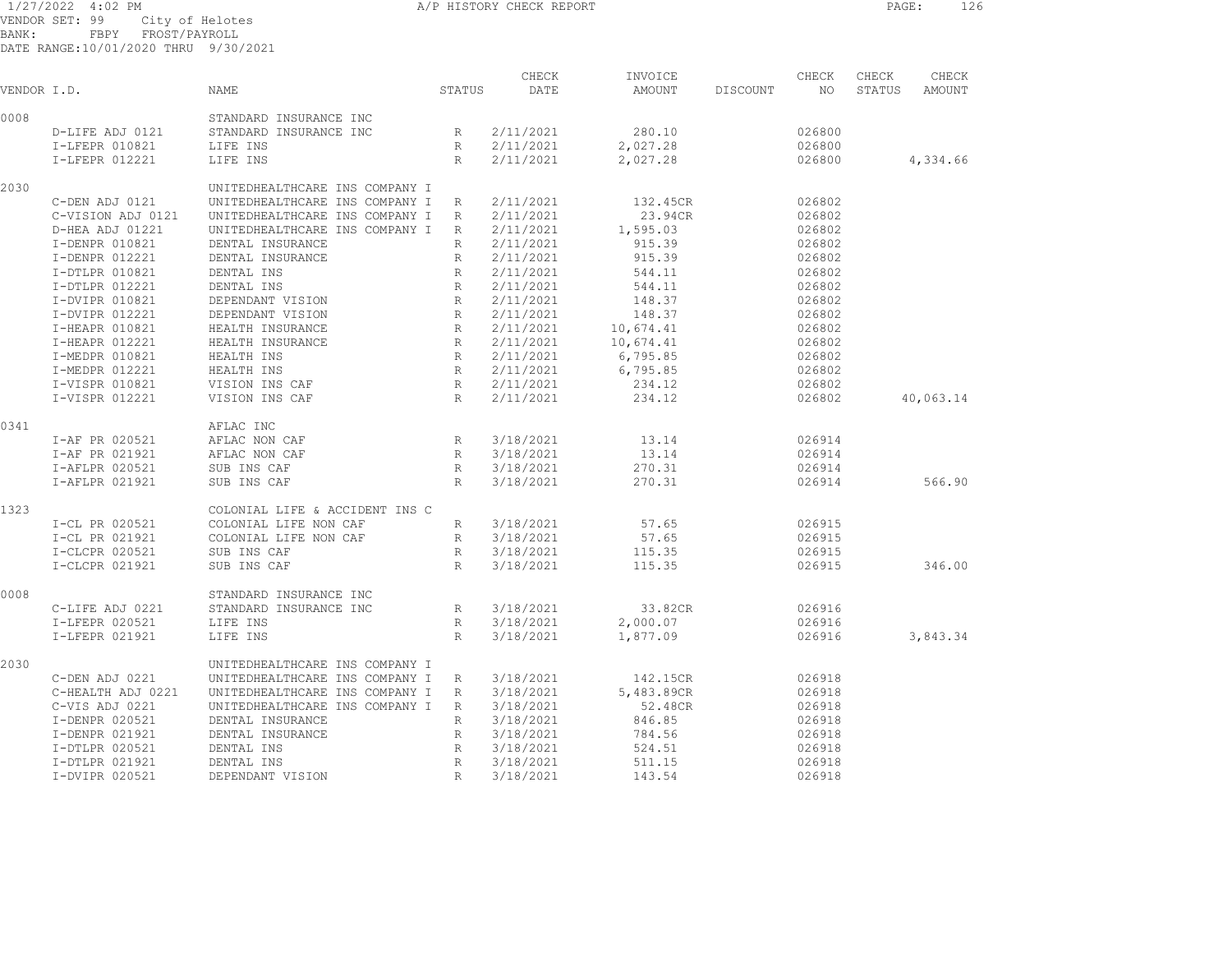1/27/2022 4:02 PM A/P HISTORY CHECK REPORT PAGE: 126 VENDOR SET: 99 City of Helotes BANK: FBPY FROST/PAYROLL

| VENDOR I.D. |                   | <b>NAME</b>                    | STATUS          | CHECK<br>DATE | INVOICE<br>AMOUNT | DISCOUNT | CHECK<br>NO | CHECK<br>STATUS | CHECK<br><b>AMOUNT</b> |
|-------------|-------------------|--------------------------------|-----------------|---------------|-------------------|----------|-------------|-----------------|------------------------|
| 0008        |                   | STANDARD INSURANCE INC         |                 |               |                   |          |             |                 |                        |
|             | D-LIFE ADJ 0121   | STANDARD INSURANCE INC         | R               | 2/11/2021     | 280.10            |          | 026800      |                 |                        |
|             | I-LFEPR 010821    | LIFE INS                       | R               | 2/11/2021     | 2,027.28          |          | 026800      |                 |                        |
|             | I-LFEPR 012221    | LIFE INS                       | R               | 2/11/2021     | 2,027.28          |          | 026800      |                 | 4,334.66               |
| 2030        |                   | UNITEDHEALTHCARE INS COMPANY I |                 |               |                   |          |             |                 |                        |
|             | C-DEN ADJ 0121    | UNITEDHEALTHCARE INS COMPANY I | R               | 2/11/2021     | 132.45CR          |          | 026802      |                 |                        |
|             | C-VISION ADJ 0121 | UNITEDHEALTHCARE INS COMPANY I | R               | 2/11/2021     | 23.94CR           |          | 026802      |                 |                        |
|             |                   |                                |                 |               |                   |          | 026802      |                 |                        |
|             | D-HEA ADJ 01221   | UNITEDHEALTHCARE INS COMPANY I | R               | 2/11/2021     | 1,595.03          |          |             |                 |                        |
|             | I-DENPR 010821    | DENTAL INSURANCE               | R               | 2/11/2021     | 915.39            |          | 026802      |                 |                        |
|             | I-DENPR 012221    | DENTAL INSURANCE               | R               | 2/11/2021     | 915.39            |          | 026802      |                 |                        |
|             | I-DTLPR 010821    | DENTAL INS                     | R               | 2/11/2021     | 544.11            |          | 026802      |                 |                        |
|             | I-DTLPR 012221    | DENTAL INS                     | R               | 2/11/2021     | 544.11            |          | 026802      |                 |                        |
|             | I-DVIPR 010821    | DEPENDANT VISION               | R               | 2/11/2021     | 148.37            |          | 026802      |                 |                        |
|             | I-DVIPR 012221    | DEPENDANT VISION               | R               | 2/11/2021     | 148.37            |          | 026802      |                 |                        |
|             | I-HEAPR 010821    | HEALTH INSURANCE               | R               | 2/11/2021     | 10,674.41         |          | 026802      |                 |                        |
|             | I-HEAPR 012221    | HEALTH INSURANCE               | R               | 2/11/2021     | 10,674.41         |          | 026802      |                 |                        |
|             | I-MEDPR 010821    | HEALTH INS                     | R               | 2/11/2021     | 6,795.85          |          | 026802      |                 |                        |
|             | I-MEDPR 012221    | HEALTH INS                     | R               | 2/11/2021     | 6,795.85          |          | 026802      |                 |                        |
|             | I-VISPR 010821    | VISION INS CAF                 | R               | 2/11/2021     | 234.12            |          | 026802      |                 |                        |
|             | I-VISPR 012221    | VISION INS CAF                 | R               | 2/11/2021     | 234.12            |          | 026802      |                 | 40,063.14              |
| 0341        |                   | AFLAC INC                      |                 |               |                   |          |             |                 |                        |
|             | I-AF PR 020521    | AFLAC NON CAF                  | R               | 3/18/2021     | 13.14             |          | 026914      |                 |                        |
|             | I-AF PR 021921    | AFLAC NON CAF                  | R               | 3/18/2021     | 13.14             |          | 026914      |                 |                        |
|             |                   |                                |                 |               |                   |          |             |                 |                        |
|             | I-AFLPR 020521    | SUB INS CAF                    | R               | 3/18/2021     | 270.31            |          | 026914      |                 |                        |
|             | I-AFLPR 021921    | SUB INS CAF                    | R               | 3/18/2021     | 270.31            |          | 026914      |                 | 566.90                 |
| 1323        |                   | COLONIAL LIFE & ACCIDENT INS C |                 |               |                   |          |             |                 |                        |
|             | I-CL PR 020521    | COLONIAL LIFE NON CAF          | $R_{\perp}$     | 3/18/2021     | 57.65             |          | 026915      |                 |                        |
|             | I-CL PR 021921    | COLONIAL LIFE NON CAF          | $R_{\perp}$     | 3/18/2021     | 57.65             |          | 026915      |                 |                        |
|             | I-CLCPR 020521    | SUB INS CAF                    | R               | 3/18/2021     | 115.35            |          | 026915      |                 |                        |
|             | I-CLCPR 021921    | SUB INS CAF                    | R               | 3/18/2021     | 115.35            |          | 026915      |                 | 346.00                 |
| 0008        |                   | STANDARD INSURANCE INC         |                 |               |                   |          |             |                 |                        |
|             | C-LIFE ADJ 0221   | STANDARD INSURANCE INC         | R               | 3/18/2021     | 33.82CR           |          | 026916      |                 |                        |
|             | I-LFEPR 020521    | LIFE INS                       | R               | 3/18/2021     | 2,000.07          |          | 026916      |                 |                        |
|             | I-LFEPR 021921    | LIFE INS                       | R               | 3/18/2021     | 1,877.09          |          | 026916      |                 | 3,843.34               |
| 2030        |                   | UNITEDHEALTHCARE INS COMPANY I |                 |               |                   |          |             |                 |                        |
|             | C-DEN ADJ 0221    | UNITEDHEALTHCARE INS COMPANY I | R               | 3/18/2021     | 142.15CR          |          | 026918      |                 |                        |
|             | C-HEALTH ADJ 0221 | UNITEDHEALTHCARE INS COMPANY I | R               | 3/18/2021     | 5,483.89CR        |          | 026918      |                 |                        |
|             | C-VIS ADJ 0221    | UNITEDHEALTHCARE INS COMPANY I | R               | 3/18/2021     | 52.48CR           |          | 026918      |                 |                        |
|             | I-DENPR 020521    | DENTAL INSURANCE               | R               | 3/18/2021     | 846.85            |          | 026918      |                 |                        |
|             | I-DENPR 021921    | DENTAL INSURANCE               | $R_{\parallel}$ | 3/18/2021     | 784.56            |          | 026918      |                 |                        |
|             | I-DTLPR 020521    | DENTAL INS                     | R               | 3/18/2021     | 524.51            |          | 026918      |                 |                        |
|             | I-DTLPR 021921    | DENTAL INS                     | R               | 3/18/2021     | 511.15            |          | 026918      |                 |                        |
|             | I-DVIPR 020521    | DEPENDANT VISION               | R               | 3/18/2021     | 143.54            |          | 026918      |                 |                        |
|             |                   |                                |                 |               |                   |          |             |                 |                        |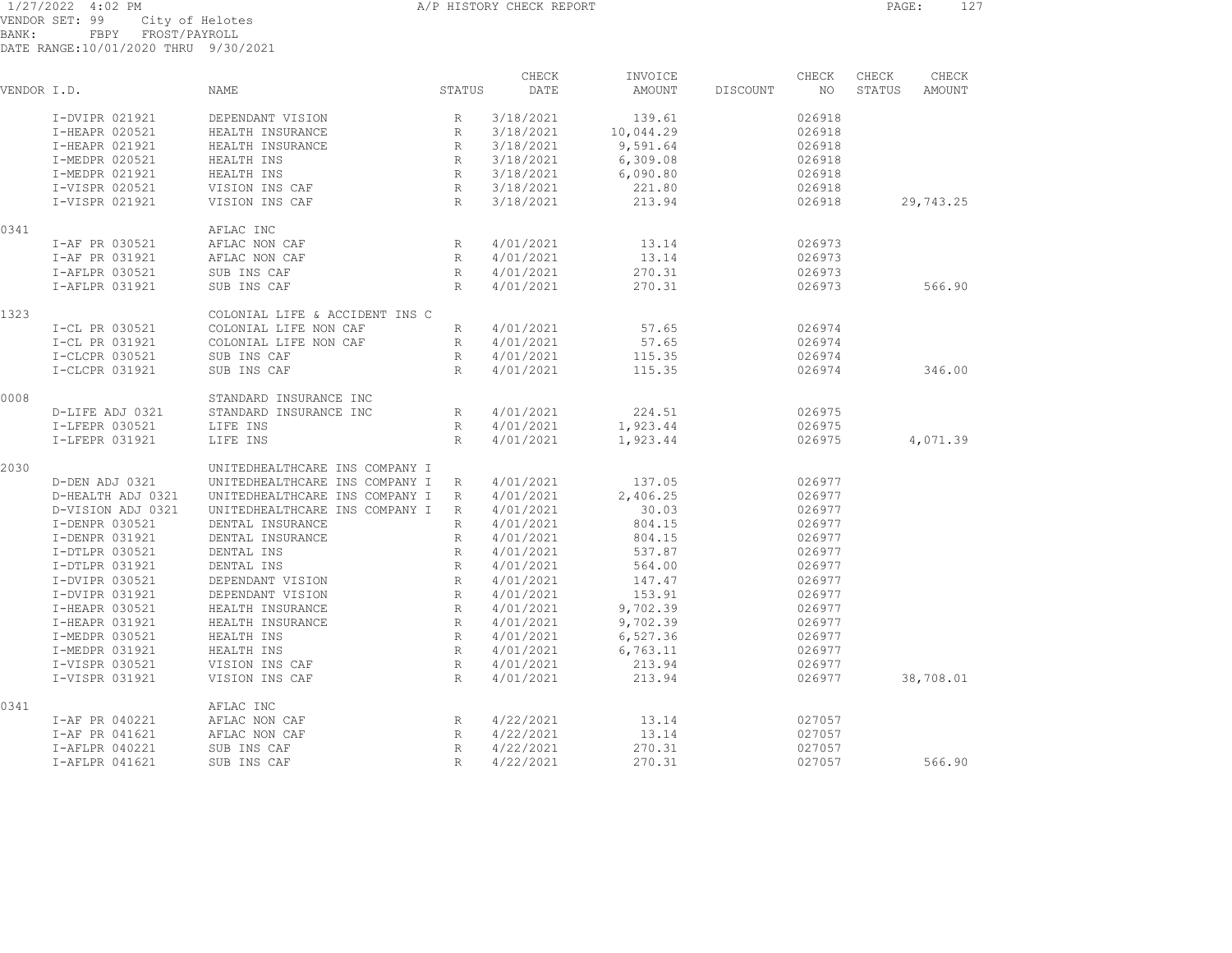1/27/2022 4:02 PM A/P HISTORY CHECK REPORT PAGE: 127 VENDOR SET: 99 City of Helotes BANK: FBPY FROST/PAYROLL

| VENDVIA JEI . JJ           |      |  | ATPA AT HETAPES |
|----------------------------|------|--|-----------------|
| BANK:                      | FBPY |  | FROST/PAYROLL   |
| DATE RANGE:10/01/2020 THRU |      |  | 9/30/2021       |

| VENDOR I.D. |                   | NAME                           | STATUS          | CHECK<br>DATE | INVOICE<br>AMOUNT | DISCOUNT | CHECK<br>NO | CHECK<br>STATUS | CHECK<br>AMOUNT |
|-------------|-------------------|--------------------------------|-----------------|---------------|-------------------|----------|-------------|-----------------|-----------------|
|             | I-DVIPR 021921    | DEPENDANT VISION               | R               | 3/18/2021     | 139.61            |          | 026918      |                 |                 |
|             | I-HEAPR 020521    | HEALTH INSURANCE               | $R_{\parallel}$ | 3/18/2021     | 10,044.29         |          | 026918      |                 |                 |
|             | I-HEAPR 021921    | HEALTH INSURANCE               | R               | 3/18/2021     | 9,591.64          |          | 026918      |                 |                 |
|             | I-MEDPR 020521    | HEALTH INS                     | R               | 3/18/2021     | 6,309.08          |          | 026918      |                 |                 |
|             | I-MEDPR 021921    | HEALTH INS                     | R               | 3/18/2021     | 6,090.80          |          | 026918      |                 |                 |
|             | I-VISPR 020521    | VISION INS CAF                 | R               | 3/18/2021     | 221.80            |          | 026918      |                 |                 |
|             | I-VISPR 021921    | VISION INS CAF                 | R               | 3/18/2021     | 213.94            |          | 026918      |                 | 29,743.25       |
| 0341        |                   | AFLAC INC                      |                 |               |                   |          |             |                 |                 |
|             | I-AF PR 030521    | AFLAC NON CAF                  | $R_{\parallel}$ | 4/01/2021     | 13.14             |          | 026973      |                 |                 |
|             | I-AF PR 031921    | AFLAC NON CAF                  | R               | 4/01/2021     | 13.14             |          | 026973      |                 |                 |
|             | I-AFLPR 030521    | SUB INS CAF                    | R               | 4/01/2021     | 270.31            |          | 026973      |                 |                 |
|             | I-AFLPR 031921    | SUB INS CAF                    | R               | 4/01/2021     | 270.31            |          | 026973      |                 | 566.90          |
| 1323        |                   | COLONIAL LIFE & ACCIDENT INS C |                 |               |                   |          |             |                 |                 |
|             | I-CL PR 030521    | COLONIAL LIFE NON CAF          | R               | 4/01/2021     | 57.65             |          | 026974      |                 |                 |
|             | I-CL PR 031921    | COLONIAL LIFE NON CAF          | R               | 4/01/2021     | 57.65             |          | 026974      |                 |                 |
|             | I-CLCPR 030521    | SUB INS CAF                    | R               | 4/01/2021     | 115.35            |          | 026974      |                 |                 |
|             | I-CLCPR 031921    | SUB INS CAF                    | R               | 4/01/2021     | 115.35            |          | 026974      |                 | 346.00          |
| 0008        |                   | STANDARD INSURANCE INC         |                 |               |                   |          |             |                 |                 |
|             | D-LIFE ADJ 0321   | STANDARD INSURANCE INC         | R               | 4/01/2021     | 224.51            |          | 026975      |                 |                 |
|             | I-LFEPR 030521    | LIFE INS                       | R               | 4/01/2021     | 1,923.44          |          | 026975      |                 |                 |
|             | I-LFEPR 031921    | LIFE INS                       | R               | 4/01/2021     | 1,923.44          |          | 026975      |                 | 4,071.39        |
| 2030        |                   | UNITEDHEALTHCARE INS COMPANY I |                 |               |                   |          |             |                 |                 |
|             | D-DEN ADJ 0321    | UNITEDHEALTHCARE INS COMPANY I | R               | 4/01/2021     | 137.05            |          | 026977      |                 |                 |
|             | D-HEALTH ADJ 0321 | UNITEDHEALTHCARE INS COMPANY I | R               | 4/01/2021     | 2,406.25          |          | 026977      |                 |                 |
|             | D-VISION ADJ 0321 | UNITEDHEALTHCARE INS COMPANY I | R               | 4/01/2021     | 30.03             |          | 026977      |                 |                 |
|             | I-DENPR 030521    | DENTAL INSURANCE               | R               | 4/01/2021     | 804.15            |          | 026977      |                 |                 |
|             | I-DENPR 031921    | DENTAL INSURANCE               | R               | 4/01/2021     | 804.15            |          | 026977      |                 |                 |
|             | I-DTLPR 030521    | DENTAL INS                     | $R_{\rm}$       | 4/01/2021     | 537.87            |          | 026977      |                 |                 |
|             | I-DTLPR 031921    | DENTAL INS                     | $R_{\parallel}$ | 4/01/2021     | 564.00            |          | 026977      |                 |                 |
|             | I-DVIPR 030521    | DEPENDANT VISION               | R               | 4/01/2021     | 147.47            |          | 026977      |                 |                 |
|             | I-DVIPR 031921    | DEPENDANT VISION               | $R_{\parallel}$ | 4/01/2021     | 153.91            |          | 026977      |                 |                 |
|             | I-HEAPR 030521    | HEALTH INSURANCE               | R               | 4/01/2021     | 9,702.39          |          | 026977      |                 |                 |
|             | I-HEAPR 031921    | HEALTH INSURANCE               | R               | 4/01/2021     | 9,702.39          |          | 026977      |                 |                 |
|             | I-MEDPR 030521    | HEALTH INS                     | R               | 4/01/2021     | 6,527.36          |          | 026977      |                 |                 |
|             | I-MEDPR 031921    | HEALTH INS                     | R               | 4/01/2021     | 6,763.11          |          | 026977      |                 |                 |
|             | I-VISPR 030521    | VISION INS CAF                 | $R_{\odot}$     | 4/01/2021     | 213.94            |          | 026977      |                 |                 |
|             | I-VISPR 031921    | VISION INS CAF                 | R               | 4/01/2021     | 213.94            |          | 026977      |                 | 38,708.01       |
| 0341        |                   | AFLAC INC                      |                 |               |                   |          |             |                 |                 |
|             | I-AF PR 040221    | AFLAC NON CAF                  | $R_{\parallel}$ | 4/22/2021     | 13.14             |          | 027057      |                 |                 |
|             | I-AF PR 041621    | AFLAC NON CAF                  | R               | 4/22/2021     | 13.14             |          | 027057      |                 |                 |
|             | I-AFLPR 040221    | SUB INS CAF                    | R               | 4/22/2021     | 270.31            |          | 027057      |                 |                 |
|             | I-AFLPR 041621    | SUB INS CAF                    | R               | 4/22/2021     | 270.31            |          | 027057      |                 | 566.90          |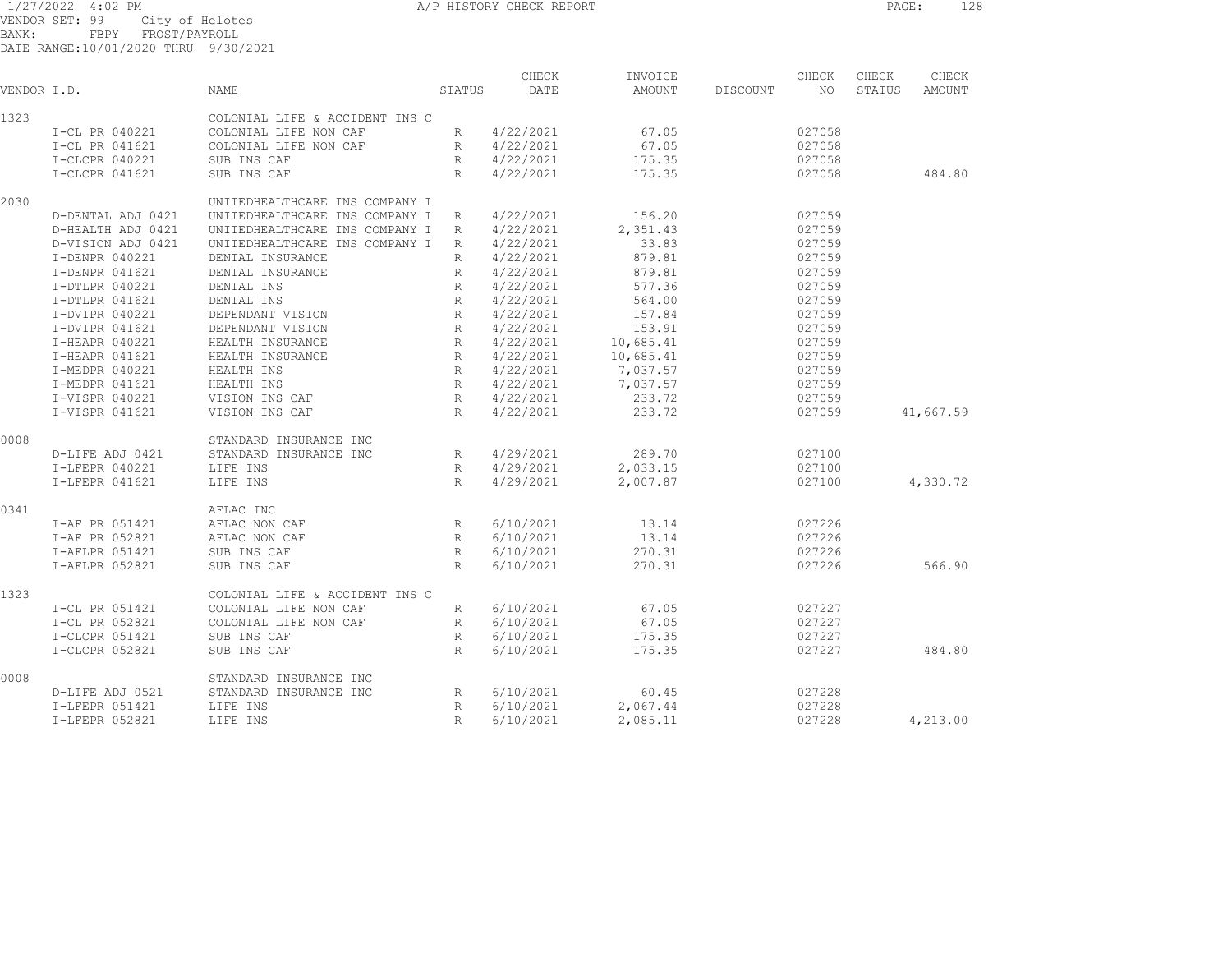1/27/2022 4:02 PM A/P HISTORY CHECK REPORT PAGE: 128

VENDOR SET: 99 City of Helotes BANK: FBPY FROST/PAYROLL

|             |                   |                                |                 | CHECK     | INVOICE   |          | CHECK  | CHECK  | CHECK     |
|-------------|-------------------|--------------------------------|-----------------|-----------|-----------|----------|--------|--------|-----------|
| VENDOR I.D. |                   | NAME                           | STATUS          | DATE      | AMOUNT    | DISCOUNT | NO     | STATUS | AMOUNT    |
| 1323        |                   | COLONIAL LIFE & ACCIDENT INS C |                 |           |           |          |        |        |           |
|             | I-CL PR 040221    | COLONIAL LIFE NON CAF          | $R_{\parallel}$ | 4/22/2021 | 67.05     |          | 027058 |        |           |
|             | I-CL PR 041621    | COLONIAL LIFE NON CAF          | R               | 4/22/2021 | 67.05     |          | 027058 |        |           |
|             | I-CLCPR 040221    | SUB INS CAF                    | R               | 4/22/2021 | 175.35    |          | 027058 |        |           |
|             | I-CLCPR 041621    | SUB INS CAF                    | R               | 4/22/2021 | 175.35    |          | 027058 |        | 484.80    |
| 2030        |                   | UNITEDHEALTHCARE INS COMPANY I |                 |           |           |          |        |        |           |
|             | D-DENTAL ADJ 0421 | UNITEDHEALTHCARE INS COMPANY I | R               | 4/22/2021 | 156.20    |          | 027059 |        |           |
|             | D-HEALTH ADJ 0421 | UNITEDHEALTHCARE INS COMPANY I | R               | 4/22/2021 | 2,351.43  |          | 027059 |        |           |
|             | D-VISION ADJ 0421 | UNITEDHEALTHCARE INS COMPANY I | R               | 4/22/2021 | 33.83     |          | 027059 |        |           |
|             | I-DENPR 040221    | DENTAL INSURANCE               | R               | 4/22/2021 | 879.81    |          | 027059 |        |           |
|             | I-DENPR 041621    | DENTAL INSURANCE               | $R_{\odot}$     | 4/22/2021 | 879.81    |          | 027059 |        |           |
|             | I-DTLPR 040221    | DENTAL INS                     | $R_{\parallel}$ | 4/22/2021 | 577.36    |          | 027059 |        |           |
|             | I-DTLPR 041621    | DENTAL INS                     | R               | 4/22/2021 | 564.00    |          | 027059 |        |           |
|             | I-DVIPR 040221    | DEPENDANT VISION               | $R_{\parallel}$ | 4/22/2021 | 157.84    |          | 027059 |        |           |
|             | I-DVIPR 041621    | DEPENDANT VISION               | $R_{\parallel}$ | 4/22/2021 | 153.91    |          | 027059 |        |           |
|             |                   |                                |                 |           |           |          |        |        |           |
|             | I-HEAPR 040221    | HEALTH INSURANCE               | R               | 4/22/2021 | 10,685.41 |          | 027059 |        |           |
|             | I-HEAPR 041621    | HEALTH INSURANCE               | R               | 4/22/2021 | 10,685.41 |          | 027059 |        |           |
|             | I-MEDPR 040221    | HEALTH INS                     | R               | 4/22/2021 | 7,037.57  |          | 027059 |        |           |
|             | I-MEDPR 041621    | HEALTH INS                     | $R_{\perp}$     | 4/22/2021 | 7,037.57  |          | 027059 |        |           |
|             | I-VISPR 040221    | VISION INS CAF                 | R               | 4/22/2021 | 233.72    |          | 027059 |        |           |
|             | I-VISPR 041621    | VISION INS CAF                 | R               | 4/22/2021 | 233.72    |          | 027059 |        | 41,667.59 |
| 0008        |                   | STANDARD INSURANCE INC         |                 |           |           |          |        |        |           |
|             | D-LIFE ADJ 0421   | STANDARD INSURANCE INC         | R               | 4/29/2021 | 289.70    |          | 027100 |        |           |
|             | I-LFEPR 040221    | LIFE INS                       | R               | 4/29/2021 | 2,033.15  |          | 027100 |        |           |
|             | I-LFEPR 041621    | LIFE INS                       | R               | 4/29/2021 | 2,007.87  |          | 027100 |        | 4,330.72  |
| 0.341       |                   | AFLAC INC                      |                 |           |           |          |        |        |           |
|             | I-AF PR 051421    | AFLAC NON CAF                  | R               | 6/10/2021 | 13.14     |          | 027226 |        |           |
|             | I-AF PR 052821    | AFLAC NON CAF                  | $R_{\parallel}$ | 6/10/2021 | 13.14     |          | 027226 |        |           |
|             | I-AFLPR 051421    | SUB INS CAF                    | R               | 6/10/2021 | 270.31    |          | 027226 |        |           |
|             | I-AFLPR 052821    | SUB INS CAF                    | R               | 6/10/2021 | 270.31    |          | 027226 |        | 566.90    |
| 1323        |                   | COLONIAL LIFE & ACCIDENT INS C |                 |           |           |          |        |        |           |
|             | I-CL PR 051421    | COLONIAL LIFE NON CAF          | R               | 6/10/2021 | 67.05     |          | 027227 |        |           |
|             | I-CL PR 052821    | COLONIAL LIFE NON CAF          | R               | 6/10/2021 | 67.05     |          | 027227 |        |           |
|             | I-CLCPR 051421    | SUB INS CAF                    | R               | 6/10/2021 | 175.35    |          | 027227 |        |           |
|             | I-CLCPR 052821    | SUB INS CAF                    | R               | 6/10/2021 | 175.35    |          | 027227 |        | 484.80    |
| 0008        |                   | STANDARD INSURANCE INC         |                 |           |           |          |        |        |           |
|             | D-LIFE ADJ 0521   | STANDARD INSURANCE INC         | R               | 6/10/2021 | 60.45     |          | 027228 |        |           |
|             | I-LFEPR 051421    | LIFE INS                       | R               | 6/10/2021 | 2,067.44  |          | 027228 |        |           |
|             | I-LFEPR 052821    | LIFE INS                       | R               | 6/10/2021 | 2,085.11  |          | 027228 |        | 4,213.00  |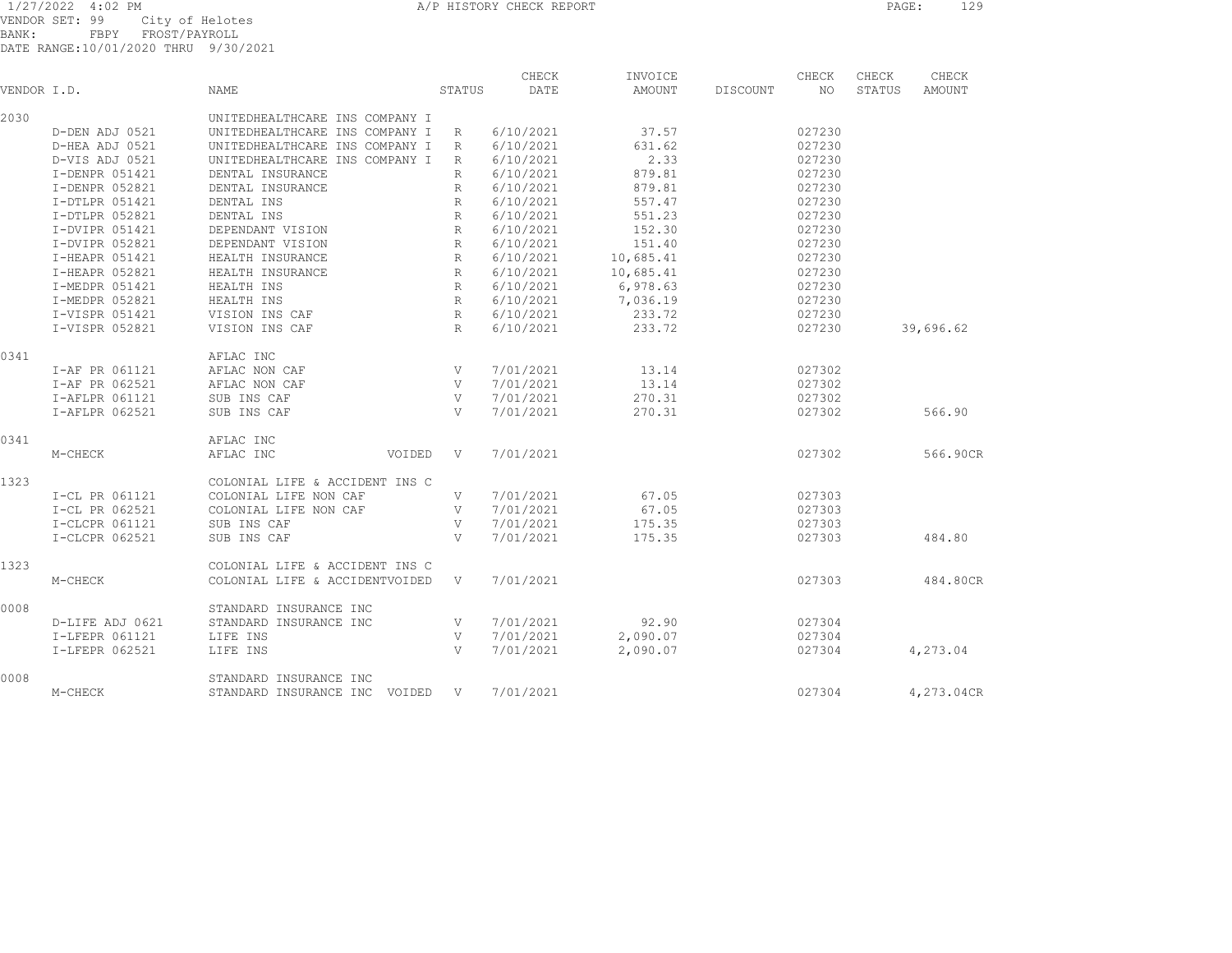VENDOR SET: 99 City of Helotes BANK: FBPY FROST/PAYROLL DATE RANGE:10/01/2020 THRU 9/30/2021

|             |                 |                                |                        | CHECK          | INVOICE   |          | CHECK  | CHECK  | CHECK      |
|-------------|-----------------|--------------------------------|------------------------|----------------|-----------|----------|--------|--------|------------|
| VENDOR I.D. |                 | NAME                           | STATUS                 | DATE           | AMOUNT    | DISCOUNT | NO.    | STATUS | AMOUNT     |
| 2030        |                 | UNITEDHEALTHCARE INS COMPANY I |                        |                |           |          |        |        |            |
|             | D-DEN ADJ 0521  | UNITEDHEALTHCARE INS COMPANY I | R                      | 6/10/2021      | 37.57     |          | 027230 |        |            |
|             | D-HEA ADJ 0521  | UNITEDHEALTHCARE INS COMPANY I | R                      | 6/10/2021      | 631.62    |          | 027230 |        |            |
|             | D-VIS ADJ 0521  | UNITEDHEALTHCARE INS COMPANY I | R                      | 6/10/2021      | 2.33      |          | 027230 |        |            |
|             | I-DENPR 051421  | DENTAL INSURANCE               | R                      | 6/10/2021      | 879.81    |          | 027230 |        |            |
|             | I-DENPR 052821  | DENTAL INSURANCE               | R                      | 6/10/2021      | 879.81    |          | 027230 |        |            |
|             | I-DTLPR 051421  | DENTAL INS                     | R                      | 6/10/2021      | 557.47    |          | 027230 |        |            |
|             | I-DTLPR 052821  | DENTAL INS                     | $R_{\parallel}$        | 6/10/2021      | 551.23    |          | 027230 |        |            |
|             | I-DVIPR 051421  | DEPENDANT VISION               | $R_{\parallel}$        | 6/10/2021      | 152.30    |          | 027230 |        |            |
|             | I-DVIPR 052821  | DEPENDANT VISION               | R                      | 6/10/2021      | 151.40    |          | 027230 |        |            |
|             | I-HEAPR 051421  | HEALTH INSURANCE               | R                      | 6/10/2021      | 10,685.41 |          | 027230 |        |            |
|             | I-HEAPR 052821  | HEALTH INSURANCE               | R                      | 6/10/2021      | 10,685.41 |          | 027230 |        |            |
|             | I-MEDPR 051421  | HEALTH INS                     | R                      | 6/10/2021      | 6,978.63  |          | 027230 |        |            |
|             | I-MEDPR 052821  | HEALTH INS                     |                        | R<br>6/10/2021 | 7,036.19  |          | 027230 |        |            |
|             | I-VISPR 051421  | VISION INS CAF                 | R                      | 6/10/2021      | 233.72    |          | 027230 |        |            |
|             | I-VISPR 052821  | VISION INS CAF                 | R                      | 6/10/2021      | 233.72    |          | 027230 |        | 39,696.62  |
| 0.341       |                 | AFLAC INC                      |                        |                |           |          |        |        |            |
|             | I-AF PR 061121  | AFLAC NON CAF                  | V                      | 7/01/2021      | 13.14     |          | 027302 |        |            |
|             | I-AF PR 062521  | AFLAC NON CAF                  | V                      | 7/01/2021      | 13.14     |          | 027302 |        |            |
|             | I-AFLPR 061121  | SUB INS CAF                    | V                      | 7/01/2021      | 270.31    |          | 027302 |        |            |
|             | I-AFLPR 062521  | SUB INS CAF                    | V                      | 7/01/2021      | 270.31    |          | 027302 |        | 566.90     |
|             |                 |                                |                        |                |           |          |        |        |            |
| 0.341       |                 | AFLAC INC                      |                        |                |           |          |        |        |            |
|             | M-CHECK         | AFLAC INC                      | VOIDED<br>$\mathbf{V}$ | 7/01/2021      |           |          | 027302 |        | 566.90CR   |
| 1323        |                 | COLONIAL LIFE & ACCIDENT INS C |                        |                |           |          |        |        |            |
|             | I-CL PR 061121  | COLONIAL LIFE NON CAF          | V                      | 7/01/2021      | 67.05     |          | 027303 |        |            |
|             | I-CL PR 062521  | COLONIAL LIFE NON CAF          | V                      | 7/01/2021      | 67.05     |          | 027303 |        |            |
|             | I-CLCPR 061121  | SUB INS CAF                    | V                      | 7/01/2021      | 175.35    |          | 027303 |        |            |
|             | I-CLCPR 062521  | SUB INS CAF                    | V                      | 7/01/2021      | 175.35    |          | 027303 |        | 484.80     |
| 1323        |                 | COLONIAL LIFE & ACCIDENT INS C |                        |                |           |          |        |        |            |
|             | M-CHECK         | COLONIAL LIFE & ACCIDENTVOIDED | V                      | 7/01/2021      |           |          | 027303 |        | 484.80CR   |
| 0008        |                 | STANDARD INSURANCE INC         |                        |                |           |          |        |        |            |
|             | D-LIFE ADJ 0621 | STANDARD INSURANCE INC         | V                      | 7/01/2021      | 92.90     |          | 027304 |        |            |
|             | I-LFEPR 061121  | LIFE INS                       | V                      | 7/01/2021      | 2,090.07  |          | 027304 |        |            |
|             | I-LFEPR 062521  | LIFE INS                       | V                      | 7/01/2021      | 2,090.07  |          | 027304 |        | 4,273.04   |
|             |                 |                                |                        |                |           |          |        |        |            |
| 0008        |                 | STANDARD INSURANCE INC         |                        |                |           |          |        |        |            |
|             | M-CHECK         | STANDARD INSURANCE INC VOIDED  | V                      | 7/01/2021      |           |          | 027304 |        | 4,273.04CR |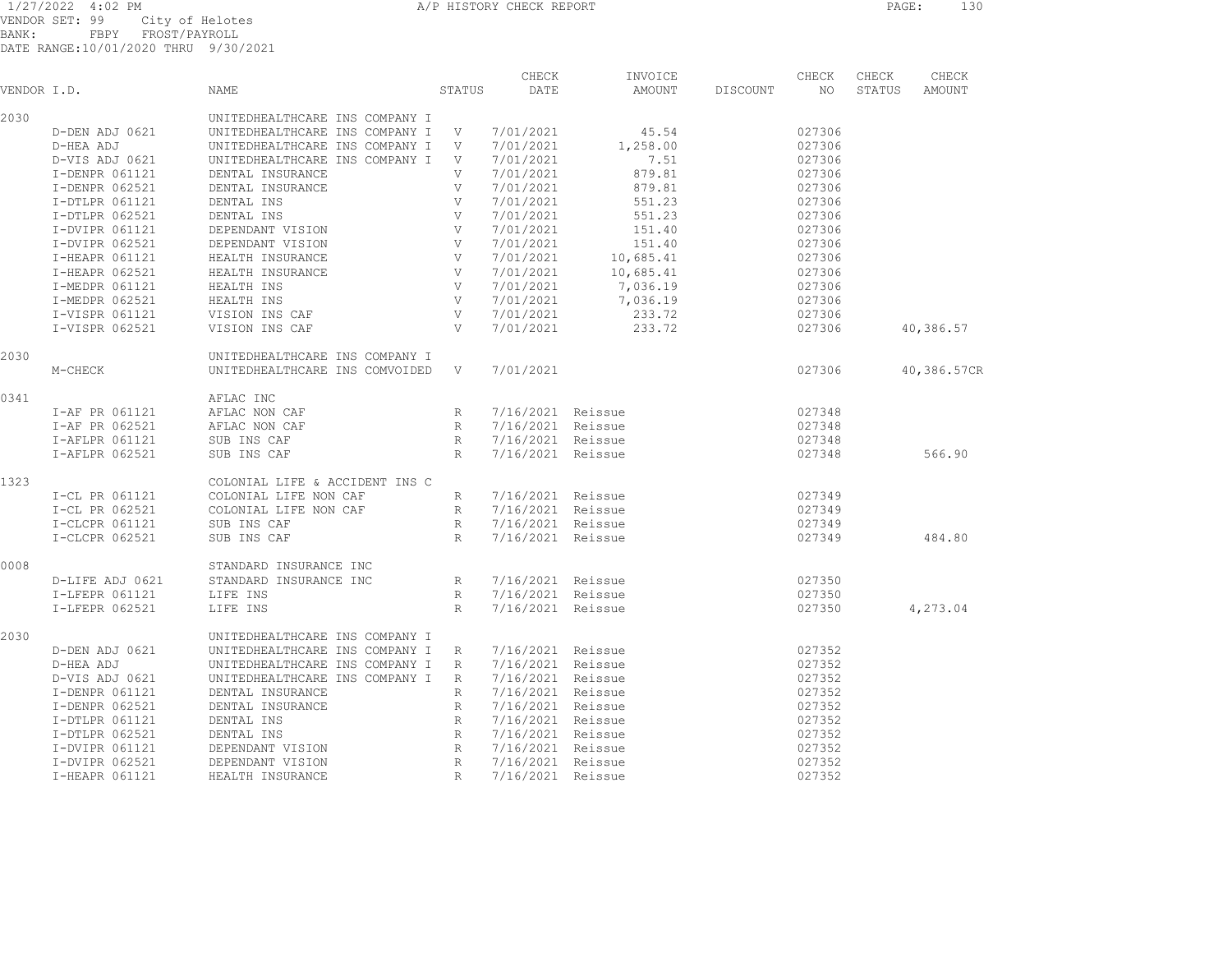VENDOR SET: 99 City of Helotes BANK: FBPY FROST/PAYROLL DATE RANGE:10/01/2020 THRU 9/30/2021

| VENDOR I.D. |                                                                                                                               | NAME                                                                                                                                                                                                                                     | STATUS | CHECK<br>DATE                                                                                                                          | INVOICE<br>AMOUNT | DISCOUNT | CHECK<br>NO | CHECK<br>STATUS | CHECK<br>AMOUNT |
|-------------|-------------------------------------------------------------------------------------------------------------------------------|------------------------------------------------------------------------------------------------------------------------------------------------------------------------------------------------------------------------------------------|--------|----------------------------------------------------------------------------------------------------------------------------------------|-------------------|----------|-------------|-----------------|-----------------|
| 2030        |                                                                                                                               | UNITEDHEALTHCARE INS COMPANY I                                                                                                                                                                                                           |        |                                                                                                                                        |                   |          |             |                 |                 |
|             | D-DEN ADJ 0621                                                                                                                | UNITEDHEALTHCARE INS COMPANY I V 7/01/2021                                                                                                                                                                                               |        |                                                                                                                                        | 45.54             |          | 027306      |                 |                 |
|             | D-HEA ADJ                                                                                                                     | UNITEDHEALTHCARE INS COMPANY I V                                                                                                                                                                                                         |        | 7/01/2021                                                                                                                              | 1,258.00          |          | 027306      |                 |                 |
|             | D-VIS ADJ 0621                                                                                                                | UNITEDHEALTHCARE INS COMPANY I V                                                                                                                                                                                                         |        | 7/01/2021                                                                                                                              | 7.51              |          | 027306      |                 |                 |
|             | I-DENPR 061121                                                                                                                | DENTAL INSURANCE                                                                                                                                                                                                                         | V      | 7/01/2021                                                                                                                              | 879.81            |          | 027306      |                 |                 |
|             | I-DENPR 062521                                                                                                                | DENTAL INSURANCE                                                                                                                                                                                                                         |        |                                                                                                                                        | 879.81            |          | 027306      |                 |                 |
|             | I-DTLPR 061121                                                                                                                | DENTAL INS                                                                                                                                                                                                                               |        |                                                                                                                                        | 551.23            |          | 027306      |                 |                 |
|             | I-DTLPR 062521                                                                                                                | DENTAL INS                                                                                                                                                                                                                               |        |                                                                                                                                        | 551.23            |          | 027306      |                 |                 |
|             | I-DVIPR 061121                                                                                                                | DEPENDANT VISION                                                                                                                                                                                                                         |        |                                                                                                                                        | 151.40            |          | 027306      |                 |                 |
|             | I-DVIPR 062521                                                                                                                | DEPENDANT VISION                                                                                                                                                                                                                         |        |                                                                                                                                        | 151.40            |          | 027306      |                 |                 |
|             | I-HEAPR 061121                                                                                                                | HEALTH INSURANCE                                                                                                                                                                                                                         |        |                                                                                                                                        | 10,685.41         |          | 027306      |                 |                 |
|             | I-HEAPR 062521                                                                                                                | HEALTH INSURANCE                                                                                                                                                                                                                         |        |                                                                                                                                        | 10,685.41         |          | 027306      |                 |                 |
|             | I-MEDPR 061121                                                                                                                | HEALTH INS                                                                                                                                                                                                                               |        |                                                                                                                                        | 7,036.19          |          | 027306      |                 |                 |
|             | I-MEDPR 062521                                                                                                                | HEALTH INS                                                                                                                                                                                                                               |        |                                                                                                                                        | 7,036.19          |          | 027306      |                 |                 |
|             | I-VISPR 061121                                                                                                                | VISION INS CAF                                                                                                                                                                                                                           |        |                                                                                                                                        | 233.72            |          | 027306      |                 |                 |
|             | I-VISPR 062521                                                                                                                | VISION INS CAF                                                                                                                                                                                                                           |        |                                                                                                                                        | 233.72            |          | 027306      |                 | 40,386.57       |
| 2030        |                                                                                                                               | V<br>V<br>V<br>V<br>7,<br>V<br>7/01,<br>V<br>7/01/2021<br>V<br>7/01/2021<br>V<br>7/01/2021<br>V<br>7/01/2021<br>V<br>7/01/2021<br>V<br>7/01/2021<br>V<br>7/01/2021<br>V<br>7/01/2021<br>V<br>7/01/2021<br>UNITEDHEALTHCARE INS COMPANY I |        |                                                                                                                                        |                   |          |             |                 |                 |
|             | M-CHECK                                                                                                                       | UNITEDHEALTHCARE INS COMVOIDED                                                                                                                                                                                                           | V      | 7/01/2021                                                                                                                              |                   | 027306   |             |                 | 40,386.57CR     |
| 0.341       |                                                                                                                               | AFLAC INC                                                                                                                                                                                                                                |        |                                                                                                                                        |                   |          |             |                 |                 |
|             | $\begin{tabular}{llll} I-AF & PR & 061121 & & AFLAC & NON & CAP \\ I-AF & PR & 062521 & & AFLAC & NON & CAP \\ \end{tabular}$ |                                                                                                                                                                                                                                          | R      |                                                                                                                                        | 7/16/2021 Reissue |          | 027348      |                 |                 |
|             |                                                                                                                               |                                                                                                                                                                                                                                          | R      |                                                                                                                                        | 7/16/2021 Reissue |          | 027348      |                 |                 |
|             | I-AFLPR 061121                                                                                                                | SUB INS CAF                                                                                                                                                                                                                              |        | R 7/16/2021 Reissue                                                                                                                    |                   |          | 027348      |                 |                 |
|             | I-AFLPR 062521                                                                                                                | SUB INS CAF                                                                                                                                                                                                                              | R      | 7/16/2021 Reissue                                                                                                                      |                   |          | 027348      |                 | 566.90          |
| 1323        |                                                                                                                               | COLONIAL LIFE & ACCIDENT INS C                                                                                                                                                                                                           |        |                                                                                                                                        |                   |          |             |                 |                 |
|             | I-CL PR 061141<br>I-CL PR 062521<br>-- 061121                                                                                 | COLONIAL LIFE NON CAF                                                                                                                                                                                                                    |        | R 7/16/2021 Reissue                                                                                                                    |                   |          | 027349      |                 |                 |
|             |                                                                                                                               | COLONIAL LIFE NON CAF                                                                                                                                                                                                                    |        | R 7/16/2021 Reissue                                                                                                                    |                   |          | 027349      |                 |                 |
|             |                                                                                                                               | SUB INS CAF                                                                                                                                                                                                                              |        | R 7/16/2021 Reissue                                                                                                                    |                   |          | 027349      |                 |                 |
|             | I-CLCPR 062521                                                                                                                | SUB INS CAF                                                                                                                                                                                                                              | R      | 7/16/2021 Reissue                                                                                                                      |                   |          | 027349      |                 | 484.80          |
| 0008        |                                                                                                                               | STANDARD INSURANCE INC                                                                                                                                                                                                                   |        |                                                                                                                                        |                   |          |             |                 |                 |
|             | D-LIFE ADJ 0621                                                                                                               | STANDARD INSURANCE INC                                                                                                                                                                                                                   | R      | 7/16/2021 Reissue                                                                                                                      |                   |          | 027350      |                 |                 |
|             | I-LFEPR 061121                                                                                                                | LIFE INS                                                                                                                                                                                                                                 | R      | 7/16/2021 Reissue                                                                                                                      |                   |          | 027350      |                 |                 |
|             | I-LFEPR 062521                                                                                                                | LIFE INS                                                                                                                                                                                                                                 | R      | 7/16/2021 Reissue                                                                                                                      |                   |          | 027350      |                 | 4,273.04        |
| 2030        |                                                                                                                               | UNITEDHEALTHCARE INS COMPANY I                                                                                                                                                                                                           |        |                                                                                                                                        |                   |          |             |                 |                 |
|             | D-DEN ADJ 0621                                                                                                                | UNITEDHEALTHCARE INS COMPANY I R                                                                                                                                                                                                         |        | 7/16/2021 Reissue                                                                                                                      |                   |          | 027352      |                 |                 |
|             | D-HEA ADJ                                                                                                                     | UNITEDHEALTHCARE INS COMPANY I R                                                                                                                                                                                                         |        | 7/16/2021 Reissue                                                                                                                      |                   |          | 027352      |                 |                 |
|             | D-VIS ADJ 0621                                                                                                                | UNITEDHEALTHCARE INS COMPANY I R 7/16/2021 Reissue                                                                                                                                                                                       |        |                                                                                                                                        |                   |          | 027352      |                 |                 |
|             | I-DENPR 061121                                                                                                                | DENTAL INSURANCE                                                                                                                                                                                                                         | R      | 7/16/2021 Reissue                                                                                                                      |                   |          | 027352      |                 |                 |
|             | I-DENPR 062521                                                                                                                | DENTAL INSURANCE                                                                                                                                                                                                                         |        | R 7/16/2021 Reissue<br>R 7/16/2021 Reissue<br>R 7/16/2021 Reissue<br>R 7/16/2021 Reissue<br>R 7/16/2021 Reissue<br>R 7/16/2021 Reissue |                   |          | 027352      |                 |                 |
|             | I-DTLPR 061121                                                                                                                | DENTAL INS                                                                                                                                                                                                                               |        |                                                                                                                                        |                   |          | 027352      |                 |                 |
|             | I-DTLPR 062521                                                                                                                | DENTAL INS                                                                                                                                                                                                                               |        |                                                                                                                                        |                   |          | 027352      |                 |                 |
|             | I-DVIPR 061121                                                                                                                | DEPENDANT VISION                                                                                                                                                                                                                         |        |                                                                                                                                        |                   |          | 027352      |                 |                 |
|             | I-DVIPR 062521                                                                                                                | DEPENDANT VISION                                                                                                                                                                                                                         |        |                                                                                                                                        |                   |          | 027352      |                 |                 |
|             | I-HEAPR 061121                                                                                                                | HEALTH INSURANCE                                                                                                                                                                                                                         |        |                                                                                                                                        |                   |          | 027352      |                 |                 |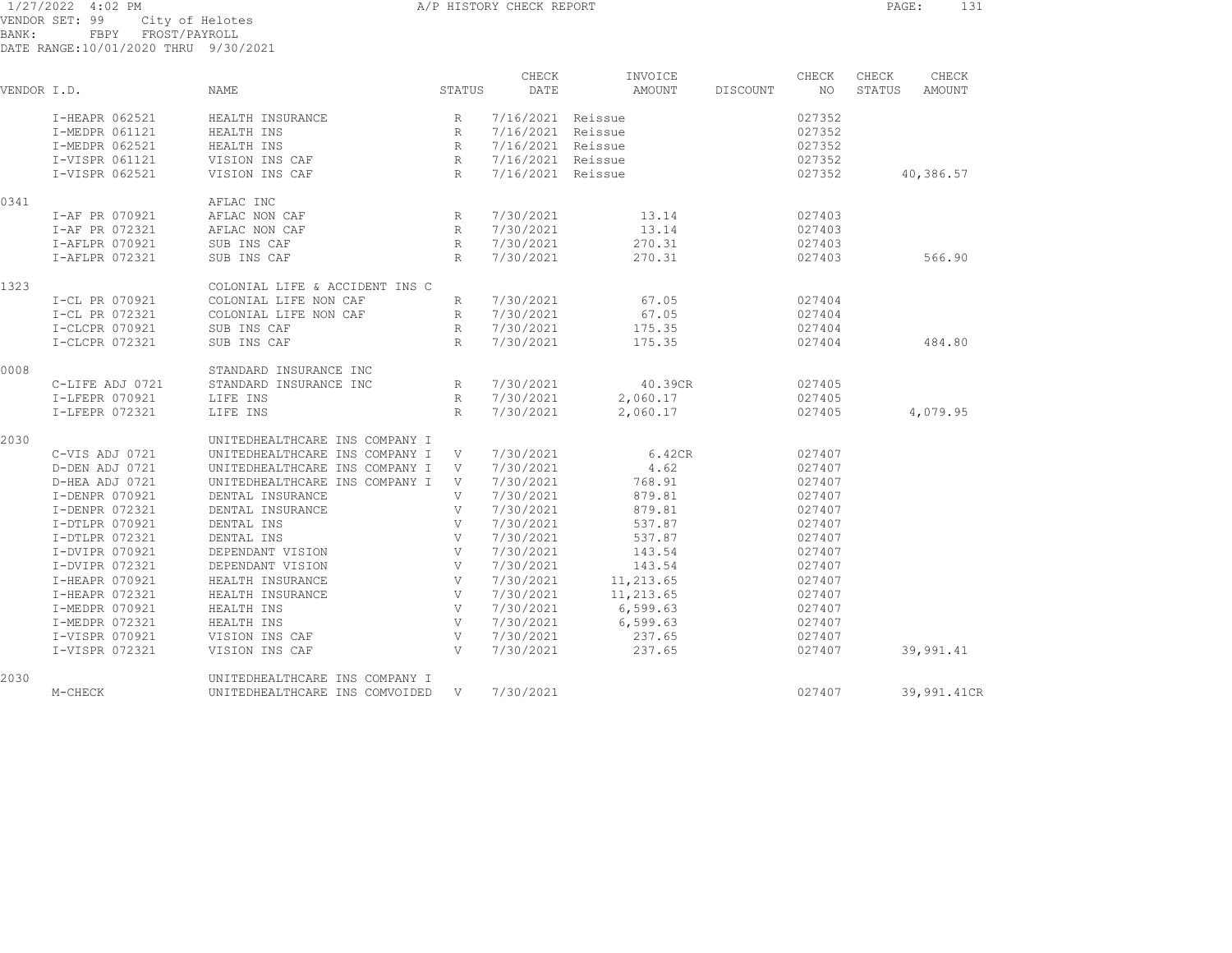1/27/2022 4:02 PM A/P HISTORY CHECK REPORT PAGE: 131 VENDOR SET: 99 City of Helotes BANK: FBPY FROST/PAYROLL

|             |                 |                                |                 | CHECK             | INVOICE   |          | CHECK  | CHECK  | CHECK       |
|-------------|-----------------|--------------------------------|-----------------|-------------------|-----------|----------|--------|--------|-------------|
| VENDOR I.D. |                 | <b>NAME</b>                    | STATUS          | DATE              | AMOUNT    | DISCOUNT | NO.    | STATUS | AMOUNT      |
|             | I-HEAPR 062521  | HEALTH INSURANCE               | R               | 7/16/2021 Reissue |           |          | 027352 |        |             |
|             | I-MEDPR 061121  | HEALTH INS                     | R               | 7/16/2021 Reissue |           |          | 027352 |        |             |
|             | I-MEDPR 062521  | HEALTH INS                     | R               | 7/16/2021 Reissue |           |          | 027352 |        |             |
|             | I-VISPR 061121  | VISION INS CAF                 | $R_{\perp}$     | 7/16/2021 Reissue |           |          | 027352 |        |             |
|             | I-VISPR 062521  | VISION INS CAF                 | R               | 7/16/2021 Reissue |           |          | 027352 |        | 40,386.57   |
| 0341        |                 | AFLAC INC                      |                 |                   |           |          |        |        |             |
|             | I-AF PR 070921  | AFLAC NON CAF                  | R               | 7/30/2021         | 13.14     |          | 027403 |        |             |
|             | I-AF PR 072321  | AFLAC NON CAF                  | $R_{\parallel}$ | 7/30/2021         | 13.14     |          | 027403 |        |             |
|             | I-AFLPR 070921  | SUB INS CAF                    | R               | 7/30/2021         | 270.31    |          | 027403 |        |             |
|             | I-AFLPR 072321  | SUB INS CAF                    | R               | 7/30/2021         | 270.31    |          | 027403 |        | 566.90      |
| 1323        |                 | COLONIAL LIFE & ACCIDENT INS C |                 |                   |           |          |        |        |             |
|             | I-CL PR 070921  | COLONIAL LIFE NON CAF          | R               | 7/30/2021         | 67.05     |          | 027404 |        |             |
|             | I-CL PR 072321  | COLONIAL LIFE NON CAF          | R               | 7/30/2021         | 67.05     |          | 027404 |        |             |
|             | I-CLCPR 070921  | SUB INS CAF                    | R               | 7/30/2021         | 175.35    |          | 027404 |        |             |
|             | I-CLCPR 072321  | SUB INS CAF                    | R               | 7/30/2021         | 175.35    |          | 027404 |        | 484.80      |
| 0008        |                 | STANDARD INSURANCE INC         |                 |                   |           |          |        |        |             |
|             | C-LIFE ADJ 0721 | STANDARD INSURANCE INC         | R               | 7/30/2021         | 40.39CR   |          | 027405 |        |             |
|             | I-LFEPR 070921  | LIFE INS                       | R               | 7/30/2021         | 2,060.17  |          | 027405 |        |             |
|             | I-LFEPR 072321  | LIFE INS                       | R               | 7/30/2021         | 2,060.17  |          | 027405 |        | 4,079.95    |
| 2030        |                 | UNITEDHEALTHCARE INS COMPANY I |                 |                   |           |          |        |        |             |
|             | C-VIS ADJ 0721  | UNITEDHEALTHCARE INS COMPANY I | V               | 7/30/2021         | 6.42CR    |          | 027407 |        |             |
|             | D-DEN ADJ 0721  | UNITEDHEALTHCARE INS COMPANY I | V               | 7/30/2021         | 4.62      |          | 027407 |        |             |
|             | D-HEA ADJ 0721  | UNITEDHEALTHCARE INS COMPANY I | V               | 7/30/2021         | 768.91    |          | 027407 |        |             |
|             | I-DENPR 070921  | DENTAL INSURANCE               | V               | 7/30/2021         | 879.81    |          | 027407 |        |             |
|             | I-DENPR 072321  | DENTAL INSURANCE               | V               | 7/30/2021         | 879.81    |          | 027407 |        |             |
|             | I-DTLPR 070921  | DENTAL INS                     | V               | 7/30/2021         | 537.87    |          | 027407 |        |             |
|             | I-DTLPR 072321  | DENTAL INS                     | V               | 7/30/2021         | 537.87    |          | 027407 |        |             |
|             | I-DVIPR 070921  | DEPENDANT VISION               | V               | 7/30/2021         | 143.54    |          | 027407 |        |             |
|             | I-DVIPR 072321  | DEPENDANT VISION               | V               | 7/30/2021         | 143.54    |          | 027407 |        |             |
|             | I-HEAPR 070921  | HEALTH INSURANCE               | V               | 7/30/2021         | 11,213.65 |          | 027407 |        |             |
|             | I-HEAPR 072321  | HEALTH INSURANCE               | V               | 7/30/2021         | 11,213.65 |          | 027407 |        |             |
|             | I-MEDPR 070921  | HEALTH INS                     | V               | 7/30/2021         | 6,599.63  |          | 027407 |        |             |
|             | I-MEDPR 072321  | HEALTH INS                     | V               | 7/30/2021         | 6,599.63  |          | 027407 |        |             |
|             | I-VISPR 070921  | VISION INS CAF                 | V               | 7/30/2021         | 237.65    |          | 027407 |        |             |
|             | I-VISPR 072321  | VISION INS CAF                 | V               | 7/30/2021         | 237.65    |          | 027407 |        | 39,991.41   |
| 2030        |                 | UNITEDHEALTHCARE INS COMPANY I |                 |                   |           |          |        |        |             |
|             | M-CHECK         | UNITEDHEALTHCARE INS COMVOIDED | V               | 7/30/2021         |           |          | 027407 |        | 39,991.41CR |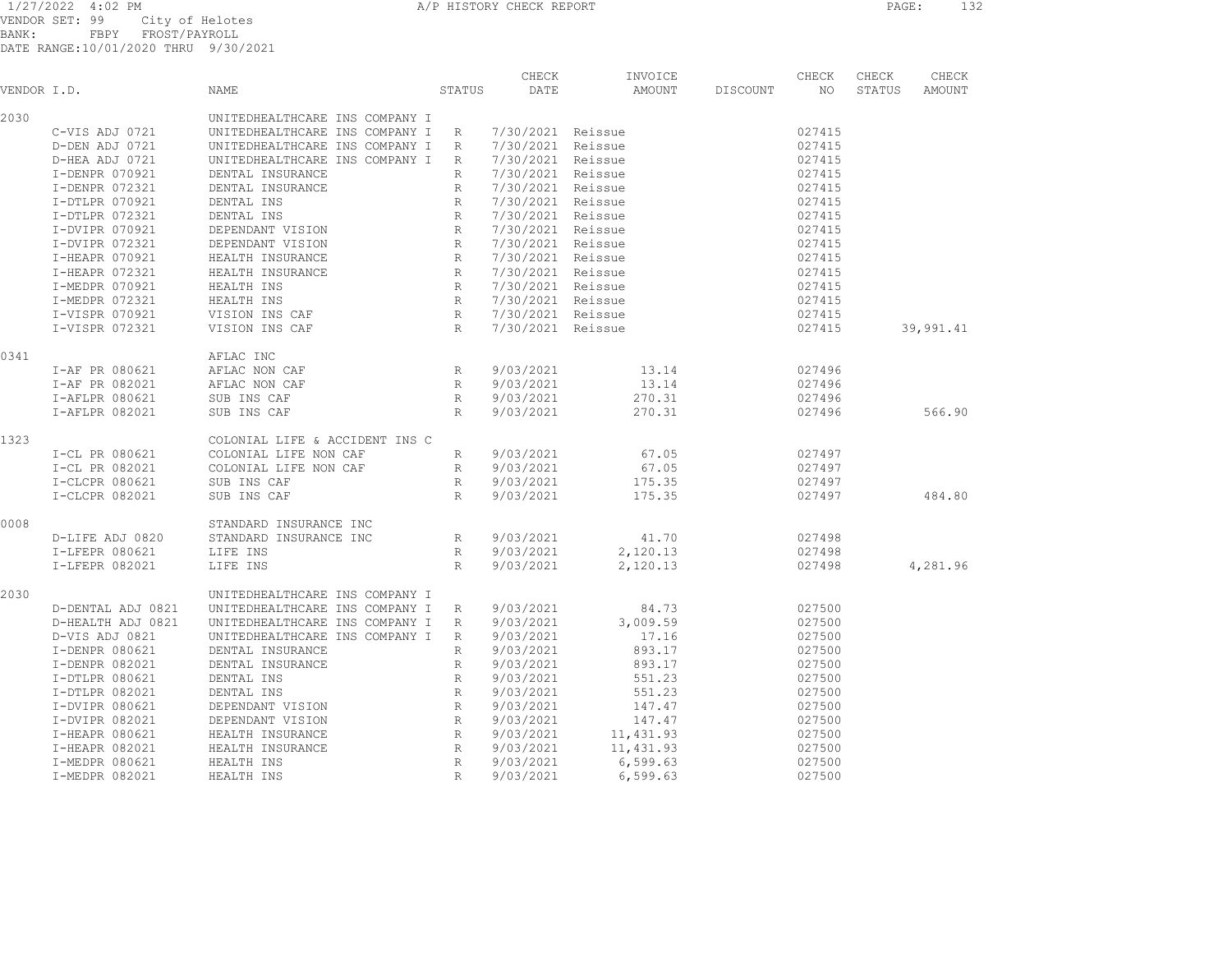VENDOR SET: 99 City of Helotes BANK: FBPY FROST/PAYROLL DATE RANGE:10/01/2020 THRU 9/30/2021

|             |                   |                                                                                               |                 |                 | CHECK             | INVOICE   |          | CHECK  | CHECK  | CHECK         |
|-------------|-------------------|-----------------------------------------------------------------------------------------------|-----------------|-----------------|-------------------|-----------|----------|--------|--------|---------------|
| VENDOR I.D. |                   | NAME                                                                                          |                 | STATUS          | DATE              | AMOUNT    | DISCOUNT | NO     | STATUS | <b>AMOUNT</b> |
| 2030        |                   | UNITEDHEALTHCARE INS COMPANY I                                                                |                 |                 |                   |           |          |        |        |               |
|             | C-VIS ADJ 0721    | UNITEDHEALTHCARE INS COMPANY I                                                                |                 | R               | 7/30/2021 Reissue |           |          | 027415 |        |               |
|             | D-DEN ADJ 0721    | UNITEDHEALTHCARE INS COMPANY I                                                                |                 | R               | 7/30/2021 Reissue |           |          | 027415 |        |               |
|             | D-HEA ADJ 0721    | UNITEDHEALTHCARE INS COMPANY I                                                                |                 | $R_{\parallel}$ | 7/30/2021 Reissue |           |          | 027415 |        |               |
|             | I-DENPR 070921    | DENTAL INSURANCE                                                                              |                 | R               | 7/30/2021 Reissue |           |          | 027415 |        |               |
|             | I-DENPR 072321    | DENTAL INSURANCE                                                                              |                 | R               | 7/30/2021 Reissue |           |          | 027415 |        |               |
|             | I-DTLPR 070921    | DENTAL INS                                                                                    |                 | R               | 7/30/2021 Reissue |           |          | 027415 |        |               |
|             | I-DTLPR 072321    | DENTAL INS                                                                                    |                 | R               | 7/30/2021 Reissue |           |          | 027415 |        |               |
|             | I-DVIPR 070921    | DEPENDANT VISION                                                                              |                 | R               | 7/30/2021 Reissue |           |          | 027415 |        |               |
|             | I-DVIPR 072321    | DEPENDANT VISION                                                                              |                 | $R_{\parallel}$ | 7/30/2021 Reissue |           |          | 027415 |        |               |
|             | I-HEAPR 070921    | HEALTH INSURANCE                                                                              | R               |                 | 7/30/2021 Reissue |           |          | 027415 |        |               |
|             | I-HEAPR 072321    | HEALTH INSURANCE                                                                              | $R_{\odot}$     |                 | 7/30/2021 Reissue |           |          | 027415 |        |               |
|             | I-MEDPR 070921    | HEALTH INS                                                                                    | R               |                 | 7/30/2021 Reissue |           |          | 027415 |        |               |
|             | I-MEDPR 072321    | HEALTH INS                                                                                    |                 |                 | 7/30/2021 Reissue |           |          | 027415 |        |               |
|             | I-VISPR 070921    | VISION INS CAF                                                                                |                 |                 | 7/30/2021 Reissue |           |          | 027415 |        |               |
|             | I-VISPR 072321    | $\begin{array}{c} \text{R} \\ \text{R} \\ \text{R} \\ \text{R} \end{array}$<br>VISION INS CAF |                 |                 | 7/30/2021 Reissue |           |          | 027415 |        | 39,991.41     |
|             |                   |                                                                                               |                 |                 |                   |           |          |        |        |               |
| 0341        |                   | AFLAC INC                                                                                     |                 |                 |                   |           |          |        |        |               |
|             | I-AF PR 080621    | R<br>AFLAC NON CAF                                                                            |                 |                 | 9/03/2021         | 13.14     |          | 027496 |        |               |
|             | I-AF PR 082021    | AFLAC NON CAF                                                                                 | R               |                 | 9/03/2021         | 13.14     |          | 027496 |        |               |
|             | I-AFLPR 080621    | SUB INS CAF                                                                                   |                 | R               | 9/03/2021         | 270.31    |          | 027496 |        |               |
|             | I-AFLPR 082021    | SUB INS CAF                                                                                   | R               |                 | 9/03/2021         | 270.31    |          | 027496 |        | 566.90        |
| 1323        |                   | COLONIAL LIFE & ACCIDENT INS C                                                                |                 |                 |                   |           |          |        |        |               |
|             | I-CL PR 080621    | COLONIAL LIFE NON CAF                                                                         |                 | R               | 9/03/2021         | 67.05     |          | 027497 |        |               |
|             | I-CL PR 082021    | COLONIAL LIFE NON CAF                                                                         | R               |                 | 9/03/2021         | 67.05     |          | 027497 |        |               |
|             | I-CLCPR 080621    | SUB INS CAF                                                                                   | $R_{\parallel}$ |                 | 9/03/2021         | 175.35    |          | 027497 |        |               |
|             | I-CLCPR 082021    | SUB INS CAF                                                                                   | R               |                 | 9/03/2021         | 175.35    |          | 027497 |        | 484.80        |
| 0008        |                   | STANDARD INSURANCE INC                                                                        |                 |                 |                   |           |          |        |        |               |
|             | D-LIFE ADJ 0820   | STANDARD INSURANCE INC                                                                        | $R_{\parallel}$ |                 | 9/03/2021         | 41.70     |          | 027498 |        |               |
|             | I-LFEPR 080621    | LIFE INS                                                                                      |                 | R               | 9/03/2021         | 2,120.13  |          | 027498 |        |               |
|             | I-LFEPR 082021    | LIFE INS                                                                                      |                 | R               | 9/03/2021         | 2,120.13  |          | 027498 |        | 4,281.96      |
|             |                   |                                                                                               |                 |                 |                   |           |          |        |        |               |
| 2030        |                   | UNITEDHEALTHCARE INS COMPANY I                                                                |                 |                 |                   |           |          |        |        |               |
|             | D-DENTAL ADJ 0821 | UNITEDHEALTHCARE INS COMPANY I                                                                |                 | R               | 9/03/2021         | 84.73     |          | 027500 |        |               |
|             | D-HEALTH ADJ 0821 | UNITEDHEALTHCARE INS COMPANY I                                                                |                 | R               | 9/03/2021         | 3,009.59  |          | 027500 |        |               |
|             | D-VIS ADJ 0821    | UNITEDHEALTHCARE INS COMPANY I                                                                |                 | R               | 9/03/2021         | 17.16     |          | 027500 |        |               |
|             | I-DENPR 080621    | DENTAL INSURANCE                                                                              |                 | R               | 9/03/2021         | 893.17    |          | 027500 |        |               |
|             | I-DENPR 082021    | DENTAL INSURANCE                                                                              |                 | R               | 9/03/2021         | 893.17    |          | 027500 |        |               |
|             | I-DTLPR 080621    | DENTAL INS                                                                                    | $R_{\rm}$       |                 | 9/03/2021         | 551.23    |          | 027500 |        |               |
|             | I-DTLPR 082021    | DENTAL INS                                                                                    |                 | R               | 9/03/2021         | 551.23    |          | 027500 |        |               |
|             | I-DVIPR 080621    | DEPENDANT VISION                                                                              | R               |                 | 9/03/2021         | 147.47    |          | 027500 |        |               |
|             | I-DVIPR 082021    | DEPENDANT VISION                                                                              |                 | R               | 9/03/2021         | 147.47    |          | 027500 |        |               |
|             | I-HEAPR 080621    | HEALTH INSURANCE                                                                              | R               |                 | 9/03/2021         | 11,431.93 |          | 027500 |        |               |
|             | I-HEAPR 082021    | HEALTH INSURANCE                                                                              | R               |                 | 9/03/2021         | 11,431.93 |          | 027500 |        |               |
|             | I-MEDPR 080621    | HEALTH INS                                                                                    | R               |                 | 9/03/2021         | 6,599.63  |          | 027500 |        |               |
|             | I-MEDPR 082021    | HEALTH INS                                                                                    | R               |                 | 9/03/2021         | 6, 599.63 |          | 027500 |        |               |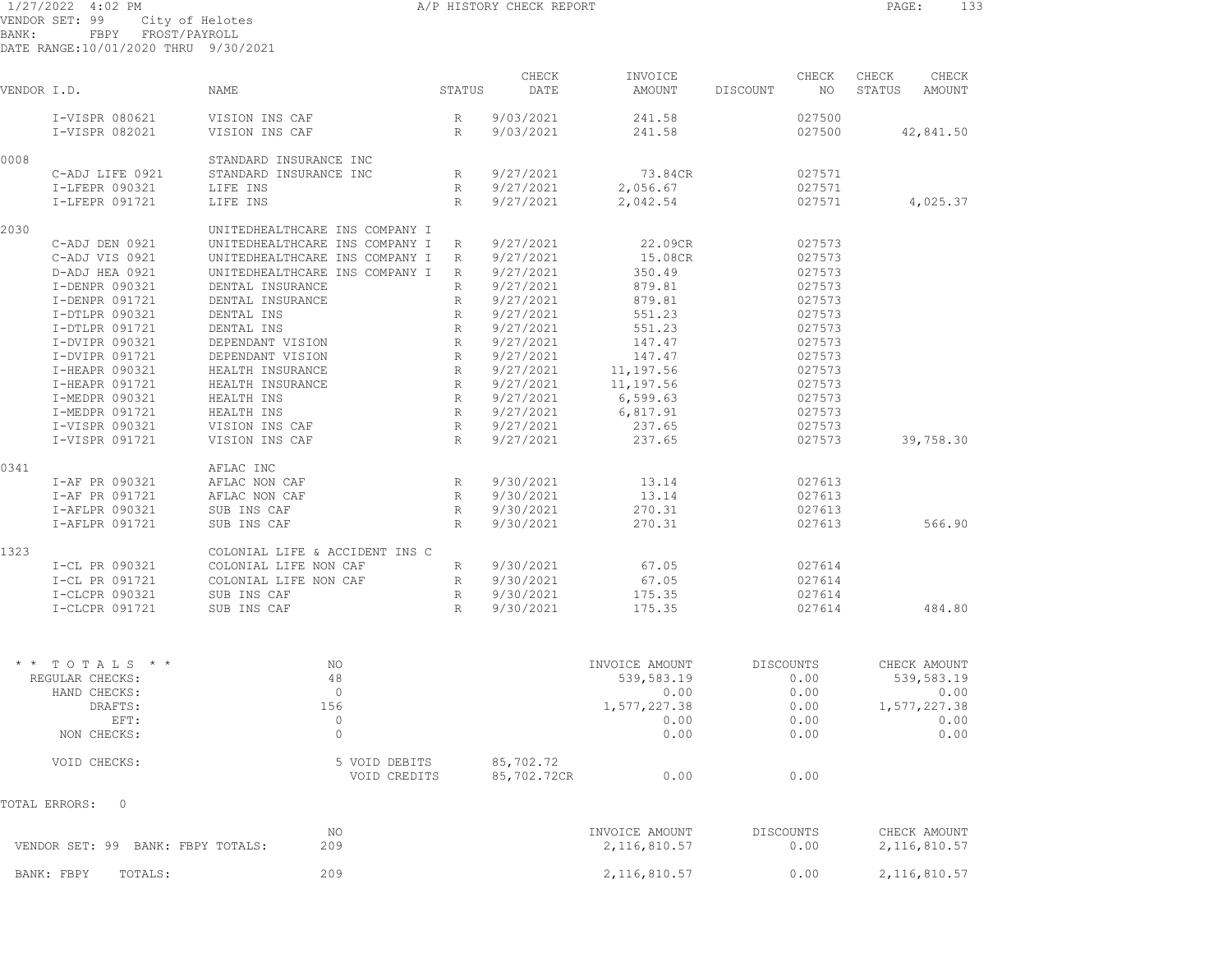1/27/2022 4:02 PM **A/P HISTORY CHECK REPORT PAGE:** 133 VENDOR SET: 99 City of Helotes BANK: FBPY FROST/PAYROLL

DATE RANGE:10/01/2020 THRU 9/30/2021

| VENDOR I.D. |                 | NAME                           | STATUS          | CHECK<br>DATE | INVOICE<br>AMOUNT | DISCOUNT  | CHECK<br>NO. | CHECK<br>STATUS | CHECK<br>AMOUNT |
|-------------|-----------------|--------------------------------|-----------------|---------------|-------------------|-----------|--------------|-----------------|-----------------|
|             | I-VISPR 080621  | VISION INS CAF                 | R               | 9/03/2021     | 241.58            |           | 027500       |                 |                 |
|             | I-VISPR 082021  | VISION INS CAF                 | R               | 9/03/2021     | 241.58            |           | 027500       |                 | 42,841.50       |
| 0008        |                 | STANDARD INSURANCE INC         |                 |               |                   |           |              |                 |                 |
|             | C-ADJ LIFE 0921 | STANDARD INSURANCE INC         | R               | 9/27/2021     | 73.84CR           |           | 027571       |                 |                 |
|             | I-LFEPR 090321  | LIFE INS                       | R               | 9/27/2021     | 2,056.67          |           | 027571       |                 |                 |
|             | I-LFEPR 091721  | LIFE INS                       | $\mathbb{R}$    | 9/27/2021     | 2,042.54          |           | 027571       |                 | 4,025.37        |
| 2030        |                 | UNITEDHEALTHCARE INS COMPANY I |                 |               |                   |           |              |                 |                 |
|             | C-ADJ DEN 0921  | UNITEDHEALTHCARE INS COMPANY I | R               | 9/27/2021     | 22.09CR           |           | 027573       |                 |                 |
|             | C-ADJ VIS 0921  | UNITEDHEALTHCARE INS COMPANY I | R               | 9/27/2021     | 15.08CR           |           | 027573       |                 |                 |
|             | D-ADJ HEA 0921  | UNITEDHEALTHCARE INS COMPANY I | R               | 9/27/2021     | 350.49            |           | 027573       |                 |                 |
|             | I-DENPR 090321  | DENTAL INSURANCE               | $\mathbb{R}$    | 9/27/2021     | 879.81            |           | 027573       |                 |                 |
|             | I-DENPR 091721  | DENTAL INSURANCE               | $\mathbb R$     | 9/27/2021     | 879.81            |           | 027573       |                 |                 |
|             | I-DTLPR 090321  | DENTAL INS                     | $\mathbb R$     | 9/27/2021     | 551.23            |           | 027573       |                 |                 |
|             | I-DTLPR 091721  | DENTAL INS                     | $\mathbb R$     | 9/27/2021     | 551.23            |           | 027573       |                 |                 |
|             | I-DVIPR 090321  | DEPENDANT VISION               | $\mathbb R$     | 9/27/2021     | 147.47            |           | 027573       |                 |                 |
|             | I-DVIPR 091721  | DEPENDANT VISION               | $\mathbb{R}$    | 9/27/2021     | 147.47            |           | 027573       |                 |                 |
|             | I-HEAPR 090321  | HEALTH INSURANCE               | $\mathbb{R}$    | 9/27/2021     | 11,197.56         |           | 027573       |                 |                 |
|             | I-HEAPR 091721  | HEALTH INSURANCE               | $\mathbb{R}$    | 9/27/2021     | 11,197.56         |           | 027573       |                 |                 |
|             | I-MEDPR 090321  | HEALTH INS                     | $R_{\parallel}$ | 9/27/2021     | 6,599.63          |           | 027573       |                 |                 |
|             | I-MEDPR 091721  | HEALTH INS                     | R               | 9/27/2021     | 6,817.91          |           | 027573       |                 |                 |
|             | I-VISPR 090321  | VISION INS CAF                 | R               | 9/27/2021     | 237.65            |           | 027573       |                 |                 |
|             | I-VISPR 091721  | VISION INS CAF                 | R               | 9/27/2021     | 237.65            |           | 027573       |                 | 39,758.30       |
| 0341        |                 | AFLAC INC                      |                 |               |                   |           |              |                 |                 |
|             | I-AF PR 090321  | AFLAC NON CAF                  | $R_{\rm}$       | 9/30/2021     | 13.14             |           | 027613       |                 |                 |
|             | I-AF PR 091721  | AFLAC NON CAF                  | R               | 9/30/2021     | 13.14             |           | 027613       |                 |                 |
|             | I-AFLPR 090321  | SUB INS CAF                    | R               | 9/30/2021     | 270.31            |           | 027613       |                 |                 |
|             | I-AFLPR 091721  | SUB INS CAF                    | R               | 9/30/2021     | 270.31            |           | 027613       |                 | 566.90          |
| 1323        |                 | COLONIAL LIFE & ACCIDENT INS C |                 |               |                   |           |              |                 |                 |
|             | I-CL PR 090321  | COLONIAL LIFE NON CAF          | $R_{\parallel}$ | 9/30/2021     | 67.05             |           | 027614       |                 |                 |
|             | I-CL PR 091721  | COLONIAL LIFE NON CAF          | R               | 9/30/2021     | 67.05             |           | 027614       |                 |                 |
|             | I-CLCPR 090321  | SUB INS CAF                    | R               | 9/30/2021     | 175.35            |           | 027614       |                 |                 |
|             | I-CLCPR 091721  | SUB INS CAF                    | R               | 9/30/2021     | 175.35            |           | 027614       |                 | 484.80          |
|             |                 |                                |                 |               |                   |           |              |                 |                 |
|             | * * TOTALS * *  | N <sub>O</sub>                 |                 |               | INVOICE AMOUNT    | DISCOUNTS |              |                 | CHECK AMOUNT    |
|             | REGULAR CHECKS: | 48                             |                 |               | 539,583.19        |           | 0.00         |                 | 539,583.19      |
|             | HAND CHECKS:    | $\overline{0}$                 |                 |               | 0.00              |           | 0.00         |                 | 0.00            |
|             | DRAFTS:         | 156                            |                 |               | 1,577,227.38      |           | 0.00         |                 | 1,577,227.38    |
|             | EFT:            | $\circ$                        |                 |               | 0.00              |           | 0.00         |                 | 0.00            |
|             | NON CHECKS:     | $\circ$                        |                 |               | 0.00              |           | 0.00         |                 | 0.00            |
|             | VOID CHECKS:    | 5 VOID DEBITS                  |                 | 85,702.72     |                   |           |              |                 |                 |
|             |                 | VOID CREDITS                   |                 | 85,702.72CR   | 0.00              |           | 0.00         |                 |                 |

TOTAL ERRORS: 0

| VENDOR SET: 99 BANK: FBPY TOTALS: | ΝO  | INVOICE AMOUNT | DISCOUNTS | CHECK AMOUNT |
|-----------------------------------|-----|----------------|-----------|--------------|
|                                   | 209 | 2,116,810.57   | 0.00      | 2,116,810.57 |
| BANK: FBPY<br>TOTALS:             | 209 | 2,116,810.57   | 0.00      | 2,116,810.57 |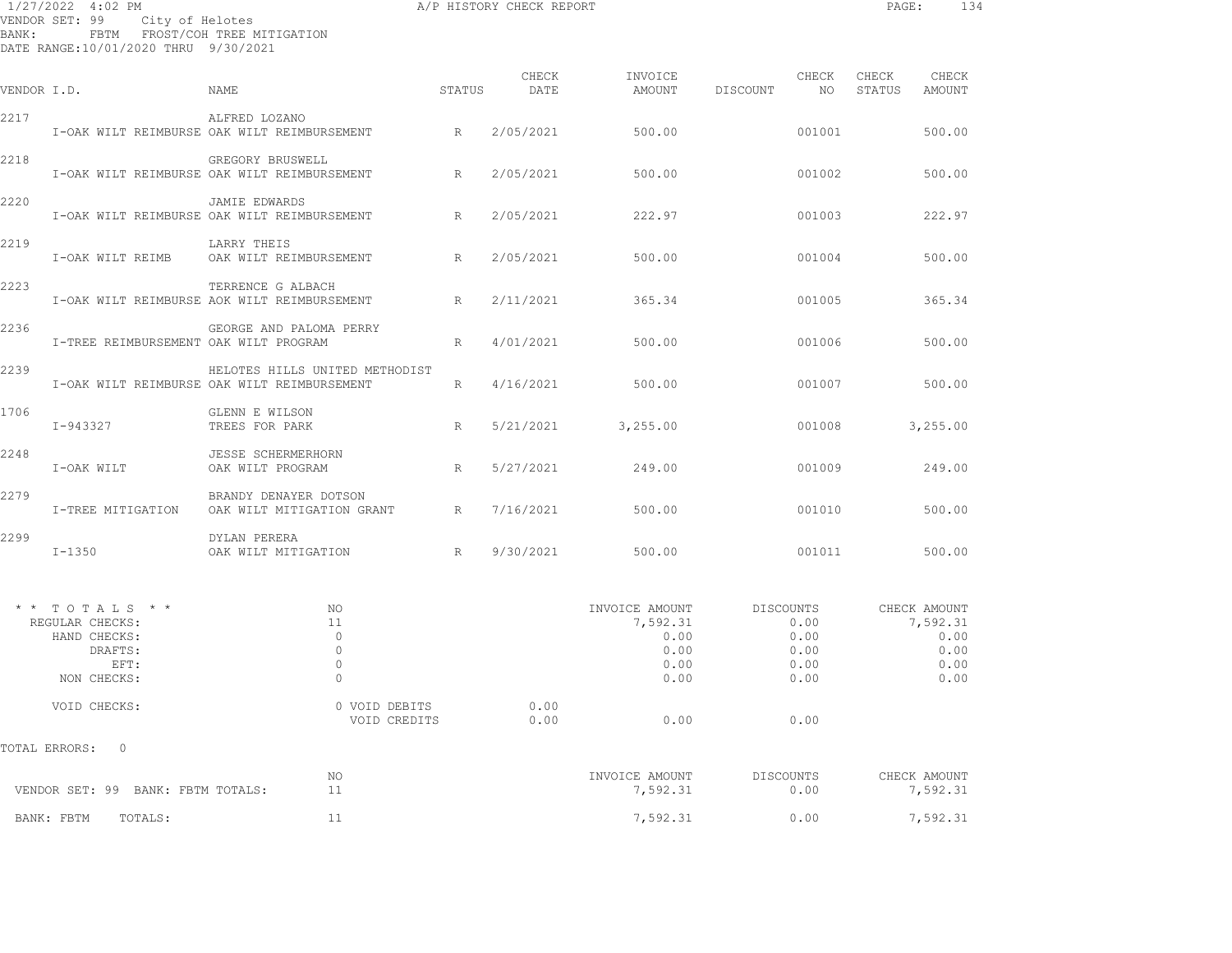| BANK:       | 1/27/2022 4:02 PM<br>VENDOR SET: 99 City of Helotes<br>DATE RANGE:10/01/2020 THRU 9/30/2021 | FBTM FROST/COH TREE MITIGATION                                                |                 | A/P HISTORY CHECK REPORT |                                                            |                                                   | PAGE:<br>134                                             |
|-------------|---------------------------------------------------------------------------------------------|-------------------------------------------------------------------------------|-----------------|--------------------------|------------------------------------------------------------|---------------------------------------------------|----------------------------------------------------------|
| VENDOR I.D. |                                                                                             | NAME                                                                          | STATUS          | CHECK<br>DATE            | INVOICE<br>AMOUNT                                          | CHECK<br>DISCOUNT<br>NO                           | CHECK<br>CHECK<br>STATUS<br>AMOUNT                       |
| 2217        |                                                                                             | ALFRED LOZANO<br>I-OAK WILT REIMBURSE OAK WILT REIMBURSEMENT                  | R               | 2/05/2021                | 500.00                                                     | 001001                                            | 500.00                                                   |
| 2218        |                                                                                             | GREGORY BRUSWELL<br>I-OAK WILT REIMBURSE OAK WILT REIMBURSEMENT KRAMMENT      |                 | 2/05/2021                | 500.00                                                     | 001002                                            | 500.00                                                   |
| 2220        |                                                                                             | <b>JAMIE EDWARDS</b><br>I-OAK WILT REIMBURSE OAK WILT REIMBURSEMENT           | R               | 2/05/2021                | 222.97                                                     | 001003                                            | 222.97                                                   |
| 2219        | I-OAK WILT REIMB                                                                            | LARRY THEIS<br>OAK WILT REIMBURSEMENT                                         | R               | 2/05/2021                | 500.00                                                     | 001004                                            | 500.00                                                   |
| 2223        |                                                                                             | TERRENCE G ALBACH<br>I-OAK WILT REIMBURSE AOK WILT REIMBURSEMENT              | $R_{\parallel}$ | 2/11/2021                | 365.34                                                     | 001005                                            | 365.34                                                   |
| 2236        | I-TREE REIMBURSEMENT OAK WILT PROGRAM                                                       | GEORGE AND PALOMA PERRY                                                       | R               | 4/01/2021                | 500.00                                                     | 001006                                            | 500.00                                                   |
| 2239        |                                                                                             | HELOTES HILLS UNITED METHODIST<br>I-OAK WILT REIMBURSE OAK WILT REIMBURSEMENT | R               | 4/16/2021                | 500.00                                                     | 001007                                            | 500.00                                                   |
| 1706        | I-943327                                                                                    | GLENN E WILSON<br>TREES FOR PARK                                              | R               | 5/21/2021                | 3,255.00                                                   | 001008                                            | 3,255.00                                                 |
| 2248        | I-OAK WILT                                                                                  | JESSE SCHERMERHORN<br>OAK WILT PROGRAM                                        | $R_{\parallel}$ | 5/27/2021                | 249.00                                                     | 001009                                            | 249.00                                                   |
| 2279        | I-TREE MITIGATION                                                                           | BRANDY DENAYER DOTSON<br>OAK WILT MITIGATION GRANT R                          |                 | 7/16/2021                | 500.00                                                     | 001010                                            | 500.00                                                   |
| 2299        | $I-1350$                                                                                    | DYLAN PERERA<br>OAK WILT MITIGATION                                           | R               | 9/30/2021                | 500.00                                                     | 001011                                            | 500.00                                                   |
|             | $*$ * TOTALS * *<br>REGULAR CHECKS:<br>HAND CHECKS:<br>DRAFTS:<br>EFT:<br>NON CHECKS:       | NO<br>11<br>$\overline{0}$<br>$\circ$<br>$\circ$<br>$\circ$                   |                 |                          | INVOICE AMOUNT<br>7,592.31<br>0.00<br>0.00<br>0.00<br>0.00 | DISCOUNTS<br>0.00<br>0.00<br>0.00<br>0.00<br>0.00 | CHECK AMOUNT<br>7,592.31<br>0.00<br>0.00<br>0.00<br>0.00 |
|             | VOID CHECKS:                                                                                | 0 VOID DEBITS<br>VOID CREDITS                                                 |                 | 0.00<br>0.00             | 0.00                                                       | 0.00                                              |                                                          |
|             | TOTAL ERRORS:<br>0                                                                          |                                                                               |                 |                          |                                                            |                                                   |                                                          |
|             | VENDOR SET: 99 BANK: FBTM TOTALS:                                                           | ΝO<br>11                                                                      |                 |                          | INVOICE AMOUNT<br>7,592.31                                 | DISCOUNTS<br>0.00                                 | CHECK AMOUNT<br>7,592.31                                 |
|             | TOTALS:<br>BANK: FBTM                                                                       | 11                                                                            |                 |                          | 7,592.31                                                   | 0.00                                              | 7,592.31                                                 |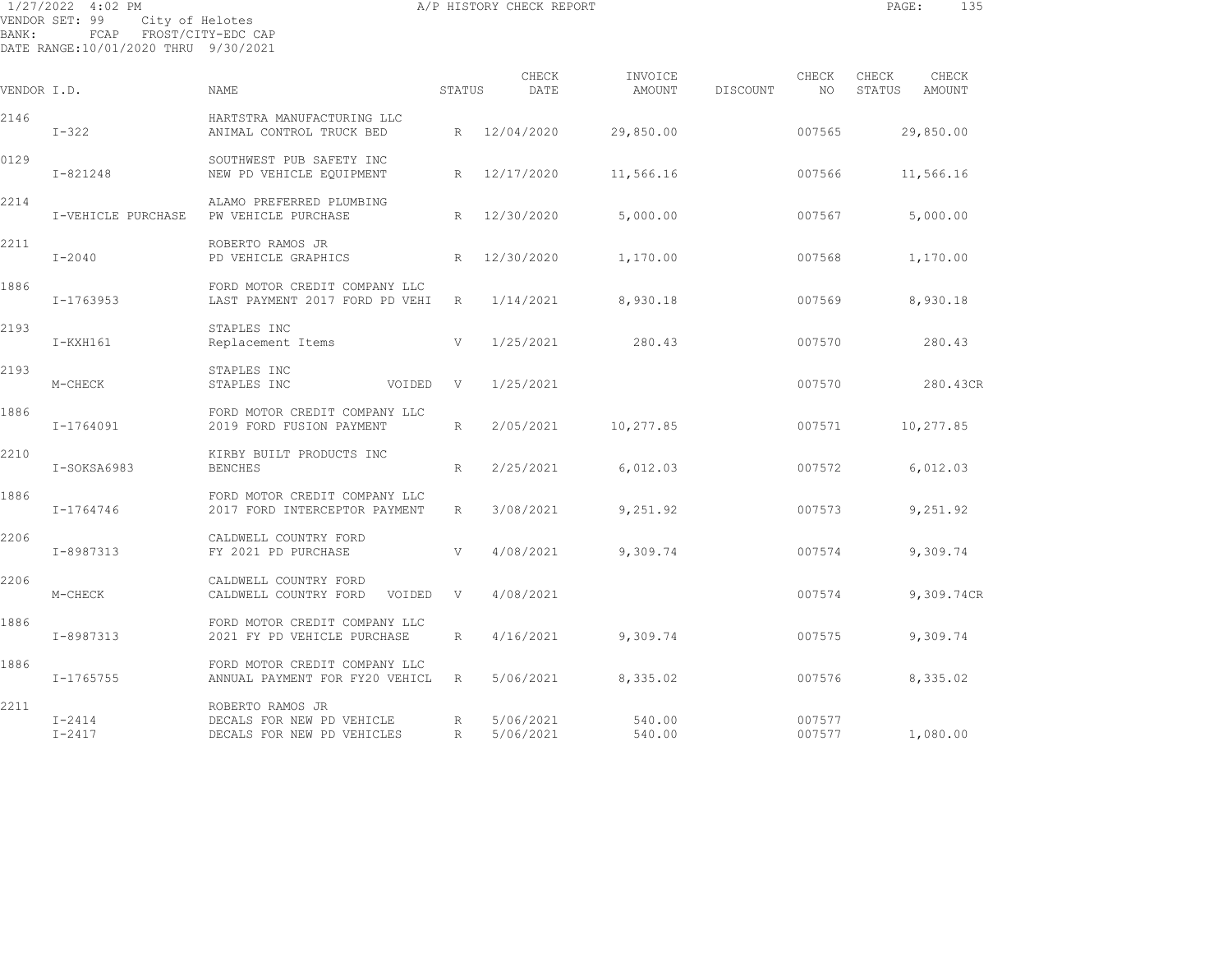1/27/2022 4:02 PM **A/P HISTORY CHECK REPORT PAGE:** 135 VENDOR SET: 99 City of Helotes BANK: FCAP FROST/CITY-EDC CAP DATE RANGE:10/01/2020 THRU 9/30/2021

CHECK INVOICE CHECK CHECK CHECK VENDOR I.D. NAME STATUS DATE AMOUNT DISCOUNT NO STATUS AMOUNT 2146 HARTSTRA MANUFACTURING LLC I-322 ANIMAL CONTROL TRUCK BED R 12/04/2020 29,850.00 007565 29,850.00 0129 SOUTHWEST PUB SAFETY INC I-821248 NEW PD VEHICLE EQUIPMENT R 12/17/2020 11,566.16 007566 11,566.16 2214 ALAMO PREFERRED PLUMBING I-VEHICLE PURCHASE PW VEHICLE PURCHASE R 12/30/2020 5,000.00 007567 5,000.00 2211 ROBERTO RAMOS JR I-2040 PD VEHICLE GRAPHICS R 12/30/2020 1,170.00 007568 1,170.00 1886 FORD MOTOR CREDIT COMPANY LLC I-1763953 LAST PAYMENT 2017 FORD PD VEHI R 1/14/2021 8,930.18 007569 8,930.18 2193 STAPLES INC I-KXH161 Replacement Items V 1/25/2021 280.43 007570 280.43 2193 STAPLES INC M-CHECK STAPLES INC VOIDED V 1/25/2021 007570 280.43CR 1886 FORD MOTOR CREDIT COMPANY LLC I-1764091 2019 FORD FUSION PAYMENT R 2/05/2021 10,277.85 007571 10,277.85 2210 KIRBY BUILT PRODUCTS INC I-SOKSA6983 BENCHES R 2/25/2021 6,012.03 007572 6,012.03 1886 FORD MOTOR CREDIT COMPANY LLC I-1764746 2017 FORD INTERCEPTOR PAYMENT R 3/08/2021 9,251.92 007573 9,251.92 2206 CALDWELL COUNTRY FORD I-8987313 FY 2021 PD PURCHASE V 4/08/2021 9,309.74 007574 9,309.74 2206 CALDWELL COUNTRY FORDM-CHECK CALDWELL COUNTRY FORD VOIDED V 4/08/2021 007574 9,309.74CR 1886 FORD MOTOR CREDIT COMPANY LLC I-8987313 2021 FY PD VEHICLE PURCHASE R 4/16/2021 9,309.74 007575 9,309.74 1886 FORD MOTOR CREDIT COMPANY LLC I-1765755 ANNUAL PAYMENT FOR FY20 VEHICL R 5/06/2021 8,335.02 007576 8,335.02 2211 ROBERTO RAMOS JR I-2414 DECALS FOR NEW PD VEHICLE R 5/06/2021 540.00 007577 I-2417 DECALS FOR NEW PD VEHICLES R 5/06/2021 540.00 007577 1,080.00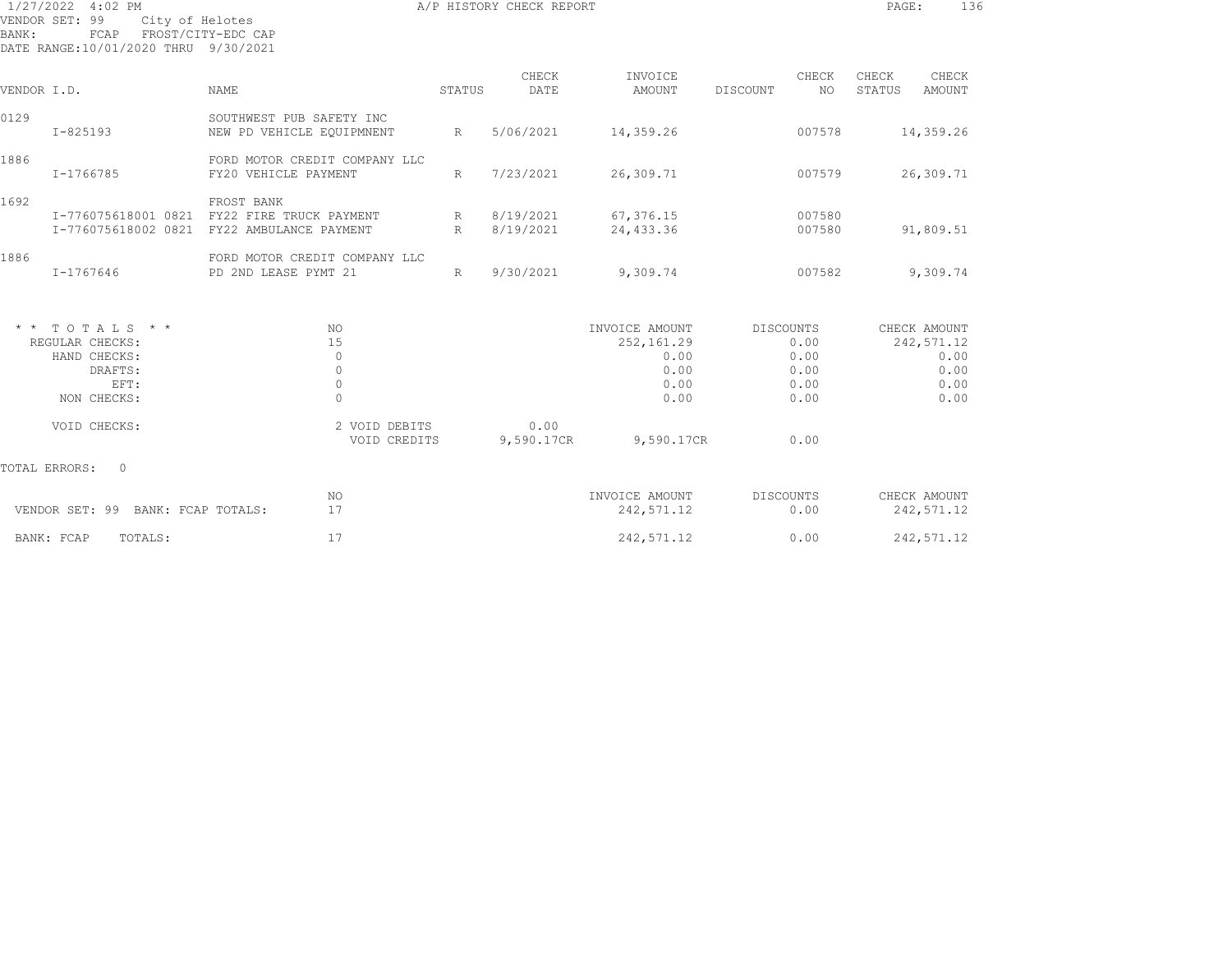| BANK:         | 1/27/2022 4:02 PM<br>VENDOR SET: 99<br>City of Helotes<br>FCAP<br>DATE RANGE:10/01/2020 THRU 9/30/2021 | FROST/CITY-EDC CAP                                              | A/P HISTORY CHECK REPORT | 136<br>PAGE:           |                                                              |                                                          |                                                            |
|---------------|--------------------------------------------------------------------------------------------------------|-----------------------------------------------------------------|--------------------------|------------------------|--------------------------------------------------------------|----------------------------------------------------------|------------------------------------------------------------|
| VENDOR I.D.   |                                                                                                        | NAME                                                            | STATUS                   | CHECK<br>DATE          | INVOICE<br>AMOUNT                                            | CHECK<br>DISCOUNT<br>NO.                                 | CHECK<br>CHECK<br>STATUS<br>AMOUNT                         |
| 0129          | $I - 825193$                                                                                           | SOUTHWEST PUB SAFETY INC<br>NEW PD VEHICLE EQUIPMNENT           | R                        | 5/06/2021              | 14,359.26                                                    | 007578                                                   | 14,359.26                                                  |
| 1886          | I-1766785                                                                                              | FORD MOTOR CREDIT COMPANY LLC<br>FY20 VEHICLE PAYMENT           | R                        | 7/23/2021              | 26,309.71                                                    | 007579                                                   | 26,309.71                                                  |
| 1692          | I-776075618001 0821<br>I-776075618002 0821                                                             | FROST BANK<br>FY22 FIRE TRUCK PAYMENT<br>FY22 AMBULANCE PAYMENT | R<br>R                   | 8/19/2021<br>8/19/2021 | 67,376.15<br>24,433.36                                       | 007580<br>007580                                         | 91,809.51                                                  |
| 1886          | I-1767646                                                                                              | FORD MOTOR CREDIT COMPANY LLC<br>PD 2ND LEASE PYMT 21           | R                        | 9/30/2021              | 9,309.74                                                     | 007582                                                   | 9,309.74                                                   |
|               | $*$ * TOTALS * *<br>REGULAR CHECKS:<br>HAND CHECKS:<br>DRAFTS:<br>EFT:<br>NON CHECKS:                  | <b>NO</b><br>15<br>$\circ$<br>$\circ$<br>$\circ$<br>$\Omega$    |                          |                        | INVOICE AMOUNT<br>252,161.29<br>0.00<br>0.00<br>0.00<br>0.00 | <b>DISCOUNTS</b><br>0.00<br>0.00<br>0.00<br>0.00<br>0.00 | CHECK AMOUNT<br>242,571.12<br>0.00<br>0.00<br>0.00<br>0.00 |
|               | VOID CHECKS:                                                                                           | 2 VOID DEBITS<br>VOID CREDITS                                   |                          | 0.00<br>9,590.17CR     | 9,590.17CR                                                   | 0.00                                                     |                                                            |
| TOTAL ERRORS: | $\Omega$                                                                                               |                                                                 |                          |                        |                                                              |                                                          |                                                            |
|               | VENDOR SET: 99 BANK: FCAP TOTALS:                                                                      | NO<br>17                                                        |                          |                        | INVOICE AMOUNT<br>242,571.12                                 | DISCOUNTS<br>0.00                                        | CHECK AMOUNT<br>242,571.12                                 |
|               | BANK: FCAP<br>TOTALS:                                                                                  | 17                                                              |                          |                        | 242,571.12                                                   | 0.00                                                     | 242,571.12                                                 |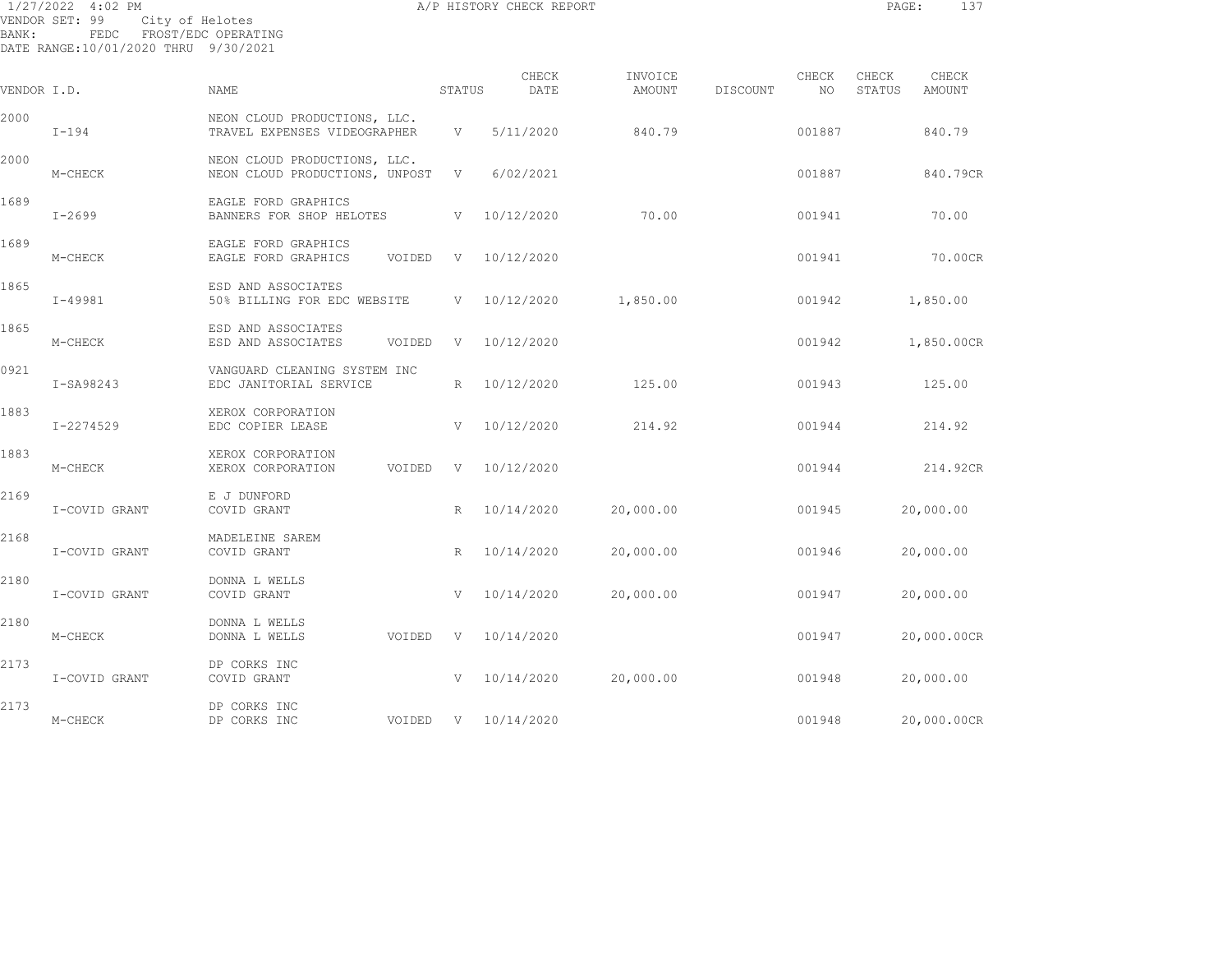| BANK:       | 1/27/2022 4:02 PM<br>VENDOR SET: 99<br>City of Helotes<br>FEDC<br>DATE RANGE: 10/01/2020 THRU 9/30/2021 | FROST/EDC OPERATING                                            |        | A/P HISTORY CHECK REPORT |                   |          |             | PAGE:           | 137             |
|-------------|---------------------------------------------------------------------------------------------------------|----------------------------------------------------------------|--------|--------------------------|-------------------|----------|-------------|-----------------|-----------------|
| VENDOR I.D. |                                                                                                         | <b>NAME</b>                                                    | STATUS | CHECK<br>DATE            | INVOICE<br>AMOUNT | DISCOUNT | CHECK<br>NO | CHECK<br>STATUS | CHECK<br>AMOUNT |
| 2000        | $I-194$                                                                                                 | NEON CLOUD PRODUCTIONS, LLC.<br>TRAVEL EXPENSES VIDEOGRAPHER   | V      | 5/11/2020                | 840.79            |          | 001887      |                 | 840.79          |
| 2000        | M-CHECK                                                                                                 | NEON CLOUD PRODUCTIONS, LLC.<br>NEON CLOUD PRODUCTIONS, UNPOST | V      | 6/02/2021                |                   |          | 001887      |                 | 840.79CR        |
| 1689        | $I - 2699$                                                                                              | EAGLE FORD GRAPHICS<br>BANNERS FOR SHOP HELOTES                | V      | 10/12/2020               | 70.00             |          | 001941      |                 | 70.00           |
| 1689        | M-CHECK                                                                                                 | EAGLE FORD GRAPHICS<br>EAGLE FORD GRAPHICS<br>VOIDED           | V      | 10/12/2020               |                   |          | 001941      |                 | 70.00CR         |
| 1865        | I-49981                                                                                                 | ESD AND ASSOCIATES<br>50% BILLING FOR EDC WEBSITE              | V      | 10/12/2020               | 1,850.00          |          | 001942      |                 | 1,850.00        |
| 1865        | M-CHECK                                                                                                 | ESD AND ASSOCIATES<br>ESD AND ASSOCIATES<br>VOIDED             | V      | 10/12/2020               |                   |          | 001942      |                 | 1,850.00CR      |
| 0921        | I-SA98243                                                                                               | VANGUARD CLEANING SYSTEM INC<br>EDC JANITORIAL SERVICE         |        | R 10/12/2020             | 125.00            |          | 001943      |                 | 125.00          |
| 1883        | I-2274529                                                                                               | XEROX CORPORATION<br>EDC COPIER LEASE                          | V      | 10/12/2020               | 214.92            |          | 001944      |                 | 214.92          |
| 1883        | M-CHECK                                                                                                 | XEROX CORPORATION<br>XEROX CORPORATION<br>VOIDED               | V      | 10/12/2020               |                   |          | 001944      |                 | 214.92CR        |
| 2169        | I-COVID GRANT                                                                                           | E J DUNFORD<br>COVID GRANT                                     | R      | 10/14/2020               | 20,000.00         |          | 001945      |                 | 20,000.00       |
| 2168        | I-COVID GRANT                                                                                           | MADELEINE SAREM<br>COVID GRANT                                 | R      | 10/14/2020               | 20,000.00         |          | 001946      |                 | 20,000.00       |
| 2180        | I-COVID GRANT                                                                                           | DONNA L WELLS<br>COVID GRANT                                   | V      | 10/14/2020               | 20,000.00         |          | 001947      |                 | 20,000.00       |
| 2180        | M-CHECK                                                                                                 | DONNA L WELLS<br>DONNA L WELLS<br>VOIDED                       | V      | 10/14/2020               |                   |          | 001947      |                 | 20,000.00CR     |
| 2173        | I-COVID GRANT                                                                                           | DP CORKS INC<br>COVID GRANT                                    | V      | 10/14/2020               | 20,000.00         |          | 001948      |                 | 20,000.00       |

M-CHECK DP CORKS INC VOIDED V 10/14/2020 001948 20,000.00CR

2173 DP CORKS INC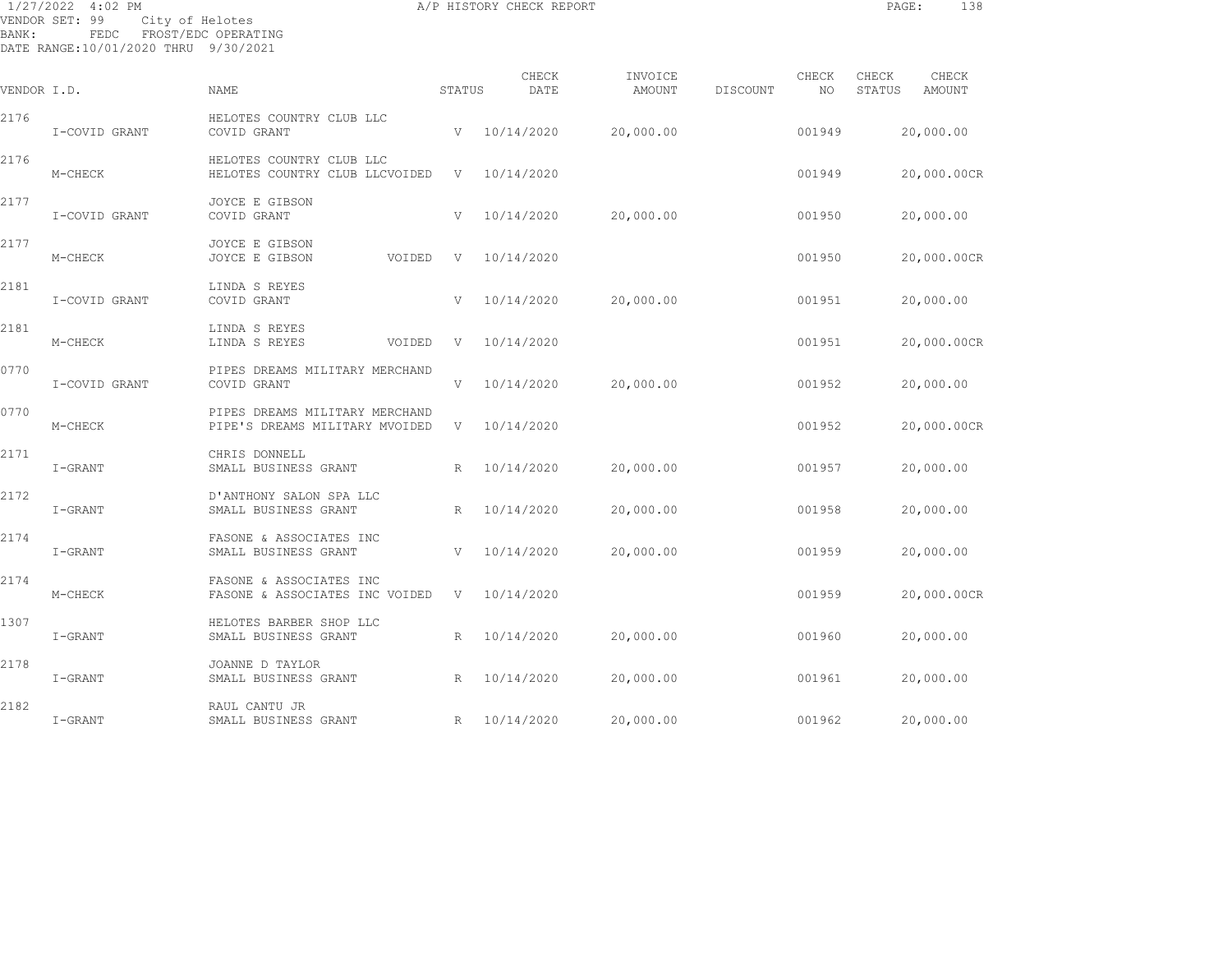| BANK:       | 1/27/2022 4:02 PM<br>VENDOR SET: 99<br>City of Helotes<br>FEDC<br>DATE RANGE:10/01/2020 THRU 9/30/2021 | FROST/EDC OPERATING                                              |                 | A/P HISTORY CHECK REPORT |                          |          |             |                 | PAGE:       | 138   |
|-------------|--------------------------------------------------------------------------------------------------------|------------------------------------------------------------------|-----------------|--------------------------|--------------------------|----------|-------------|-----------------|-------------|-------|
| VENDOR I.D. |                                                                                                        | NAME                                                             | STATUS          | CHECK<br>DATE            | INVOICE<br><b>AMOUNT</b> | DISCOUNT | CHECK<br>NO | CHECK<br>STATUS | AMOUNT      | CHECK |
| 2176        | I-COVID GRANT                                                                                          | HELOTES COUNTRY CLUB LLC<br>COVID GRANT                          | V               | 10/14/2020               | 20,000.00                |          | 001949      |                 | 20,000.00   |       |
| 2176        | M-CHECK                                                                                                | HELOTES COUNTRY CLUB LLC<br>HELOTES COUNTRY CLUB LLCVOIDED       | V               | 10/14/2020               |                          |          | 001949      |                 | 20,000.00CR |       |
| 2177        | I-COVID GRANT                                                                                          | JOYCE E GIBSON<br>COVID GRANT                                    | V               | 10/14/2020               | 20,000.00                |          | 001950      |                 | 20,000.00   |       |
| 2177        | M-CHECK                                                                                                | JOYCE E GIBSON<br>JOYCE E GIBSON<br>VOIDED                       | V               | 10/14/2020               |                          |          | 001950      |                 | 20,000.00CR |       |
| 2181        | I-COVID GRANT                                                                                          | LINDA S REYES<br>COVID GRANT                                     | V               | 10/14/2020               | 20,000.00                |          | 001951      |                 | 20,000.00   |       |
| 2181        | M-CHECK                                                                                                | LINDA S REYES<br>LINDA S REYES<br>VOIDED                         | V               | 10/14/2020               |                          |          | 001951      |                 | 20,000.00CR |       |
| 0770        | I-COVID GRANT                                                                                          | PIPES DREAMS MILITARY MERCHAND<br>COVID GRANT                    | V               | 10/14/2020               | 20,000.00                |          | 001952      |                 | 20,000.00   |       |
| 0770        | M-CHECK                                                                                                | PIPES DREAMS MILITARY MERCHAND<br>PIPE'S DREAMS MILITARY MVOIDED | V               | 10/14/2020               |                          |          | 001952      |                 | 20,000.00CR |       |
| 2171        | I-GRANT                                                                                                | CHRIS DONNELL<br>SMALL BUSINESS GRANT                            | R               | 10/14/2020               | 20,000.00                |          | 001957      |                 | 20,000.00   |       |
| 2172        | I-GRANT                                                                                                | D'ANTHONY SALON SPA LLC<br>SMALL BUSINESS GRANT                  | $\mathbb{R}$    | 10/14/2020               | 20,000.00                |          | 001958      |                 | 20,000.00   |       |
| 2174        | I-GRANT                                                                                                | FASONE & ASSOCIATES INC<br>SMALL BUSINESS GRANT                  | V               | 10/14/2020               | 20,000.00                |          | 001959      |                 | 20,000.00   |       |
| 2174        | M-CHECK                                                                                                | FASONE & ASSOCIATES INC<br>FASONE & ASSOCIATES INC VOIDED        | V               | 10/14/2020               |                          |          | 001959      |                 | 20,000.00CR |       |
| 1307        | I-GRANT                                                                                                | HELOTES BARBER SHOP LLC<br>SMALL BUSINESS GRANT                  | $R_{\parallel}$ | 10/14/2020               | 20,000.00                |          | 001960      |                 | 20,000.00   |       |
| 2178        | I-GRANT                                                                                                | JOANNE D TAYLOR<br>SMALL BUSINESS GRANT                          | R               | 10/14/2020               | 20,000.00                |          | 001961      |                 | 20,000.00   |       |

I-GRANT SMALL BUSINESS GRANT R 10/14/2020 20,000.00 001962 20,000.00

2182 RAUL CANTU JR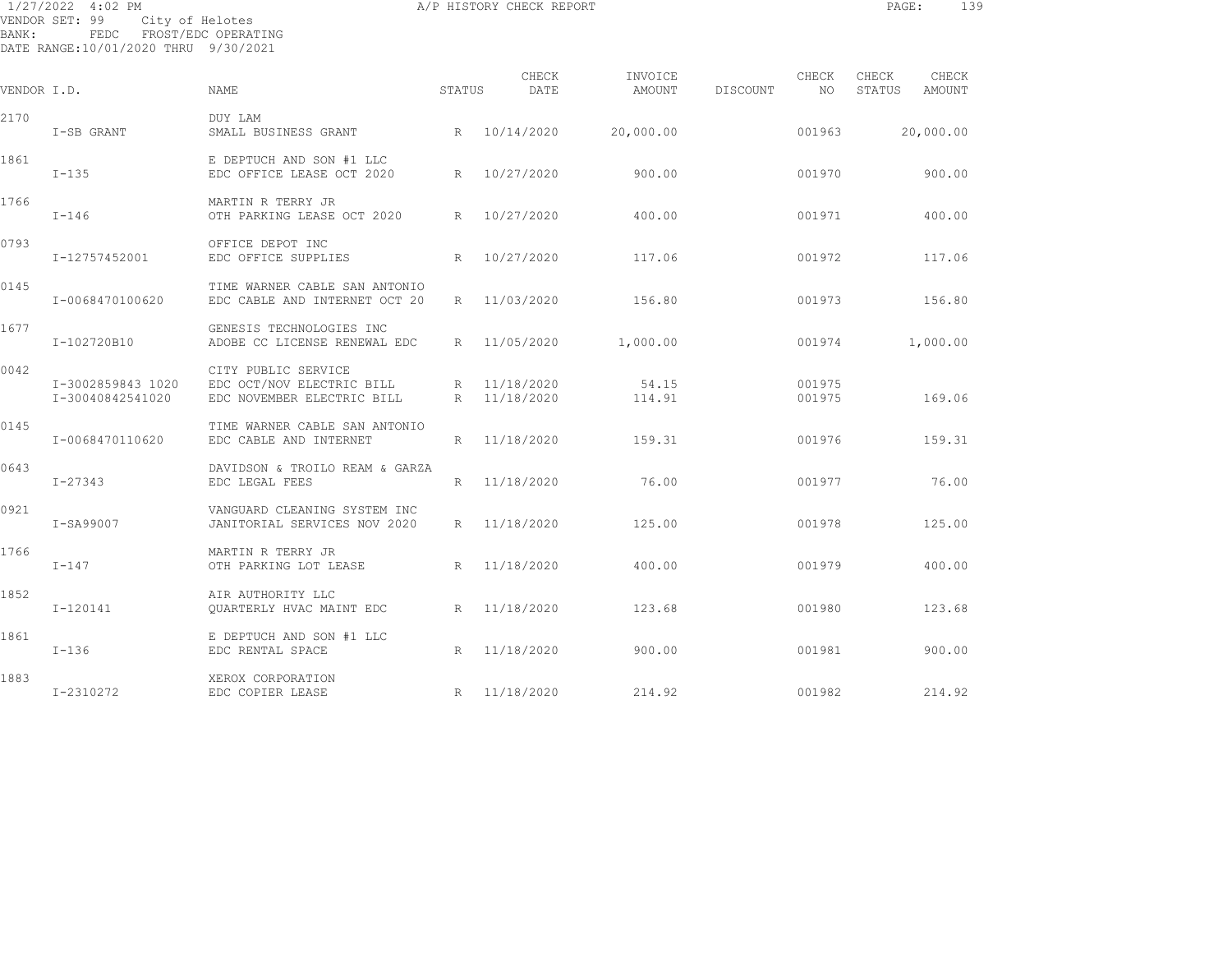| BANK:       | 1/27/2022 4:02 PM<br>VENDOR SET: 99<br>City of Helotes<br>FEDC FROST/EDC OPERATING<br>DATE RANGE: 10/01/2020 THRU 9/30/2021 |                                                                                | A/P HISTORY CHECK REPORT | PAGE:                      |                   | 139      |                  |                 |                 |  |
|-------------|-----------------------------------------------------------------------------------------------------------------------------|--------------------------------------------------------------------------------|--------------------------|----------------------------|-------------------|----------|------------------|-----------------|-----------------|--|
| VENDOR I.D. |                                                                                                                             | NAME                                                                           | STATUS                   | CHECK<br>DATE              | INVOICE<br>AMOUNT | DISCOUNT | CHECK<br>NO      | CHECK<br>STATUS | CHECK<br>AMOUNT |  |
| 2170        | I-SB GRANT                                                                                                                  | DUY LAM<br>SMALL BUSINESS GRANT                                                |                          | R 10/14/2020               | 20,000.00         |          | 001963           |                 | 20,000.00       |  |
| 1861        | $I - 135$                                                                                                                   | E DEPTUCH AND SON #1 LLC<br>EDC OFFICE LEASE OCT 2020                          | R                        | 10/27/2020                 | 900.00            |          | 001970           |                 | 900.00          |  |
| 1766        | $I-146$                                                                                                                     | MARTIN R TERRY JR<br>OTH PARKING LEASE OCT 2020                                | $R_{\parallel}$          | 10/27/2020                 | 400.00            |          | 001971           |                 | 400.00          |  |
| 0793        | I-12757452001                                                                                                               | OFFICE DEPOT INC<br>EDC OFFICE SUPPLIES                                        | R                        | 10/27/2020                 | 117.06            |          | 001972           |                 | 117.06          |  |
| 0145        | I-0068470100620                                                                                                             | TIME WARNER CABLE SAN ANTONIO<br>EDC CABLE AND INTERNET OCT 20                 | R                        | 11/03/2020                 | 156.80            |          | 001973           |                 | 156.80          |  |
| 1677        | I-102720B10                                                                                                                 | GENESIS TECHNOLOGIES INC<br>ADOBE CC LICENSE RENEWAL EDC                       | $R_{\parallel}$          | 11/05/2020                 | 1,000.00          |          | 001974           |                 | 1,000.00        |  |
| 0042        | I-3002859843 1020<br>I-30040842541020                                                                                       | CITY PUBLIC SERVICE<br>EDC OCT/NOV ELECTRIC BILL<br>EDC NOVEMBER ELECTRIC BILL | $R_{\perp}$              | 11/18/2020<br>R 11/18/2020 | 54.15<br>114.91   |          | 001975<br>001975 |                 | 169.06          |  |
| 0145        | I-0068470110620                                                                                                             | TIME WARNER CABLE SAN ANTONIO<br>EDC CABLE AND INTERNET                        |                          | R 11/18/2020               | 159.31            |          | 001976           |                 | 159.31          |  |
| 0643        | I-27343                                                                                                                     | DAVIDSON & TROILO REAM & GARZA<br>EDC LEGAL FEES                               | R                        | 11/18/2020                 | 76.00             |          | 001977           |                 | 76.00           |  |
| 0921        | I-SA99007                                                                                                                   | VANGUARD CLEANING SYSTEM INC<br>JANITORIAL SERVICES NOV 2020                   | R                        | 11/18/2020                 | 125.00            |          | 001978           |                 | 125.00          |  |
| 1766        | $I-147$                                                                                                                     | MARTIN R TERRY JR<br>OTH PARKING LOT LEASE                                     |                          | R 11/18/2020               | 400.00            |          | 001979           |                 | 400.00          |  |
| 1852        | $I-120141$                                                                                                                  | AIR AUTHORITY LLC<br>QUARTERLY HVAC MAINT EDC                                  |                          | R 11/18/2020               | 123.68            |          | 001980           |                 | 123.68          |  |
| 1861        | $I-136$                                                                                                                     | E DEPTUCH AND SON #1 LLC<br>EDC RENTAL SPACE                                   |                          | R 11/18/2020               | 900.00            |          | 001981           |                 | 900.00          |  |

1883 XEROX CORPORATION I-2310272 EDC COPIER LEASE R 11/18/2020 214.92 001982 214.92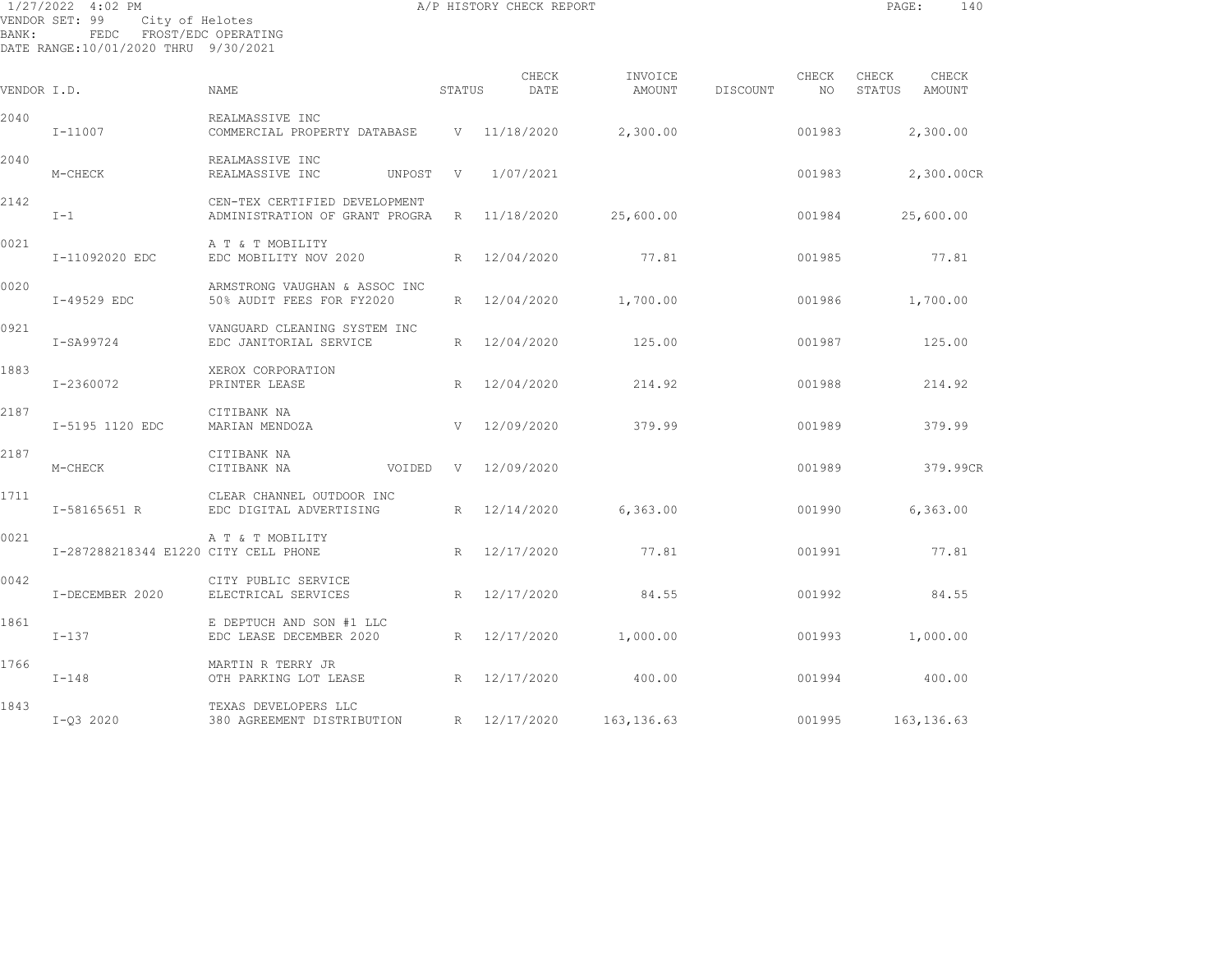| 1/27/2022 4:02 PM<br>A/P HISTORY CHECK REPORT<br>PAGE: |                                                                |                                                                 |        |               |                   |          |              |                 |                 |
|--------------------------------------------------------|----------------------------------------------------------------|-----------------------------------------------------------------|--------|---------------|-------------------|----------|--------------|-----------------|-----------------|
| <b>BANK:</b>                                           | VENDOR SET: 99<br>FEDC<br>DATE RANGE:10/01/2020 THRU 9/30/2021 | City of Helotes<br>FROST/EDC OPERATING                          |        |               |                   |          |              |                 |                 |
| VENDOR I.D.                                            |                                                                | <b>NAME</b>                                                     | STATUS | CHECK<br>DATE | INVOICE<br>AMOUNT | DISCOUNT | CHECK<br>NO. | CHECK<br>STATUS | CHECK<br>AMOUNT |
| 2040                                                   | $I - 11007$                                                    | REALMASSIVE INC<br>COMMERCIAL PROPERTY DATABASE                 |        | V 11/18/2020  | 2,300.00          |          | 001983       |                 | 2,300.00        |
| 2040                                                   | M-CHECK                                                        | REALMASSIVE INC<br>REALMASSIVE INC<br>UNPOST                    | V      | 1/07/2021     |                   |          | 001983       |                 | 2,300.00CR      |
| 2142                                                   | $I-1$                                                          | CEN-TEX CERTIFIED DEVELOPMENT<br>ADMINISTRATION OF GRANT PROGRA |        | R 11/18/2020  | 25,600.00         |          | 001984       |                 | 25,600.00       |
| 0021                                                   | I-11092020 EDC                                                 | A T & T MOBILITY<br>EDC MOBILITY NOV 2020                       |        | R 12/04/2020  | 77.81             |          | 001985       |                 | 77.81           |
| 0020                                                   | I-49529 EDC                                                    | ARMSTRONG VAUGHAN & ASSOC INC<br>50% AUDIT FEES FOR FY2020      | R      | 12/04/2020    | 1,700.00          |          | 001986       |                 | 1,700.00        |
| 0921                                                   | I-SA99724                                                      | VANGUARD CLEANING SYSTEM INC<br>EDC JANITORIAL SERVICE          | R      | 12/04/2020    | 125.00            |          | 001987       |                 | 125.00          |
| 1883                                                   | I-2360072                                                      | XEROX CORPORATION<br>PRINTER LEASE                              |        | R 12/04/2020  | 214.92            |          | 001988       |                 | 214.92          |
| 2187                                                   | I-5195 1120 EDC                                                | CITIBANK NA<br>MARIAN MENDOZA                                   | V      | 12/09/2020    | 379.99            |          | 001989       |                 | 379.99          |
| 2187                                                   |                                                                | CITIBANK NA                                                     |        |               |                   |          |              |                 |                 |

| 2187 | M-CHECK                              | CITIBANK NA<br>CITIBANK NA                           | VOIDED | V | 12/09/2020 |             | 001989 | 379.99CR    |
|------|--------------------------------------|------------------------------------------------------|--------|---|------------|-------------|--------|-------------|
| 1711 | I-58165651 R                         | CLEAR CHANNEL OUTDOOR INC<br>EDC DIGITAL ADVERTISING |        | R | 12/14/2020 | 6, 363.00   | 001990 | 6, 363.00   |
| 0021 | I-287288218344 E1220 CITY CELL PHONE | A T & T MOBILITY                                     |        | R | 12/17/2020 | 77.81       | 001991 | 77.81       |
| 0042 | I-DECEMBER 2020                      | CITY PUBLIC SERVICE<br>ELECTRICAL SERVICES           |        | R | 12/17/2020 | 84.55       | 001992 | 84.55       |
| 1861 | $I-137$                              | E DEPTUCH AND SON #1 LLC<br>EDC LEASE DECEMBER 2020  |        | R | 12/17/2020 | 1,000.00    | 001993 | 1,000.00    |
| 1766 | $I-148$                              | MARTIN R TERRY JR<br>OTH PARKING LOT LEASE           |        | R | 12/17/2020 | 400.00      | 001994 | 400.00      |
| 1843 | $I-Q3 2020$                          | TEXAS DEVELOPERS LLC<br>380 AGREEMENT DISTRIBUTION   |        | R | 12/17/2020 | 163, 136.63 | 001995 | 163, 136.63 |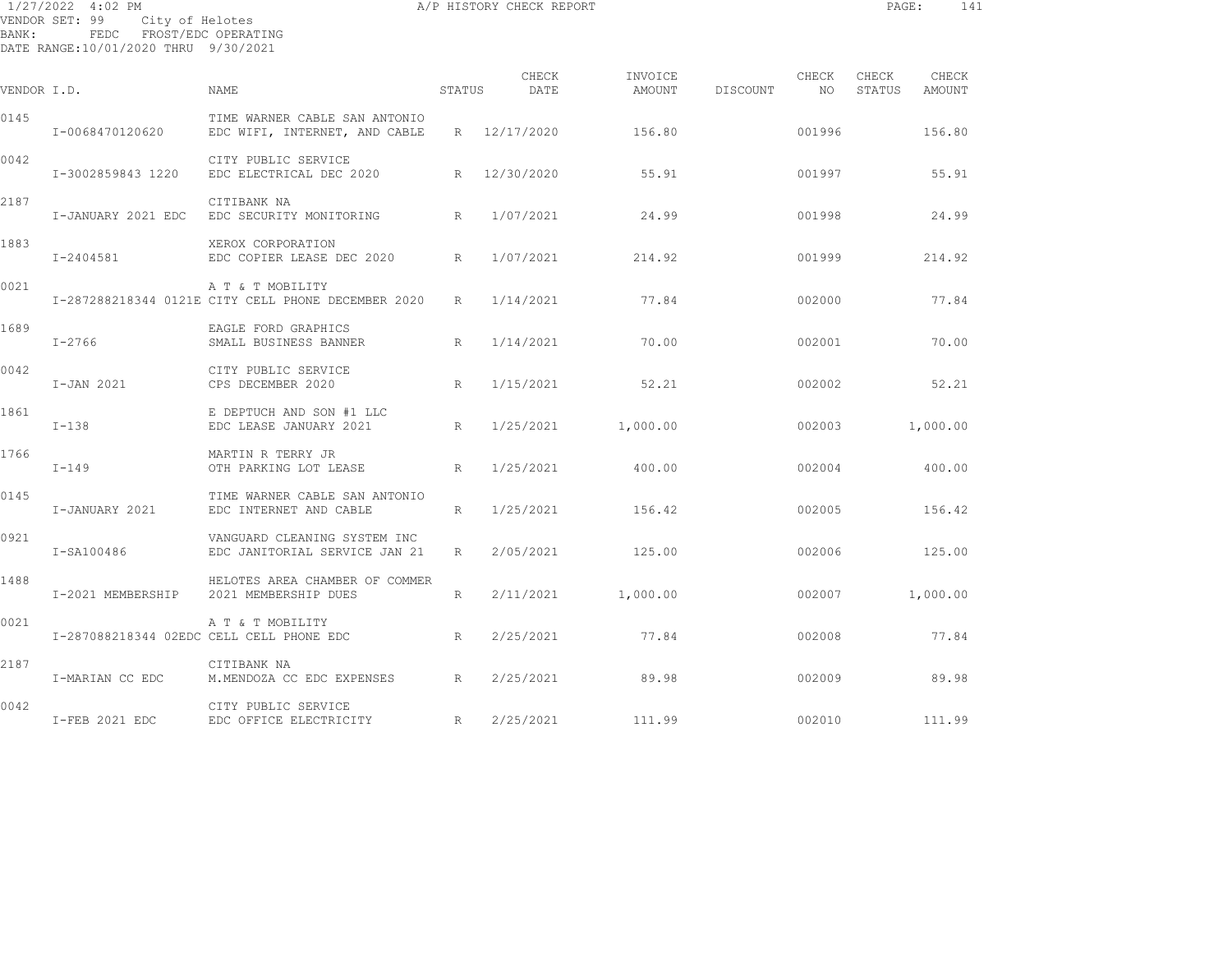| BANK:       | 1/27/2022 4:02 PM<br>VENDOR SET: 99<br>City of Helotes<br>FEDC FROST/EDC OPERATING<br>DATE RANGE:10/01/2020 THRU 9/30/2021 |                                                                        | A/P HISTORY CHECK REPORT | PAGE:         | 141               |          |               |                 |                 |
|-------------|----------------------------------------------------------------------------------------------------------------------------|------------------------------------------------------------------------|--------------------------|---------------|-------------------|----------|---------------|-----------------|-----------------|
| VENDOR I.D. |                                                                                                                            | NAME                                                                   | STATUS                   | CHECK<br>DATE | INVOICE<br>AMOUNT | DISCOUNT | CHECK<br>NO 1 | CHECK<br>STATUS | CHECK<br>AMOUNT |
| 0145        | I-0068470120620                                                                                                            | TIME WARNER CABLE SAN ANTONIO<br>EDC WIFI, INTERNET, AND CABLE         |                          | R 12/17/2020  | 156.80            |          | 001996        |                 | 156.80          |
| 0042        | I-3002859843 1220                                                                                                          | CITY PUBLIC SERVICE<br>EDC ELECTRICAL DEC 2020                         |                          | R 12/30/2020  | 55.91             |          | 001997        |                 | 55.91           |
| 2187        | I-JANUARY 2021 EDC                                                                                                         | CITIBANK NA<br>EDC SECURITY MONITORING                                 | R                        | 1/07/2021     | 24.99             |          | 001998        |                 | 24.99           |
| 1883        | I-2404581                                                                                                                  | XEROX CORPORATION<br>EDC COPIER LEASE DEC 2020                         | R                        | 1/07/2021     | 214.92            |          | 001999        |                 | 214.92          |
| 0021        |                                                                                                                            | A T & T MOBILITY<br>I-287288218344 0121E CITY CELL PHONE DECEMBER 2020 | R                        | 1/14/2021     | 77.84             |          | 002000        |                 | 77.84           |
| 1689        | $I - 2766$                                                                                                                 | EAGLE FORD GRAPHICS<br>SMALL BUSINESS BANNER                           | R                        | 1/14/2021     | 70.00             |          | 002001        |                 | 70.00           |
| 0042        | I-JAN 2021                                                                                                                 | CITY PUBLIC SERVICE<br>CPS DECEMBER 2020                               | R                        | 1/15/2021     | 52.21             |          | 002002        |                 | 52.21           |
| 1861        | $I-138$                                                                                                                    | E DEPTUCH AND SON #1 LLC<br>EDC LEASE JANUARY 2021                     | R                        | 1/25/2021     | 1,000.00          |          | 002003        |                 | 1,000.00        |
| 1766        | $I-149$                                                                                                                    | MARTIN R TERRY JR<br>OTH PARKING LOT LEASE                             | R                        | 1/25/2021     | 400.00            |          | 002004        |                 | 400.00          |
| 0145        | I-JANUARY 2021                                                                                                             | TIME WARNER CABLE SAN ANTONIO<br>EDC INTERNET AND CABLE                | $R_{\parallel}$          | 1/25/2021     | 156.42            |          | 002005        |                 | 156.42          |
| 0921        | I-SA100486                                                                                                                 | VANGUARD CLEANING SYSTEM INC<br>EDC JANITORIAL SERVICE JAN 21          | $R_{\perp}$              | 2/05/2021     | 125.00            |          | 002006        |                 | 125.00          |
| 1488        | I-2021 MEMBERSHIP                                                                                                          | HELOTES AREA CHAMBER OF COMMER<br>2021 MEMBERSHIP DUES                 | R                        | 2/11/2021     | 1,000.00          |          | 002007        |                 | 1,000.00        |
| 0021        | I-287088218344 02EDC CELL CELL PHONE EDC                                                                                   | A T & T MOBILITY                                                       | R                        | 2/25/2021     | 77.84             |          | 002008        |                 | 77.84           |
| 2187        | I-MARIAN CC EDC                                                                                                            | CITIBANK NA<br>M.MENDOZA CC EDC EXPENSES R                             |                          | 2/25/2021     | 89.98             |          | 002009        |                 | 89.98           |

0042 CITY PUBLIC SERVICE I-FEB 2021 EDC EDC OFFICE ELECTRICITY R 2/25/2021 111.99 002010 111.99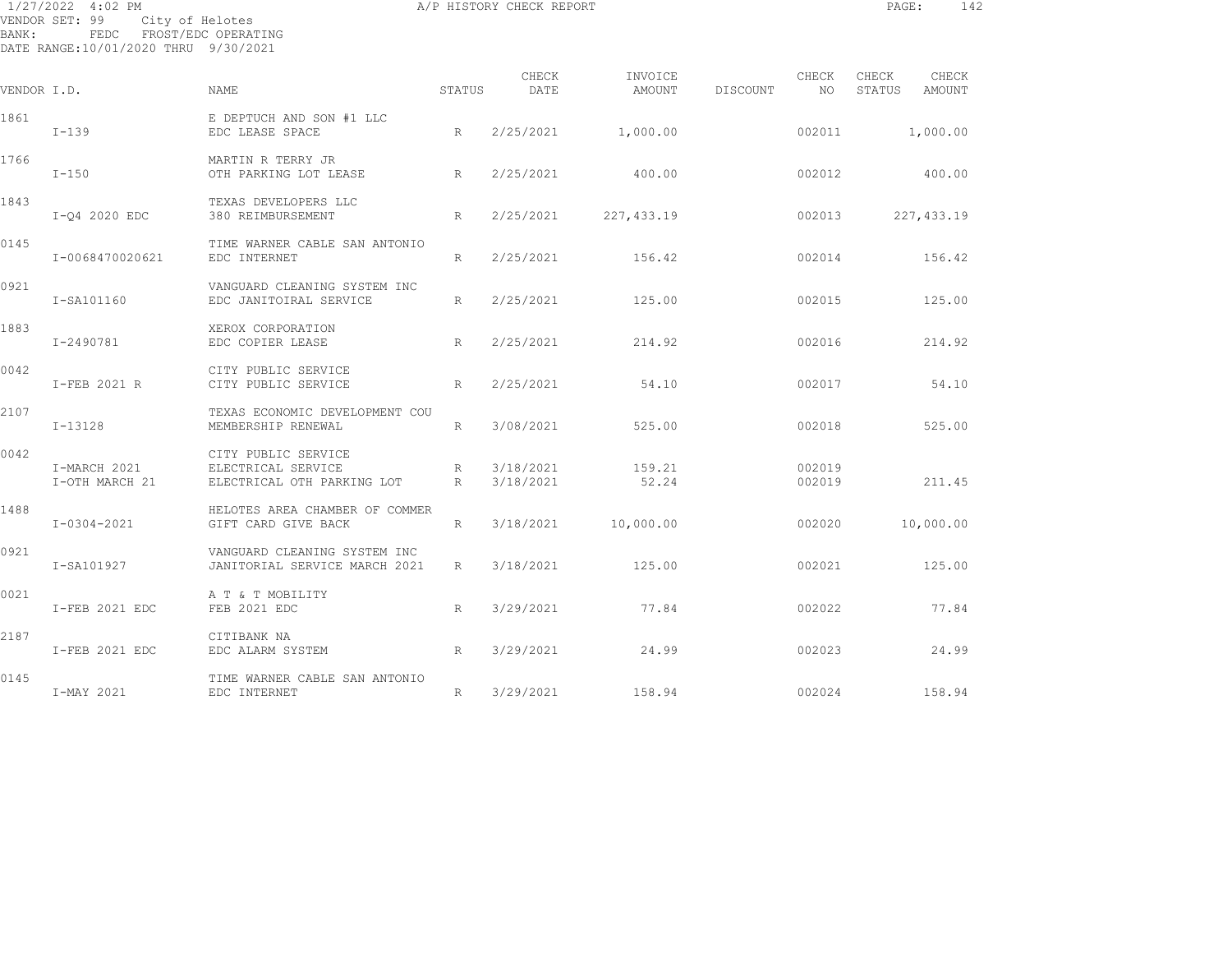| BANK:       | 1/27/2022 4:02 PM<br>VENDOR SET: 99<br>FEDC FROST/EDC OPERATING<br>DATE RANGE:10/01/2020 THRU 9/30/2021 | City of Helotes                                                         | A/P HISTORY CHECK REPORT | PAGE:                  | 142               |          |                  |                 |                 |  |
|-------------|---------------------------------------------------------------------------------------------------------|-------------------------------------------------------------------------|--------------------------|------------------------|-------------------|----------|------------------|-----------------|-----------------|--|
| VENDOR I.D. |                                                                                                         | NAME                                                                    | STATUS                   | CHECK<br>DATE          | INVOICE<br>AMOUNT | DISCOUNT | CHECK<br>NO.     | CHECK<br>STATUS | CHECK<br>AMOUNT |  |
| 1861        | $I-139$                                                                                                 | E DEPTUCH AND SON #1 LLC<br>EDC LEASE SPACE                             | R                        | 2/25/2021              | 1,000.00          |          | 002011           |                 | 1,000.00        |  |
| 1766        | $I-150$                                                                                                 | MARTIN R TERRY JR<br>OTH PARKING LOT LEASE                              | $R_{\parallel}$          | 2/25/2021              | 400.00            |          | 002012           |                 | 400.00          |  |
| 1843        | I-Q4 2020 EDC                                                                                           | TEXAS DEVELOPERS LLC<br>380 REIMBURSEMENT                               | R                        | 2/25/2021              | 227,433.19        |          | 002013           |                 | 227, 433.19     |  |
| 0145        | I-0068470020621                                                                                         | TIME WARNER CABLE SAN ANTONIO<br>EDC INTERNET                           | $R_{\parallel}$          | 2/25/2021              | 156.42            |          | 002014           |                 | 156.42          |  |
| 0921        | I-SA101160                                                                                              | VANGUARD CLEANING SYSTEM INC<br>EDC JANITOIRAL SERVICE                  | $R_{\parallel}$          | 2/25/2021              | 125.00            |          | 002015           |                 | 125.00          |  |
| 1883        | I-2490781                                                                                               | XEROX CORPORATION<br>EDC COPIER LEASE                                   | R                        | 2/25/2021              | 214.92            |          | 002016           |                 | 214.92          |  |
| 0042        | I-FEB 2021 R                                                                                            | CITY PUBLIC SERVICE<br>CITY PUBLIC SERVICE                              | R                        | 2/25/2021              | 54.10             |          | 002017           |                 | 54.10           |  |
| 2107        | $I-13128$                                                                                               | TEXAS ECONOMIC DEVELOPMENT COU<br>MEMBERSHIP RENEWAL                    | R                        | 3/08/2021              | 525.00            |          | 002018           |                 | 525.00          |  |
| 0042        | I-MARCH 2021<br>I-OTH MARCH 21                                                                          | CITY PUBLIC SERVICE<br>ELECTRICAL SERVICE<br>ELECTRICAL OTH PARKING LOT | R<br>$R_{\perp}$         | 3/18/2021<br>3/18/2021 | 159.21<br>52.24   |          | 002019<br>002019 |                 | 211.45          |  |
| 1488        | $I - 0304 - 2021$                                                                                       | HELOTES AREA CHAMBER OF COMMER<br>GIFT CARD GIVE BACK                   | R                        | 3/18/2021              | 10,000.00         |          | 002020           |                 | 10,000.00       |  |
| 0921        | I-SA101927                                                                                              | VANGUARD CLEANING SYSTEM INC<br>JANITORIAL SERVICE MARCH 2021           | R                        | 3/18/2021              | 125.00            |          | 002021           |                 | 125.00          |  |
| 0021        | I-FEB 2021 EDC                                                                                          | A T & T MOBILITY<br>FEB 2021 EDC                                        | R                        | 3/29/2021              | 77.84             |          | 002022           |                 | 77.84           |  |
| 2187        | I-FEB 2021 EDC                                                                                          | CITIBANK NA<br>EDC ALARM SYSTEM                                         | R                        | 3/29/2021              | 24.99             |          | 002023           |                 | 24.99           |  |

R 3/29/2021 158.94 002024 158.94

0145 TIME WARNER CABLE SAN ANTONIO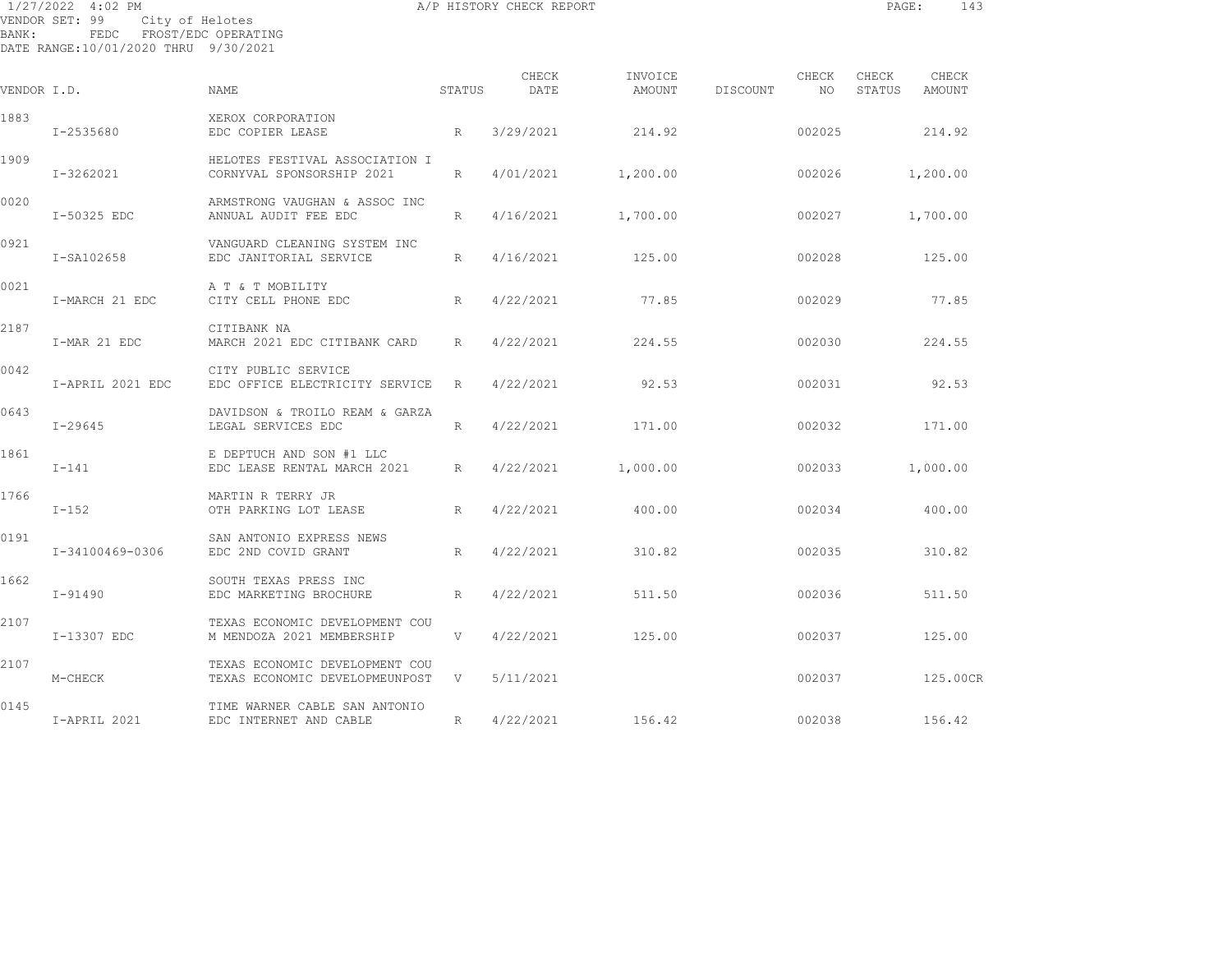|             | 1/27/2022 4:02 PM<br>VENDOR SET: 99<br>City of Helotes           |                                                             |                 | A/P HISTORY CHECK REPORT |                   |          |             | PAGE:           | 143             |  |
|-------------|------------------------------------------------------------------|-------------------------------------------------------------|-----------------|--------------------------|-------------------|----------|-------------|-----------------|-----------------|--|
| BANK:       | FEDC FROST/EDC OPERATING<br>DATE RANGE:10/01/2020 THRU 9/30/2021 |                                                             |                 |                          |                   |          |             |                 |                 |  |
| VENDOR I.D. |                                                                  | NAME                                                        | STATUS          | CHECK<br>DATE            | INVOICE<br>AMOUNT | DISCOUNT | CHECK<br>NO | CHECK<br>STATUS | CHECK<br>AMOUNT |  |
| 1883        | I-2535680                                                        | XEROX CORPORATION<br>EDC COPIER LEASE                       | R               | 3/29/2021                | 214.92            |          | 002025      |                 | 214.92          |  |
| 1909        | I-3262021                                                        | HELOTES FESTIVAL ASSOCIATION I<br>CORNYVAL SPONSORSHIP 2021 | R               | 4/01/2021                | 1,200.00          |          | 002026      |                 | 1,200.00        |  |
| 0020        | I-50325 EDC                                                      | ARMSTRONG VAUGHAN & ASSOC INC<br>ANNUAL AUDIT FEE EDC       | R               | 4/16/2021                | 1,700.00          |          | 002027      |                 | 1,700.00        |  |
| 0921        | I-SA102658                                                       | VANGUARD CLEANING SYSTEM INC<br>EDC JANITORIAL SERVICE      | R               | 4/16/2021                | 125.00            |          | 002028      |                 | 125.00          |  |
| 0021        | I-MARCH 21 EDC                                                   | A T & T MOBILITY<br>CITY CELL PHONE EDC                     | R               | 4/22/2021                | 77.85             |          | 002029      |                 | 77.85           |  |
| 2187        | I-MAR 21 EDC                                                     | CITIBANK NA<br>MARCH 2021 EDC CITIBANK CARD                 | R               | 4/22/2021                | 224.55            |          | 002030      |                 | 224.55          |  |
| 0042        | I-APRIL 2021 EDC                                                 | CITY PUBLIC SERVICE<br>EDC OFFICE ELECTRICITY SERVICE       | R               | 4/22/2021                | 92.53             |          | 002031      |                 | 92.53           |  |
| 0643        | $I - 29645$                                                      | DAVIDSON & TROILO REAM & GARZA<br>LEGAL SERVICES EDC        | R               | 4/22/2021                | 171.00            |          | 002032      |                 | 171.00          |  |
| 1861        | $I-141$                                                          | E DEPTUCH AND SON #1 LLC<br>EDC LEASE RENTAL MARCH 2021     | $R_{\parallel}$ | 4/22/2021                | 1,000.00          |          | 002033      |                 | 1,000.00        |  |
| 1766        | $I-152$                                                          | MARTIN R TERRY JR<br>OTH PARKING LOT LEASE                  | R               | 4/22/2021                | 400.00            |          | 002034      |                 | 400.00          |  |
| 0191        | I-34100469-0306                                                  | SAN ANTONIO EXPRESS NEWS<br>EDC 2ND COVID GRANT             | R               | 4/22/2021                | 310.82            |          | 002035      |                 | 310.82          |  |
| 1662        | $I - 91490$                                                      | SOUTH TEXAS PRESS INC<br>EDC MARKETING BROCHURE             | R               | 4/22/2021                | 511.50            |          | 002036      |                 | 511.50          |  |
| 2107        | I-13307 EDC                                                      | TEXAS ECONOMIC DEVELOPMENT COU<br>M MENDOZA 2021 MEMBERSHIP | V               | 4/22/2021                | 125.00            |          | 002037      |                 | 125.00          |  |
|             |                                                                  |                                                             |                 |                          |                   |          |             |                 |                 |  |

2107 TEXAS ECONOMIC DEVELOPMENT COU M-CHECK TEXAS ECONOMIC DEVELOPMEUNPOST V 5/11/2021 002037 125.00CR

0145 TIME WARNER CABLE SAN ANTONIO I-APRIL 2021 EDC INTERNET AND CABLE R 4/22/2021 156.42 002038 156.42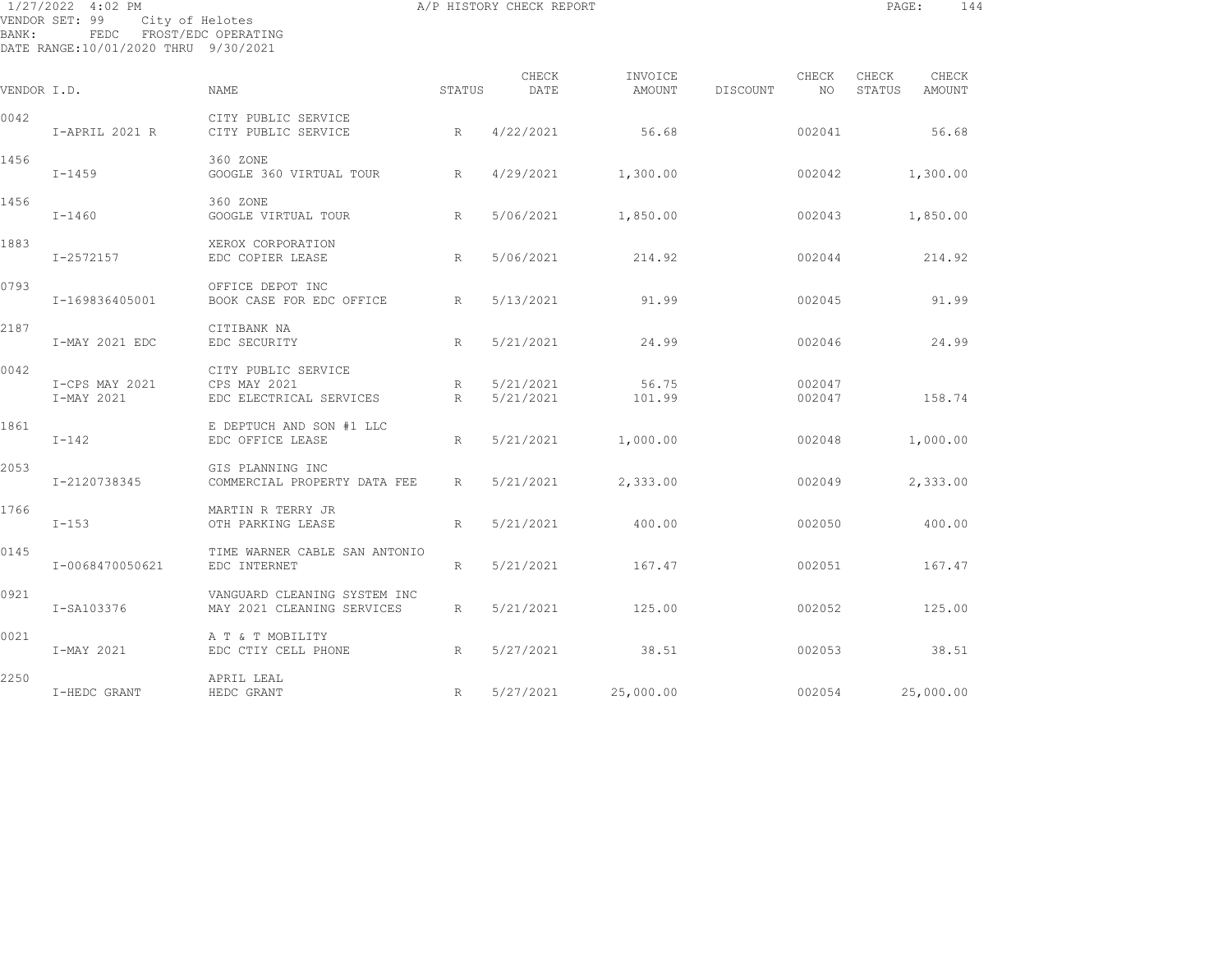| BANK:       | 1/27/2022 4:02 PM<br>VENDOR SET: 99<br>City of Helotes<br>FEDC FROST/EDC OPERATING<br>DATE RANGE:10/01/2020 THRU 9/30/2021 |                                                                |                 | A/P HISTORY CHECK REPORT |                   |          |                  | PAGE:           | 144             |  |
|-------------|----------------------------------------------------------------------------------------------------------------------------|----------------------------------------------------------------|-----------------|--------------------------|-------------------|----------|------------------|-----------------|-----------------|--|
| VENDOR I.D. |                                                                                                                            | <b>NAME</b>                                                    | STATUS          | CHECK<br>DATE            | INVOICE<br>AMOUNT | DISCOUNT | CHECK<br>NO      | CHECK<br>STATUS | CHECK<br>AMOUNT |  |
| 0042        | I-APRIL 2021 R                                                                                                             | CITY PUBLIC SERVICE<br>CITY PUBLIC SERVICE                     | R               | 4/22/2021                | 56.68             |          | 002041           |                 | 56.68           |  |
| 1456        | $I-1459$                                                                                                                   | 360 ZONE<br>GOOGLE 360 VIRTUAL TOUR                            | $R_{\parallel}$ | 4/29/2021                | 1,300.00          |          | 002042           |                 | 1,300.00        |  |
| 1456        | $I-1460$                                                                                                                   | 360 ZONE<br>GOOGLE VIRTUAL TOUR                                | R               | 5/06/2021                | 1,850.00          |          | 002043           |                 | 1,850.00        |  |
| 1883        | I-2572157                                                                                                                  | XEROX CORPORATION<br>EDC COPIER LEASE                          | R               | 5/06/2021                | 214.92            |          | 002044           |                 | 214.92          |  |
| 0793        | I-169836405001                                                                                                             | OFFICE DEPOT INC<br>BOOK CASE FOR EDC OFFICE                   | R               | 5/13/2021                | 91.99             |          | 002045           |                 | 91.99           |  |
| 2187        | I-MAY 2021 EDC                                                                                                             | CITIBANK NA<br>EDC SECURITY                                    | R               | 5/21/2021                | 24.99             |          | 002046           |                 | 24.99           |  |
| 0042        | I-CPS MAY 2021<br>I-MAY 2021                                                                                               | CITY PUBLIC SERVICE<br>CPS MAY 2021<br>EDC ELECTRICAL SERVICES | R<br>R          | 5/21/2021<br>5/21/2021   | 56.75<br>101.99   |          | 002047<br>002047 |                 | 158.74          |  |
| 1861        | $I-142$                                                                                                                    | E DEPTUCH AND SON #1 LLC<br>EDC OFFICE LEASE                   | $R_{\parallel}$ | 5/21/2021                | 1,000.00          |          | 002048           |                 | 1,000.00        |  |
| 2053        | I-2120738345                                                                                                               | GIS PLANNING INC<br>COMMERCIAL PROPERTY DATA FEE               | R               | 5/21/2021                | 2,333.00          |          | 002049           |                 | 2,333.00        |  |
| 1766        | $I-153$                                                                                                                    | MARTIN R TERRY JR<br>OTH PARKING LEASE                         | R               | 5/21/2021                | 400.00            |          | 002050           |                 | 400.00          |  |
| 0145        | I-0068470050621                                                                                                            | TIME WARNER CABLE SAN ANTONIO<br>EDC INTERNET                  | R               | 5/21/2021                | 167.47            |          | 002051           |                 | 167.47          |  |
| 0921        | I-SA103376                                                                                                                 | VANGUARD CLEANING SYSTEM INC<br>MAY 2021 CLEANING SERVICES     | R               | 5/21/2021                | 125.00            |          | 002052           |                 | 125.00          |  |
| 0021        | I-MAY 2021                                                                                                                 | A T & T MOBILITY<br>EDC CTIY CELL PHONE                        | R               | 5/27/2021                | 38.51             |          | 002053           |                 | 38.51           |  |
| 2250        | I-HEDC GRANT                                                                                                               | APRIL LEAL<br>HEDC GRANT                                       | R               | 5/27/2021                | 25,000.00         |          | 002054           |                 | 25,000.00       |  |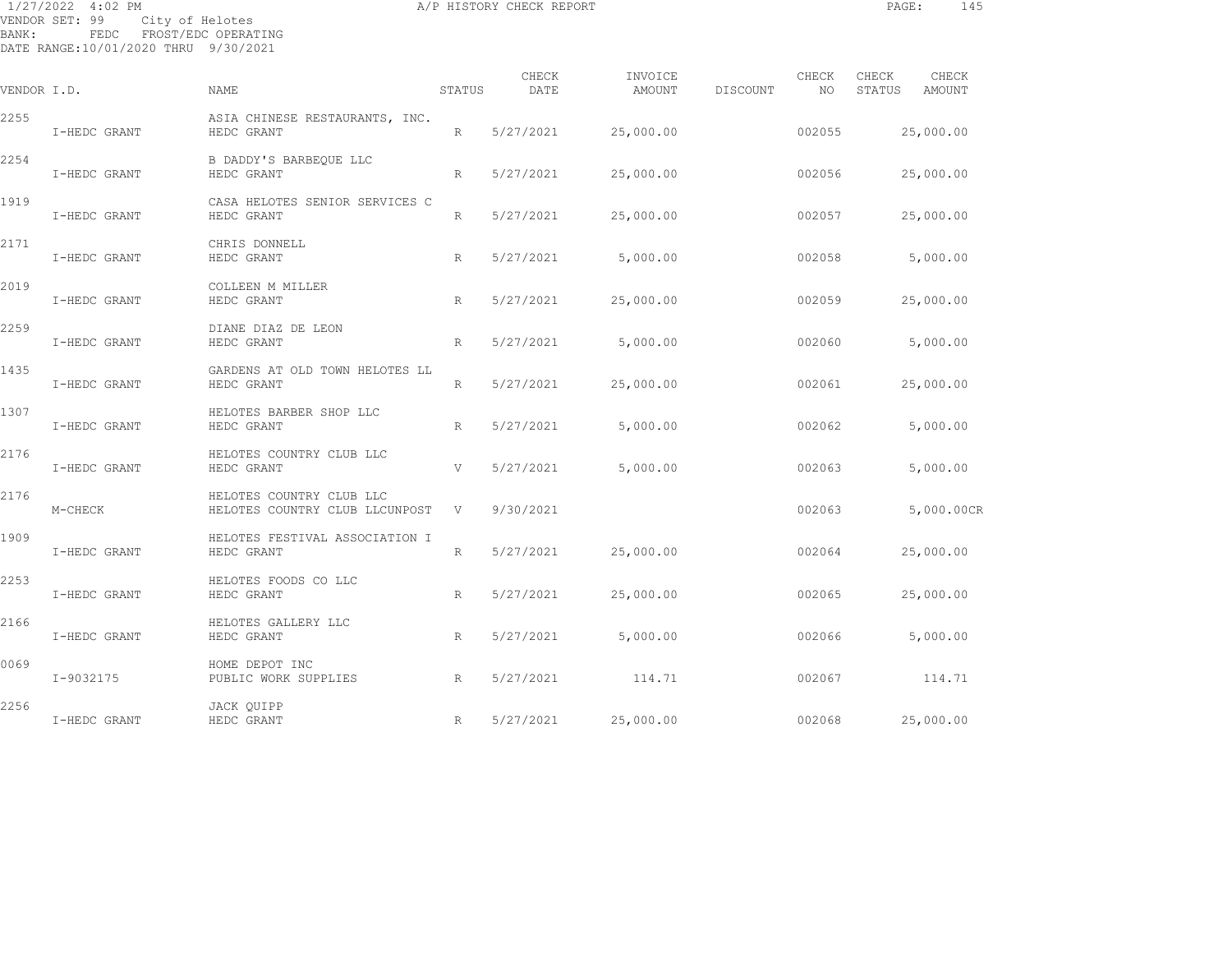1/27/2022 4:02 PM **A/P HISTORY CHECK REPORT PAGE:** 145 VENDOR SET: 99 City of Helotes BANK: FEDC FROST/EDC OPERATING DATE RANGE:10/01/2020 THRU 9/30/2021 CHECK INVOICE CHECK CHECK CHECK VENDOR I.D. NAME STATUS DATE AMOUNT DISCOUNT NO STATUS AMOUNT 2255 ASIA CHINESE RESTAURANTS, INC. I-HEDC GRANT HEDC GRANT R 5/27/2021 25,000.00 002055 25,000.00 2254 B DADDY'S BARBEQUE LLC

 I-HEDC GRANT HEDC GRANT R 5/27/2021 25,000.00 002056 25,000.00 1919 CASA HELOTES SENIOR SERVICES C I-HEDC GRANT HEDC GRANT R 5/27/2021 25,000.00 002057 25,000.00 2171 CHRIS DONNELL I-HEDC GRANT HEDC GRANT R 5/27/2021 5,000.00 002058 5,000.00 2019 COLLEEN M MILLER I-HEDC GRANT HEDC GRANT R 5/27/2021 25,000.00 002059 25,000.00 2259 DIANE DIAZ DE LEON I-HEDC GRANT HEDC GRANT R 5/27/2021 5,000.00 002060 5,000.00 1435 GARDENS AT OLD TOWN HELOTES LL I-HEDC GRANT HEDC GRANT R 5/27/2021 25,000.00 002061 25,000.00 1307 HELOTES BARBER SHOP LLC I-HEDC GRANT HEDC GRANT R 5/27/2021 5,000.00 002062 5,000.00 2176 HELOTES COUNTRY CLUB LLC I-HEDC GRANT HEDC GRANT V 5/27/2021 5,000.00 002063 5,000.00 2176 HELOTES COUNTRY CLUB LLC M-CHECK BELOTES COUNTRY CLUB LLCUNPOST V 9/30/2021 002063 5,000.00CR 1909 HELOTES FESTIVAL ASSOCIATION I I-HEDC GRANT HEDC GRANT R 5/27/2021 25,000.00 002064 25,000.00 2253 HELOTES FOODS CO LLC I-HEDC GRANT HEDC GRANT R 5/27/2021 25,000.00 002065 25,000.00 2166 HELOTES GALLERY LLC I-HEDC GRANT HEDC GRANT R 5/27/2021 5,000.00 002066 5,000.00 0069 HOME DEPOT INC I-9032175 PUBLIC WORK SUPPLIES R 5/27/2021 114.71 002067 114.71 2256 JACK QUIPP I-HEDC GRANT HEDC GRANT R 5/27/2021 25,000.00 002068 25,000.00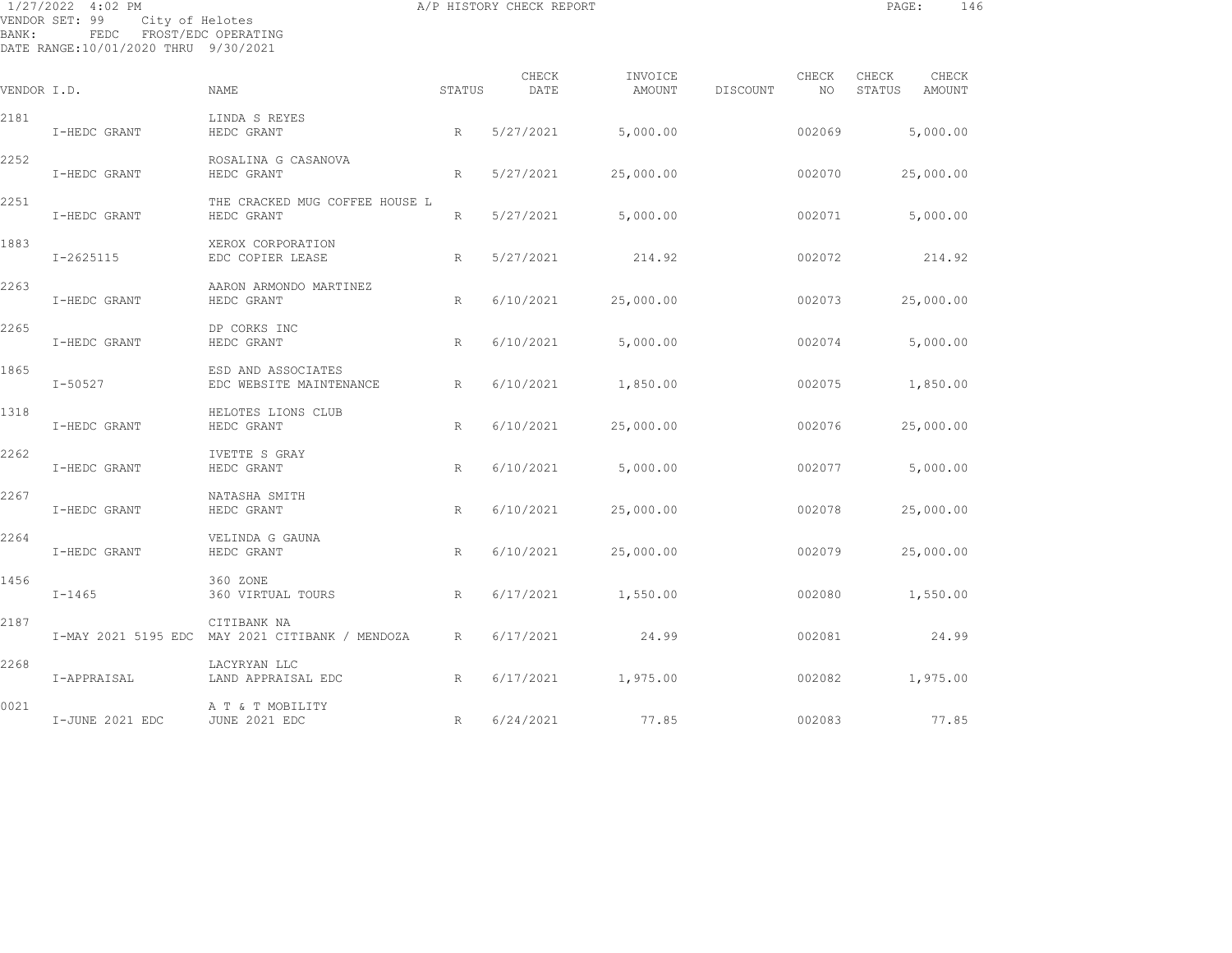| BANK:       | 1/27/2022 4:02 PM<br>VENDOR SET: 99<br>City of Helotes<br>FEDC FROST/EDC OPERATING<br>DATE RANGE:10/01/2020 THRU 9/30/2021 |                                                                |           | A/P HISTORY CHECK REPORT |                   |          |             | PAGE:                  | 146      |
|-------------|----------------------------------------------------------------------------------------------------------------------------|----------------------------------------------------------------|-----------|--------------------------|-------------------|----------|-------------|------------------------|----------|
| VENDOR I.D. |                                                                                                                            | NAME                                                           | STATUS    | CHECK<br>DATE            | INVOICE<br>AMOUNT | DISCOUNT | CHECK<br>NO | CHECK<br>STATUS AMOUNT | CHECK    |
| 2181        | I-HEDC GRANT                                                                                                               | LINDA S REYES<br>HEDC GRANT                                    | R         | 5/27/2021                | 5,000.00          |          | 002069      |                        | 5,000.00 |
| 2252        | I-HEDC GRANT                                                                                                               | ROSALINA G CASANOVA<br>HEDC GRANT                              | R         | 5/27/2021                | 25,000.00         |          | 002070      | 25,000.00              |          |
| 2251        | I-HEDC GRANT                                                                                                               | THE CRACKED MUG COFFEE HOUSE L<br>HEDC GRANT                   | R         | 5/27/2021                | 5,000.00          |          | 002071      |                        | 5,000.00 |
| 1883        | $I - 2625115$                                                                                                              | XEROX CORPORATION<br>EDC COPIER LEASE                          | $R_{\rm}$ | 5/27/2021                | 214.92            |          | 002072      |                        | 214.92   |
| 2263        | I-HEDC GRANT                                                                                                               | AARON ARMONDO MARTINEZ<br>HEDC GRANT                           | R         | 6/10/2021                | 25,000.00         |          | 002073      | 25,000.00              |          |
| 2265        | I-HEDC GRANT                                                                                                               | DP CORKS INC<br>HEDC GRANT                                     | R         | 6/10/2021                | 5,000.00          |          | 002074      |                        | 5,000.00 |
| 1865        | $I - 50527$                                                                                                                | ESD AND ASSOCIATES<br>EDC WEBSITE MAINTENANCE                  | R         | 6/10/2021                | 1,850.00          |          | 002075      |                        | 1,850.00 |
| 1318        | I-HEDC GRANT                                                                                                               | HELOTES LIONS CLUB<br>HEDC GRANT                               | R         | 6/10/2021                | 25,000.00         |          | 002076      | 25,000.00              |          |
| 2262        | I-HEDC GRANT                                                                                                               | IVETTE S GRAY<br>HEDC GRANT                                    | R         | 6/10/2021                | 5,000.00          |          | 002077      |                        | 5,000.00 |
| 2267        | I-HEDC GRANT                                                                                                               | NATASHA SMITH<br>HEDC GRANT                                    | R         | 6/10/2021                | 25,000.00         |          | 002078      | 25,000.00              |          |
| 2264        | I-HEDC GRANT                                                                                                               | VELINDA G GAUNA<br>HEDC GRANT                                  | R         | 6/10/2021                | 25,000.00         |          | 002079      | 25,000.00              |          |
| 1456        | $I - 1465$                                                                                                                 | 360 ZONE<br>360 VIRTUAL TOURS                                  | R         | 6/17/2021                | 1,550.00          |          | 002080      | 1,550.00               |          |
| 2187        |                                                                                                                            | CITIBANK NA<br>I-MAY 2021 5195 EDC MAY 2021 CITIBANK / MENDOZA | R         | 6/17/2021                | 24.99             |          | 002081      |                        | 24.99    |
| 2268        | I-APPRAISAL                                                                                                                | LACYRYAN LLC<br>LAND APPRAISAL EDC                             | R         | 6/17/2021                | 1,975.00          |          | 002082      |                        | 1,975.00 |
| 0021        | I-JUNE 2021 EDC                                                                                                            | A T & T MOBILITY<br>JUNE 2021 EDC                              | R         | 6/24/2021                | 77.85             |          | 002083      |                        | 77.85    |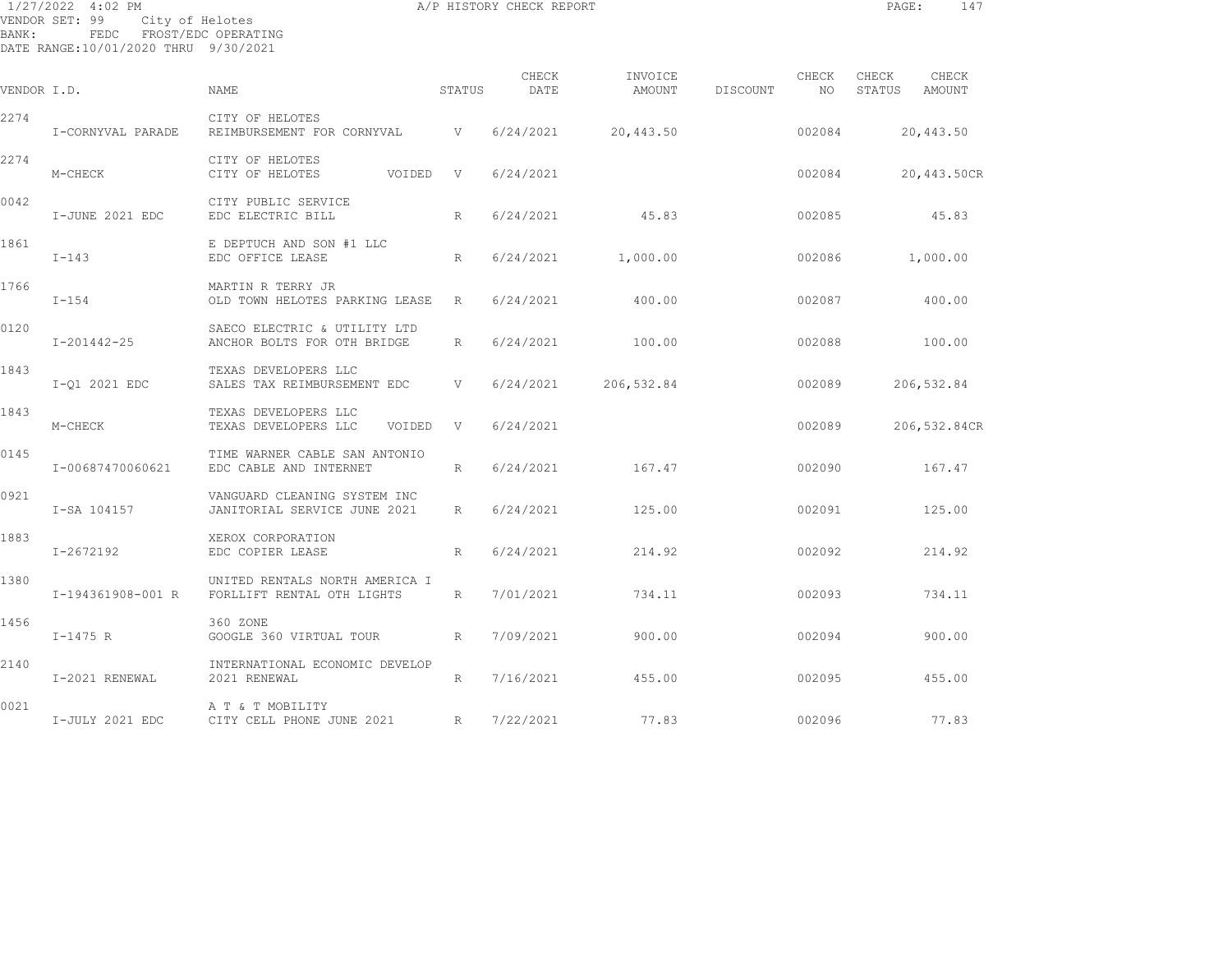| BANK:       | 1/27/2022 4:02 PM<br>City of Helotes<br>VENDOR SET: 99<br>FEDC<br>DATE RANGE:10/01/2020 THRU 9/30/2021 | FROST/EDC OPERATING                                          | A/P HISTORY CHECK REPORT | PAGE:<br>147  |                   |          |              |                 |                 |  |
|-------------|--------------------------------------------------------------------------------------------------------|--------------------------------------------------------------|--------------------------|---------------|-------------------|----------|--------------|-----------------|-----------------|--|
| VENDOR I.D. |                                                                                                        | <b>NAME</b>                                                  | STATUS                   | CHECK<br>DATE | INVOICE<br>AMOUNT | DISCOUNT | CHECK<br>NO. | CHECK<br>STATUS | CHECK<br>AMOUNT |  |
| 2274        | I-CORNYVAL PARADE                                                                                      | CITY OF HELOTES<br>REIMBURSEMENT FOR CORNYVAL                | $\mathbf{V}$             | 6/24/2021     | 20,443.50         |          | 002084       |                 | 20,443.50       |  |
| 2274        | M-CHECK                                                                                                | CITY OF HELOTES<br>CITY OF HELOTES<br>VOIDED                 | V                        | 6/24/2021     |                   |          | 002084       |                 | 20,443.50CR     |  |
| 0042        | I-JUNE 2021 EDC                                                                                        | CITY PUBLIC SERVICE<br>EDC ELECTRIC BILL                     | R                        | 6/24/2021     | 45.83             |          | 002085       |                 | 45.83           |  |
| 1861        | $I - 143$                                                                                              | E DEPTUCH AND SON #1 LLC<br>EDC OFFICE LEASE                 | R                        | 6/24/2021     | 1,000.00          |          | 002086       |                 | 1,000.00        |  |
| 1766        | $I - 154$                                                                                              | MARTIN R TERRY JR<br>OLD TOWN HELOTES PARKING LEASE          | R                        | 6/24/2021     | 400.00            |          | 002087       |                 | 400.00          |  |
| 0120        | I-201442-25                                                                                            | SAECO ELECTRIC & UTILITY LTD<br>ANCHOR BOLTS FOR OTH BRIDGE  | R                        | 6/24/2021     | 100.00            |          | 002088       |                 | 100.00          |  |
| 1843        | I-01 2021 EDC                                                                                          | TEXAS DEVELOPERS LLC<br>SALES TAX REIMBURSEMENT EDC          | V                        | 6/24/2021     | 206,532.84        |          | 002089       |                 | 206,532.84      |  |
| 1843        | M-CHECK                                                                                                | TEXAS DEVELOPERS LLC<br>TEXAS DEVELOPERS LLC<br>VOIDED       | V                        | 6/24/2021     |                   |          | 002089       |                 | 206,532.84CR    |  |
| 0145        | I-00687470060621                                                                                       | TIME WARNER CABLE SAN ANTONIO<br>EDC CABLE AND INTERNET      | R                        | 6/24/2021     | 167.47            |          | 002090       |                 | 167.47          |  |
| 0921        | I-SA 104157                                                                                            | VANGUARD CLEANING SYSTEM INC<br>JANITORIAL SERVICE JUNE 2021 | $R_{\parallel}$          | 6/24/2021     | 125.00            |          | 002091       |                 | 125.00          |  |
| 1883        | I-2672192                                                                                              | XEROX CORPORATION<br>EDC COPIER LEASE                        | R                        | 6/24/2021     | 214.92            |          | 002092       |                 | 214.92          |  |
| 1380        | I-194361908-001 R                                                                                      | UNITED RENTALS NORTH AMERICA I<br>FORLLIFT RENTAL OTH LIGHTS | R                        | 7/01/2021     | 734.11            |          | 002093       |                 | 734.11          |  |
| 1456        | $I-1475 R$                                                                                             | 360 ZONE<br>GOOGLE 360 VIRTUAL TOUR                          | R                        | 7/09/2021     | 900.00            |          | 002094       |                 | 900.00          |  |
| 2140        | I-2021 RENEWAL                                                                                         | INTERNATIONAL ECONOMIC DEVELOP<br>2021 RENEWAL               | R                        | 7/16/2021     | 455.00            |          | 002095       |                 | 455.00          |  |

I-JULY 2021 EDC CITY CELL PHONE JUNE 2021 R 7/22/2021 77.83 002096 77.83

0021 A T & T MOBILITY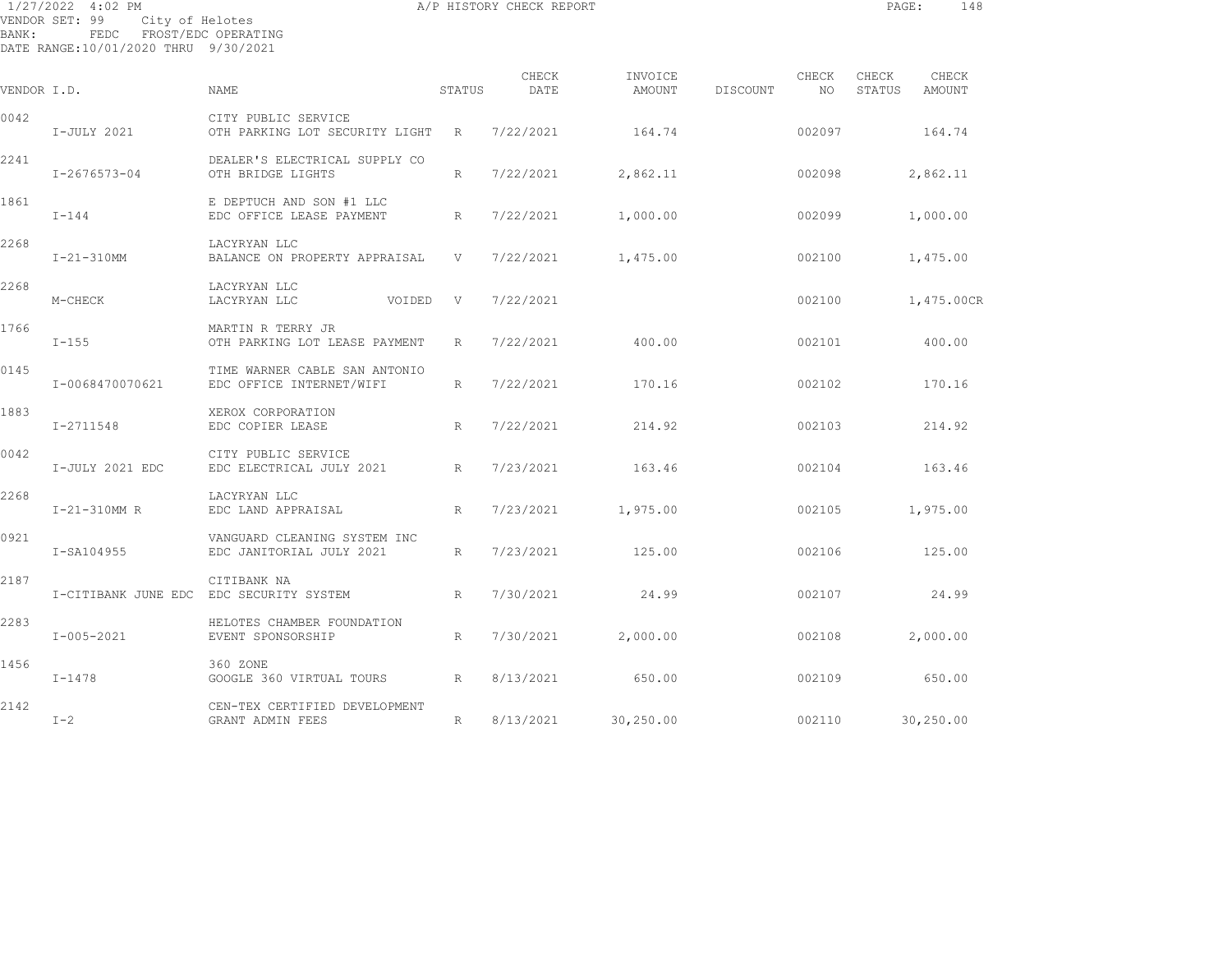|             | 1/27/2022 4:02 PM<br>VENDOR SET: 99<br>City of Helotes           |                                                                   |             | A/P HISTORY CHECK REPORT |                   |          |               | PAGE:           | 148             |  |
|-------------|------------------------------------------------------------------|-------------------------------------------------------------------|-------------|--------------------------|-------------------|----------|---------------|-----------------|-----------------|--|
| BANK:       | FEDC FROST/EDC OPERATING<br>DATE RANGE:10/01/2020 THRU 9/30/2021 |                                                                   |             |                          |                   |          |               |                 |                 |  |
| VENDOR I.D. |                                                                  | NAME                                                              | STATUS      | CHECK<br>DATE            | INVOICE<br>AMOUNT | DISCOUNT | CHECK<br>NO . | CHECK<br>STATUS | CHECK<br>AMOUNT |  |
|             |                                                                  |                                                                   |             |                          |                   |          |               |                 |                 |  |
| 0042        | I-JULY 2021                                                      | CITY PUBLIC SERVICE<br>OTH PARKING LOT SECURITY LIGHT R 7/22/2021 |             |                          | 164.74            |          | 002097        |                 | 164.74          |  |
| 2241        | I-2676573-04                                                     | DEALER'S ELECTRICAL SUPPLY CO<br>OTH BRIDGE LIGHTS                | $R_{\perp}$ | 7/22/2021                | 2,862.11          |          | 002098        |                 | 2,862.11        |  |
| 1861        | $I-144$                                                          | E DEPTUCH AND SON #1 LLC<br>EDC OFFICE LEASE PAYMENT              | R           | 7/22/2021                | 1,000.00          |          | 002099        |                 | 1,000.00        |  |
| 2268        | $I - 21 - 310$ MM                                                | LACYRYAN LLC<br>BALANCE ON PROPERTY APPRAISAL V                   |             | 7/22/2021                | 1,475.00          |          | 002100        |                 | 1,475.00        |  |
| 2268        | M-CHECK                                                          | LACYRYAN LLC<br>VOIDED<br>LACYRYAN LLC                            | V           | 7/22/2021                |                   |          | 002100        |                 | 1,475.00CR      |  |
| 1766        | $I-155$                                                          | MARTIN R TERRY JR<br>OTH PARKING LOT LEASE PAYMENT                | R           | 7/22/2021                | 400.00            |          | 002101        |                 | 400.00          |  |
| 0145        | I-0068470070621                                                  | TIME WARNER CABLE SAN ANTONIO<br>EDC OFFICE INTERNET/WIFI         | $R_{\perp}$ | 7/22/2021                | 170.16            |          | 002102        |                 | 170.16          |  |
| 1883        | I-2711548                                                        | XEROX CORPORATION<br>EDC COPIER LEASE                             | $R_{\odot}$ | 7/22/2021                | 214.92            |          | 002103        |                 | 214.92          |  |
| 0042        | I-JULY 2021 EDC                                                  | CITY PUBLIC SERVICE<br>EDC ELECTRICAL JULY 2021                   | R           | 7/23/2021                | 163.46            |          | 002104        |                 | 163.46          |  |
| 2268        | I-21-310MM R                                                     | LACYRYAN LLC<br>EDC LAND APPRAISAL                                | R           | 7/23/2021                | 1,975.00          |          | 002105        |                 | 1,975.00        |  |
| 0921        | I-SA104955                                                       | VANGUARD CLEANING SYSTEM INC<br>EDC JANITORIAL JULY 2021          | R           | 7/23/2021                | 125.00            |          | 002106        |                 | 125.00          |  |
| 2187        |                                                                  | CITIBANK NA<br>I-CITIBANK JUNE EDC EDC SECURITY SYSTEM            | R           | 7/30/2021                | 24.99             |          | 002107        |                 | 24.99           |  |
|             |                                                                  |                                                                   |             |                          |                   |          |               |                 |                 |  |

I-005-2021 EVENT SPONSORSHIP R 7/30/2021 2,000.00 002108 2,000.00

I-1478 GOOGLE 360 VIRTUAL TOURS R 8/13/2021 650.00 002109 650.00

I-2 GRANT ADMIN FEES R 8/13/2021 30,250.00 002110 30,250.00

2283 HELOTES CHAMBER FOUNDATION

2142 CEN-TEX CERTIFIED DEVELOPMENT

1456 360 ZONE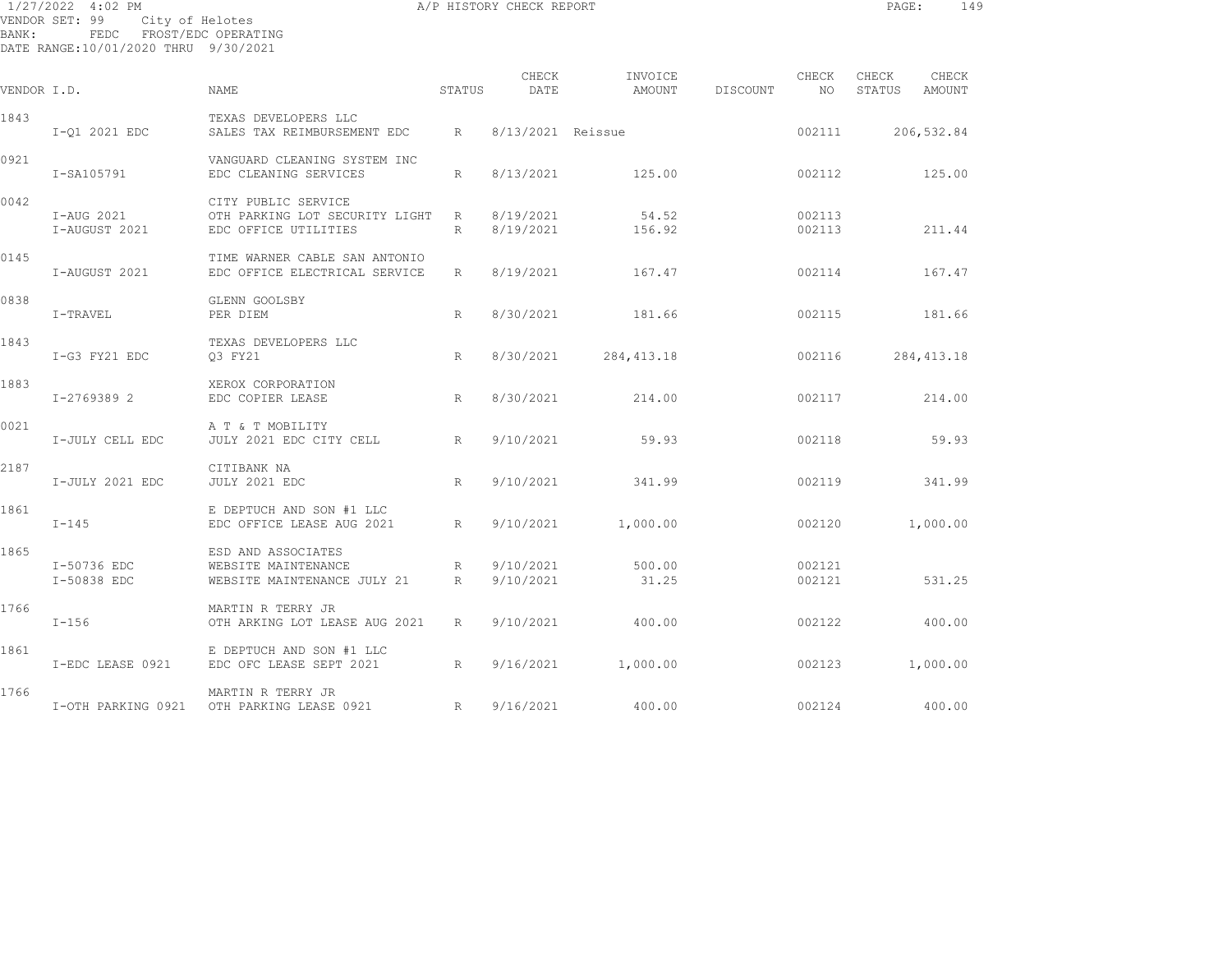|             | 1/27/2022 4:02 PM                                                                 |                                                                               |                 | A/P HISTORY CHECK REPORT |                   |          |                  | PAGE:           | 149             |  |
|-------------|-----------------------------------------------------------------------------------|-------------------------------------------------------------------------------|-----------------|--------------------------|-------------------|----------|------------------|-----------------|-----------------|--|
| BANK:       | VENDOR SET: 99<br>City of Helotes<br>FEDC<br>DATE RANGE:10/01/2020 THRU 9/30/2021 | FROST/EDC OPERATING                                                           |                 |                          |                   |          |                  |                 |                 |  |
| VENDOR I.D. |                                                                                   | NAME                                                                          | STATUS          | CHECK<br>DATE            | INVOICE<br>AMOUNT | DISCOUNT | CHECK<br>NO      | CHECK<br>STATUS | CHECK<br>AMOUNT |  |
| 1843        | I-01 2021 EDC                                                                     | TEXAS DEVELOPERS LLC<br>SALES TAX REIMBURSEMENT EDC                           | R               | 8/13/2021 Reissue        |                   |          | 002111           |                 | 206,532.84      |  |
| 0921        | I-SA105791                                                                        | VANGUARD CLEANING SYSTEM INC<br>EDC CLEANING SERVICES                         | $R_{\parallel}$ | 8/13/2021                | 125.00            |          | 002112           |                 | 125.00          |  |
| 0042        | I-AUG 2021<br>I-AUGUST 2021                                                       | CITY PUBLIC SERVICE<br>OTH PARKING LOT SECURITY LIGHT<br>EDC OFFICE UTILITIES | R<br>R          | 8/19/2021<br>8/19/2021   | 54.52<br>156.92   |          | 002113<br>002113 |                 | 211.44          |  |
| 0145        | I-AUGUST 2021                                                                     | TIME WARNER CABLE SAN ANTONIO<br>EDC OFFICE ELECTRICAL SERVICE                | R               | 8/19/2021                | 167.47            |          | 002114           |                 | 167.47          |  |
| 0838        | I-TRAVEL                                                                          | GLENN GOOLSBY<br>PER DIEM                                                     | R               | 8/30/2021                | 181.66            |          | 002115           |                 | 181.66          |  |
| 1843        | I-G3 FY21 EDC                                                                     | TEXAS DEVELOPERS LLC<br>03 FY21                                               | R               | 8/30/2021                | 284, 413.18       |          | 002116           |                 | 284, 413.18     |  |
| 1883        | I-2769389 2                                                                       | XEROX CORPORATION<br>EDC COPIER LEASE                                         | R               | 8/30/2021                | 214.00            |          | 002117           |                 | 214.00          |  |

I-JULY CELL EDC JULY 2021 EDC CITY CELL R 9/10/2021 59.93 002118 59.93

I-JULY 2021 EDC JULY 2021 EDC R 9/10/2021 341.99 002119 341.99

I-145 EDC OFFICE LEASE AUG 2021 R 9/10/2021 1,000.00 002120 1,000.00

I-50838 EDC WEBSITE MAINTENANCE JULY 21 R 9/10/2021 31.25 002121 531.25

I-156 OTH ARKING LOT LEASE AUG 2021 R 9/10/2021 400.00 002122 400.00

I-EDC LEASE 0921 EDC OFC LEASE SEPT 2021 R 9/16/2021 1,000.00 002123 1,000.00

I-OTH PARKING 0921 OTH PARKING LEASE 0921 R 9/16/2021 400.00 002124 400.00

I-50736 EDC WEBSITE MAINTENANCE R 9/10/2021 500.00 002121

0021 A T & T MOBILITY

1861 E DEPTUCH AND SON #1 LLC

1861 E DEPTUCH AND SON #1 LLC

1865 ESD AND ASSOCIATES

1766 MARTIN R TERRY JR

1766 MARTIN R TERRY JR

2187 CITIBANK NA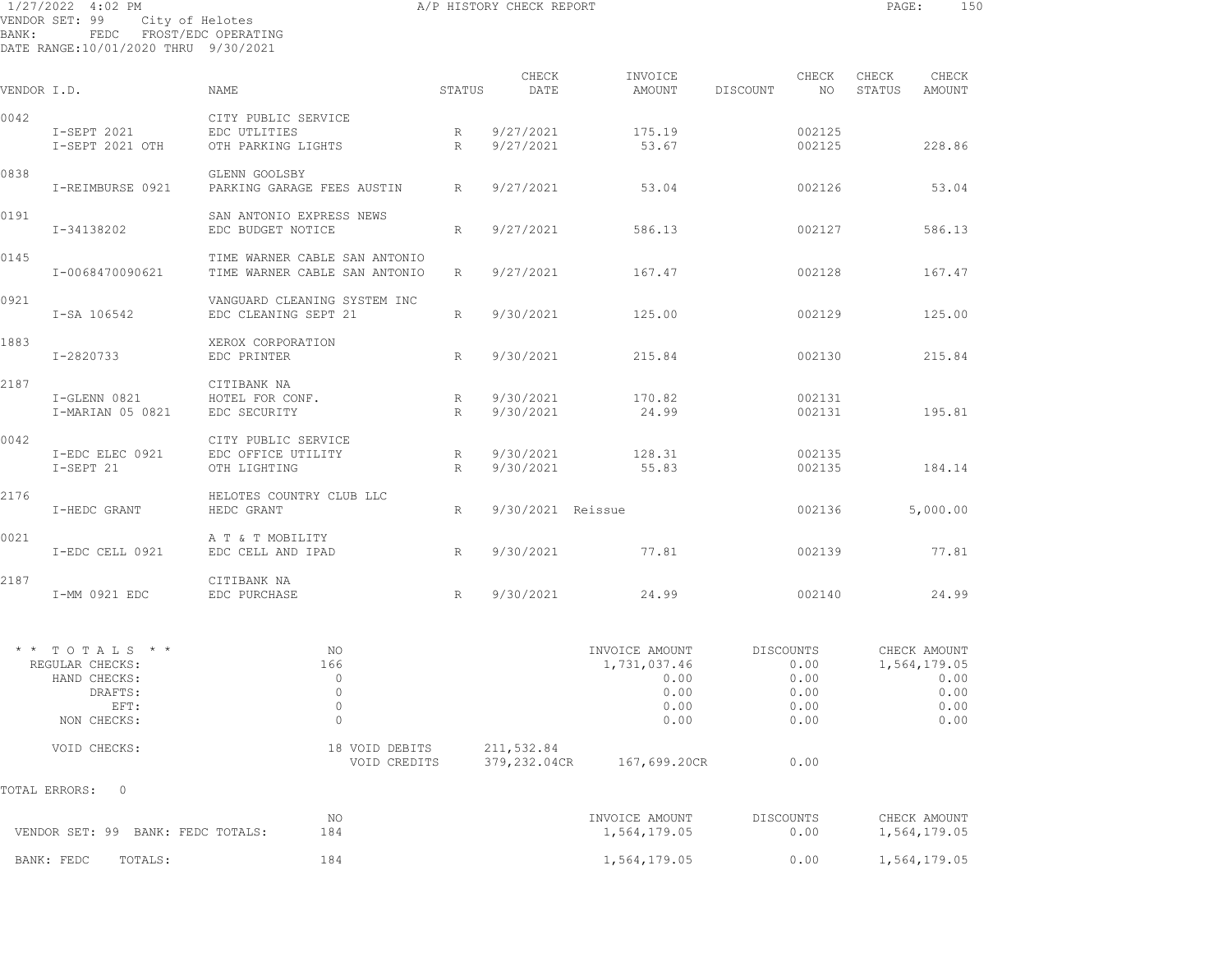| BANK:       | 1/27/2022 4:02 PM<br>VENDOR SET: 99 City of Helotes<br>FEDC FROST/EDC OPERATING<br>DATE RANGE: 10/01/2020 THRU 9/30/2021 |                                                                |        | A/P HISTORY CHECK REPORT |                   |          |                  | PAGE:           |                 | 150 |
|-------------|--------------------------------------------------------------------------------------------------------------------------|----------------------------------------------------------------|--------|--------------------------|-------------------|----------|------------------|-----------------|-----------------|-----|
| VENDOR I.D. |                                                                                                                          | <b>NAME</b>                                                    | STATUS | CHECK<br>DATE            | INVOICE<br>AMOUNT | DISCOUNT | CHECK<br>NO      | CHECK<br>STATUS | CHECK<br>AMOUNT |     |
|             |                                                                                                                          |                                                                |        |                          |                   |          |                  |                 |                 |     |
| 0042        | I-SEPT 2021<br>I-SEPT 2021 OTH                                                                                           | CITY PUBLIC SERVICE<br>EDC UTLITIES<br>OTH PARKING LIGHTS      | R<br>R | 9/27/2021<br>9/27/2021   | 175.19<br>53.67   |          | 002125<br>002125 |                 | 228.86          |     |
| 0838        | I-REIMBURSE 0921                                                                                                         | GLENN GOOLSBY<br>PARKING GARAGE FEES AUSTIN R                  |        | 9/27/2021                | 53.04             |          | 002126           |                 | 53.04           |     |
| 0191        | I-34138202                                                                                                               | SAN ANTONIO EXPRESS NEWS<br>EDC BUDGET NOTICE                  | R      | 9/27/2021                | 586.13            |          | 002127           |                 | 586.13          |     |
| 0145        | I-0068470090621                                                                                                          | TIME WARNER CABLE SAN ANTONIO<br>TIME WARNER CABLE SAN ANTONIO | R      | 9/27/2021                | 167.47            |          | 002128           |                 | 167.47          |     |
| 0921        | I-SA 106542                                                                                                              | VANGUARD CLEANING SYSTEM INC<br>EDC CLEANING SEPT 21           | R      | 9/30/2021                | 125.00            |          | 002129           |                 | 125.00          |     |
| 1883        | I-2820733                                                                                                                | XEROX CORPORATION<br>EDC PRINTER                               | R      | 9/30/2021                | 215.84            |          | 002130           |                 | 215.84          |     |
| 2187        | I-GLENN 0821<br>I-MARIAN 05 0821                                                                                         | CITIBANK NA<br>HOTEL FOR CONF.<br>EDC SECURITY                 | R<br>R | 9/30/2021<br>9/30/2021   | 170.82<br>24.99   |          | 002131<br>002131 |                 | 195.81          |     |
| 0042        | I-EDC ELEC 0921<br>I-SEPT 21                                                                                             | CITY PUBLIC SERVICE<br>EDC OFFICE UTILITY<br>OTH LIGHTING      | R<br>R | 9/30/2021<br>9/30/2021   | 128.31<br>55.83   |          | 002135<br>002135 |                 | 184.14          |     |
| 2176        | I-HEDC GRANT                                                                                                             | HELOTES COUNTRY CLUB LLC<br>HEDC GRANT                         | R      | 9/30/2021 Reissue        |                   |          | 002136           |                 | 5,000.00        |     |
| 0021        | I-EDC CELL 0921                                                                                                          | A T & T MOBILITY<br>EDC CELL AND IPAD                          | R      | 9/30/2021                | 77.81             |          | 002139           |                 | 77.81           |     |
| 2187        | I-MM 0921 EDC                                                                                                            | CITIBANK NA<br>EDC PURCHASE                                    | R      |                          | 9/30/2021 24.99   |          | 002140           |                 | 24.99           |     |
|             |                                                                                                                          |                                                                |        |                          |                   |          |                  |                 |                 |     |

| $\star$ $\star$ $\uparrow$ $\uparrow$ $\uparrow$ $\uparrow$ $\uparrow$ $\uparrow$ $\uparrow$ $\uparrow$ $\uparrow$ $\uparrow$ $\uparrow$ |              | NΟ             |            | INVOICE AMOUNT |              | DISCOUNTS | CHECK AMOUNT |
|------------------------------------------------------------------------------------------------------------------------------------------|--------------|----------------|------------|----------------|--------------|-----------|--------------|
| REGULAR CHECKS:                                                                                                                          |              | 166            |            |                | 1,731,037.46 | 0.00      | 1,564,179.05 |
|                                                                                                                                          | HAND CHECKS: |                |            |                | 0.00         | 0.00      | 0.00         |
|                                                                                                                                          | DRAFTS:      |                |            |                | 0.00         | 0.00      | 0.00         |
|                                                                                                                                          | EFT:         |                |            |                | 0.00         | 0.00      | 0.00         |
|                                                                                                                                          | NON CHECKS:  |                |            |                | 0.00         | 0.00      | 0.00         |
|                                                                                                                                          | VOID CHECKS: | 18 VOID DEBITS | 211,532.84 |                |              |           |              |
|                                                                                                                                          |              | VOID CREDITS   |            | 379,232.04CR   | 167,699.20CR | 0.00      |              |

TOTAL ERRORS: 0

| VENDOR SET: 99 BANK: FEDC TOTALS: | ΝO  | INVOICE AMOUNT | DISCOUNTS | CHECK AMOUNT |
|-----------------------------------|-----|----------------|-----------|--------------|
|                                   | 184 | 1,564,179.05   | 0.00      | 1,564,179.05 |
| BANK: FEDC<br>TOTALS:             | 184 | 1,564,179.05   | 0.00      | 1,564,179.05 |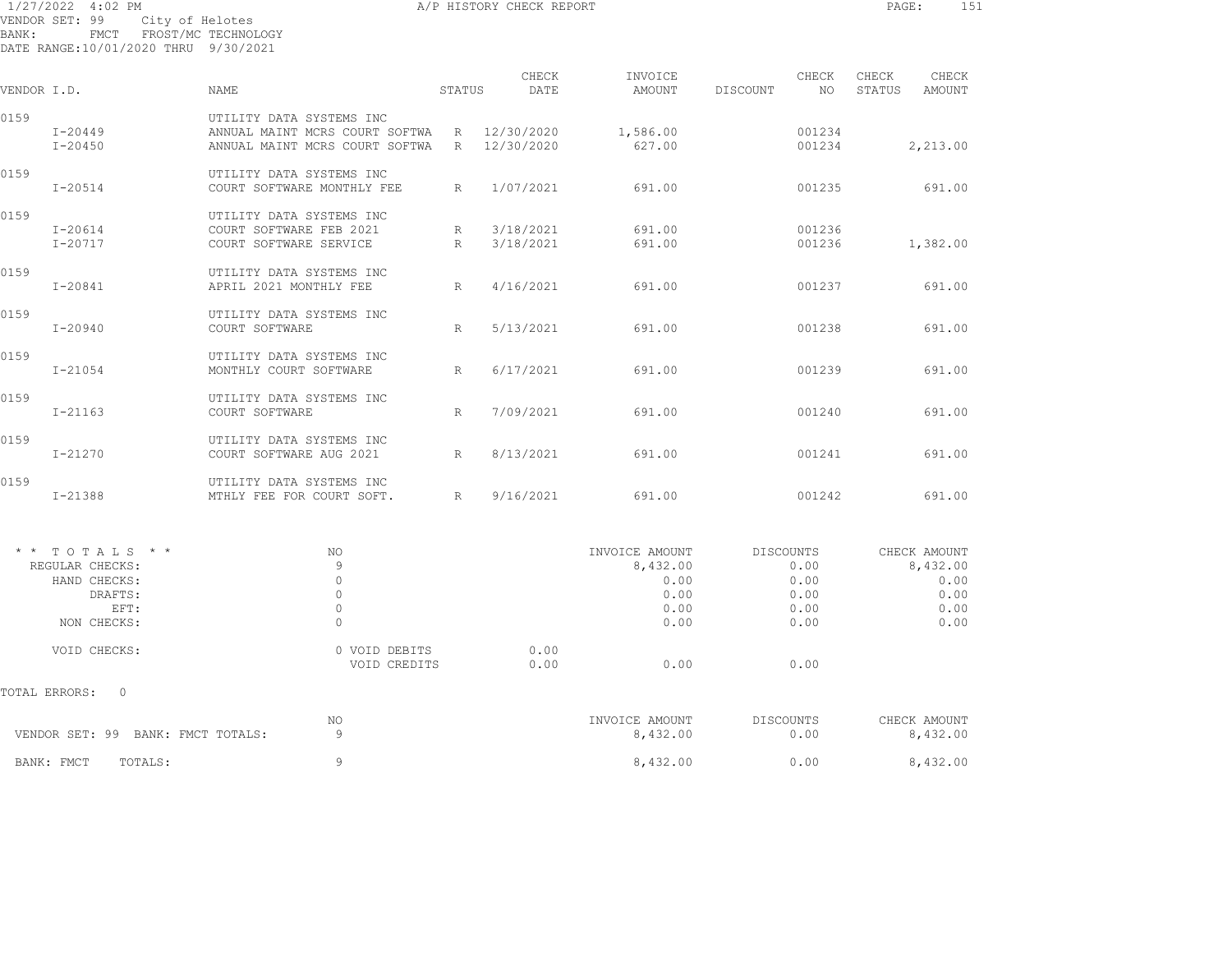1/27/2022 4:02 PM A/P HISTORY CHECK REPORT PAGE: 151 VENDOR SET: 99 City of Helotes BANK: FMCT FROST/MC TECHNOLOGY DATE RANGE:10/01/2020 THRU 9/30/2021

| VENDOR I.D. |                            | <b>NAME</b>                                                                                  | STATUS | CHECK<br>DATE            | INVOICE<br>AMOUNT  | DISCOUNT | CHECK<br>NO.     | CHECK<br>STATUS | CHECK<br>AMOUNT |
|-------------|----------------------------|----------------------------------------------------------------------------------------------|--------|--------------------------|--------------------|----------|------------------|-----------------|-----------------|
| 0159        | $I - 20449$<br>$I - 20450$ | UTILITY DATA SYSTEMS INC<br>ANNUAL MAINT MCRS COURT SOFTWA<br>ANNUAL MAINT MCRS COURT SOFTWA | R<br>R | 12/30/2020<br>12/30/2020 | 1,586.00<br>627.00 |          | 001234<br>001234 |                 | 2,213.00        |
| 0159        | $I - 20514$                | UTILITY DATA SYSTEMS INC<br>COURT SOFTWARE MONTHLY FEE                                       | R      | 1/07/2021                | 691.00             |          | 001235           |                 | 691.00          |
| 0159        | $I - 20614$<br>$I - 20717$ | UTILITY DATA SYSTEMS INC<br>COURT SOFTWARE FEB 2021<br>COURT SOFTWARE SERVICE                | R<br>R | 3/18/2021<br>3/18/2021   | 691.00<br>691.00   |          | 001236<br>001236 |                 | 1,382.00        |
| 0159        | $I - 20841$                | UTILITY DATA SYSTEMS INC<br>APRIL 2021 MONTHLY FEE                                           | R      | 4/16/2021                | 691.00             |          | 001237           |                 | 691.00          |
| 0159        | I-20940                    | UTILITY DATA SYSTEMS INC<br>COURT SOFTWARE                                                   | R      | 5/13/2021                | 691.00             |          | 001238           |                 | 691.00          |
| 0159        | $I - 21054$                | UTILITY DATA SYSTEMS INC<br>MONTHLY COURT SOFTWARE                                           | R      | 6/17/2021                | 691.00             |          | 001239           |                 | 691.00          |
| 0159        | $I - 21163$                | UTILITY DATA SYSTEMS INC<br>COURT SOFTWARE                                                   | R      | 7/09/2021                | 691.00             |          | 001240           |                 | 691.00          |
| 0159        | I-21270                    | UTILITY DATA SYSTEMS INC<br>COURT SOFTWARE AUG 2021                                          | R      | 8/13/2021                | 691.00             |          | 001241           |                 | 691.00          |
| 0159        | $I - 21388$                | UTILITY DATA SYSTEMS INC<br>MTHLY FEE FOR COURT SOFT.                                        | R      | 9/16/2021                | 691.00             |          | 001242           |                 | 691.00          |
|             |                            |                                                                                              |        |                          |                    |          |                  |                 |                 |

| $*$ * TOTALS * *                     | NO            |      | INVOICE AMOUNT | DISCOUNTS | CHECK AMOUNT |
|--------------------------------------|---------------|------|----------------|-----------|--------------|
| REGULAR CHECKS:                      | 9             |      | 8,432.00       | 0.00      | 8,432.00     |
| HAND CHECKS:                         |               |      | 0.00           | 0.00      | 0.00         |
| DRAFTS:                              |               |      | 0.00           | 0.00      | 0.00         |
| EFT:                                 |               |      | 0.00           | 0.00      | 0.00         |
| NON CHECKS:                          | $\circ$       |      | 0.00           | 0.00      | 0.00         |
| VOID CHECKS:                         | 0 VOID DEBITS | 0.00 |                |           |              |
|                                      | VOID CREDITS  | 0.00 | 0.00           | 0.00      |              |
| TOTAL ERRORS:<br>$\circ$             |               |      |                |           |              |
|                                      | NO            |      | INVOICE AMOUNT | DISCOUNTS | CHECK AMOUNT |
| VENDOR SET: 99<br>BANK: FMCT TOTALS: | 9             |      | 8,432.00       | 0.00      | 8,432.00     |
| TOTALS:<br>BANK: FMCT                | 9             |      | 8,432.00       | 0.00      | 8,432.00     |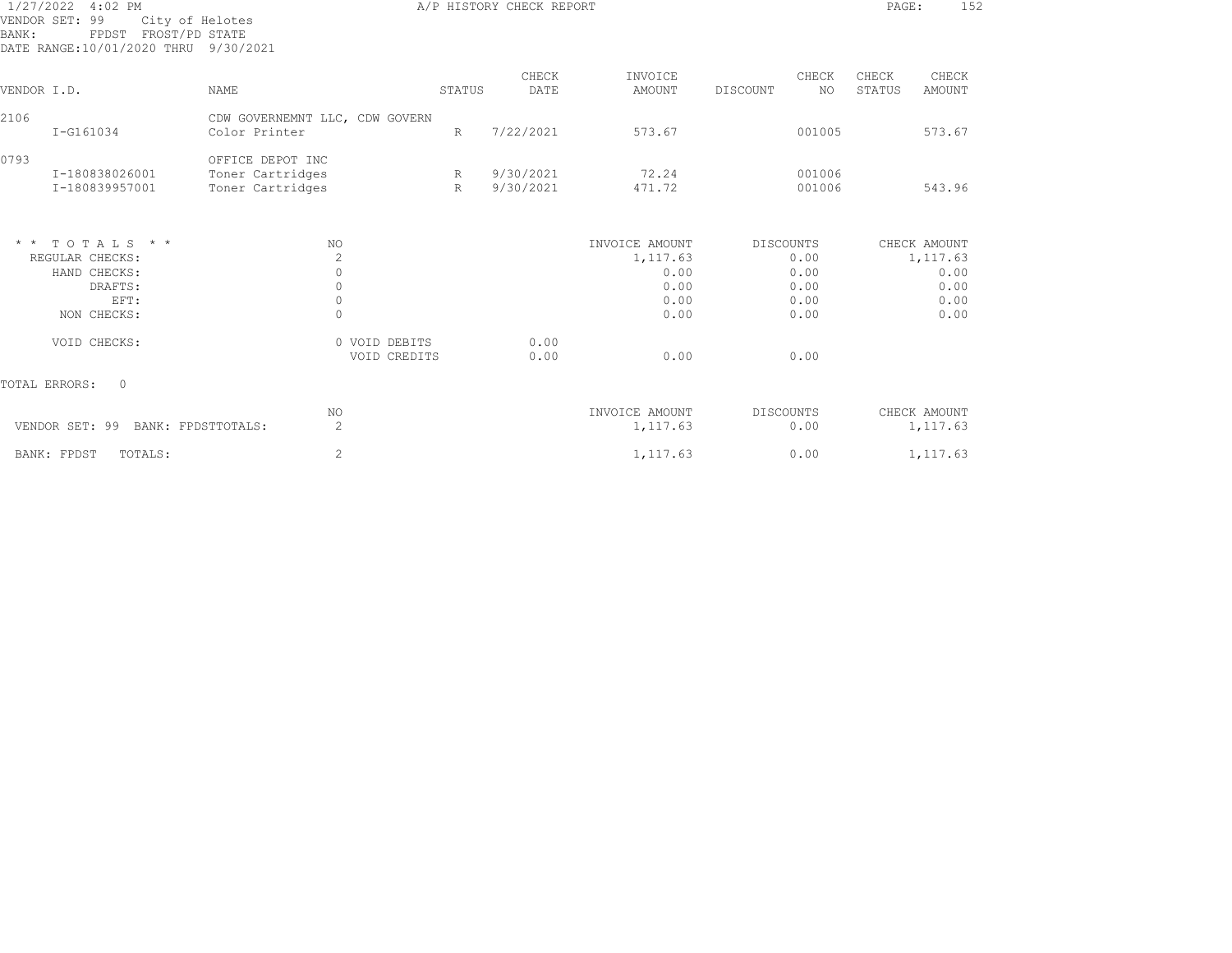| 1/27/2022 4:02 PM<br>VENDOR SET: 99<br>FPDST FROST/PD STATE<br>BANK:<br>DATE RANGE:10/01/2020 THRU 9/30/2021 | City of Helotes                                          |        | A/P HISTORY CHECK REPORT |                            |                         | 152<br>PAGE:                       |
|--------------------------------------------------------------------------------------------------------------|----------------------------------------------------------|--------|--------------------------|----------------------------|-------------------------|------------------------------------|
| VENDOR I.D.                                                                                                  | <b>NAME</b>                                              | STATUS | CHECK<br>DATE            | INVOICE<br>AMOUNT          | CHECK<br>NO<br>DISCOUNT | CHECK<br>CHECK<br>STATUS<br>AMOUNT |
| 2106<br>I-G161034                                                                                            | CDW GOVERNEMNT LLC, CDW GOVERN<br>Color Printer          | R      | 7/22/2021                | 573.67                     | 001005                  | 573.67                             |
|                                                                                                              |                                                          |        |                          |                            |                         |                                    |
| 0793<br>I-180838026001<br>I-180839957001                                                                     | OFFICE DEPOT INC<br>Toner Cartridges<br>Toner Cartridges | R<br>R | 9/30/2021<br>9/30/2021   | 72.24<br>471.72            | 001006<br>001006        | 543.96                             |
| $*$ * TOTALS * *                                                                                             | NO                                                       |        |                          | INVOICE AMOUNT             | DISCOUNTS               | CHECK AMOUNT                       |
| REGULAR CHECKS:<br>HAND CHECKS:                                                                              | $\sqrt{2}$<br>$\circ$                                    |        |                          | 1,117.63<br>0.00           | 0.00<br>0.00            | 1,117.63<br>0.00                   |
| DRAFTS:<br>EFT:<br>NON CHECKS:                                                                               | $\mathbb O$<br>$\circ$<br>$\Omega$                       |        |                          | 0.00<br>0.00<br>0.00       | 0.00<br>0.00<br>0.00    | 0.00<br>0.00<br>0.00               |
| VOID CHECKS:                                                                                                 | 0 VOID DEBITS<br>VOID CREDITS                            |        | 0.00<br>0.00             | 0.00                       | 0.00                    |                                    |
| TOTAL ERRORS:<br>$\bigcirc$                                                                                  |                                                          |        |                          |                            |                         |                                    |
| VENDOR SET: 99 BANK: FPDSTTOTALS:                                                                            | NO<br>2                                                  |        |                          | INVOICE AMOUNT<br>1,117.63 | DISCOUNTS<br>0.00       | CHECK AMOUNT<br>1,117.63           |
| BANK: FPDST<br>TOTALS:                                                                                       | $\overline{c}$                                           |        |                          | 1,117.63                   | 0.00                    | 1,117.63                           |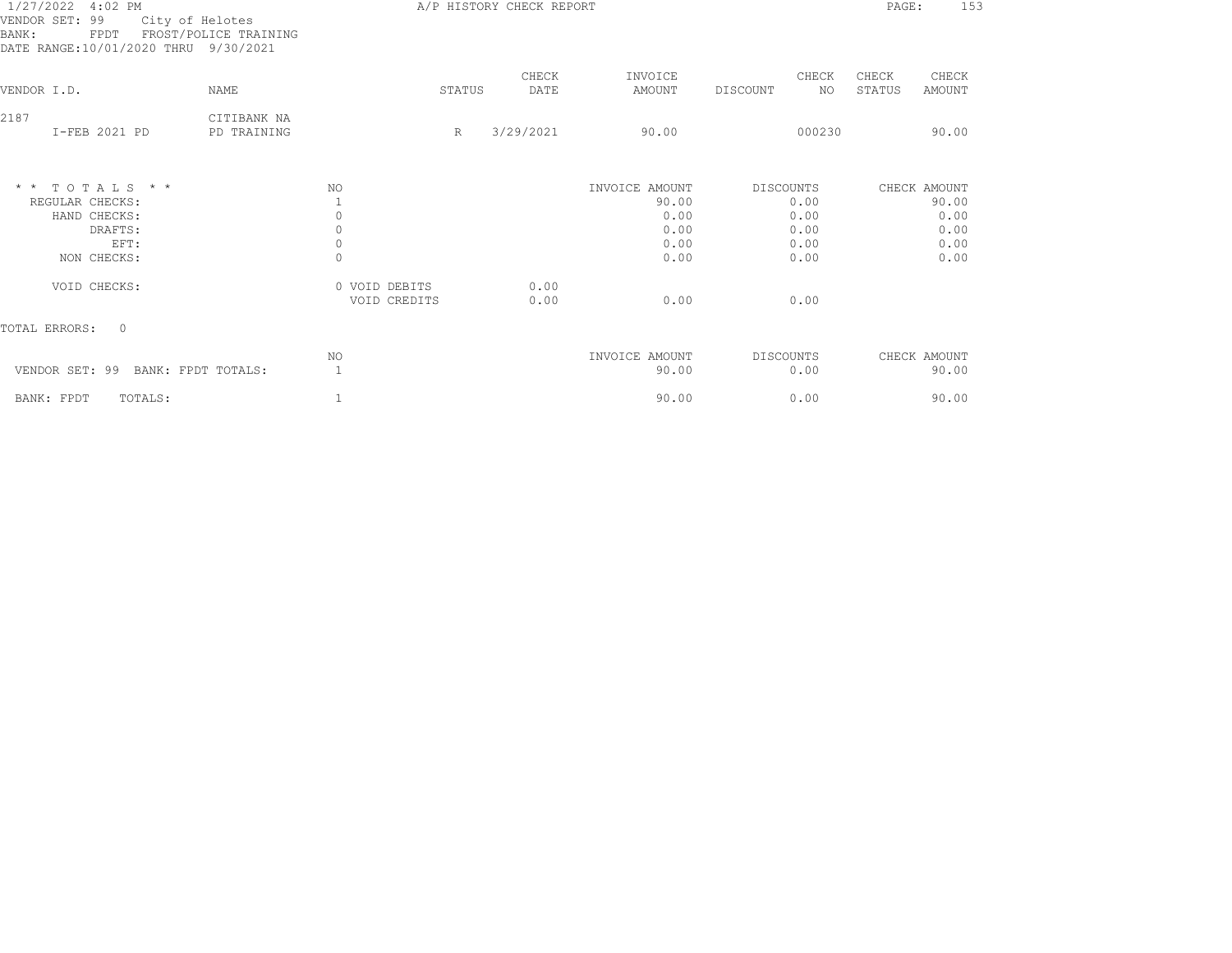| 1/27/2022 4:02 PM<br>VENDOR SET: 99<br>City of Helotes<br>FROST/POLICE TRAINING<br>BANK:<br>FPDT<br>DATE RANGE:10/01/2020 THRU 9/30/2021 | A/P HISTORY CHECK REPORT   |                                           |        |               |                                                 |           | PAGE:                        | 153             |                                               |  |
|------------------------------------------------------------------------------------------------------------------------------------------|----------------------------|-------------------------------------------|--------|---------------|-------------------------------------------------|-----------|------------------------------|-----------------|-----------------------------------------------|--|
| VENDOR I.D.                                                                                                                              | NAME                       |                                           | STATUS | CHECK<br>DATE | INVOICE<br>AMOUNT                               | DISCOUNT  | CHECK<br>NO.                 | CHECK<br>STATUS | CHECK<br>AMOUNT                               |  |
| 2187<br>I-FEB 2021 PD                                                                                                                    | CITIBANK NA<br>PD TRAINING |                                           | R      | 3/29/2021     | 90.00                                           |           | 000230                       |                 | 90.00                                         |  |
| $*$ * TOTALS * *<br>REGULAR CHECKS:<br>HAND CHECKS:<br>DRAFTS:<br>EFT:                                                                   |                            | NO<br>$\circ$<br>$\circ$<br>$\circ$       |        |               | INVOICE AMOUNT<br>90.00<br>0.00<br>0.00<br>0.00 | DISCOUNTS | 0.00<br>0.00<br>0.00<br>0.00 |                 | CHECK AMOUNT<br>90.00<br>0.00<br>0.00<br>0.00 |  |
| NON CHECKS:<br>VOID CHECKS:                                                                                                              |                            | $\Omega$<br>0 VOID DEBITS<br>VOID CREDITS |        | 0.00<br>0.00  | 0.00<br>0.00                                    |           | 0.00<br>0.00                 |                 | 0.00                                          |  |
| TOTAL ERRORS:<br>$\circ$                                                                                                                 |                            |                                           |        |               |                                                 |           |                              |                 |                                               |  |
| VENDOR SET: 99<br>BANK: FPDT TOTALS:                                                                                                     |                            | NO.                                       |        |               | INVOICE AMOUNT<br>90.00                         | DISCOUNTS | 0.00                         |                 | CHECK AMOUNT<br>90.00                         |  |
| BANK: FPDT<br>TOTALS:                                                                                                                    |                            |                                           |        |               | 90.00                                           |           | 0.00                         |                 | 90.00                                         |  |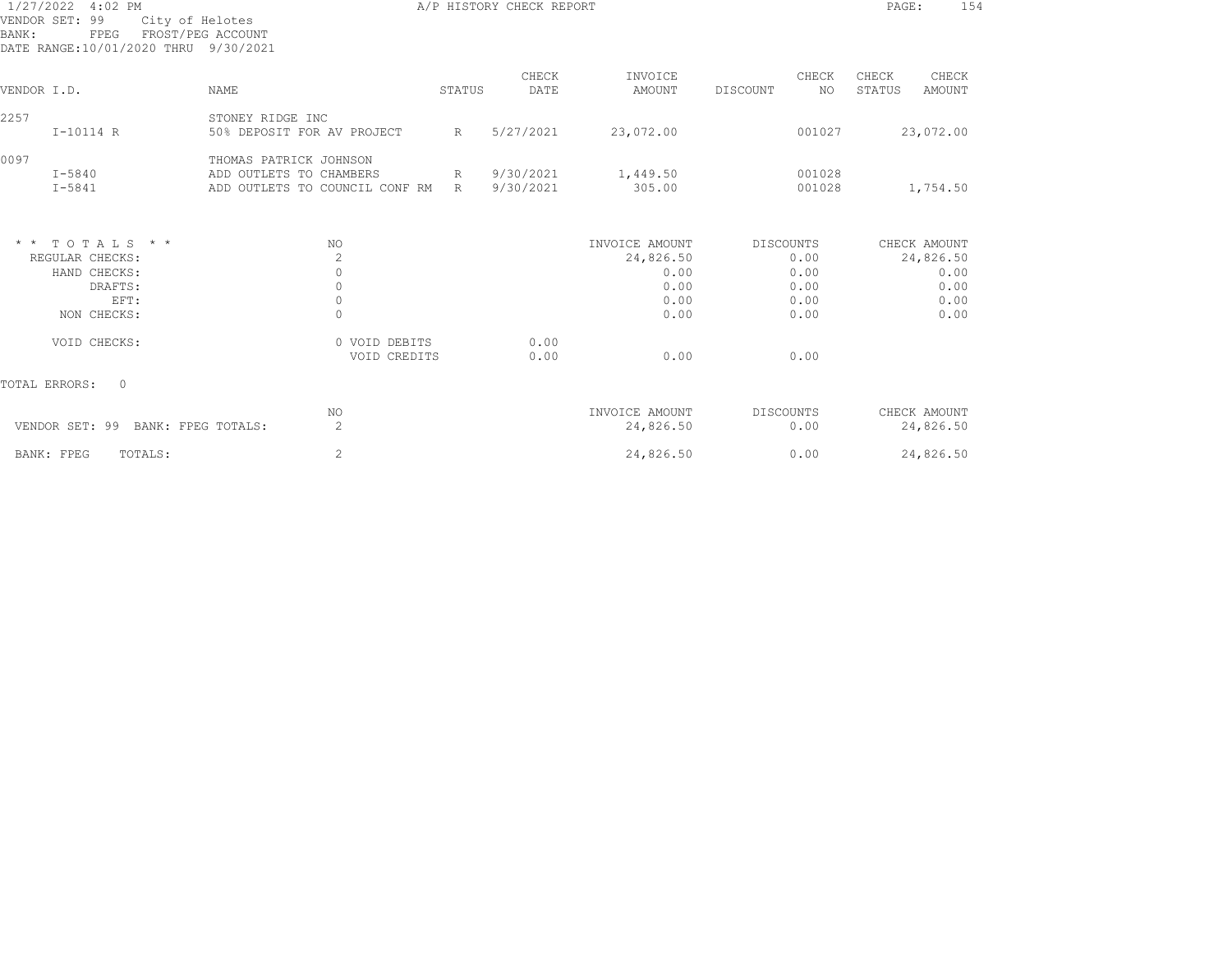| 1/27/2022 4:02 PM<br>VENDOR SET: 99<br>City of Helotes<br>FROST/PEG ACCOUNT<br>BANK:<br>FPEG<br>DATE RANGE:10/01/2020 THRU 9/30/2021 |                                | A/P HISTORY CHECK REPORT |           |                |                  |                  |  |  |
|--------------------------------------------------------------------------------------------------------------------------------------|--------------------------------|--------------------------|-----------|----------------|------------------|------------------|--|--|
|                                                                                                                                      |                                |                          | CHECK     | INVOICE        | CHECK            | CHECK<br>CHECK   |  |  |
| VENDOR I.D.                                                                                                                          | <b>NAME</b>                    | STATUS                   | DATE      | AMOUNT         | DISCOUNT<br>NO.  | STATUS<br>AMOUNT |  |  |
| 2257                                                                                                                                 | STONEY RIDGE INC               |                          |           |                |                  |                  |  |  |
| I-10114 R                                                                                                                            | 50% DEPOSIT FOR AV PROJECT     | $R_{\parallel}$          | 5/27/2021 | 23,072.00      | 001027           | 23,072.00        |  |  |
| 0097                                                                                                                                 | THOMAS PATRICK JOHNSON         |                          |           |                |                  |                  |  |  |
| I-5840                                                                                                                               | ADD OUTLETS TO CHAMBERS        | R                        | 9/30/2021 | 1,449.50       | 001028           |                  |  |  |
| $I - 5841$                                                                                                                           | ADD OUTLETS TO COUNCIL CONF RM | R                        | 9/30/2021 | 305.00         | 001028           | 1,754.50         |  |  |
| $*$ * TOTALS * *                                                                                                                     | NO.                            |                          |           | INVOICE AMOUNT | <b>DISCOUNTS</b> | CHECK AMOUNT     |  |  |
| REGULAR CHECKS:                                                                                                                      | $\mathbf{2}$                   |                          |           | 24,826.50      | 0.00             | 24,826.50        |  |  |
| HAND CHECKS:                                                                                                                         | $\circ$                        |                          |           | 0.00           | 0.00             | 0.00             |  |  |
| DRAFTS:                                                                                                                              | $\circ$                        |                          |           | 0.00           | 0.00             | 0.00             |  |  |
| EFT:                                                                                                                                 | $\circ$                        |                          |           | 0.00           | 0.00             | 0.00             |  |  |
| NON CHECKS:                                                                                                                          | $\Omega$                       |                          |           | 0.00           | 0.00             | 0.00             |  |  |
| VOID CHECKS:                                                                                                                         | 0 VOID DEBITS                  |                          | 0.00      |                |                  |                  |  |  |
|                                                                                                                                      | VOID CREDITS                   |                          | 0.00      | 0.00           | 0.00             |                  |  |  |
| TOTAL ERRORS:<br>$\circ$                                                                                                             |                                |                          |           |                |                  |                  |  |  |
|                                                                                                                                      | NO.                            |                          |           | INVOICE AMOUNT | <b>DISCOUNTS</b> | CHECK AMOUNT     |  |  |
| VENDOR SET: 99<br>BANK: FPEG TOTALS:                                                                                                 | 2                              |                          |           | 24,826.50      | 0.00             | 24,826.50        |  |  |
| BANK: FPEG<br>TOTALS:                                                                                                                | $\mathbf{2}$                   |                          |           | 24,826.50      | 0.00             | 24,826.50        |  |  |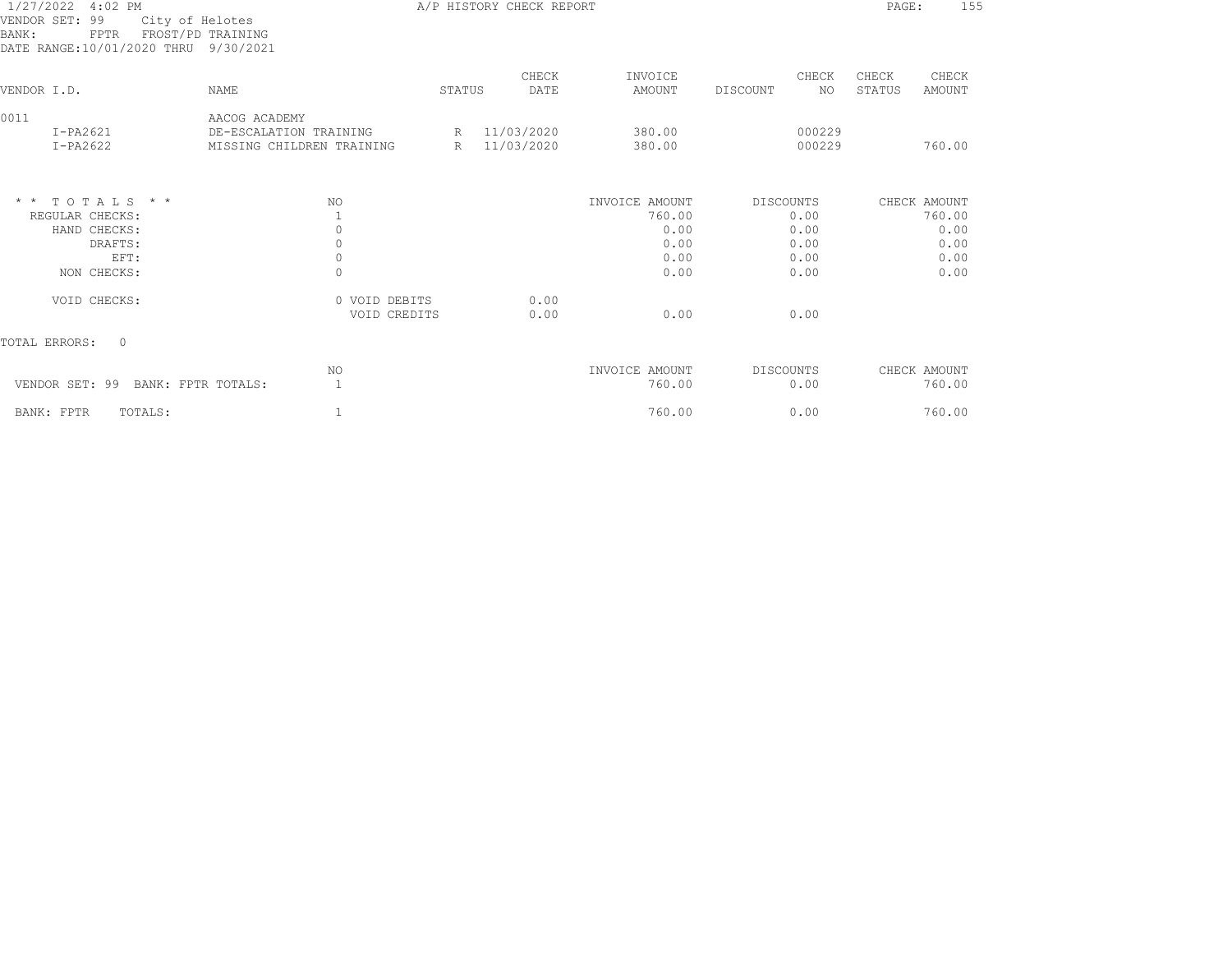| 1/27/2022 4:02 PM<br>VENDOR SET: 99<br>City of Helotes<br>FROST/PD TRAINING<br>BANK:<br><b>FPTR</b><br>DATE RANGE:10/01/2020 THRU 9/30/2021 |                                                                      |             | A/P HISTORY CHECK REPORT   |                                                          |                                                   | PAGE:           | 155                                                    |
|---------------------------------------------------------------------------------------------------------------------------------------------|----------------------------------------------------------------------|-------------|----------------------------|----------------------------------------------------------|---------------------------------------------------|-----------------|--------------------------------------------------------|
| VENDOR I.D.                                                                                                                                 | NAME                                                                 | STATUS      | CHECK<br>DATE              | INVOICE<br>AMOUNT                                        | CHECK<br>DISCOUNT<br>NO.                          | CHECK<br>STATUS | CHECK<br>AMOUNT                                        |
| 0011<br>$I-PA2621$<br>$I-PA2622$                                                                                                            | AACOG ACADEMY<br>DE-ESCALATION TRAINING<br>MISSING CHILDREN TRAINING | $R_{\perp}$ | R 11/03/2020<br>11/03/2020 | 380.00<br>380.00                                         | 000229<br>000229                                  |                 | 760.00                                                 |
| TOTALS * *<br>$\star$ $\star$<br>REGULAR CHECKS:<br>HAND CHECKS:<br>DRAFTS:<br>EFT:<br>NON CHECKS:                                          | NO.<br>1<br>$\circ$<br>$\circ$<br>$\circ$<br>$\Omega$                |             |                            | INVOICE AMOUNT<br>760.00<br>0.00<br>0.00<br>0.00<br>0.00 | DISCOUNTS<br>0.00<br>0.00<br>0.00<br>0.00<br>0.00 |                 | CHECK AMOUNT<br>760.00<br>0.00<br>0.00<br>0.00<br>0.00 |
| VOID CHECKS:                                                                                                                                | 0 VOID DEBITS<br>VOID CREDITS                                        |             | 0.00<br>0.00               | 0.00                                                     | 0.00                                              |                 |                                                        |
| TOTAL ERRORS:<br>$\circ$                                                                                                                    |                                                                      |             |                            |                                                          |                                                   |                 |                                                        |
| VENDOR SET: 99<br>BANK: FPTR TOTALS:                                                                                                        | NO<br>$\mathbf{1}$                                                   |             |                            | INVOICE AMOUNT<br>760.00                                 | DISCOUNTS<br>0.00                                 |                 | CHECK AMOUNT<br>760.00                                 |
| BANK: FPTR<br>TOTALS:                                                                                                                       | $\mathbf{1}$                                                         |             |                            | 760.00                                                   | 0.00                                              |                 | 760.00                                                 |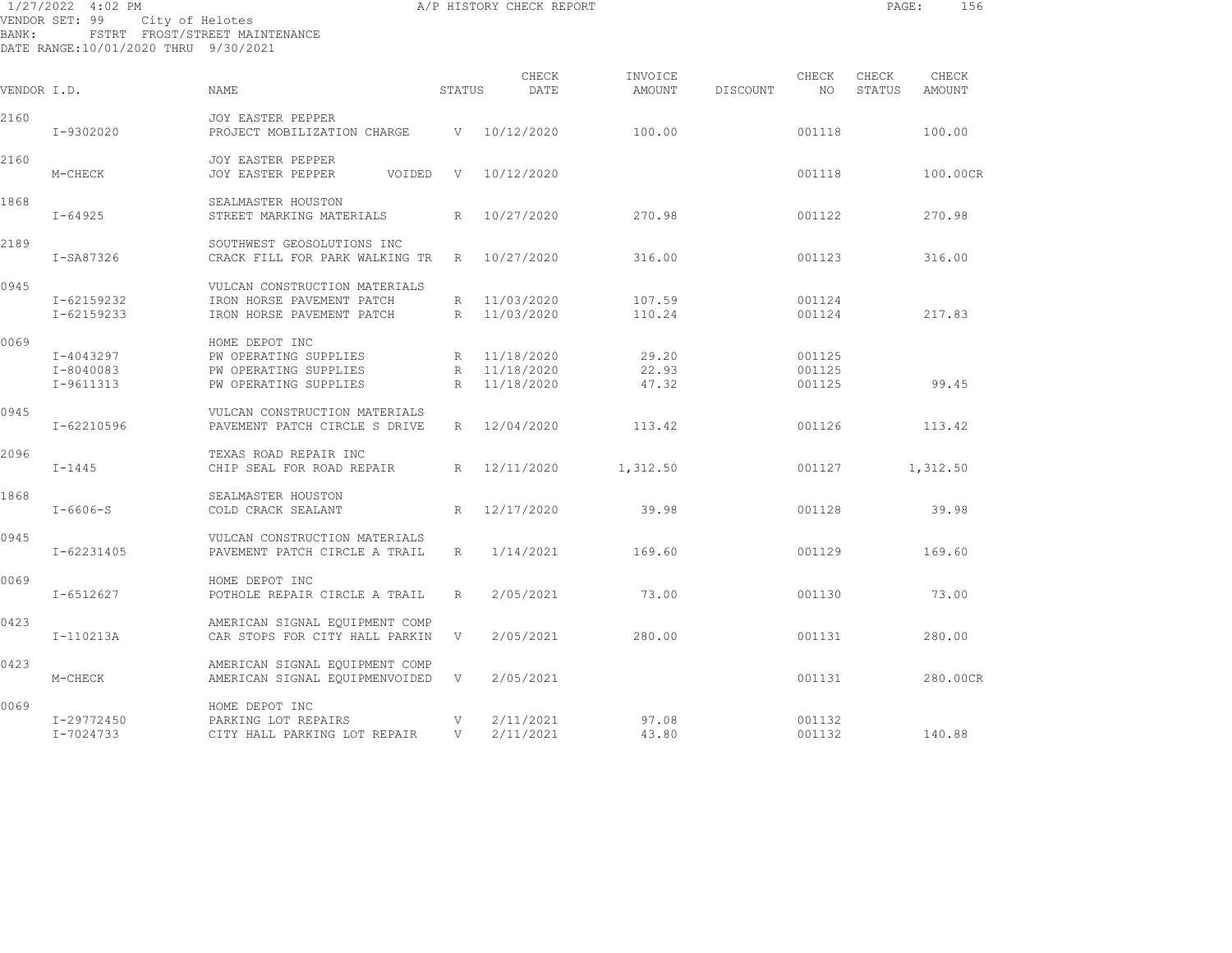| BANK:       | 1/27/2022 4:02 PM<br>VENDOR SET: 99<br>DATE RANGE:10/01/2020 THRU 9/30/2021 | City of Helotes<br>FSTRT FROST/STREET MAINTENANCE                                         |                 | A/P HISTORY CHECK REPORT                     |                         |          |                            | PAGE:           | 156             |  |
|-------------|-----------------------------------------------------------------------------|-------------------------------------------------------------------------------------------|-----------------|----------------------------------------------|-------------------------|----------|----------------------------|-----------------|-----------------|--|
| VENDOR I.D. |                                                                             | <b>NAME</b>                                                                               | STATUS          | CHECK<br>DATE                                | INVOICE<br>AMOUNT       | DISCOUNT | CHECK<br>NO.               | CHECK<br>STATUS | CHECK<br>AMOUNT |  |
| 2160        | I-9302020                                                                   | <b>JOY EASTER PEPPER</b><br>PROJECT MOBILIZATION CHARGE                                   |                 | V 10/12/2020                                 | 100.00                  |          | 001118                     |                 | 100.00          |  |
| 2160        | M-CHECK                                                                     | JOY EASTER PEPPER<br>JOY EASTER PEPPER<br>VOIDED                                          | - V             | 10/12/2020                                   |                         |          | 001118                     |                 | 100.00CR        |  |
| 1868        | $I - 64925$                                                                 | SEALMASTER HOUSTON<br>STREET MARKING MATERIALS                                            | $R_{\parallel}$ | 10/27/2020                                   | 270.98                  |          | 001122                     |                 | 270.98          |  |
| 2189        | I-SA87326                                                                   | SOUTHWEST GEOSOLUTIONS INC<br>CRACK FILL FOR PARK WALKING TR                              | $R_{\perp}$     | 10/27/2020                                   | 316.00                  |          | 001123                     |                 | 316.00          |  |
| 0945        | I-62159232<br>I-62159233                                                    | VULCAN CONSTRUCTION MATERIALS<br>IRON HORSE PAVEMENT PATCH<br>IRON HORSE PAVEMENT PATCH   |                 | R 11/03/2020<br>R 11/03/2020                 | 107.59<br>110.24        |          | 001124<br>001124           |                 | 217.83          |  |
| 0069        | I-4043297<br>I-8040083<br>I-9611313                                         | HOME DEPOT INC<br>PW OPERATING SUPPLIES<br>PW OPERATING SUPPLIES<br>PW OPERATING SUPPLIES |                 | R 11/18/2020<br>R 11/18/2020<br>R 11/18/2020 | 29.20<br>22.93<br>47.32 |          | 001125<br>001125<br>001125 |                 | 99.45           |  |
| 0945        | I-62210596                                                                  | VULCAN CONSTRUCTION MATERIALS<br>PAVEMENT PATCH CIRCLE S DRIVE                            |                 | R 12/04/2020                                 | 113.42                  |          | 001126                     |                 | 113.42          |  |
| 2096        | $I - 1445$                                                                  | TEXAS ROAD REPAIR INC<br>CHIP SEAL FOR ROAD REPAIR                                        |                 | R 12/11/2020                                 | 1,312.50                |          | 001127                     |                 | 1,312.50        |  |
| 1868        | $I - 6606 - S$                                                              | SEALMASTER HOUSTON<br>COLD CRACK SEALANT                                                  | R               | 12/17/2020                                   | 39.98                   |          | 001128                     |                 | 39.98           |  |
| 0945        | I-62231405                                                                  | VULCAN CONSTRUCTION MATERIALS<br>PAVEMENT PATCH CIRCLE A TRAIL                            | R               | 1/14/2021                                    | 169.60                  |          | 001129                     |                 | 169.60          |  |
| 0069        | $I - 6512627$                                                               | HOME DEPOT INC<br>POTHOLE REPAIR CIRCLE A TRAIL                                           | R               | 2/05/2021                                    | 73.00                   |          | 001130                     |                 | 73.00           |  |
| 0423        | I-110213A                                                                   | AMERICAN SIGNAL EQUIPMENT COMP<br>CAR STOPS FOR CITY HALL PARKIN                          | V               | 2/05/2021                                    | 280.00                  |          | 001131                     |                 | 280.00          |  |
| 0423        | M-CHECK                                                                     | AMERICAN SIGNAL EQUIPMENT COMP<br>AMERICAN SIGNAL EQUIPMENVOIDED                          | V               | 2/05/2021                                    |                         |          | 001131                     |                 | 280.00CR        |  |
| 0069        | I-29772450                                                                  | HOME DEPOT INC<br>PARKING LOT REPAIRS                                                     | V               | 2/11/2021                                    | 97.08                   |          | 001132                     |                 |                 |  |

I-7024733 CITY HALL PARKING LOT REPAIR V 2/11/2021 43.80 001132 140.88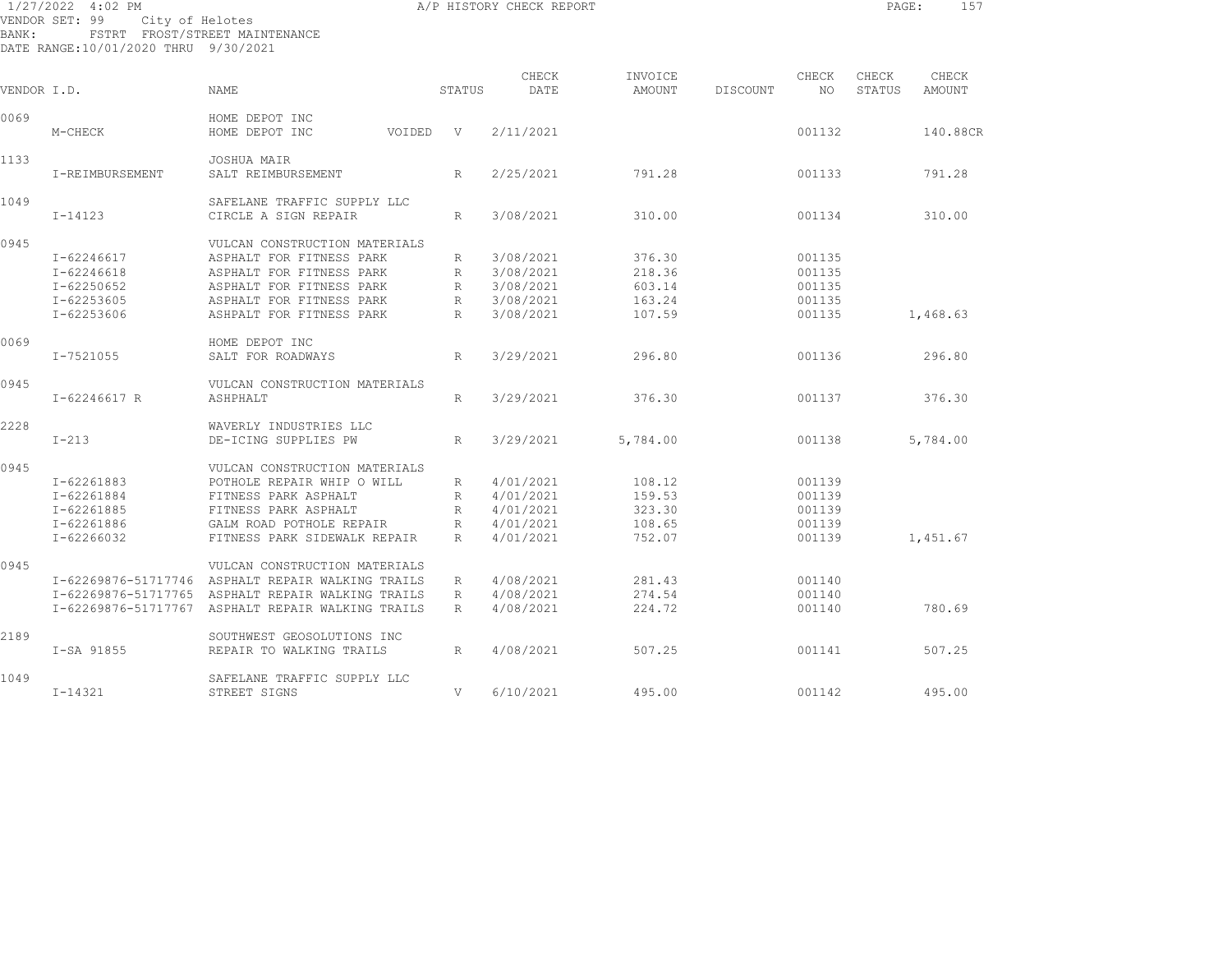| BANK:       | 1/27/2022 4:02 PM<br>VENDOR SET: 99<br>City of Helotes<br>DATE RANGE:10/01/2020 THRU 9/30/2021 | FSTRT FROST/STREET MAINTENANCE                       |              | A/P HISTORY CHECK REPORT |                   |          |                  | PAGE:           | 157             |
|-------------|------------------------------------------------------------------------------------------------|------------------------------------------------------|--------------|--------------------------|-------------------|----------|------------------|-----------------|-----------------|
| VENDOR I.D. |                                                                                                | NAME                                                 | STATUS       | CHECK<br>DATE            | INVOICE<br>AMOUNT | DISCOUNT | CHECK<br>NO      | CHECK<br>STATUS | CHECK<br>AMOUNT |
|             |                                                                                                |                                                      |              |                          |                   |          |                  |                 |                 |
| 0069        | M-CHECK                                                                                        | HOME DEPOT INC<br>HOME DEPOT INC<br>VOIDED           | $\mathbf{V}$ | 2/11/2021                |                   |          | 001132           |                 | 140.88CR        |
| 1133        | I-REIMBURSEMENT                                                                                | JOSHUA MAIR<br>SALT REIMBURSEMENT                    | R            | 2/25/2021                | 791.28            |          | 001133           |                 | 791.28          |
| 1049        | $I - 14123$                                                                                    | SAFELANE TRAFFIC SUPPLY LLC<br>CIRCLE A SIGN REPAIR  | R            | 3/08/2021                | 310.00            |          | 001134           |                 | 310.00          |
| 0945        |                                                                                                | VULCAN CONSTRUCTION MATERIALS                        |              |                          |                   |          |                  |                 |                 |
|             | $I - 62246617$                                                                                 | ASPHALT FOR FITNESS PARK                             | R            | 3/08/2021                | 376.30            |          | 001135           |                 |                 |
|             | $I - 62246618$                                                                                 | ASPHALT FOR FITNESS PARK                             | $\mathbb{R}$ | 3/08/2021                | 218.36            |          | 001135           |                 |                 |
|             | $I - 62250652$                                                                                 | ASPHALT FOR FITNESS PARK                             | R            | 3/08/2021                | 603.14            |          | 001135           |                 |                 |
|             | I-62253605<br>I-62253606                                                                       | ASPHALT FOR FITNESS PARK<br>ASHPALT FOR FITNESS PARK | R<br>R       | 3/08/2021<br>3/08/2021   | 163.24<br>107.59  |          | 001135<br>001135 |                 | 1,468.63        |
| 0069        |                                                                                                | HOME DEPOT INC                                       |              |                          |                   |          |                  |                 |                 |
|             | I-7521055                                                                                      | SALT FOR ROADWAYS                                    | $\mathbb{R}$ | 3/29/2021                | 296.80            |          | 001136           |                 | 296.80          |
| 0945        |                                                                                                | VULCAN CONSTRUCTION MATERIALS                        |              |                          |                   |          |                  |                 |                 |
|             | I-62246617 R                                                                                   | ASHPHALT                                             | $\mathbb{R}$ | 3/29/2021                | 376.30            |          | 001137           |                 | 376.30          |
| 2228        |                                                                                                | WAVERLY INDUSTRIES LLC                               |              |                          |                   |          |                  |                 |                 |
|             | $I-213$                                                                                        | DE-ICING SUPPLIES PW                                 | R            | 3/29/2021                | 5,784.00          |          | 001138           |                 | 5,784.00        |
| 0945        |                                                                                                | VULCAN CONSTRUCTION MATERIALS                        |              |                          |                   |          |                  |                 |                 |
|             | I-62261883                                                                                     | POTHOLE REPAIR WHIP O WILL                           | R            | 4/01/2021                | 108.12            |          | 001139           |                 |                 |
|             | I-62261884                                                                                     | FITNESS PARK ASPHALT                                 | R            | 4/01/2021                | 159.53            |          | 001139           |                 |                 |
|             | I-62261885                                                                                     | FITNESS PARK ASPHALT                                 | R            | 4/01/2021                | 323.30            |          | 001139           |                 |                 |
|             | I-62261886                                                                                     | GALM ROAD POTHOLE REPAIR                             | R            | 4/01/2021                | 108.65            |          | 001139           |                 |                 |
|             | I-62266032                                                                                     | FITNESS PARK SIDEWALK REPAIR                         | R            | 4/01/2021                | 752.07            |          | 001139           |                 | 1,451.67        |
| 0945        |                                                                                                | VULCAN CONSTRUCTION MATERIALS                        |              |                          |                   |          |                  |                 |                 |
|             |                                                                                                | I-62269876-51717746 ASPHALT REPAIR WALKING TRAILS    | R            | 4/08/2021                | 281.43            |          | 001140           |                 |                 |
|             |                                                                                                | I-62269876-51717765 ASPHALT REPAIR WALKING TRAILS    | R            | 4/08/2021                | 274.54            |          | 001140           |                 |                 |
|             |                                                                                                | I-62269876-51717767 ASPHALT REPAIR WALKING TRAILS    | R            | 4/08/2021                | 224.72            |          | 001140           |                 | 780.69          |
| 2189        |                                                                                                | SOUTHWEST GEOSOLUTIONS INC                           |              |                          |                   |          |                  |                 |                 |
|             | I-SA 91855                                                                                     | REPAIR TO WALKING TRAILS                             | R            | 4/08/2021                | 507.25            |          | 001141           |                 | 507.25          |
| 1049        |                                                                                                | SAFELANE TRAFFIC SUPPLY LLC                          |              |                          |                   |          |                  |                 |                 |
|             | I-14321                                                                                        | STREET SIGNS                                         | V            | 6/10/2021                | 495.00            |          | 001142           |                 | 495.00          |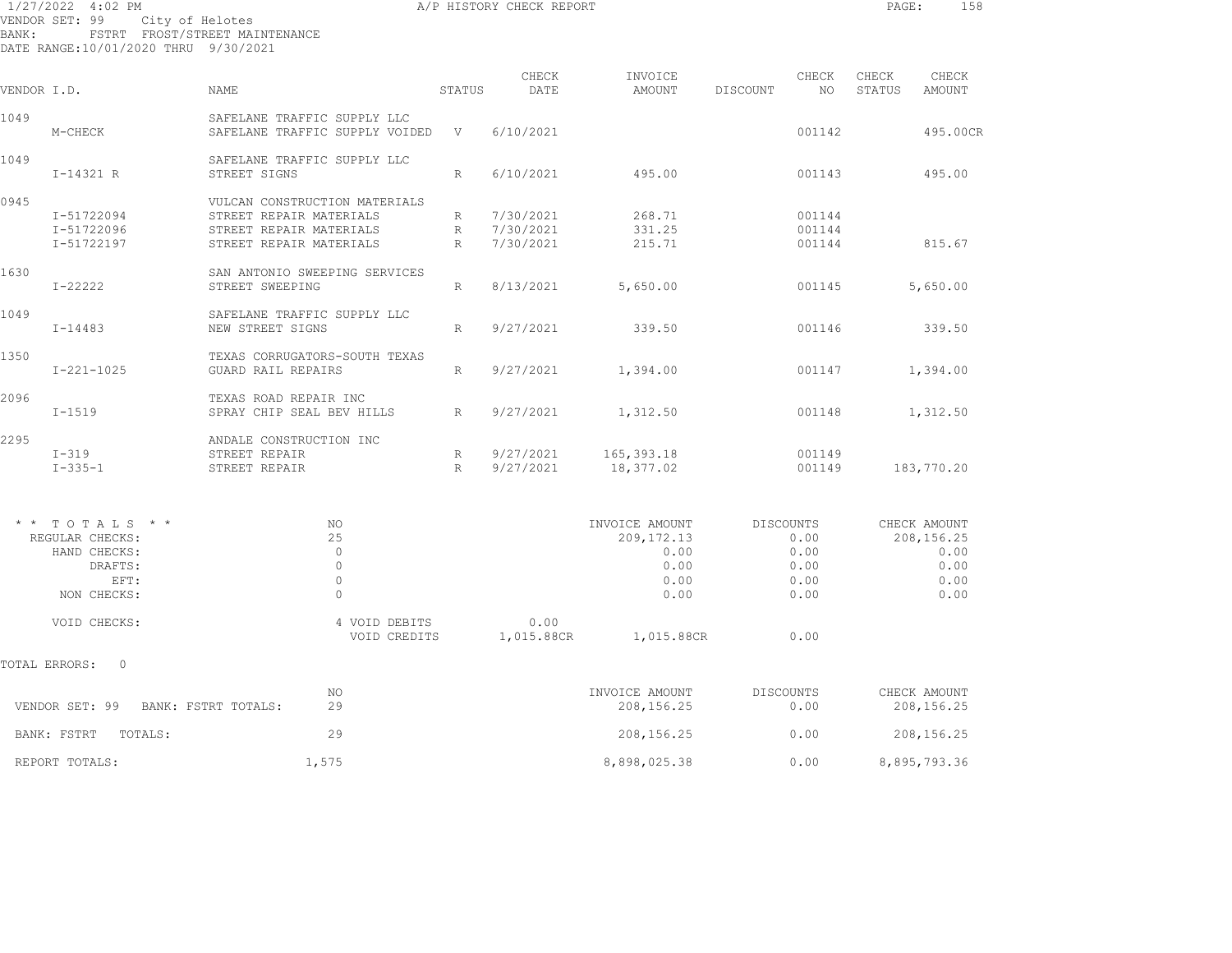| BANK:       | 1/27/2022 4:02 PM<br>VENDOR SET: 99 City of Helotes<br>DATE RANGE:10/01/2020 THRU 9/30/2021 | FSTRT FROST/STREET MAINTENANCE                                                                                 |                 | A/P HISTORY CHECK REPORT                |                                                                |                                                   | PAGE:           | 158                                                        |
|-------------|---------------------------------------------------------------------------------------------|----------------------------------------------------------------------------------------------------------------|-----------------|-----------------------------------------|----------------------------------------------------------------|---------------------------------------------------|-----------------|------------------------------------------------------------|
| VENDOR I.D. |                                                                                             | NAME                                                                                                           | STATUS          | CHECK<br>DATE                           | INVOICE<br>AMOUNT                                              | CHECK<br>DISCOUNT<br>NO                           | CHECK<br>STATUS | CHECK<br>AMOUNT                                            |
| 1049        | M-CHECK                                                                                     | SAFELANE TRAFFIC SUPPLY LLC<br>SAFELANE TRAFFIC SUPPLY VOIDED V                                                |                 | 6/10/2021                               |                                                                | 001142                                            |                 | 495.00CR                                                   |
| 1049        | $I-14321 R$                                                                                 | SAFELANE TRAFFIC SUPPLY LLC<br>STREET SIGNS                                                                    | $R_{\parallel}$ | 6/10/2021                               | 495.00                                                         | 001143                                            |                 | 495.00                                                     |
| 0945        | I-51722094<br>I-51722096<br>I-51722197                                                      | VULCAN CONSTRUCTION MATERIALS<br>STREET REPAIR MATERIALS<br>STREET REPAIR MATERIALS<br>STREET REPAIR MATERIALS | $R \sim$        | R 7/30/2021<br>R 7/30/2021<br>7/30/2021 | 268.71<br>331.25<br>215.71                                     | 001144<br>001144<br>001144                        |                 | 815.67                                                     |
| 1630        | $I - 22222$                                                                                 | SAN ANTONIO SWEEPING SERVICES<br>STREET SWEEPING                                                               | $R_{\parallel}$ | 8/13/2021                               | 5,650.00                                                       | 001145                                            |                 | 5,650.00                                                   |
| 1049        | $I - 14483$                                                                                 | SAFELANE TRAFFIC SUPPLY LLC<br>NEW STREET SIGNS                                                                | R               | 9/27/2021                               | 339.50                                                         | 001146                                            |                 | 339.50                                                     |
| 1350        | $I - 221 - 1025$                                                                            | TEXAS CORRUGATORS-SOUTH TEXAS<br><b>GUARD RAIL REPAIRS</b>                                                     | R               | 9/27/2021                               | 1,394.00                                                       | 001147                                            |                 | 1,394.00                                                   |
| 2096        | $I - 1519$                                                                                  | TEXAS ROAD REPAIR INC<br>SPRAY CHIP SEAL BEV HILLS                                                             | $R_{\parallel}$ | 9/27/2021                               | 1,312.50                                                       | 001148                                            |                 | 1,312.50                                                   |
| 2295        | $I-319$<br>$I - 335 - 1$                                                                    | ANDALE CONSTRUCTION INC<br>STREET REPAIR<br>STREET REPAIR                                                      | R<br>R          | 9/27/2021<br>9/27/2021                  | 165,393.18<br>18,377.02                                        | 001149<br>001149                                  |                 | 183,770.20                                                 |
|             | $*$ * TOTALS * *<br>REGULAR CHECKS:<br>HAND CHECKS:<br>DRAFTS:<br>EFT:<br>NON CHECKS:       | NO<br>25<br>$\Omega$<br>$\circ$<br>$\circ$<br>$\Omega$                                                         |                 |                                         | INVOICE AMOUNT<br>209, 172. 13<br>0.00<br>0.00<br>0.00<br>0.00 | DISCOUNTS<br>0.00<br>0.00<br>0.00<br>0.00<br>0.00 |                 | CHECK AMOUNT<br>208,156.25<br>0.00<br>0.00<br>0.00<br>0.00 |
|             | VOID CHECKS:                                                                                | 4 VOID DEBITS<br>VOID CREDITS                                                                                  |                 | 0.00<br>1,015.88CR                      | 1,015.88CR                                                     | 0.00                                              |                 |                                                            |
|             | TOTAL ERRORS: 0                                                                             |                                                                                                                |                 |                                         |                                                                |                                                   |                 |                                                            |
|             | VENDOR SET: 99                                                                              | NO<br>2.9<br>BANK: FSTRT TOTALS:                                                                               |                 |                                         | INVOICE AMOUNT<br>208, 156.25                                  | DISCOUNTS<br>0.00                                 |                 | CHECK AMOUNT<br>208,156.25                                 |

|                                       | NO.   | INVOICE AMOUNT | DISCOUNTS | CHECK AMOUNT |
|---------------------------------------|-------|----------------|-----------|--------------|
| VENDOR SET: 99<br>BANK: FSTRT TOTALS: | 29    | 208,156.25     | 0.00      | 208,156.25   |
| BANK: FSTRT<br>TOTALS:                | 29    | 208,156.25     | 0.00      | 208,156.25   |
| REPORT TOTALS:                        | 1,575 | 8,898,025.38   | 0.00      | 8,895,793.36 |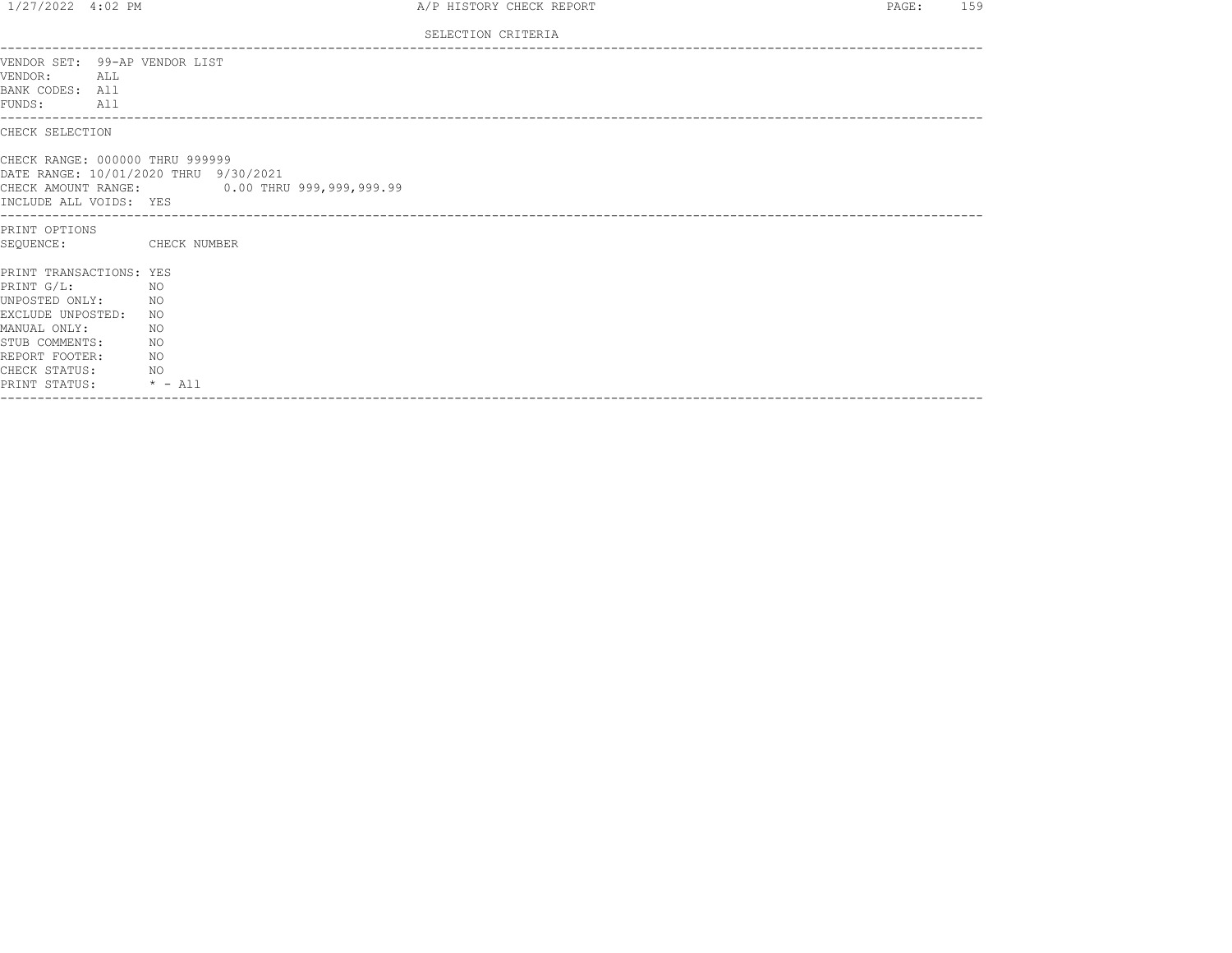| $1/27/2022$ 4:02 PM                                                              |                 |                                                                                       | A/P HISTORY CHECK REPORT | PAGE: | 159 |
|----------------------------------------------------------------------------------|-----------------|---------------------------------------------------------------------------------------|--------------------------|-------|-----|
|                                                                                  |                 |                                                                                       | SELECTION CRITERIA       |       |     |
| VENDOR SET: 99-AP VENDOR LIST<br>VENDOR: ALL<br>BANK CODES: All<br>FUNDS:<br>All |                 |                                                                                       |                          |       |     |
| CHECK SELECTION                                                                  |                 |                                                                                       |                          |       |     |
| CHECK RANGE: 000000 THRU 999999<br>INCLUDE ALL VOIDS: YES                        |                 | DATE RANGE: 10/01/2020 THRU 9/30/2021<br>CHECK AMOUNT RANGE: 0.00 THRU 999,999,999.99 |                          |       |     |
| PRINT OPTIONS                                                                    |                 |                                                                                       |                          |       |     |
| SEOUENCE:                                                                        |                 | CHECK NUMBER                                                                          |                          |       |     |
| PRINT TRANSACTIONS: YES                                                          |                 |                                                                                       |                          |       |     |
| PRINT G/L:                                                                       | NO <sub>N</sub> |                                                                                       |                          |       |     |
| UNPOSTED ONLY:                                                                   | NO <sub>N</sub> |                                                                                       |                          |       |     |
| EXCLUDE UNPOSTED:<br>MANUAL ONLY:                                                |                 | NO.<br>NO.                                                                            |                          |       |     |
| STUB COMMENTS:                                                                   | NO <sub>N</sub> |                                                                                       |                          |       |     |
| REPORT FOOTER:                                                                   |                 | NO.                                                                                   |                          |       |     |
| CHECK STATUS: NO                                                                 |                 |                                                                                       |                          |       |     |
| PRINT STATUS: * - All                                                            |                 |                                                                                       |                          |       |     |
|                                                                                  |                 |                                                                                       |                          |       |     |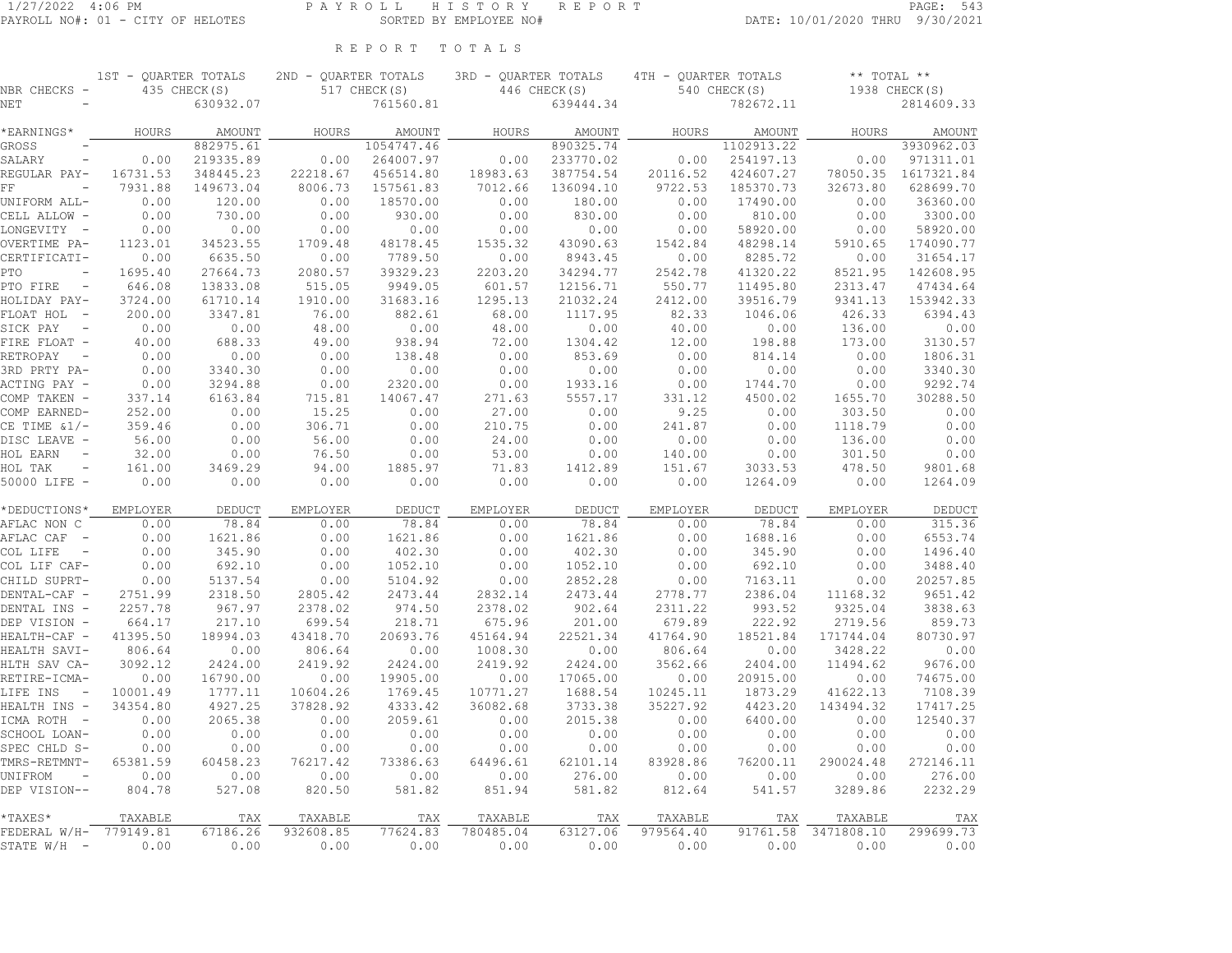1ST - QUARTER TOTALS 2ND - QUARTER TOTALS 3RD - QUARTER TOTALS 4TH - QUARTER TOTALS \*\* TOTAL \*\*

## R E P O R T T O T A L S

| NBR CHECKS                              |          | 435 CHECK(S)    |                      | 517 CHECK(S)    |                      | 446 CHECK(S)    |                      | $540$ CHECK(S) |                                | 1938 CHECK(S)    |
|-----------------------------------------|----------|-----------------|----------------------|-----------------|----------------------|-----------------|----------------------|----------------|--------------------------------|------------------|
| NET                                     |          | 630932.07       |                      | 761560.81       |                      | 639444.34       |                      | 782672.11      |                                | 2814609.33       |
| *EARNINGS*                              | HOURS    | AMOUNT          | HOURS                | AMOUNT          | HOURS                | AMOUNT          | HOURS                | AMOUNT         | HOURS                          | AMOUNT           |
| GROSS                                   |          | 882975.61       |                      | 1054747.46      |                      | 890325.74       |                      | 1102913.22     |                                | 3930962.03       |
| SALARY                                  | 0.00     | 219335.89       | 0.00                 | 264007.97       | 0.00                 | 233770.02       | 0.00                 | 254197.13      | 0.00                           | 971311.01        |
| REGULAR PAY-                            | 16731.53 | 348445.23       | 22218.67             | 456514.80       | 18983.63             | 387754.54       | 20116.52             | 424607.27      | 78050.35                       | 1617321.84       |
| FF                                      | 7931.88  | 149673.04       | 8006.73              | 157561.83       | 7012.66              | 136094.10       | 9722.53              | 185370.73      | 32673.80                       | 628699.70        |
| UNIFORM ALL-                            | 0.00     | 120.00          | 0.00                 | 18570.00        | 0.00                 | 180.00          | 0.00                 | 17490.00       | 0.00                           | 36360.00         |
| CELL ALLOW -                            | 0.00     | 730.00          | 0.00                 | 930.00          | 0.00                 | 830.00          | 0.00                 | 810.00         | 0.00                           | 3300.00          |
| LONGEVITY -                             | 0.00     | 0.00            | 0.00                 | 0.00            | 0.00                 | 0.00            | 0.00                 | 58920.00       | 0.00                           | 58920.00         |
| OVERTIME PA-                            | 1123.01  | 34523.55        | 1709.48              | 48178.45        | 1535.32              | 43090.63        | 1542.84              | 48298.14       | 5910.65                        | 174090.77        |
| CERTIFICATI-                            | 0.00     | 6635.50         | 0.00                 | 7789.50         | 0.00                 | 8943.45         | 0.00                 | 8285.72        | 0.00                           | 31654.17         |
| PTO                                     | 1695.40  | 27664.73        | 2080.57              | 39329.23        | 2203.20              | 34294.77        | 2542.78              | 41320.22       | 8521.95                        | 142608.95        |
| PTO FIRE<br>$\sim$ $-$                  | 646.08   | 13833.08        | 515.05               | 9949.05         | 601.57               | 12156.71        | 550.77               | 11495.80       | 2313.47                        | 47434.64         |
| HOLIDAY PAY-                            | 3724.00  | 61710.14        | 1910.00              | 31683.16        | 1295.13              | 21032.24        | 2412.00              | 39516.79       | 9341.13                        | 153942.33        |
| FLOAT HOL -                             | 200.00   | 3347.81         | 76.00                | 882.61          | 68.00                | 1117.95         | 82.33                | 1046.06        | 426.33                         | 6394.43          |
| SICK PAY<br>$\overline{\phantom{a}}$    | 0.00     | 0.00            | 48.00                | 0.00            | 48.00                | 0.00            | 40.00                | 0.00           | 136.00                         | 0.00             |
| FIRE FLOAT -                            | 40.00    | 688.33          | 49.00                | 938.94          | 72.00                | 1304.42         | 12.00                | 198.88         | 173.00                         | 3130.57          |
| RETROPAY<br>$\overline{\phantom{a}}$    | 0.00     | 0.00            | 0.00                 | 138.48          | 0.00                 | 853.69          | 0.00                 | 814.14         | 0.00                           | 1806.31          |
| 3RD PRTY PA-                            | 0.00     | 3340.30         | 0.00                 | 0.00            | 0.00                 | 0.00            | 0.00                 | 0.00           | 0.00                           | 3340.30          |
| ACTING PAY -                            | 0.00     | 3294.88         | 0.00                 | 2320.00         | 0.00                 | 1933.16         | 0.00                 | 1744.70        | 0.00                           | 9292.74          |
| COMP TAKEN -                            | 337.14   | 6163.84         | 715.81               | 14067.47        | 271.63               | 5557.17         | 331.12               | 4500.02        | 1655.70                        | 30288.50         |
| COMP EARNED-                            | 252.00   | 0.00            | 15.25                | 0.00            | 27.00                | 0.00            | 9.25                 | 0.00           | 303.50                         | 0.00             |
| CE TIME $\&1/-$                         | 359.46   | 0.00            | 306.71               | 0.00            | 210.75               | 0.00            | 241.87               | 0.00           | 1118.79                        | 0.00             |
| DISC LEAVE -                            | 56.00    | 0.00            | 56.00                | 0.00            | 24.00                | 0.00            | 0.00                 | 0.00           | 136.00                         | 0.00             |
| HOL EARN                                | 32.00    | 0.00            | 76.50                | 0.00            | 53.00                | 0.00            | 140.00               | 0.00           | 301.50                         | 0.00             |
| HOL TAK<br>$\overline{\phantom{a}}$     | 161.00   | 3469.29         | 94.00                | 1885.97         | 71.83                | 1412.89         | 151.67               | 3033.53        | 478.50                         | 9801.68          |
| 50000 LIFE -                            | 0.00     | 0.00            | 0.00                 | 0.00            | 0.00                 | 0.00            | 0.00                 | 1264.09        | 0.00                           | 1264.09          |
|                                         |          |                 |                      |                 |                      |                 |                      |                |                                |                  |
| *DEDUCTIONS*                            | EMPLOYER | DEDUCT          | EMPLOYER             | DEDUCT          | EMPLOYER             | DEDUCT          | EMPLOYER             | DEDUCT         | EMPLOYER                       | DEDUCT           |
| AFLAC NON C                             | 0.00     | 78.84           | 0.00                 | 78.84           | 0.00                 | 78.84           | 0.00                 | 78.84          | 0.00                           | 315.36           |
| AFLAC CAF<br>$\sim$                     | 0.00     | 1621.86         | 0.00                 | 1621.86         | 0.00                 | 1621.86         | 0.00                 | 1688.16        | 0.00                           | 6553.74          |
| COL LIFE<br>$\overline{\phantom{a}}$    | 0.00     | 345.90          | 0.00                 | 402.30          | 0.00                 | 402.30          | 0.00                 | 345.90         | 0.00                           | 1496.40          |
| COL LIF CAF-                            | 0.00     | 692.10          | 0.00                 | 1052.10         | 0.00                 | 1052.10         | 0.00                 | 692.10         | 0.00                           | 3488.40          |
| CHILD SUPRT-                            | 0.00     | 5137.54         | 0.00                 | 5104.92         | 0.00                 | 2852.28         | 0.00                 | 7163.11        | 0.00                           | 20257.85         |
| DENTAL-CAF -                            | 2751.99  | 2318.50         | 2805.42              | 2473.44         | 2832.14              | 2473.44         | 2778.77              | 2386.04        | 11168.32                       | 9651.42          |
| DENTAL INS -                            | 2257.78  | 967.97          | 2378.02              | 974.50          | 2378.02              | 902.64          | 2311.22              | 993.52         | 9325.04                        | 3838.63          |
| DEP VISION -                            | 664.17   | 217.10          | 699.54               | 218.71          | 675.96               | 201.00          | 679.89               | 222.92         | 2719.56                        | 859.73           |
| HEALTH-CAF -                            | 41395.50 | 18994.03        | 43418.70             | 20693.76        | 45164.94             | 22521.34        | 41764.90             | 18521.84       | 171744.04                      | 80730.97         |
| HEALTH SAVI-                            | 806.64   | 0.00            | 806.64               | 0.00            | 1008.30              | 0.00            | 806.64               | 0.00           | 3428.22                        | 0.00             |
| HLTH SAV CA-                            | 3092.12  | 2424.00         | 2419.92              | 2424.00         | 2419.92              | 2424.00         | 3562.66              | 2404.00        | 11494.62                       | 9676.00          |
| RETIRE-ICMA-                            | 0.00     | 16790.00        | 0.00                 | 19905.00        | 0.00                 | 17065.00        | 0.00                 | 20915.00       | 0.00                           | 74675.00         |
| LIFE INS<br>$\sim$ $-$                  | 10001.49 | 1777.11         | 10604.26             | 1769.45         | 10771.27             | 1688.54         | 10245.11             | 1873.29        | 41622.13                       | 7108.39          |
| HEALTH INS -                            | 34354.80 | 4927.25         | 37828.92             | 4333.42         | 36082.68             | 3733.38         | 35227.92             | 4423.20        | 143494.32                      | 17417.25         |
| ICMA ROTH -                             | 0.00     | 2065.38         | 0.00                 | 2059.61         | 0.00                 | 2015.38         | 0.00                 | 6400.00        | 0.00                           | 12540.37         |
| SCHOOL LOAN-                            | 0.00     | 0.00            | 0.00                 | 0.00            | 0.00                 | 0.00            | 0.00                 | 0.00           | 0.00                           | 0.00             |
| SPEC CHLD S-                            | 0.00     | 0.00            | 0.00                 | 0.00            | 0.00                 | 0.00            | 0.00                 | 0.00           | 0.00                           | 0.00             |
| TMRS-RETMNT-                            | 65381.59 | 60458.23        | 76217.42             | 73386.63        | 64496.61             | 62101.14        | 83928.86             | 76200.11       | 290024.48                      | 272146.11        |
| UNIFROM                                 | 0.00     | 0.00            | 0.00                 | 0.00            | 0.00                 | 276.00          | 0.00                 | 0.00           | 0.00                           | 276.00           |
| DEP VISION--                            | 804.78   | 527.08          | 820.50               | 581.82          | 851.94               | 581.82          | 812.64               | 541.57         | 3289.86                        | 2232.29          |
|                                         |          |                 |                      |                 |                      |                 |                      |                |                                |                  |
| $*$ TAXES $*$<br>FEDERAL W/H- 779149.81 | TAXABLE  | TAX<br>67186.26 | TAXABLE<br>932608.85 | TAX<br>77624.83 | TAXABLE<br>780485.04 | TAX<br>63127.06 | TAXABLE<br>979564.40 | TAX            | TAXABLE<br>91761.58 3471808.10 | TAX<br>299699.73 |
| STATE W/H -                             | 0.00     | 0.00            | 0.00                 | 0.00            | 0.00                 | 0.00            | 0.00                 | 0.00           | 0.00                           | 0.00             |
|                                         |          |                 |                      |                 |                      |                 |                      |                |                                |                  |